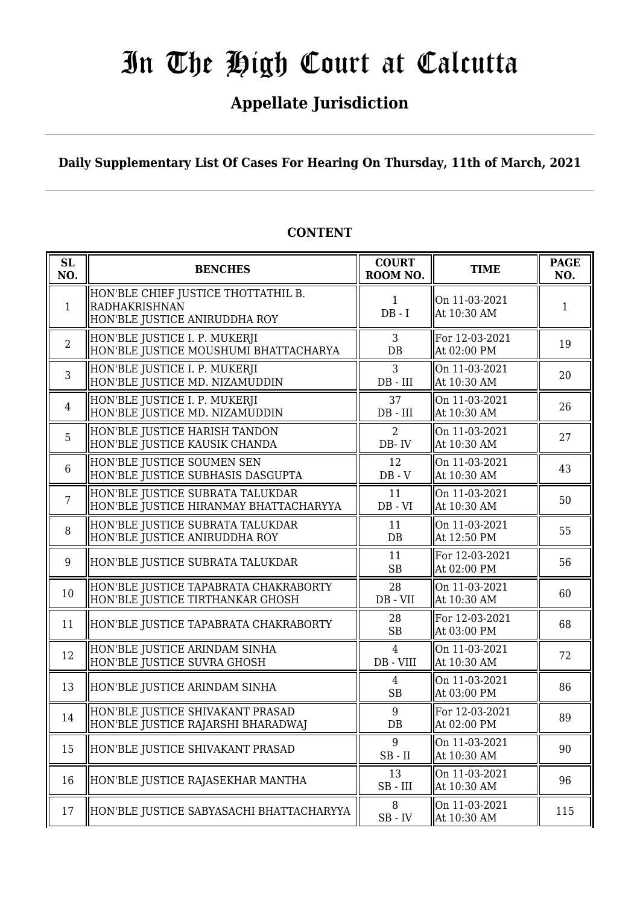## **Appellate Jurisdiction**

**Daily Supplementary List Of Cases For Hearing On Thursday, 11th of March, 2021**

| SL<br>NO.      | <b>BENCHES</b>                                                                               | <b>COURT</b><br>ROOM NO.                    | <b>TIME</b>                   | <b>PAGE</b><br>NO. |
|----------------|----------------------------------------------------------------------------------------------|---------------------------------------------|-------------------------------|--------------------|
| $\mathbf{1}$   | HON'BLE CHIEF JUSTICE THOTTATHIL B.<br><b>RADHAKRISHNAN</b><br>HON'BLE JUSTICE ANIRUDDHA ROY | $\mathbf{1}$<br>$DB - I$                    | On 11-03-2021<br>At 10:30 AM  | $\mathbf{1}$       |
| $\overline{2}$ | HON'BLE JUSTICE I. P. MUKERJI<br>HON'BLE JUSTICE MOUSHUMI BHATTACHARYA                       | 3<br>DB                                     | For 12-03-2021<br>At 02:00 PM | 19                 |
| 3              | HON'BLE JUSTICE I. P. MUKERJI<br>HON'BLE JUSTICE MD. NIZAMUDDIN                              | 3<br>$DB$ - $III$                           | On 11-03-2021<br>At 10:30 AM  | 20                 |
| $\overline{4}$ | HON'BLE JUSTICE I. P. MUKERJI<br>HON'BLE JUSTICE MD. NIZAMUDDIN                              | 37<br>DB - III                              | On 11-03-2021<br>At 10:30 AM  | 26                 |
| 5              | HON'BLE JUSTICE HARISH TANDON<br>HON'BLE JUSTICE KAUSIK CHANDA                               | 2<br>DB-IV                                  | On 11-03-2021<br>At 10:30 AM  | 27                 |
| 6              | HON'BLE JUSTICE SOUMEN SEN<br>HON'BLE JUSTICE SUBHASIS DASGUPTA                              | 12<br>$DB - V$                              | On 11-03-2021<br>At 10:30 AM  | 43                 |
| $\overline{7}$ | HON'BLE JUSTICE SUBRATA TALUKDAR<br>HON'BLE JUSTICE HIRANMAY BHATTACHARYYA                   | 11<br>$DB - VI$                             | On 11-03-2021<br>At 10:30 AM  | 50                 |
| 8              | HON'BLE JUSTICE SUBRATA TALUKDAR<br>HON'BLE JUSTICE ANIRUDDHA ROY                            | 11<br>$DB$                                  | On 11-03-2021<br>At 12:50 PM  | 55                 |
| 9              | HON'BLE JUSTICE SUBRATA TALUKDAR                                                             | 11<br><b>SB</b>                             | For 12-03-2021<br>At 02:00 PM | 56                 |
| 10             | HON'BLE JUSTICE TAPABRATA CHAKRABORTY<br>HON'BLE JUSTICE TIRTHANKAR GHOSH                    | 28<br>DB - VII                              | On 11-03-2021<br>At 10:30 AM  | 60                 |
| 11             | HON'BLE JUSTICE TAPABRATA CHAKRABORTY                                                        | 28<br><b>SB</b>                             | For 12-03-2021<br>At 03:00 PM | 68                 |
| 12             | HON'BLE JUSTICE ARINDAM SINHA<br>HON'BLE JUSTICE SUVRA GHOSH                                 | $\overline{4}$<br>$DB - VIII$               | On 11-03-2021<br>At 10:30 AM  | 72                 |
| 13             | HON'BLE JUSTICE ARINDAM SINHA                                                                | $\overline{4}$<br>SB                        | On 11-03-2021<br>At 03:00 PM  | 86                 |
| 14             | HON'BLE JUSTICE SHIVAKANT PRASAD<br>HON'BLE JUSTICE RAJARSHI BHARADWAJ                       | 9<br>DB                                     | For 12-03-2021<br>At 02:00 PM | 89                 |
| 15             | HON'BLE JUSTICE SHIVAKANT PRASAD                                                             | 9<br>$SB$ - $II$                            | On 11-03-2021<br>At 10:30 AM  | 90                 |
| 16             | HON'BLE JUSTICE RAJASEKHAR MANTHA                                                            | 13<br>$SB$ - $III$                          | On 11-03-2021<br>At 10:30 AM  | 96                 |
| 17             | HON'BLE JUSTICE SABYASACHI BHATTACHARYYA                                                     | 8<br>$\ensuremath{\mathsf{SB}}\xspace$ - IV | On 11-03-2021<br>At 10:30 AM  | 115                |

#### **CONTENT**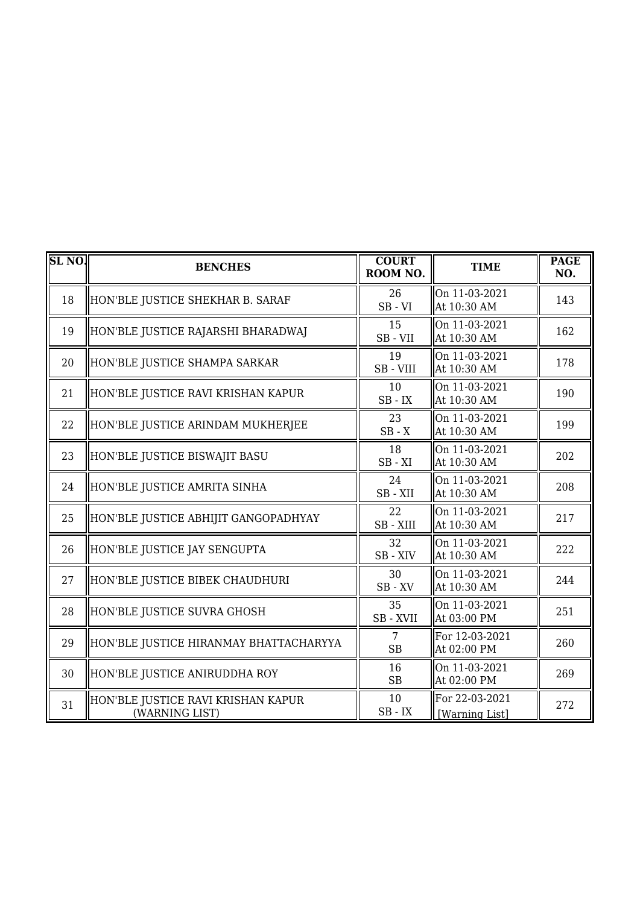| <b>SL NO.</b> | <b>BENCHES</b>                                       | <b>COURT</b><br>ROOM NO. | <b>TIME</b>                      | <b>PAGE</b><br>NO. |
|---------------|------------------------------------------------------|--------------------------|----------------------------------|--------------------|
| 18            | HON'BLE JUSTICE SHEKHAR B. SARAF                     | 26<br>$SB - VI$          | On 11-03-2021<br>At 10:30 AM     | 143                |
| 19            | HON'BLE JUSTICE RAJARSHI BHARADWAJ                   | 15<br>SB-VII             | On 11-03-2021<br>At 10:30 AM     | 162                |
| 20            | HON'BLE JUSTICE SHAMPA SARKAR                        | 19<br>SB-VIII            | On 11-03-2021<br>At 10:30 AM     | 178                |
| 21            | HON'BLE JUSTICE RAVI KRISHAN KAPUR                   | 10<br>$SB$ - $IX$        | On 11-03-2021<br>At 10:30 AM     | 190                |
| 22            | HON'BLE JUSTICE ARINDAM MUKHERJEE                    | 23<br>$SB - X$           | On 11-03-2021<br>At 10:30 AM     | 199                |
| 23            | HON'BLE JUSTICE BISWAJIT BASU                        | 18<br>$SB - XI$          | On 11-03-2021<br>At 10:30 AM     | 202                |
| 24            | HON'BLE JUSTICE AMRITA SINHA                         | 24<br>SB-XII             | On 11-03-2021<br>At 10:30 AM     | 208                |
| 25            | HON'BLE JUSTICE ABHIJIT GANGOPADHYAY                 | 22<br>SB-XIII            | On 11-03-2021<br>At 10:30 AM     | 217                |
| 26            | HON'BLE JUSTICE JAY SENGUPTA                         | 32<br>SB-XIV             | On 11-03-2021<br>At 10:30 AM     | 222                |
| 27            | HON'BLE JUSTICE BIBEK CHAUDHURI                      | 30<br>$SB$ - $XV$        | On 11-03-2021<br>At 10:30 AM     | 244                |
| 28            | HON'BLE JUSTICE SUVRA GHOSH                          | 35<br>SB - XVII          | On 11-03-2021<br>At 03:00 PM     | 251                |
| 29            | HON'BLE JUSTICE HIRANMAY BHATTACHARYYA               | 7<br><b>SB</b>           | For 12-03-2021<br>At 02:00 PM    | 260                |
| 30            | HON'BLE JUSTICE ANIRUDDHA ROY                        | 16<br>SB                 | On 11-03-2021<br>At 02:00 PM     | 269                |
| 31            | HON'BLE JUSTICE RAVI KRISHAN KAPUR<br>(WARNING LIST) | 10<br>$SB$ - $IX$        | For 22-03-2021<br>[Warning List] | 272                |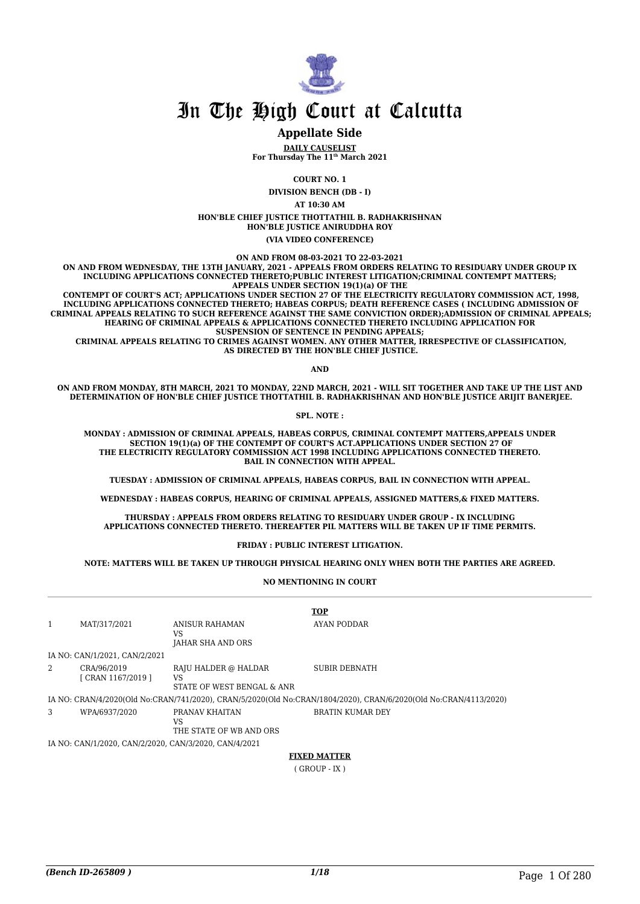

#### **Appellate Side**

**DAILY CAUSELIST For Thursday The 11th March 2021**

**COURT NO. 1**

**DIVISION BENCH (DB - I) AT 10:30 AM HON'BLE CHIEF JUSTICE THOTTATHIL B. RADHAKRISHNAN HON'BLE JUSTICE ANIRUDDHA ROY (VIA VIDEO CONFERENCE)**

**ON AND FROM 08-03-2021 TO 22-03-2021**

**ON AND FROM WEDNESDAY, THE 13TH JANUARY, 2021 - APPEALS FROM ORDERS RELATING TO RESIDUARY UNDER GROUP IX INCLUDING APPLICATIONS CONNECTED THERETO;PUBLIC INTEREST LITIGATION;CRIMINAL CONTEMPT MATTERS; APPEALS UNDER SECTION 19(1)(a) OF THE**

 **CONTEMPT OF COURT'S ACT; APPLICATIONS UNDER SECTION 27 OF THE ELECTRICITY REGULATORY COMMISSION ACT, 1998, INCLUDING APPLICATIONS CONNECTED THERETO; HABEAS CORPUS; DEATH REFERENCE CASES ( INCLUDING ADMISSION OF CRIMINAL APPEALS RELATING TO SUCH REFERENCE AGAINST THE SAME CONVICTION ORDER);ADMISSION OF CRIMINAL APPEALS; HEARING OF CRIMINAL APPEALS & APPLICATIONS CONNECTED THERETO INCLUDING APPLICATION FOR SUSPENSION OF SENTENCE IN PENDING APPEALS;**

 **CRIMINAL APPEALS RELATING TO CRIMES AGAINST WOMEN. ANY OTHER MATTER, IRRESPECTIVE OF CLASSIFICATION, AS DIRECTED BY THE HON'BLE CHIEF JUSTICE.**

**AND**

**ON AND FROM MONDAY, 8TH MARCH, 2021 TO MONDAY, 22ND MARCH, 2021 - WILL SIT TOGETHER AND TAKE UP THE LIST AND DETERMINATION OF HON'BLE CHIEF JUSTICE THOTTATHIL B. RADHAKRISHNAN AND HON'BLE JUSTICE ARIJIT BANERJEE.**

**SPL. NOTE :**

**MONDAY : ADMISSION OF CRIMINAL APPEALS, HABEAS CORPUS, CRIMINAL CONTEMPT MATTERS,APPEALS UNDER SECTION 19(1)(a) OF THE CONTEMPT OF COURT'S ACT.APPLICATIONS UNDER SECTION 27 OF THE ELECTRICITY REGULATORY COMMISSION ACT 1998 INCLUDING APPLICATIONS CONNECTED THERETO. BAIL IN CONNECTION WITH APPEAL.**

**TUESDAY : ADMISSION OF CRIMINAL APPEALS, HABEAS CORPUS, BAIL IN CONNECTION WITH APPEAL.**

**WEDNESDAY : HABEAS CORPUS, HEARING OF CRIMINAL APPEALS, ASSIGNED MATTERS,& FIXED MATTERS.**

**THURSDAY : APPEALS FROM ORDERS RELATING TO RESIDUARY UNDER GROUP - IX INCLUDING APPLICATIONS CONNECTED THERETO. THEREAFTER PIL MATTERS WILL BE TAKEN UP IF TIME PERMITS.**

**FRIDAY : PUBLIC INTEREST LITIGATION.**

**NOTE: MATTERS WILL BE TAKEN UP THROUGH PHYSICAL HEARING ONLY WHEN BOTH THE PARTIES ARE AGREED.**

**NO MENTIONING IN COURT**

|   |                                   |                                                          | <b>TOP</b>                                                                                                       |
|---|-----------------------------------|----------------------------------------------------------|------------------------------------------------------------------------------------------------------------------|
|   | MAT/317/2021                      | ANISUR RAHAMAN<br>VS<br>JAHAR SHA AND ORS                | AYAN PODDAR                                                                                                      |
|   | IA NO: CAN/1/2021, CAN/2/2021     |                                                          |                                                                                                                  |
| 2 | CRA/96/2019<br>[ CRAN 1167/2019 ] | RAJU HALDER @ HALDAR<br>VS<br>STATE OF WEST BENGAL & ANR | SUBIR DEBNATH                                                                                                    |
|   |                                   |                                                          | IA NO: CRAN/4/2020(Old No:CRAN/741/2020), CRAN/5/2020(Old No:CRAN/1804/2020), CRAN/6/2020(Old No:CRAN/4113/2020) |
| 3 | WPA/6937/2020                     | PRANAV KHAITAN<br>VS<br>THE STATE OF WB AND ORS          | BRATIN KUMAR DEY                                                                                                 |

IA NO: CAN/1/2020, CAN/2/2020, CAN/3/2020, CAN/4/2021

**FIXED MATTER**

( GROUP - IX )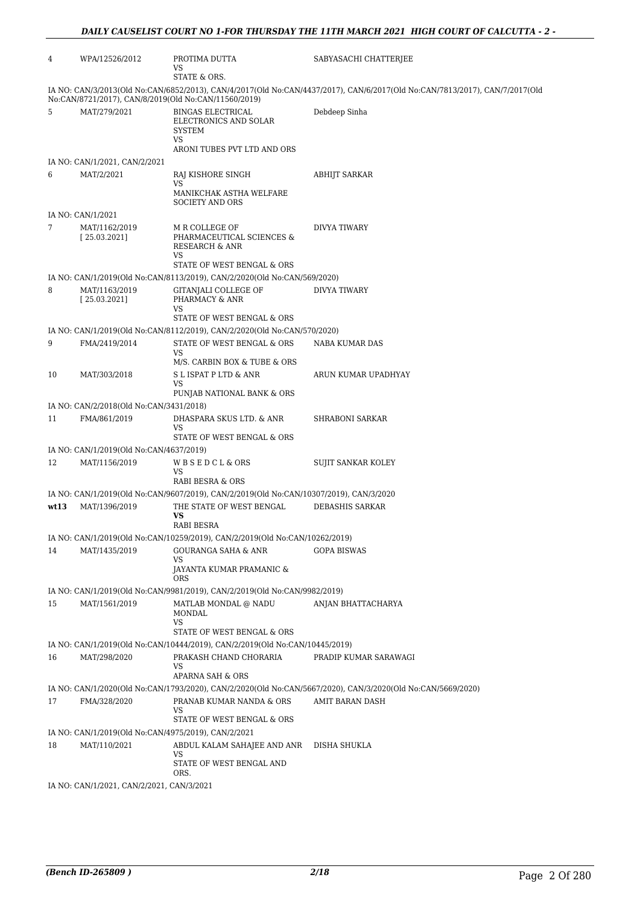| 4    | WPA/12526/2012                                          | PROTIMA DUTTA<br>VS<br>STATE & ORS.                                                                          | SABYASACHI CHATTERJEE                                                                                                       |
|------|---------------------------------------------------------|--------------------------------------------------------------------------------------------------------------|-----------------------------------------------------------------------------------------------------------------------------|
|      |                                                         | No:CAN/8721/2017), CAN/8/2019(Old No:CAN/11560/2019)                                                         | IA NO: CAN/3/2013(Old No:CAN/6852/2013), CAN/4/2017(Old No:CAN/4437/2017), CAN/6/2017(Old No:CAN/7813/2017), CAN/7/2017(Old |
| 5    | MAT/279/2021                                            | <b>BINGAS ELECTRICAL</b><br>ELECTRONICS AND SOLAR<br><b>SYSTEM</b><br>VS                                     | Debdeep Sinha                                                                                                               |
|      | IA NO: CAN/1/2021, CAN/2/2021                           | ARONI TUBES PVT LTD AND ORS                                                                                  |                                                                                                                             |
| 6    | MAT/2/2021                                              | RAJ KISHORE SINGH                                                                                            | <b>ABHIJT SARKAR</b>                                                                                                        |
|      |                                                         | VS<br>MANIKCHAK ASTHA WELFARE<br><b>SOCIETY AND ORS</b>                                                      |                                                                                                                             |
|      | IA NO: CAN/1/2021                                       |                                                                                                              |                                                                                                                             |
| 7    | MAT/1162/2019<br>[25.03.2021]                           | M R COLLEGE OF<br>PHARMACEUTICAL SCIENCES &<br><b>RESEARCH &amp; ANR</b><br>VS<br>STATE OF WEST BENGAL & ORS | DIVYA TIWARY                                                                                                                |
|      |                                                         | IA NO: CAN/1/2019(Old No:CAN/8113/2019), CAN/2/2020(Old No:CAN/569/2020)                                     |                                                                                                                             |
| 8    | MAT/1163/2019<br>[25.03.2021]                           | GITANJALI COLLEGE OF<br>PHARMACY & ANR<br>VS                                                                 | DIVYA TIWARY                                                                                                                |
|      |                                                         | STATE OF WEST BENGAL & ORS                                                                                   |                                                                                                                             |
|      |                                                         | IA NO: CAN/1/2019(Old No:CAN/8112/2019), CAN/2/2020(Old No:CAN/570/2020)                                     |                                                                                                                             |
| 9    | FMA/2419/2014                                           | STATE OF WEST BENGAL & ORS                                                                                   | NABA KUMAR DAS                                                                                                              |
|      |                                                         | VS<br>M/S. CARBIN BOX & TUBE & ORS                                                                           |                                                                                                                             |
| 10   | MAT/303/2018                                            | S L ISPAT P LTD & ANR<br>VS                                                                                  | ARUN KUMAR UPADHYAY                                                                                                         |
|      |                                                         | PUNJAB NATIONAL BANK & ORS                                                                                   |                                                                                                                             |
| 11   | IA NO: CAN/2/2018(Old No:CAN/3431/2018)<br>FMA/861/2019 | DHASPARA SKUS LTD. & ANR                                                                                     | SHRABONI SARKAR                                                                                                             |
|      |                                                         | VS                                                                                                           |                                                                                                                             |
|      |                                                         | STATE OF WEST BENGAL & ORS                                                                                   |                                                                                                                             |
|      | IA NO: CAN/1/2019(Old No:CAN/4637/2019)                 |                                                                                                              |                                                                                                                             |
| 12   | MAT/1156/2019                                           | WBSEDCL&ORS<br>VS<br>RABI BESRA & ORS                                                                        | SUJIT SANKAR KOLEY                                                                                                          |
|      |                                                         | IA NO: CAN/1/2019(Old No:CAN/9607/2019), CAN/2/2019(Old No:CAN/10307/2019), CAN/3/2020                       |                                                                                                                             |
| wt13 | MAT/1396/2019                                           | THE STATE OF WEST BENGAL<br>VS<br>RABI BESRA                                                                 | <b>DEBASHIS SARKAR</b>                                                                                                      |
|      |                                                         | IA NO: CAN/1/2019(Old No:CAN/10259/2019), CAN/2/2019(Old No:CAN/10262/2019)                                  |                                                                                                                             |
| 14   | MAT/1435/2019                                           | <b>GOURANGA SAHA &amp; ANR</b>                                                                               | <b>GOPA BISWAS</b>                                                                                                          |
|      |                                                         | VS<br>JAYANTA KUMAR PRAMANIC &<br>ORS                                                                        |                                                                                                                             |
|      |                                                         | IA NO: CAN/1/2019(Old No:CAN/9981/2019), CAN/2/2019(Old No:CAN/9982/2019)                                    |                                                                                                                             |
| 15   | MAT/1561/2019                                           | MATLAB MONDAL $\textcircled{e}$ NADU<br>MONDAL<br><b>VS</b>                                                  | ANJAN BHATTACHARYA                                                                                                          |
|      |                                                         | STATE OF WEST BENGAL & ORS                                                                                   |                                                                                                                             |
|      |                                                         | IA NO: CAN/1/2019(Old No:CAN/10444/2019), CAN/2/2019(Old No:CAN/10445/2019)                                  |                                                                                                                             |
| 16   | MAT/298/2020                                            | PRAKASH CHAND CHORARIA<br>VS                                                                                 | PRADIP KUMAR SARAWAGI                                                                                                       |
|      |                                                         | <b>APARNA SAH &amp; ORS</b>                                                                                  | IA NO: CAN/1/2020(Old No:CAN/1793/2020), CAN/2/2020(Old No:CAN/5667/2020), CAN/3/2020(Old No:CAN/5669/2020)                 |
| 17   | FMA/328/2020                                            | PRANAB KUMAR NANDA & ORS<br>VS                                                                               | AMIT BARAN DASH                                                                                                             |
|      |                                                         | STATE OF WEST BENGAL & ORS                                                                                   |                                                                                                                             |
|      | IA NO: CAN/1/2019(Old No:CAN/4975/2019), CAN/2/2021     |                                                                                                              |                                                                                                                             |
| 18   | MAT/110/2021                                            | ABDUL KALAM SAHAJEE AND ANR<br>VS<br>STATE OF WEST BENGAL AND                                                | DISHA SHUKLA                                                                                                                |
|      |                                                         | ORS.                                                                                                         |                                                                                                                             |
|      | IA NO: CAN/1/2021, CAN/2/2021, CAN/3/2021               |                                                                                                              |                                                                                                                             |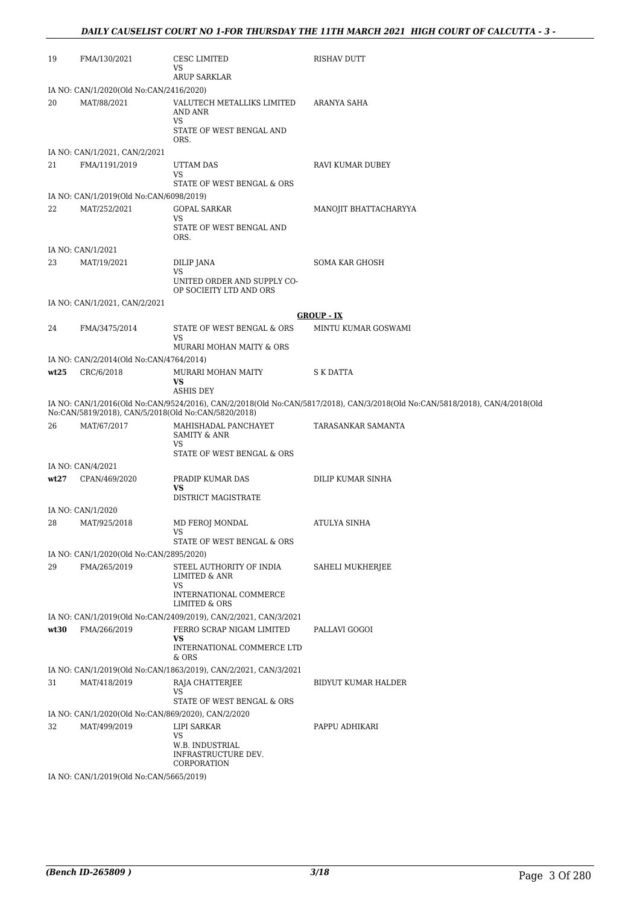| 19   | FMA/130/2021                                        | CESC LIMITED<br>VS<br><b>ARUP SARKLAR</b>                       | <b>RISHAV DUTT</b>                                                                                                          |
|------|-----------------------------------------------------|-----------------------------------------------------------------|-----------------------------------------------------------------------------------------------------------------------------|
|      | IA NO: CAN/1/2020(Old No:CAN/2416/2020)             |                                                                 |                                                                                                                             |
| 20   | MAT/88/2021                                         | VALUTECH METALLIKS LIMITED<br>AND ANR<br>VS                     | ARANYA SAHA                                                                                                                 |
|      |                                                     | STATE OF WEST BENGAL AND<br>ORS.                                |                                                                                                                             |
|      | IA NO: CAN/1/2021, CAN/2/2021                       |                                                                 |                                                                                                                             |
| 21   | FMA/1191/2019                                       | UTTAM DAS                                                       | RAVI KUMAR DUBEY                                                                                                            |
|      |                                                     | VS<br>STATE OF WEST BENGAL & ORS                                |                                                                                                                             |
|      | IA NO: CAN/1/2019(Old No:CAN/6098/2019)             |                                                                 |                                                                                                                             |
| 22   | MAT/252/2021                                        | <b>GOPAL SARKAR</b>                                             | MANOJIT BHATTACHARYYA                                                                                                       |
|      |                                                     | VS<br>STATE OF WEST BENGAL AND<br>ORS.                          |                                                                                                                             |
|      | IA NO: CAN/1/2021                                   |                                                                 |                                                                                                                             |
| 23   | MAT/19/2021                                         | DILIP JANA                                                      | <b>SOMA KAR GHOSH</b>                                                                                                       |
|      |                                                     | VS<br>UNITED ORDER AND SUPPLY CO-<br>OP SOCIEITY LTD AND ORS    |                                                                                                                             |
|      | IA NO: CAN/1/2021, CAN/2/2021                       |                                                                 |                                                                                                                             |
|      |                                                     |                                                                 | <b>GROUP - IX</b>                                                                                                           |
| 24   | FMA/3475/2014                                       | STATE OF WEST BENGAL & ORS                                      | MINTU KUMAR GOSWAMI                                                                                                         |
|      |                                                     | VS<br>MURARI MOHAN MAITY & ORS                                  |                                                                                                                             |
|      | IA NO: CAN/2/2014(Old No:CAN/4764/2014)             |                                                                 |                                                                                                                             |
| wt25 | CRC/6/2018                                          | MURARI MOHAN MAITY                                              | S K DATTA                                                                                                                   |
|      |                                                     | VS<br><b>ASHIS DEY</b>                                          |                                                                                                                             |
|      | No:CAN/5819/2018), CAN/5/2018(Old No:CAN/5820/2018) |                                                                 | IA NO: CAN/1/2016(Old No:CAN/9524/2016), CAN/2/2018(Old No:CAN/5817/2018), CAN/3/2018(Old No:CAN/5818/2018), CAN/4/2018(Old |
| 26   | MAT/67/2017                                         | MAHISHADAL PANCHAYET<br>SAMITY & ANR                            | TARASANKAR SAMANTA                                                                                                          |
|      |                                                     | VS<br>STATE OF WEST BENGAL & ORS                                |                                                                                                                             |
|      | IA NO: CAN/4/2021                                   |                                                                 |                                                                                                                             |
| wt27 | CPAN/469/2020                                       | PRADIP KUMAR DAS                                                | DILIP KUMAR SINHA                                                                                                           |
|      |                                                     | VS<br>DISTRICT MAGISTRATE                                       |                                                                                                                             |
|      | IA NO: CAN/1/2020                                   |                                                                 |                                                                                                                             |
| 28   | MAT/925/2018                                        | MD FEROJ MONDAL                                                 | <b>ATULYA SINHA</b>                                                                                                         |
|      |                                                     | VS<br>STATE OF WEST BENGAL & ORS                                |                                                                                                                             |
|      | IA NO: CAN/1/2020(Old No:CAN/2895/2020)             |                                                                 |                                                                                                                             |
| 29   | FMA/265/2019                                        | STEEL AUTHORITY OF INDIA                                        | SAHELI MUKHERJEE                                                                                                            |
|      |                                                     | LIMITED & ANR                                                   |                                                                                                                             |
|      |                                                     | VS<br>INTERNATIONAL COMMERCE<br><b>LIMITED &amp; ORS</b>        |                                                                                                                             |
|      |                                                     | IA NO: CAN/1/2019(Old No:CAN/2409/2019), CAN/2/2021, CAN/3/2021 |                                                                                                                             |
| wt30 | FMA/266/2019                                        | FERRO SCRAP NIGAM LIMITED                                       | PALLAVI GOGOI                                                                                                               |
|      |                                                     | VS<br>INTERNATIONAL COMMERCE LTD<br>& ORS                       |                                                                                                                             |
|      |                                                     | IA NO: CAN/1/2019(Old No:CAN/1863/2019), CAN/2/2021, CAN/3/2021 |                                                                                                                             |
| 31   | MAT/418/2019                                        | RAJA CHATTERJEE                                                 | BIDYUT KUMAR HALDER                                                                                                         |
|      |                                                     | VS<br>STATE OF WEST BENGAL & ORS                                |                                                                                                                             |
|      | IA NO: CAN/1/2020(Old No:CAN/869/2020), CAN/2/2020  |                                                                 |                                                                                                                             |
| 32   | MAT/499/2019                                        | LIPI SARKAR                                                     | PAPPU ADHIKARI                                                                                                              |
|      |                                                     | VS<br>W.B. INDUSTRIAL<br>INFRASTRUCTURE DEV.                    |                                                                                                                             |
|      |                                                     | CORPORATION                                                     |                                                                                                                             |
|      | IA NO: CAN/1/2019(Old No:CAN/5665/2019)             |                                                                 |                                                                                                                             |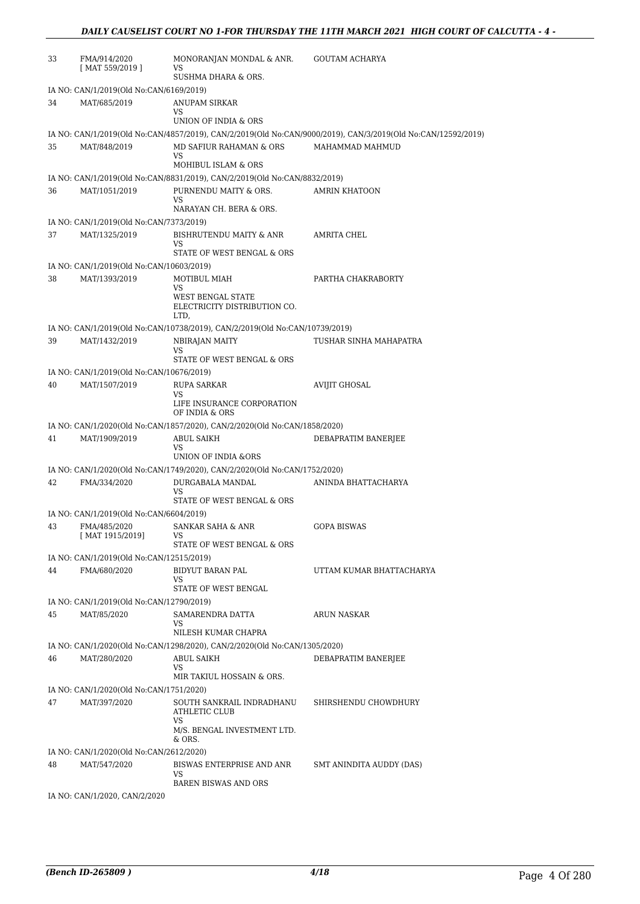| 33 | FMA/914/2020<br>$[$ MAT 559/2019 $]$     | MONORANJAN MONDAL & ANR.<br>VS                                                                     | <b>GOUTAM ACHARYA</b>                                                                                        |
|----|------------------------------------------|----------------------------------------------------------------------------------------------------|--------------------------------------------------------------------------------------------------------------|
|    |                                          | SUSHMA DHARA & ORS.                                                                                |                                                                                                              |
|    | IA NO: CAN/1/2019(Old No:CAN/6169/2019)  |                                                                                                    |                                                                                                              |
| 34 | MAT/685/2019                             | ANUPAM SIRKAR<br>VS                                                                                |                                                                                                              |
|    |                                          | UNION OF INDIA & ORS                                                                               |                                                                                                              |
|    |                                          |                                                                                                    | IA NO: CAN/1/2019(Old No:CAN/4857/2019), CAN/2/2019(Old No:CAN/9000/2019), CAN/3/2019(Old No:CAN/12592/2019) |
| 35 | MAT/848/2019                             | MD SAFIUR RAHAMAN & ORS<br>VS                                                                      | MAHAMMAD MAHMUD                                                                                              |
|    |                                          | MOHIBUL ISLAM & ORS                                                                                |                                                                                                              |
| 36 | MAT/1051/2019                            | IA NO: CAN/1/2019(Old No:CAN/8831/2019), CAN/2/2019(Old No:CAN/8832/2019)<br>PURNENDU MAITY & ORS. | AMRIN KHATOON                                                                                                |
|    |                                          | VS<br>NARAYAN CH. BERA & ORS.                                                                      |                                                                                                              |
|    | IA NO: CAN/1/2019(Old No:CAN/7373/2019)  |                                                                                                    |                                                                                                              |
| 37 | MAT/1325/2019                            | BISHRUTENDU MAITY & ANR                                                                            | AMRITA CHEL                                                                                                  |
|    |                                          | VS                                                                                                 |                                                                                                              |
|    |                                          | STATE OF WEST BENGAL & ORS                                                                         |                                                                                                              |
|    | IA NO: CAN/1/2019(Old No:CAN/10603/2019) |                                                                                                    | PARTHA CHAKRABORTY                                                                                           |
| 38 | MAT/1393/2019                            | MOTIBUL MIAH<br>VS                                                                                 |                                                                                                              |
|    |                                          | WEST BENGAL STATE<br>ELECTRICITY DISTRIBUTION CO.<br>LTD,                                          |                                                                                                              |
|    |                                          | IA NO: CAN/1/2019(Old No:CAN/10738/2019), CAN/2/2019(Old No:CAN/10739/2019)                        |                                                                                                              |
| 39 | MAT/1432/2019                            | NBIRAJAN MAITY                                                                                     | TUSHAR SINHA MAHAPATRA                                                                                       |
|    |                                          | VS                                                                                                 |                                                                                                              |
|    |                                          | STATE OF WEST BENGAL & ORS                                                                         |                                                                                                              |
|    | IA NO: CAN/1/2019(Old No:CAN/10676/2019) |                                                                                                    |                                                                                                              |
| 40 | MAT/1507/2019                            | RUPA SARKAR<br>VS                                                                                  | AVIJIT GHOSAL                                                                                                |
|    |                                          | LIFE INSURANCE CORPORATION<br>OF INDIA & ORS                                                       |                                                                                                              |
|    |                                          | IA NO: CAN/1/2020(Old No:CAN/1857/2020), CAN/2/2020(Old No:CAN/1858/2020)                          |                                                                                                              |
| 41 | MAT/1909/2019                            | ABUL SAIKH<br>VS<br>UNION OF INDIA &ORS                                                            | DEBAPRATIM BANERJEE                                                                                          |
|    |                                          | IA NO: CAN/1/2020(Old No:CAN/1749/2020), CAN/2/2020(Old No:CAN/1752/2020)                          |                                                                                                              |
| 42 | FMA/334/2020                             | DURGABALA MANDAL                                                                                   | ANINDA BHATTACHARYA                                                                                          |
|    |                                          | VS                                                                                                 |                                                                                                              |
|    | IA NO: CAN/1/2019(Old No:CAN/6604/2019)  | STATE OF WEST BENGAL & ORS                                                                         |                                                                                                              |
| 43 | FMA/485/2020                             | SANKAR SAHA & ANR                                                                                  | <b>GOPA BISWAS</b>                                                                                           |
|    | [ MAT 1915/2019]                         | VS<br>STATE OF WEST BENGAL & ORS                                                                   |                                                                                                              |
|    | IA NO: CAN/1/2019(Old No:CAN/12515/2019) |                                                                                                    |                                                                                                              |
| 44 | FMA/680/2020                             | <b>BIDYUT BARAN PAL</b>                                                                            | UTTAM KUMAR BHATTACHARYA                                                                                     |
|    |                                          | VS                                                                                                 |                                                                                                              |
|    |                                          | STATE OF WEST BENGAL                                                                               |                                                                                                              |
|    | IA NO: CAN/1/2019(Old No:CAN/12790/2019) |                                                                                                    |                                                                                                              |
| 45 | MAT/85/2020                              | SAMARENDRA DATTA<br>VS                                                                             | <b>ARUN NASKAR</b>                                                                                           |
|    |                                          | NILESH KUMAR CHAPRA                                                                                |                                                                                                              |
|    |                                          | IA NO: CAN/1/2020(Old No:CAN/1298/2020), CAN/2/2020(Old No:CAN/1305/2020)                          |                                                                                                              |
| 46 | MAT/280/2020                             | ABUL SAIKH<br>VS<br>MIR TAKIUL HOSSAIN & ORS.                                                      | DEBAPRATIM BANERJEE                                                                                          |
|    | IA NO: CAN/1/2020(Old No:CAN/1751/2020)  |                                                                                                    |                                                                                                              |
| 47 | MAT/397/2020                             | SOUTH SANKRAIL INDRADHANU<br>ATHLETIC CLUB                                                         | SHIRSHENDU CHOWDHURY                                                                                         |
|    |                                          | VS<br>M/S. BENGAL INVESTMENT LTD.<br>& ORS.                                                        |                                                                                                              |
|    | IA NO: CAN/1/2020(Old No:CAN/2612/2020)  |                                                                                                    |                                                                                                              |
| 48 | MAT/547/2020                             | BISWAS ENTERPRISE AND ANR<br>VS                                                                    | SMT ANINDITA AUDDY (DAS)                                                                                     |
|    |                                          | <b>BAREN BISWAS AND ORS</b>                                                                        |                                                                                                              |
|    | IA NO: CAN/1/2020, CAN/2/2020            |                                                                                                    |                                                                                                              |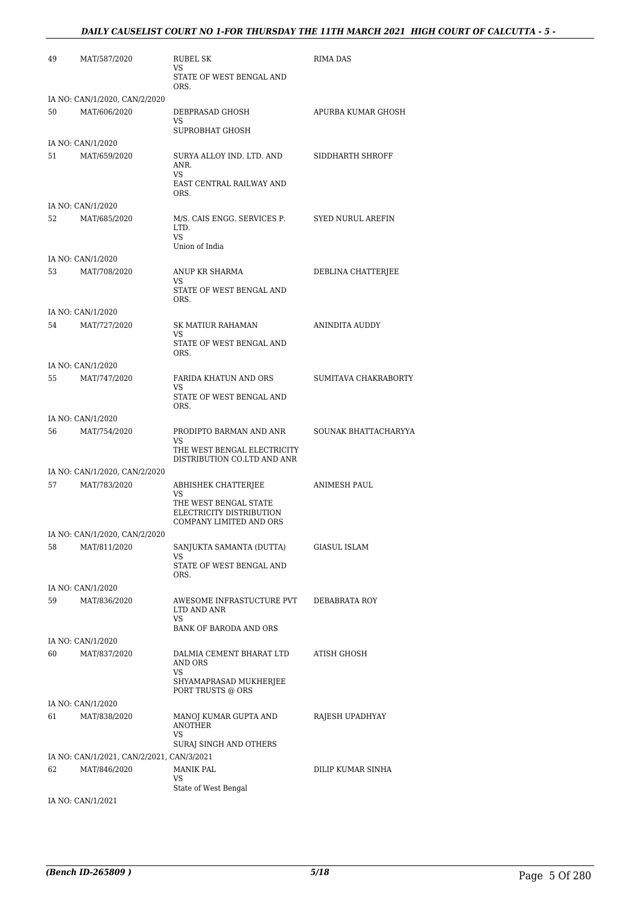#### *DAILY CAUSELIST COURT NO 1-FOR THURSDAY THE 11TH MARCH 2021 HIGH COURT OF CALCUTTA - 5 -*

| 49 | MAT/587/2020                              | <b>RUBEL SK</b><br>VS                                      | RIMA DAS                 |
|----|-------------------------------------------|------------------------------------------------------------|--------------------------|
|    |                                           | STATE OF WEST BENGAL AND<br>ORS.                           |                          |
|    | IA NO: CAN/1/2020, CAN/2/2020             |                                                            |                          |
| 50 | MAT/606/2020                              | DEBPRASAD GHOSH<br>VS                                      | APURBA KUMAR GHOSH       |
|    |                                           | SUPROBHAT GHOSH                                            |                          |
| 51 | IA NO: CAN/1/2020<br>MAT/659/2020         | SURYA ALLOY IND. LTD. AND<br>ANR.                          | SIDDHARTH SHROFF         |
|    |                                           | VS.<br>EAST CENTRAL RAILWAY AND<br>ORS.                    |                          |
|    | IA NO: CAN/1/2020                         |                                                            |                          |
| 52 | MAT/685/2020                              | M/S. CAIS ENGG. SERVICES P.<br>LTD.<br>VS.                 | <b>SYED NURUL AREFIN</b> |
|    |                                           | Union of India                                             |                          |
| 53 | IA NO: CAN/1/2020<br>MAT/708/2020         | ANUP KR SHARMA                                             |                          |
|    |                                           | VS<br>STATE OF WEST BENGAL AND                             | DEBLINA CHATTERJEE       |
|    |                                           | ORS.                                                       |                          |
|    | IA NO: CAN/1/2020                         |                                                            |                          |
| 54 | MAT/727/2020                              | <b>SK MATIUR RAHAMAN</b><br>VS                             | ANINDITA AUDDY           |
|    |                                           | STATE OF WEST BENGAL AND<br>ORS.                           |                          |
|    | IA NO: CAN/1/2020                         |                                                            |                          |
| 55 | MAT/747/2020                              | FARIDA KHATUN AND ORS<br>VS                                | SUMITAVA CHAKRABORTY     |
|    |                                           | STATE OF WEST BENGAL AND<br>ORS.                           |                          |
|    | IA NO: CAN/1/2020                         |                                                            |                          |
| 56 | MAT/754/2020                              | PRODIPTO BARMAN AND ANR<br>VS                              | SOUNAK BHATTACHARYYA     |
|    |                                           | THE WEST BENGAL ELECTRICITY<br>DISTRIBUTION CO.LTD AND ANR |                          |
|    | IA NO: CAN/1/2020, CAN/2/2020             |                                                            |                          |
| 57 | MAT/783/2020                              | ABHISHEK CHATTERJEE                                        | ANIMESH PAUL             |
|    |                                           | VS<br>THE WEST BENGAL STATE                                |                          |
|    |                                           | ELECTRICITY DISTRIBUTION<br>COMPANY LIMITED AND ORS        |                          |
|    | IA NO: CAN/1/2020, CAN/2/2020             |                                                            |                          |
| 58 | MAT/811/2020                              | SANJUKTA SAMANTA (DUTTA)                                   | <b>GIASUL ISLAM</b>      |
|    |                                           | VS<br>STATE OF WEST BENGAL AND                             |                          |
|    |                                           | ORS.                                                       |                          |
|    | IA NO: CAN/1/2020                         |                                                            |                          |
| 59 | MAT/836/2020                              | AWESOME INFRASTUCTURE PVT<br>LTD AND ANR<br>VS             | DEBABRATA ROY            |
|    |                                           | BANK OF BARODA AND ORS                                     |                          |
|    | IA NO: CAN/1/2020                         |                                                            |                          |
| 60 | MAT/837/2020                              | DALMIA CEMENT BHARAT LTD<br>AND ORS<br>VS                  | ATISH GHOSH              |
|    |                                           | SHYAMAPRASAD MUKHERJEE<br>PORT TRUSTS @ ORS                |                          |
|    | IA NO: CAN/1/2020                         |                                                            |                          |
| 61 | MAT/838/2020                              | MANOJ KUMAR GUPTA AND<br><b>ANOTHER</b>                    | RAJESH UPADHYAY          |
|    |                                           | VS<br>SURAJ SINGH AND OTHERS                               |                          |
|    | IA NO: CAN/1/2021, CAN/2/2021, CAN/3/2021 |                                                            |                          |
| 62 | MAT/846/2020                              | MANIK PAL<br>VS                                            | DILIP KUMAR SINHA        |
|    |                                           | State of West Bengal                                       |                          |
|    | IA NO: CAN/1/2021                         |                                                            |                          |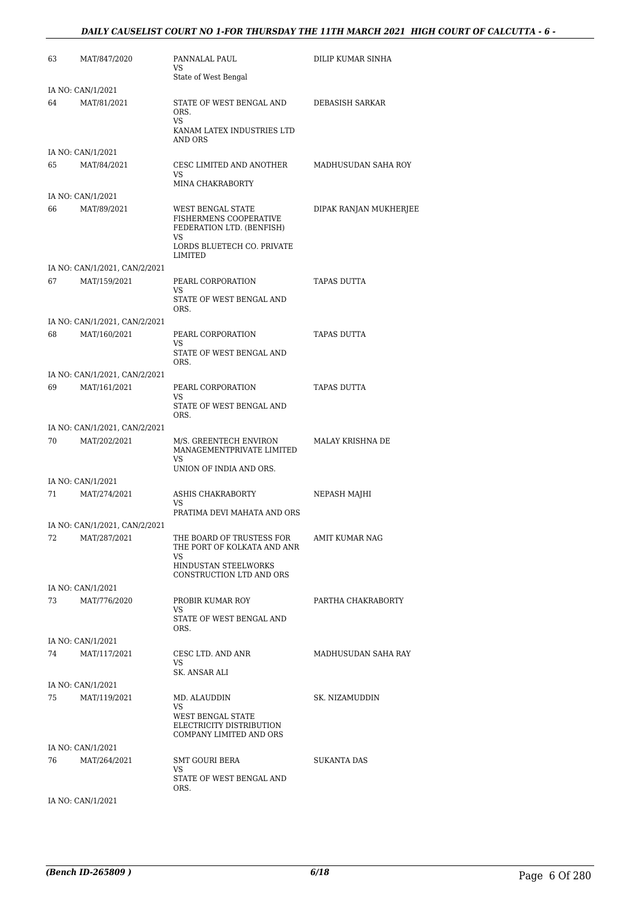#### *DAILY CAUSELIST COURT NO 1-FOR THURSDAY THE 11TH MARCH 2021 HIGH COURT OF CALCUTTA - 6 -*

| 63 | MAT/847/2020                                  | PANNALAL PAUL<br>VS                                                                                          | DILIP KUMAR SINHA      |
|----|-----------------------------------------------|--------------------------------------------------------------------------------------------------------------|------------------------|
|    |                                               | State of West Bengal                                                                                         |                        |
|    | IA NO: CAN/1/2021                             |                                                                                                              |                        |
| 64 | MAT/81/2021                                   | STATE OF WEST BENGAL AND<br>ORS.<br>VS<br>KANAM LATEX INDUSTRIES LTD<br>AND ORS                              | DEBASISH SARKAR        |
|    | IA NO: CAN/1/2021                             |                                                                                                              |                        |
| 65 | MAT/84/2021                                   | CESC LIMITED AND ANOTHER<br>VS<br><b>MINA CHAKRABORTY</b>                                                    | MADHUSUDAN SAHA ROY    |
|    | IA NO: CAN/1/2021                             |                                                                                                              |                        |
| 66 | MAT/89/2021                                   | WEST BENGAL STATE<br>FISHERMENS COOPERATIVE<br>FEDERATION LTD. (BENFISH)<br>VS<br>LORDS BLUETECH CO. PRIVATE | DIPAK RANJAN MUKHERJEE |
|    |                                               | LIMITED                                                                                                      |                        |
| 67 | IA NO: CAN/1/2021, CAN/2/2021<br>MAT/159/2021 | PEARL CORPORATION                                                                                            | TAPAS DUTTA            |
|    |                                               | VS<br>STATE OF WEST BENGAL AND<br>ORS.                                                                       |                        |
|    | IA NO: CAN/1/2021, CAN/2/2021                 |                                                                                                              |                        |
| 68 | MAT/160/2021                                  | PEARL CORPORATION<br>VS                                                                                      | TAPAS DUTTA            |
|    |                                               | STATE OF WEST BENGAL AND<br>ORS.                                                                             |                        |
|    | IA NO: CAN/1/2021, CAN/2/2021                 |                                                                                                              |                        |
| 69 | MAT/161/2021                                  | PEARL CORPORATION<br>VS<br>STATE OF WEST BENGAL AND<br>ORS.                                                  | TAPAS DUTTA            |
|    | IA NO: CAN/1/2021, CAN/2/2021                 |                                                                                                              |                        |
| 70 | MAT/202/2021                                  | M/S. GREENTECH ENVIRON<br>MANAGEMENTPRIVATE LIMITED<br>VS                                                    | MALAY KRISHNA DE       |
|    |                                               | UNION OF INDIA AND ORS.                                                                                      |                        |
|    | IA NO: CAN/1/2021                             |                                                                                                              |                        |
| 71 | MAT/274/2021                                  | <b>ASHIS CHAKRABORTY</b><br>VS<br>PRATIMA DEVI MAHATA AND ORS                                                | NEPASH MAJHI           |
|    | IA NO: CAN/1/2021, CAN/2/2021                 |                                                                                                              |                        |
| 72 | MAT/287/2021                                  | THE BOARD OF TRUSTESS FOR<br>THE PORT OF KOLKATA AND ANR                                                     | AMIT KUMAR NAG         |
|    |                                               | VS<br>HINDUSTAN STEELWORKS<br>CONSTRUCTION LTD AND ORS                                                       |                        |
|    | IA NO: CAN/1/2021                             |                                                                                                              |                        |
| 73 | MAT/776/2020                                  | PROBIR KUMAR ROY<br>VS                                                                                       | PARTHA CHAKRABORTY     |
|    |                                               | STATE OF WEST BENGAL AND<br>ORS.                                                                             |                        |
|    | IA NO: CAN/1/2021                             |                                                                                                              |                        |
| 74 | MAT/117/2021                                  | CESC LTD. AND ANR                                                                                            | MADHUSUDAN SAHA RAY    |
|    |                                               | VS<br>SK. ANSAR ALI                                                                                          |                        |
|    | IA NO: CAN/1/2021                             |                                                                                                              |                        |
| 75 | MAT/119/2021                                  | MD. ALAUDDIN                                                                                                 | SK. NIZAMUDDIN         |
|    |                                               | VS<br>WEST BENGAL STATE<br>ELECTRICITY DISTRIBUTION<br>COMPANY LIMITED AND ORS                               |                        |
|    | IA NO: CAN/1/2021                             |                                                                                                              |                        |
| 76 | MAT/264/2021                                  | SMT GOURI BERA<br>VS                                                                                         | SUKANTA DAS            |
|    |                                               | STATE OF WEST BENGAL AND<br>ORS.                                                                             |                        |
|    | IA NO: CAN/1/2021                             |                                                                                                              |                        |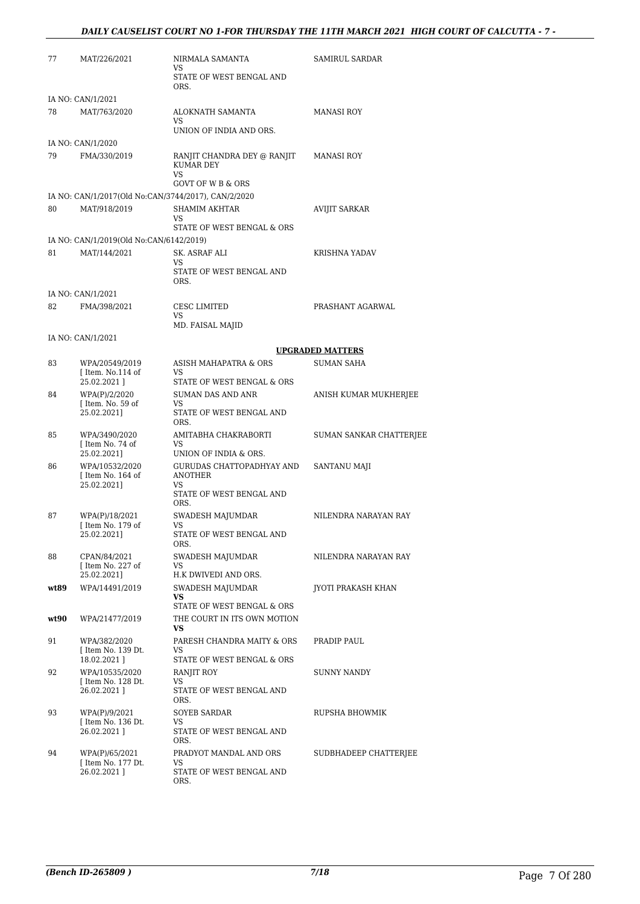| 77   | MAT/226/2021                                        | NIRMALA SAMANTA<br>VS                                                         | SAMIRUL SARDAR          |
|------|-----------------------------------------------------|-------------------------------------------------------------------------------|-------------------------|
|      |                                                     | STATE OF WEST BENGAL AND<br>ORS.                                              |                         |
|      | IA NO: CAN/1/2021                                   |                                                                               |                         |
| 78   | MAT/763/2020                                        | ALOKNATH SAMANTA<br>VS<br>UNION OF INDIA AND ORS.                             | <b>MANASI ROY</b>       |
|      | IA NO: CAN/1/2020                                   |                                                                               |                         |
| 79   | FMA/330/2019                                        | RANJIT CHANDRA DEY @ RANJIT<br>KUMAR DEY<br>VS                                | <b>MANASI ROY</b>       |
|      |                                                     | <b>GOVT OF W B &amp; ORS</b>                                                  |                         |
|      | IA NO: CAN/1/2017(Old No:CAN/3744/2017), CAN/2/2020 |                                                                               |                         |
| 80   | MAT/918/2019                                        | SHAMIM AKHTAR<br>VS<br>STATE OF WEST BENGAL & ORS                             | AVIJIT SARKAR           |
|      | IA NO: CAN/1/2019(Old No:CAN/6142/2019)             |                                                                               |                         |
| 81   | MAT/144/2021                                        | SK. ASRAF ALI                                                                 | KRISHNA YADAV           |
|      |                                                     | <b>VS</b><br>STATE OF WEST BENGAL AND<br>ORS.                                 |                         |
|      | IA NO: CAN/1/2021                                   |                                                                               |                         |
| 82   | FMA/398/2021                                        | <b>CESC LIMITED</b><br>VS                                                     | PRASHANT AGARWAL        |
|      |                                                     | MD. FAISAL MAJID                                                              |                         |
|      | IA NO: CAN/1/2021                                   |                                                                               |                         |
|      |                                                     |                                                                               | <b>UPGRADED MATTERS</b> |
| 83   | WPA/20549/2019<br>[Item. No.114 of                  | ASISH MAHAPATRA & ORS<br>VS                                                   | <b>SUMAN SAHA</b>       |
|      | 25.02.2021]                                         | STATE OF WEST BENGAL & ORS                                                    |                         |
| 84   | WPA(P)/2/2020                                       | <b>SUMAN DAS AND ANR</b>                                                      | ANISH KUMAR MUKHERJEE   |
|      | [ Item. No. 59 of<br>25.02.2021]                    | VS<br>STATE OF WEST BENGAL AND<br>ORS.                                        |                         |
| 85   | WPA/3490/2020<br>[Item No. 74 of                    | AMITABHA CHAKRABORTI<br>VS                                                    | SUMAN SANKAR CHATTERJEE |
|      | 25.02.2021]                                         | UNION OF INDIA & ORS.                                                         |                         |
| 86   | WPA/10532/2020<br>[Item No. 164 of<br>25.02.2021]   | GURUDAS CHATTOPADHYAY AND<br><b>ANOTHER</b><br>VS<br>STATE OF WEST BENGAL AND | SANTANU MAJI            |
| 87   | WPA(P)/18/2021                                      | ORS.                                                                          |                         |
|      | I Item No. 179 of<br>25.02.2021]                    | SWADESH MAJUMDAR<br>VS<br>STATE OF WEST BENGAL AND                            | NILENDRA NARAYAN RAY    |
|      |                                                     | ORS.                                                                          |                         |
| 88   | CPAN/84/2021<br>[ Item No. 227 of<br>25.02.2021]    | SWADESH MAJUMDAR<br>VS<br>H.K DWIVEDI AND ORS.                                | NILENDRA NARAYAN RAY    |
| wt89 | WPA/14491/2019                                      | SWADESH MAJUMDAR                                                              | JYOTI PRAKASH KHAN      |
|      |                                                     | VS<br>STATE OF WEST BENGAL & ORS                                              |                         |
| wt90 | WPA/21477/2019                                      | THE COURT IN ITS OWN MOTION<br>VS                                             |                         |
| 91   | WPA/382/2020<br>[Item No. 139 Dt.<br>18.02.2021]    | PARESH CHANDRA MAITY & ORS<br>VS<br>STATE OF WEST BENGAL & ORS                | PRADIP PAUL             |
| 92   | WPA/10535/2020                                      | RANJIT ROY                                                                    | SUNNY NANDY             |
|      | [ Item No. 128 Dt.<br>26.02.2021]                   | VS<br>STATE OF WEST BENGAL AND<br>ORS.                                        |                         |
| 93   | WPA(P)/9/2021                                       | SOYEB SARDAR                                                                  | RUPSHA BHOWMIK          |
|      | [Item No. 136 Dt.<br>26.02.2021]                    | VS<br>STATE OF WEST BENGAL AND                                                |                         |
| 94   |                                                     | ORS.                                                                          |                         |
|      | WPA(P)/65/2021<br>[ Item No. 177 Dt.<br>26.02.2021] | PRADYOT MANDAL AND ORS<br>VS<br>STATE OF WEST BENGAL AND                      | SUDBHADEEP CHATTERJEE   |
|      |                                                     | ORS.                                                                          |                         |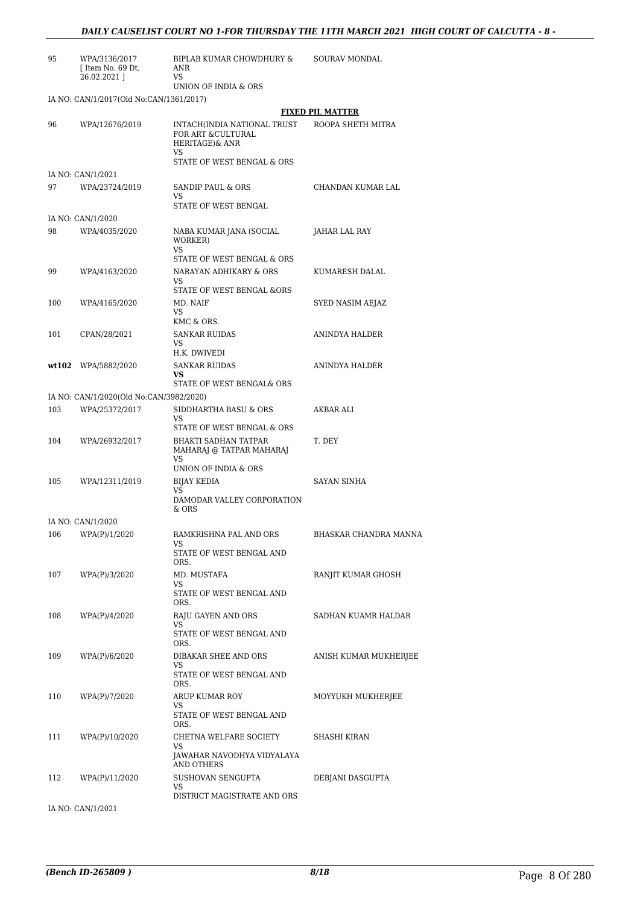| 95 | WPA/3136/2017     | BIPLAB KUMAR CHOWDHURY & | SOURAV MONDAL |
|----|-------------------|--------------------------|---------------|
|    | f Item No. 69 Dt. | ANR                      |               |
|    | 26.02.2021 1      | VS                       |               |
|    |                   | UNION OF INDIA & ORS     |               |

IA NO: CAN/1/2017(Old No:CAN/1361/2017)

|       |                                         |                                                                     | <b>FIXED PIL MATTER</b> |
|-------|-----------------------------------------|---------------------------------------------------------------------|-------------------------|
| 96    | WPA/12676/2019                          | INTACH(INDIA NATIONAL TRUST<br>FOR ART & CULTURAL<br>HERITAGE)& ANR | ROOPA SHETH MITRA       |
|       |                                         | VS<br>STATE OF WEST BENGAL & ORS                                    |                         |
|       | IA NO: CAN/1/2021                       |                                                                     |                         |
| 97    | WPA/23724/2019                          | SANDIP PAUL & ORS<br>VS                                             | CHANDAN KUMAR LAL       |
|       | IA NO: CAN/1/2020                       | STATE OF WEST BENGAL                                                |                         |
| 98    | WPA/4035/2020                           | NABA KUMAR JANA (SOCIAL<br>WORKER)<br>VS                            | JAHAR LAL RAY           |
|       |                                         | STATE OF WEST BENGAL & ORS                                          |                         |
| 99    | WPA/4163/2020                           | NARAYAN ADHIKARY & ORS<br>VS                                        | KUMARESH DALAL          |
|       |                                         | STATE OF WEST BENGAL &ORS                                           |                         |
| 100   | WPA/4165/2020                           | MD. NAIF<br>VS                                                      | SYED NASIM AEJAZ        |
|       |                                         | KMC & ORS.                                                          |                         |
| 101   | CPAN/28/2021                            | <b>SANKAR RUIDAS</b><br>VS                                          | ANINDYA HALDER          |
|       |                                         | H.K. DWIVEDI                                                        |                         |
| wt102 | WPA/5882/2020                           | <b>SANKAR RUIDAS</b><br>VS                                          | ANINDYA HALDER          |
|       |                                         | STATE OF WEST BENGAL& ORS                                           |                         |
|       | IA NO: CAN/1/2020(Old No:CAN/3982/2020) |                                                                     |                         |
| 103   | WPA/25372/2017                          | SIDDHARTHA BASU & ORS<br>VS                                         | AKBAR ALI               |
| 104   | WPA/26932/2017                          | STATE OF WEST BENGAL & ORS<br><b>BHAKTI SADHAN TATPAR</b>           | T. DEY                  |
|       |                                         | MAHARAJ @ TATPAR MAHARAJ<br>VS                                      |                         |
|       |                                         | UNION OF INDIA & ORS                                                |                         |
| 105   | WPA/12311/2019                          | <b>BIJAY KEDIA</b><br>VS.<br>DAMODAR VALLEY CORPORATION             | <b>SAYAN SINHA</b>      |
|       |                                         | & ORS                                                               |                         |
|       | IA NO: CAN/1/2020                       |                                                                     |                         |
| 106   | WPA(P)/1/2020                           | RAMKRISHNA PAL AND ORS<br>VS                                        | BHASKAR CHANDRA MANNA   |
|       |                                         | STATE OF WEST BENGAL AND<br>ORS.                                    |                         |
| 107   | WPA(P)/3/2020                           | MD. MUSTAFA<br>VS                                                   | RANJIT KUMAR GHOSH      |
|       |                                         | STATE OF WEST BENGAL AND<br>ORS.                                    |                         |
| 108   | WPA(P)/4/2020                           | RAJU GAYEN AND ORS<br>VS                                            | SADHAN KUAMR HALDAR     |
|       |                                         | STATE OF WEST BENGAL AND<br>ORS.                                    |                         |
| 109   | WPA(P)/6/2020                           | DIBAKAR SHEE AND ORS                                                | ANISH KUMAR MUKHERJEE   |
|       |                                         | VS<br>STATE OF WEST BENGAL AND<br>ORS.                              |                         |
| 110   | WPA(P)/7/2020                           | <b>ARUP KUMAR ROY</b>                                               | MOYYUKH MUKHERJEE       |
|       |                                         | VS<br>STATE OF WEST BENGAL AND                                      |                         |
| 111   | WPA(P)/10/2020                          | ORS.<br>CHETNA WELFARE SOCIETY                                      | SHASHI KIRAN            |
|       |                                         | VS<br>JAWAHAR NAVODHYA VIDYALAYA<br>AND OTHERS                      |                         |
| 112   | WPA(P)/11/2020                          | SUSHOVAN SENGUPTA<br>VS                                             | DEBJANI DASGUPTA        |
|       |                                         | DISTRICT MAGISTRATE AND ORS                                         |                         |
|       | IA NO: CAN/1/2021                       |                                                                     |                         |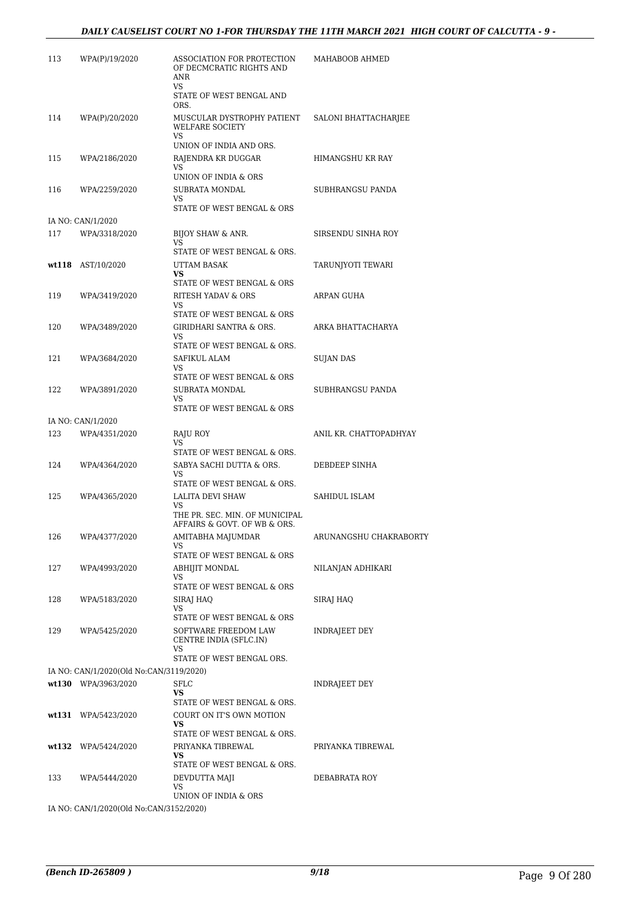#### *DAILY CAUSELIST COURT NO 1-FOR THURSDAY THE 11TH MARCH 2021 HIGH COURT OF CALCUTTA - 9 -*

| 113   | WPA(P)/19/2020                          | ASSOCIATION FOR PROTECTION<br>OF DECMCRATIC RIGHTS AND<br>ANR<br>VS                                                   | MAHABOOB AHMED         |
|-------|-----------------------------------------|-----------------------------------------------------------------------------------------------------------------------|------------------------|
|       |                                         | STATE OF WEST BENGAL AND<br>ORS.                                                                                      |                        |
| 114   | WPA(P)/20/2020                          | MUSCULAR DYSTROPHY PATIENT<br><b>WELFARE SOCIETY</b><br>VS                                                            | SALONI BHATTACHARJEE   |
| 115   | WPA/2186/2020                           | UNION OF INDIA AND ORS.<br>RAJENDRA KR DUGGAR<br>VS                                                                   | HIMANGSHU KR RAY       |
| 116   | WPA/2259/2020                           | UNION OF INDIA & ORS<br>SUBRATA MONDAL<br>VS.                                                                         | SUBHRANGSU PANDA       |
|       |                                         | STATE OF WEST BENGAL & ORS                                                                                            |                        |
|       | IA NO: CAN/1/2020                       |                                                                                                                       |                        |
| 117   | WPA/3318/2020                           | BIJOY SHAW & ANR.<br>VS<br>STATE OF WEST BENGAL & ORS.                                                                | SIRSENDU SINHA ROY     |
|       | wt118 AST/10/2020                       | UTTAM BASAK<br>VS                                                                                                     | TARUNJYOTI TEWARI      |
|       | WPA/3419/2020                           | STATE OF WEST BENGAL & ORS<br>RITESH YADAV & ORS                                                                      | ARPAN GUHA             |
| 119   |                                         | VS                                                                                                                    |                        |
|       |                                         | STATE OF WEST BENGAL & ORS                                                                                            |                        |
| 120   | WPA/3489/2020                           | GIRIDHARI SANTRA & ORS.<br>VS                                                                                         | ARKA BHATTACHARYA      |
|       |                                         | STATE OF WEST BENGAL & ORS.                                                                                           |                        |
| 121   | WPA/3684/2020                           | SAFIKUL ALAM<br>VS                                                                                                    | SUJAN DAS              |
|       |                                         | STATE OF WEST BENGAL & ORS                                                                                            |                        |
| 122   | WPA/3891/2020                           | SUBRATA MONDAL<br>VS                                                                                                  | SUBHRANGSU PANDA       |
|       | IA NO: CAN/1/2020                       | STATE OF WEST BENGAL & ORS                                                                                            |                        |
| 123   | WPA/4351/2020                           | RAJU ROY                                                                                                              | ANIL KR. CHATTOPADHYAY |
|       |                                         | VS                                                                                                                    |                        |
| 124   | WPA/4364/2020                           | STATE OF WEST BENGAL & ORS.<br>SABYA SACHI DUTTA & ORS.<br>VS                                                         | DEBDEEP SINHA          |
|       |                                         | STATE OF WEST BENGAL & ORS.                                                                                           |                        |
| 125   | WPA/4365/2020                           | LALITA DEVI SHAW<br>VS<br>THE PR. SEC. MIN. OF MUNICIPAL                                                              | SAHIDUL ISLAM          |
|       |                                         | AFFAIRS & GOVT. OF WB & ORS.                                                                                          |                        |
| 126   | WPA/4377/2020                           | AMITABHA MAJUMDAR<br>VS<br>STATE OF WEST BENGAL & ORS                                                                 | ARUNANGSHU CHAKRABORTY |
| 127   | WPA/4993/2020                           | ABHIJIT MONDAL<br>VS                                                                                                  | NILANJAN ADHIKARI      |
|       |                                         | STATE OF WEST BENGAL & ORS                                                                                            |                        |
| 128   | WPA/5183/2020                           | SIRAJ HAO<br>VS<br>STATE OF WEST BENGAL & ORS                                                                         | SIRAJ HAQ              |
| 129   | WPA/5425/2020                           | SOFTWARE FREEDOM LAW<br>CENTRE INDIA (SFLC.IN)                                                                        | INDRAJEET DEY          |
|       |                                         | VS<br>STATE OF WEST BENGAL ORS.                                                                                       |                        |
|       | IA NO: CAN/1/2020(Old No:CAN/3119/2020) |                                                                                                                       |                        |
|       | wt130 WPA/3963/2020                     | <b>SFLC</b>                                                                                                           | INDRAJEET DEY          |
|       |                                         | <b>VS</b><br>STATE OF WEST BENGAL & ORS.                                                                              |                        |
| wt131 | WPA/5423/2020                           | COURT ON IT'S OWN MOTION                                                                                              |                        |
|       |                                         | VS                                                                                                                    |                        |
|       | wt132 WPA/5424/2020                     | STATE OF WEST BENGAL & ORS.<br>PRIYANKA TIBREWAL<br>VS                                                                | PRIYANKA TIBREWAL      |
|       |                                         | STATE OF WEST BENGAL & ORS.                                                                                           |                        |
| 133   | WPA/5444/2020                           | DEVDUTTA MAJI<br>VS                                                                                                   | DEBABRATA ROY          |
|       |                                         | UNION OF INDIA & ORS<br>$Q$ $\lambda$ $\lambda$ $\mu$ $\Omega$ $\Lambda$ $\Gamma$ $\Omega$ $\Omega$ $\Omega$ $\Omega$ |                        |

IA NO: CAN/1/2020(Old No:CAN/3152/2020)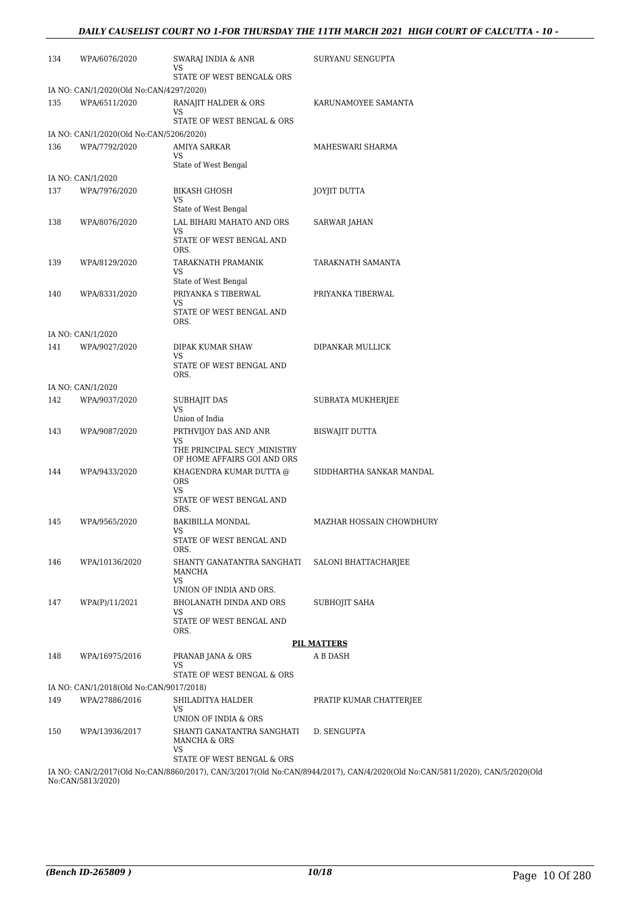| 134 | WPA/6076/2020                           | SWARAJ INDIA & ANR<br>VS                                     | SURYANU SENGUPTA                                                                                          |
|-----|-----------------------------------------|--------------------------------------------------------------|-----------------------------------------------------------------------------------------------------------|
|     |                                         | STATE OF WEST BENGAL& ORS                                    |                                                                                                           |
|     | IA NO: CAN/1/2020(Old No:CAN/4297/2020) |                                                              |                                                                                                           |
| 135 | WPA/6511/2020                           | RANAJIT HALDER & ORS<br>VS                                   | KARUNAMOYEE SAMANTA                                                                                       |
|     |                                         | STATE OF WEST BENGAL & ORS                                   |                                                                                                           |
|     | IA NO: CAN/1/2020(Old No:CAN/5206/2020) |                                                              |                                                                                                           |
| 136 | WPA/7792/2020                           | AMIYA SARKAR<br>VS.                                          | MAHESWARI SHARMA                                                                                          |
|     |                                         | State of West Bengal                                         |                                                                                                           |
|     | IA NO: CAN/1/2020                       |                                                              |                                                                                                           |
| 137 | WPA/7976/2020                           | <b>BIKASH GHOSH</b><br>VS                                    | JOYJIT DUTTA                                                                                              |
|     |                                         | State of West Bengal                                         |                                                                                                           |
| 138 | WPA/8076/2020                           | LAL BIHARI MAHATO AND ORS                                    | SARWAR JAHAN                                                                                              |
|     |                                         | VS<br>STATE OF WEST BENGAL AND<br>ORS.                       |                                                                                                           |
| 139 | WPA/8129/2020                           | TARAKNATH PRAMANIK                                           | TARAKNATH SAMANTA                                                                                         |
|     |                                         | VS<br>State of West Bengal                                   |                                                                                                           |
| 140 | WPA/8331/2020                           | PRIYANKA S TIBERWAL                                          | PRIYANKA TIBERWAL                                                                                         |
|     |                                         | VS.                                                          |                                                                                                           |
|     |                                         | STATE OF WEST BENGAL AND<br>ORS.                             |                                                                                                           |
|     | IA NO: CAN/1/2020                       |                                                              |                                                                                                           |
| 141 | WPA/9027/2020                           | DIPAK KUMAR SHAW                                             | DIPANKAR MULLICK                                                                                          |
|     |                                         | VS<br>STATE OF WEST BENGAL AND<br>ORS.                       |                                                                                                           |
|     | IA NO: CAN/1/2020                       |                                                              |                                                                                                           |
| 142 | WPA/9037/2020                           | SUBHAJIT DAS                                                 | SUBRATA MUKHERJEE                                                                                         |
|     |                                         | VS                                                           |                                                                                                           |
| 143 | WPA/9087/2020                           | Union of India<br>PRTHVIJOY DAS AND ANR                      | BISWAJIT DUTTA                                                                                            |
|     |                                         | VS                                                           |                                                                                                           |
|     |                                         | THE PRINCIPAL SECY , MINISTRY<br>OF HOME AFFAIRS GOI AND ORS |                                                                                                           |
| 144 | WPA/9433/2020                           | KHAGENDRA KUMAR DUTTA @                                      | SIDDHARTHA SANKAR MANDAL                                                                                  |
|     |                                         | <b>ORS</b><br>VS                                             |                                                                                                           |
|     |                                         | STATE OF WEST BENGAL AND<br>ORS.                             |                                                                                                           |
| 145 | WPA/9565/2020                           | <b>BAKIBILLA MONDAL</b>                                      | MAZHAR HOSSAIN CHOWDHURY                                                                                  |
|     |                                         | vs<br>STATE OF WEST BENGAL AND<br>ORS.                       |                                                                                                           |
| 146 | WPA/10136/2020                          | SHANTY GANATANTRA SANGHATI                                   | SALONI BHATTACHARJEE                                                                                      |
|     |                                         | MANCHA<br>VS                                                 |                                                                                                           |
|     |                                         | UNION OF INDIA AND ORS.                                      |                                                                                                           |
| 147 | WPA(P)/11/2021                          | BHOLANATH DINDA AND ORS<br>VS                                | SUBHOJIT SAHA                                                                                             |
|     |                                         | STATE OF WEST BENGAL AND<br>ORS.                             |                                                                                                           |
|     |                                         |                                                              | <b>PIL MATTERS</b>                                                                                        |
| 148 | WPA/16975/2016                          | PRANAB JANA & ORS<br>VS                                      | A B DASH                                                                                                  |
|     |                                         | STATE OF WEST BENGAL & ORS                                   |                                                                                                           |
|     | IA NO: CAN/1/2018(Old No:CAN/9017/2018) |                                                              |                                                                                                           |
| 149 | WPA/27886/2016                          | SHILADITYA HALDER<br>VS                                      | PRATIP KUMAR CHATTERJEE                                                                                   |
|     |                                         | UNION OF INDIA & ORS                                         |                                                                                                           |
| 150 | WPA/13936/2017                          | SHANTI GANATANTRA SANGHATI<br>MANCHA & ORS                   | D. SENGUPTA                                                                                               |
|     |                                         | VS<br>STATE OF WEST BENGAL & ORS                             |                                                                                                           |
|     |                                         |                                                              | IA NO: CAN/2/2017(Old No:CAN/8860/2017), CAN/3/2017(Old No:CAN/8944/2017), CAN/4/2020(Old No:CAN/5811/202 |

20), CAN/5/2020(Old No:CAN/5813/2020)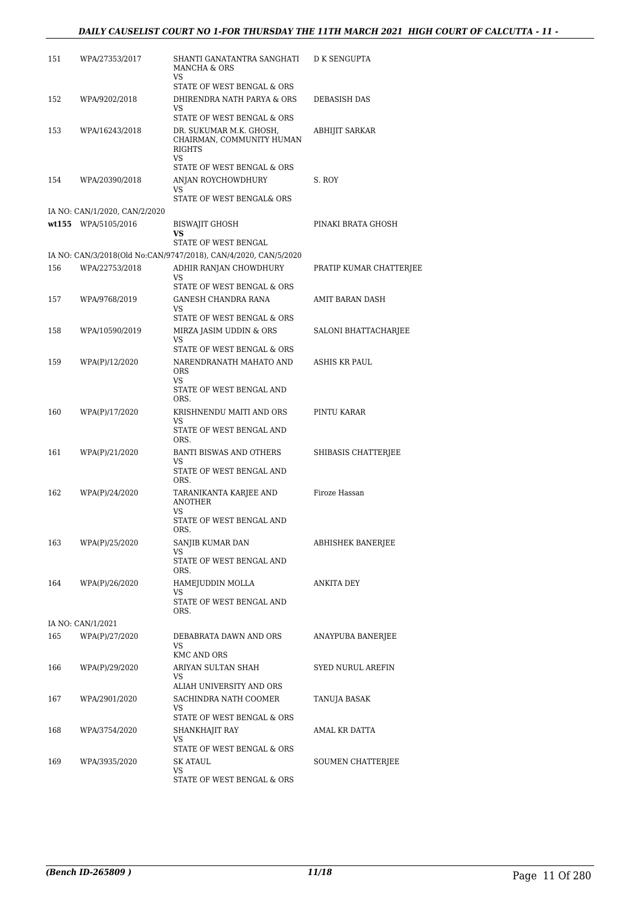| 151 | WPA/27353/2017                | SHANTI GANATANTRA SANGHATI<br>MANCHA & ORS<br>VS                                                    | D K SENGUPTA            |
|-----|-------------------------------|-----------------------------------------------------------------------------------------------------|-------------------------|
| 152 | WPA/9202/2018                 | STATE OF WEST BENGAL & ORS<br>DHIRENDRA NATH PARYA & ORS<br>VS                                      | DEBASISH DAS            |
| 153 | WPA/16243/2018                | STATE OF WEST BENGAL & ORS<br>DR. SUKUMAR M.K. GHOSH,<br>CHAIRMAN, COMMUNITY HUMAN<br><b>RIGHTS</b> | ABHIJIT SARKAR          |
|     |                               | VS<br>STATE OF WEST BENGAL & ORS                                                                    |                         |
| 154 | WPA/20390/2018                | ANJAN ROYCHOWDHURY<br>VS                                                                            | S. ROY                  |
|     |                               | STATE OF WEST BENGAL& ORS                                                                           |                         |
|     | IA NO: CAN/1/2020, CAN/2/2020 |                                                                                                     |                         |
|     | wt155 WPA/5105/2016           | <b>BISWAJIT GHOSH</b><br>VS                                                                         | PINAKI BRATA GHOSH      |
|     |                               | STATE OF WEST BENGAL                                                                                |                         |
|     |                               | IA NO: CAN/3/2018(Old No:CAN/9747/2018), CAN/4/2020, CAN/5/2020                                     |                         |
| 156 | WPA/22753/2018                | ADHIR RANJAN CHOWDHURY<br>VS                                                                        | PRATIP KUMAR CHATTERJEE |
|     |                               | STATE OF WEST BENGAL & ORS                                                                          |                         |
| 157 | WPA/9768/2019                 | <b>GANESH CHANDRA RANA</b><br>VS                                                                    | AMIT BARAN DASH         |
|     |                               | STATE OF WEST BENGAL & ORS                                                                          |                         |
| 158 | WPA/10590/2019                | MIRZA JASIM UDDIN & ORS<br>VS                                                                       | SALONI BHATTACHARJEE    |
|     |                               | STATE OF WEST BENGAL & ORS                                                                          |                         |
| 159 | WPA(P)/12/2020                | NARENDRANATH MAHATO AND<br>ORS<br>VS.<br>STATE OF WEST BENGAL AND                                   | ASHIS KR PAUL           |
|     |                               | ORS.                                                                                                |                         |
| 160 | WPA(P)/17/2020                | KRISHNENDU MAITI AND ORS<br>VS<br>STATE OF WEST BENGAL AND<br>ORS.                                  | PINTU KARAR             |
| 161 | WPA(P)/21/2020                | <b>BANTI BISWAS AND OTHERS</b>                                                                      | SHIBASIS CHATTERJEE     |
|     |                               | VS<br>STATE OF WEST BENGAL AND<br>ORS.                                                              |                         |
| 162 | WPA(P)/24/2020                | TARANIKANTA KARJEE AND<br><b>ANOTHER</b><br>VS                                                      | Firoze Hassan           |
|     |                               | STATE OF WEST BENGAL AND<br>ORS.                                                                    |                         |
| 163 | WPA(P)/25/2020                | SANJIB KUMAR DAN<br>VS                                                                              | ABHISHEK BANERJEE       |
|     |                               | STATE OF WEST BENGAL AND<br>ORS.                                                                    |                         |
| 164 | WPA(P)/26/2020                | HAMEJUDDIN MOLLA                                                                                    | ANKITA DEY              |
|     |                               | VS<br>STATE OF WEST BENGAL AND<br>ORS.                                                              |                         |
|     | IA NO: CAN/1/2021             |                                                                                                     |                         |
| 165 | WPA(P)/27/2020                | DEBABRATA DAWN AND ORS<br>VS<br>KMC AND ORS                                                         | ANAYPUBA BANERJEE       |
| 166 | WPA(P)/29/2020                | ARIYAN SULTAN SHAH                                                                                  | SYED NURUL AREFIN       |
|     |                               | VS<br>ALIAH UNIVERSITY AND ORS                                                                      |                         |
| 167 | WPA/2901/2020                 | SACHINDRA NATH COOMER                                                                               | TANUJA BASAK            |
|     |                               | VS<br>STATE OF WEST BENGAL & ORS                                                                    |                         |
| 168 | WPA/3754/2020                 | SHANKHAJIT RAY<br>VS                                                                                | AMAL KR DATTA           |
|     |                               | STATE OF WEST BENGAL & ORS                                                                          |                         |
| 169 | WPA/3935/2020                 | SK ATAUL                                                                                            | SOUMEN CHATTERJEE       |
|     |                               | VS<br>STATE OF WEST BENGAL & ORS                                                                    |                         |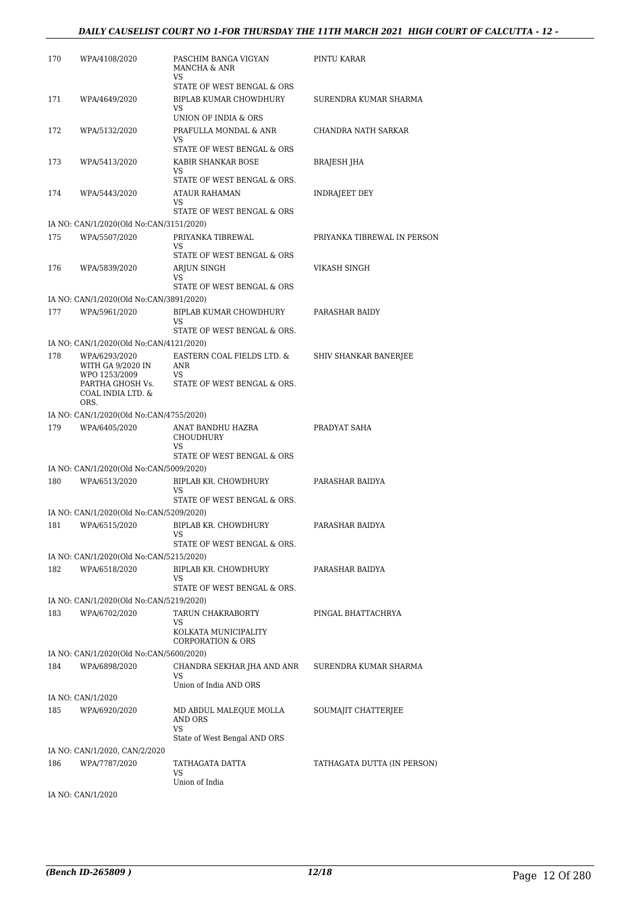#### *DAILY CAUSELIST COURT NO 1-FOR THURSDAY THE 11TH MARCH 2021 HIGH COURT OF CALCUTTA - 12 -*

| 170 | WPA/4108/2020                                                  | PASCHIM BANGA VIGYAN<br>MANCHA & ANR<br>VS                 | PINTU KARAR                  |
|-----|----------------------------------------------------------------|------------------------------------------------------------|------------------------------|
| 171 | WPA/4649/2020                                                  | STATE OF WEST BENGAL & ORS<br>BIPLAB KUMAR CHOWDHURY<br>VS | SURENDRA KUMAR SHARMA        |
| 172 | WPA/5132/2020                                                  | UNION OF INDIA & ORS<br>PRAFULLA MONDAL & ANR<br>VS        | CHANDRA NATH SARKAR          |
| 173 | WPA/5413/2020                                                  | STATE OF WEST BENGAL & ORS<br>KABIR SHANKAR BOSE<br>VS     | BRAJESH JHA                  |
| 174 | WPA/5443/2020                                                  | STATE OF WEST BENGAL & ORS.<br><b>ATAUR RAHAMAN</b><br>VS  | INDRAJEET DEY                |
|     |                                                                | STATE OF WEST BENGAL & ORS                                 |                              |
|     | IA NO: CAN/1/2020(Old No:CAN/3151/2020)                        |                                                            |                              |
| 175 | WPA/5507/2020                                                  | PRIYANKA TIBREWAL<br>VS                                    | PRIYANKA TIBREWAL IN PERSON  |
|     |                                                                | STATE OF WEST BENGAL & ORS                                 |                              |
| 176 | WPA/5839/2020                                                  | ARJUN SINGH<br>VS                                          | VIKASH SINGH                 |
|     |                                                                | STATE OF WEST BENGAL & ORS                                 |                              |
|     | IA NO: CAN/1/2020(Old No:CAN/3891/2020)                        |                                                            |                              |
| 177 | WPA/5961/2020                                                  | BIPLAB KUMAR CHOWDHURY<br>VS                               | PARASHAR BAIDY               |
|     |                                                                | STATE OF WEST BENGAL & ORS.                                |                              |
|     | IA NO: CAN/1/2020(Old No:CAN/4121/2020)                        |                                                            |                              |
| 178 | WPA/6293/2020<br>WITH GA 9/2020 IN                             | EASTERN COAL FIELDS LTD. &<br>ANR                          | <b>SHIV SHANKAR BANERJEE</b> |
|     | WPO 1253/2009<br>PARTHA GHOSH Vs.<br>COAL INDIA LTD. &<br>ORS. | VS<br>STATE OF WEST BENGAL & ORS.                          |                              |
|     | IA NO: CAN/1/2020(Old No:CAN/4755/2020)                        |                                                            |                              |
| 179 | WPA/6405/2020                                                  | ANAT BANDHU HAZRA<br><b>CHOUDHURY</b><br>VS                | PRADYAT SAHA                 |
|     | IA NO: CAN/1/2020(Old No:CAN/5009/2020)                        | STATE OF WEST BENGAL & ORS                                 |                              |
| 180 | WPA/6513/2020                                                  | BIPLAB KR. CHOWDHURY                                       | PARASHAR BAIDYA              |
|     |                                                                | VS<br>STATE OF WEST BENGAL & ORS.                          |                              |
|     | IA NO: CAN/1/2020(Old No:CAN/5209/2020)                        |                                                            |                              |
| 181 | WPA/6515/2020                                                  | BIPLAB KR. CHOWDHURY<br>VS<br>STATE OF WEST BENGAL & ORS.  | PARASHAR BAIDYA              |
|     | IA NO: CAN/1/2020(Old No:CAN/5215/2020)                        |                                                            |                              |
| 182 | WPA/6518/2020                                                  | BIPLAB KR. CHOWDHURY<br>VS                                 | PARASHAR BAIDYA              |
|     |                                                                | STATE OF WEST BENGAL & ORS.                                |                              |
| 183 | IA NO: CAN/1/2020(Old No:CAN/5219/2020)<br>WPA/6702/2020       | TARUN CHAKRABORTY                                          | PINGAL BHATTACHRYA           |
|     |                                                                | VS<br>KOLKATA MUNICIPALITY                                 |                              |
|     |                                                                | <b>CORPORATION &amp; ORS</b>                               |                              |
|     | IA NO: CAN/1/2020(Old No:CAN/5600/2020)                        |                                                            |                              |
| 184 | WPA/6898/2020                                                  | CHANDRA SEKHAR JHA AND ANR<br>VS<br>Union of India AND ORS | SURENDRA KUMAR SHARMA        |
|     | IA NO: CAN/1/2020                                              |                                                            |                              |
| 185 | WPA/6920/2020                                                  | MD ABDUL MALEQUE MOLLA<br>AND ORS<br>VS                    | SOUMAJIT CHATTERJEE          |
|     |                                                                | State of West Bengal AND ORS                               |                              |
| 186 | IA NO: CAN/1/2020, CAN/2/2020<br>WPA/7787/2020                 | TATHAGATA DATTA<br>VS                                      | TATHAGATA DUTTA (IN PERSON)  |
|     |                                                                | Union of India                                             |                              |
|     | IA NO: CAN/1/2020                                              |                                                            |                              |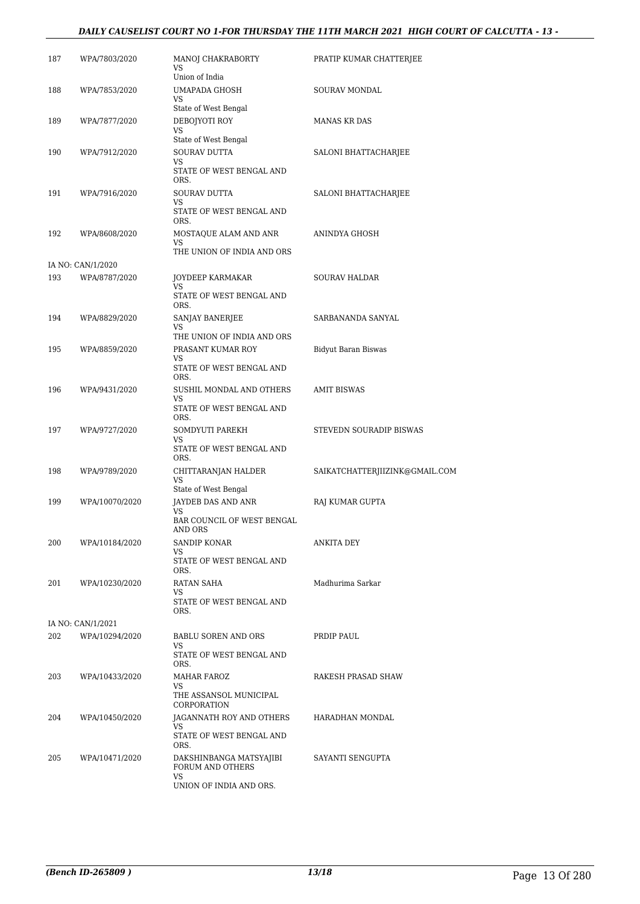#### *DAILY CAUSELIST COURT NO 1-FOR THURSDAY THE 11TH MARCH 2021 HIGH COURT OF CALCUTTA - 13 -*

| 187 | WPA/7803/2020     | MANOJ CHAKRABORTY<br>VS<br>Union of India                     | PRATIP KUMAR CHATTERJEE        |
|-----|-------------------|---------------------------------------------------------------|--------------------------------|
| 188 | WPA/7853/2020     | <b>UMAPADA GHOSH</b><br>VS                                    | <b>SOURAV MONDAL</b>           |
| 189 | WPA/7877/2020     | State of West Bengal<br>DEBOJYOTI ROY<br>VS                   | <b>MANAS KR DAS</b>            |
| 190 | WPA/7912/2020     | State of West Bengal<br>SOURAV DUTTA<br>VS                    | SALONI BHATTACHARJEE           |
| 191 | WPA/7916/2020     | STATE OF WEST BENGAL AND<br>ORS.<br><b>SOURAV DUTTA</b><br>VS | SALONI BHATTACHARJEE           |
|     |                   | STATE OF WEST BENGAL AND<br>ORS.                              |                                |
| 192 | WPA/8608/2020     | MOSTAQUE ALAM AND ANR<br>VS<br>THE UNION OF INDIA AND ORS     | ANINDYA GHOSH                  |
|     | IA NO: CAN/1/2020 |                                                               |                                |
| 193 | WPA/8787/2020     | <b>JOYDEEP KARMAKAR</b><br>VS                                 | <b>SOURAV HALDAR</b>           |
|     |                   | STATE OF WEST BENGAL AND<br>ORS.                              |                                |
| 194 | WPA/8829/2020     | SANJAY BANERJEE<br>VS                                         | SARBANANDA SANYAL              |
|     |                   | THE UNION OF INDIA AND ORS                                    |                                |
| 195 | WPA/8859/2020     | PRASANT KUMAR ROY<br>VS                                       | <b>Bidyut Baran Biswas</b>     |
|     |                   | STATE OF WEST BENGAL AND<br>ORS.                              |                                |
| 196 | WPA/9431/2020     | SUSHIL MONDAL AND OTHERS<br>VS<br>STATE OF WEST BENGAL AND    | <b>AMIT BISWAS</b>             |
|     |                   | ORS.<br>SOMDYUTI PAREKH                                       |                                |
| 197 | WPA/9727/2020     | VS<br>STATE OF WEST BENGAL AND                                | STEVEDN SOURADIP BISWAS        |
| 198 | WPA/9789/2020     | ORS.<br>CHITTARANJAN HALDER<br>VS                             | SAIKATCHATTERJIIZINK@GMAIL.COM |
|     |                   | State of West Bengal                                          |                                |
| 199 | WPA/10070/2020    | JAYDEB DAS AND ANR<br>VS                                      | RAJ KUMAR GUPTA                |
|     |                   | <b>BAR COUNCIL OF WEST BENGAL</b><br>AND ORS                  |                                |
| 200 | WPA/10184/2020    | SANDIP KONAR<br>VS<br>STATE OF WEST BENGAL AND                | ANKITA DEY                     |
|     |                   | ORS.                                                          |                                |
| 201 | WPA/10230/2020    | RATAN SAHA<br>VS<br>STATE OF WEST BENGAL AND<br>ORS.          | Madhurima Sarkar               |
|     | IA NO: CAN/1/2021 |                                                               |                                |
| 202 | WPA/10294/2020    | BABLU SOREN AND ORS<br>VS<br>STATE OF WEST BENGAL AND         | PRDIP PAUL                     |
|     |                   | ORS.                                                          |                                |
| 203 | WPA/10433/2020    | MAHAR FAROZ<br>VS                                             | RAKESH PRASAD SHAW             |
|     |                   | THE ASSANSOL MUNICIPAL<br>CORPORATION                         |                                |
| 204 | WPA/10450/2020    | JAGANNATH ROY AND OTHERS<br>VS                                | HARADHAN MONDAL                |
|     |                   | STATE OF WEST BENGAL AND<br>ORS.                              |                                |
| 205 | WPA/10471/2020    | DAKSHINBANGA MATSYAJIBI<br>FORUM AND OTHERS<br>VS             | SAYANTI SENGUPTA               |
|     |                   | UNION OF INDIA AND ORS.                                       |                                |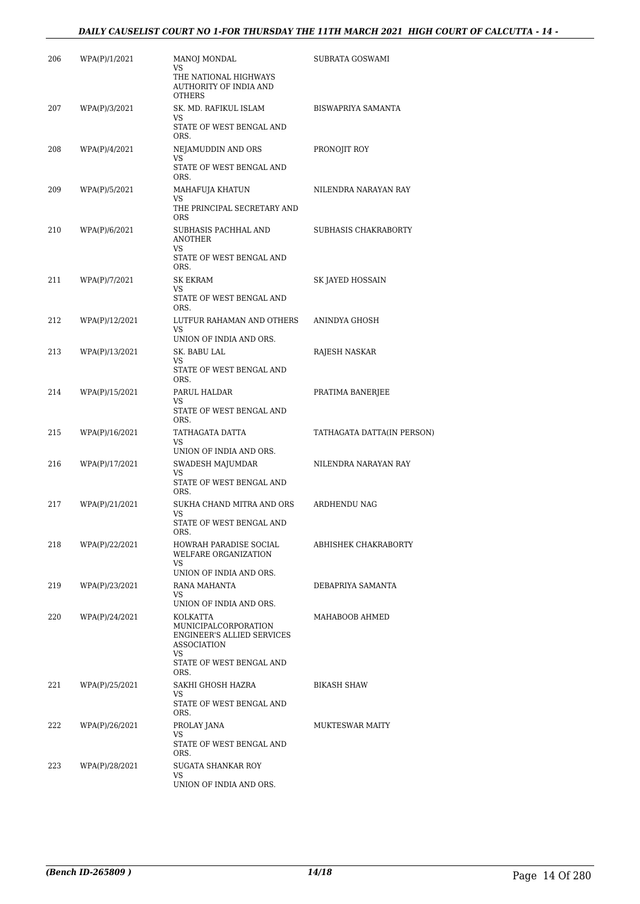#### *DAILY CAUSELIST COURT NO 1-FOR THURSDAY THE 11TH MARCH 2021 HIGH COURT OF CALCUTTA - 14 -*

| 206 | WPA(P)/1/2021  | MANOJ MONDAL                                                                                                                          | SUBRATA GOSWAMI            |
|-----|----------------|---------------------------------------------------------------------------------------------------------------------------------------|----------------------------|
|     |                | VS<br>THE NATIONAL HIGHWAYS<br>AUTHORITY OF INDIA AND<br><b>OTHERS</b>                                                                |                            |
| 207 | WPA(P)/3/2021  | SK. MD. RAFIKUL ISLAM<br>VS<br>STATE OF WEST BENGAL AND<br>ORS.                                                                       | BISWAPRIYA SAMANTA         |
| 208 | WPA(P)/4/2021  | NEJAMUDDIN AND ORS<br>VS<br>STATE OF WEST BENGAL AND<br>ORS.                                                                          | PRONOJIT ROY               |
| 209 | WPA(P)/5/2021  | MAHAFUJA KHATUN<br>VS<br>THE PRINCIPAL SECRETARY AND<br><b>ORS</b>                                                                    | NILENDRA NARAYAN RAY       |
| 210 | WPA(P)/6/2021  | SUBHASIS PACHHAL AND<br><b>ANOTHER</b><br>VS<br>STATE OF WEST BENGAL AND                                                              | SUBHASIS CHAKRABORTY       |
| 211 | WPA(P)/7/2021  | ORS.<br>SK EKRAM<br>VS<br>STATE OF WEST BENGAL AND<br>ORS.                                                                            | SK JAYED HOSSAIN           |
| 212 | WPA(P)/12/2021 | LUTFUR RAHAMAN AND OTHERS<br>VS.<br>UNION OF INDIA AND ORS.                                                                           | ANINDYA GHOSH              |
| 213 | WPA(P)/13/2021 | SK. BABU LAL<br>VS<br>STATE OF WEST BENGAL AND<br>ORS.                                                                                | RAJESH NASKAR              |
| 214 | WPA(P)/15/2021 | PARUL HALDAR<br>VS<br>STATE OF WEST BENGAL AND<br>ORS.                                                                                | PRATIMA BANERJEE           |
| 215 | WPA(P)/16/2021 | TATHAGATA DATTA<br>VS.<br>UNION OF INDIA AND ORS.                                                                                     | TATHAGATA DATTA(IN PERSON) |
| 216 | WPA(P)/17/2021 | SWADESH MAJUMDAR<br>VS<br>STATE OF WEST BENGAL AND<br>ORS.                                                                            | NILENDRA NARAYAN RAY       |
| 217 | WPA(P)/21/2021 | SUKHA CHAND MITRA AND ORS<br>VS<br>STATE OF WEST BENGAL AND<br>ORS.                                                                   | ARDHENDU NAG               |
| 218 | WPA(P)/22/2021 | HOWRAH PARADISE SOCIAL<br>WELFARE ORGANIZATION<br>VS<br>UNION OF INDIA AND ORS.                                                       | ABHISHEK CHAKRABORTY       |
| 219 | WPA(P)/23/2021 | RANA MAHANTA<br>VS<br>UNION OF INDIA AND ORS.                                                                                         | DEBAPRIYA SAMANTA          |
| 220 | WPA(P)/24/2021 | KOLKATTA<br>MUNICIPALCORPORATION<br><b>ENGINEER'S ALLIED SERVICES</b><br><b>ASSOCIATION</b><br>VS<br>STATE OF WEST BENGAL AND<br>ORS. | MAHABOOB AHMED             |
| 221 | WPA(P)/25/2021 | SAKHI GHOSH HAZRA<br>VS<br>STATE OF WEST BENGAL AND<br>ORS.                                                                           | <b>BIKASH SHAW</b>         |
| 222 | WPA(P)/26/2021 | PROLAY JANA<br>VS<br>STATE OF WEST BENGAL AND<br>ORS.                                                                                 | MUKTESWAR MAITY            |
| 223 | WPA(P)/28/2021 | SUGATA SHANKAR ROY<br>VS<br>UNION OF INDIA AND ORS.                                                                                   |                            |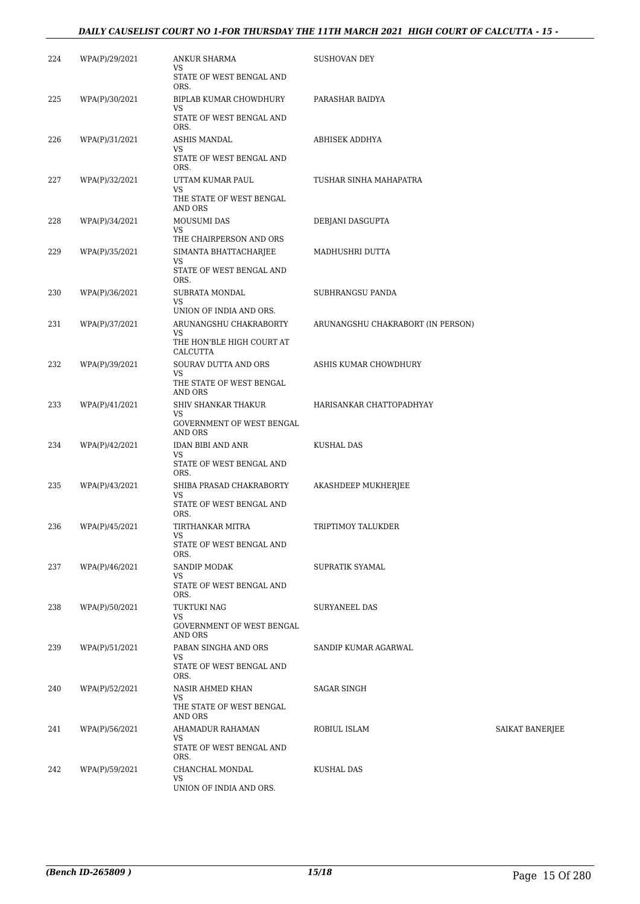#### *DAILY CAUSELIST COURT NO 1-FOR THURSDAY THE 11TH MARCH 2021 HIGH COURT OF CALCUTTA - 15 -*

| 224 | WPA(P)/29/2021 | ANKUR SHARMA<br>VS<br>STATE OF WEST BENGAL AND<br>ORS.                                     | SUSHOVAN DEY                      |                        |
|-----|----------------|--------------------------------------------------------------------------------------------|-----------------------------------|------------------------|
| 225 | WPA(P)/30/2021 | BIPLAB KUMAR CHOWDHURY<br>VS<br>STATE OF WEST BENGAL AND                                   | PARASHAR BAIDYA                   |                        |
| 226 | WPA(P)/31/2021 | ORS.<br>ASHIS MANDAL<br>VS<br>STATE OF WEST BENGAL AND<br>ORS.                             | ABHISEK ADDHYA                    |                        |
| 227 | WPA(P)/32/2021 | UTTAM KUMAR PAUL<br>VS<br>THE STATE OF WEST BENGAL<br><b>AND ORS</b>                       | TUSHAR SINHA MAHAPATRA            |                        |
| 228 | WPA(P)/34/2021 | MOUSUMI DAS<br>VS                                                                          | DEBJANI DASGUPTA                  |                        |
| 229 | WPA(P)/35/2021 | THE CHAIRPERSON AND ORS<br>SIMANTA BHATTACHARJEE<br>VS<br>STATE OF WEST BENGAL AND<br>ORS. | MADHUSHRI DUTTA                   |                        |
| 230 | WPA(P)/36/2021 | SUBRATA MONDAL<br>VS<br>UNION OF INDIA AND ORS.                                            | SUBHRANGSU PANDA                  |                        |
| 231 | WPA(P)/37/2021 | ARUNANGSHU CHAKRABORTY<br>VS<br>THE HON'BLE HIGH COURT AT<br>CALCUTTA                      | ARUNANGSHU CHAKRABORT (IN PERSON) |                        |
| 232 | WPA(P)/39/2021 | SOURAV DUTTA AND ORS<br>VS<br>THE STATE OF WEST BENGAL                                     | ASHIS KUMAR CHOWDHURY             |                        |
| 233 | WPA(P)/41/2021 | AND ORS<br>SHIV SHANKAR THAKUR<br>VS<br>GOVERNMENT OF WEST BENGAL<br>AND ORS               | HARISANKAR CHATTOPADHYAY          |                        |
| 234 | WPA(P)/42/2021 | IDAN BIBI AND ANR<br>VS<br>STATE OF WEST BENGAL AND                                        | KUSHAL DAS                        |                        |
| 235 | WPA(P)/43/2021 | ORS.<br>SHIBA PRASAD CHAKRABORTY<br>VS<br>STATE OF WEST BENGAL AND                         | AKASHDEEP MUKHERJEE               |                        |
| 236 | WPA(P)/45/2021 | ORS.<br>TIRTHANKAR MITRA<br>VS<br>STATE OF WEST BENGAL AND<br>ORS.                         | TRIPTIMOY TALUKDER                |                        |
| 237 | WPA(P)/46/2021 | SANDIP MODAK<br>VS<br>STATE OF WEST BENGAL AND<br>ORS.                                     | SUPRATIK SYAMAL                   |                        |
| 238 | WPA(P)/50/2021 | TUKTUKI NAG<br>VS<br>GOVERNMENT OF WEST BENGAL<br>AND ORS                                  | SURYANEEL DAS                     |                        |
| 239 | WPA(P)/51/2021 | PABAN SINGHA AND ORS<br>VS<br>STATE OF WEST BENGAL AND<br>ORS.                             | SANDIP KUMAR AGARWAL              |                        |
| 240 | WPA(P)/52/2021 | NASIR AHMED KHAN<br>VS<br>THE STATE OF WEST BENGAL<br>AND ORS                              | SAGAR SINGH                       |                        |
| 241 | WPA(P)/56/2021 | AHAMADUR RAHAMAN<br>VS<br>STATE OF WEST BENGAL AND<br>ORS.                                 | ROBIUL ISLAM                      | <b>SAIKAT BANERJEE</b> |
| 242 | WPA(P)/59/2021 | CHANCHAL MONDAL<br>VS<br>UNION OF INDIA AND ORS.                                           | KUSHAL DAS                        |                        |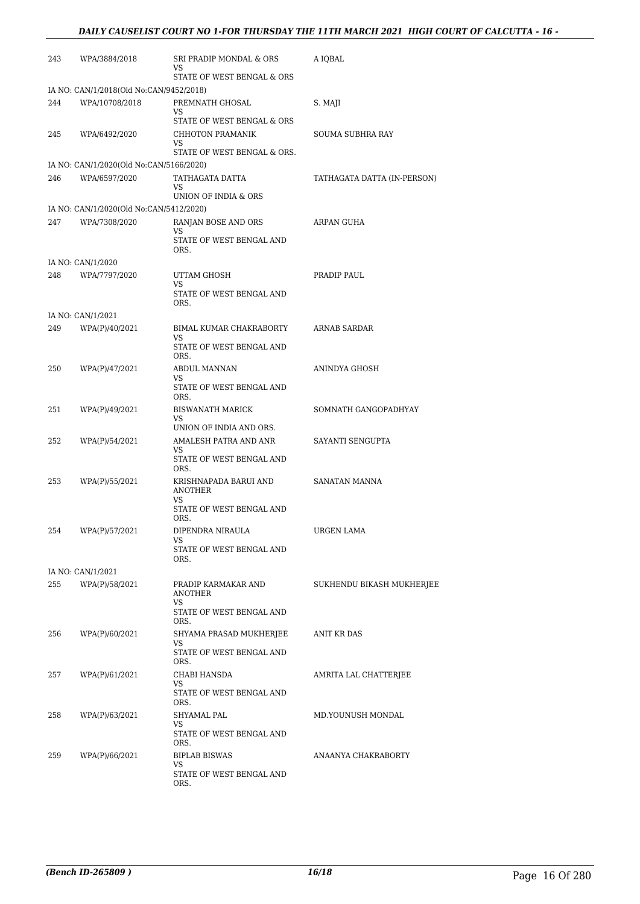| 243 | WPA/3884/2018                                             | SRI PRADIP MONDAL & ORS<br>VS                 | A IQBAL                     |
|-----|-----------------------------------------------------------|-----------------------------------------------|-----------------------------|
|     |                                                           | STATE OF WEST BENGAL & ORS                    |                             |
| 244 | IA NO: CAN/1/2018(Old No:CAN/9452/2018)<br>WPA/10708/2018 | PREMNATH GHOSAL                               | S. MAJI                     |
|     |                                                           | VS<br>STATE OF WEST BENGAL & ORS              |                             |
| 245 | WPA/6492/2020                                             | CHHOTON PRAMANIK<br>VS                        | SOUMA SUBHRA RAY            |
|     |                                                           | STATE OF WEST BENGAL & ORS.                   |                             |
|     | IA NO: CAN/1/2020(Old No:CAN/5166/2020)                   |                                               |                             |
| 246 | WPA/6597/2020                                             | TATHAGATA DATTA<br>VS                         | TATHAGATA DATTA (IN-PERSON) |
|     |                                                           | UNION OF INDIA & ORS                          |                             |
| 247 | IA NO: CAN/1/2020(Old No:CAN/5412/2020)<br>WPA/7308/2020  | RANJAN BOSE AND ORS                           | ARPAN GUHA                  |
|     |                                                           | VS<br>STATE OF WEST BENGAL AND<br>ORS.        |                             |
|     | IA NO: CAN/1/2020                                         |                                               |                             |
| 248 | WPA/7797/2020                                             | UTTAM GHOSH                                   | PRADIP PAUL                 |
|     |                                                           | VS<br>STATE OF WEST BENGAL AND<br>ORS.        |                             |
|     | IA NO: CAN/1/2021                                         |                                               |                             |
| 249 | WPA(P)/40/2021                                            | BIMAL KUMAR CHAKRABORTY<br>VS                 | <b>ARNAB SARDAR</b>         |
|     |                                                           | STATE OF WEST BENGAL AND<br>ORS.              |                             |
| 250 | WPA(P)/47/2021                                            | ABDUL MANNAN<br>VS                            | ANINDYA GHOSH               |
|     |                                                           | STATE OF WEST BENGAL AND<br>ORS.              |                             |
| 251 | WPA(P)/49/2021                                            | <b>BISWANATH MARICK</b><br>VS                 | SOMNATH GANGOPADHYAY        |
|     |                                                           | UNION OF INDIA AND ORS.                       |                             |
| 252 | WPA(P)/54/2021                                            | AMALESH PATRA AND ANR<br>VS                   | SAYANTI SENGUPTA            |
|     |                                                           | STATE OF WEST BENGAL AND<br>ORS.              |                             |
| 253 | WPA(P)/55/2021                                            | KRISHNAPADA BARUI AND<br><b>ANOTHER</b><br>VS | SANATAN MANNA               |
|     |                                                           | STATE OF WEST BENGAL AND<br>ORS.              |                             |
| 254 | WPA(P)/57/2021                                            | DIPENDRA NIRAULA                              | URGEN LAMA                  |
|     |                                                           | VS<br>STATE OF WEST BENGAL AND<br>ORS.        |                             |
|     | IA NO: CAN/1/2021                                         |                                               |                             |
| 255 | WPA(P)/58/2021                                            | PRADIP KARMAKAR AND<br><b>ANOTHER</b>         | SUKHENDU BIKASH MUKHERJEE   |
|     |                                                           | VS<br>STATE OF WEST BENGAL AND<br>ORS.        |                             |
| 256 | WPA(P)/60/2021                                            | SHYAMA PRASAD MUKHERJEE<br>VS                 | ANIT KR DAS                 |
|     |                                                           | STATE OF WEST BENGAL AND<br>ORS.              |                             |
| 257 | WPA(P)/61/2021                                            | CHABI HANSDA                                  | AMRITA LAL CHATTERJEE       |
|     |                                                           | VS<br>STATE OF WEST BENGAL AND<br>ORS.        |                             |
| 258 | WPA(P)/63/2021                                            | SHYAMAL PAL                                   | MD.YOUNUSH MONDAL           |
|     |                                                           | VS<br>STATE OF WEST BENGAL AND<br>ORS.        |                             |
| 259 | WPA(P)/66/2021                                            | <b>BIPLAB BISWAS</b>                          | ANAANYA CHAKRABORTY         |
|     |                                                           | VS<br>STATE OF WEST BENGAL AND<br>ORS.        |                             |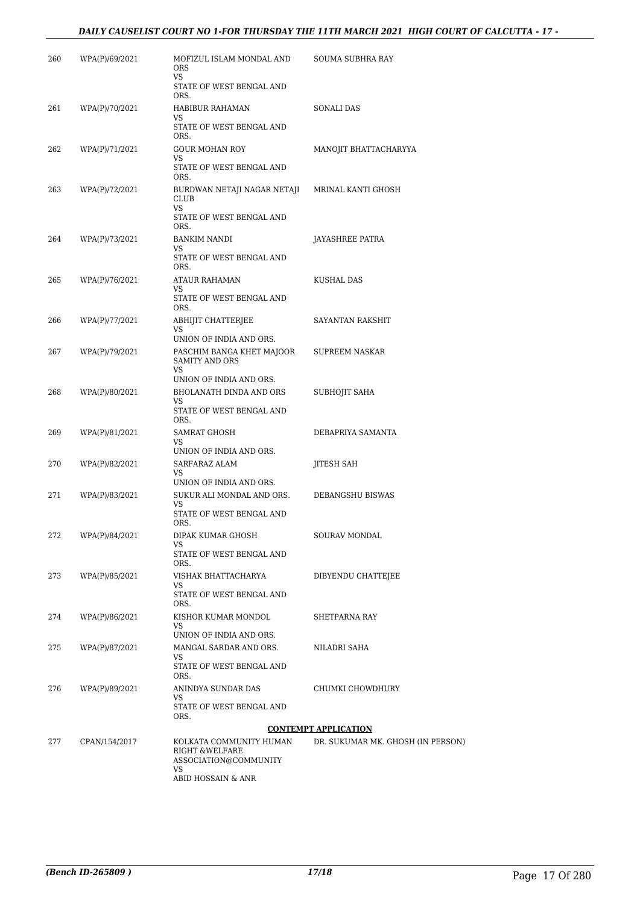#### *DAILY CAUSELIST COURT NO 1-FOR THURSDAY THE 11TH MARCH 2021 HIGH COURT OF CALCUTTA - 17 -*

| 260 | WPA(P)/69/2021 | MOFIZUL ISLAM MONDAL AND<br><b>ORS</b><br>VS.                       | SOUMA SUBHRA RAY                  |
|-----|----------------|---------------------------------------------------------------------|-----------------------------------|
|     |                | STATE OF WEST BENGAL AND<br>ORS.                                    |                                   |
| 261 | WPA(P)/70/2021 | HABIBUR RAHAMAN<br>VS                                               | SONALI DAS                        |
|     |                | STATE OF WEST BENGAL AND<br>ORS.                                    |                                   |
| 262 | WPA(P)/71/2021 | <b>GOUR MOHAN ROY</b><br>VS                                         | MANOJIT BHATTACHARYYA             |
|     |                | STATE OF WEST BENGAL AND<br>ORS.                                    |                                   |
| 263 | WPA(P)/72/2021 | BURDWAN NETAJI NAGAR NETAJI<br><b>CLUB</b><br><b>VS</b>             | MRINAL KANTI GHOSH                |
|     |                | STATE OF WEST BENGAL AND<br>ORS.                                    |                                   |
| 264 | WPA(P)/73/2021 | <b>BANKIM NANDI</b><br>VS                                           | JAYASHREE PATRA                   |
|     |                | STATE OF WEST BENGAL AND<br>ORS.                                    |                                   |
| 265 | WPA(P)/76/2021 | ATAUR RAHAMAN<br>VS                                                 | KUSHAL DAS                        |
|     |                | STATE OF WEST BENGAL AND<br>ORS.                                    |                                   |
| 266 | WPA(P)/77/2021 | ABHIJIT CHATTERJEE<br>VS                                            | SAYANTAN RAKSHIT                  |
|     |                | UNION OF INDIA AND ORS.                                             |                                   |
| 267 | WPA(P)/79/2021 | PASCHIM BANGA KHET MAJOOR<br><b>SAMITY AND ORS</b><br>VS            | SUPREEM NASKAR                    |
|     |                | UNION OF INDIA AND ORS.                                             |                                   |
| 268 | WPA(P)/80/2021 | BHOLANATH DINDA AND ORS<br>VS                                       | SUBHOJIT SAHA                     |
|     |                | STATE OF WEST BENGAL AND<br>ORS.                                    |                                   |
| 269 | WPA(P)/81/2021 | SAMRAT GHOSH<br><b>VS</b>                                           | DEBAPRIYA SAMANTA                 |
|     |                | UNION OF INDIA AND ORS.                                             |                                   |
| 270 | WPA(P)/82/2021 | SARFARAZ ALAM<br>VS                                                 | JITESH SAH                        |
|     |                | UNION OF INDIA AND ORS.                                             |                                   |
| 271 | WPA(P)/83/2021 | SUKUR ALI MONDAL AND ORS.<br>VS                                     | DEBANGSHU BISWAS                  |
|     |                | STATE OF WEST BENGAL AND<br>ORS.                                    |                                   |
| 272 | WPA(P)/84/2021 | DIPAK KUMAR GHOSH<br>VS                                             | SOURAV MONDAL                     |
|     |                | STATE OF WEST BENGAL AND<br>ORS.                                    |                                   |
| 273 | WPA(P)/85/2021 | VISHAK BHATTACHARYA<br>VS                                           | DIBYENDU CHATTEJEE                |
|     |                | STATE OF WEST BENGAL AND<br>ORS.                                    |                                   |
| 274 | WPA(P)/86/2021 | KISHOR KUMAR MONDOL<br>VS                                           | SHETPARNA RAY                     |
|     |                | UNION OF INDIA AND ORS.                                             |                                   |
| 275 | WPA(P)/87/2021 | MANGAL SARDAR AND ORS.<br>VS                                        | NILADRI SAHA                      |
|     |                | STATE OF WEST BENGAL AND<br>ORS.                                    |                                   |
| 276 | WPA(P)/89/2021 | ANINDYA SUNDAR DAS<br>VS                                            | CHUMKI CHOWDHURY                  |
|     |                | STATE OF WEST BENGAL AND<br>ORS.                                    |                                   |
|     |                |                                                                     | <b>CONTEMPT APPLICATION</b>       |
| 277 | CPAN/154/2017  | KOLKATA COMMUNITY HUMAN<br>RIGHT & WELFARE<br>ASSOCIATION@COMMUNITY | DR. SUKUMAR MK. GHOSH (IN PERSON) |
|     |                | VS<br>ABID HOSSAIN & ANR                                            |                                   |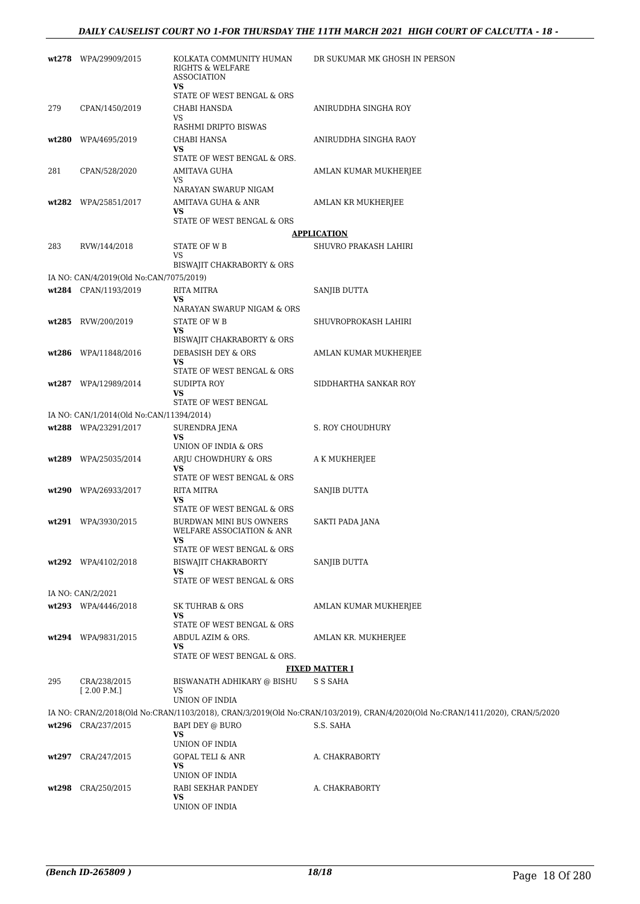|     | wt278 WPA/29909/2015                                            | KOLKATA COMMUNITY HUMAN<br>RIGHTS & WELFARE<br><b>ASSOCIATION</b><br>VS | DR SUKUMAR MK GHOSH IN PERSON                                                                                                              |
|-----|-----------------------------------------------------------------|-------------------------------------------------------------------------|--------------------------------------------------------------------------------------------------------------------------------------------|
| 279 | CPAN/1450/2019                                                  | STATE OF WEST BENGAL & ORS<br>CHABI HANSDA                              | ANIRUDDHA SINGHA ROY                                                                                                                       |
|     |                                                                 | VS<br>RASHMI DRIPTO BISWAS                                              |                                                                                                                                            |
|     | wt280 WPA/4695/2019                                             | CHABI HANSA                                                             | ANIRUDDHA SINGHA RAOY                                                                                                                      |
|     |                                                                 | VS<br>STATE OF WEST BENGAL & ORS.                                       |                                                                                                                                            |
| 281 | CPAN/528/2020                                                   | <b>AMITAVA GUHA</b>                                                     | AMLAN KUMAR MUKHERJEE                                                                                                                      |
|     |                                                                 | VS                                                                      |                                                                                                                                            |
|     | wt282 WPA/25851/2017                                            | NARAYAN SWARUP NIGAM<br>AMITAVA GUHA & ANR                              | AMLAN KR MUKHERJEE                                                                                                                         |
|     |                                                                 | VS                                                                      |                                                                                                                                            |
|     |                                                                 | STATE OF WEST BENGAL & ORS                                              | <u>APPLICATION</u>                                                                                                                         |
| 283 | RVW/144/2018                                                    | STATE OF W B                                                            | SHUVRO PRAKASH LAHIRI                                                                                                                      |
|     |                                                                 | VS                                                                      |                                                                                                                                            |
|     |                                                                 | BISWAJIT CHAKRABORTY & ORS                                              |                                                                                                                                            |
|     | IA NO: CAN/4/2019(Old No:CAN/7075/2019)<br>wt284 CPAN/1193/2019 | RITA MITRA                                                              | SANJIB DUTTA                                                                                                                               |
|     |                                                                 | VS                                                                      |                                                                                                                                            |
|     |                                                                 | NARAYAN SWARUP NIGAM & ORS                                              |                                                                                                                                            |
|     | wt285 RVW/200/2019                                              | <b>STATE OF WB</b><br>VS                                                | SHUVROPROKASH LAHIRI                                                                                                                       |
|     |                                                                 | BISWAJIT CHAKRABORTY & ORS                                              |                                                                                                                                            |
|     | wt286 WPA/11848/2016                                            | DEBASISH DEY & ORS                                                      | AMLAN KUMAR MUKHERJEE                                                                                                                      |
|     |                                                                 | VS<br>STATE OF WEST BENGAL & ORS                                        |                                                                                                                                            |
|     | wt287 WPA/12989/2014                                            | SUDIPTA ROY                                                             | SIDDHARTHA SANKAR ROY                                                                                                                      |
|     |                                                                 | VS<br>STATE OF WEST BENGAL                                              |                                                                                                                                            |
|     | IA NO: CAN/1/2014(Old No:CAN/11394/2014)                        |                                                                         |                                                                                                                                            |
|     | wt288 WPA/23291/2017                                            | SURENDRA JENA                                                           | S. ROY CHOUDHURY                                                                                                                           |
|     |                                                                 | VS<br>UNION OF INDIA & ORS                                              |                                                                                                                                            |
|     | wt289 WPA/25035/2014                                            | ARJU CHOWDHURY & ORS                                                    | A K MUKHERJEE                                                                                                                              |
|     |                                                                 | VS<br>STATE OF WEST BENGAL & ORS                                        |                                                                                                                                            |
|     | wt290 WPA/26933/2017                                            | RITA MITRA                                                              | SANJIB DUTTA                                                                                                                               |
|     |                                                                 | VS<br>STATE OF WEST BENGAL & ORS                                        |                                                                                                                                            |
|     | wt291 WPA/3930/2015                                             | BURDWAN MINI BUS OWNERS                                                 | SAKTI PADA JANA                                                                                                                            |
|     |                                                                 | WELFARE ASSOCIATION & ANR<br>VS                                         |                                                                                                                                            |
|     |                                                                 | STATE OF WEST BENGAL & ORS                                              |                                                                                                                                            |
|     | wt292 WPA/4102/2018                                             | BISWAJIT CHAKRABORTY                                                    | SANJIB DUTTA                                                                                                                               |
|     |                                                                 | VS<br>STATE OF WEST BENGAL & ORS                                        |                                                                                                                                            |
|     | IA NO: CAN/2/2021                                               |                                                                         |                                                                                                                                            |
|     | wt293 WPA/4446/2018                                             | SK TUHRAB & ORS                                                         | AMLAN KUMAR MUKHERJEE                                                                                                                      |
|     |                                                                 | VS<br>STATE OF WEST BENGAL & ORS                                        |                                                                                                                                            |
|     | wt294 WPA/9831/2015                                             | ABDUL AZIM & ORS.                                                       | AMLAN KR. MUKHERJEE                                                                                                                        |
|     |                                                                 | VS                                                                      |                                                                                                                                            |
|     |                                                                 | STATE OF WEST BENGAL & ORS.                                             | <b>FIXED MATTER I</b>                                                                                                                      |
| 295 | CRA/238/2015                                                    | BISWANATH ADHIKARY @ BISHU                                              | S S SAHA                                                                                                                                   |
|     | [2.00 P.M.]                                                     | VS                                                                      |                                                                                                                                            |
|     |                                                                 | UNION OF INDIA                                                          |                                                                                                                                            |
|     | wt296 CRA/237/2015                                              | BAPI DEY @ BURO                                                         | IA NO: CRAN/2/2018(Old No:CRAN/1103/2018), CRAN/3/2019(Old No:CRAN/103/2019), CRAN/4/2020(Old No:CRAN/1411/2020), CRAN/5/2020<br>S.S. SAHA |
|     |                                                                 | VS<br>UNION OF INDIA                                                    |                                                                                                                                            |
|     | wt297 CRA/247/2015                                              | <b>GOPAL TELI &amp; ANR</b>                                             | A. CHAKRABORTY                                                                                                                             |
|     |                                                                 | VS                                                                      |                                                                                                                                            |
|     | wt298 CRA/250/2015                                              | UNION OF INDIA<br>RABI SEKHAR PANDEY                                    | A. CHAKRABORTY                                                                                                                             |
|     |                                                                 | VS                                                                      |                                                                                                                                            |
|     |                                                                 | UNION OF INDIA                                                          |                                                                                                                                            |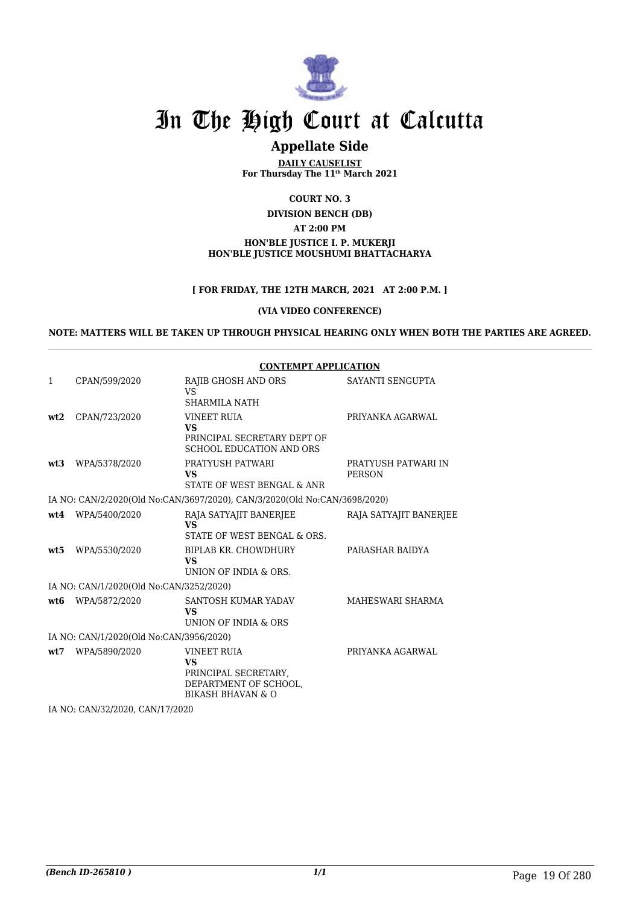

### **Appellate Side**

**DAILY CAUSELIST For Thursday The 11th March 2021**

**COURT NO. 3**

**DIVISION BENCH (DB)**

**AT 2:00 PM**

#### **HON'BLE JUSTICE I. P. MUKERJI HON'BLE JUSTICE MOUSHUMI BHATTACHARYA**

#### **[ FOR FRIDAY, THE 12TH MARCH, 2021 AT 2:00 P.M. ]**

#### **(VIA VIDEO CONFERENCE)**

**NOTE: MATTERS WILL BE TAKEN UP THROUGH PHYSICAL HEARING ONLY WHEN BOTH THE PARTIES ARE AGREED.**

|              |                                         | <b>CONTEMPT APPLICATION</b>                                                                                      |                                      |
|--------------|-----------------------------------------|------------------------------------------------------------------------------------------------------------------|--------------------------------------|
| $\mathbf{1}$ | CPAN/599/2020                           | RAJIB GHOSH AND ORS<br>VS<br>SHARMILA NATH                                                                       | SAYANTI SENGUPTA                     |
| wt2          | CPAN/723/2020                           | <b>VINEET RUIA</b><br><b>VS</b><br>PRINCIPAL SECRETARY DEPT OF<br><b>SCHOOL EDUCATION AND ORS</b>                | PRIYANKA AGARWAL                     |
| wt3          | WPA/5378/2020                           | PRATYUSH PATWARI<br><b>VS</b><br>STATE OF WEST BENGAL & ANR                                                      | PRATYUSH PATWARI IN<br><b>PERSON</b> |
|              |                                         | IA NO: CAN/2/2020(Old No:CAN/3697/2020), CAN/3/2020(Old No:CAN/3698/2020)                                        |                                      |
| wt4          | WPA/5400/2020                           | RAJA SATYAJIT BANERJEE<br><b>VS</b><br>STATE OF WEST BENGAL & ORS.                                               | RAJA SATYAJIT BANERJEE               |
| wt5          | WPA/5530/2020                           | BIPLAB KR. CHOWDHURY<br><b>VS</b><br>UNION OF INDIA & ORS.                                                       | PARASHAR BAIDYA                      |
|              | IA NO: CAN/1/2020(Old No:CAN/3252/2020) |                                                                                                                  |                                      |
| wt.6         | WPA/5872/2020                           | SANTOSH KUMAR YADAV<br><b>VS</b><br>UNION OF INDIA & ORS                                                         | MAHESWARI SHARMA                     |
|              | IA NO: CAN/1/2020(Old No:CAN/3956/2020) |                                                                                                                  |                                      |
| wt.7         | WPA/5890/2020                           | <b>VINEET RUIA</b><br><b>VS</b><br>PRINCIPAL SECRETARY,<br>DEPARTMENT OF SCHOOL.<br><b>BIKASH BHAVAN &amp; O</b> | PRIYANKA AGARWAL                     |

IA NO: CAN/32/2020, CAN/17/2020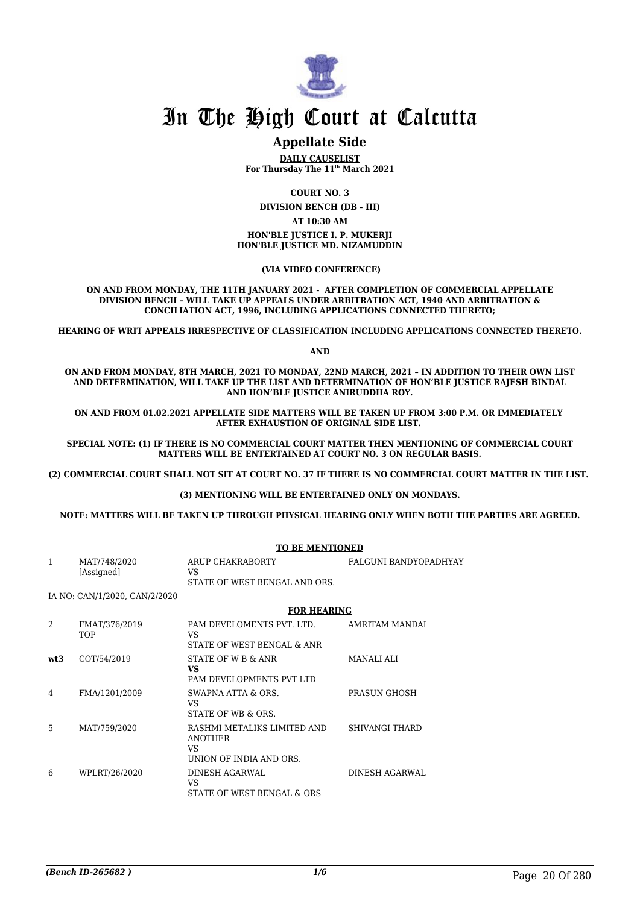

#### **Appellate Side**

**DAILY CAUSELIST For Thursday The 11th March 2021**

**COURT NO. 3**

**DIVISION BENCH (DB - III)**

**AT 10:30 AM**

**HON'BLE JUSTICE I. P. MUKERJI HON'BLE JUSTICE MD. NIZAMUDDIN**

 **(VIA VIDEO CONFERENCE)**

**ON AND FROM MONDAY, THE 11TH JANUARY 2021 - AFTER COMPLETION OF COMMERCIAL APPELLATE DIVISION BENCH – WILL TAKE UP APPEALS UNDER ARBITRATION ACT, 1940 AND ARBITRATION & CONCILIATION ACT, 1996, INCLUDING APPLICATIONS CONNECTED THERETO;**

**HEARING OF WRIT APPEALS IRRESPECTIVE OF CLASSIFICATION INCLUDING APPLICATIONS CONNECTED THERETO.**

**AND**

**ON AND FROM MONDAY, 8TH MARCH, 2021 TO MONDAY, 22ND MARCH, 2021 – IN ADDITION TO THEIR OWN LIST AND DETERMINATION, WILL TAKE UP THE LIST AND DETERMINATION OF HON'BLE JUSTICE RAJESH BINDAL AND HON'BLE JUSTICE ANIRUDDHA ROY.**

**ON AND FROM 01.02.2021 APPELLATE SIDE MATTERS WILL BE TAKEN UP FROM 3:00 P.M. OR IMMEDIATELY AFTER EXHAUSTION OF ORIGINAL SIDE LIST.** 

**SPECIAL NOTE: (1) IF THERE IS NO COMMERCIAL COURT MATTER THEN MENTIONING OF COMMERCIAL COURT MATTERS WILL BE ENTERTAINED AT COURT NO. 3 ON REGULAR BASIS.**

**(2) COMMERCIAL COURT SHALL NOT SIT AT COURT NO. 37 IF THERE IS NO COMMERCIAL COURT MATTER IN THE LIST.** 

#### **(3) MENTIONING WILL BE ENTERTAINED ONLY ON MONDAYS.**

**NOTE: MATTERS WILL BE TAKEN UP THROUGH PHYSICAL HEARING ONLY WHEN BOTH THE PARTIES ARE AGREED.**

|                |                               | <b>TO BE MENTIONED</b>                                                          |                       |  |
|----------------|-------------------------------|---------------------------------------------------------------------------------|-----------------------|--|
| $\mathbf{1}$   | MAT/748/2020<br>[Assigned]    | ARUP CHAKRABORTY<br>VS.<br>STATE OF WEST BENGAL AND ORS.                        | FALGUNI BANDYOPADHYAY |  |
|                | IA NO: CAN/1/2020, CAN/2/2020 |                                                                                 |                       |  |
|                |                               | <b>FOR HEARING</b>                                                              |                       |  |
| $\mathfrak{D}$ | FMAT/376/2019<br><b>TOP</b>   | PAM DEVELOMENTS PVT. LTD.<br>VS.<br>STATE OF WEST BENGAL & ANR                  | AMRITAM MANDAL        |  |
| wt3            | COT/54/2019                   | STATE OF W B & ANR<br><b>VS</b><br>PAM DEVELOPMENTS PVT LTD                     | MANALI ALI            |  |
| 4              | FMA/1201/2009                 | SWAPNA ATTA & ORS.<br>VS.<br>STATE OF WB & ORS.                                 | PRASUN GHOSH          |  |
| 5              | MAT/759/2020                  | RASHMI METALIKS LIMITED AND<br><b>ANOTHER</b><br>VS.<br>UNION OF INDIA AND ORS. | SHIVANGI THARD        |  |
| 6              | WPLRT/26/2020                 | DINESH AGARWAL<br>VS.<br>STATE OF WEST BENGAL & ORS                             | DINESH AGARWAL        |  |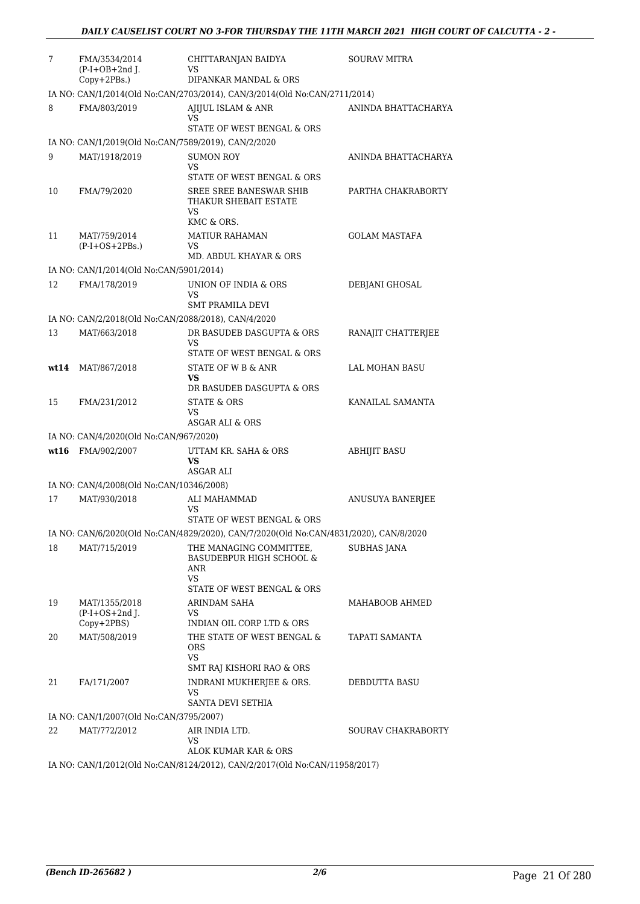| 7  | FMA/3534/2014<br>$(P-I+OB+2nd$ J.<br>Copy+2PBs.)    | CHITTARANJAN BAIDYA<br>VS<br>DIPANKAR MANDAL & ORS                                    | <b>SOURAV MITRA</b>       |
|----|-----------------------------------------------------|---------------------------------------------------------------------------------------|---------------------------|
|    |                                                     | IA NO: CAN/1/2014(Old No:CAN/2703/2014), CAN/3/2014(Old No:CAN/2711/2014)             |                           |
| 8  | FMA/803/2019                                        | AJIJUL ISLAM & ANR<br>VS<br>STATE OF WEST BENGAL & ORS                                | ANINDA BHATTACHARYA       |
|    | IA NO: CAN/1/2019(Old No:CAN/7589/2019), CAN/2/2020 |                                                                                       |                           |
| 9  | MAT/1918/2019                                       | <b>SUMON ROY</b><br>VS                                                                | ANINDA BHATTACHARYA       |
| 10 | FMA/79/2020                                         | STATE OF WEST BENGAL & ORS<br>SREE SREE BANESWAR SHIB<br>THAKUR SHEBAIT ESTATE<br>VS  | PARTHA CHAKRABORTY        |
|    |                                                     | KMC & ORS.                                                                            |                           |
| 11 | MAT/759/2014<br>$(P-I+OS+2PBs.)$                    | <b>MATIUR RAHAMAN</b><br>VS<br>MD. ABDUL KHAYAR & ORS                                 | <b>GOLAM MASTAFA</b>      |
|    | IA NO: CAN/1/2014(Old No:CAN/5901/2014)             |                                                                                       |                           |
| 12 | FMA/178/2019                                        | UNION OF INDIA & ORS<br>VS                                                            | DEBJANI GHOSAL            |
|    |                                                     | SMT PRAMILA DEVI                                                                      |                           |
|    | IA NO: CAN/2/2018(Old No:CAN/2088/2018), CAN/4/2020 |                                                                                       |                           |
| 13 | MAT/663/2018                                        | DR BASUDEB DASGUPTA & ORS<br>VS<br>STATE OF WEST BENGAL & ORS                         | RANAJIT CHATTERJEE        |
|    | wt14 MAT/867/2018                                   | STATE OF W B & ANR                                                                    | LAL MOHAN BASU            |
|    |                                                     | VS<br>DR BASUDEB DASGUPTA & ORS                                                       |                           |
| 15 | FMA/231/2012                                        | STATE & ORS                                                                           | KANAILAL SAMANTA          |
|    |                                                     | VS<br>ASGAR ALI & ORS                                                                 |                           |
|    | IA NO: CAN/4/2020(Old No:CAN/967/2020)              |                                                                                       |                           |
|    | wt16 FMA/902/2007                                   | UTTAM KR. SAHA & ORS<br>VS<br>ASGAR ALI                                               | <b>ABHIJIT BASU</b>       |
|    | IA NO: CAN/4/2008(Old No:CAN/10346/2008)            |                                                                                       |                           |
| 17 | MAT/930/2018                                        | ALI MAHAMMAD<br>VS<br>STATE OF WEST BENGAL & ORS                                      | ANUSUYA BANERJEE          |
|    |                                                     | IA NO: CAN/6/2020(Old No:CAN/4829/2020), CAN/7/2020(Old No:CAN/4831/2020), CAN/8/2020 |                           |
| 18 | MAT/715/2019                                        | THE MANAGING COMMITTEE,<br>BASUDEBPUR HIGH SCHOOL &<br>ANR<br>VS                      | <b>SUBHAS JANA</b>        |
|    |                                                     | STATE OF WEST BENGAL & ORS                                                            |                           |
| 19 | MAT/1355/2018<br>$(P-I+OS+2nd$ J.<br>$Copy+2PBS)$   | ARINDAM SAHA<br><b>VS</b><br>INDIAN OIL CORP LTD & ORS                                | MAHABOOB AHMED            |
| 20 | MAT/508/2019                                        | THE STATE OF WEST BENGAL &<br>ORS<br>VS                                               | TAPATI SAMANTA            |
|    |                                                     | SMT RAJ KISHORI RAO & ORS                                                             |                           |
| 21 | FA/171/2007                                         | INDRANI MUKHERJEE & ORS.<br>VS.<br>SANTA DEVI SETHIA                                  | DEBDUTTA BASU             |
|    | IA NO: CAN/1/2007(Old No:CAN/3795/2007)             |                                                                                       |                           |
| 22 | MAT/772/2012                                        | AIR INDIA LTD.<br>VS                                                                  | <b>SOURAV CHAKRABORTY</b> |
|    |                                                     | ALOK KUMAR KAR & ORS                                                                  |                           |
|    |                                                     | IA NO: CAN/1/2012(Old No:CAN/8124/2012), CAN/2/2017(Old No:CAN/11958/2017)            |                           |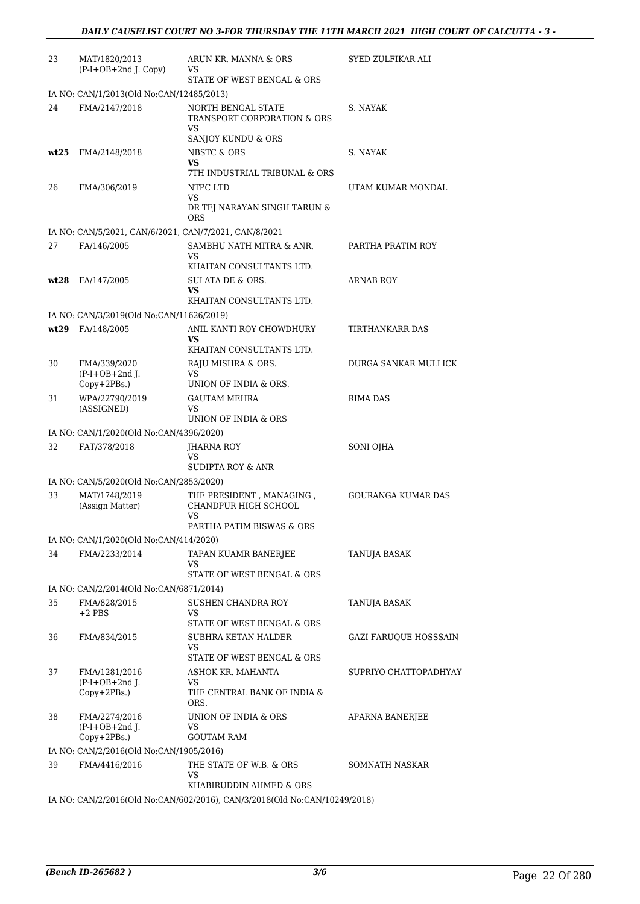| 23 | MAT/1820/2013<br>(P-I+OB+2nd J. Copy)                        | ARUN KR. MANNA & ORS<br>VS                                               | SYED ZULFIKAR ALI         |
|----|--------------------------------------------------------------|--------------------------------------------------------------------------|---------------------------|
|    |                                                              | STATE OF WEST BENGAL & ORS                                               |                           |
|    | IA NO: CAN/1/2013(Old No:CAN/12485/2013)                     |                                                                          |                           |
| 24 | FMA/2147/2018                                                | NORTH BENGAL STATE<br>TRANSPORT CORPORATION & ORS<br>VS                  | S. NAYAK                  |
|    |                                                              | SANJOY KUNDU & ORS                                                       |                           |
|    | $wt25$ FMA/2148/2018                                         | NBSTC & ORS<br>VS<br>7TH INDUSTRIAL TRIBUNAL & ORS                       | S. NAYAK                  |
| 26 | FMA/306/2019                                                 | NTPC LTD                                                                 | UTAM KUMAR MONDAL         |
|    |                                                              | <b>VS</b><br>DR TEJ NARAYAN SINGH TARUN &<br>ORS                         |                           |
|    | IA NO: CAN/5/2021, CAN/6/2021, CAN/7/2021, CAN/8/2021        |                                                                          |                           |
| 27 | FA/146/2005                                                  | SAMBHU NATH MITRA & ANR.<br>VS                                           | PARTHA PRATIM ROY         |
|    |                                                              | KHAITAN CONSULTANTS LTD.                                                 |                           |
|    | wt28 FA/147/2005                                             | <b>SULATA DE &amp; ORS.</b><br>VS                                        | ARNAB ROY                 |
|    |                                                              | KHAITAN CONSULTANTS LTD.                                                 |                           |
|    | IA NO: CAN/3/2019(Old No:CAN/11626/2019)<br>wt29 FA/148/2005 | ANIL KANTI ROY CHOWDHURY                                                 | TIRTHANKARR DAS           |
|    |                                                              | VS<br>KHAITAN CONSULTANTS LTD.                                           |                           |
| 30 | FMA/339/2020                                                 | RAJU MISHRA & ORS.                                                       | DURGA SANKAR MULLICK      |
|    | $(P-I+OB+2nd$ J.<br>Copy+2PBs.)                              | VS<br>UNION OF INDIA & ORS.                                              |                           |
| 31 | WPA/22790/2019                                               | <b>GAUTAM MEHRA</b>                                                      | <b>RIMA DAS</b>           |
|    | (ASSIGNED)                                                   | VS<br>UNION OF INDIA & ORS                                               |                           |
|    | IA NO: CAN/1/2020(Old No:CAN/4396/2020)                      |                                                                          |                           |
| 32 | FAT/378/2018                                                 | <b>JHARNA ROY</b><br>VS                                                  | SONI OJHA                 |
|    |                                                              | <b>SUDIPTA ROY &amp; ANR</b>                                             |                           |
|    | IA NO: CAN/5/2020(Old No:CAN/2853/2020)                      |                                                                          |                           |
| 33 | MAT/1748/2019<br>(Assign Matter)                             | THE PRESIDENT, MANAGING,<br>CHANDPUR HIGH SCHOOL<br>VS                   | <b>GOURANGA KUMAR DAS</b> |
|    |                                                              | PARTHA PATIM BISWAS & ORS                                                |                           |
|    | IA NO: CAN/1/2020(Old No:CAN/414/2020)                       |                                                                          |                           |
| 34 | FMA/2233/2014                                                | TAPAN KUAMR BANERJEE<br>VS<br>STATE OF WEST BENGAL & ORS                 | TANUJA BASAK              |
|    | IA NO: CAN/2/2014(Old No:CAN/6871/2014)                      |                                                                          |                           |
| 35 | FMA/828/2015                                                 | <b>SUSHEN CHANDRA ROY</b>                                                | TANUJA BASAK              |
|    | +2 PBS                                                       | VS<br>STATE OF WEST BENGAL & ORS                                         |                           |
| 36 | FMA/834/2015                                                 | SUBHRA KETAN HALDER<br>VS                                                | GAZI FARUQUE HOSSSAIN     |
|    |                                                              | STATE OF WEST BENGAL & ORS                                               |                           |
| 37 | FMA/1281/2016                                                | ASHOK KR. MAHANTA                                                        | SUPRIYO CHATTOPADHYAY     |
|    | $(P-I+OB+2nd$ J.<br>$Copy+2PBs.$ )                           | VS<br>THE CENTRAL BANK OF INDIA &<br>ORS.                                |                           |
| 38 | FMA/2274/2016<br>$(P-I+OB+2nd$ J.                            | UNION OF INDIA & ORS<br>VS                                               | <b>APARNA BANERJEE</b>    |
|    | Copy+2PBs.)                                                  | <b>GOUTAM RAM</b>                                                        |                           |
|    | IA NO: CAN/2/2016(Old No:CAN/1905/2016)                      |                                                                          |                           |
| 39 | FMA/4416/2016                                                | THE STATE OF W.B. & ORS<br>VS<br>KHABIRUDDIN AHMED & ORS                 | SOMNATH NASKAR            |
|    |                                                              | IA NO: CAN/2/2016(Old No:CAN/602/2016) CAN/3/2018(Old No:CAN/10249/2018) |                           |

IA NO: CAN/2/2016(Old No:CAN/602/2016), CAN/3/2018(Old No:CAN/10249/2018)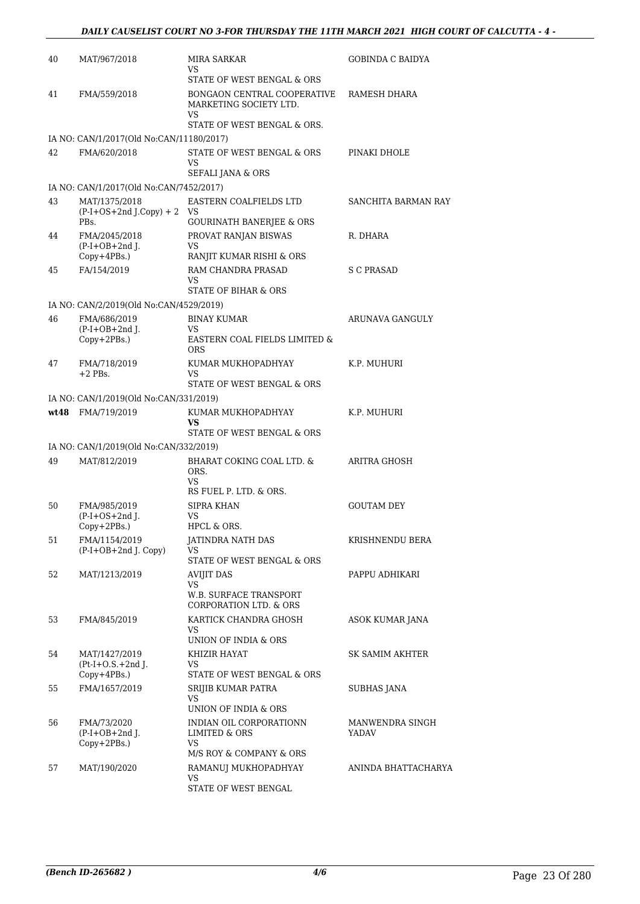| 40 | MAT/967/2018                                       | MIRA SARKAR<br>VS.<br>STATE OF WEST BENGAL & ORS                         | GOBINDA C BAIDYA         |
|----|----------------------------------------------------|--------------------------------------------------------------------------|--------------------------|
| 41 | FMA/559/2018                                       | BONGAON CENTRAL COOPERATIVE<br>MARKETING SOCIETY LTD.                    | RAMESH DHARA             |
|    |                                                    | VS.<br>STATE OF WEST BENGAL & ORS.                                       |                          |
|    | IA NO: CAN/1/2017(Old No:CAN/11180/2017)           |                                                                          |                          |
| 42 | FMA/620/2018                                       | STATE OF WEST BENGAL & ORS<br>VS                                         | PINAKI DHOLE             |
|    | IA NO: CAN/1/2017(Old No:CAN/7452/2017)            | <b>SEFALI JANA &amp; ORS</b>                                             |                          |
| 43 | MAT/1375/2018                                      | EASTERN COALFIELDS LTD                                                   | SANCHITA BARMAN RAY      |
|    | $(P-I+OS+2nd J.Copy) + 2$ VS<br>PBs.               | <b>GOURINATH BANERJEE &amp; ORS</b>                                      |                          |
| 44 | FMA/2045/2018                                      | PROVAT RANJAN BISWAS                                                     | R. DHARA                 |
|    | $(P-I+OB+2nd J.$<br>$Copy+4PBs.$ )                 | VS<br>RANJIT KUMAR RISHI & ORS                                           |                          |
| 45 | FA/154/2019                                        | RAM CHANDRA PRASAD                                                       | S C PRASAD               |
|    |                                                    | VS                                                                       |                          |
|    |                                                    | STATE OF BIHAR & ORS                                                     |                          |
|    | IA NO: CAN/2/2019(Old No:CAN/4529/2019)            |                                                                          |                          |
| 46 | FMA/686/2019<br>$(P-I+OB+2nd$ J.                   | <b>BINAY KUMAR</b><br>VS                                                 | <b>ARUNAVA GANGULY</b>   |
|    | Copy+2PBs.)                                        | EASTERN COAL FIELDS LIMITED &<br><b>ORS</b>                              |                          |
| 47 | FMA/718/2019                                       | KUMAR MUKHOPADHYAY                                                       | K.P. MUHURI              |
|    | $+2$ PBs.                                          | VS<br>STATE OF WEST BENGAL & ORS                                         |                          |
|    | IA NO: CAN/1/2019(Old No:CAN/331/2019)             |                                                                          |                          |
|    | wt48 FMA/719/2019                                  | KUMAR MUKHOPADHYAY                                                       | K.P. MUHURI              |
|    |                                                    | VS                                                                       |                          |
|    |                                                    | STATE OF WEST BENGAL & ORS                                               |                          |
| 49 | IA NO: CAN/1/2019(Old No:CAN/332/2019)             |                                                                          |                          |
|    | MAT/812/2019                                       | BHARAT COKING COAL LTD. &<br>ORS.<br>VS.                                 | ARITRA GHOSH             |
|    |                                                    | RS FUEL P. LTD. & ORS.                                                   |                          |
| 50 | FMA/985/2019<br>$(P-I+OS+2nd$ J.<br>Copy+2PBs.)    | SIPRA KHAN<br>VS<br>HPCL & ORS.                                          | <b>GOUTAM DEY</b>        |
| 51 | FMA/1154/2019                                      | <b>JATINDRA NATH DAS</b>                                                 | KRISHNENDU BERA          |
|    | (P-I+OB+2nd J. Copy)                               | VS<br>STATE OF WEST BENGAL & ORS                                         |                          |
| 52 | MAT/1213/2019                                      | <b>AVIJIT DAS</b>                                                        | PAPPU ADHIKARI           |
|    |                                                    | VS<br><b>W.B. SURFACE TRANSPORT</b><br><b>CORPORATION LTD. &amp; ORS</b> |                          |
| 53 | FMA/845/2019                                       | KARTICK CHANDRA GHOSH<br>VS.                                             | ASOK KUMAR JANA          |
|    |                                                    | UNION OF INDIA & ORS                                                     |                          |
| 54 | MAT/1427/2019<br>$Pt-I+O.S.+2nd$ J.<br>Copy+4PBs.) | KHIZIR HAYAT<br>VS<br>STATE OF WEST BENGAL & ORS                         | <b>SK SAMIM AKHTER</b>   |
| 55 | FMA/1657/2019                                      | SRIJIB KUMAR PATRA                                                       | SUBHAS JANA              |
|    |                                                    | VS.                                                                      |                          |
|    |                                                    | UNION OF INDIA & ORS                                                     |                          |
| 56 | FMA/73/2020<br>$(P-I+OB+2nd$ J.<br>Copy+2PBs.)     | INDIAN OIL CORPORATIONN<br>LIMITED & ORS<br>VS                           | MANWENDRA SINGH<br>YADAV |
|    |                                                    | M/S ROY & COMPANY & ORS                                                  |                          |
| 57 | MAT/190/2020                                       | RAMANUJ MUKHOPADHYAY<br>VS<br>STATE OF WEST BENGAL                       | ANINDA BHATTACHARYA      |
|    |                                                    |                                                                          |                          |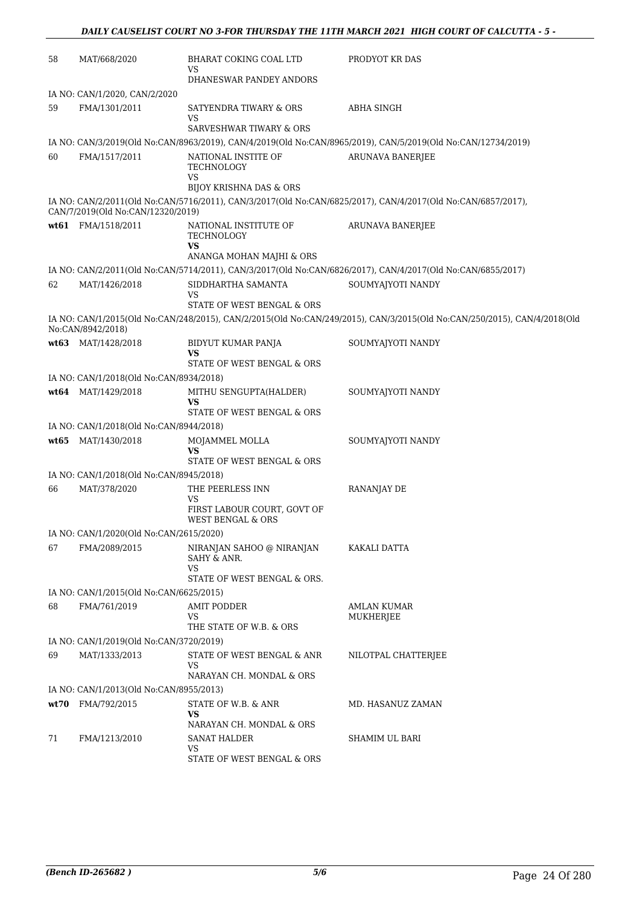| 58 | MAT/668/2020                            | <b>BHARAT COKING COAL LTD</b><br>VS                                                   | PRODYOT KR DAS                                                                                                           |
|----|-----------------------------------------|---------------------------------------------------------------------------------------|--------------------------------------------------------------------------------------------------------------------------|
|    |                                         | DHANESWAR PANDEY ANDORS                                                               |                                                                                                                          |
|    | IA NO: CAN/1/2020, CAN/2/2020           |                                                                                       |                                                                                                                          |
| 59 | FMA/1301/2011                           | SATYENDRA TIWARY & ORS<br>VS                                                          | ABHA SINGH                                                                                                               |
|    |                                         | <b>SARVESHWAR TIWARY &amp; ORS</b>                                                    |                                                                                                                          |
|    |                                         |                                                                                       | IA NO: CAN/3/2019(Old No:CAN/8963/2019), CAN/4/2019(Old No:CAN/8965/2019), CAN/5/2019(Old No:CAN/12734/2019)             |
| 60 | FMA/1517/2011                           | NATIONAL INSTITE OF<br>TECHNOLOGY<br>VS<br><b>BIJOY KRISHNA DAS &amp; ORS</b>         | <b>ARUNAVA BANERJEE</b>                                                                                                  |
|    | CAN/7/2019(Old No:CAN/12320/2019)       |                                                                                       | IA NO: CAN/2/2011(Old No:CAN/5716/2011), CAN/3/2017(Old No:CAN/6825/2017), CAN/4/2017(Old No:CAN/6857/2017),             |
|    | wt61 FMA/1518/2011                      | NATIONAL INSTITUTE OF<br>TECHNOLOGY<br><b>VS</b>                                      | <b>ARUNAVA BANERJEE</b>                                                                                                  |
|    |                                         | ANANGA MOHAN MAJHI & ORS                                                              |                                                                                                                          |
|    |                                         |                                                                                       | IA NO: CAN/2/2011(Old No:CAN/5714/2011), CAN/3/2017(Old No:CAN/6826/2017), CAN/4/2017(Old No:CAN/6855/2017)              |
| 62 | MAT/1426/2018                           | SIDDHARTHA SAMANTA<br>VS<br>STATE OF WEST BENGAL & ORS                                | SOUMYAJYOTI NANDY                                                                                                        |
|    |                                         |                                                                                       | IA NO: CAN/1/2015(Old No:CAN/248/2015), CAN/2/2015(Old No:CAN/249/2015), CAN/3/2015(Old No:CAN/250/2015), CAN/4/2018(Old |
|    | No:CAN/8942/2018)<br>wt63 MAT/1428/2018 | BIDYUT KUMAR PANJA                                                                    | SOUMYAJYOTI NANDY                                                                                                        |
|    |                                         | VS<br>STATE OF WEST BENGAL & ORS                                                      |                                                                                                                          |
|    | IA NO: CAN/1/2018(Old No:CAN/8934/2018) |                                                                                       |                                                                                                                          |
|    | wt64 MAT/1429/2018                      | MITHU SENGUPTA(HALDER)<br>VS<br>STATE OF WEST BENGAL & ORS                            | SOUMYAJYOTI NANDY                                                                                                        |
|    | IA NO: CAN/1/2018(Old No:CAN/8944/2018) |                                                                                       |                                                                                                                          |
|    | wt65 MAT/1430/2018                      | MOJAMMEL MOLLA                                                                        | SOUMYAJYOTI NANDY                                                                                                        |
|    |                                         | VS<br>STATE OF WEST BENGAL & ORS                                                      |                                                                                                                          |
|    | IA NO: CAN/1/2018(Old No:CAN/8945/2018) |                                                                                       |                                                                                                                          |
| 66 | MAT/378/2020                            | THE PEERLESS INN<br>VS<br>FIRST LABOUR COURT, GOVT OF<br><b>WEST BENGAL &amp; ORS</b> | <b>RANANJAY DE</b>                                                                                                       |
|    | IA NO: CAN/1/2020(Old No:CAN/2615/2020) |                                                                                       |                                                                                                                          |
| 67 | FMA/2089/2015                           | NIRANJAN SAHOO @ NIRANJAN<br>SAHY & ANR.<br>VS                                        | KAKALI DATTA                                                                                                             |
|    |                                         | STATE OF WEST BENGAL & ORS.                                                           |                                                                                                                          |
|    | IA NO: CAN/1/2015(Old No:CAN/6625/2015) |                                                                                       |                                                                                                                          |
| 68 | FMA/761/2019                            | <b>AMIT PODDER</b><br>VS<br>THE STATE OF W.B. & ORS                                   | <b>AMLAN KUMAR</b><br>MUKHERJEE                                                                                          |
|    | IA NO: CAN/1/2019(Old No:CAN/3720/2019) |                                                                                       |                                                                                                                          |
| 69 | MAT/1333/2013                           | STATE OF WEST BENGAL & ANR                                                            | NILOTPAL CHATTERJEE                                                                                                      |
|    |                                         | VS<br>NARAYAN CH. MONDAL & ORS                                                        |                                                                                                                          |
|    | IA NO: CAN/1/2013(Old No:CAN/8955/2013) |                                                                                       |                                                                                                                          |
|    | wt70 FMA/792/2015                       | STATE OF W.B. & ANR<br>VS<br>NARAYAN CH. MONDAL & ORS                                 | MD. HASANUZ ZAMAN                                                                                                        |
| 71 | FMA/1213/2010                           | <b>SANAT HALDER</b><br>VS<br>STATE OF WEST BENGAL & ORS                               | SHAMIM UL BARI                                                                                                           |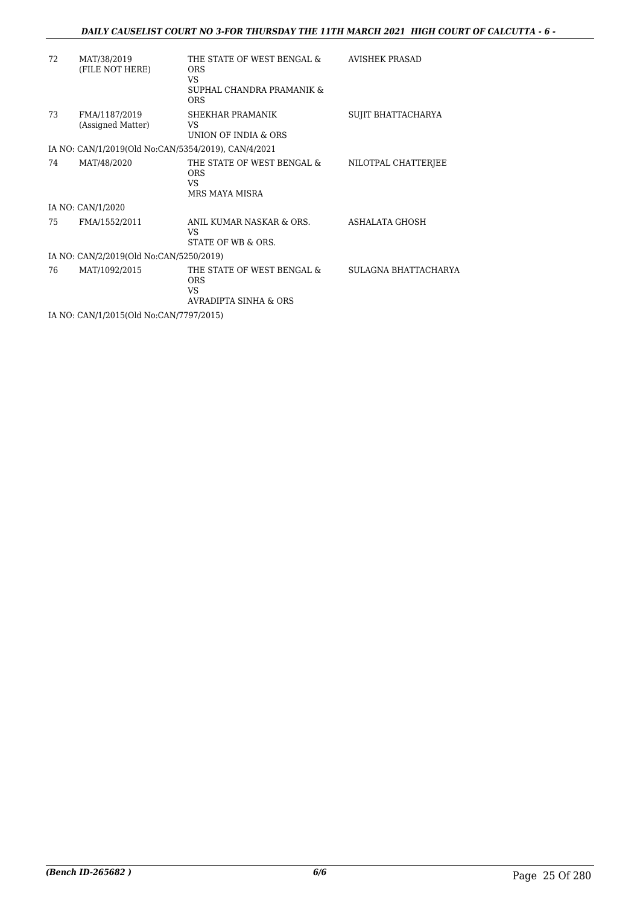#### *DAILY CAUSELIST COURT NO 3-FOR THURSDAY THE 11TH MARCH 2021 HIGH COURT OF CALCUTTA - 6 -*

| 72 | MAT/38/2019<br>(FILE NOT HERE)                      | THE STATE OF WEST BENGAL &<br><b>ORS</b><br>VS.<br>SUPHAL CHANDRA PRAMANIK &<br><b>ORS</b> | <b>AVISHEK PRASAD</b> |
|----|-----------------------------------------------------|--------------------------------------------------------------------------------------------|-----------------------|
| 73 | FMA/1187/2019<br>(Assigned Matter)                  | SHEKHAR PRAMANIK<br>VS.<br>UNION OF INDIA & ORS                                            | SUJIT BHATTACHARYA    |
|    | IA NO: CAN/1/2019(Old No:CAN/5354/2019), CAN/4/2021 |                                                                                            |                       |
| 74 | MAT/48/2020                                         | THE STATE OF WEST BENGAL &<br><b>ORS</b><br><b>VS</b><br>MRS MAYA MISRA                    | NILOTPAL CHATTERJEE   |
|    | IA NO: CAN/1/2020                                   |                                                                                            |                       |
| 75 | FMA/1552/2011                                       | ANIL KUMAR NASKAR & ORS.<br><b>VS</b><br>STATE OF WB & ORS.                                | ASHALATA GHOSH        |
|    | IA NO: CAN/2/2019(Old No:CAN/5250/2019)             |                                                                                            |                       |
| 76 | MAT/1092/2015                                       | THE STATE OF WEST BENGAL &<br><b>ORS</b><br>VS.<br><b>AVRADIPTA SINHA &amp; ORS</b>        | SULAGNA BHATTACHARYA  |
|    | IA NO: CAN/1/2015(Old No:CAN/7797/2015)             |                                                                                            |                       |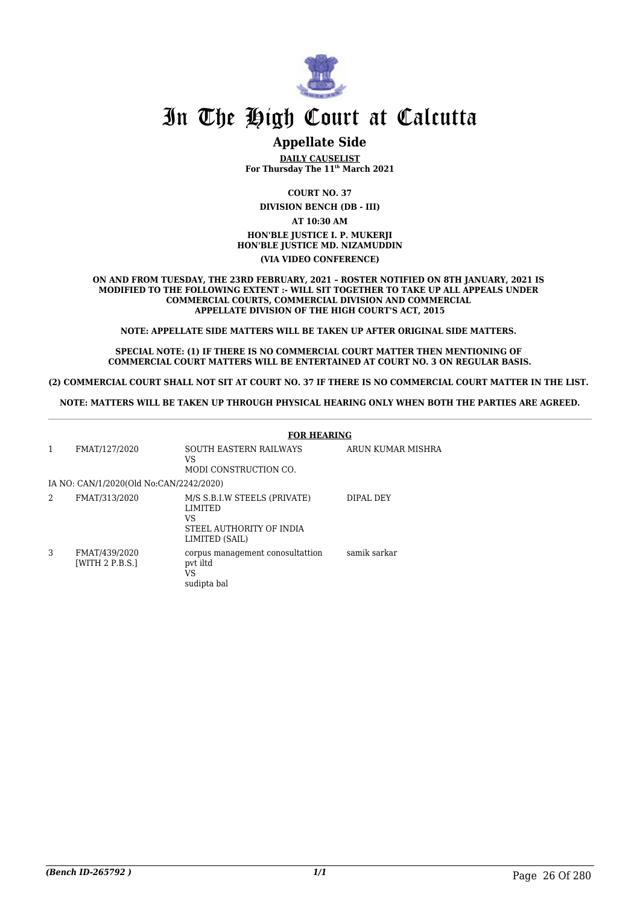

#### **Appellate Side**

**DAILY CAUSELIST For Thursday The 11th March 2021**

**COURT NO. 37**

**DIVISION BENCH (DB - III)**

**AT 10:30 AM HON'BLE JUSTICE I. P. MUKERJI HON'BLE JUSTICE MD. NIZAMUDDIN (VIA VIDEO CONFERENCE)**

**ON AND FROM TUESDAY, THE 23RD FEBRUARY, 2021 – ROSTER NOTIFIED ON 8TH JANUARY, 2021 IS MODIFIED TO THE FOLLOWING EXTENT :- WILL SIT TOGETHER TO TAKE UP ALL APPEALS UNDER COMMERCIAL COURTS, COMMERCIAL DIVISION AND COMMERCIAL APPELLATE DIVISION OF THE HIGH COURT'S ACT, 2015**

**NOTE: APPELLATE SIDE MATTERS WILL BE TAKEN UP AFTER ORIGINAL SIDE MATTERS.** 

**SPECIAL NOTE: (1) IF THERE IS NO COMMERCIAL COURT MATTER THEN MENTIONING OF COMMERCIAL COURT MATTERS WILL BE ENTERTAINED AT COURT NO. 3 ON REGULAR BASIS.**

**(2) COMMERCIAL COURT SHALL NOT SIT AT COURT NO. 37 IF THERE IS NO COMMERCIAL COURT MATTER IN THE LIST.** 

**NOTE: MATTERS WILL BE TAKEN UP THROUGH PHYSICAL HEARING ONLY WHEN BOTH THE PARTIES ARE AGREED.**

|                | <b>FOR HEARING</b>                      |                                                                                              |                   |  |  |
|----------------|-----------------------------------------|----------------------------------------------------------------------------------------------|-------------------|--|--|
| $\mathbf{1}$   | FMAT/127/2020                           | SOUTH EASTERN RAILWAYS<br>VS.<br>MODI CONSTRUCTION CO.                                       | ARUN KUMAR MISHRA |  |  |
|                | IA NO: CAN/1/2020(Old No:CAN/2242/2020) |                                                                                              |                   |  |  |
| $\overline{2}$ | FMAT/313/2020                           | M/S S.B.I.W STEELS (PRIVATE)<br>LIMITED<br>VS.<br>STEEL AUTHORITY OF INDIA<br>LIMITED (SAIL) | DIPAL DEY         |  |  |
| 3              | FMAT/439/2020<br>[WITH 2 P.B.S.]        | corpus management conosultattion<br>pvt iltd<br>VS<br>sudipta bal                            | samik sarkar      |  |  |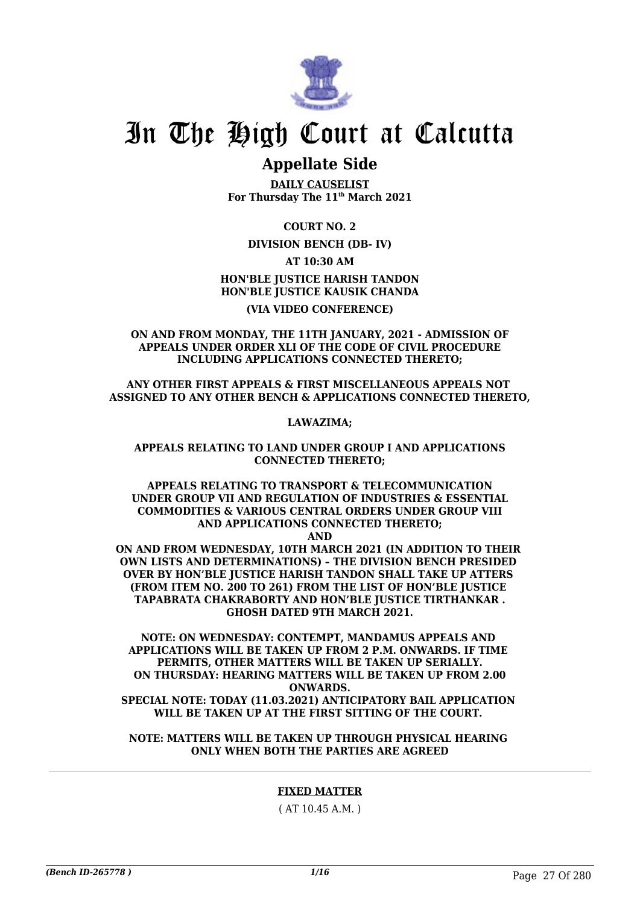

### **Appellate Side**

**DAILY CAUSELIST For Thursday The 11th March 2021**

**COURT NO. 2**

**DIVISION BENCH (DB- IV)**

**AT 10:30 AM HON'BLE JUSTICE HARISH TANDON HON'BLE JUSTICE KAUSIK CHANDA**

#### **(VIA VIDEO CONFERENCE)**

**ON AND FROM MONDAY, THE 11TH JANUARY, 2021 - ADMISSION OF APPEALS UNDER ORDER XLI OF THE CODE OF CIVIL PROCEDURE INCLUDING APPLICATIONS CONNECTED THERETO;**

**ANY OTHER FIRST APPEALS & FIRST MISCELLANEOUS APPEALS NOT ASSIGNED TO ANY OTHER BENCH & APPLICATIONS CONNECTED THERETO,**

**LAWAZIMA;**

**APPEALS RELATING TO LAND UNDER GROUP I AND APPLICATIONS CONNECTED THERETO;**

**APPEALS RELATING TO TRANSPORT & TELECOMMUNICATION UNDER GROUP VII AND REGULATION OF INDUSTRIES & ESSENTIAL COMMODITIES & VARIOUS CENTRAL ORDERS UNDER GROUP VIII AND APPLICATIONS CONNECTED THERETO; AND**

**ON AND FROM WEDNESDAY, 10TH MARCH 2021 (IN ADDITION TO THEIR OWN LISTS AND DETERMINATIONS) – THE DIVISION BENCH PRESIDED OVER BY HON'BLE JUSTICE HARISH TANDON SHALL TAKE UP ATTERS (FROM ITEM NO. 200 TO 261) FROM THE LIST OF HON'BLE JUSTICE TAPABRATA CHAKRABORTY AND HON'BLE JUSTICE TIRTHANKAR . GHOSH DATED 9TH MARCH 2021.**

**NOTE: ON WEDNESDAY: CONTEMPT, MANDAMUS APPEALS AND APPLICATIONS WILL BE TAKEN UP FROM 2 P.M. ONWARDS. IF TIME PERMITS, OTHER MATTERS WILL BE TAKEN UP SERIALLY. ON THURSDAY: HEARING MATTERS WILL BE TAKEN UP FROM 2.00 ONWARDS. SPECIAL NOTE: TODAY (11.03.2021) ANTICIPATORY BAIL APPLICATION WILL BE TAKEN UP AT THE FIRST SITTING OF THE COURT.** 

**NOTE: MATTERS WILL BE TAKEN UP THROUGH PHYSICAL HEARING ONLY WHEN BOTH THE PARTIES ARE AGREED**

#### **FIXED MATTER**

( AT 10.45 A.M. )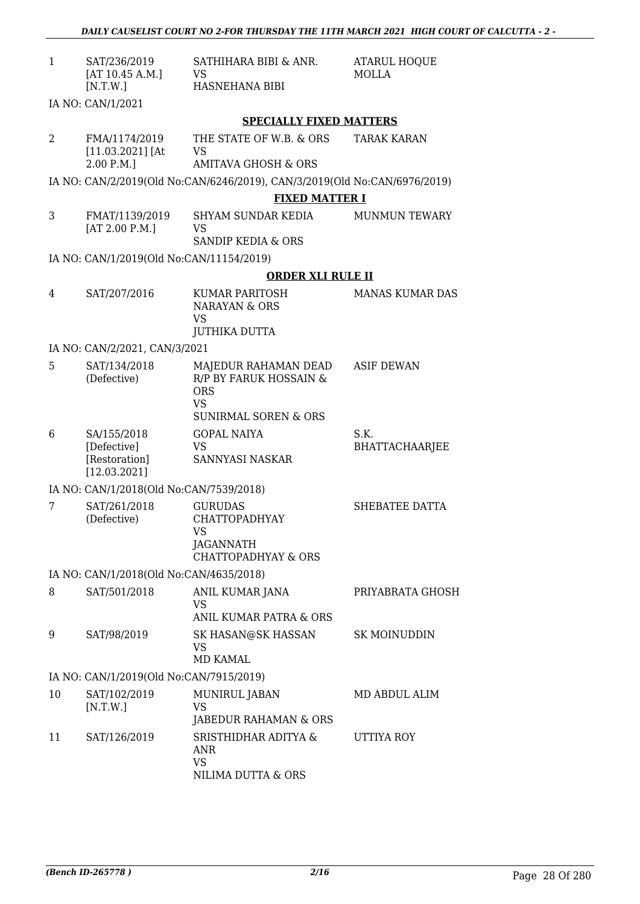| $\mathbf{1}$ | SAT/236/2019<br>[AT 10.45 A.M.]              | SATHIHARA BIBI & ANR.<br><b>VS</b>                                                                           | <b>ATARUL HOQUE</b><br><b>MOLLA</b> |
|--------------|----------------------------------------------|--------------------------------------------------------------------------------------------------------------|-------------------------------------|
|              | [N.T.W.]                                     | HASNEHANA BIBI                                                                                               |                                     |
|              | IA NO: CAN/1/2021                            |                                                                                                              |                                     |
|              |                                              | <b>SPECIALLY FIXED MATTERS</b>                                                                               |                                     |
| 2            | FMA/1174/2019<br>$[11.03.2021]$ [At          | THE STATE OF W.B. & ORS<br>VS                                                                                | <b>TARAK KARAN</b>                  |
|              | 2.00 P.M.]                                   | <b>AMITAVA GHOSH &amp; ORS</b>                                                                               |                                     |
|              |                                              | IA NO: CAN/2/2019(Old No:CAN/6246/2019), CAN/3/2019(Old No:CAN/6976/2019)                                    |                                     |
|              |                                              | <b>FIXED MATTER I</b>                                                                                        |                                     |
| 3            | FMAT/1139/2019<br>[AT 2.00 P.M.]             | SHYAM SUNDAR KEDIA<br>VS<br><b>SANDIP KEDIA &amp; ORS</b>                                                    | <b>MUNMUN TEWARY</b>                |
|              | IA NO: CAN/1/2019(Old No:CAN/11154/2019)     |                                                                                                              |                                     |
|              |                                              | <b>ORDER XLI RULE II</b>                                                                                     |                                     |
| 4            | SAT/207/2016                                 | KUMAR PARITOSH                                                                                               | <b>MANAS KUMAR DAS</b>              |
|              |                                              | <b>NARAYAN &amp; ORS</b><br><b>VS</b>                                                                        |                                     |
|              |                                              | <b>JUTHIKA DUTTA</b>                                                                                         |                                     |
|              | IA NO: CAN/2/2021, CAN/3/2021                |                                                                                                              |                                     |
| 5            | SAT/134/2018<br>(Defective)                  | MAJEDUR RAHAMAN DEAD<br>R/P BY FARUK HOSSAIN &<br><b>ORS</b><br><b>VS</b><br><b>SUNIRMAL SOREN &amp; ORS</b> | <b>ASIF DEWAN</b>                   |
| 6            | SA/155/2018                                  | <b>GOPAL NAIYA</b>                                                                                           | S.K.                                |
|              | [Defective]<br>[Restoration]<br>[12.03.2021] | <b>VS</b><br>SANNYASI NASKAR                                                                                 | <b>BHATTACHAARJEE</b>               |
|              | IA NO: CAN/1/2018(Old No:CAN/7539/2018)      |                                                                                                              |                                     |
| 7            | SAT/261/2018<br>(Defective)                  | <b>GURUDAS</b><br><b>CHATTOPADHYAY</b><br>VS                                                                 | SHEBATEE DATTA                      |
|              |                                              | JAGANNATH<br><b>CHATTOPADHYAY &amp; ORS</b>                                                                  |                                     |
|              | IA NO: CAN/1/2018(Old No:CAN/4635/2018)      |                                                                                                              |                                     |
| 8            | SAT/501/2018                                 | ANIL KUMAR JANA<br><b>VS</b><br>ANIL KUMAR PATRA & ORS                                                       | PRIYABRATA GHOSH                    |
| 9            | SAT/98/2019                                  | SK HASAN@SK HASSAN<br><b>VS</b><br>MD KAMAL                                                                  | SK MOINUDDIN                        |
|              | IA NO: CAN/1/2019(Old No:CAN/7915/2019)      |                                                                                                              |                                     |
| 10           |                                              |                                                                                                              |                                     |
|              | SAT/102/2019<br>[N.T.W.]                     | MUNIRUL JABAN<br>VS<br>JABEDUR RAHAMAN & ORS                                                                 | MD ABDUL ALIM                       |
| 11           | SAT/126/2019                                 | SRISTHIDHAR ADITYA &<br><b>ANR</b><br><b>VS</b><br>NILIMA DUTTA & ORS                                        | UTTIYA ROY                          |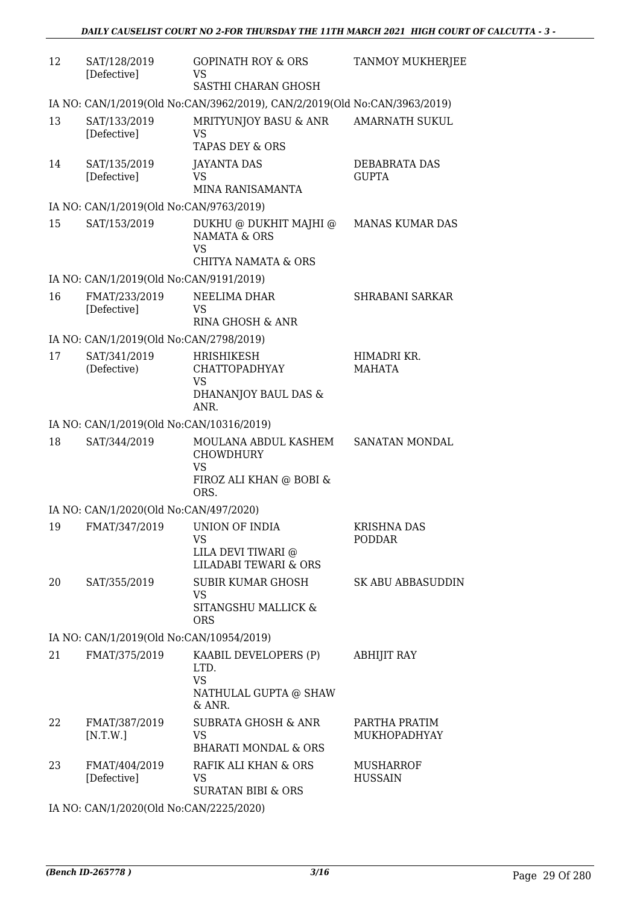| 12 | SAT/128/2019<br>[Defective]              | <b>GOPINATH ROY &amp; ORS</b><br>VS<br>SASTHI CHARAN GHOSH                                       | <b>TANMOY MUKHERJEE</b>             |
|----|------------------------------------------|--------------------------------------------------------------------------------------------------|-------------------------------------|
|    |                                          | IA NO: CAN/1/2019(Old No:CAN/3962/2019), CAN/2/2019(Old No:CAN/3963/2019)                        |                                     |
| 13 | SAT/133/2019<br>[Defective]              | MRITYUNJOY BASU & ANR<br>VS<br>TAPAS DEY & ORS                                                   | <b>AMARNATH SUKUL</b>               |
| 14 | SAT/135/2019<br>[Defective]              | JAYANTA DAS<br>VS<br>MINA RANISAMANTA                                                            | DEBABRATA DAS<br><b>GUPTA</b>       |
|    | IA NO: CAN/1/2019(Old No:CAN/9763/2019)  |                                                                                                  |                                     |
| 15 | SAT/153/2019                             | DUKHU @ DUKHIT MAJHI @<br><b>NAMATA &amp; ORS</b><br><b>VS</b><br><b>CHITYA NAMATA &amp; ORS</b> | <b>MANAS KUMAR DAS</b>              |
|    | IA NO: CAN/1/2019(Old No:CAN/9191/2019)  |                                                                                                  |                                     |
| 16 | FMAT/233/2019<br>[Defective]             | NEELIMA DHAR<br>VS<br>RINA GHOSH & ANR                                                           | <b>SHRABANI SARKAR</b>              |
|    | IA NO: CAN/1/2019(Old No:CAN/2798/2019)  |                                                                                                  |                                     |
| 17 | SAT/341/2019<br>(Defective)              | HRISHIKESH<br><b>CHATTOPADHYAY</b><br>VS<br>DHANANJOY BAUL DAS &<br>ANR.                         | HIMADRI KR.<br>MAHATA               |
|    | IA NO: CAN/1/2019(Old No:CAN/10316/2019) |                                                                                                  |                                     |
| 18 | SAT/344/2019                             | MOULANA ABDUL KASHEM<br><b>CHOWDHURY</b><br><b>VS</b><br>FIROZ ALI KHAN @ BOBI &<br>ORS.         | SANATAN MONDAL                      |
|    | IA NO: CAN/1/2020(Old No:CAN/497/2020)   |                                                                                                  |                                     |
| 19 | FMAT/347/2019                            | UNION OF INDIA<br>VS<br>LILA DEVI TIWARI @<br><b>LILADABI TEWARI &amp; ORS</b>                   | <b>KRISHNA DAS</b><br><b>PODDAR</b> |
| 20 | SAT/355/2019                             | SUBIR KUMAR GHOSH<br><b>VS</b><br>SITANGSHU MALLICK &<br><b>ORS</b>                              | <b>SK ABU ABBASUDDIN</b>            |
|    | IA NO: CAN/1/2019(Old No:CAN/10954/2019) |                                                                                                  |                                     |
| 21 | FMAT/375/2019                            | KAABIL DEVELOPERS (P)<br>LTD.<br><b>VS</b><br>NATHULAL GUPTA @ SHAW<br>& ANR.                    | <b>ABHIJIT RAY</b>                  |
| 22 | FMAT/387/2019<br>[N.T.W.]                | <b>SUBRATA GHOSH &amp; ANR</b><br>VS.<br><b>BHARATI MONDAL &amp; ORS</b>                         | PARTHA PRATIM<br>MUKHOPADHYAY       |
| 23 | FMAT/404/2019<br>[Defective]             | RAFIK ALI KHAN & ORS<br>VS<br><b>SURATAN BIBI &amp; ORS</b>                                      | <b>MUSHARROF</b><br><b>HUSSAIN</b>  |

IA NO: CAN/1/2020(Old No:CAN/2225/2020)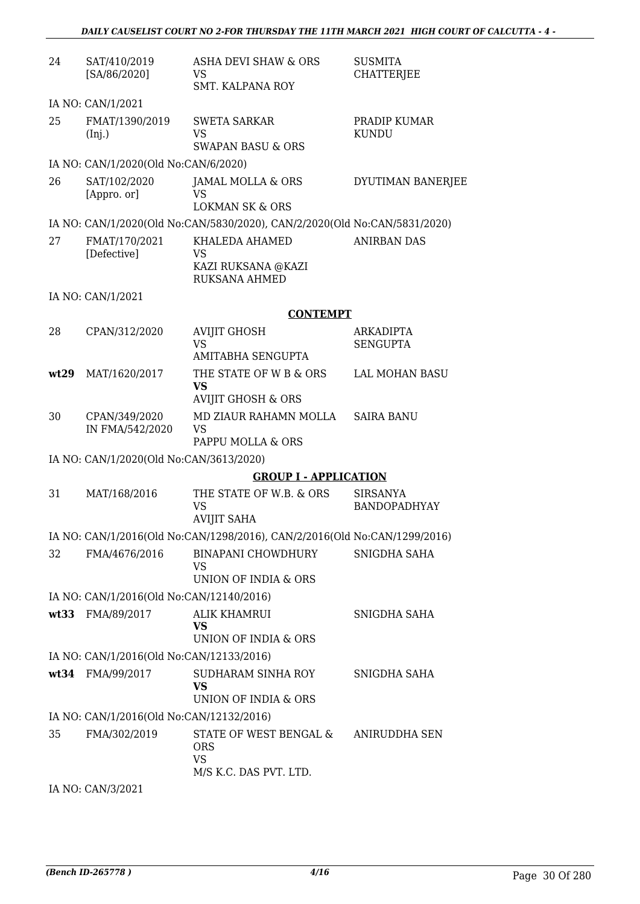| 24   | SAT/410/2019<br>[SA/86/2020]             | ASHA DEVI SHAW & ORS<br>VS<br><b>SMT. KALPANA ROY</b>                     | <b>SUSMITA</b><br><b>CHATTERJEE</b>    |
|------|------------------------------------------|---------------------------------------------------------------------------|----------------------------------------|
|      | IA NO: CAN/1/2021                        |                                                                           |                                        |
| 25   | FMAT/1390/2019<br>(Inj.)                 | <b>SWETA SARKAR</b><br><b>VS</b><br><b>SWAPAN BASU &amp; ORS</b>          | PRADIP KUMAR<br><b>KUNDU</b>           |
|      | IA NO: CAN/1/2020(Old No:CAN/6/2020)     |                                                                           |                                        |
| 26   | SAT/102/2020<br>[Appro. or]              | JAMAL MOLLA & ORS<br>VS<br><b>LOKMAN SK &amp; ORS</b>                     | DYUTIMAN BANERJEE                      |
|      |                                          | IA NO: CAN/1/2020(Old No:CAN/5830/2020), CAN/2/2020(Old No:CAN/5831/2020) |                                        |
| 27   | FMAT/170/2021<br>[Defective]             | KHALEDA AHAMED<br>VS<br>KAZI RUKSANA @KAZI<br><b>RUKSANA AHMED</b>        | <b>ANIRBAN DAS</b>                     |
|      | IA NO: CAN/1/2021                        |                                                                           |                                        |
|      |                                          | <b>CONTEMPT</b>                                                           |                                        |
| 28   | CPAN/312/2020                            | <b>AVIJIT GHOSH</b><br><b>VS</b>                                          | <b>ARKADIPTA</b><br><b>SENGUPTA</b>    |
|      |                                          | <b>AMITABHA SENGUPTA</b>                                                  |                                        |
| wt29 | MAT/1620/2017                            | THE STATE OF W B & ORS<br>VS<br><b>AVIJIT GHOSH &amp; ORS</b>             | <b>LAL MOHAN BASU</b>                  |
| 30   | CPAN/349/2020<br>IN FMA/542/2020         | MD ZIAUR RAHAMN MOLLA<br><b>VS</b><br>PAPPU MOLLA & ORS                   | <b>SAIRA BANU</b>                      |
|      | IA NO: CAN/1/2020(Old No:CAN/3613/2020)  |                                                                           |                                        |
|      |                                          | <b>GROUP I - APPLICATION</b>                                              |                                        |
| 31   | MAT/168/2016                             | THE STATE OF W.B. & ORS<br><b>VS</b><br><b>AVIJIT SAHA</b>                | <b>SIRSANYA</b><br><b>BANDOPADHYAY</b> |
|      |                                          | IA NO: CAN/1/2016(Old No:CAN/1298/2016), CAN/2/2016(Old No:CAN/1299/2016) |                                        |
| 32   | FMA/4676/2016                            | <b>BINAPANI CHOWDHURY</b><br>VS<br>UNION OF INDIA & ORS                   | SNIGDHA SAHA                           |
|      | IA NO: CAN/1/2016(Old No:CAN/12140/2016) |                                                                           |                                        |
|      | wt33 FMA/89/2017                         | ALIK KHAMRUI<br><b>VS</b><br>UNION OF INDIA & ORS                         | SNIGDHA SAHA                           |
|      | IA NO: CAN/1/2016(Old No:CAN/12133/2016) |                                                                           |                                        |
|      | wt34 FMA/99/2017                         | SUDHARAM SINHA ROY<br><b>VS</b><br>UNION OF INDIA & ORS                   | SNIGDHA SAHA                           |
|      | IA NO: CAN/1/2016(Old No:CAN/12132/2016) |                                                                           |                                        |
| 35   | FMA/302/2019                             | STATE OF WEST BENGAL &<br><b>ORS</b><br><b>VS</b>                         | ANIRUDDHA SEN                          |
|      | IA NO: CAN/3/2021                        | M/S K.C. DAS PVT. LTD.                                                    |                                        |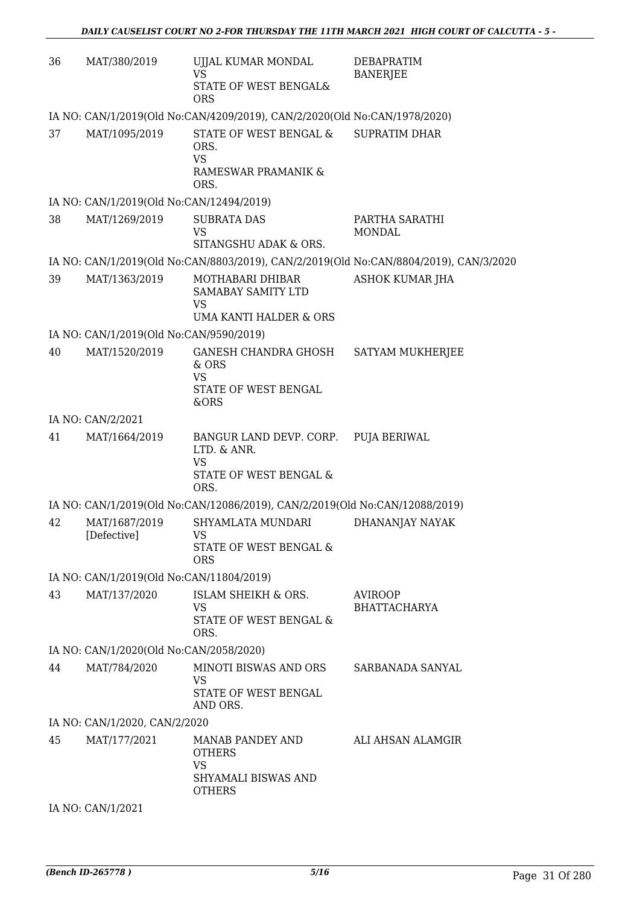| 36 | MAT/380/2019                             | UJJAL KUMAR MONDAL<br><b>VS</b><br>STATE OF WEST BENGAL&<br><b>ORS</b>                             | DEBAPRATIM<br><b>BANERJEE</b>                                                         |
|----|------------------------------------------|----------------------------------------------------------------------------------------------------|---------------------------------------------------------------------------------------|
|    |                                          | IA NO: CAN/1/2019(Old No:CAN/4209/2019), CAN/2/2020(Old No:CAN/1978/2020)                          |                                                                                       |
| 37 | MAT/1095/2019                            | STATE OF WEST BENGAL &<br>ORS.<br><b>VS</b><br>RAMESWAR PRAMANIK &<br>ORS.                         | <b>SUPRATIM DHAR</b>                                                                  |
|    | IA NO: CAN/1/2019(Old No:CAN/12494/2019) |                                                                                                    |                                                                                       |
| 38 | MAT/1269/2019                            | <b>SUBRATA DAS</b><br><b>VS</b><br>SITANGSHU ADAK & ORS.                                           | PARTHA SARATHI<br><b>MONDAL</b>                                                       |
|    |                                          |                                                                                                    | IA NO: CAN/1/2019(Old No:CAN/8803/2019), CAN/2/2019(Old No:CAN/8804/2019), CAN/3/2020 |
| 39 | MAT/1363/2019                            | MOTHABARI DHIBAR<br>SAMABAY SAMITY LTD<br>VS<br>UMA KANTI HALDER & ORS                             | <b>ASHOK KUMAR JHA</b>                                                                |
|    | IA NO: CAN/1/2019(Old No:CAN/9590/2019)  |                                                                                                    |                                                                                       |
| 40 | MAT/1520/2019                            | GANESH CHANDRA GHOSH<br>& ORS<br><b>VS</b>                                                         | SATYAM MUKHERJEE                                                                      |
|    |                                          | STATE OF WEST BENGAL<br>&ORS                                                                       |                                                                                       |
|    | IA NO: CAN/2/2021                        |                                                                                                    |                                                                                       |
| 41 | MAT/1664/2019                            | BANGUR LAND DEVP. CORP. PUJA BERIWAL<br>LTD. & ANR.<br><b>VS</b><br>STATE OF WEST BENGAL &<br>ORS. |                                                                                       |
|    |                                          | IA NO: CAN/1/2019(Old No:CAN/12086/2019), CAN/2/2019(Old No:CAN/12088/2019)                        |                                                                                       |
| 42 | MAT/1687/2019<br>[Defective]             | SHYAMLATA MUNDARI<br><b>VS</b><br>STATE OF WEST BENGAL &<br><b>ORS</b>                             | DHANANJAY NAYAK                                                                       |
|    | IA NO: CAN/1/2019(Old No:CAN/11804/2019) |                                                                                                    |                                                                                       |
| 43 | MAT/137/2020                             | ISLAM SHEIKH & ORS.<br>VS<br>STATE OF WEST BENGAL &<br>ORS.                                        | <b>AVIROOP</b><br><b>BHATTACHARYA</b>                                                 |
|    | IA NO: CAN/1/2020(Old No:CAN/2058/2020)  |                                                                                                    |                                                                                       |
| 44 | MAT/784/2020                             | MINOTI BISWAS AND ORS<br><b>VS</b><br>STATE OF WEST BENGAL<br>AND ORS.                             | SARBANADA SANYAL                                                                      |
|    | IA NO: CAN/1/2020, CAN/2/2020            |                                                                                                    |                                                                                       |
| 45 | MAT/177/2021                             | MANAB PANDEY AND<br><b>OTHERS</b><br><b>VS</b><br>SHYAMALI BISWAS AND<br><b>OTHERS</b>             | ALI AHSAN ALAMGIR                                                                     |

IA NO: CAN/1/2021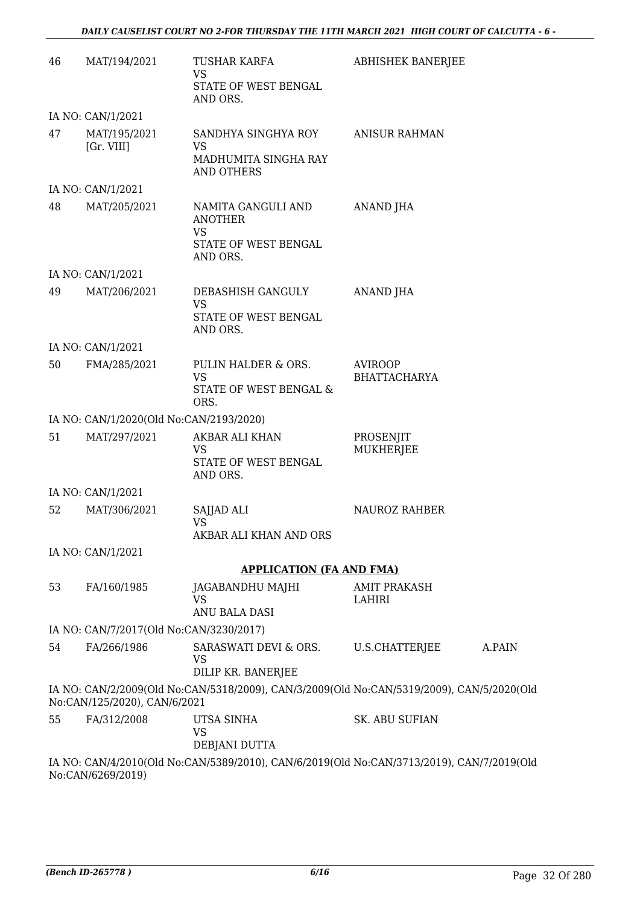| 46 | MAT/194/2021                            | TUSHAR KARFA<br><b>VS</b>                                                                 | <b>ABHISHEK BANERJEE</b>              |        |
|----|-----------------------------------------|-------------------------------------------------------------------------------------------|---------------------------------------|--------|
|    |                                         | STATE OF WEST BENGAL<br>AND ORS.                                                          |                                       |        |
|    | IA NO: CAN/1/2021                       |                                                                                           |                                       |        |
| 47 | MAT/195/2021<br>[Gr. VIII]              | SANDHYA SINGHYA ROY<br>VS                                                                 | <b>ANISUR RAHMAN</b>                  |        |
|    |                                         | MADHUMITA SINGHA RAY<br><b>AND OTHERS</b>                                                 |                                       |        |
|    | IA NO: CAN/1/2021                       |                                                                                           |                                       |        |
| 48 | MAT/205/2021                            | NAMITA GANGULI AND<br><b>ANOTHER</b><br>VS<br>STATE OF WEST BENGAL                        | ANAND JHA                             |        |
|    |                                         | AND ORS.                                                                                  |                                       |        |
|    | IA NO: CAN/1/2021                       |                                                                                           |                                       |        |
| 49 | MAT/206/2021                            | DEBASHISH GANGULY<br>VS                                                                   | ANAND JHA                             |        |
|    |                                         | STATE OF WEST BENGAL<br>AND ORS.                                                          |                                       |        |
|    | IA NO: CAN/1/2021                       |                                                                                           |                                       |        |
| 50 | FMA/285/2021                            | PULIN HALDER & ORS.<br><b>VS</b>                                                          | <b>AVIROOP</b><br><b>BHATTACHARYA</b> |        |
|    |                                         | STATE OF WEST BENGAL &<br>ORS.                                                            |                                       |        |
|    | IA NO: CAN/1/2020(Old No:CAN/2193/2020) |                                                                                           |                                       |        |
| 51 | MAT/297/2021                            | AKBAR ALI KHAN                                                                            | PROSENJIT                             |        |
|    |                                         | VS<br>STATE OF WEST BENGAL<br>AND ORS.                                                    | <b>MUKHERJEE</b>                      |        |
|    | IA NO: CAN/1/2021                       |                                                                                           |                                       |        |
| 52 | MAT/306/2021                            | SAJJAD ALI<br><b>VS</b>                                                                   | NAUROZ RAHBER                         |        |
|    |                                         | AKBAR ALI KHAN AND ORS                                                                    |                                       |        |
|    | IA NO: CAN/1/2021                       |                                                                                           |                                       |        |
|    |                                         | <b>APPLICATION (FA AND FMA)</b>                                                           |                                       |        |
| 53 | FA/160/1985                             | JAGABANDHU MAJHI<br>VS                                                                    | <b>AMIT PRAKASH</b><br>LAHIRI         |        |
|    |                                         | ANU BALA DASI                                                                             |                                       |        |
|    | IA NO: CAN/7/2017(Old No:CAN/3230/2017) |                                                                                           |                                       |        |
| 54 | FA/266/1986                             | SARASWATI DEVI & ORS.<br>VS<br>DILIP KR. BANERJEE                                         | U.S.CHATTERJEE                        | A.PAIN |
|    | No:CAN/125/2020), CAN/6/2021            | IA NO: CAN/2/2009(Old No:CAN/5318/2009), CAN/3/2009(Old No:CAN/5319/2009), CAN/5/2020(Old |                                       |        |
| 55 | FA/312/2008                             | UTSA SINHA<br><b>VS</b><br>DEBJANI DUTTA                                                  | <b>SK. ABU SUFIAN</b>                 |        |
|    |                                         | IA NO: CAN/4/2010(Old No:CAN/5389/2010), CAN/6/2019(Old No:CAN/3713/2019), CAN/7/2019(Old |                                       |        |

No:CAN/6269/2019)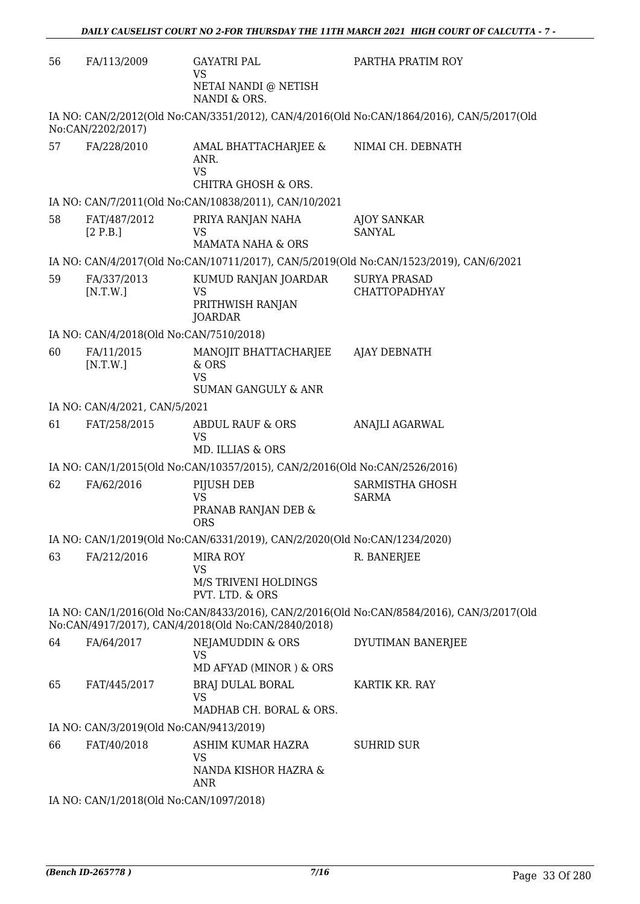| 56 | FA/113/2009                             | <b>GAYATRI PAL</b><br><b>VS</b><br>NETAI NANDI @ NETISH                         | PARTHA PRATIM ROY                                                                         |
|----|-----------------------------------------|---------------------------------------------------------------------------------|-------------------------------------------------------------------------------------------|
|    |                                         | NANDI & ORS.                                                                    |                                                                                           |
|    | No:CAN/2202/2017)                       |                                                                                 | IA NO: CAN/2/2012(Old No:CAN/3351/2012), CAN/4/2016(Old No:CAN/1864/2016), CAN/5/2017(Old |
| 57 | FA/228/2010                             | AMAL BHATTACHARJEE &<br>ANR.<br><b>VS</b><br>CHITRA GHOSH & ORS.                | NIMAI CH. DEBNATH                                                                         |
|    |                                         | IA NO: CAN/7/2011(Old No:CAN/10838/2011), CAN/10/2021                           |                                                                                           |
| 58 | FAT/487/2012<br>[2 P.B.]                | PRIYA RANJAN NAHA<br><b>VS</b><br><b>MAMATA NAHA &amp; ORS</b>                  | <b>AJOY SANKAR</b><br><b>SANYAL</b>                                                       |
|    |                                         |                                                                                 | IA NO: CAN/4/2017(Old No:CAN/10711/2017), CAN/5/2019(Old No:CAN/1523/2019), CAN/6/2021    |
| 59 | FA/337/2013<br>[N.T.W.]                 | KUMUD RANJAN JOARDAR<br><b>VS</b><br>PRITHWISH RANJAN<br><b>JOARDAR</b>         | <b>SURYA PRASAD</b><br><b>CHATTOPADHYAY</b>                                               |
|    | IA NO: CAN/4/2018(Old No:CAN/7510/2018) |                                                                                 |                                                                                           |
| 60 | FA/11/2015<br>[N.T.W.]                  | MANOJIT BHATTACHARJEE<br>$&$ ORS<br><b>VS</b><br><b>SUMAN GANGULY &amp; ANR</b> | AJAY DEBNATH                                                                              |
|    | IA NO: CAN/4/2021, CAN/5/2021           |                                                                                 |                                                                                           |
| 61 | FAT/258/2015                            | <b>ABDUL RAUF &amp; ORS</b><br>VS<br>MD. ILLIAS & ORS                           | ANAJLI AGARWAL                                                                            |
|    |                                         | IA NO: CAN/1/2015(Old No:CAN/10357/2015), CAN/2/2016(Old No:CAN/2526/2016)      |                                                                                           |
| 62 | FA/62/2016                              | PIJUSH DEB<br><b>VS</b><br>PRANAB RANJAN DEB &<br><b>ORS</b>                    | SARMISTHA GHOSH<br><b>SARMA</b>                                                           |
|    |                                         | IA NO: CAN/1/2019(Old No:CAN/6331/2019), CAN/2/2020(Old No:CAN/1234/2020)       |                                                                                           |
| 63 | FA/212/2016                             | <b>MIRA ROY</b><br><b>VS</b><br>M/S TRIVENI HOLDINGS<br>PVT. LTD. & ORS         | R. BANERJEE                                                                               |
|    |                                         | No:CAN/4917/2017), CAN/4/2018(Old No:CAN/2840/2018)                             | IA NO: CAN/1/2016(Old No:CAN/8433/2016), CAN/2/2016(Old No:CAN/8584/2016), CAN/3/2017(Old |
| 64 | FA/64/2017                              | <b>NEJAMUDDIN &amp; ORS</b><br><b>VS</b><br>MD AFYAD (MINOR) & ORS              | DYUTIMAN BANERJEE                                                                         |
| 65 | FAT/445/2017                            | BRAJ DULAL BORAL<br><b>VS</b>                                                   | KARTIK KR. RAY                                                                            |
|    |                                         | MADHAB CH. BORAL & ORS.                                                         |                                                                                           |
|    | IA NO: CAN/3/2019(Old No:CAN/9413/2019) |                                                                                 |                                                                                           |
| 66 | FAT/40/2018                             | ASHIM KUMAR HAZRA<br>VS<br>NANDA KISHOR HAZRA &<br><b>ANR</b>                   | <b>SUHRID SUR</b>                                                                         |
|    | IA NO: CAN/1/2018(Old No:CAN/1097/2018) |                                                                                 |                                                                                           |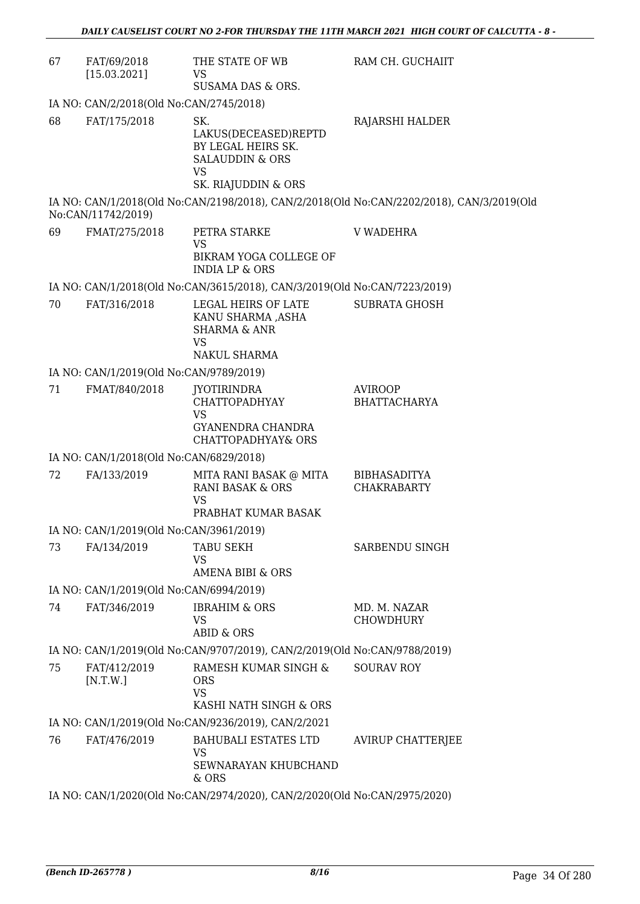| 67 | FAT/69/2018<br>[15.03.2021]             | THE STATE OF WB<br>VS<br>SUSAMA DAS & ORS.                                                                          | RAM CH. GUCHAIIT                                                                          |  |  |  |
|----|-----------------------------------------|---------------------------------------------------------------------------------------------------------------------|-------------------------------------------------------------------------------------------|--|--|--|
|    | IA NO: CAN/2/2018(Old No:CAN/2745/2018) |                                                                                                                     |                                                                                           |  |  |  |
| 68 | FAT/175/2018                            | SK.<br>LAKUS(DECEASED)REPTD<br>BY LEGAL HEIRS SK.<br><b>SALAUDDIN &amp; ORS</b><br><b>VS</b><br>SK. RIAJUDDIN & ORS | RAJARSHI HALDER                                                                           |  |  |  |
|    | No:CAN/11742/2019)                      |                                                                                                                     | IA NO: CAN/1/2018(Old No:CAN/2198/2018), CAN/2/2018(Old No:CAN/2202/2018), CAN/3/2019(Old |  |  |  |
| 69 | FMAT/275/2018                           | PETRA STARKE<br>VS<br>BIKRAM YOGA COLLEGE OF<br><b>INDIA LP &amp; ORS</b>                                           | <b>V WADEHRA</b>                                                                          |  |  |  |
|    |                                         | IA NO: CAN/1/2018(Old No:CAN/3615/2018), CAN/3/2019(Old No:CAN/7223/2019)                                           |                                                                                           |  |  |  |
| 70 | FAT/316/2018                            | LEGAL HEIRS OF LATE<br>KANU SHARMA ,ASHA<br><b>SHARMA &amp; ANR</b><br><b>VS</b><br><b>NAKUL SHARMA</b>             | <b>SUBRATA GHOSH</b>                                                                      |  |  |  |
|    | IA NO: CAN/1/2019(Old No:CAN/9789/2019) |                                                                                                                     |                                                                                           |  |  |  |
| 71 | FMAT/840/2018                           | <b>JYOTIRINDRA</b><br>CHATTOPADHYAY<br>VS<br>GYANENDRA CHANDRA<br><b>CHATTOPADHYAY&amp; ORS</b>                     | <b>AVIROOP</b><br><b>BHATTACHARYA</b>                                                     |  |  |  |
|    | IA NO: CAN/1/2018(Old No:CAN/6829/2018) |                                                                                                                     |                                                                                           |  |  |  |
| 72 | FA/133/2019                             | MITA RANI BASAK @ MITA<br>RANI BASAK & ORS<br><b>VS</b><br>PRABHAT KUMAR BASAK                                      | <b>BIBHASADITYA</b><br><b>CHAKRABARTY</b>                                                 |  |  |  |
|    | IA NO: CAN/1/2019(Old No:CAN/3961/2019) |                                                                                                                     |                                                                                           |  |  |  |
| 73 | FA/134/2019                             | TABU SEKH<br>VS<br><b>AMENA BIBI &amp; ORS</b>                                                                      | SARBENDU SINGH                                                                            |  |  |  |
|    | IA NO: CAN/1/2019(Old No:CAN/6994/2019) |                                                                                                                     |                                                                                           |  |  |  |
| 74 | FAT/346/2019                            | <b>IBRAHIM &amp; ORS</b><br><b>VS</b><br><b>ABID &amp; ORS</b>                                                      | MD. M. NAZAR<br><b>CHOWDHURY</b>                                                          |  |  |  |
|    |                                         | IA NO: CAN/1/2019(Old No:CAN/9707/2019), CAN/2/2019(Old No:CAN/9788/2019)                                           |                                                                                           |  |  |  |
| 75 | FAT/412/2019<br>[N.T.W.]                | RAMESH KUMAR SINGH &<br><b>ORS</b><br><b>VS</b><br>KASHI NATH SINGH & ORS                                           | <b>SOURAV ROY</b>                                                                         |  |  |  |
|    |                                         | IA NO: CAN/1/2019(Old No:CAN/9236/2019), CAN/2/2021                                                                 |                                                                                           |  |  |  |
| 76 | FAT/476/2019                            | <b>BAHUBALI ESTATES LTD</b><br>VS<br>SEWNARAYAN KHUBCHAND<br>& ORS                                                  | <b>AVIRUP CHATTERJEE</b>                                                                  |  |  |  |
|    |                                         | IA NO: CAN/1/2020(Old No:CAN/2974/2020), CAN/2/2020(Old No:CAN/2975/2020)                                           |                                                                                           |  |  |  |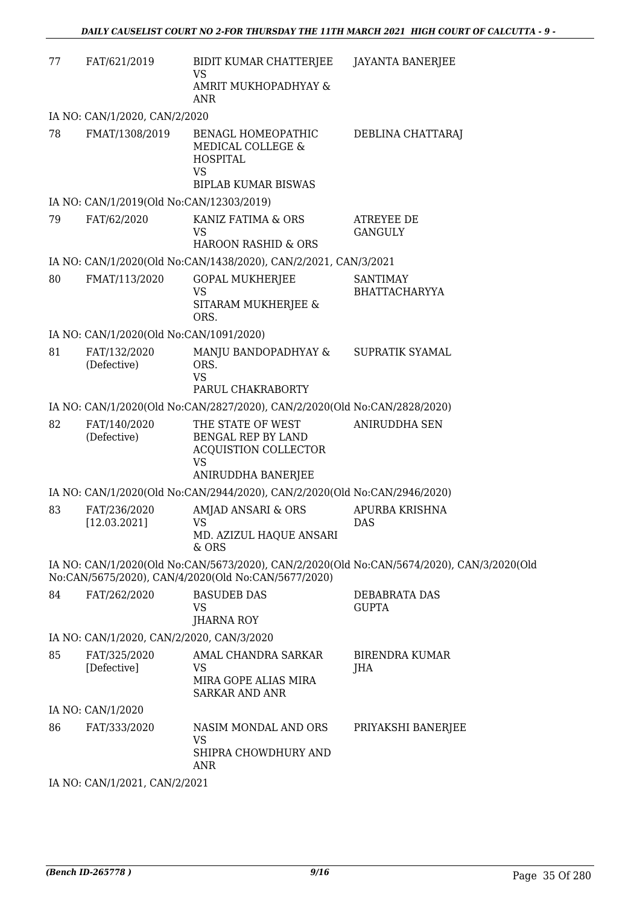| 77 | FAT/621/2019                              | BIDIT KUMAR CHATTERJEE<br>VS                                                        | <b>JAYANTA BANERJEE</b>                                                                   |
|----|-------------------------------------------|-------------------------------------------------------------------------------------|-------------------------------------------------------------------------------------------|
|    |                                           | AMRIT MUKHOPADHYAY &<br>ANR                                                         |                                                                                           |
|    | IA NO: CAN/1/2020, CAN/2/2020             |                                                                                     |                                                                                           |
| 78 | FMAT/1308/2019                            | BENAGL HOMEOPATHIC<br>MEDICAL COLLEGE &<br><b>HOSPITAL</b><br><b>VS</b>             | DEBLINA CHATTARAJ                                                                         |
|    |                                           | <b>BIPLAB KUMAR BISWAS</b>                                                          |                                                                                           |
|    | IA NO: CAN/1/2019(Old No:CAN/12303/2019)  |                                                                                     |                                                                                           |
| 79 | FAT/62/2020                               | KANIZ FATIMA & ORS<br>VS                                                            | <b>ATREYEE DE</b><br><b>GANGULY</b>                                                       |
|    |                                           | <b>HAROON RASHID &amp; ORS</b>                                                      |                                                                                           |
|    |                                           | IA NO: CAN/1/2020(Old No:CAN/1438/2020), CAN/2/2021, CAN/3/2021                     |                                                                                           |
| 80 | FMAT/113/2020                             | <b>GOPAL MUKHERJEE</b><br>VS                                                        | <b>SANTIMAY</b><br><b>BHATTACHARYYA</b>                                                   |
|    |                                           | SITARAM MUKHERJEE &<br>ORS.                                                         |                                                                                           |
|    | IA NO: CAN/1/2020(Old No:CAN/1091/2020)   |                                                                                     |                                                                                           |
| 81 | FAT/132/2020<br>(Defective)               | MANJU BANDOPADHYAY &<br>ORS.<br><b>VS</b><br>PARUL CHAKRABORTY                      | SUPRATIK SYAMAL                                                                           |
|    |                                           | IA NO: CAN/1/2020(Old No:CAN/2827/2020), CAN/2/2020(Old No:CAN/2828/2020)           |                                                                                           |
| 82 | FAT/140/2020<br>(Defective)               | THE STATE OF WEST<br>BENGAL REP BY LAND<br><b>ACQUISTION COLLECTOR</b><br><b>VS</b> | ANIRUDDHA SEN                                                                             |
|    |                                           | ANIRUDDHA BANERJEE                                                                  |                                                                                           |
|    |                                           | IA NO: CAN/1/2020(Old No:CAN/2944/2020), CAN/2/2020(Old No:CAN/2946/2020)           |                                                                                           |
| 83 | FAT/236/2020<br>[12.03.2021]              | AMJAD ANSARI & ORS<br>VS<br>MD. AZIZUL HAQUE ANSARI<br>$&$ ORS                      | APURBA KRISHNA<br><b>DAS</b>                                                              |
|    |                                           | No:CAN/5675/2020), CAN/4/2020(Old No:CAN/5677/2020)                                 | IA NO: CAN/1/2020(Old No:CAN/5673/2020), CAN/2/2020(Old No:CAN/5674/2020), CAN/3/2020(Old |
| 84 | FAT/262/2020                              | <b>BASUDEB DAS</b><br>VS                                                            | DEBABRATA DAS<br><b>GUPTA</b>                                                             |
|    |                                           | <b>JHARNA ROY</b>                                                                   |                                                                                           |
|    | IA NO: CAN/1/2020, CAN/2/2020, CAN/3/2020 |                                                                                     |                                                                                           |
| 85 | FAT/325/2020<br>[Defective]               | AMAL CHANDRA SARKAR<br>VS<br>MIRA GOPE ALIAS MIRA<br><b>SARKAR AND ANR</b>          | <b>BIRENDRA KUMAR</b><br>JHA                                                              |
|    | IA NO: CAN/1/2020                         |                                                                                     |                                                                                           |
| 86 | FAT/333/2020                              | NASIM MONDAL AND ORS<br>VS<br>SHIPRA CHOWDHURY AND<br><b>ANR</b>                    | PRIYAKSHI BANERJEE                                                                        |
|    | IA NO: CAN/1/2021, CAN/2/2021             |                                                                                     |                                                                                           |
|    |                                           |                                                                                     |                                                                                           |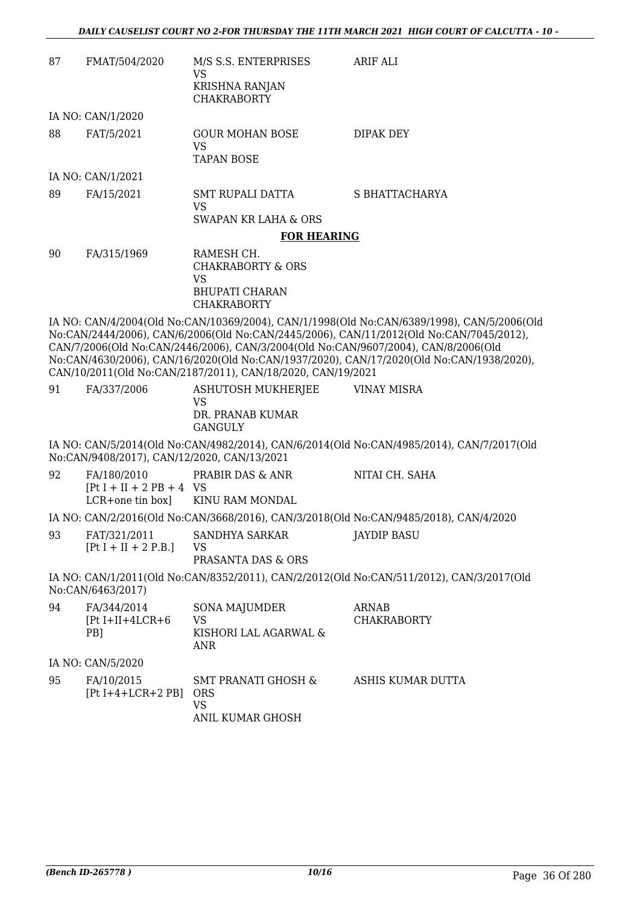| 87 | FMAT/504/2020                                                  | M/S S.S. ENTERPRISES<br>VS                                                                                                                        | ARIF ALI                                                                                                                                                                                                                                                                          |
|----|----------------------------------------------------------------|---------------------------------------------------------------------------------------------------------------------------------------------------|-----------------------------------------------------------------------------------------------------------------------------------------------------------------------------------------------------------------------------------------------------------------------------------|
|    |                                                                | <b>KRISHNA RANJAN</b><br><b>CHAKRABORTY</b>                                                                                                       |                                                                                                                                                                                                                                                                                   |
|    | IA NO: CAN/1/2020                                              |                                                                                                                                                   |                                                                                                                                                                                                                                                                                   |
| 88 | FAT/5/2021                                                     | <b>GOUR MOHAN BOSE</b><br><b>VS</b><br><b>TAPAN BOSE</b>                                                                                          | DIPAK DEY                                                                                                                                                                                                                                                                         |
|    | IA NO: CAN/1/2021                                              |                                                                                                                                                   |                                                                                                                                                                                                                                                                                   |
| 89 | FA/15/2021                                                     | <b>SMT RUPALI DATTA</b><br><b>VS</b>                                                                                                              | S BHATTACHARYA                                                                                                                                                                                                                                                                    |
|    |                                                                | <b>SWAPAN KR LAHA &amp; ORS</b>                                                                                                                   |                                                                                                                                                                                                                                                                                   |
|    |                                                                | <b>FOR HEARING</b>                                                                                                                                |                                                                                                                                                                                                                                                                                   |
| 90 | FA/315/1969                                                    | RAMESH CH.<br><b>CHAKRABORTY &amp; ORS</b><br><b>VS</b><br><b>BHUPATI CHARAN</b>                                                                  |                                                                                                                                                                                                                                                                                   |
|    |                                                                | <b>CHAKRABORTY</b>                                                                                                                                |                                                                                                                                                                                                                                                                                   |
|    |                                                                | CAN/7/2006(Old No:CAN/2446/2006), CAN/3/2004(Old No:CAN/9607/2004), CAN/8/2006(Old<br>CAN/10/2011(Old No:CAN/2187/2011), CAN/18/2020, CAN/19/2021 | IA NO: CAN/4/2004(Old No:CAN/10369/2004), CAN/1/1998(Old No:CAN/6389/1998), CAN/5/2006(Old<br>No:CAN/2444/2006), CAN/6/2006(Old No:CAN/2445/2006), CAN/11/2012(Old No:CAN/7045/2012),<br>No:CAN/4630/2006), CAN/16/2020(Old No:CAN/1937/2020), CAN/17/2020(Old No:CAN/1938/2020), |
| 91 | FA/337/2006                                                    | <b>ASHUTOSH MUKHERJEE</b>                                                                                                                         | <b>VINAY MISRA</b>                                                                                                                                                                                                                                                                |
|    |                                                                | VS<br>DR. PRANAB KUMAR<br><b>GANGULY</b>                                                                                                          |                                                                                                                                                                                                                                                                                   |
|    | No:CAN/9408/2017), CAN/12/2020, CAN/13/2021                    |                                                                                                                                                   | IA NO: CAN/5/2014(Old No:CAN/4982/2014), CAN/6/2014(Old No:CAN/4985/2014), CAN/7/2017(Old                                                                                                                                                                                         |
| 92 | FA/180/2010<br>$[Pt I + II + 2 PB + 4 VS]$<br>LCR+one tin box] | PRABIR DAS & ANR<br>KINU RAM MONDAL                                                                                                               | NITAI CH. SAHA                                                                                                                                                                                                                                                                    |
|    |                                                                |                                                                                                                                                   | IA NO: CAN/2/2016(Old No:CAN/3668/2016), CAN/3/2018(Old No:CAN/9485/2018), CAN/4/2020                                                                                                                                                                                             |
| 93 | FAT/321/2011<br>$[Pt I + II + 2 P.B.]$                         | SANDHYA SARKAR<br>VS<br>PRASANTA DAS & ORS                                                                                                        | <b>JAYDIP BASU</b>                                                                                                                                                                                                                                                                |
|    | No:CAN/6463/2017)                                              |                                                                                                                                                   | IA NO: CAN/1/2011(Old No:CAN/8352/2011), CAN/2/2012(Old No:CAN/511/2012), CAN/3/2017(Old                                                                                                                                                                                          |
| 94 | FA/344/2014<br>$[Pt I+II+4LCR+6]$<br>PB]                       | <b>SONA MAJUMDER</b><br>VS<br>KISHORI LAL AGARWAL &<br>ANR                                                                                        | <b>ARNAB</b><br><b>CHAKRABORTY</b>                                                                                                                                                                                                                                                |
|    | IA NO: CAN/5/2020                                              |                                                                                                                                                   |                                                                                                                                                                                                                                                                                   |
| 95 | FA/10/2015<br>$[Pt I+4+LCR+2 PB]$                              | <b>SMT PRANATI GHOSH &amp;</b><br><b>ORS</b><br>VS<br>ANIL KUMAR GHOSH                                                                            | ASHIS KUMAR DUTTA                                                                                                                                                                                                                                                                 |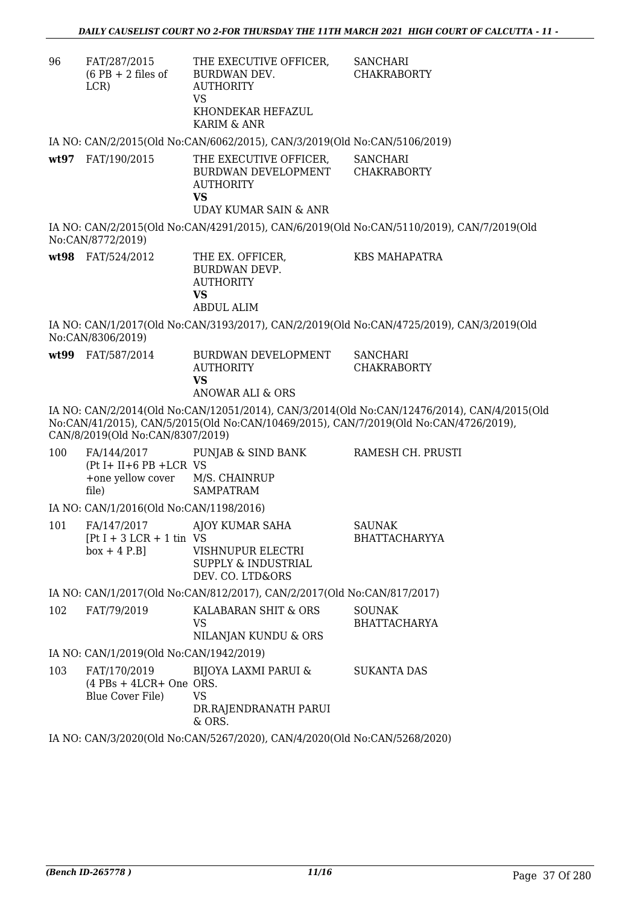| 96   | FAT/287/2015<br>$(6$ PB + 2 files of<br>LCR)                              | THE EXECUTIVE OFFICER,<br>BURDWAN DEV.<br><b>AUTHORITY</b><br><b>VS</b><br>KHONDEKAR HEFAZUL<br>KARIM & ANR | <b>SANCHARI</b><br><b>CHAKRABORTY</b>                                                                                                                                                |
|------|---------------------------------------------------------------------------|-------------------------------------------------------------------------------------------------------------|--------------------------------------------------------------------------------------------------------------------------------------------------------------------------------------|
|      |                                                                           | IA NO: CAN/2/2015(Old No:CAN/6062/2015), CAN/3/2019(Old No:CAN/5106/2019)                                   |                                                                                                                                                                                      |
| wt97 | FAT/190/2015                                                              | THE EXECUTIVE OFFICER,<br>BURDWAN DEVELOPMENT<br><b>AUTHORITY</b><br><b>VS</b><br>UDAY KUMAR SAIN & ANR     | <b>SANCHARI</b><br><b>CHAKRABORTY</b>                                                                                                                                                |
|      | No:CAN/8772/2019)                                                         |                                                                                                             | IA NO: CAN/2/2015(Old No:CAN/4291/2015), CAN/6/2019(Old No:CAN/5110/2019), CAN/7/2019(Old                                                                                            |
|      | wt98 FAT/524/2012                                                         | THE EX. OFFICER,<br>BURDWAN DEVP.<br><b>AUTHORITY</b><br><b>VS</b><br><b>ABDUL ALIM</b>                     | <b>KBS MAHAPATRA</b>                                                                                                                                                                 |
|      | No:CAN/8306/2019)                                                         |                                                                                                             | IA NO: CAN/1/2017(Old No:CAN/3193/2017), CAN/2/2019(Old No:CAN/4725/2019), CAN/3/2019(Old                                                                                            |
|      | wt99 FAT/587/2014                                                         | BURDWAN DEVELOPMENT<br><b>AUTHORITY</b><br><b>VS</b><br><b>ANOWAR ALI &amp; ORS</b>                         | <b>SANCHARI</b><br><b>CHAKRABORTY</b>                                                                                                                                                |
|      | CAN/8/2019(Old No:CAN/8307/2019)                                          |                                                                                                             | IA NO: CAN/2/2014(Old No:CAN/12051/2014), CAN/3/2014(Old No:CAN/12476/2014), CAN/4/2015(Old<br>No:CAN/41/2015), CAN/5/2015(Old No:CAN/10469/2015), CAN/7/2019(Old No:CAN/4726/2019), |
| 100  | $(Pt I + II + 6 PB + LCR VS)$<br>+one yellow cover M/S. CHAINRUP<br>file) | FA/144/2017 PUNJAB & SIND BANK<br><b>SAMPATRAM</b>                                                          | RAMESH CH. PRUSTI                                                                                                                                                                    |
|      | IA NO: CAN/1/2016(Old No:CAN/1198/2016)                                   |                                                                                                             |                                                                                                                                                                                      |
| 101  | FA/147/2017<br>$[Pt I + 3 LCR + 1 tin VS$<br>$box + 4 P.B]$               | AJOY KUMAR SAHA<br>VISHNUPUR ELECTRI<br><b>SUPPLY &amp; INDUSTRIAL</b><br>DEV. CO. LTD&ORS                  | <b>SAUNAK</b><br><b>BHATTACHARYYA</b>                                                                                                                                                |
|      |                                                                           | IA NO: CAN/1/2017(Old No:CAN/812/2017), CAN/2/2017(Old No:CAN/817/2017)                                     |                                                                                                                                                                                      |
| 102  | FAT/79/2019                                                               | KALABARAN SHIT & ORS<br>VS.<br>NILANJAN KUNDU & ORS                                                         | <b>SOUNAK</b><br><b>BHATTACHARYA</b>                                                                                                                                                 |
|      | IA NO: CAN/1/2019(Old No:CAN/1942/2019)                                   |                                                                                                             |                                                                                                                                                                                      |
| 103  | FAT/170/2019<br>$(4$ PBs + 4LCR+ One ORS.<br>Blue Cover File)             | <b>BIJOYA LAXMI PARUI &amp;</b><br><b>VS</b><br>DR.RAJENDRANATH PARUI<br>& ORS.                             | <b>SUKANTA DAS</b>                                                                                                                                                                   |
|      |                                                                           | $OMU20000011$ Me $OMU5250020$ $OMU4002001$ $M_e$ $OMU5200200$                                               |                                                                                                                                                                                      |

IA NO: CAN/3/2020(Old No:CAN/5267/2020), CAN/4/2020(Old No:CAN/5268/2020)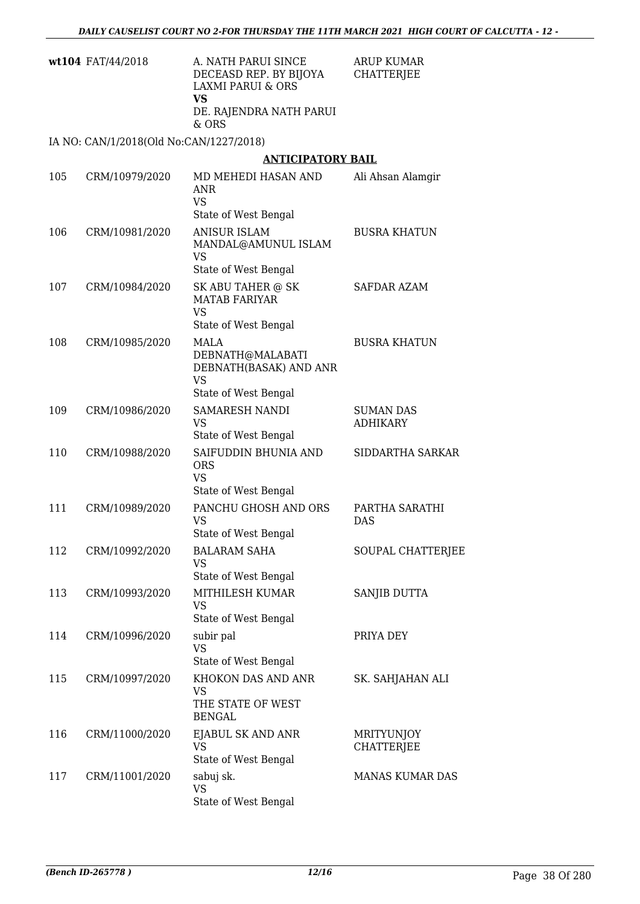| A. NATH PARUI SINCE     | ARUP KUMAR |
|-------------------------|------------|
| DECEASD REP. BY BIJOYA  | CHATTERJEE |
| LAXMI PARUI & ORS       |            |
| VS                      |            |
| DE. RAJENDRA NATH PARUI |            |
| & ORS                   |            |
|                         |            |

IA NO: CAN/1/2018(Old No:CAN/1227/2018)

#### **ANTICIPATORY BAIL**

| 105 | CRM/10979/2020 | MD MEHEDI HASAN AND<br>ANR<br><b>VS</b><br>State of West Bengal                                | Ali Ahsan Alamgir                      |
|-----|----------------|------------------------------------------------------------------------------------------------|----------------------------------------|
| 106 | CRM/10981/2020 | <b>ANISUR ISLAM</b><br>MANDAL@AMUNUL ISLAM<br><b>VS</b><br>State of West Bengal                | <b>BUSRA KHATUN</b>                    |
| 107 | CRM/10984/2020 | SK ABU TAHER @ SK<br><b>MATAB FARIYAR</b><br><b>VS</b><br>State of West Bengal                 | SAFDAR AZAM                            |
| 108 | CRM/10985/2020 | <b>MALA</b><br>DEBNATH@MALABATI<br>DEBNATH(BASAK) AND ANR<br><b>VS</b><br>State of West Bengal | <b>BUSRA KHATUN</b>                    |
| 109 | CRM/10986/2020 | SAMARESH NANDI<br>VS<br>State of West Bengal                                                   | <b>SUMAN DAS</b><br><b>ADHIKARY</b>    |
| 110 | CRM/10988/2020 | SAIFUDDIN BHUNIA AND<br><b>ORS</b><br><b>VS</b><br>State of West Bengal                        | SIDDARTHA SARKAR                       |
| 111 | CRM/10989/2020 | PANCHU GHOSH AND ORS<br><b>VS</b><br>State of West Bengal                                      | PARTHA SARATHI<br><b>DAS</b>           |
| 112 | CRM/10992/2020 | <b>BALARAM SAHA</b><br><b>VS</b><br>State of West Bengal                                       | SOUPAL CHATTERJEE                      |
| 113 | CRM/10993/2020 | MITHILESH KUMAR<br><b>VS</b><br>State of West Bengal                                           | SANJIB DUTTA                           |
| 114 | CRM/10996/2020 | subir pal<br>VS<br>State of West Bengal                                                        | PRIYA DEY                              |
| 115 | CRM/10997/2020 | KHOKON DAS AND ANR<br>VS<br>THE STATE OF WEST<br><b>BENGAL</b>                                 | SK. SAHJAHAN ALI                       |
| 116 | CRM/11000/2020 | EJABUL SK AND ANR<br><b>VS</b><br>State of West Bengal                                         | <b>MRITYUNJOY</b><br><b>CHATTERJEE</b> |
| 117 | CRM/11001/2020 | sabuj sk.<br><b>VS</b><br>State of West Bengal                                                 | MANAS KUMAR DAS                        |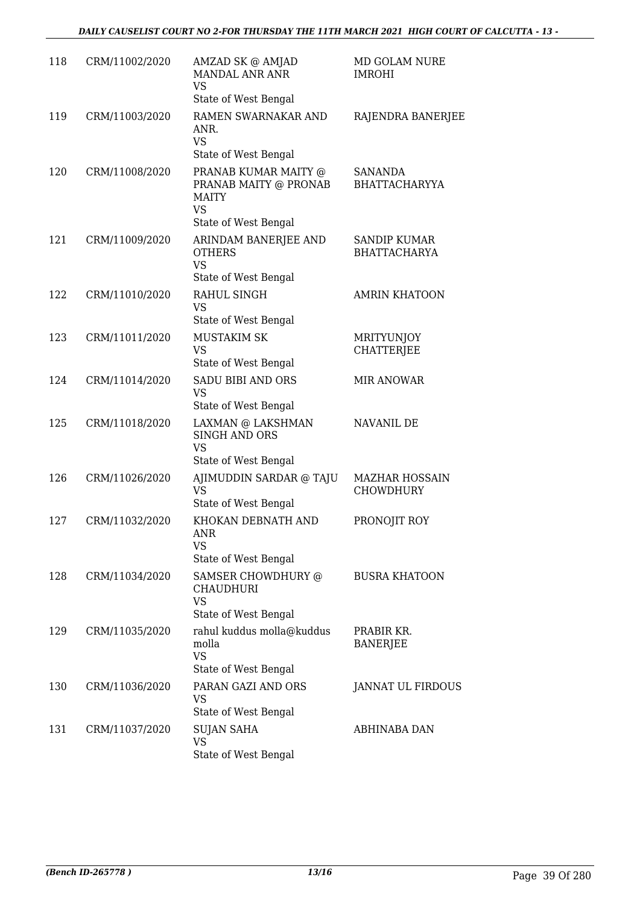| 118 | CRM/11002/2020 | AMZAD SK @ AMJAD<br><b>MANDAL ANR ANR</b><br><b>VS</b><br>State of West Bengal                     | MD GOLAM NURE<br><b>IMROHI</b>             |
|-----|----------------|----------------------------------------------------------------------------------------------------|--------------------------------------------|
| 119 | CRM/11003/2020 | RAMEN SWARNAKAR AND<br>ANR.<br><b>VS</b><br>State of West Bengal                                   | RAJENDRA BANERJEE                          |
| 120 | CRM/11008/2020 | PRANAB KUMAR MAITY @<br>PRANAB MAITY @ PRONAB<br>MAITY<br><b>VS</b>                                | <b>SANANDA</b><br><b>BHATTACHARYYA</b>     |
| 121 | CRM/11009/2020 | State of West Bengal<br>ARINDAM BANERJEE AND<br><b>OTHERS</b><br><b>VS</b><br>State of West Bengal | <b>SANDIP KUMAR</b><br><b>BHATTACHARYA</b> |
| 122 | CRM/11010/2020 | RAHUL SINGH<br><b>VS</b><br>State of West Bengal                                                   | <b>AMRIN KHATOON</b>                       |
| 123 | CRM/11011/2020 | <b>MUSTAKIM SK</b><br><b>VS</b><br>State of West Bengal                                            | MRITYUNJOY<br><b>CHATTERJEE</b>            |
| 124 | CRM/11014/2020 | <b>SADU BIBI AND ORS</b><br><b>VS</b><br>State of West Bengal                                      | <b>MIR ANOWAR</b>                          |
| 125 | CRM/11018/2020 | LAXMAN @ LAKSHMAN<br><b>SINGH AND ORS</b><br><b>VS</b><br>State of West Bengal                     | NAVANIL DE                                 |
| 126 | CRM/11026/2020 | AJIMUDDIN SARDAR @ TAJU<br><b>VS</b><br>State of West Bengal                                       | <b>MAZHAR HOSSAIN</b><br><b>CHOWDHURY</b>  |
| 127 | CRM/11032/2020 | KHOKAN DEBNATH AND<br><b>ANR</b><br>VS<br>State of West Bengal                                     | PRONOJIT ROY                               |
| 128 | CRM/11034/2020 | SAMSER CHOWDHURY @<br>CHAUDHURI<br><b>VS</b><br>State of West Bengal                               | <b>BUSRA KHATOON</b>                       |
| 129 | CRM/11035/2020 | rahul kuddus molla@kuddus<br>molla<br><b>VS</b><br>State of West Bengal                            | PRABIR KR.<br><b>BANERJEE</b>              |
| 130 | CRM/11036/2020 | PARAN GAZI AND ORS<br>VS<br>State of West Bengal                                                   | JANNAT UL FIRDOUS                          |
| 131 | CRM/11037/2020 | <b>SUJAN SAHA</b><br><b>VS</b><br>State of West Bengal                                             | ABHINABA DAN                               |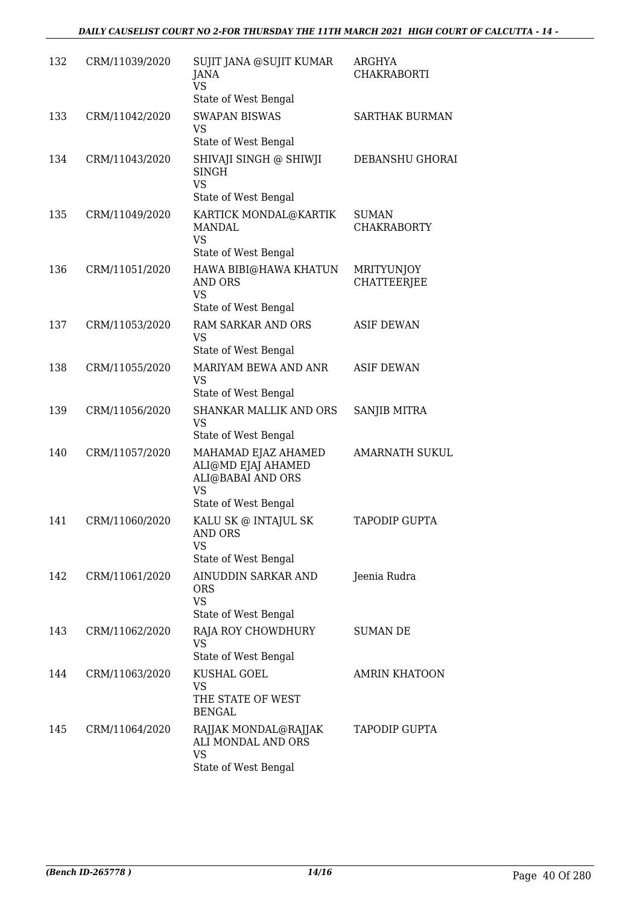| 132 | CRM/11039/2020 | SUJIT JANA @SUJIT KUMAR<br>JANA<br><b>VS</b><br>State of West Bengal                                | ARGHYA<br><b>CHAKRABORTI</b>            |
|-----|----------------|-----------------------------------------------------------------------------------------------------|-----------------------------------------|
| 133 | CRM/11042/2020 | <b>SWAPAN BISWAS</b><br><b>VS</b><br>State of West Bengal                                           | <b>SARTHAK BURMAN</b>                   |
| 134 | CRM/11043/2020 | SHIVAJI SINGH @ SHIWJI<br><b>SINGH</b><br><b>VS</b><br>State of West Bengal                         | DEBANSHU GHORAI                         |
| 135 | CRM/11049/2020 | KARTICK MONDAL@KARTIK<br><b>MANDAL</b><br><b>VS</b><br>State of West Bengal                         | <b>SUMAN</b><br><b>CHAKRABORTY</b>      |
| 136 | CRM/11051/2020 | HAWA BIBI@HAWA KHATUN<br><b>AND ORS</b><br><b>VS</b><br>State of West Bengal                        | <b>MRITYUNJOY</b><br><b>CHATTEERJEE</b> |
| 137 | CRM/11053/2020 | <b>RAM SARKAR AND ORS</b><br><b>VS</b><br>State of West Bengal                                      | <b>ASIF DEWAN</b>                       |
| 138 | CRM/11055/2020 | MARIYAM BEWA AND ANR<br><b>VS</b><br>State of West Bengal                                           | <b>ASIF DEWAN</b>                       |
| 139 | CRM/11056/2020 | <b>SHANKAR MALLIK AND ORS</b><br><b>VS</b><br>State of West Bengal                                  | SANJIB MITRA                            |
| 140 | CRM/11057/2020 | MAHAMAD EJAZ AHAMED<br>ALI@MD EJAJ AHAMED<br>ALI@BABAI AND ORS<br><b>VS</b><br>State of West Bengal | <b>AMARNATH SUKUL</b>                   |
| 141 | CRM/11060/2020 | KALU SK @ INTAJUL SK<br>AND ORS<br>VS<br>State of West Bengal                                       | <b>TAPODIP GUPTA</b>                    |
| 142 | CRM/11061/2020 | AINUDDIN SARKAR AND<br><b>ORS</b><br><b>VS</b><br>State of West Bengal                              | Jeenia Rudra                            |
| 143 | CRM/11062/2020 | RAJA ROY CHOWDHURY<br><b>VS</b><br>State of West Bengal                                             | <b>SUMAN DE</b>                         |
| 144 | CRM/11063/2020 | KUSHAL GOEL<br><b>VS</b><br>THE STATE OF WEST<br><b>BENGAL</b>                                      | <b>AMRIN KHATOON</b>                    |
| 145 | CRM/11064/2020 | RAJJAK MONDAL@RAJJAK<br>ALI MONDAL AND ORS<br>VS<br>State of West Bengal                            | <b>TAPODIP GUPTA</b>                    |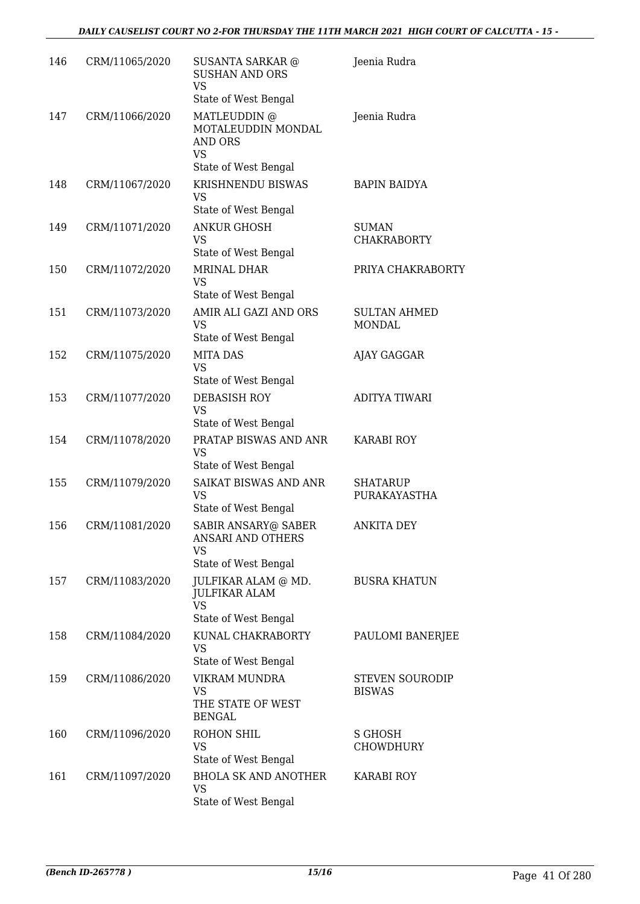| 146 | CRM/11065/2020 | <b>SUSANTA SARKAR @</b><br><b>SUSHAN AND ORS</b><br>VS<br>State of West Bengal     | Jeenia Rudra                            |
|-----|----------------|------------------------------------------------------------------------------------|-----------------------------------------|
| 147 | CRM/11066/2020 | MATLEUDDIN @<br>MOTALEUDDIN MONDAL<br><b>AND ORS</b><br>VS<br>State of West Bengal | Jeenia Rudra                            |
| 148 | CRM/11067/2020 | KRISHNENDU BISWAS<br><b>VS</b><br>State of West Bengal                             | <b>BAPIN BAIDYA</b>                     |
| 149 | CRM/11071/2020 | <b>ANKUR GHOSH</b><br><b>VS</b><br>State of West Bengal                            | <b>SUMAN</b><br><b>CHAKRABORTY</b>      |
| 150 | CRM/11072/2020 | <b>MRINAL DHAR</b><br>VS<br>State of West Bengal                                   | PRIYA CHAKRABORTY                       |
| 151 | CRM/11073/2020 | AMIR ALI GAZI AND ORS<br><b>VS</b><br>State of West Bengal                         | <b>SULTAN AHMED</b><br>MONDAL           |
| 152 | CRM/11075/2020 | <b>MITA DAS</b><br><b>VS</b><br>State of West Bengal                               | AJAY GAGGAR                             |
| 153 | CRM/11077/2020 | <b>DEBASISH ROY</b><br><b>VS</b><br>State of West Bengal                           | <b>ADITYA TIWARI</b>                    |
| 154 | CRM/11078/2020 | PRATAP BISWAS AND ANR<br><b>VS</b><br>State of West Bengal                         | <b>KARABI ROY</b>                       |
| 155 | CRM/11079/2020 | SAIKAT BISWAS AND ANR<br><b>VS</b><br>State of West Bengal                         | <b>SHATARUP</b><br>PURAKAYASTHA         |
| 156 | CRM/11081/2020 | <b>SABIR ANSARY@ SABER</b><br>ANSARI AND OTHERS<br>VS<br>State of West Bengal      | <b>ANKITA DEY</b>                       |
| 157 | CRM/11083/2020 | JULFIKAR ALAM @ MD.<br><b>JULFIKAR ALAM</b><br><b>VS</b><br>State of West Bengal   | <b>BUSRA KHATUN</b>                     |
| 158 | CRM/11084/2020 | KUNAL CHAKRABORTY<br>VS<br>State of West Bengal                                    | PAULOMI BANERJEE                        |
| 159 | CRM/11086/2020 | VIKRAM MUNDRA<br>VS<br>THE STATE OF WEST<br><b>BENGAL</b>                          | <b>STEVEN SOURODIP</b><br><b>BISWAS</b> |
| 160 | CRM/11096/2020 | ROHON SHIL<br>VS<br>State of West Bengal                                           | S GHOSH<br>CHOWDHURY                    |
| 161 | CRM/11097/2020 | <b>BHOLA SK AND ANOTHER</b><br><b>VS</b><br>State of West Bengal                   | KARABI ROY                              |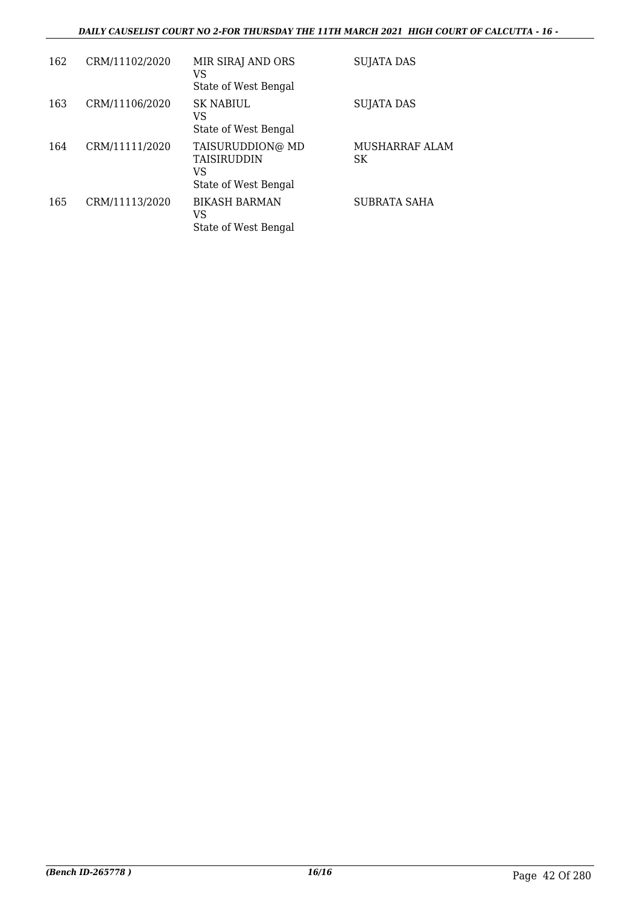#### *DAILY CAUSELIST COURT NO 2-FOR THURSDAY THE 11TH MARCH 2021 HIGH COURT OF CALCUTTA - 16 -*

| 162 | CRM/11102/2020 | MIR SIRAJ AND ORS<br>VS                                                | SUJATA DAS            |
|-----|----------------|------------------------------------------------------------------------|-----------------------|
| 163 | CRM/11106/2020 | State of West Bengal<br><b>SK NABIUL</b><br>VS<br>State of West Bengal | <b>SUJATA DAS</b>     |
| 164 | CRM/11111/2020 | TAISURUDDION@ MD<br><b>TAISIRUDDIN</b><br>VS<br>State of West Bengal   | MUSHARRAF ALAM<br>SK. |
| 165 | CRM/11113/2020 | <b>BIKASH BARMAN</b><br>VS<br>State of West Bengal                     | SUBRATA SAHA          |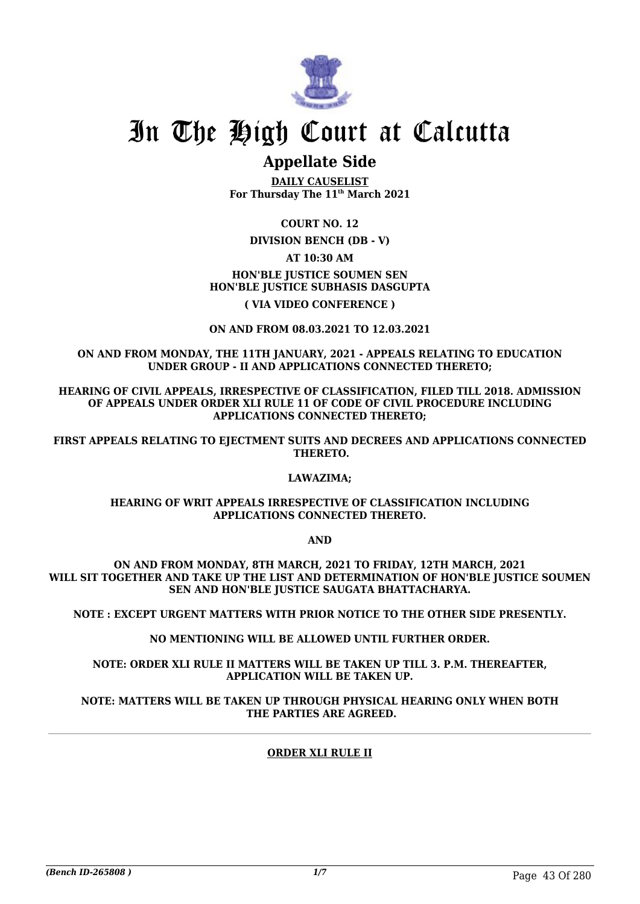

### **Appellate Side**

**DAILY CAUSELIST For Thursday The 11th March 2021**

**COURT NO. 12**

**DIVISION BENCH (DB - V)**

**AT 10:30 AM**

**HON'BLE JUSTICE SOUMEN SEN HON'BLE JUSTICE SUBHASIS DASGUPTA**

**( VIA VIDEO CONFERENCE )**

**ON AND FROM 08.03.2021 TO 12.03.2021**

**ON AND FROM MONDAY, THE 11TH JANUARY, 2021 - APPEALS RELATING TO EDUCATION UNDER GROUP - II AND APPLICATIONS CONNECTED THERETO;**

**HEARING OF CIVIL APPEALS, IRRESPECTIVE OF CLASSIFICATION, FILED TILL 2018. ADMISSION OF APPEALS UNDER ORDER XLI RULE 11 OF CODE OF CIVIL PROCEDURE INCLUDING APPLICATIONS CONNECTED THERETO;**

**FIRST APPEALS RELATING TO EJECTMENT SUITS AND DECREES AND APPLICATIONS CONNECTED THERETO.**

#### **LAWAZIMA;**

#### **HEARING OF WRIT APPEALS IRRESPECTIVE OF CLASSIFICATION INCLUDING APPLICATIONS CONNECTED THERETO.**

**AND**

**ON AND FROM MONDAY, 8TH MARCH, 2021 TO FRIDAY, 12TH MARCH, 2021 WILL SIT TOGETHER AND TAKE UP THE LIST AND DETERMINATION OF HON'BLE JUSTICE SOUMEN SEN AND HON'BLE JUSTICE SAUGATA BHATTACHARYA.**

**NOTE : EXCEPT URGENT MATTERS WITH PRIOR NOTICE TO THE OTHER SIDE PRESENTLY.**

**NO MENTIONING WILL BE ALLOWED UNTIL FURTHER ORDER.**

**NOTE: ORDER XLI RULE II MATTERS WILL BE TAKEN UP TILL 3. P.M. THEREAFTER, APPLICATION WILL BE TAKEN UP.**

**NOTE: MATTERS WILL BE TAKEN UP THROUGH PHYSICAL HEARING ONLY WHEN BOTH THE PARTIES ARE AGREED.**

#### **ORDER XLI RULE II**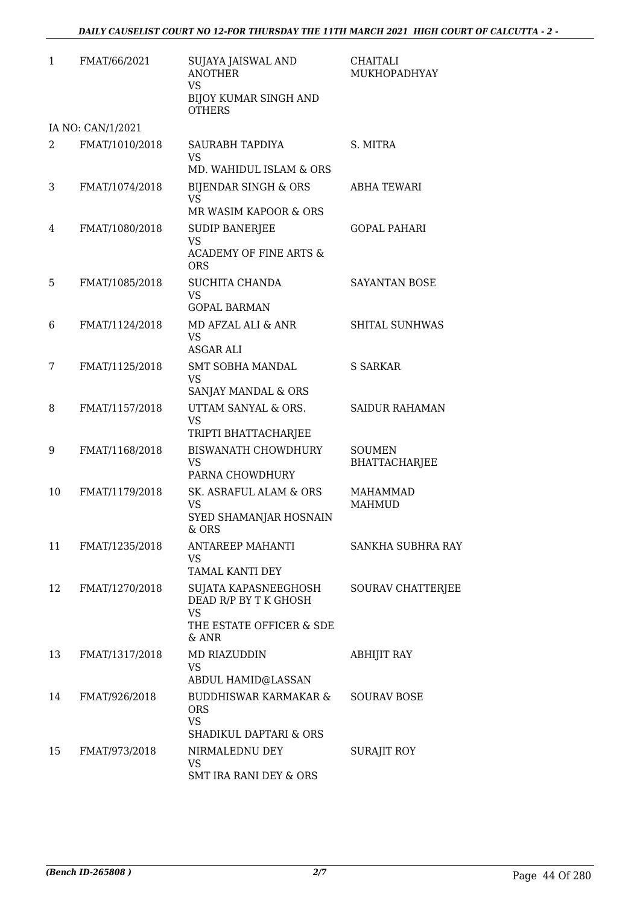| $\mathbf{1}$ | FMAT/66/2021      | SUJAYA JAISWAL AND<br><b>ANOTHER</b><br>VS<br><b>BIJOY KUMAR SINGH AND</b><br><b>OTHERS</b>       | <b>CHAITALI</b><br>MUKHOPADHYAY       |
|--------------|-------------------|---------------------------------------------------------------------------------------------------|---------------------------------------|
|              | IA NO: CAN/1/2021 |                                                                                                   |                                       |
| 2            | FMAT/1010/2018    | <b>SAURABH TAPDIYA</b><br><b>VS</b><br>MD. WAHIDUL ISLAM & ORS                                    | S. MITRA                              |
| 3            | FMAT/1074/2018    | <b>BIJENDAR SINGH &amp; ORS</b><br><b>VS</b><br>MR WASIM KAPOOR & ORS                             | <b>ABHA TEWARI</b>                    |
| 4            | FMAT/1080/2018    | <b>SUDIP BANERJEE</b><br><b>VS</b><br><b>ACADEMY OF FINE ARTS &amp;</b><br><b>ORS</b>             | <b>GOPAL PAHARI</b>                   |
| 5            | FMAT/1085/2018    | <b>SUCHITA CHANDA</b><br>VS<br><b>GOPAL BARMAN</b>                                                | <b>SAYANTAN BOSE</b>                  |
| 6            | FMAT/1124/2018    | MD AFZAL ALI & ANR<br>VS<br><b>ASGAR ALI</b>                                                      | <b>SHITAL SUNHWAS</b>                 |
| 7            | FMAT/1125/2018    | <b>SMT SOBHA MANDAL</b><br>VS<br>SANJAY MANDAL & ORS                                              | <b>S SARKAR</b>                       |
| 8            | FMAT/1157/2018    | UTTAM SANYAL & ORS.<br>VS<br>TRIPTI BHATTACHARJEE                                                 | <b>SAIDUR RAHAMAN</b>                 |
| 9            | FMAT/1168/2018    | <b>BISWANATH CHOWDHURY</b><br>VS<br>PARNA CHOWDHURY                                               | <b>SOUMEN</b><br><b>BHATTACHARJEE</b> |
| 10           | FMAT/1179/2018    | SK. ASRAFUL ALAM & ORS<br>VS<br>SYED SHAMANJAR HOSNAIN<br>& ORS                                   | <b>MAHAMMAD</b><br><b>MAHMUD</b>      |
| 11           | FMAT/1235/2018    | ANTAREEP MAHANTI<br>VS<br>TAMAL KANTI DEY                                                         | <b>SANKHA SUBHRA RAY</b>              |
| 12           | FMAT/1270/2018    | SUJATA KAPASNEEGHOSH<br>DEAD R/P BY T K GHOSH<br><b>VS</b><br>THE ESTATE OFFICER & SDE<br>$&$ ANR | SOURAV CHATTERJEE                     |
| 13           | FMAT/1317/2018    | MD RIAZUDDIN<br>VS<br>ABDUL HAMID@LASSAN                                                          | <b>ABHIJIT RAY</b>                    |
| 14           | FMAT/926/2018     | BUDDHISWAR KARMAKAR &<br><b>ORS</b><br>VS                                                         | <b>SOURAV BOSE</b>                    |
| 15           | FMAT/973/2018     | SHADIKUL DAPTARI & ORS<br>NIRMALEDNU DEY<br>VS<br><b>SMT IRA RANI DEY &amp; ORS</b>               | SURAJIT ROY                           |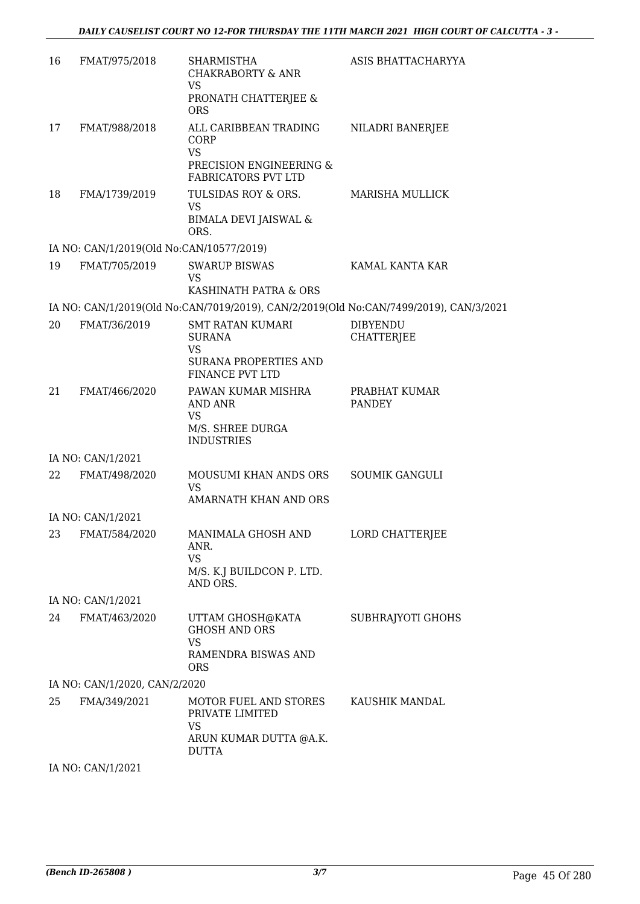| 16 | FMAT/975/2018                            | <b>SHARMISTHA</b><br><b>CHAKRABORTY &amp; ANR</b><br><b>VS</b>                        | ASIS BHATTACHARYYA                   |
|----|------------------------------------------|---------------------------------------------------------------------------------------|--------------------------------------|
|    |                                          | PRONATH CHATTERJEE &<br><b>ORS</b>                                                    |                                      |
| 17 | FMAT/988/2018                            | ALL CARIBBEAN TRADING<br>CORP<br><b>VS</b>                                            | NILADRI BANERJEE                     |
|    |                                          | PRECISION ENGINEERING &<br><b>FABRICATORS PVT LTD</b>                                 |                                      |
| 18 | FMA/1739/2019                            | TULSIDAS ROY & ORS.<br><b>VS</b><br><b>BIMALA DEVI JAISWAL &amp;</b><br>ORS.          | <b>MARISHA MULLICK</b>               |
|    | IA NO: CAN/1/2019(Old No:CAN/10577/2019) |                                                                                       |                                      |
| 19 | FMAT/705/2019                            | <b>SWARUP BISWAS</b><br>VS                                                            | KAMAL KANTA KAR                      |
|    |                                          | KASHINATH PATRA & ORS                                                                 |                                      |
|    |                                          | IA NO: CAN/1/2019(Old No:CAN/7019/2019), CAN/2/2019(Old No:CAN/7499/2019), CAN/3/2021 |                                      |
| 20 | FMAT/36/2019                             | <b>SMT RATAN KUMARI</b><br><b>SURANA</b><br><b>VS</b>                                 | <b>DIBYENDU</b><br><b>CHATTERJEE</b> |
|    |                                          | <b>SURANA PROPERTIES AND</b><br><b>FINANCE PVT LTD</b>                                |                                      |
| 21 | FMAT/466/2020                            | PAWAN KUMAR MISHRA<br>AND ANR<br><b>VS</b><br>M/S. SHREE DURGA<br><b>INDUSTRIES</b>   | PRABHAT KUMAR<br><b>PANDEY</b>       |
|    | IA NO: CAN/1/2021                        |                                                                                       |                                      |
| 22 | FMAT/498/2020                            | MOUSUMI KHAN ANDS ORS<br><b>VS</b>                                                    | <b>SOUMIK GANGULI</b>                |
|    |                                          | AMARNATH KHAN AND ORS                                                                 |                                      |
|    | IA NO: CAN/1/2021                        |                                                                                       |                                      |
|    | 23 FMAT/584/2020                         | MANIMALA GHOSH AND<br>ANR.<br><b>VS</b>                                               | LORD CHATTERJEE                      |
|    |                                          | M/S. K.J BUILDCON P. LTD.<br>AND ORS.                                                 |                                      |
|    | IA NO: CAN/1/2021                        |                                                                                       |                                      |
| 24 | FMAT/463/2020                            | UTTAM GHOSH@KATA<br><b>GHOSH AND ORS</b><br><b>VS</b>                                 | SUBHRAJYOTI GHOHS                    |
|    |                                          | RAMENDRA BISWAS AND<br><b>ORS</b>                                                     |                                      |
|    | IA NO: CAN/1/2020, CAN/2/2020            |                                                                                       |                                      |
| 25 | FMA/349/2021                             | MOTOR FUEL AND STORES<br>PRIVATE LIMITED<br>VS<br>ARUN KUMAR DUTTA @A.K.              | KAUSHIK MANDAL                       |
|    |                                          | DUTTA                                                                                 |                                      |
|    | IA NO: CAN/1/2021                        |                                                                                       |                                      |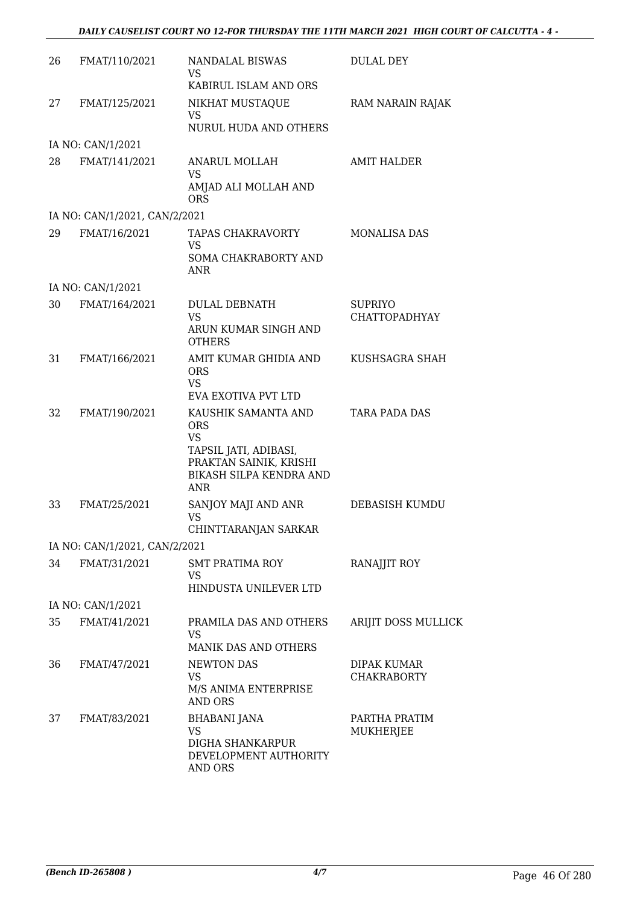| 26 | FMAT/110/2021                 | NANDALAL BISWAS<br>VS                                                                    | <b>DULAL DEY</b>                       |
|----|-------------------------------|------------------------------------------------------------------------------------------|----------------------------------------|
|    |                               | KABIRUL ISLAM AND ORS                                                                    |                                        |
| 27 | FMAT/125/2021                 | NIKHAT MUSTAQUE<br>VS                                                                    | RAM NARAIN RAJAK                       |
|    |                               | <b>NURUL HUDA AND OTHERS</b>                                                             |                                        |
|    | IA NO: CAN/1/2021             |                                                                                          |                                        |
| 28 | FMAT/141/2021                 | ANARUL MOLLAH<br>VS<br>AMJAD ALI MOLLAH AND                                              | <b>AMIT HALDER</b>                     |
|    |                               | <b>ORS</b>                                                                               |                                        |
|    | IA NO: CAN/1/2021, CAN/2/2021 |                                                                                          |                                        |
| 29 | FMAT/16/2021                  | TAPAS CHAKRAVORTY<br>VS                                                                  | <b>MONALISA DAS</b>                    |
|    |                               | SOMA CHAKRABORTY AND<br>ANR                                                              |                                        |
|    | IA NO: CAN/1/2021             |                                                                                          |                                        |
| 30 | FMAT/164/2021                 | <b>DULAL DEBNATH</b><br><b>VS</b>                                                        | <b>SUPRIYO</b><br><b>CHATTOPADHYAY</b> |
|    |                               | ARUN KUMAR SINGH AND<br><b>OTHERS</b>                                                    |                                        |
| 31 | FMAT/166/2021                 | AMIT KUMAR GHIDIA AND<br><b>ORS</b><br>VS                                                | KUSHSAGRA SHAH                         |
|    |                               | EVA EXOTIVA PVT LTD                                                                      |                                        |
| 32 | FMAT/190/2021                 | KAUSHIK SAMANTA AND<br><b>ORS</b><br>VS                                                  | <b>TARA PADA DAS</b>                   |
|    |                               | TAPSIL JATI, ADIBASI,<br>PRAKTAN SAINIK, KRISHI<br>BIKASH SILPA KENDRA AND<br><b>ANR</b> |                                        |
| 33 | FMAT/25/2021                  | SANJOY MAJI AND ANR                                                                      | DEBASISH KUMDU                         |
|    |                               | <b>VS</b><br>CHINTTARANJAN SARKAR                                                        |                                        |
|    | IA NO: CAN/1/2021, CAN/2/2021 |                                                                                          |                                        |
| 34 | FMAT/31/2021                  | <b>SMT PRATIMA ROY</b>                                                                   | RANAJJIT ROY                           |
|    |                               | <b>VS</b>                                                                                |                                        |
|    |                               | HINDUSTA UNILEVER LTD                                                                    |                                        |
|    | IA NO: CAN/1/2021             |                                                                                          |                                        |
| 35 | FMAT/41/2021                  | PRAMILA DAS AND OTHERS<br>VS                                                             | ARIJIT DOSS MULLICK                    |
|    |                               | <b>MANIK DAS AND OTHERS</b>                                                              |                                        |
| 36 | FMAT/47/2021                  | <b>NEWTON DAS</b><br>VS<br>M/S ANIMA ENTERPRISE                                          | DIPAK KUMAR<br><b>CHAKRABORTY</b>      |
|    |                               | <b>AND ORS</b>                                                                           |                                        |
| 37 | FMAT/83/2021                  | <b>BHABANI JANA</b><br><b>VS</b><br><b>DIGHA SHANKARPUR</b><br>DEVELOPMENT AUTHORITY     | PARTHA PRATIM<br>MUKHERJEE             |
|    |                               | AND ORS                                                                                  |                                        |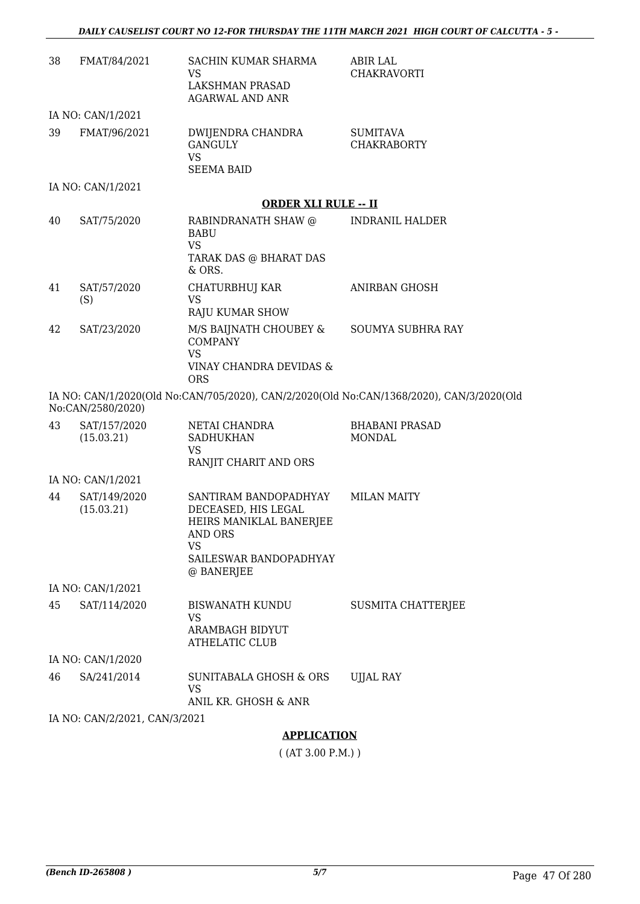| 38 | FMAT/84/2021                  | SACHIN KUMAR SHARMA<br><b>VS</b><br>LAKSHMAN PRASAD<br>AGARWAL AND ANR                                                    | <b>ABIR LAL</b><br>CHAKRAVORTI                                                           |
|----|-------------------------------|---------------------------------------------------------------------------------------------------------------------------|------------------------------------------------------------------------------------------|
|    | IA NO: CAN/1/2021             |                                                                                                                           |                                                                                          |
| 39 | FMAT/96/2021                  | DWIJENDRA CHANDRA<br><b>GANGULY</b><br><b>VS</b><br><b>SEEMA BAID</b>                                                     | <b>SUMITAVA</b><br><b>CHAKRABORTY</b>                                                    |
|    | IA NO: CAN/1/2021             |                                                                                                                           |                                                                                          |
|    |                               | <b>ORDER XLI RULE -- II</b>                                                                                               |                                                                                          |
| 40 | SAT/75/2020                   | RABINDRANATH SHAW @<br><b>BABU</b><br><b>VS</b><br>TARAK DAS @ BHARAT DAS                                                 | <b>INDRANIL HALDER</b>                                                                   |
|    |                               | $&$ ORS.                                                                                                                  | <b>ANIRBAN GHOSH</b>                                                                     |
| 41 | SAT/57/2020<br>(S)            | CHATURBHUJ KAR<br>VS.<br>RAJU KUMAR SHOW                                                                                  |                                                                                          |
| 42 | SAT/23/2020                   | M/S BAIJNATH CHOUBEY &<br><b>COMPANY</b><br><b>VS</b><br>VINAY CHANDRA DEVIDAS &<br><b>ORS</b>                            | SOUMYA SUBHRA RAY                                                                        |
|    | No:CAN/2580/2020)             |                                                                                                                           | IA NO: CAN/1/2020(Old No:CAN/705/2020), CAN/2/2020(Old No:CAN/1368/2020), CAN/3/2020(Old |
| 43 | SAT/157/2020<br>(15.03.21)    | NETAI CHANDRA<br><b>SADHUKHAN</b><br><b>VS</b><br>RANJIT CHARIT AND ORS                                                   | <b>BHABANI PRASAD</b><br><b>MONDAL</b>                                                   |
|    | IA NO: CAN/1/2021             |                                                                                                                           |                                                                                          |
| 44 | SAT/149/2020<br>(15.03.21)    | SANTIRAM BANDOPADHYAY<br>DECEASED, HIS LEGAL<br>HEIRS MANIKLAL BANERJEE<br>AND ORS<br><b>VS</b><br>SAILESWAR BANDOPADHYAY | <b>MILAN MAITY</b>                                                                       |
|    |                               | @ BANERJEE                                                                                                                |                                                                                          |
|    | IA NO: CAN/1/2021             |                                                                                                                           |                                                                                          |
| 45 | SAT/114/2020                  | <b>BISWANATH KUNDU</b><br>VS.<br>ARAMBAGH BIDYUT<br><b>ATHELATIC CLUB</b>                                                 | <b>SUSMITA CHATTERJEE</b>                                                                |
|    | IA NO: CAN/1/2020             |                                                                                                                           |                                                                                          |
| 46 | SA/241/2014                   | SUNITABALA GHOSH & ORS<br><b>VS</b><br>ANIL KR. GHOSH & ANR                                                               | <b>UJJAL RAY</b>                                                                         |
|    | IA NO: CAN/2/2021, CAN/3/2021 |                                                                                                                           |                                                                                          |
|    |                               | A DDI ICATIONI                                                                                                            |                                                                                          |

#### **APPLICATION**

( (AT 3.00 P.M.) )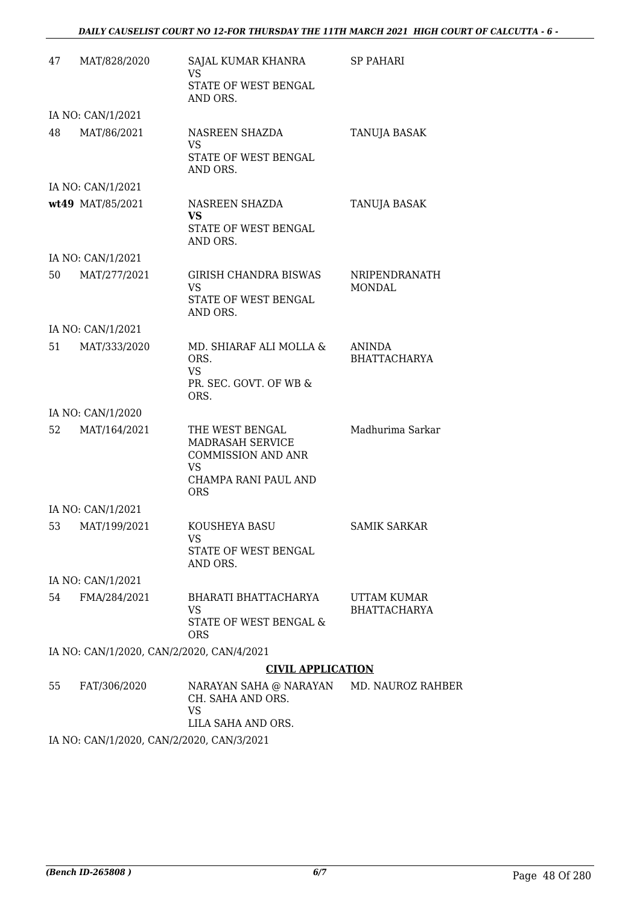| 47 | MAT/828/2020                              | SAJAL KUMAR KHANRA<br>VS.<br>STATE OF WEST BENGAL<br>AND ORS.                                                              | <b>SP PAHARI</b>                   |
|----|-------------------------------------------|----------------------------------------------------------------------------------------------------------------------------|------------------------------------|
|    | IA NO: CAN/1/2021                         |                                                                                                                            |                                    |
| 48 | MAT/86/2021                               | NASREEN SHAZDA<br><b>VS</b><br><b>STATE OF WEST BENGAL</b><br>AND ORS.                                                     | TANUJA BASAK                       |
|    | IA NO: CAN/1/2021                         |                                                                                                                            |                                    |
|    | wt49 MAT/85/2021                          | NASREEN SHAZDA<br><b>VS</b><br>STATE OF WEST BENGAL<br>AND ORS.                                                            | TANUJA BASAK                       |
|    | IA NO: CAN/1/2021                         |                                                                                                                            |                                    |
| 50 | MAT/277/2021                              | <b>GIRISH CHANDRA BISWAS</b><br><b>VS</b><br>STATE OF WEST BENGAL<br>AND ORS.                                              | NRIPENDRANATH<br><b>MONDAL</b>     |
|    | IA NO: CAN/1/2021                         |                                                                                                                            |                                    |
| 51 | MAT/333/2020                              | MD. SHIARAF ALI MOLLA &<br>ORS.<br><b>VS</b><br>PR. SEC. GOVT. OF WB &<br>ORS.                                             | ANINDA<br><b>BHATTACHARYA</b>      |
|    | IA NO: CAN/1/2020                         |                                                                                                                            |                                    |
| 52 | MAT/164/2021                              | THE WEST BENGAL<br><b>MADRASAH SERVICE</b><br><b>COMMISSION AND ANR</b><br><b>VS</b><br>CHAMPA RANI PAUL AND<br><b>ORS</b> | Madhurima Sarkar                   |
|    | IA NO: CAN/1/2021                         |                                                                                                                            |                                    |
| 53 | MAT/199/2021                              | KOUSHEYA BASU<br>VS<br>STATE OF WEST BENGAL<br>AND ORS.                                                                    | <b>SAMIK SARKAR</b>                |
|    | IA NO: CAN/1/2021                         |                                                                                                                            |                                    |
| 54 | FMA/284/2021                              | <b>BHARATI BHATTACHARYA</b><br>VS<br><b>STATE OF WEST BENGAL &amp;</b><br><b>ORS</b>                                       | UTTAM KUMAR<br><b>BHATTACHARYA</b> |
|    | IA NO: CAN/1/2020, CAN/2/2020, CAN/4/2021 |                                                                                                                            |                                    |
|    |                                           | <b>CIVIL APPLICATION</b>                                                                                                   |                                    |
| 55 | FAT/306/2020                              | NARAYAN SAHA @ NARAYAN<br>CH. SAHA AND ORS.<br>VS<br>LILA SAHA AND ORS.                                                    | MD. NAUROZ RAHBER                  |

IA NO: CAN/1/2020, CAN/2/2020, CAN/3/2021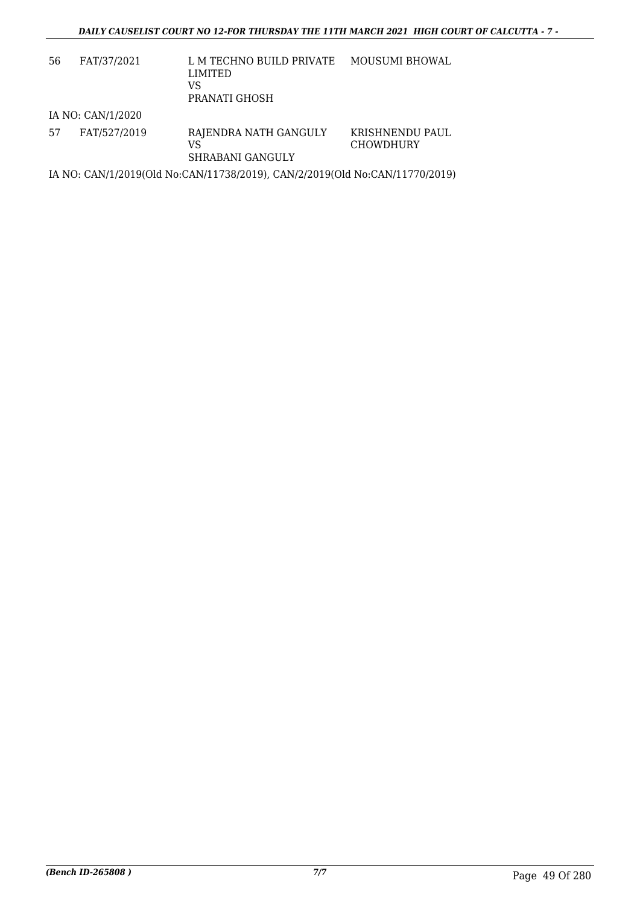| 56 | FAT/37/2021       | L M TECHNO BUILD PRIVATE<br>LIMITED<br>VS<br>PRANATI GHOSH                  | <b>MOUSUMI BHOWAL</b>               |
|----|-------------------|-----------------------------------------------------------------------------|-------------------------------------|
|    | IA NO: CAN/1/2020 |                                                                             |                                     |
| 57 | FAT/527/2019      | RAJENDRA NATH GANGULY<br>VS<br>SHRABANI GANGULY                             | KRISHNENDU PAUL<br><b>CHOWDHURY</b> |
|    |                   | IA NO: CAN/1/2019(Old No:CAN/11738/2019), CAN/2/2019(Old No:CAN/11770/2019) |                                     |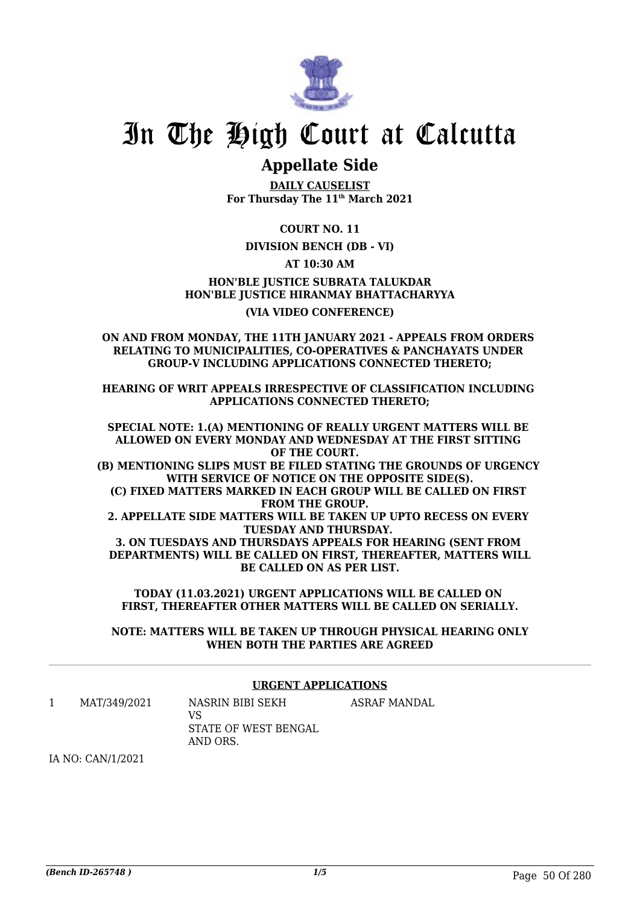

### **Appellate Side**

**DAILY CAUSELIST For Thursday The 11th March 2021**

**COURT NO. 11**

#### **DIVISION BENCH (DB - VI)**

**AT 10:30 AM**

**HON'BLE JUSTICE SUBRATA TALUKDAR HON'BLE JUSTICE HIRANMAY BHATTACHARYYA (VIA VIDEO CONFERENCE)**

**ON AND FROM MONDAY, THE 11TH JANUARY 2021 - APPEALS FROM ORDERS RELATING TO MUNICIPALITIES, CO-OPERATIVES & PANCHAYATS UNDER GROUP-V INCLUDING APPLICATIONS CONNECTED THERETO;**

**HEARING OF WRIT APPEALS IRRESPECTIVE OF CLASSIFICATION INCLUDING APPLICATIONS CONNECTED THERETO;**

**SPECIAL NOTE: 1.(A) MENTIONING OF REALLY URGENT MATTERS WILL BE ALLOWED ON EVERY MONDAY AND WEDNESDAY AT THE FIRST SITTING OF THE COURT. (B) MENTIONING SLIPS MUST BE FILED STATING THE GROUNDS OF URGENCY WITH SERVICE OF NOTICE ON THE OPPOSITE SIDE(S). (C) FIXED MATTERS MARKED IN EACH GROUP WILL BE CALLED ON FIRST FROM THE GROUP. 2. APPELLATE SIDE MATTERS WILL BE TAKEN UP UPTO RECESS ON EVERY TUESDAY AND THURSDAY.** 

**3. ON TUESDAYS AND THURSDAYS APPEALS FOR HEARING (SENT FROM DEPARTMENTS) WILL BE CALLED ON FIRST, THEREAFTER, MATTERS WILL BE CALLED ON AS PER LIST.**

**TODAY (11.03.2021) URGENT APPLICATIONS WILL BE CALLED ON FIRST, THEREAFTER OTHER MATTERS WILL BE CALLED ON SERIALLY.**

**NOTE: MATTERS WILL BE TAKEN UP THROUGH PHYSICAL HEARING ONLY WHEN BOTH THE PARTIES ARE AGREED**

#### **URGENT APPLICATIONS**

1 MAT/349/2021 NASRIN BIBI SEKH  $V<sup>Q</sup>$ STATE OF WEST BENGAL AND ORS. ASRAF MANDAL

IA NO: CAN/1/2021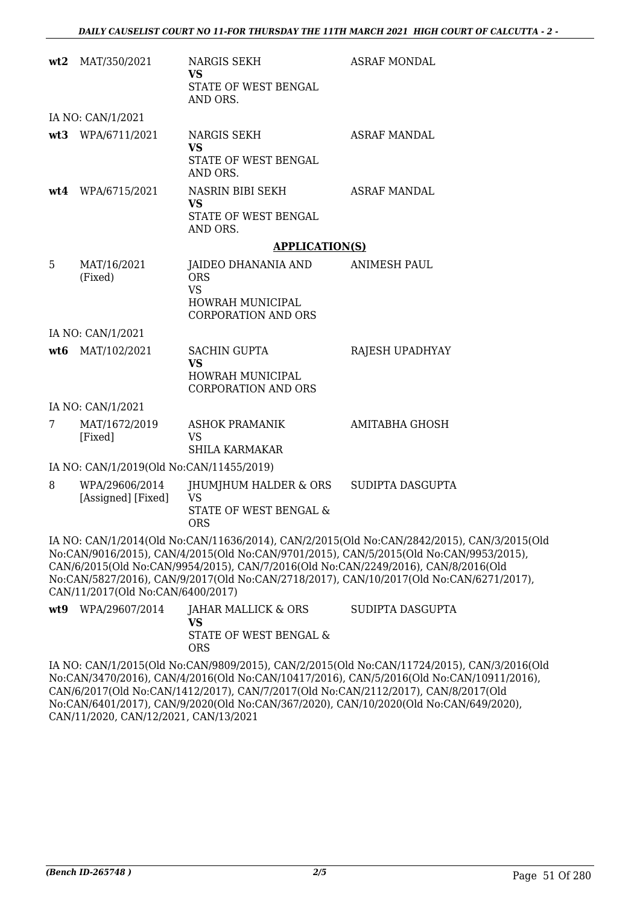|     | wt2 MAT/350/2021                         | NARGIS SEKH<br><b>VS</b><br>STATE OF WEST BENGAL<br>AND ORS.                                     | <b>ASRAF MONDAL</b>                                                                                                                                                                                                                                                                                                                                                   |
|-----|------------------------------------------|--------------------------------------------------------------------------------------------------|-----------------------------------------------------------------------------------------------------------------------------------------------------------------------------------------------------------------------------------------------------------------------------------------------------------------------------------------------------------------------|
|     | IA NO: CAN/1/2021                        |                                                                                                  |                                                                                                                                                                                                                                                                                                                                                                       |
|     | wt3 WPA/6711/2021                        | NARGIS SEKH<br><b>VS</b><br>STATE OF WEST BENGAL<br>AND ORS.                                     | <b>ASRAF MANDAL</b>                                                                                                                                                                                                                                                                                                                                                   |
|     | wt4 WPA/6715/2021                        | NASRIN BIBI SEKH<br><b>VS</b><br>STATE OF WEST BENGAL<br>AND ORS.                                | <b>ASRAF MANDAL</b>                                                                                                                                                                                                                                                                                                                                                   |
|     |                                          | <b>APPLICATION(S)</b>                                                                            |                                                                                                                                                                                                                                                                                                                                                                       |
| 5   | MAT/16/2021<br>(Fixed)                   | JAIDEO DHANANIA AND<br><b>ORS</b><br><b>VS</b><br>HOWRAH MUNICIPAL<br><b>CORPORATION AND ORS</b> | <b>ANIMESH PAUL</b>                                                                                                                                                                                                                                                                                                                                                   |
|     | IA NO: CAN/1/2021                        |                                                                                                  |                                                                                                                                                                                                                                                                                                                                                                       |
|     | wt6 MAT/102/2021                         | SACHIN GUPTA<br><b>VS</b><br>HOWRAH MUNICIPAL<br><b>CORPORATION AND ORS</b>                      | RAJESH UPADHYAY                                                                                                                                                                                                                                                                                                                                                       |
|     | IA NO: CAN/1/2021                        |                                                                                                  |                                                                                                                                                                                                                                                                                                                                                                       |
| 7   | MAT/1672/2019<br>[Fixed]                 | <b>ASHOK PRAMANIK</b><br>VS<br><b>SHILA KARMAKAR</b>                                             | <b>AMITABHA GHOSH</b>                                                                                                                                                                                                                                                                                                                                                 |
|     | IA NO: CAN/1/2019(Old No:CAN/11455/2019) |                                                                                                  |                                                                                                                                                                                                                                                                                                                                                                       |
| 8   | WPA/29606/2014<br>[Assigned] [Fixed]     | JHUMJHUM HALDER & ORS SUDIPTA DASGUPTA<br><b>VS</b><br>STATE OF WEST BENGAL &<br><b>ORS</b>      |                                                                                                                                                                                                                                                                                                                                                                       |
|     | CAN/11/2017(Old No:CAN/6400/2017)        |                                                                                                  | IA NO: CAN/1/2014(Old No:CAN/11636/2014), CAN/2/2015(Old No:CAN/2842/2015), CAN/3/2015(Old<br>No:CAN/9016/2015), CAN/4/2015(Old No:CAN/9701/2015), CAN/5/2015(Old No:CAN/9953/2015),<br>CAN/6/2015(Old No:CAN/9954/2015), CAN/7/2016(Old No:CAN/2249/2016), CAN/8/2016(Old<br>No:CAN/5827/2016), CAN/9/2017(Old No:CAN/2718/2017), CAN/10/2017(Old No:CAN/6271/2017), |
| wt9 | WPA/29607/2014                           | JAHAR MALLICK & ORS<br><b>VS</b><br>STATE OF WEST BENGAL &                                       | SUDIPTA DASGUPTA                                                                                                                                                                                                                                                                                                                                                      |

IA NO: CAN/1/2015(Old No:CAN/9809/2015), CAN/2/2015(Old No:CAN/11724/2015), CAN/3/2016(Old No:CAN/3470/2016), CAN/4/2016(Old No:CAN/10417/2016), CAN/5/2016(Old No:CAN/10911/2016), CAN/6/2017(Old No:CAN/1412/2017), CAN/7/2017(Old No:CAN/2112/2017), CAN/8/2017(Old No:CAN/6401/2017), CAN/9/2020(Old No:CAN/367/2020), CAN/10/2020(Old No:CAN/649/2020), CAN/11/2020, CAN/12/2021, CAN/13/2021

ORS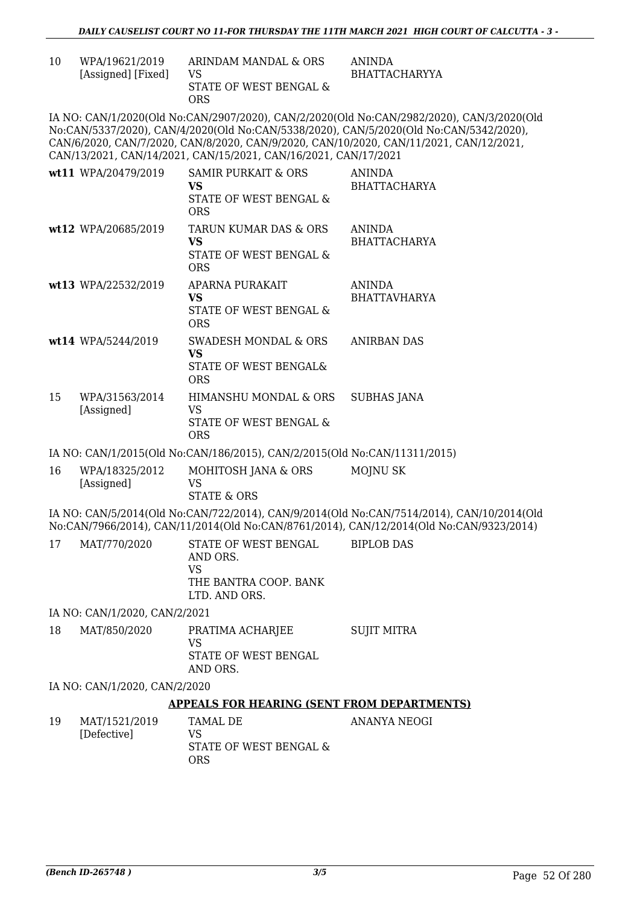| 10 | WPA/19621/2019     | ARINDAM MANDAL & ORS   | ANINDA        |
|----|--------------------|------------------------|---------------|
|    | [Assigned] [Fixed] | VS.                    | BHATTACHARYYA |
|    |                    | STATE OF WEST BENGAL & |               |
|    |                    | ORS                    |               |

IA NO: CAN/1/2020(Old No:CAN/2907/2020), CAN/2/2020(Old No:CAN/2982/2020), CAN/3/2020(Old No:CAN/5337/2020), CAN/4/2020(Old No:CAN/5338/2020), CAN/5/2020(Old No:CAN/5342/2020), CAN/6/2020, CAN/7/2020, CAN/8/2020, CAN/9/2020, CAN/10/2020, CAN/11/2021, CAN/12/2021, CAN/13/2021, CAN/14/2021, CAN/15/2021, CAN/16/2021, CAN/17/2021

|    | wt11 WPA/20479/2019          | SAMIR PURKAIT & ORS<br>VS.<br>STATE OF WEST BENGAL &<br><b>ORS</b>   | <b>ANINDA</b><br><b>BHATTACHARYA</b> |
|----|------------------------------|----------------------------------------------------------------------|--------------------------------------|
|    | wt12 WPA/20685/2019          | TARUN KUMAR DAS & ORS<br>VS.<br>STATE OF WEST BENGAL &<br><b>ORS</b> | <b>ANINDA</b><br><b>BHATTACHARYA</b> |
|    | wt13 WPA/22532/2019          | APARNA PURAKAIT<br>VS.<br>STATE OF WEST BENGAL &<br>ORS              | <b>ANINDA</b><br><b>BHATTAVHARYA</b> |
|    | $wt14$ WPA/5244/2019         | SWADESH MONDAL & ORS<br>VS.<br>STATE OF WEST BENGALS<br><b>ORS</b>   | <b>ANIRBAN DAS</b>                   |
| 15 | WPA/31563/2014<br>[Assigned] | HIMANSHU MONDAL & ORS<br>VS<br>STATE OF WEST BENGAL &<br><b>ORS</b>  | <b>SUBHAS JANA</b>                   |

IA NO: CAN/1/2015(Old No:CAN/186/2015), CAN/2/2015(Old No:CAN/11311/2015)

16 WPA/18325/2012 [Assigned] MOHITOSH JANA & ORS VS STATE & ORS MOJNU SK

IA NO: CAN/5/2014(Old No:CAN/722/2014), CAN/9/2014(Old No:CAN/7514/2014), CAN/10/2014(Old No:CAN/7966/2014), CAN/11/2014(Old No:CAN/8761/2014), CAN/12/2014(Old No:CAN/9323/2014)

| 17 | MAT/770/2020 | STATE OF WEST BENGAL<br>AND ORS.<br>VS<br>THE BANTRA COOP. BANK<br>LTD. AND ORS. | BIPLOB DAS |
|----|--------------|----------------------------------------------------------------------------------|------------|
|    |              |                                                                                  |            |

IA NO: CAN/1/2020, CAN/2/2021

| 18 | MAT/850/2020 | PRATIMA ACHARJEE<br>VS<br>STATE OF WEST BENGAL | SUJIT MITRA |
|----|--------------|------------------------------------------------|-------------|
|    |              | AND ORS.                                       |             |
|    |              |                                                |             |

IA NO: CAN/1/2020, CAN/2/2020

#### **APPEALS FOR HEARING (SENT FROM DEPARTMENTS)**

| 19 | MAT/1521/2019 | TAMAL DE               | ANANYA NEOGI |
|----|---------------|------------------------|--------------|
|    | [Defective]   | VS.                    |              |
|    |               | STATE OF WEST BENGAL & |              |
|    |               | ORS                    |              |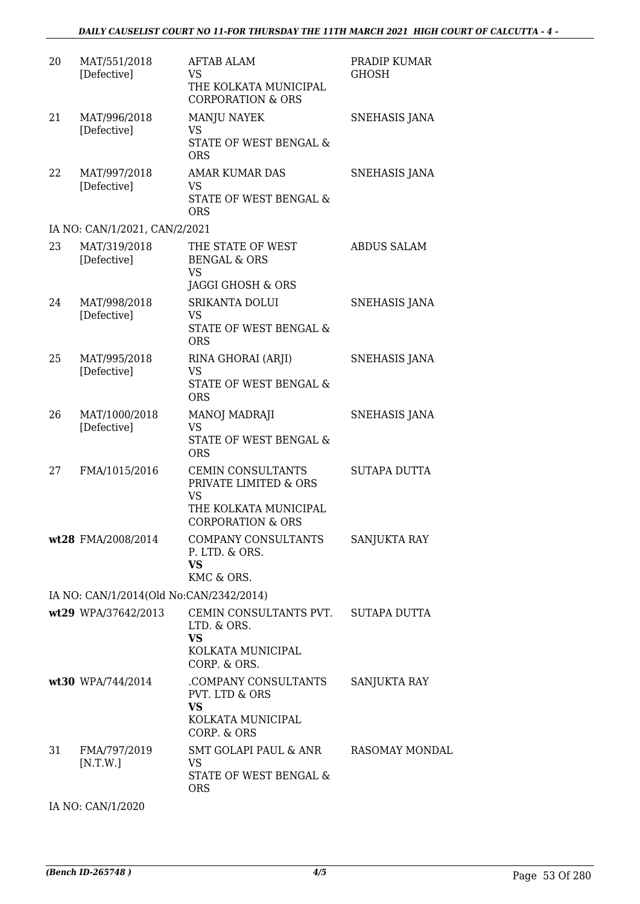| 20 | MAT/551/2018<br>[Defective]             | AFTAB ALAM<br>VS<br>THE KOLKATA MUNICIPAL<br><b>CORPORATION &amp; ORS</b>                                               | PRADIP KUMAR<br>GHOSH |
|----|-----------------------------------------|-------------------------------------------------------------------------------------------------------------------------|-----------------------|
| 21 | MAT/996/2018<br>[Defective]             | <b>MANJU NAYEK</b><br><b>VS</b><br>STATE OF WEST BENGAL &<br><b>ORS</b>                                                 | SNEHASIS JANA         |
| 22 | MAT/997/2018<br>[Defective]             | AMAR KUMAR DAS<br><b>VS</b><br><b>STATE OF WEST BENGAL &amp;</b><br><b>ORS</b>                                          | SNEHASIS JANA         |
|    | IA NO: CAN/1/2021, CAN/2/2021           |                                                                                                                         |                       |
| 23 | MAT/319/2018<br>[Defective]             | THE STATE OF WEST<br><b>BENGAL &amp; ORS</b><br>VS<br>JAGGI GHOSH & ORS                                                 | <b>ABDUS SALAM</b>    |
| 24 | MAT/998/2018<br>[Defective]             | <b>SRIKANTA DOLUI</b><br><b>VS</b><br><b>STATE OF WEST BENGAL &amp;</b><br><b>ORS</b>                                   | SNEHASIS JANA         |
| 25 | MAT/995/2018<br>[Defective]             | RINA GHORAI (ARJI)<br><b>VS</b><br>STATE OF WEST BENGAL &<br><b>ORS</b>                                                 | <b>SNEHASIS JANA</b>  |
| 26 | MAT/1000/2018<br>[Defective]            | MANOJ MADRAJI<br><b>VS</b><br>STATE OF WEST BENGAL &<br><b>ORS</b>                                                      | SNEHASIS JANA         |
| 27 | FMA/1015/2016                           | <b>CEMIN CONSULTANTS</b><br>PRIVATE LIMITED & ORS<br><b>VS</b><br>THE KOLKATA MUNICIPAL<br><b>CORPORATION &amp; ORS</b> | <b>SUTAPA DUTTA</b>   |
|    | wt28 FMA/2008/2014                      | COMPANY CONSULTANTS<br>P. LTD. & ORS.<br><b>VS</b><br>KMC & ORS.                                                        | SANJUKTA RAY          |
|    | IA NO: CAN/1/2014(Old No:CAN/2342/2014) |                                                                                                                         |                       |
|    | wt29 WPA/37642/2013                     | CEMIN CONSULTANTS PVT. SUTAPA DUTTA<br>LTD. & ORS.<br><b>VS</b><br>KOLKATA MUNICIPAL                                    |                       |
|    | wt30 WPA/744/2014                       | CORP. & ORS.<br>COMPANY CONSULTANTS<br>PVT. LTD & ORS<br>VS<br>KOLKATA MUNICIPAL<br>CORP. & ORS                         | SANJUKTA RAY          |
| 31 | FMA/797/2019<br>[N.T.W.]                | SMT GOLAPI PAUL & ANR<br>VS<br>STATE OF WEST BENGAL &<br><b>ORS</b>                                                     | RASOMAY MONDAL        |

IA NO: CAN/1/2020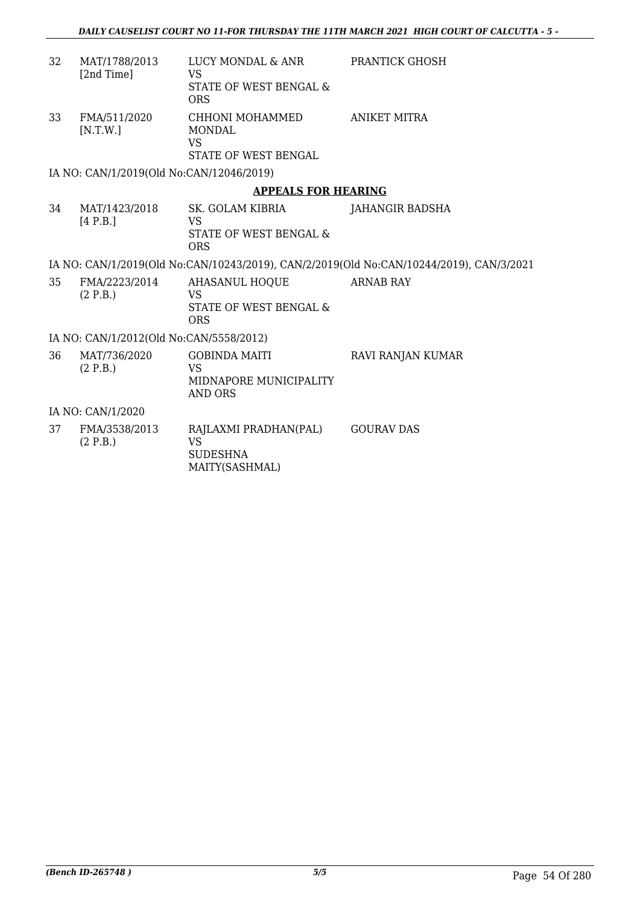| 32 | MAT/1788/2013<br>[2nd Time]              | LUCY MONDAL & ANR<br><b>VS</b><br>STATE OF WEST BENGAL &<br><b>ORS</b>        | <b>PRANTICK GHOSH</b>                                                                   |
|----|------------------------------------------|-------------------------------------------------------------------------------|-----------------------------------------------------------------------------------------|
| 33 | FMA/511/2020<br>[N.T.W.]                 | CHHONI MOHAMMED<br><b>MONDAL</b><br><b>VS</b><br><b>STATE OF WEST BENGAL</b>  | ANIKET MITRA                                                                            |
|    | IA NO: CAN/1/2019(Old No:CAN/12046/2019) |                                                                               |                                                                                         |
|    |                                          | <b>APPEALS FOR HEARING</b>                                                    |                                                                                         |
| 34 | MAT/1423/2018<br>[4 P.B.]                | SK. GOLAM KIBRIA<br>VS<br>STATE OF WEST BENGAL &<br><b>ORS</b>                | JAHANGIR BADSHA                                                                         |
|    |                                          |                                                                               | IA NO: CAN/1/2019(Old No:CAN/10243/2019), CAN/2/2019(Old No:CAN/10244/2019), CAN/3/2021 |
| 35 | FMA/2223/2014<br>(2 P.B.)                | <b>AHASANUL HOQUE</b><br><b>VS</b><br>STATE OF WEST BENGAL &<br><b>ORS</b>    | <b>ARNAB RAY</b>                                                                        |
|    | IA NO: CAN/1/2012(Old No:CAN/5558/2012)  |                                                                               |                                                                                         |
| 36 | MAT/736/2020<br>(2 P.B.)                 | <b>GOBINDA MAITI</b><br><b>VS</b><br>MIDNAPORE MUNICIPALITY<br><b>AND ORS</b> | RAVI RANJAN KUMAR                                                                       |
|    | IA NO: CAN/1/2020                        |                                                                               |                                                                                         |
| 37 | FMA/3538/2013<br>(2 P.B.)                | RAJLAXMI PRADHAN(PAL)<br><b>VS</b><br>SUDESHNA                                | <b>GOURAV DAS</b>                                                                       |

MAITY(SASHMAL)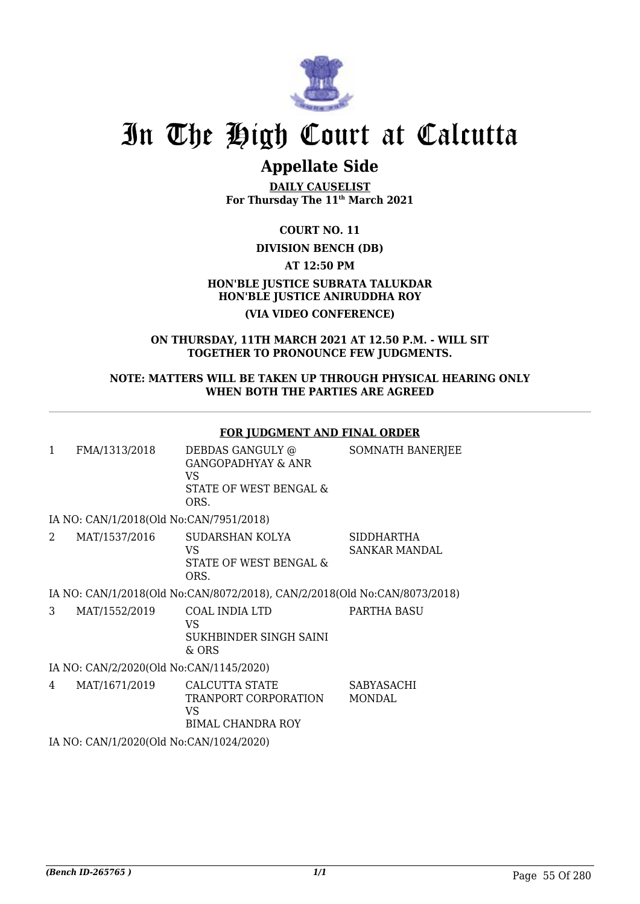

## **Appellate Side**

**DAILY CAUSELIST For Thursday The 11th March 2021**

**COURT NO. 11**

#### **DIVISION BENCH (DB)**

**AT 12:50 PM**

#### **HON'BLE JUSTICE SUBRATA TALUKDAR HON'BLE JUSTICE ANIRUDDHA ROY (VIA VIDEO CONFERENCE)**

#### **ON THURSDAY, 11TH MARCH 2021 AT 12.50 P.M. - WILL SIT TOGETHER TO PRONOUNCE FEW JUDGMENTS.**

#### **NOTE: MATTERS WILL BE TAKEN UP THROUGH PHYSICAL HEARING ONLY WHEN BOTH THE PARTIES ARE AGREED**

#### **FOR JUDGMENT AND FINAL ORDER**

| FMA/1313/2018 | DEBDAS GANGULY @<br>GANGOPADHYAY & ANR<br>VS<br>STATE OF WEST BENGAL &<br>ORS. | SOMNATH BANERJEE |
|---------------|--------------------------------------------------------------------------------|------------------|
|               |                                                                                |                  |

IA NO: CAN/1/2018(Old No:CAN/7951/2018)

| MAT/1537/2016 | SUDARSHAN KOLYA        | SIDDHARTHA    |
|---------------|------------------------|---------------|
|               | VS                     | SANKAR MANDAL |
|               | STATE OF WEST BENGAL & |               |
|               | ORS.                   |               |

IA NO: CAN/1/2018(Old No:CAN/8072/2018), CAN/2/2018(Old No:CAN/8073/2018)

3 MAT/1552/2019 COAL INDIA LTD VS SUKHBINDER SINGH SAINI & ORS PARTHA BASU

#### IA NO: CAN/2/2020(Old No:CAN/1145/2020)

4 MAT/1671/2019 CALCUTTA STATE TRANPORT CORPORATION VS BIMAL CHANDRA ROY SABYASACHI **MONDAL** 

IA NO: CAN/1/2020(Old No:CAN/1024/2020)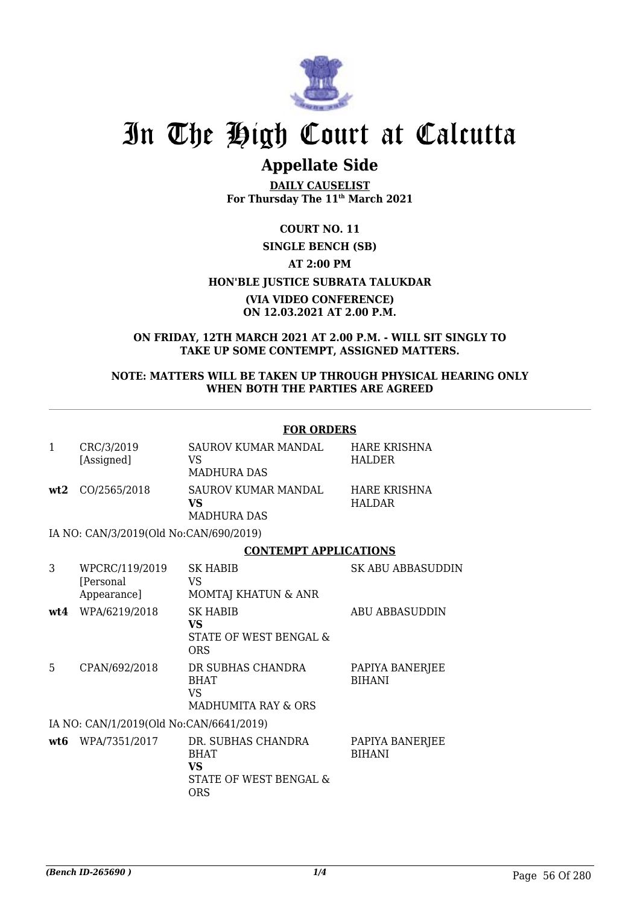

## **Appellate Side**

**DAILY CAUSELIST For Thursday The 11th March 2021**

**COURT NO. 11**

#### **SINGLE BENCH (SB) AT 2:00 PM HON'BLE JUSTICE SUBRATA TALUKDAR (VIA VIDEO CONFERENCE) ON 12.03.2021 AT 2.00 P.M.**

**ON FRIDAY, 12TH MARCH 2021 AT 2.00 P.M. - WILL SIT SINGLY TO TAKE UP SOME CONTEMPT, ASSIGNED MATTERS.**

#### **NOTE: MATTERS WILL BE TAKEN UP THROUGH PHYSICAL HEARING ONLY WHEN BOTH THE PARTIES ARE AGREED**

#### **FOR ORDERS**

| $\mathbf{1}$ | CRC/3/2019<br>[Assigned]                   | SAUROV KUMAR MANDAL<br>VS.<br><b>MADHURA DAS</b>                          | HARE KRISHNA<br><b>HALDER</b>        |
|--------------|--------------------------------------------|---------------------------------------------------------------------------|--------------------------------------|
| wt2          | CO/2565/2018                               | SAUROV KUMAR MANDAL<br>VS<br><b>MADHURA DAS</b>                           | <b>HARE KRISHNA</b><br><b>HALDAR</b> |
|              | IA NO: CAN/3/2019(Old No:CAN/690/2019)     |                                                                           |                                      |
|              |                                            | <b>CONTEMPT APPLICATIONS</b>                                              |                                      |
| 3            | WPCRC/119/2019<br>[Personal<br>Appearance] | <b>SK HABIB</b><br>VS.<br>MOMTAJ KHATUN & ANR                             | SK ABU ABBASUDDIN                    |
| wt4          | WPA/6219/2018                              | <b>SK HABIB</b><br><b>VS</b><br>STATE OF WEST BENGAL &<br><b>ORS</b>      | <b>ABU ABBASUDDIN</b>                |
| 5            | CPAN/692/2018                              | DR SUBHAS CHANDRA<br><b>BHAT</b><br>VS.<br>MADHUMITA RAY & ORS            | PAPIYA BANERJEE<br><b>BIHANI</b>     |
|              | IA NO: CAN/1/2019(Old No:CAN/6641/2019)    |                                                                           |                                      |
| wt6          | WPA/7351/2017                              | DR. SUBHAS CHANDRA<br><b>BHAT</b><br>VS.<br>STATE OF WEST BENGAL &<br>ORS | PAPIYA BANERJEE<br><b>BIHANI</b>     |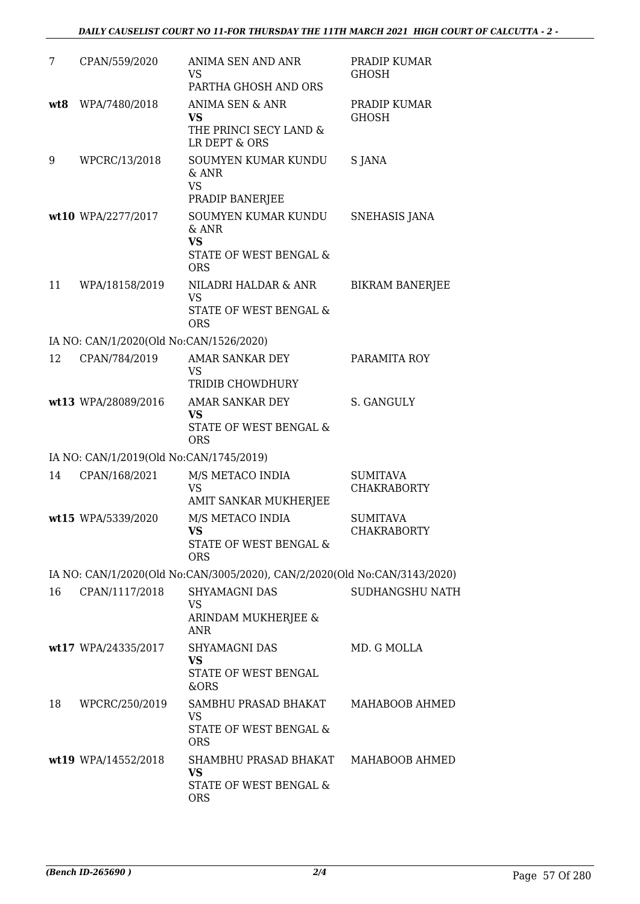| 7   | CPAN/559/2020                           | ANIMA SEN AND ANR<br>VS<br>PARTHA GHOSH AND ORS                                     | PRADIP KUMAR<br><b>GHOSH</b>          |
|-----|-----------------------------------------|-------------------------------------------------------------------------------------|---------------------------------------|
| wt8 | WPA/7480/2018                           | <b>ANIMA SEN &amp; ANR</b><br><b>VS</b><br>THE PRINCI SECY LAND &<br>LR DEPT & ORS  | PRADIP KUMAR<br><b>GHOSH</b>          |
| 9   | WPCRC/13/2018                           | SOUMYEN KUMAR KUNDU<br>$&$ ANR<br><b>VS</b><br>PRADIP BANERJEE                      | S JANA                                |
|     | wt10 WPA/2277/2017                      | SOUMYEN KUMAR KUNDU<br>$&$ ANR<br><b>VS</b><br>STATE OF WEST BENGAL &<br><b>ORS</b> | SNEHASIS JANA                         |
| 11  | WPA/18158/2019                          | NILADRI HALDAR & ANR<br><b>VS</b><br>STATE OF WEST BENGAL &<br><b>ORS</b>           | <b>BIKRAM BANERJEE</b>                |
|     | IA NO: CAN/1/2020(Old No:CAN/1526/2020) |                                                                                     |                                       |
| 12  | CPAN/784/2019                           | AMAR SANKAR DEY<br>VS<br>TRIDIB CHOWDHURY                                           | PARAMITA ROY                          |
|     | wt13 WPA/28089/2016                     | AMAR SANKAR DEY<br><b>VS</b><br>STATE OF WEST BENGAL &<br><b>ORS</b>                | S. GANGULY                            |
|     | IA NO: CAN/1/2019(Old No:CAN/1745/2019) |                                                                                     |                                       |
| 14  | CPAN/168/2021                           | M/S METACO INDIA<br><b>VS</b><br>AMIT SANKAR MUKHERJEE                              | <b>SUMITAVA</b><br><b>CHAKRABORTY</b> |
|     | wt15 WPA/5339/2020                      | M/S METACO INDIA<br><b>VS</b><br>STATE OF WEST BENGAL &<br><b>ORS</b>               | <b>SUMITAVA</b><br><b>CHAKRABORTY</b> |
|     |                                         | IA NO: CAN/1/2020(Old No:CAN/3005/2020), CAN/2/2020(Old No:CAN/3143/2020)           |                                       |
| 16  | CPAN/1117/2018                          | <b>SHYAMAGNI DAS</b><br><b>VS</b><br>ARINDAM MUKHERJEE &<br><b>ANR</b>              | SUDHANGSHU NATH                       |
|     | wt17 WPA/24335/2017                     | <b>SHYAMAGNI DAS</b><br>VS<br>STATE OF WEST BENGAL<br>&ORS                          | MD. G MOLLA                           |
| 18  | WPCRC/250/2019                          | SAMBHU PRASAD BHAKAT<br><b>VS</b><br>STATE OF WEST BENGAL &<br><b>ORS</b>           | MAHABOOB AHMED                        |
|     | wt19 WPA/14552/2018                     | SHAMBHU PRASAD BHAKAT<br>VS<br>STATE OF WEST BENGAL &<br><b>ORS</b>                 | MAHABOOB AHMED                        |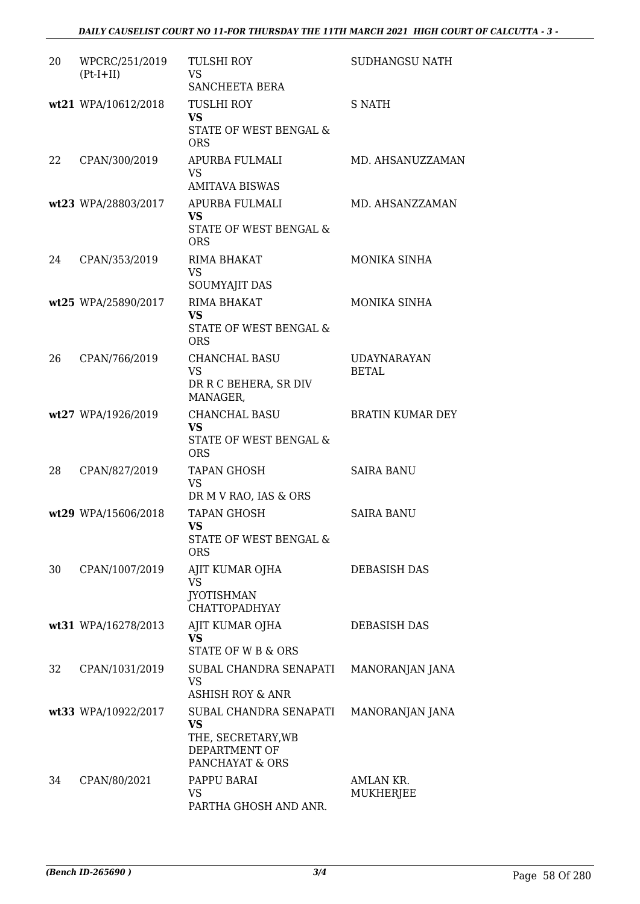#### *DAILY CAUSELIST COURT NO 11-FOR THURSDAY THE 11TH MARCH 2021 HIGH COURT OF CALCUTTA - 3 -*

| 20 | WPCRC/251/2019<br>$(Pt-I+II)$ | <b>TULSHI ROY</b><br><b>VS</b><br>SANCHEETA BERA                                       | <b>SUDHANGSU NATH</b>       |
|----|-------------------------------|----------------------------------------------------------------------------------------|-----------------------------|
|    | wt21 WPA/10612/2018           | <b>TUSLHI ROY</b><br><b>VS</b><br>STATE OF WEST BENGAL &<br><b>ORS</b>                 | <b>S NATH</b>               |
| 22 | CPAN/300/2019                 | APURBA FULMALI<br><b>VS</b><br><b>AMITAVA BISWAS</b>                                   | MD. AHSANUZZAMAN            |
|    | wt23 WPA/28803/2017           | APURBA FULMALI<br><b>VS</b><br>STATE OF WEST BENGAL &<br><b>ORS</b>                    | MD. AHSANZZAMAN             |
| 24 | CPAN/353/2019                 | RIMA BHAKAT<br><b>VS</b><br><b>SOUMYAJIT DAS</b>                                       | MONIKA SINHA                |
|    | wt25 WPA/25890/2017           | <b>RIMA BHAKAT</b><br><b>VS</b><br><b>STATE OF WEST BENGAL &amp;</b><br><b>ORS</b>     | MONIKA SINHA                |
| 26 | CPAN/766/2019                 | CHANCHAL BASU<br><b>VS</b><br>DR R C BEHERA, SR DIV<br>MANAGER,                        | <b>UDAYNARAYAN</b><br>BETAL |
|    | wt27 WPA/1926/2019            | <b>CHANCHAL BASU</b><br><b>VS</b><br>STATE OF WEST BENGAL &<br><b>ORS</b>              | <b>BRATIN KUMAR DEY</b>     |
| 28 | CPAN/827/2019                 | <b>TAPAN GHOSH</b><br><b>VS</b><br>DR M V RAO, IAS & ORS                               | <b>SAIRA BANU</b>           |
|    | wt29 WPA/15606/2018           | <b>TAPAN GHOSH</b><br><b>VS</b><br><b>STATE OF WEST BENGAL &amp;</b><br><b>ORS</b>     | <b>SAIRA BANU</b>           |
| 30 | CPAN/1007/2019                | AJIT KUMAR OJHA<br><b>VS</b><br><b>JYOTISHMAN</b><br><b>CHATTOPADHYAY</b>              | DEBASISH DAS                |
|    | wt31 WPA/16278/2013           | AJIT KUMAR OJHA<br><b>VS</b><br><b>STATE OF W B &amp; ORS</b>                          | <b>DEBASISH DAS</b>         |
| 32 | CPAN/1031/2019                | SUBAL CHANDRA SENAPATI<br><b>VS</b><br><b>ASHISH ROY &amp; ANR</b>                     | MANORANJAN JANA             |
|    | wt33 WPA/10922/2017           | SUBAL CHANDRA SENAPATI<br>VS<br>THE, SECRETARY, WB<br>DEPARTMENT OF<br>PANCHAYAT & ORS | MANORANJAN JANA             |
| 34 | CPAN/80/2021                  | PAPPU BARAI<br><b>VS</b><br>PARTHA GHOSH AND ANR.                                      | AMLAN KR.<br>MUKHERJEE      |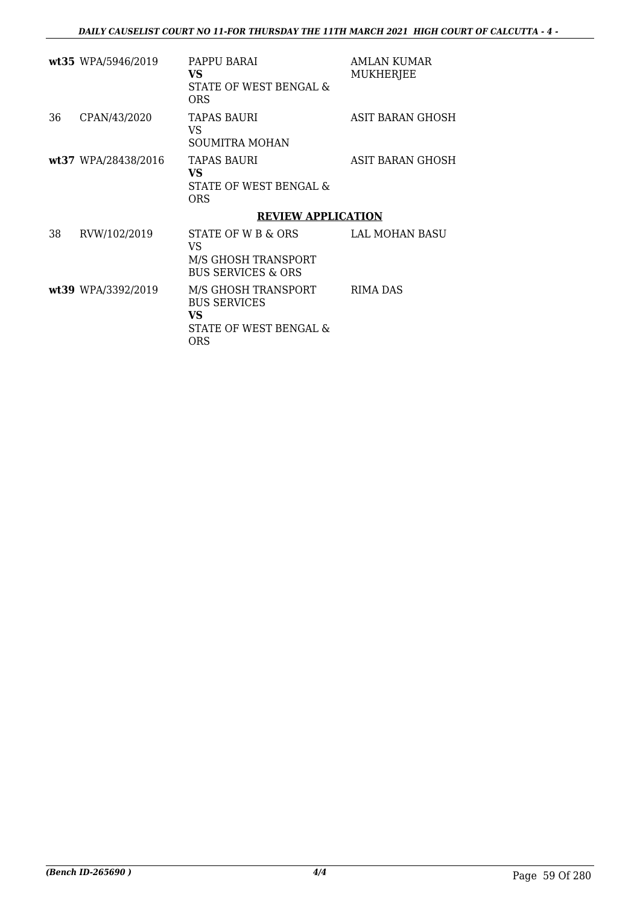|    | wt35 WPA/5946/2019  | PAPPU BARAI<br><b>VS</b><br>STATE OF WEST BENGAL &<br>ORS                                | AMLAN KUMAR<br><b>MUKHERJEE</b> |
|----|---------------------|------------------------------------------------------------------------------------------|---------------------------------|
| 36 | CPAN/43/2020        | <b>TAPAS BAURI</b><br>VS<br>SOUMITRA MOHAN                                               | ASIT BARAN GHOSH                |
|    | wt37 WPA/28438/2016 | TAPAS BAURI<br><b>VS</b><br>STATE OF WEST BENGAL &<br><b>ORS</b>                         | ASIT BARAN GHOSH                |
|    |                     | <b>REVIEW APPLICATION</b>                                                                |                                 |
| 38 | RVW/102/2019        | STATE OF W B & ORS<br>VS.<br>M/S GHOSH TRANSPORT<br><b>BUS SERVICES &amp; ORS</b>        | LAL MOHAN BASU                  |
|    | wt39 WPA/3392/2019  | M/S GHOSH TRANSPORT<br><b>BUS SERVICES</b><br><b>VS</b><br>STATE OF WEST BENGAL &<br>ORS | RIMA DAS                        |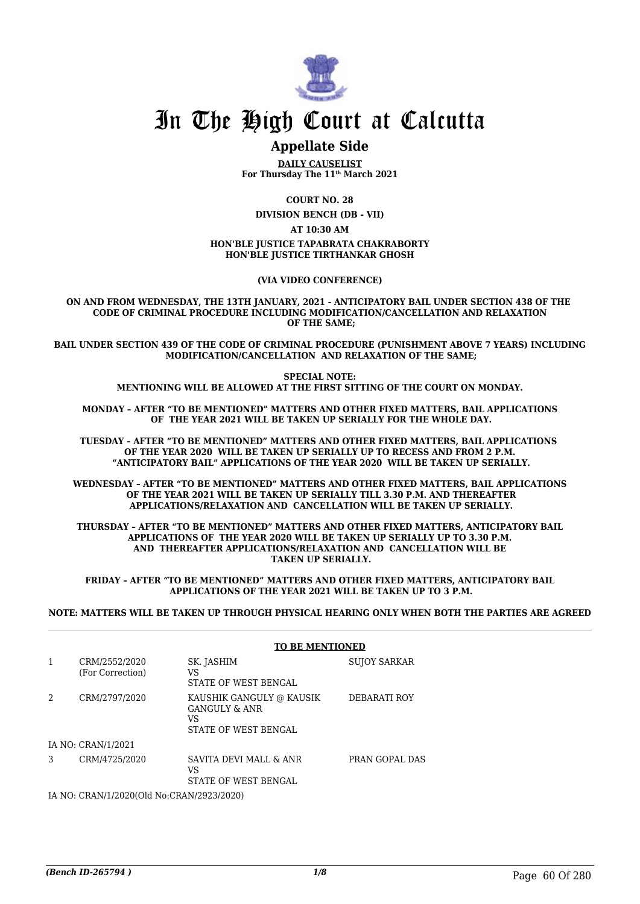

### **Appellate Side**

**DAILY CAUSELIST For Thursday The 11th March 2021**

**COURT NO. 28**

**DIVISION BENCH (DB - VII)**

**AT 10:30 AM**

#### **HON'BLE JUSTICE TAPABRATA CHAKRABORTY HON'BLE JUSTICE TIRTHANKAR GHOSH**

**(VIA VIDEO CONFERENCE)**

**ON AND FROM WEDNESDAY, THE 13TH JANUARY, 2021 - ANTICIPATORY BAIL UNDER SECTION 438 OF THE CODE OF CRIMINAL PROCEDURE INCLUDING MODIFICATION/CANCELLATION AND RELAXATION OF THE SAME;**

**BAIL UNDER SECTION 439 OF THE CODE OF CRIMINAL PROCEDURE (PUNISHMENT ABOVE 7 YEARS) INCLUDING MODIFICATION/CANCELLATION AND RELAXATION OF THE SAME;**

> **SPECIAL NOTE: MENTIONING WILL BE ALLOWED AT THE FIRST SITTING OF THE COURT ON MONDAY.**

**MONDAY – AFTER "TO BE MENTIONED" MATTERS AND OTHER FIXED MATTERS, BAIL APPLICATIONS OF THE YEAR 2021 WILL BE TAKEN UP SERIALLY FOR THE WHOLE DAY.**

**TUESDAY – AFTER "TO BE MENTIONED" MATTERS AND OTHER FIXED MATTERS, BAIL APPLICATIONS OF THE YEAR 2020 WILL BE TAKEN UP SERIALLY UP TO RECESS AND FROM 2 P.M. "ANTICIPATORY BAIL" APPLICATIONS OF THE YEAR 2020 WILL BE TAKEN UP SERIALLY.**

**WEDNESDAY – AFTER "TO BE MENTIONED" MATTERS AND OTHER FIXED MATTERS, BAIL APPLICATIONS OF THE YEAR 2021 WILL BE TAKEN UP SERIALLY TILL 3.30 P.M. AND THEREAFTER APPLICATIONS/RELAXATION AND CANCELLATION WILL BE TAKEN UP SERIALLY.**

**THURSDAY – AFTER "TO BE MENTIONED" MATTERS AND OTHER FIXED MATTERS, ANTICIPATORY BAIL APPLICATIONS OF THE YEAR 2020 WILL BE TAKEN UP SERIALLY UP TO 3.30 P.M. AND THEREAFTER APPLICATIONS/RELAXATION AND CANCELLATION WILL BE TAKEN UP SERIALLY.**

**FRIDAY – AFTER "TO BE MENTIONED" MATTERS AND OTHER FIXED MATTERS, ANTICIPATORY BAIL APPLICATIONS OF THE YEAR 2021 WILL BE TAKEN UP TO 3 P.M.**

**NOTE: MATTERS WILL BE TAKEN UP THROUGH PHYSICAL HEARING ONLY WHEN BOTH THE PARTIES ARE AGREED**

|   |                                   | <b>TO BE MENTIONED</b>                                                  |                     |  |
|---|-----------------------------------|-------------------------------------------------------------------------|---------------------|--|
| 1 | CRM/2552/2020<br>(For Correction) | SK. JASHIM<br>VS<br><b>STATE OF WEST BENGAL</b>                         | <b>SUJOY SARKAR</b> |  |
| 2 | CRM/2797/2020                     | KAUSHIK GANGULY @ KAUSIK<br>GANGULY & ANR<br>VS<br>STATE OF WEST BENGAL | DEBARATI ROY        |  |
|   | IA NO: CRAN/1/2021                |                                                                         |                     |  |
| 3 | CRM/4725/2020                     | SAVITA DEVI MALL & ANR<br>VS<br>STATE OF WEST BENGAL                    | PRAN GOPAL DAS      |  |

IA NO: CRAN/1/2020(Old No:CRAN/2923/2020)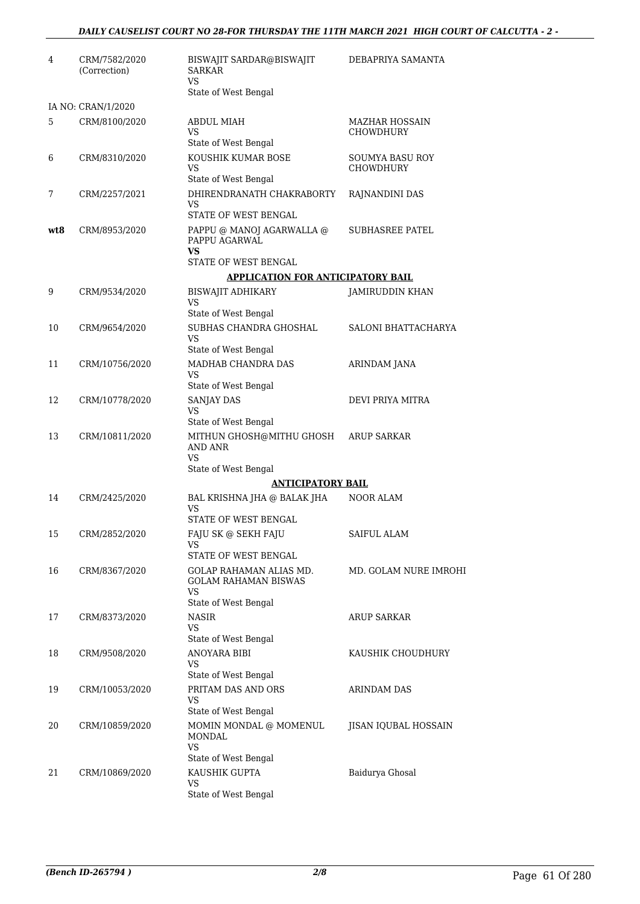| 4   | CRM/7582/2020<br>(Correction) | BISWAJIT SARDAR@BISWAJIT<br><b>SARKAR</b><br>VS               | DEBAPRIYA SAMANTA                   |
|-----|-------------------------------|---------------------------------------------------------------|-------------------------------------|
|     |                               | State of West Bengal                                          |                                     |
|     | IA NO: CRAN/1/2020            |                                                               |                                     |
| 5   | CRM/8100/2020                 | <b>ABDUL MIAH</b><br>VS<br>State of West Bengal               | MAZHAR HOSSAIN<br>CHOWDHURY         |
| 6   | CRM/8310/2020                 | KOUSHIK KUMAR BOSE<br>VS<br>State of West Bengal              | SOUMYA BASU ROY<br><b>CHOWDHURY</b> |
| 7   | CRM/2257/2021                 | DHIRENDRANATH CHAKRABORTY<br>VS                               | RAJNANDINI DAS                      |
|     |                               | STATE OF WEST BENGAL                                          |                                     |
| wt8 | CRM/8953/2020                 | PAPPU @ MANOJ AGARWALLA @<br>PAPPU AGARWAL<br>VS              | SUBHASREE PATEL                     |
|     |                               | STATE OF WEST BENGAL                                          |                                     |
|     |                               | <b>APPLICATION FOR ANTICIPATORY BAIL</b>                      |                                     |
| 9   | CRM/9534/2020                 | BISWAJIT ADHIKARY<br><b>VS</b>                                | JAMIRUDDIN KHAN                     |
| 10  | CRM/9654/2020                 | State of West Bengal<br>SUBHAS CHANDRA GHOSHAL                | <b>SALONI BHATTACHARYA</b>          |
|     |                               | <b>VS</b><br>State of West Bengal                             |                                     |
| 11  | CRM/10756/2020                | MADHAB CHANDRA DAS                                            | ARINDAM JANA                        |
|     |                               | <b>VS</b>                                                     |                                     |
| 12  | CRM/10778/2020                | State of West Bengal<br>SANJAY DAS                            | DEVI PRIYA MITRA                    |
|     |                               | VS<br>State of West Bengal                                    |                                     |
| 13  | CRM/10811/2020                | MITHUN GHOSH@MITHU GHOSH<br>AND ANR                           | ARUP SARKAR                         |
|     |                               | <b>VS</b><br>State of West Bengal                             |                                     |
|     |                               | <b>ANTICIPATORY BAIL</b>                                      |                                     |
| 14  | CRM/2425/2020                 | BAL KRISHNA JHA @ BALAK JHA<br>VS                             | NOOR ALAM                           |
|     |                               | STATE OF WEST BENGAL                                          |                                     |
| 15  | CRM/2852/2020                 | FAJU SK @ SEKH FAJU<br>VS<br>STATE OF WEST BENGAL             | <b>SAIFUL ALAM</b>                  |
| 16  | CRM/8367/2020                 | GOLAP RAHAMAN ALIAS MD.<br><b>GOLAM RAHAMAN BISWAS</b><br>VS. | MD. GOLAM NURE IMROHI               |
|     |                               | State of West Bengal                                          |                                     |
| 17  | CRM/8373/2020                 | NASIR<br>VS                                                   | <b>ARUP SARKAR</b>                  |
|     |                               | State of West Bengal                                          |                                     |
| 18  | CRM/9508/2020                 | ANOYARA BIBI<br>VS<br>State of West Bengal                    | KAUSHIK CHOUDHURY                   |
| 19  | CRM/10053/2020                | PRITAM DAS AND ORS                                            | <b>ARINDAM DAS</b>                  |
|     |                               | VS<br>State of West Bengal                                    |                                     |
| 20  | CRM/10859/2020                | MOMIN MONDAL @ MOMENUL<br><b>MONDAL</b><br><b>VS</b>          | <b>JISAN IQUBAL HOSSAIN</b>         |
|     |                               | State of West Bengal                                          |                                     |
| 21  | CRM/10869/2020                | KAUSHIK GUPTA<br>VS.                                          | Baidurya Ghosal                     |
|     |                               | State of West Bengal                                          |                                     |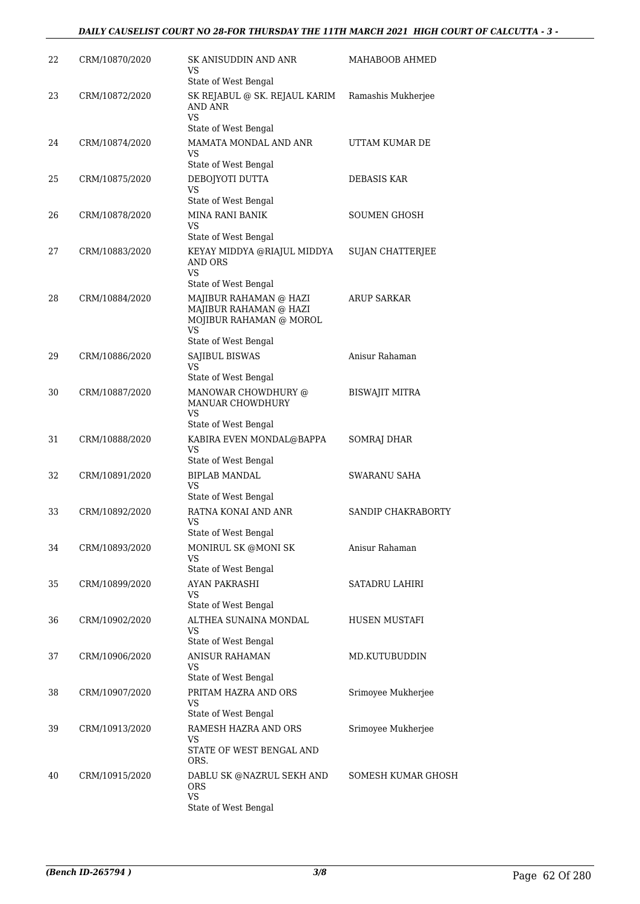| 22 | CRM/10870/2020 | SK ANISUDDIN AND ANR<br>VS<br>State of West Bengal                                                        | MAHABOOB AHMED          |
|----|----------------|-----------------------------------------------------------------------------------------------------------|-------------------------|
| 23 | CRM/10872/2020 | SK REJABUL @ SK. REJAUL KARIM<br>AND ANR<br><b>VS</b>                                                     | Ramashis Mukherjee      |
| 24 | CRM/10874/2020 | State of West Bengal<br>MAMATA MONDAL AND ANR<br>VS                                                       | UTTAM KUMAR DE          |
| 25 | CRM/10875/2020 | State of West Bengal<br>DEBOJYOTI DUTTA<br><b>VS</b>                                                      | DEBASIS KAR             |
| 26 | CRM/10878/2020 | State of West Bengal<br><b>MINA RANI BANIK</b><br>VS.                                                     | SOUMEN GHOSH            |
| 27 | CRM/10883/2020 | State of West Bengal<br>KEYAY MIDDYA @RIAJUL MIDDYA<br><b>AND ORS</b><br>VS                               | <b>SUJAN CHATTERJEE</b> |
| 28 | CRM/10884/2020 | State of West Bengal<br>MAJIBUR RAHAMAN @ HAZI<br>MAJIBUR RAHAMAN @ HAZI<br>MOJIBUR RAHAMAN @ MOROL<br>VS | <b>ARUP SARKAR</b>      |
| 29 | CRM/10886/2020 | State of West Bengal<br>SAJIBUL BISWAS<br>VS.                                                             | Anisur Rahaman          |
| 30 | CRM/10887/2020 | State of West Bengal<br>MANOWAR CHOWDHURY @<br><b>MANUAR CHOWDHURY</b><br>VS                              | <b>BISWAJIT MITRA</b>   |
| 31 | CRM/10888/2020 | State of West Bengal<br>KABIRA EVEN MONDAL@BAPPA<br>VS<br>State of West Bengal                            | SOMRAJ DHAR             |
| 32 | CRM/10891/2020 | <b>BIPLAB MANDAL</b><br>VS<br>State of West Bengal                                                        | SWARANU SAHA            |
| 33 | CRM/10892/2020 | RATNA KONAI AND ANR<br>VS<br>State of West Bengal                                                         | SANDIP CHAKRABORTY      |
| 34 | CRM/10893/2020 | MONIRUL SK @MONI SK<br>VS<br>State of West Bengal                                                         | Anisur Rahaman          |
| 35 | CRM/10899/2020 | AYAN PAKRASHI<br>VS<br>State of West Bengal                                                               | <b>SATADRU LAHIRI</b>   |
| 36 | CRM/10902/2020 | ALTHEA SUNAINA MONDAL<br>VS                                                                               | HUSEN MUSTAFI           |
| 37 | CRM/10906/2020 | State of West Bengal<br><b>ANISUR RAHAMAN</b><br>VS                                                       | MD.KUTUBUDDIN           |
| 38 | CRM/10907/2020 | State of West Bengal<br>PRITAM HAZRA AND ORS<br>VS                                                        | Srimoyee Mukherjee      |
| 39 | CRM/10913/2020 | State of West Bengal<br>RAMESH HAZRA AND ORS<br>VS<br>STATE OF WEST BENGAL AND<br>ORS.                    | Srimoyee Mukherjee      |
| 40 | CRM/10915/2020 | DABLU SK @NAZRUL SEKH AND<br><b>ORS</b><br><b>VS</b><br>State of West Bengal                              | SOMESH KUMAR GHOSH      |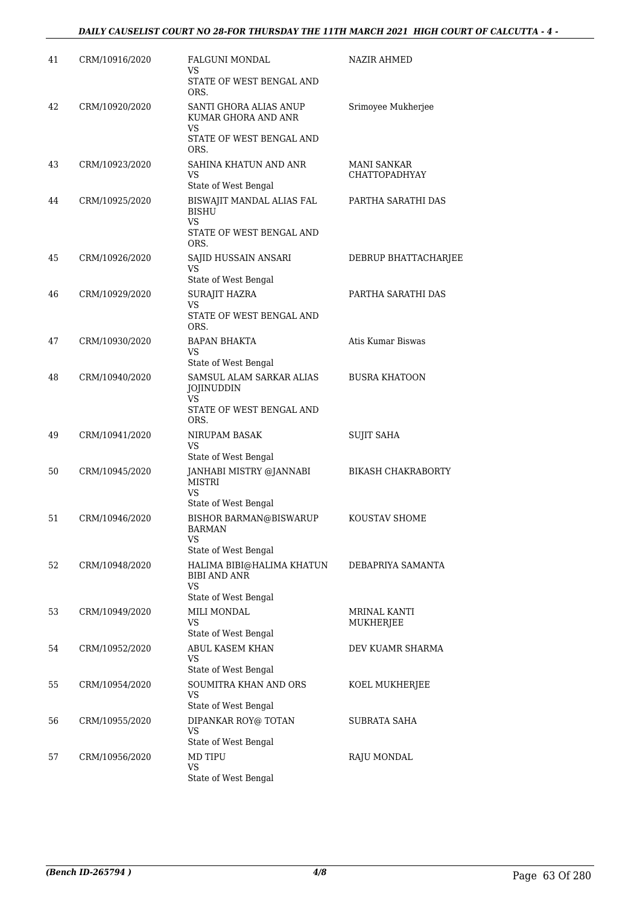| 41 | CRM/10916/2020 | <b>FALGUNI MONDAL</b><br>VS                                       | NAZIR AHMED                         |
|----|----------------|-------------------------------------------------------------------|-------------------------------------|
|    |                | STATE OF WEST BENGAL AND<br>ORS.                                  |                                     |
| 42 | CRM/10920/2020 | SANTI GHORA ALIAS ANUP<br>KUMAR GHORA AND ANR<br>VS               | Srimoyee Mukherjee                  |
|    |                | STATE OF WEST BENGAL AND<br>ORS.                                  |                                     |
| 43 | CRM/10923/2020 | SAHINA KHATUN AND ANR<br>VS                                       | MANI SANKAR<br><b>CHATTOPADHYAY</b> |
| 44 | CRM/10925/2020 | State of West Bengal<br>BISWAJIT MANDAL ALIAS FAL<br><b>BISHU</b> | PARTHA SARATHI DAS                  |
|    |                | <b>VS</b><br>STATE OF WEST BENGAL AND<br>ORS.                     |                                     |
| 45 | CRM/10926/2020 | SAJID HUSSAIN ANSARI<br>VS                                        | DEBRUP BHATTACHARJEE                |
|    |                | State of West Bengal                                              |                                     |
| 46 | CRM/10929/2020 | <b>SURAJIT HAZRA</b><br>VS<br>STATE OF WEST BENGAL AND            | PARTHA SARATHI DAS                  |
|    |                | ORS.                                                              |                                     |
| 47 | CRM/10930/2020 | <b>BAPAN BHAKTA</b><br>VS                                         | Atis Kumar Biswas                   |
|    |                | State of West Bengal                                              |                                     |
| 48 | CRM/10940/2020 | SAMSUL ALAM SARKAR ALIAS<br>JOJINUDDIN<br>VS                      | <b>BUSRA KHATOON</b>                |
|    |                | STATE OF WEST BENGAL AND<br>ORS.                                  |                                     |
| 49 | CRM/10941/2020 | NIRUPAM BASAK<br>VS                                               | <b>SUJIT SAHA</b>                   |
|    |                | State of West Bengal                                              |                                     |
| 50 | CRM/10945/2020 | JANHABI MISTRY @JANNABI<br><b>MISTRI</b><br><b>VS</b>             | <b>BIKASH CHAKRABORTY</b>           |
|    |                | State of West Bengal                                              |                                     |
| 51 | CRM/10946/2020 | <b>BISHOR BARMAN@BISWARUP</b><br><b>BARMAN</b><br><b>VS</b>       | KOUSTAV SHOME                       |
|    |                | State of West Bengal                                              |                                     |
| 52 | CRM/10948/2020 | HALIMA BIBI@HALIMA KHATUN<br><b>BIBI AND ANR</b><br>VS            | DEBAPRIYA SAMANTA                   |
|    |                | State of West Bengal                                              |                                     |
| 53 | CRM/10949/2020 | MILI MONDAL<br>VS                                                 | MRINAL KANTI<br>MUKHERJEE           |
| 54 | CRM/10952/2020 | State of West Bengal<br><b>ABUL KASEM KHAN</b>                    | DEV KUAMR SHARMA                    |
|    |                | VS<br>State of West Bengal                                        |                                     |
| 55 | CRM/10954/2020 | SOUMITRA KHAN AND ORS<br>VS                                       | KOEL MUKHERJEE                      |
|    |                | State of West Bengal                                              | <b>SUBRATA SAHA</b>                 |
| 56 | CRM/10955/2020 | DIPANKAR ROY@ TOTAN<br>VS<br>State of West Bengal                 |                                     |
| 57 | CRM/10956/2020 | <b>MD TIPU</b><br>VS                                              | RAJU MONDAL                         |
|    |                | State of West Bengal                                              |                                     |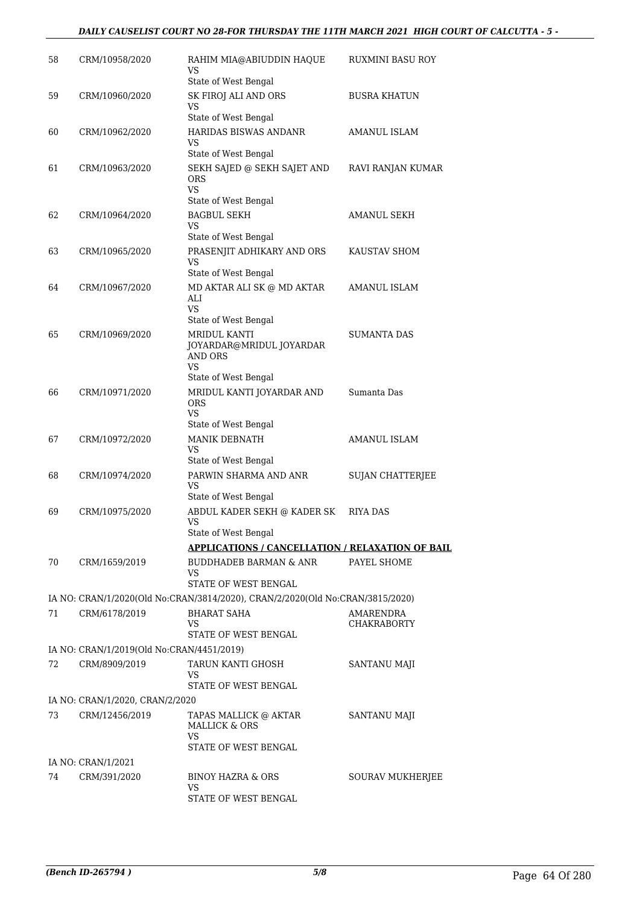| 58 | CRM/10958/2020                            | RAHIM MIA@ABIUDDIN HAQUE<br>VS<br>State of West Bengal                            | RUXMINI BASU ROY                |
|----|-------------------------------------------|-----------------------------------------------------------------------------------|---------------------------------|
| 59 | CRM/10960/2020                            | SK FIROJ ALI AND ORS<br>VS<br>State of West Bengal                                | <b>BUSRA KHATUN</b>             |
| 60 | CRM/10962/2020                            | HARIDAS BISWAS ANDANR<br>VS                                                       | <b>AMANUL ISLAM</b>             |
| 61 | CRM/10963/2020                            | State of West Bengal<br>SEKH SAJED @ SEKH SAJET AND<br><b>ORS</b><br><b>VS</b>    | RAVI RANJAN KUMAR               |
| 62 | CRM/10964/2020                            | State of West Bengal<br><b>BAGBUL SEKH</b><br>VS<br>State of West Bengal          | AMANUL SEKH                     |
| 63 | CRM/10965/2020                            | PRASENJIT ADHIKARY AND ORS<br><b>VS</b><br>State of West Bengal                   | KAUSTAV SHOM                    |
| 64 | CRM/10967/2020                            | MD AKTAR ALI SK @ MD AKTAR<br>ALI<br><b>VS</b>                                    | <b>AMANUL ISLAM</b>             |
| 65 | CRM/10969/2020                            | State of West Bengal<br>MRIDUL KANTI<br>JOYARDAR@MRIDUL JOYARDAR<br>AND ORS<br>VS | <b>SUMANTA DAS</b>              |
| 66 | CRM/10971/2020                            | State of West Bengal<br>MRIDUL KANTI JOYARDAR AND<br>ORS<br><b>VS</b>             | Sumanta Das                     |
| 67 | CRM/10972/2020                            | State of West Bengal<br>MANIK DEBNATH<br>VS<br>State of West Bengal               | <b>AMANUL ISLAM</b>             |
| 68 | CRM/10974/2020                            | PARWIN SHARMA AND ANR<br>VS<br>State of West Bengal                               | SUJAN CHATTERJEE                |
| 69 | CRM/10975/2020                            | ABDUL KADER SEKH @ KADER SK<br>VS<br>State of West Bengal                         | RIYA DAS                        |
|    |                                           | <b>APPLICATIONS / CANCELLATION / RELAXATION OF BAIL</b>                           |                                 |
| 70 | CRM/1659/2019                             | <b>BUDDHADEB BARMAN &amp; ANR</b><br>VS<br>STATE OF WEST BENGAL                   | PAYEL SHOME                     |
|    |                                           | IA NO: CRAN/1/2020(Old No:CRAN/3814/2020), CRAN/2/2020(Old No:CRAN/3815/2020)     |                                 |
| 71 | CRM/6178/2019                             | <b>BHARAT SAHA</b><br>VS<br>STATE OF WEST BENGAL                                  | AMARENDRA<br><b>CHAKRABORTY</b> |
|    | IA NO: CRAN/1/2019(Old No:CRAN/4451/2019) |                                                                                   |                                 |
| 72 | CRM/8909/2019                             | TARUN KANTI GHOSH<br>VS<br>STATE OF WEST BENGAL                                   | SANTANU MAJI                    |
|    | IA NO: CRAN/1/2020, CRAN/2/2020           |                                                                                   |                                 |
| 73 | CRM/12456/2019                            | TAPAS MALLICK @ AKTAR<br><b>MALLICK &amp; ORS</b><br>VS                           | SANTANU MAJI                    |
|    | IA NO: CRAN/1/2021                        | STATE OF WEST BENGAL                                                              |                                 |
| 74 | CRM/391/2020                              | BINOY HAZRA & ORS                                                                 | SOURAV MUKHERJEE                |
|    |                                           | VS.<br>STATE OF WEST BENGAL                                                       |                                 |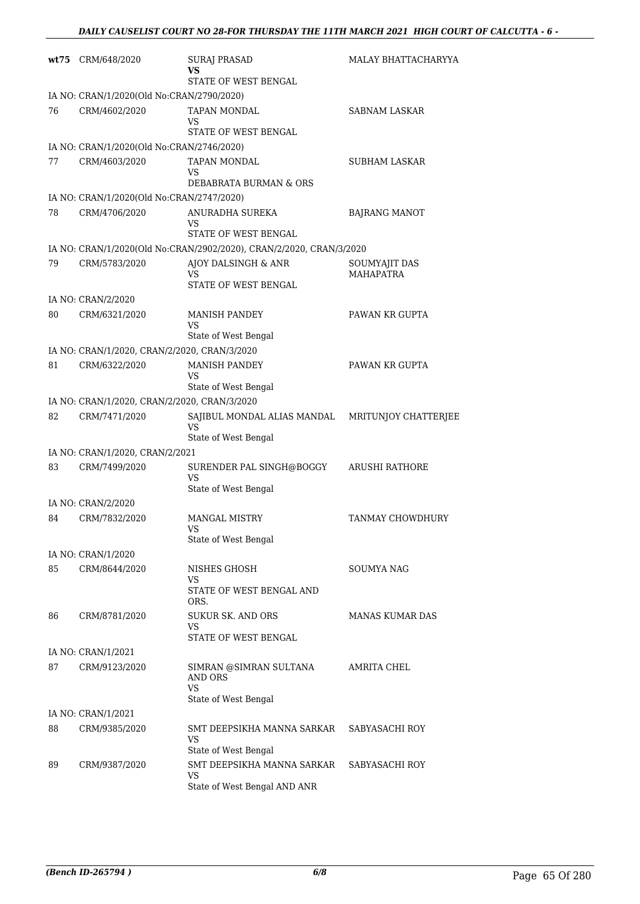|    | wt75 CRM/648/2020                            | <b>SURAJ PRASAD</b><br>vs                                           | MALAY BHATTACHARYYA               |
|----|----------------------------------------------|---------------------------------------------------------------------|-----------------------------------|
|    |                                              | STATE OF WEST BENGAL                                                |                                   |
|    | IA NO: CRAN/1/2020(Old No:CRAN/2790/2020)    |                                                                     |                                   |
| 76 | CRM/4602/2020                                | TAPAN MONDAL<br>VS                                                  | SABNAM LASKAR                     |
|    |                                              | STATE OF WEST BENGAL                                                |                                   |
|    | IA NO: CRAN/1/2020(Old No:CRAN/2746/2020)    |                                                                     |                                   |
| 77 | CRM/4603/2020                                | <b>TAPAN MONDAL</b><br>VS<br>DEBABRATA BURMAN & ORS                 | SUBHAM LASKAR                     |
|    | IA NO: CRAN/1/2020(Old No:CRAN/2747/2020)    |                                                                     |                                   |
| 78 | CRM/4706/2020                                | ANURADHA SUREKA<br>VS                                               | <b>BAJRANG MANOT</b>              |
|    |                                              | STATE OF WEST BENGAL                                                |                                   |
|    |                                              | IA NO: CRAN/1/2020(Old No:CRAN/2902/2020), CRAN/2/2020, CRAN/3/2020 |                                   |
| 79 | CRM/5783/2020                                | AJOY DALSINGH & ANR<br>VS<br>STATE OF WEST BENGAL                   | SOUMYAJIT DAS<br><b>MAHAPATRA</b> |
|    | IA NO: CRAN/2/2020                           |                                                                     |                                   |
| 80 | CRM/6321/2020                                | <b>MANISH PANDEY</b><br>VS                                          | PAWAN KR GUPTA                    |
|    |                                              | State of West Bengal                                                |                                   |
|    | IA NO: CRAN/1/2020, CRAN/2/2020, CRAN/3/2020 |                                                                     |                                   |
| 81 | CRM/6322/2020                                | <b>MANISH PANDEY</b><br>VS<br>State of West Bengal                  | PAWAN KR GUPTA                    |
|    | IA NO: CRAN/1/2020, CRAN/2/2020, CRAN/3/2020 |                                                                     |                                   |
| 82 | CRM/7471/2020                                | SAJIBUL MONDAL ALIAS MANDAL                                         | MRITUNJOY CHATTERJEE              |
|    |                                              | VS<br>State of West Bengal                                          |                                   |
|    | IA NO: CRAN/1/2020, CRAN/2/2021              |                                                                     |                                   |
| 83 | CRM/7499/2020                                | SURENDER PAL SINGH@BOGGY<br>VS<br>State of West Bengal              | <b>ARUSHI RATHORE</b>             |
|    | IA NO: CRAN/2/2020                           |                                                                     |                                   |
| 84 | CRM/7832/2020                                | <b>MANGAL MISTRY</b><br>VS.                                         | TANMAY CHOWDHURY                  |
|    |                                              | State of West Bengal                                                |                                   |
|    | IA NO: CRAN/1/2020                           |                                                                     |                                   |
| 85 | CRM/8644/2020                                | NISHES GHOSH<br>VS                                                  | SOUMYA NAG                        |
|    |                                              | STATE OF WEST BENGAL AND<br>ORS.                                    |                                   |
| 86 | CRM/8781/2020                                | <b>SUKUR SK. AND ORS</b><br>VS<br>STATE OF WEST BENGAL              | MANAS KUMAR DAS                   |
|    | IA NO: CRAN/1/2021                           |                                                                     |                                   |
| 87 | CRM/9123/2020                                | SIMRAN @SIMRAN SULTANA<br><b>AND ORS</b><br><b>VS</b>               | AMRITA CHEL                       |
|    |                                              | State of West Bengal                                                |                                   |
|    | IA NO: CRAN/1/2021                           |                                                                     |                                   |
| 88 | CRM/9385/2020                                | SMT DEEPSIKHA MANNA SARKAR<br>VS<br>State of West Bengal            | SABYASACHI ROY                    |
| 89 | CRM/9387/2020                                | SMT DEEPSIKHA MANNA SARKAR                                          | SABYASACHI ROY                    |
|    |                                              | <b>VS</b><br>State of West Bengal AND ANR                           |                                   |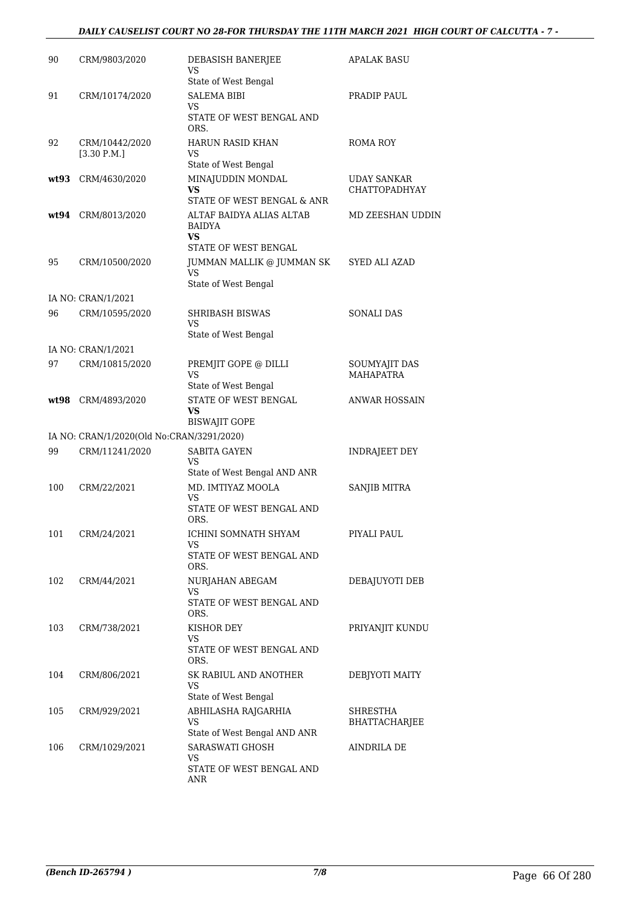#### *DAILY CAUSELIST COURT NO 28-FOR THURSDAY THE 11TH MARCH 2021 HIGH COURT OF CALCUTTA - 7 -*

| 90   | CRM/9803/2020                             | DEBASISH BANERJEE<br>VS                                          | APALAK BASU                         |
|------|-------------------------------------------|------------------------------------------------------------------|-------------------------------------|
|      |                                           | State of West Bengal                                             |                                     |
| 91   | CRM/10174/2020                            | <b>SALEMA BIBI</b><br>VS.                                        | PRADIP PAUL                         |
|      |                                           | STATE OF WEST BENGAL AND<br>ORS.                                 |                                     |
| 92   | CRM/10442/2020<br>[3.30 P.M.]             | <b>HARUN RASID KHAN</b><br>VS.<br>State of West Bengal           | ROMA ROY                            |
|      | CRM/4630/2020                             |                                                                  |                                     |
| wt93 |                                           | MINAJUDDIN MONDAL<br>VS<br>STATE OF WEST BENGAL & ANR            | UDAY SANKAR<br><b>CHATTOPADHYAY</b> |
| wt94 | CRM/8013/2020                             | ALTAF BAIDYA ALIAS ALTAB<br>BAIDYA<br>VS<br>STATE OF WEST BENGAL | MD ZEESHAN UDDIN                    |
| 95   | CRM/10500/2020                            | JUMMAN MALLIK @ JUMMAN SK<br>VS.<br>State of West Bengal         | SYED ALI AZAD                       |
|      | IA NO: CRAN/1/2021                        |                                                                  |                                     |
| 96   | CRM/10595/2020                            | SHRIBASH BISWAS<br>VS.                                           | <b>SONALI DAS</b>                   |
|      |                                           | State of West Bengal                                             |                                     |
|      | IA NO: CRAN/1/2021                        |                                                                  |                                     |
| 97   | CRM/10815/2020                            | PREMJIT GOPE @ DILLI<br>VS                                       | SOUMYAJIT DAS<br><b>MAHAPATRA</b>   |
|      |                                           | State of West Bengal                                             |                                     |
| wt98 | CRM/4893/2020                             | STATE OF WEST BENGAL<br>VS<br><b>BISWAJIT GOPE</b>               | <b>ANWAR HOSSAIN</b>                |
|      | IA NO: CRAN/1/2020(Old No:CRAN/3291/2020) |                                                                  |                                     |
| 99   | CRM/11241/2020                            | <b>SABITA GAYEN</b>                                              | INDRAJEET DEY                       |
|      |                                           | VS<br>State of West Bengal AND ANR                               |                                     |
| 100  | CRM/22/2021                               | MD. IMTIYAZ MOOLA                                                | SANJIB MITRA                        |
|      |                                           | VS<br>STATE OF WEST BENGAL AND<br>ORS.                           |                                     |
| 101  | CRM/24/2021                               | ICHINI SOMNATH SHYAM                                             | PIYALI PAUL                         |
|      |                                           | VS.<br>STATE OF WEST BENGAL AND                                  |                                     |
| 102  | CRM/44/2021                               | ORS.<br>NURJAHAN ABEGAM                                          | DEBAJUYOTI DEB                      |
|      |                                           | VS.<br>STATE OF WEST BENGAL AND                                  |                                     |
| 103  | CRM/738/2021                              | ORS.<br>KISHOR DEY                                               | PRIYANJIT KUNDU                     |
|      |                                           | VS.<br>STATE OF WEST BENGAL AND                                  |                                     |
|      |                                           | ORS.                                                             |                                     |
| 104  | CRM/806/2021                              | SK RABIUL AND ANOTHER<br>VS                                      | DEBJYOTI MAITY                      |
|      |                                           | State of West Bengal                                             |                                     |
| 105  | CRM/929/2021                              | ABHILASHA RAJGARHIA<br>VS.<br>State of West Bengal AND ANR       | SHRESTHA<br>BHATTACHARJEE           |
| 106  | CRM/1029/2021                             | SARASWATI GHOSH                                                  | AINDRILA DE                         |
|      |                                           | VS<br>STATE OF WEST BENGAL AND<br>ANR                            |                                     |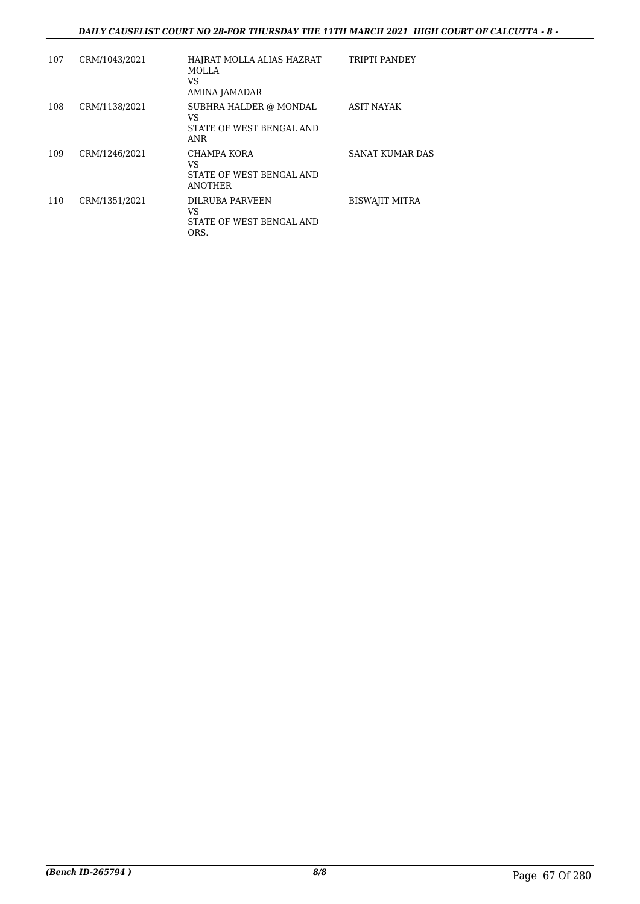| 107 | CRM/1043/2021 | HAJRAT MOLLA ALIAS HAZRAT<br><b>MOLLA</b><br>VS<br>AMINA JAMADAR | <b>TRIPTI PANDEY</b>  |
|-----|---------------|------------------------------------------------------------------|-----------------------|
| 108 | CRM/1138/2021 | SUBHRA HALDER @ MONDAL<br>VS<br>STATE OF WEST BENGAL AND<br>ANR  | <b>ASIT NAYAK</b>     |
| 109 | CRM/1246/2021 | CHAMPA KORA<br>VS<br>STATE OF WEST BENGAL AND<br><b>ANOTHER</b>  | SANAT KUMAR DAS       |
| 110 | CRM/1351/2021 | <b>DILRUBA PARVEEN</b><br>VS<br>STATE OF WEST BENGAL AND<br>ORS. | <b>BISWAJIT MITRA</b> |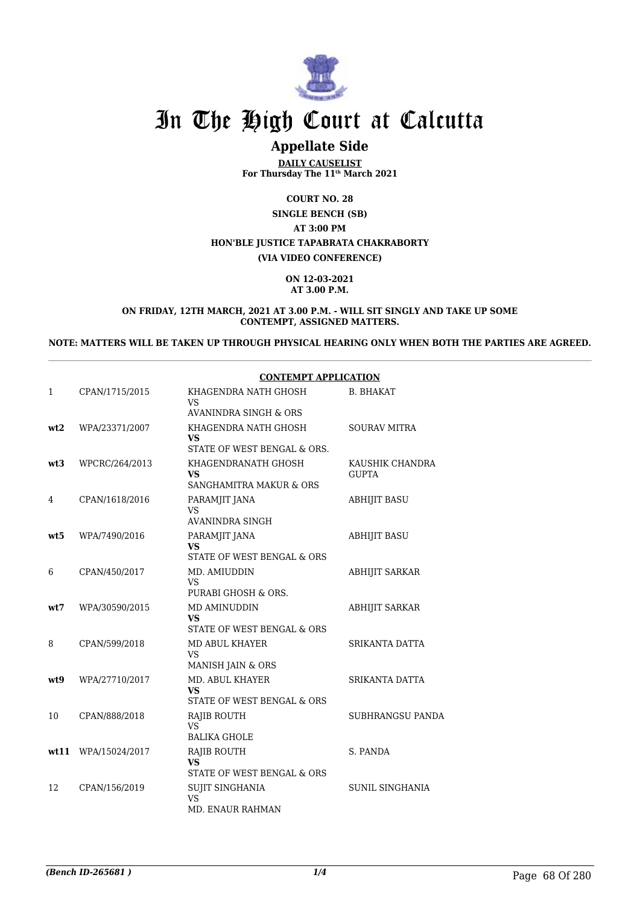

## **Appellate Side**

**DAILY CAUSELIST For Thursday The 11th March 2021**

**COURT NO. 28 SINGLE BENCH (SB) AT 3:00 PM HON'BLE JUSTICE TAPABRATA CHAKRABORTY (VIA VIDEO CONFERENCE)**

> **ON 12-03-2021 AT 3.00 P.M.**

**ON FRIDAY, 12TH MARCH, 2021 AT 3.00 P.M. - WILL SIT SINGLY AND TAKE UP SOME CONTEMPT, ASSIGNED MATTERS.**

**NOTE: MATTERS WILL BE TAKEN UP THROUGH PHYSICAL HEARING ONLY WHEN BOTH THE PARTIES ARE AGREED.**

|      |                | <b>CONTEMPT APPLICATION</b>                                     |                                 |
|------|----------------|-----------------------------------------------------------------|---------------------------------|
| 1    | CPAN/1715/2015 | KHAGENDRA NATH GHOSH<br>VS                                      | <b>B. BHAKAT</b>                |
|      |                | <b>AVANINDRA SINGH &amp; ORS</b>                                |                                 |
| wt2  | WPA/23371/2007 | KHAGENDRA NATH GHOSH<br>VS<br>STATE OF WEST BENGAL & ORS.       | <b>SOURAV MITRA</b>             |
| wt3  | WPCRC/264/2013 | KHAGENDRANATH GHOSH<br>VS<br><b>SANGHAMITRA MAKUR &amp; ORS</b> | KAUSHIK CHANDRA<br><b>GUPTA</b> |
| 4    | CPAN/1618/2016 | PARAMJIT JANA<br>VS.<br><b>AVANINDRA SINGH</b>                  | <b>ABHIJIT BASU</b>             |
| wt5  | WPA/7490/2016  | PARAMJIT JANA<br>VS<br>STATE OF WEST BENGAL & ORS               | <b>ABHIJIT BASU</b>             |
| 6    | CPAN/450/2017  | MD. AMIUDDIN<br>VS.<br>PURABI GHOSH & ORS.                      | <b>ABHIJIT SARKAR</b>           |
| wt7  | WPA/30590/2015 | MD AMINUDDIN<br>VS.<br>STATE OF WEST BENGAL & ORS               | <b>ABHIJIT SARKAR</b>           |
| 8    | CPAN/599/2018  | <b>MD ABUL KHAYER</b><br>VS.<br>MANISH JAIN & ORS               | SRIKANTA DATTA                  |
| wt.9 | WPA/27710/2017 | <b>MD. ABUL KHAYER</b><br>VS<br>STATE OF WEST BENGAL & ORS      | SRIKANTA DATTA                  |
| 10   | CPAN/888/2018  | <b>RAJIB ROUTH</b><br>VS<br><b>BALIKA GHOLE</b>                 | SUBHRANGSU PANDA                |
| wt11 | WPA/15024/2017 | <b>RAJIB ROUTH</b><br>VS<br>STATE OF WEST BENGAL & ORS          | S. PANDA                        |
| 12   | CPAN/156/2019  | <b>SUJIT SINGHANIA</b><br><b>VS</b><br><b>MD. ENAUR RAHMAN</b>  | SUNIL SINGHANIA                 |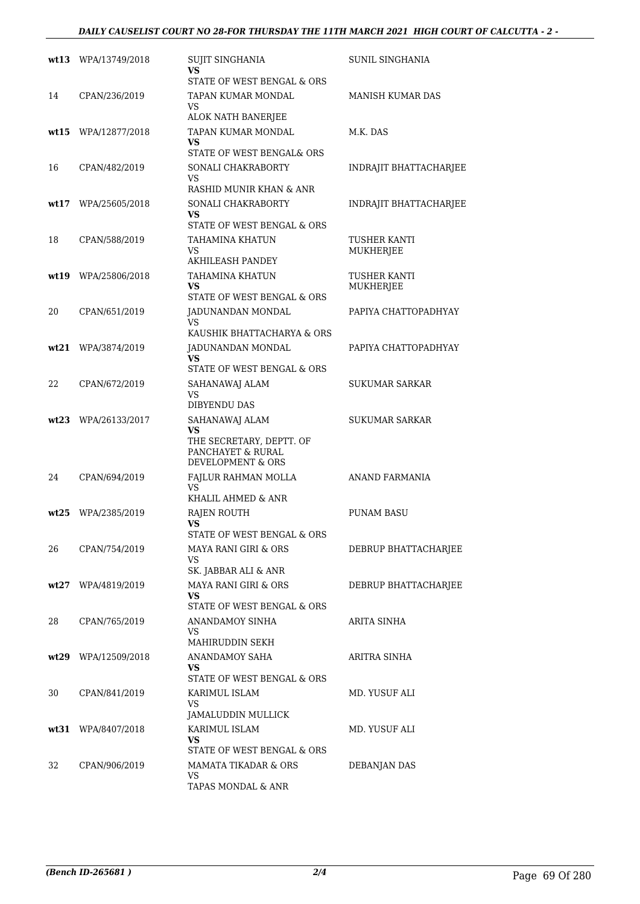#### *DAILY CAUSELIST COURT NO 28-FOR THURSDAY THE 11TH MARCH 2021 HIGH COURT OF CALCUTTA - 2 -*

|      | wt13 WPA/13749/2018 | <b>SUJIT SINGHANIA</b><br>VS.                              | SUNIL SINGHANIA           |
|------|---------------------|------------------------------------------------------------|---------------------------|
|      |                     | STATE OF WEST BENGAL & ORS                                 |                           |
| 14   | CPAN/236/2019       | TAPAN KUMAR MONDAL<br>VS.                                  | <b>MANISH KUMAR DAS</b>   |
|      |                     | ALOK NATH BANERJEE                                         |                           |
|      | wt15 WPA/12877/2018 | TAPAN KUMAR MONDAL<br>VS<br>STATE OF WEST BENGAL& ORS      | M.K. DAS                  |
| 16   | CPAN/482/2019       | SONALI CHAKRABORTY                                         | INDRAJIT BHATTACHARJEE    |
|      |                     | VS.<br>RASHID MUNIR KHAN & ANR                             |                           |
|      | wt17 WPA/25605/2018 | SONALI CHAKRABORTY                                         | INDRAJIT BHATTACHARJEE    |
|      |                     | VS.<br>STATE OF WEST BENGAL & ORS                          |                           |
| 18   | CPAN/588/2019       | TAHAMINA KHATUN<br>VS.                                     | TUSHER KANTI<br>MUKHERJEE |
|      |                     | <b>AKHILEASH PANDEY</b>                                    |                           |
|      | wt19 WPA/25806/2018 | TAHAMINA KHATUN<br><b>VS</b><br>STATE OF WEST BENGAL & ORS | TUSHER KANTI<br>MUKHERJEE |
| 20   | CPAN/651/2019       | JADUNANDAN MONDAL                                          | PAPIYA CHATTOPADHYAY      |
|      |                     | VS.<br>KAUSHIK BHATTACHARYA & ORS                          |                           |
|      | wt21 WPA/3874/2019  | JADUNANDAN MONDAL                                          | PAPIYA CHATTOPADHYAY      |
|      |                     | VS<br>STATE OF WEST BENGAL & ORS                           |                           |
| 22   | CPAN/672/2019       | SAHANAWAJ ALAM                                             | SUKUMAR SARKAR            |
|      |                     | <b>VS</b><br>DIBYENDU DAS                                  |                           |
|      | wt23 WPA/26133/2017 | SAHANAWAJ ALAM                                             | <b>SUKUMAR SARKAR</b>     |
|      |                     | VS<br>THE SECRETARY, DEPTT. OF                             |                           |
|      |                     | PANCHAYET & RURAL<br>DEVELOPMENT & ORS                     |                           |
| 24   | CPAN/694/2019       | FAJLUR RAHMAN MOLLA                                        | <b>ANAND FARMANIA</b>     |
|      |                     | VS.<br>KHALIL AHMED & ANR                                  |                           |
| wt25 | WPA/2385/2019       | RAJEN ROUTH                                                | <b>PUNAM BASU</b>         |
|      |                     | VS<br>STATE OF WEST BENGAL & ORS                           |                           |
| 26   | CPAN/754/2019       | <b>MAYA RANI GIRI &amp; ORS</b>                            | DEBRUP BHATTACHARJEE      |
|      |                     | VS.                                                        |                           |
|      | wt27 WPA/4819/2019  | SK. JABBAR ALI & ANR<br><b>MAYA RANI GIRI &amp; ORS</b>    |                           |
|      |                     | VS                                                         | DEBRUP BHATTACHARJEE      |
|      |                     | STATE OF WEST BENGAL & ORS                                 |                           |
| 28   | CPAN/765/2019       | ANANDAMOY SINHA<br>VS.                                     | ARITA SINHA               |
|      |                     | MAHIRUDDIN SEKH                                            |                           |
|      | wt29 WPA/12509/2018 | ANANDAMOY SAHA                                             | ARITRA SINHA              |
|      |                     | VS.<br>STATE OF WEST BENGAL & ORS                          |                           |
| 30   | CPAN/841/2019       | KARIMUL ISLAM                                              | MD. YUSUF ALI             |
|      |                     | VS.<br>JAMALUDDIN MULLICK                                  |                           |
|      | wt31 WPA/8407/2018  | KARIMUL ISLAM                                              | MD. YUSUF ALI             |
|      |                     | VS.                                                        |                           |
|      |                     | STATE OF WEST BENGAL & ORS                                 |                           |
| 32   | CPAN/906/2019       | MAMATA TIKADAR & ORS<br>VS                                 | <b>DEBANJAN DAS</b>       |
|      |                     | TAPAS MONDAL & ANR                                         |                           |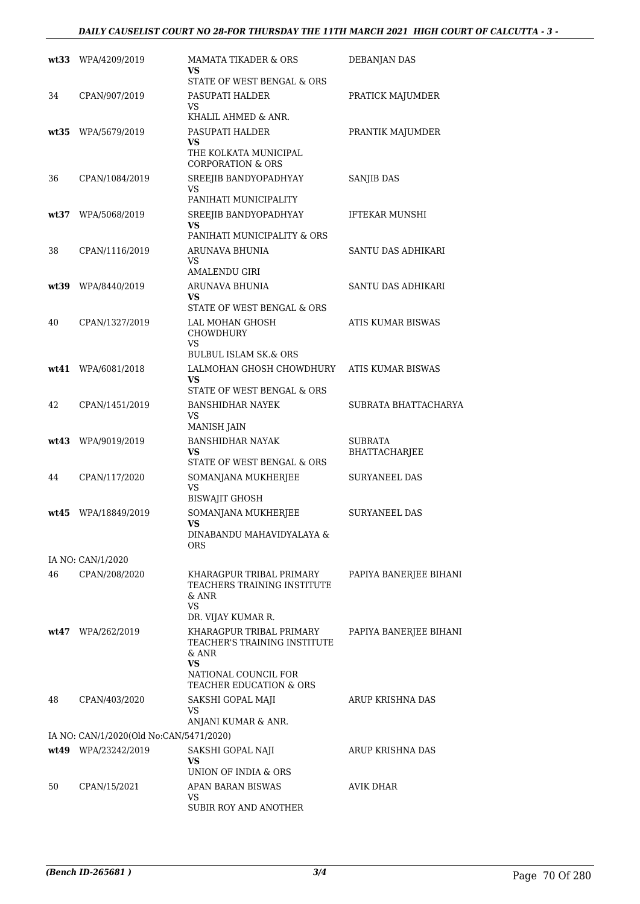|      | wt33 WPA/4209/2019                      | MAMATA TIKADER & ORS<br>VS<br>STATE OF WEST BENGAL & ORS                                         | <b>DEBANJAN DAS</b>             |
|------|-----------------------------------------|--------------------------------------------------------------------------------------------------|---------------------------------|
| 34   | CPAN/907/2019                           | PASUPATI HALDER<br>VS.<br>KHALIL AHMED & ANR.                                                    | PRATICK MAJUMDER                |
| wt35 | WPA/5679/2019                           | PASUPATI HALDER<br>VS<br>THE KOLKATA MUNICIPAL<br><b>CORPORATION &amp; ORS</b>                   | PRANTIK MAJUMDER                |
| 36   | CPAN/1084/2019                          | SREEJIB BANDYOPADHYAY<br>VS                                                                      | SANJIB DAS                      |
| wt37 | WPA/5068/2019                           | PANIHATI MUNICIPALITY<br>SREEJIB BANDYOPADHYAY<br>VS                                             | IFTEKAR MUNSHI                  |
| 38   | CPAN/1116/2019                          | PANIHATI MUNICIPALITY & ORS<br>ARUNAVA BHUNIA<br>VS<br><b>AMALENDU GIRI</b>                      | SANTU DAS ADHIKARI              |
|      | wt39 WPA/8440/2019                      | ARUNAVA BHUNIA<br>VS<br>STATE OF WEST BENGAL & ORS                                               | SANTU DAS ADHIKARI              |
| 40   | CPAN/1327/2019                          | LAL MOHAN GHOSH<br><b>CHOWDHURY</b><br>VS                                                        | ATIS KUMAR BISWAS               |
|      | wt41 WPA/6081/2018                      | <b>BULBUL ISLAM SK.&amp; ORS</b><br>LALMOHAN GHOSH CHOWDHURY<br>VS<br>STATE OF WEST BENGAL & ORS | ATIS KUMAR BISWAS               |
| 42   | CPAN/1451/2019                          | <b>BANSHIDHAR NAYEK</b><br>VS<br>MANISH JAIN                                                     | SUBRATA BHATTACHARYA            |
|      | wt43 WPA/9019/2019                      | <b>BANSHIDHAR NAYAK</b><br>VS<br>STATE OF WEST BENGAL & ORS                                      | <b>SUBRATA</b><br>BHATTACHARJEE |
| 44   | CPAN/117/2020                           | SOMANJANA MUKHERJEE<br>VS.<br><b>BISWAJIT GHOSH</b>                                              | SURYANEEL DAS                   |
| wt45 | WPA/18849/2019                          | SOMANJANA MUKHERJEE<br>VS<br>DINABANDU MAHAVIDYALAYA &<br>ORS                                    | SURYANEEL DAS                   |
|      | IA NO: CAN/1/2020                       |                                                                                                  |                                 |
| 46   | CPAN/208/2020                           | KHARAGPUR TRIBAL PRIMARY<br>TEACHERS TRAINING INSTITUTE<br>& ANR<br><b>VS</b>                    | PAPIYA BANERJEE BIHANI          |
|      |                                         | DR. VIJAY KUMAR R.                                                                               |                                 |
|      | $wt47$ WPA/262/2019                     | KHARAGPUR TRIBAL PRIMARY<br>TEACHER'S TRAINING INSTITUTE<br>& ANR<br>VS.<br>NATIONAL COUNCIL FOR | PAPIYA BANERJEE BIHANI          |
| 48   | CPAN/403/2020                           | TEACHER EDUCATION & ORS<br>SAKSHI GOPAL MAJI<br>VS                                               | ARUP KRISHNA DAS                |
|      |                                         | ANJANI KUMAR & ANR.                                                                              |                                 |
|      | IA NO: CAN/1/2020(Old No:CAN/5471/2020) |                                                                                                  |                                 |
|      | wt49 WPA/23242/2019                     | SAKSHI GOPAL NAJI<br><b>VS</b><br>UNION OF INDIA & ORS                                           | ARUP KRISHNA DAS                |
| 50   | CPAN/15/2021                            | APAN BARAN BISWAS<br>VS<br>SUBIR ROY AND ANOTHER                                                 | AVIK DHAR                       |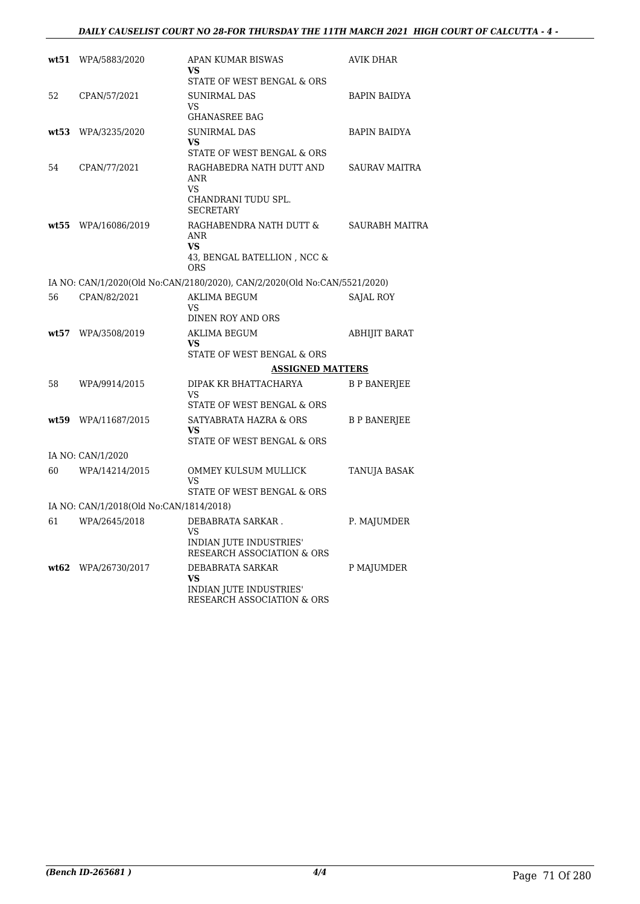| wt51  | WPA/5883/2020                           | APAN KUMAR BISWAS                                                         | AVIK DHAR            |
|-------|-----------------------------------------|---------------------------------------------------------------------------|----------------------|
|       |                                         | VS<br>STATE OF WEST BENGAL & ORS                                          |                      |
| 52    | CPAN/57/2021                            | <b>SUNIRMAL DAS</b>                                                       | <b>BAPIN BAIDYA</b>  |
|       |                                         | VS                                                                        |                      |
|       |                                         | <b>GHANASREE BAG</b>                                                      |                      |
| wt53  | WPA/3235/2020                           | <b>SUNIRMAL DAS</b><br>VS                                                 | <b>BAPIN BAIDYA</b>  |
|       |                                         | STATE OF WEST BENGAL & ORS                                                |                      |
| 54    | CPAN/77/2021                            | RAGHABEDRA NATH DUTT AND                                                  | <b>SAURAV MAITRA</b> |
|       |                                         | ANR<br><b>VS</b>                                                          |                      |
|       |                                         | CHANDRANI TUDU SPL.                                                       |                      |
|       |                                         | <b>SECRETARY</b><br>RAGHABENDRA NATH DUTT &                               |                      |
| wt55  | WPA/16086/2019                          | ANR                                                                       | SAURABH MAITRA       |
|       |                                         | <b>VS</b><br>43, BENGAL BATELLION , NCC &                                 |                      |
|       |                                         | <b>ORS</b>                                                                |                      |
|       |                                         | IA NO: CAN/1/2020(Old No:CAN/2180/2020), CAN/2/2020(Old No:CAN/5521/2020) |                      |
| 56    | CPAN/82/2021                            | <b>AKLIMA BEGUM</b><br>VS                                                 | SAJAL ROY            |
|       |                                         | DINEN ROY AND ORS                                                         |                      |
| wt57  | WPA/3508/2019                           |                                                                           |                      |
|       |                                         | <b>AKLIMA BEGUM</b><br>VS                                                 | <b>ABHIJIT BARAT</b> |
|       |                                         | STATE OF WEST BENGAL & ORS                                                |                      |
|       |                                         | <b>ASSIGNED MATTERS</b>                                                   |                      |
| 58    | WPA/9914/2015                           | DIPAK KR BHATTACHARYA<br>VS                                               | <b>B P BANERJEE</b>  |
|       |                                         | STATE OF WEST BENGAL & ORS                                                |                      |
|       | wt59 WPA/11687/2015                     | SATYABRATA HAZRA & ORS                                                    | <b>B P BANERJEE</b>  |
|       |                                         | VS<br>STATE OF WEST BENGAL & ORS                                          |                      |
|       | IA NO: CAN/1/2020                       |                                                                           |                      |
| 60    | WPA/14214/2015                          | OMMEY KULSUM MULLICK                                                      | TANUJA BASAK         |
|       |                                         | VS                                                                        |                      |
|       | IA NO: CAN/1/2018(Old No:CAN/1814/2018) | STATE OF WEST BENGAL & ORS                                                |                      |
| 61    | WPA/2645/2018                           | DEBABRATA SARKAR.                                                         | P. MAJUMDER          |
|       |                                         | VS                                                                        |                      |
|       |                                         | INDIAN JUTE INDUSTRIES'<br>RESEARCH ASSOCIATION & ORS                     |                      |
| wt.62 | WPA/26730/2017                          | DEBABRATA SARKAR                                                          | P MAJUMDER           |
|       |                                         | VS<br>INDIAN JUTE INDUSTRIES'                                             |                      |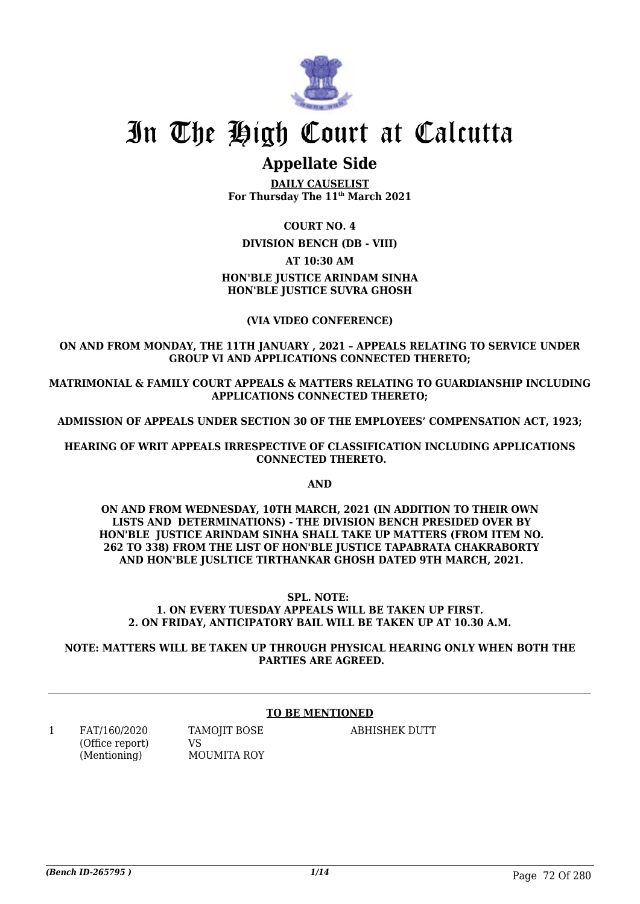

### **Appellate Side**

**DAILY CAUSELIST For Thursday The 11th March 2021**

### **COURT NO. 4**

**DIVISION BENCH (DB - VIII)**

### **AT 10:30 AM**

### **HON'BLE JUSTICE ARINDAM SINHA HON'BLE JUSTICE SUVRA GHOSH**

### **(VIA VIDEO CONFERENCE)**

### **ON AND FROM MONDAY, THE 11TH JANUARY , 2021 – APPEALS RELATING TO SERVICE UNDER GROUP VI AND APPLICATIONS CONNECTED THERETO;**

**MATRIMONIAL & FAMILY COURT APPEALS & MATTERS RELATING TO GUARDIANSHIP INCLUDING APPLICATIONS CONNECTED THERETO;**

**ADMISSION OF APPEALS UNDER SECTION 30 OF THE EMPLOYEES' COMPENSATION ACT, 1923;**

**HEARING OF WRIT APPEALS IRRESPECTIVE OF CLASSIFICATION INCLUDING APPLICATIONS CONNECTED THERETO.**

**AND**

**ON AND FROM WEDNESDAY, 10TH MARCH, 2021 (IN ADDITION TO THEIR OWN LISTS AND DETERMINATIONS) - THE DIVISION BENCH PRESIDED OVER BY HON'BLE JUSTICE ARINDAM SINHA SHALL TAKE UP MATTERS (FROM ITEM NO. 262 TO 338) FROM THE LIST OF HON'BLE JUSTICE TAPABRATA CHAKRABORTY AND HON'BLE JUSLTICE TIRTHANKAR GHOSH DATED 9TH MARCH, 2021.** 

**SPL. NOTE: 1. ON EVERY TUESDAY APPEALS WILL BE TAKEN UP FIRST. 2. ON FRIDAY, ANTICIPATORY BAIL WILL BE TAKEN UP AT 10.30 A.M.**

**NOTE: MATTERS WILL BE TAKEN UP THROUGH PHYSICAL HEARING ONLY WHEN BOTH THE PARTIES ARE AGREED.**

### **TO BE MENTIONED**

1 FAT/160/2020 (Office report) (Mentioning)

TAMOJIT BOSE VS MOUMITA ROY ABHISHEK DUTT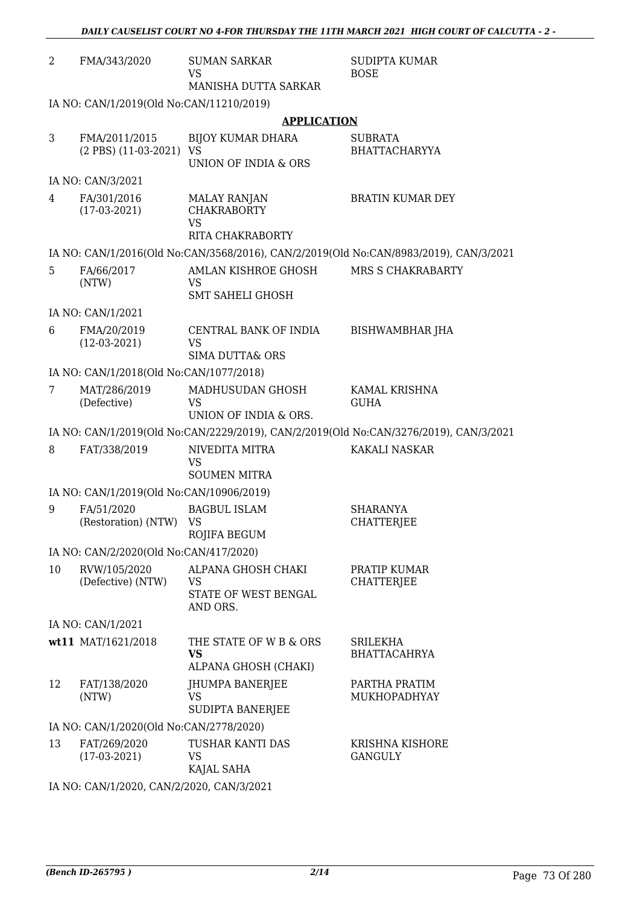| $\overline{2}$ | FMA/343/2020                              | <b>SUMAN SARKAR</b><br><b>VS</b>                            | <b>SUDIPTA KUMAR</b><br><b>BOSE</b>                                                   |  |  |
|----------------|-------------------------------------------|-------------------------------------------------------------|---------------------------------------------------------------------------------------|--|--|
|                |                                           | MANISHA DUTTA SARKAR                                        |                                                                                       |  |  |
|                | IA NO: CAN/1/2019(Old No:CAN/11210/2019)  |                                                             |                                                                                       |  |  |
|                |                                           | <b>APPLICATION</b>                                          |                                                                                       |  |  |
| 3              | FMA/2011/2015<br>(2 PBS) (11-03-2021) VS  | <b>BIJOY KUMAR DHARA</b>                                    | <b>SUBRATA</b><br><b>BHATTACHARYYA</b>                                                |  |  |
|                |                                           | UNION OF INDIA & ORS                                        |                                                                                       |  |  |
|                | IA NO: CAN/3/2021                         |                                                             |                                                                                       |  |  |
| 4              | FA/301/2016<br>$(17-03-2021)$             | <b>MALAY RANJAN</b><br><b>CHAKRABORTY</b><br><b>VS</b>      | <b>BRATIN KUMAR DEY</b>                                                               |  |  |
|                |                                           | RITA CHAKRABORTY                                            |                                                                                       |  |  |
|                |                                           |                                                             | IA NO: CAN/1/2016(Old No:CAN/3568/2016), CAN/2/2019(Old No:CAN/8983/2019), CAN/3/2021 |  |  |
| 5              | FA/66/2017<br>(NTW)                       | AMLAN KISHROE GHOSH<br>VS<br><b>SMT SAHELI GHOSH</b>        | MRS S CHAKRABARTY                                                                     |  |  |
|                | IA NO: CAN/1/2021                         |                                                             |                                                                                       |  |  |
| 6              | FMA/20/2019<br>$(12-03-2021)$             | CENTRAL BANK OF INDIA<br><b>VS</b>                          | BISHWAMBHAR JHA                                                                       |  |  |
|                |                                           | <b>SIMA DUTTA&amp; ORS</b>                                  |                                                                                       |  |  |
|                | IA NO: CAN/1/2018(Old No:CAN/1077/2018)   |                                                             |                                                                                       |  |  |
| 7              | MAT/286/2019<br>(Defective)               | MADHUSUDAN GHOSH<br><b>VS</b><br>UNION OF INDIA & ORS.      | KAMAL KRISHNA<br><b>GUHA</b>                                                          |  |  |
|                |                                           |                                                             | IA NO: CAN/1/2019(Old No:CAN/2229/2019), CAN/2/2019(Old No:CAN/3276/2019), CAN/3/2021 |  |  |
| 8              | FAT/338/2019                              | NIVEDITA MITRA                                              | KAKALI NASKAR                                                                         |  |  |
|                |                                           | <b>VS</b><br><b>SOUMEN MITRA</b>                            |                                                                                       |  |  |
|                | IA NO: CAN/1/2019(Old No:CAN/10906/2019)  |                                                             |                                                                                       |  |  |
| 9              | FA/51/2020<br>(Restoration) (NTW) VS      | <b>BAGBUL ISLAM</b>                                         | <b>SHARANYA</b><br><b>CHATTERJEE</b>                                                  |  |  |
|                |                                           | ROJIFA BEGUM                                                |                                                                                       |  |  |
|                | IA NO: CAN/2/2020(Old No:CAN/417/2020)    |                                                             |                                                                                       |  |  |
| 10             | RVW/105/2020<br>(Defective) (NTW)         | ALPANA GHOSH CHAKI<br>VS                                    | PRATIP KUMAR<br><b>CHATTERJEE</b>                                                     |  |  |
|                |                                           | STATE OF WEST BENGAL<br>AND ORS.                            |                                                                                       |  |  |
|                | IA NO: CAN/1/2021                         |                                                             |                                                                                       |  |  |
|                | wt11 MAT/1621/2018                        | THE STATE OF W B & ORS<br><b>VS</b><br>ALPANA GHOSH (CHAKI) | <b>SRILEKHA</b><br><b>BHATTACAHRYA</b>                                                |  |  |
| 12             | FAT/138/2020                              | JHUMPA BANERJEE                                             | PARTHA PRATIM                                                                         |  |  |
|                | (NTW)                                     | VS<br>SUDIPTA BANERJEE                                      | MUKHOPADHYAY                                                                          |  |  |
|                | IA NO: CAN/1/2020(Old No:CAN/2778/2020)   |                                                             |                                                                                       |  |  |
| 13             | FAT/269/2020<br>$(17-03-2021)$            | TUSHAR KANTI DAS<br>VS<br>KAJAL SAHA                        | KRISHNA KISHORE<br><b>GANGULY</b>                                                     |  |  |
|                | IA NO: CAN/1/2020, CAN/2/2020, CAN/3/2021 |                                                             |                                                                                       |  |  |

*DAILY CAUSELIST COURT NO 4-FOR THURSDAY THE 11TH MARCH 2021 HIGH COURT OF CALCUTTA - 2 -*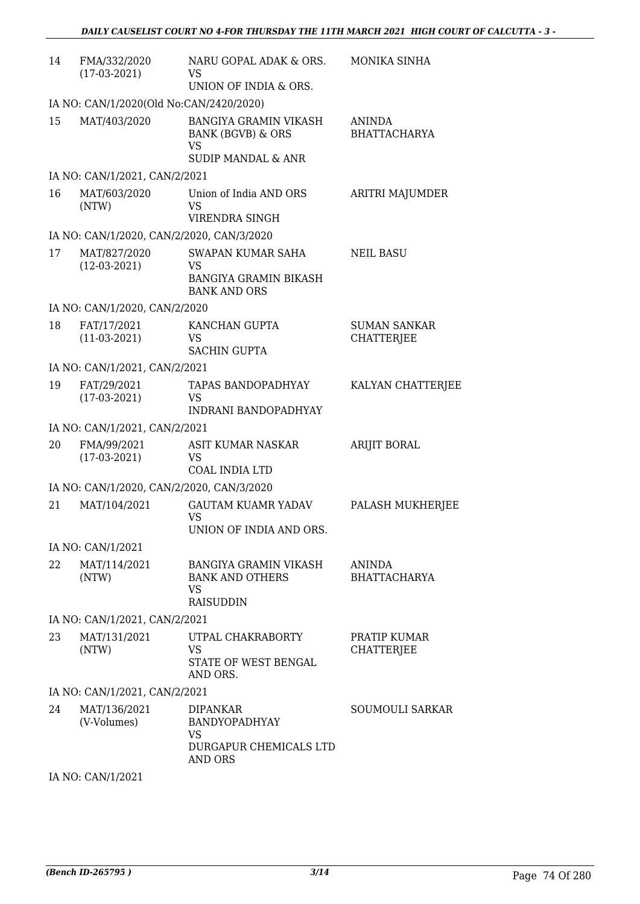| 14 | FMA/332/2020<br>$(17-03-2021)$            | NARU GOPAL ADAK & ORS.<br>VS<br>UNION OF INDIA & ORS.                                                      | MONIKA SINHA                         |
|----|-------------------------------------------|------------------------------------------------------------------------------------------------------------|--------------------------------------|
|    | IA NO: CAN/1/2020(Old No:CAN/2420/2020)   |                                                                                                            |                                      |
| 15 | MAT/403/2020                              | <b>BANGIYA GRAMIN VIKASH</b><br><b>BANK (BGVB) &amp; ORS</b><br><b>VS</b><br><b>SUDIP MANDAL &amp; ANR</b> | <b>ANINDA</b><br><b>BHATTACHARYA</b> |
|    | IA NO: CAN/1/2021, CAN/2/2021             |                                                                                                            |                                      |
| 16 | MAT/603/2020<br>(NTW)                     | Union of India AND ORS<br>VS<br>VIRENDRA SINGH                                                             | ARITRI MAJUMDER                      |
|    | IA NO: CAN/1/2020, CAN/2/2020, CAN/3/2020 |                                                                                                            |                                      |
| 17 | MAT/827/2020<br>$(12-03-2021)$            | SWAPAN KUMAR SAHA<br>VS<br><b>BANGIYA GRAMIN BIKASH</b><br><b>BANK AND ORS</b>                             | <b>NEIL BASU</b>                     |
|    | IA NO: CAN/1/2020, CAN/2/2020             |                                                                                                            |                                      |
| 18 | FAT/17/2021<br>$(11-03-2021)$             | KANCHAN GUPTA<br>VS<br><b>SACHIN GUPTA</b>                                                                 | <b>SUMAN SANKAR</b><br>CHATTERJEE    |
|    | IA NO: CAN/1/2021, CAN/2/2021             |                                                                                                            |                                      |
| 19 | FAT/29/2021<br>$(17-03-2021)$             | <b>TAPAS BANDOPADHYAY</b><br>VS<br><b>INDRANI BANDOPADHYAY</b>                                             | KALYAN CHATTERJEE                    |
|    | IA NO: CAN/1/2021, CAN/2/2021             |                                                                                                            |                                      |
| 20 | FMA/99/2021<br>$(17-03-2021)$             | ASIT KUMAR NASKAR<br>VS<br>COAL INDIA LTD                                                                  | <b>ARIJIT BORAL</b>                  |
|    | IA NO: CAN/1/2020, CAN/2/2020, CAN/3/2020 |                                                                                                            |                                      |
| 21 | MAT/104/2021                              | <b>GAUTAM KUAMR YADAV</b><br><b>VS</b><br>UNION OF INDIA AND ORS.                                          | PALASH MUKHERJEE                     |
|    | IA NO: CAN/1/2021                         |                                                                                                            |                                      |
| 22 | MAT/114/2021<br>(NTW)                     | <b>BANGIYA GRAMIN VIKASH</b><br><b>BANK AND OTHERS</b><br>VS.<br><b>RAISUDDIN</b>                          | <b>ANINDA</b><br><b>BHATTACHARYA</b> |
|    | IA NO: CAN/1/2021, CAN/2/2021             |                                                                                                            |                                      |
| 23 | MAT/131/2021<br>(NTW)                     | UTPAL CHAKRABORTY<br>VS<br>STATE OF WEST BENGAL<br>AND ORS.                                                | PRATIP KUMAR<br><b>CHATTERJEE</b>    |
|    | IA NO: CAN/1/2021, CAN/2/2021             |                                                                                                            |                                      |
| 24 | MAT/136/2021<br>(V-Volumes)               | <b>DIPANKAR</b><br>BANDYOPADHYAY<br><b>VS</b><br>DURGAPUR CHEMICALS LTD<br><b>AND ORS</b>                  | SOUMOULI SARKAR                      |

IA NO: CAN/1/2021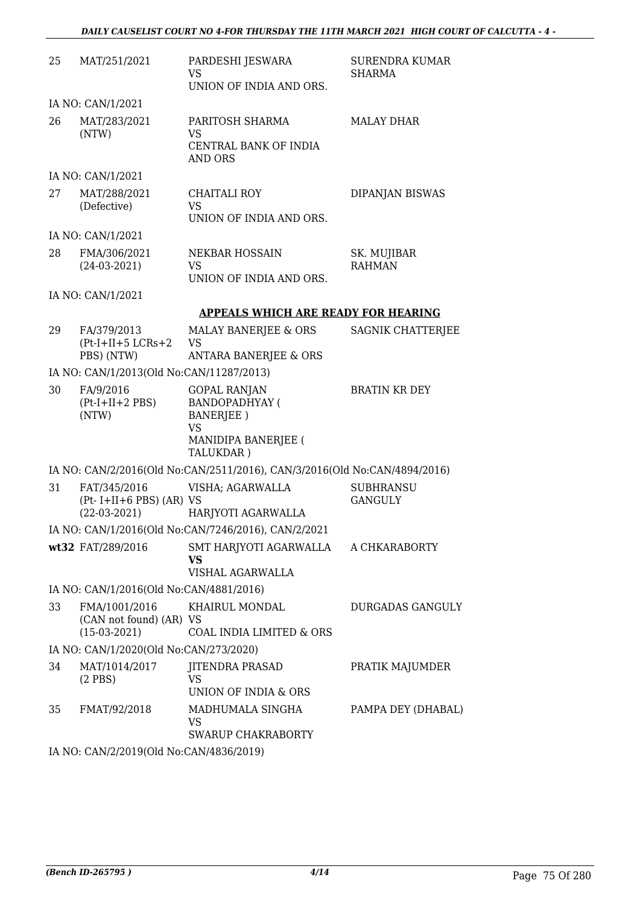| 25 | MAT/251/2021                                                | PARDESHI JESWARA<br><b>VS</b>                                                                              | <b>SURENDRA KUMAR</b><br><b>SHARMA</b> |
|----|-------------------------------------------------------------|------------------------------------------------------------------------------------------------------------|----------------------------------------|
|    |                                                             | UNION OF INDIA AND ORS.                                                                                    |                                        |
|    | IA NO: CAN/1/2021                                           |                                                                                                            |                                        |
| 26 | MAT/283/2021<br>(NTW)                                       | PARITOSH SHARMA<br>VS<br>CENTRAL BANK OF INDIA<br>AND ORS                                                  | <b>MALAY DHAR</b>                      |
|    | IA NO: CAN/1/2021                                           |                                                                                                            |                                        |
| 27 | MAT/288/2021<br>(Defective)                                 | CHAITALI ROY<br><b>VS</b><br>UNION OF INDIA AND ORS.                                                       | DIPANJAN BISWAS                        |
|    | IA NO: CAN/1/2021                                           |                                                                                                            |                                        |
| 28 | FMA/306/2021<br>$(24-03-2021)$                              | NEKBAR HOSSAIN<br>VS<br>UNION OF INDIA AND ORS.                                                            | SK. MUJIBAR<br><b>RAHMAN</b>           |
|    | IA NO: CAN/1/2021                                           |                                                                                                            |                                        |
|    |                                                             | <b>APPEALS WHICH ARE READY FOR HEARING</b>                                                                 |                                        |
| 29 | FA/379/2013<br>$(Pt-I+II+5 LCRs+2)$<br>PBS) (NTW)           | MALAY BANERJEE & ORS<br><b>VS</b><br><b>ANTARA BANERJEE &amp; ORS</b>                                      | SAGNIK CHATTERJEE                      |
|    | IA NO: CAN/1/2013(Old No:CAN/11287/2013)                    |                                                                                                            |                                        |
| 30 | FA/9/2016<br>$(Pt-I+II+2 PBS)$<br>(NTW)                     | <b>GOPAL RANJAN</b><br><b>BANDOPADHYAY (</b><br>BANERJEE)<br><b>VS</b><br>MANIDIPA BANERJEE (<br>TALUKDAR) | <b>BRATIN KR DEY</b>                   |
|    |                                                             | IA NO: CAN/2/2016(Old No:CAN/2511/2016), CAN/3/2016(Old No:CAN/4894/2016)                                  |                                        |
| 31 | FAT/345/2016<br>$(Pt-I+II+6 PBS) (AR) VS$<br>$(22-03-2021)$ | VISHA; AGARWALLA<br>HARJYOTI AGARWALLA                                                                     | <b>SUBHRANSU</b><br><b>GANGULY</b>     |
|    |                                                             | IA NO: CAN/1/2016(Old No:CAN/7246/2016), CAN/2/2021                                                        |                                        |
|    | wt32 FAT/289/2016                                           | SMT HARJYOTI AGARWALLA A CHKARABORTY<br><b>VS</b><br>VISHAL AGARWALLA                                      |                                        |
|    | IA NO: CAN/1/2016(Old No:CAN/4881/2016)                     |                                                                                                            |                                        |
| 33 | FMA/1001/2016<br>(CAN not found) (AR) VS<br>$(15-03-2021)$  | KHAIRUL MONDAL<br>COAL INDIA LIMITED & ORS                                                                 | DURGADAS GANGULY                       |
|    | IA NO: CAN/1/2020(Old No:CAN/273/2020)                      |                                                                                                            |                                        |
| 34 | MAT/1014/2017<br>$(2$ PBS $)$                               | JITENDRA PRASAD<br>VS<br>UNION OF INDIA & ORS                                                              | PRATIK MAJUMDER                        |
| 35 | FMAT/92/2018                                                | MADHUMALA SINGHA<br>VS<br><b>SWARUP CHAKRABORTY</b>                                                        | PAMPA DEY (DHABAL)                     |
|    |                                                             |                                                                                                            |                                        |

IA NO: CAN/2/2019(Old No:CAN/4836/2019)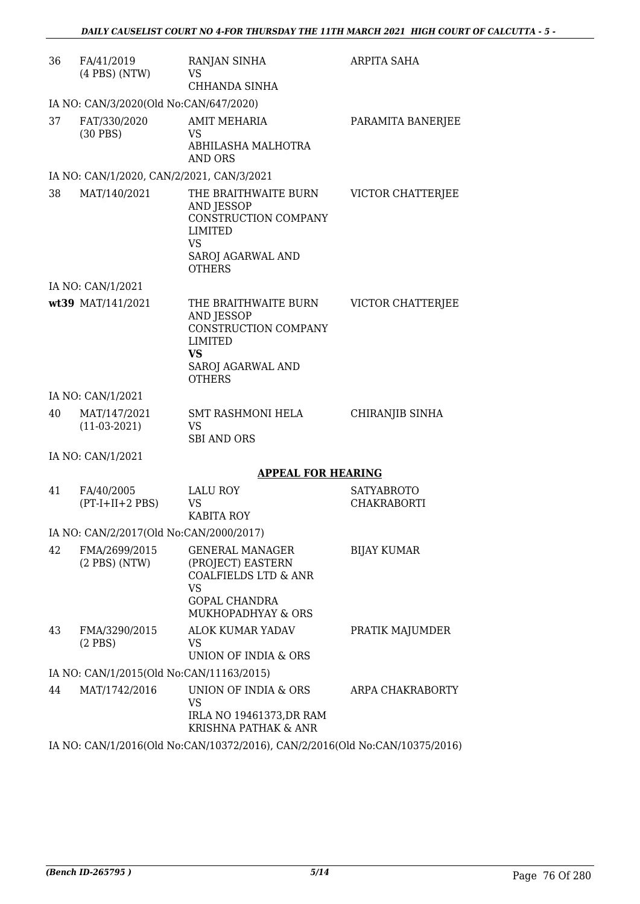| 36 | FA/41/2019<br>$(4$ PBS $)$ (NTW)          | RANJAN SINHA<br>VS.<br>CHHANDA SINHA                                                                                                      | ARPITA SAHA                             |
|----|-------------------------------------------|-------------------------------------------------------------------------------------------------------------------------------------------|-----------------------------------------|
|    | IA NO: CAN/3/2020(Old No:CAN/647/2020)    |                                                                                                                                           |                                         |
| 37 | FAT/330/2020<br>$(30$ PBS)                | <b>AMIT MEHARIA</b><br>VS<br>ABHILASHA MALHOTRA<br>AND ORS                                                                                | PARAMITA BANERJEE                       |
|    | IA NO: CAN/1/2020, CAN/2/2021, CAN/3/2021 |                                                                                                                                           |                                         |
| 38 | MAT/140/2021                              | THE BRAITHWAITE BURN<br><b>AND JESSOP</b><br>CONSTRUCTION COMPANY<br>LIMITED<br><b>VS</b><br>SAROJ AGARWAL AND<br><b>OTHERS</b>           | VICTOR CHATTERJEE                       |
|    | IA NO: CAN/1/2021                         |                                                                                                                                           |                                         |
|    | wt39 MAT/141/2021                         | THE BRAITHWAITE BURN<br><b>AND JESSOP</b><br>CONSTRUCTION COMPANY<br>LIMITED<br><b>VS</b><br>SAROJ AGARWAL AND<br><b>OTHERS</b>           | VICTOR CHATTERJEE                       |
|    | IA NO: CAN/1/2021                         |                                                                                                                                           |                                         |
| 40 | MAT/147/2021<br>$(11-03-2021)$            | <b>SMT RASHMONI HELA</b><br><b>VS</b><br><b>SBI AND ORS</b>                                                                               | CHIRANJIB SINHA                         |
|    | IA NO: CAN/1/2021                         |                                                                                                                                           |                                         |
|    |                                           | <b>APPEAL FOR HEARING</b>                                                                                                                 |                                         |
| 41 | FA/40/2005<br>$(PT-I+II+2 PBS)$           | <b>LALU ROY</b><br><b>VS</b><br><b>KABITA ROY</b>                                                                                         | <b>SATYABROTO</b><br><b>CHAKRABORTI</b> |
|    | IA NO: CAN/2/2017(Old No:CAN/2000/2017)   |                                                                                                                                           |                                         |
| 42 | FMA/2699/2015<br>$(2$ PBS $)$ (NTW)       | <b>GENERAL MANAGER</b><br>(PROJECT) EASTERN<br><b>COALFIELDS LTD &amp; ANR</b><br><b>VS</b><br><b>GOPAL CHANDRA</b><br>MUKHOPADHYAY & ORS | BIJAY KUMAR                             |
| 43 | FMA/3290/2015<br>$(2$ PBS)                | ALOK KUMAR YADAV<br>VS<br>UNION OF INDIA & ORS                                                                                            | PRATIK MAJUMDER                         |
|    | IA NO: CAN/1/2015(Old No:CAN/11163/2015)  |                                                                                                                                           |                                         |
| 44 | MAT/1742/2016                             | UNION OF INDIA & ORS<br><b>VS</b><br>IRLA NO 19461373, DR RAM<br>KRISHNA PATHAK & ANR                                                     | ARPA CHAKRABORTY                        |

IA NO: CAN/1/2016(Old No:CAN/10372/2016), CAN/2/2016(Old No:CAN/10375/2016)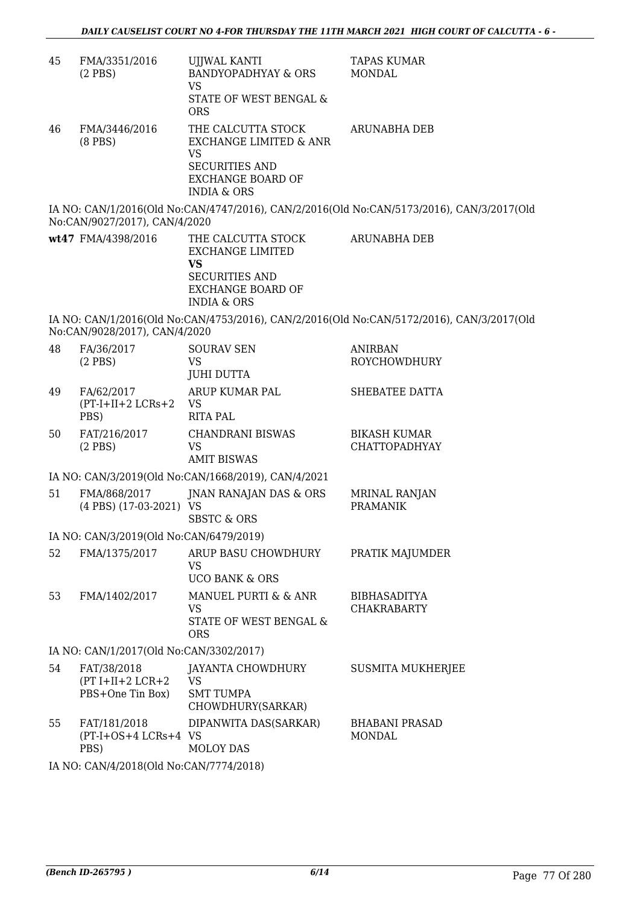| 45 | FMA/3351/2016<br>$(2$ PBS $)$                         | <b>UJJWAL KANTI</b><br><b>BANDYOPADHYAY &amp; ORS</b><br><b>VS</b><br>STATE OF WEST BENGAL &<br><b>ORS</b>                                          | <b>TAPAS KUMAR</b><br><b>MONDAL</b>                                                       |  |  |
|----|-------------------------------------------------------|-----------------------------------------------------------------------------------------------------------------------------------------------------|-------------------------------------------------------------------------------------------|--|--|
| 46 | FMA/3446/2016<br>$(8$ PBS $)$                         | THE CALCUTTA STOCK<br><b>EXCHANGE LIMITED &amp; ANR</b><br><b>VS</b><br><b>SECURITIES AND</b><br><b>EXCHANGE BOARD OF</b><br><b>INDIA &amp; ORS</b> | <b>ARUNABHA DEB</b>                                                                       |  |  |
|    | No:CAN/9027/2017), CAN/4/2020                         |                                                                                                                                                     | IA NO: CAN/1/2016(Old No:CAN/4747/2016), CAN/2/2016(Old No:CAN/5173/2016), CAN/3/2017(Old |  |  |
|    | wt47 FMA/4398/2016                                    | THE CALCUTTA STOCK<br><b>EXCHANGE LIMITED</b><br>VS<br><b>SECURITIES AND</b><br><b>EXCHANGE BOARD OF</b><br><b>INDIA &amp; ORS</b>                  | <b>ARUNABHA DEB</b>                                                                       |  |  |
|    | No:CAN/9028/2017), CAN/4/2020                         |                                                                                                                                                     | IA NO: CAN/1/2016(Old No:CAN/4753/2016), CAN/2/2016(Old No:CAN/5172/2016), CAN/3/2017(Old |  |  |
| 48 | FA/36/2017<br>$(2$ PBS $)$                            | <b>SOURAV SEN</b><br><b>VS</b><br><b>JUHI DUTTA</b>                                                                                                 | <b>ANIRBAN</b><br><b>ROYCHOWDHURY</b>                                                     |  |  |
| 49 | FA/62/2017<br>$(PT-I+II+2 LCRs+2$<br>PBS)             | ARUP KUMAR PAL<br><b>VS</b><br><b>RITA PAL</b>                                                                                                      | SHEBATEE DATTA                                                                            |  |  |
| 50 | FAT/216/2017<br>$(2$ PBS $)$                          | <b>CHANDRANI BISWAS</b><br><b>VS</b><br><b>AMIT BISWAS</b>                                                                                          | <b>BIKASH KUMAR</b><br><b>CHATTOPADHYAY</b>                                               |  |  |
|    |                                                       | IA NO: CAN/3/2019(Old No:CAN/1668/2019), CAN/4/2021                                                                                                 |                                                                                           |  |  |
| 51 | FMA/868/2017<br>(4 PBS) (17-03-2021) VS               | JNAN RANAJAN DAS & ORS<br><b>SBSTC &amp; ORS</b>                                                                                                    | MRINAL RANJAN<br><b>PRAMANIK</b>                                                          |  |  |
|    | IA NO: CAN/3/2019(Old No:CAN/6479/2019)               |                                                                                                                                                     |                                                                                           |  |  |
| 52 | FMA/1375/2017                                         | ARUP BASU CHOWDHURY<br><b>VS</b><br><b>UCO BANK &amp; ORS</b>                                                                                       | PRATIK MAJUMDER                                                                           |  |  |
| 53 | FMA/1402/2017                                         | MANUEL PURTI & & ANR<br><b>VS</b><br>STATE OF WEST BENGAL &<br><b>ORS</b>                                                                           | <b>BIBHASADITYA</b><br><b>CHAKRABARTY</b>                                                 |  |  |
|    | IA NO: CAN/1/2017(Old No:CAN/3302/2017)               |                                                                                                                                                     |                                                                                           |  |  |
| 54 | FAT/38/2018<br>$(PT I+II+2 LCR+2$<br>PBS+One Tin Box) | JAYANTA CHOWDHURY<br><b>VS</b><br><b>SMT TUMPA</b><br>CHOWDHURY(SARKAR)                                                                             | <b>SUSMITA MUKHERJEE</b>                                                                  |  |  |
| 55 | FAT/181/2018<br>(PT-I+OS+4 LCRs+4 VS<br>PBS)          | DIPANWITA DAS(SARKAR)<br><b>MOLOY DAS</b>                                                                                                           | <b>BHABANI PRASAD</b><br><b>MONDAL</b>                                                    |  |  |

IA NO: CAN/4/2018(Old No:CAN/7774/2018)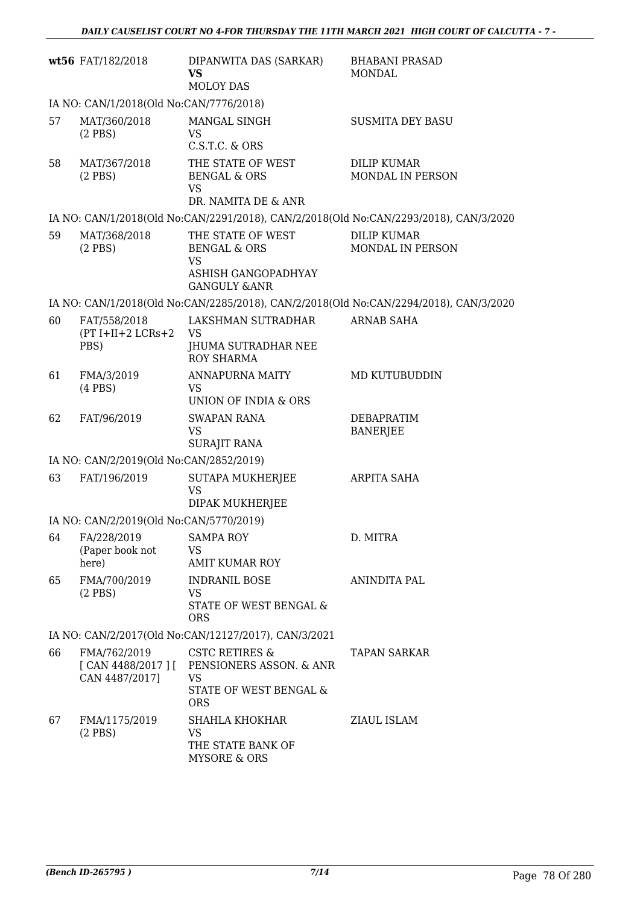|    | wt56 FAT/182/2018                                   | DIPANWITA DAS (SARKAR)<br><b>VS</b><br><b>MOLOY DAS</b>                                            | <b>BHABANI PRASAD</b><br><b>MONDAL</b>                                                |
|----|-----------------------------------------------------|----------------------------------------------------------------------------------------------------|---------------------------------------------------------------------------------------|
|    | IA NO: CAN/1/2018(Old No:CAN/7776/2018)             |                                                                                                    |                                                                                       |
| 57 | MAT/360/2018<br>$(2$ PBS)                           | MANGAL SINGH<br><b>VS</b><br>C.S.T.C. & ORS                                                        | <b>SUSMITA DEY BASU</b>                                                               |
| 58 | MAT/367/2018<br>$(2$ PBS)                           | THE STATE OF WEST<br><b>BENGAL &amp; ORS</b><br><b>VS</b><br>DR. NAMITA DE & ANR                   | <b>DILIP KUMAR</b><br>MONDAL IN PERSON                                                |
|    |                                                     |                                                                                                    | IA NO: CAN/1/2018(Old No:CAN/2291/2018), CAN/2/2018(Old No:CAN/2293/2018), CAN/3/2020 |
| 59 | MAT/368/2018<br>$(2$ PBS $)$                        | THE STATE OF WEST<br><b>BENGAL &amp; ORS</b><br><b>VS</b>                                          | <b>DILIP KUMAR</b><br>MONDAL IN PERSON                                                |
|    |                                                     | ASHISH GANGOPADHYAY<br><b>GANGULY &amp;ANR</b>                                                     |                                                                                       |
|    |                                                     |                                                                                                    | IA NO: CAN/1/2018(Old No:CAN/2285/2018), CAN/2/2018(Old No:CAN/2294/2018), CAN/3/2020 |
| 60 | FAT/558/2018                                        | LAKSHMAN SUTRADHAR                                                                                 | <b>ARNAB SAHA</b>                                                                     |
|    | $(PT I+II+2 LCRs+2$<br>PBS)                         | <b>VS</b><br>JHUMA SUTRADHAR NEE<br><b>ROY SHARMA</b>                                              |                                                                                       |
| 61 | FMA/3/2019<br>$(4$ PBS $)$                          | <b>ANNAPURNA MAITY</b><br><b>VS</b><br>UNION OF INDIA & ORS                                        | MD KUTUBUDDIN                                                                         |
| 62 | FAT/96/2019                                         | <b>SWAPAN RANA</b><br><b>VS</b><br><b>SURAJIT RANA</b>                                             | DEBAPRATIM<br><b>BANERJEE</b>                                                         |
|    | IA NO: CAN/2/2019(Old No:CAN/2852/2019)             |                                                                                                    |                                                                                       |
| 63 | FAT/196/2019                                        | <b>SUTAPA MUKHERJEE</b><br><b>VS</b><br>DIPAK MUKHERJEE                                            | <b>ARPITA SAHA</b>                                                                    |
|    | IA NO: CAN/2/2019(Old No:CAN/5770/2019)             |                                                                                                    |                                                                                       |
| 64 | FA/228/2019<br>(Paper book not<br>here)             | <b>SAMPA ROY</b><br>VS<br><b>AMIT KUMAR ROY</b>                                                    | D. MITRA                                                                              |
| 65 | FMA/700/2019<br>$(2$ PBS)                           | <b>INDRANIL BOSE</b><br><b>VS</b><br>STATE OF WEST BENGAL &<br><b>ORS</b>                          | ANINDITA PAL                                                                          |
|    |                                                     | IA NO: CAN/2/2017(Old No:CAN/12127/2017), CAN/3/2021                                               |                                                                                       |
| 66 | FMA/762/2019<br>[ CAN 4488/2017 ]<br>CAN 4487/2017] | <b>CSTC RETIRES &amp;</b><br>PENSIONERS ASSON. & ANR<br>VS<br>STATE OF WEST BENGAL &<br><b>ORS</b> | <b>TAPAN SARKAR</b>                                                                   |
| 67 | FMA/1175/2019<br>$(2$ PBS)                          | SHAHLA KHOKHAR<br><b>VS</b><br>THE STATE BANK OF<br><b>MYSORE &amp; ORS</b>                        | ZIAUL ISLAM                                                                           |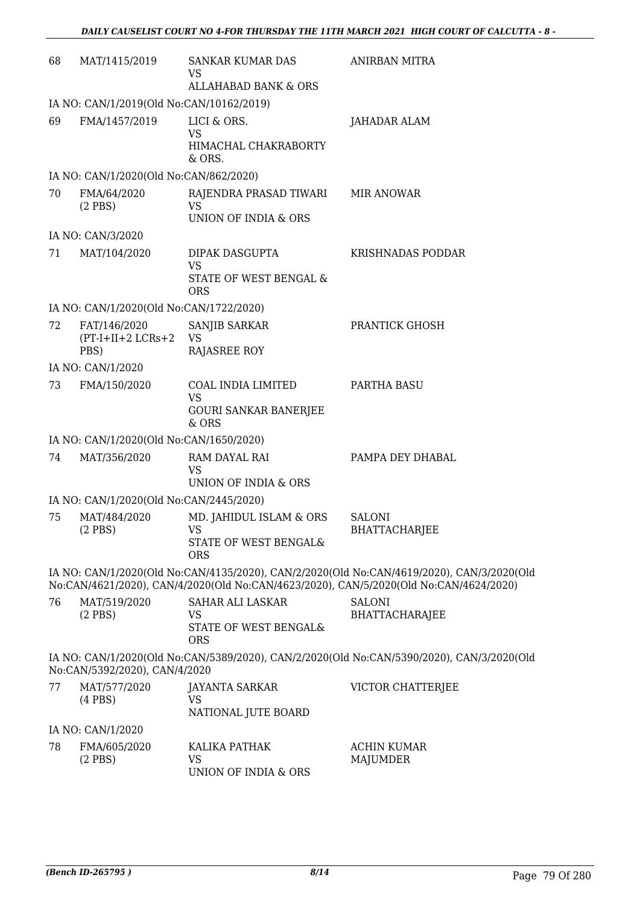| 68 | MAT/1415/2019                            | SANKAR KUMAR DAS<br>VS                                                      | <b>ANIRBAN MITRA</b>                                                                                                                                                               |
|----|------------------------------------------|-----------------------------------------------------------------------------|------------------------------------------------------------------------------------------------------------------------------------------------------------------------------------|
|    |                                          | <b>ALLAHABAD BANK &amp; ORS</b>                                             |                                                                                                                                                                                    |
|    | IA NO: CAN/1/2019(Old No:CAN/10162/2019) |                                                                             |                                                                                                                                                                                    |
| 69 | FMA/1457/2019                            | LICI & ORS.<br><b>VS</b>                                                    | JAHADAR ALAM                                                                                                                                                                       |
|    |                                          | HIMACHAL CHAKRABORTY<br>& ORS.                                              |                                                                                                                                                                                    |
|    | IA NO: CAN/1/2020(Old No:CAN/862/2020)   |                                                                             |                                                                                                                                                                                    |
| 70 | FMA/64/2020<br>$(2$ PBS)                 | RAJENDRA PRASAD TIWARI<br><b>VS</b><br>UNION OF INDIA & ORS                 | <b>MIR ANOWAR</b>                                                                                                                                                                  |
|    | IA NO: CAN/3/2020                        |                                                                             |                                                                                                                                                                                    |
| 71 | MAT/104/2020                             | DIPAK DASGUPTA<br><b>VS</b>                                                 | KRISHNADAS PODDAR                                                                                                                                                                  |
|    |                                          | STATE OF WEST BENGAL &<br><b>ORS</b>                                        |                                                                                                                                                                                    |
|    | IA NO: CAN/1/2020(Old No:CAN/1722/2020)  |                                                                             |                                                                                                                                                                                    |
| 72 | FAT/146/2020<br>$(PT-I+II+2 LCRs+2)$     | SANJIB SARKAR<br><b>VS</b>                                                  | PRANTICK GHOSH                                                                                                                                                                     |
|    | PBS)                                     | <b>RAJASREE ROY</b>                                                         |                                                                                                                                                                                    |
|    | IA NO: CAN/1/2020                        |                                                                             |                                                                                                                                                                                    |
| 73 | FMA/150/2020                             | COAL INDIA LIMITED<br><b>VS</b><br><b>GOURI SANKAR BANERJEE</b><br>& ORS    | PARTHA BASU                                                                                                                                                                        |
|    | IA NO: CAN/1/2020(Old No:CAN/1650/2020)  |                                                                             |                                                                                                                                                                                    |
| 74 | MAT/356/2020                             | RAM DAYAL RAI                                                               | PAMPA DEY DHABAL                                                                                                                                                                   |
|    |                                          | <b>VS</b><br>UNION OF INDIA & ORS                                           |                                                                                                                                                                                    |
|    | IA NO: CAN/1/2020(Old No:CAN/2445/2020)  |                                                                             |                                                                                                                                                                                    |
| 75 | MAT/484/2020<br>$(2$ PBS)                | MD. JAHIDUL ISLAM & ORS<br>VS<br>STATE OF WEST BENGAL&<br><b>ORS</b>        | <b>SALONI</b><br><b>BHATTACHARJEE</b>                                                                                                                                              |
|    |                                          |                                                                             | IA NO: CAN/1/2020(Old No:CAN/4135/2020), CAN/2/2020(Old No:CAN/4619/2020), CAN/3/2020(Old<br>No:CAN/4621/2020), CAN/4/2020(Old No:CAN/4623/2020), CAN/5/2020(Old No:CAN/4624/2020) |
| 76 | MAT/519/2020<br>$(2$ PBS)                | <b>SAHAR ALI LASKAR</b><br><b>VS</b><br>STATE OF WEST BENGAL&<br><b>ORS</b> | <b>SALONI</b><br><b>BHATTACHARAJEE</b>                                                                                                                                             |
|    | No:CAN/5392/2020), CAN/4/2020            |                                                                             | IA NO: CAN/1/2020(Old No:CAN/5389/2020), CAN/2/2020(Old No:CAN/5390/2020), CAN/3/2020(Old                                                                                          |
| 77 | MAT/577/2020<br>$(4$ PBS $)$             | JAYANTA SARKAR<br>VS                                                        | VICTOR CHATTERJEE                                                                                                                                                                  |
|    |                                          | NATIONAL JUTE BOARD                                                         |                                                                                                                                                                                    |
|    | IA NO: CAN/1/2020                        |                                                                             |                                                                                                                                                                                    |
| 78 | FMA/605/2020<br>$(2$ PBS)                | KALIKA PATHAK<br>VS                                                         | <b>ACHIN KUMAR</b><br><b>MAJUMDER</b>                                                                                                                                              |

UNION OF INDIA & ORS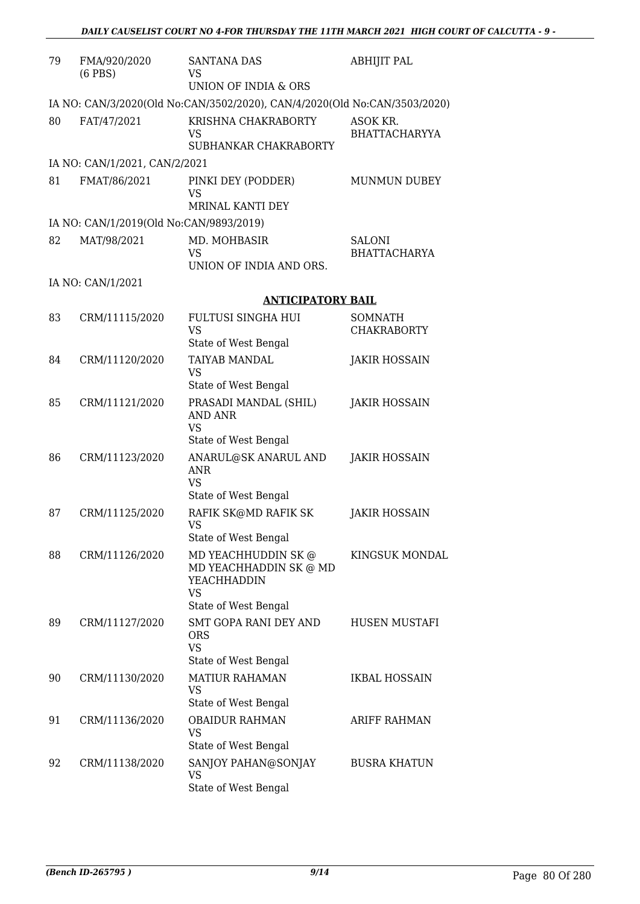| 79 | FMA/920/2020<br>$(6$ PBS $)$            | <b>SANTANA DAS</b><br>VS                                                  | <b>ABHIJIT PAL</b>                   |
|----|-----------------------------------------|---------------------------------------------------------------------------|--------------------------------------|
|    |                                         | UNION OF INDIA & ORS                                                      |                                      |
|    |                                         | IA NO: CAN/3/2020(Old No:CAN/3502/2020), CAN/4/2020(Old No:CAN/3503/2020) |                                      |
| 80 | FAT/47/2021                             | KRISHNA CHAKRABORTY<br>VS<br>SUBHANKAR CHAKRABORTY                        | ASOK KR.<br><b>BHATTACHARYYA</b>     |
|    | IA NO: CAN/1/2021, CAN/2/2021           |                                                                           |                                      |
| 81 |                                         |                                                                           |                                      |
|    | FMAT/86/2021                            | PINKI DEY (PODDER)<br>VS<br>MRINAL KANTI DEY                              | <b>MUNMUN DUBEY</b>                  |
|    | IA NO: CAN/1/2019(Old No:CAN/9893/2019) |                                                                           |                                      |
| 82 | MAT/98/2021                             | MD. MOHBASIR                                                              | <b>SALONI</b>                        |
|    |                                         | <b>VS</b>                                                                 | <b>BHATTACHARYA</b>                  |
|    |                                         | UNION OF INDIA AND ORS.                                                   |                                      |
|    | IA NO: CAN/1/2021                       |                                                                           |                                      |
|    |                                         | <b>ANTICIPATORY BAIL</b>                                                  |                                      |
| 83 | CRM/11115/2020                          | FULTUSI SINGHA HUI<br><b>VS</b>                                           | <b>SOMNATH</b><br><b>CHAKRABORTY</b> |
|    |                                         | State of West Bengal                                                      |                                      |
| 84 | CRM/11120/2020                          | TAIYAB MANDAL<br>VS                                                       | <b>JAKIR HOSSAIN</b>                 |
|    |                                         | State of West Bengal                                                      |                                      |
| 85 | CRM/11121/2020                          | PRASADI MANDAL (SHIL)<br><b>AND ANR</b><br><b>VS</b>                      | <b>JAKIR HOSSAIN</b>                 |
|    |                                         | State of West Bengal                                                      |                                      |
| 86 | CRM/11123/2020                          | ANARUL@SK ANARUL AND<br>ANR<br>VS                                         | <b>JAKIR HOSSAIN</b>                 |
|    |                                         | State of West Bengal                                                      |                                      |
| 87 | CRM/11125/2020                          | RAFIK SK@MD RAFIK SK<br>VS<br>State of West Bengal                        | <b>JAKIR HOSSAIN</b>                 |
| 88 | CRM/11126/2020                          | MD YEACHHUDDIN SK@                                                        | KINGSUK MONDAL                       |
|    |                                         | MD YEACHHADDIN SK @ MD<br>YEACHHADDIN<br>VS                               |                                      |
|    |                                         | State of West Bengal                                                      |                                      |
| 89 | CRM/11127/2020                          | SMT GOPA RANI DEY AND<br><b>ORS</b><br><b>VS</b>                          | HUSEN MUSTAFI                        |
|    |                                         | State of West Bengal                                                      |                                      |
| 90 | CRM/11130/2020                          | <b>MATIUR RAHAMAN</b><br>VS<br>State of West Bengal                       | IKBAL HOSSAIN                        |
| 91 | CRM/11136/2020                          | <b>OBAIDUR RAHMAN</b><br>VS                                               | <b>ARIFF RAHMAN</b>                  |
|    |                                         | State of West Bengal                                                      |                                      |
| 92 | CRM/11138/2020                          | SANJOY PAHAN@SONJAY<br><b>VS</b><br>State of West Bengal                  | <b>BUSRA KHATUN</b>                  |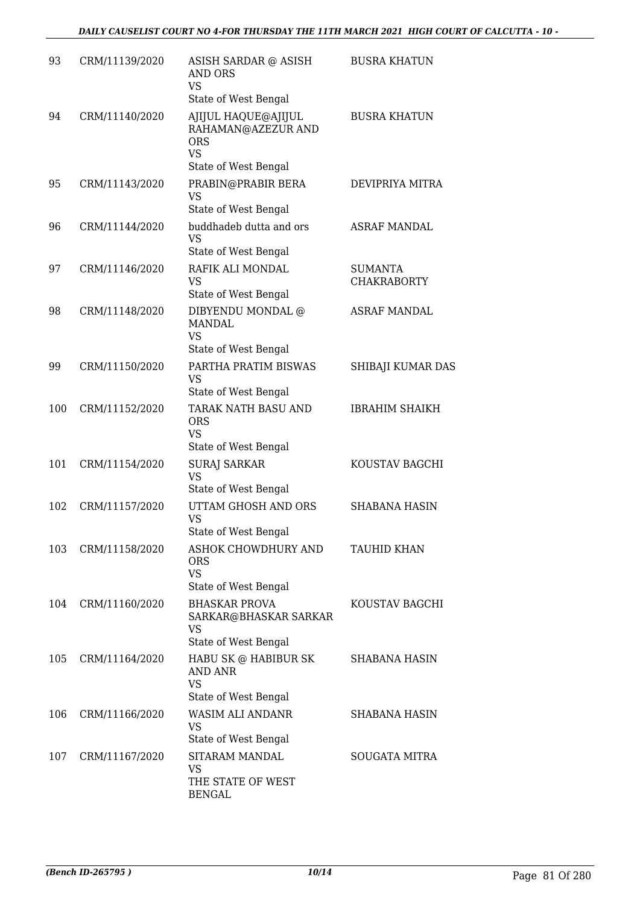| 93  | CRM/11139/2020 | ASISH SARDAR @ ASISH<br><b>AND ORS</b><br><b>VS</b>                                          | <b>BUSRA KHATUN</b>                  |
|-----|----------------|----------------------------------------------------------------------------------------------|--------------------------------------|
| 94  | CRM/11140/2020 | State of West Bengal<br>AJIJUL HAQUE@AJIJUL<br>RAHAMAN@AZEZUR AND<br><b>ORS</b><br><b>VS</b> | <b>BUSRA KHATUN</b>                  |
| 95  | CRM/11143/2020 | State of West Bengal<br>PRABIN@PRABIR BERA<br><b>VS</b><br>State of West Bengal              | DEVIPRIYA MITRA                      |
| 96  | CRM/11144/2020 | buddhadeb dutta and ors<br><b>VS</b><br>State of West Bengal                                 | <b>ASRAF MANDAL</b>                  |
| 97  | CRM/11146/2020 | RAFIK ALI MONDAL<br>VS<br>State of West Bengal                                               | <b>SUMANTA</b><br><b>CHAKRABORTY</b> |
| 98  | CRM/11148/2020 | DIBYENDU MONDAL @<br><b>MANDAL</b><br><b>VS</b><br>State of West Bengal                      | <b>ASRAF MANDAL</b>                  |
| 99  | CRM/11150/2020 | PARTHA PRATIM BISWAS<br><b>VS</b><br>State of West Bengal                                    | SHIBAJI KUMAR DAS                    |
| 100 | CRM/11152/2020 | TARAK NATH BASU AND<br><b>ORS</b><br><b>VS</b><br>State of West Bengal                       | <b>IBRAHIM SHAIKH</b>                |
| 101 | CRM/11154/2020 | <b>SURAJ SARKAR</b><br><b>VS</b><br>State of West Bengal                                     | KOUSTAV BAGCHI                       |
| 102 | CRM/11157/2020 | UTTAM GHOSH AND ORS<br><b>VS</b><br>State of West Bengal                                     | <b>SHABANA HASIN</b>                 |
| 103 | CRM/11158/2020 | ASHOK CHOWDHURY AND<br><b>ORS</b><br><b>VS</b><br>State of West Bengal                       | TAUHID KHAN                          |
| 104 | CRM/11160/2020 | <b>BHASKAR PROVA</b><br>SARKAR@BHASKAR SARKAR<br>VS<br>State of West Bengal                  | KOUSTAV BAGCHI                       |
| 105 | CRM/11164/2020 | HABU SK @ HABIBUR SK<br><b>AND ANR</b><br><b>VS</b><br>State of West Bengal                  | SHABANA HASIN                        |
| 106 | CRM/11166/2020 | WASIM ALI ANDANR<br>VS<br>State of West Bengal                                               | SHABANA HASIN                        |
| 107 | CRM/11167/2020 | SITARAM MANDAL<br>VS<br>THE STATE OF WEST<br><b>BENGAL</b>                                   | <b>SOUGATA MITRA</b>                 |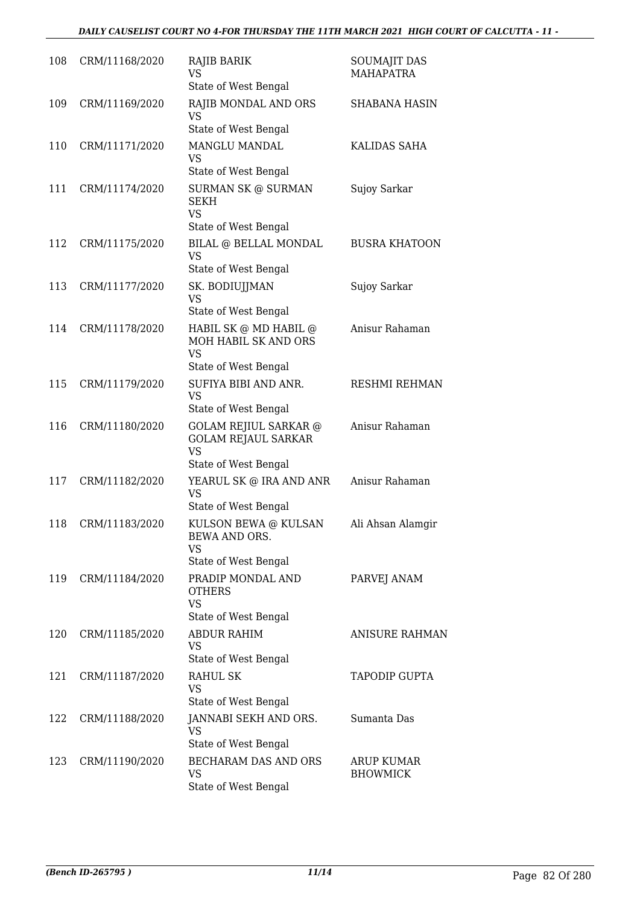| 108 | CRM/11168/2020 | RAJIB BARIK<br>VS.<br>State of West Bengal                                                      | <b>SOUMAJIT DAS</b><br><b>MAHAPATRA</b> |
|-----|----------------|-------------------------------------------------------------------------------------------------|-----------------------------------------|
| 109 | CRM/11169/2020 | RAJIB MONDAL AND ORS<br><b>VS</b><br>State of West Bengal                                       | <b>SHABANA HASIN</b>                    |
| 110 | CRM/11171/2020 | MANGLU MANDAL<br>VS<br>State of West Bengal                                                     | KALIDAS SAHA                            |
| 111 | CRM/11174/2020 | <b>SURMAN SK @ SURMAN</b><br><b>SEKH</b><br><b>VS</b><br>State of West Bengal                   | Sujoy Sarkar                            |
| 112 | CRM/11175/2020 | BILAL @ BELLAL MONDAL<br>VS<br>State of West Bengal                                             | <b>BUSRA KHATOON</b>                    |
| 113 | CRM/11177/2020 | SK. BODIUJJMAN<br>VS<br>State of West Bengal                                                    | Sujoy Sarkar                            |
| 114 | CRM/11178/2020 | HABIL SK @ MD HABIL @<br>MOH HABIL SK AND ORS<br><b>VS</b><br>State of West Bengal              | Anisur Rahaman                          |
| 115 | CRM/11179/2020 | SUFIYA BIBI AND ANR.<br>VS<br>State of West Bengal                                              | RESHMI REHMAN                           |
| 116 | CRM/11180/2020 | <b>GOLAM REJIUL SARKAR @</b><br><b>GOLAM REJAUL SARKAR</b><br><b>VS</b><br>State of West Bengal | Anisur Rahaman                          |
| 117 | CRM/11182/2020 | YEARUL SK @ IRA AND ANR<br>VS<br>State of West Bengal                                           | Anisur Rahaman                          |
| 118 | CRM/11183/2020 | KULSON BEWA @ KULSAN<br><b>BEWA AND ORS.</b><br><b>VS</b><br>State of West Bengal               | Ali Ahsan Alamgir                       |
| 119 | CRM/11184/2020 | PRADIP MONDAL AND<br><b>OTHERS</b><br><b>VS</b><br>State of West Bengal                         | PARVEJ ANAM                             |
| 120 | CRM/11185/2020 | <b>ABDUR RAHIM</b><br>VS<br>State of West Bengal                                                | <b>ANISURE RAHMAN</b>                   |
| 121 | CRM/11187/2020 | RAHUL SK<br>VS<br>State of West Bengal                                                          | <b>TAPODIP GUPTA</b>                    |
| 122 | CRM/11188/2020 | JANNABI SEKH AND ORS.<br>VS<br>State of West Bengal                                             | Sumanta Das                             |
| 123 | CRM/11190/2020 | BECHARAM DAS AND ORS<br>VS<br>State of West Bengal                                              | ARUP KUMAR<br><b>BHOWMICK</b>           |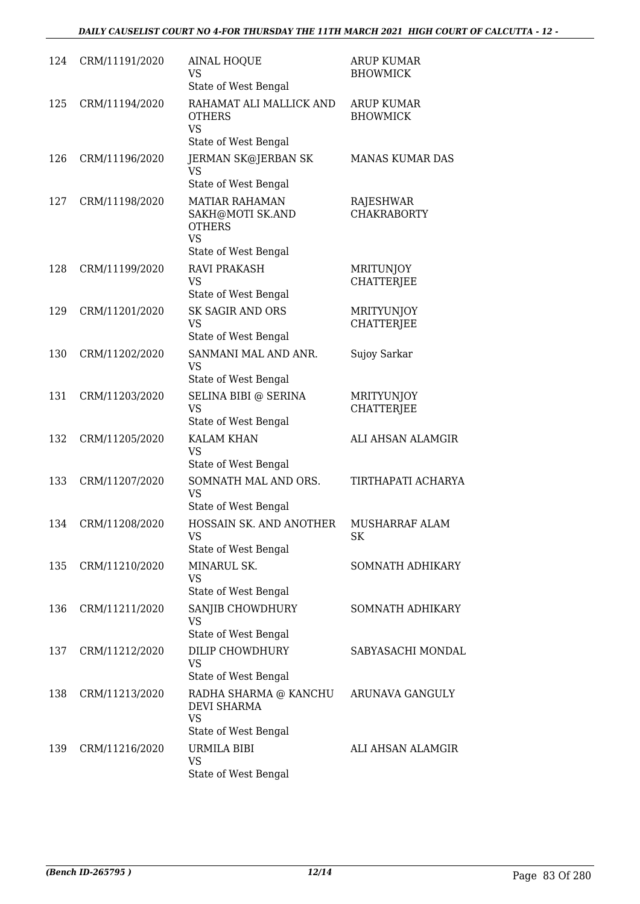| 124 | CRM/11191/2020 | <b>AINAL HOQUE</b><br>VS<br>State of West Bengal                                                | <b>ARUP KUMAR</b><br><b>BHOWMICK</b>   |
|-----|----------------|-------------------------------------------------------------------------------------------------|----------------------------------------|
| 125 | CRM/11194/2020 | RAHAMAT ALI MALLICK AND<br><b>OTHERS</b><br><b>VS</b><br>State of West Bengal                   | <b>ARUP KUMAR</b><br><b>BHOWMICK</b>   |
| 126 | CRM/11196/2020 | <b>JERMAN SK@JERBAN SK</b><br><b>VS</b><br>State of West Bengal                                 | <b>MANAS KUMAR DAS</b>                 |
| 127 | CRM/11198/2020 | <b>MATIAR RAHAMAN</b><br>SAKH@MOTI SK.AND<br><b>OTHERS</b><br><b>VS</b><br>State of West Bengal | RAJESHWAR<br><b>CHAKRABORTY</b>        |
| 128 | CRM/11199/2020 | <b>RAVI PRAKASH</b><br>VS<br>State of West Bengal                                               | MRITUNJOY<br><b>CHATTERJEE</b>         |
| 129 | CRM/11201/2020 | <b>SK SAGIR AND ORS</b><br><b>VS</b><br>State of West Bengal                                    | <b>MRITYUNJOY</b><br><b>CHATTERJEE</b> |
| 130 | CRM/11202/2020 | SANMANI MAL AND ANR.<br>VS<br>State of West Bengal                                              | Sujoy Sarkar                           |
| 131 | CRM/11203/2020 | SELINA BIBI @ SERINA<br><b>VS</b><br>State of West Bengal                                       | <b>MRITYUNJOY</b><br><b>CHATTERJEE</b> |
| 132 | CRM/11205/2020 | <b>KALAM KHAN</b><br><b>VS</b><br>State of West Bengal                                          | ALI AHSAN ALAMGIR                      |
| 133 | CRM/11207/2020 | SOMNATH MAL AND ORS.<br><b>VS</b><br>State of West Bengal                                       | TIRTHAPATI ACHARYA                     |
| 134 | CRM/11208/2020 | HOSSAIN SK. AND ANOTHER<br><b>VS</b><br>State of West Bengal                                    | MUSHARRAF ALAM<br>SK                   |
| 135 | CRM/11210/2020 | MINARUL SK.<br>VS<br>State of West Bengal                                                       | SOMNATH ADHIKARY                       |
| 136 | CRM/11211/2020 | SANJIB CHOWDHURY<br>VS<br>State of West Bengal                                                  | SOMNATH ADHIKARY                       |
| 137 | CRM/11212/2020 | <b>DILIP CHOWDHURY</b><br>VS<br>State of West Bengal                                            | SABYASACHI MONDAL                      |
| 138 | CRM/11213/2020 | RADHA SHARMA @ KANCHU<br><b>DEVI SHARMA</b><br><b>VS</b>                                        | ARUNAVA GANGULY                        |
|     |                | State of West Bengal                                                                            |                                        |
| 139 | CRM/11216/2020 | URMILA BIBI<br>VS<br>State of West Bengal                                                       | ALI AHSAN ALAMGIR                      |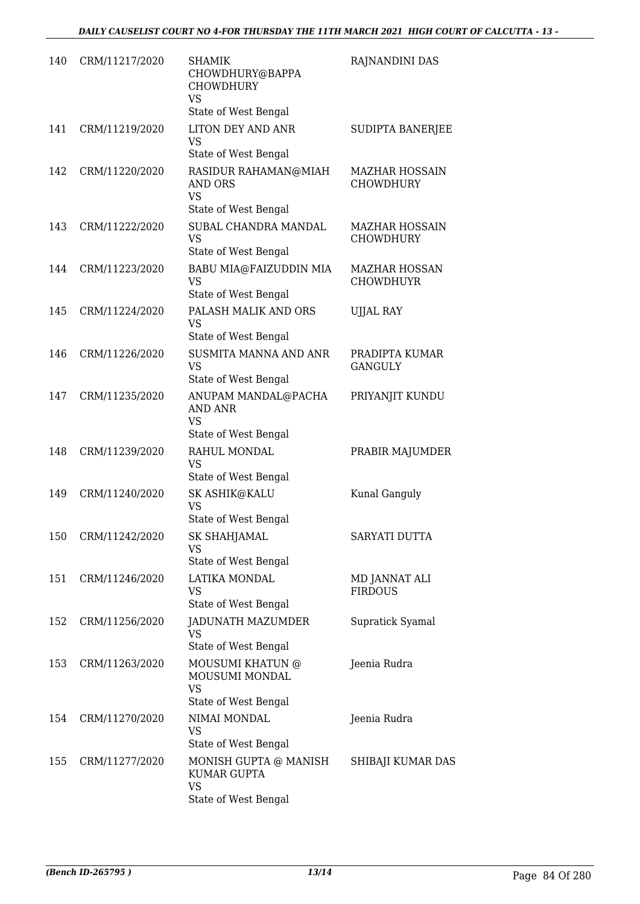| 140 | CRM/11217/2020 | SHAMIK<br>CHOWDHURY@BAPPA<br><b>CHOWDHURY</b><br><b>VS</b><br>State of West Bengal                  | RAJNANDINI DAS                            |
|-----|----------------|-----------------------------------------------------------------------------------------------------|-------------------------------------------|
| 141 | CRM/11219/2020 | <b>LITON DEY AND ANR</b><br><b>VS</b>                                                               | SUDIPTA BANERJEE                          |
| 142 | CRM/11220/2020 | State of West Bengal<br>RASIDUR RAHAMAN@MIAH<br><b>AND ORS</b><br><b>VS</b><br>State of West Bengal | <b>MAZHAR HOSSAIN</b><br><b>CHOWDHURY</b> |
| 143 | CRM/11222/2020 | SUBAL CHANDRA MANDAL<br><b>VS</b><br>State of West Bengal                                           | <b>MAZHAR HOSSAIN</b><br><b>CHOWDHURY</b> |
| 144 | CRM/11223/2020 | BABU MIA@FAIZUDDIN MIA<br><b>VS</b><br>State of West Bengal                                         | <b>MAZHAR HOSSAN</b><br><b>CHOWDHUYR</b>  |
| 145 | CRM/11224/2020 | PALASH MALIK AND ORS<br><b>VS</b><br>State of West Bengal                                           | <b>UJJAL RAY</b>                          |
| 146 | CRM/11226/2020 | <b>SUSMITA MANNA AND ANR</b><br><b>VS</b><br>State of West Bengal                                   | PRADIPTA KUMAR<br><b>GANGULY</b>          |
| 147 | CRM/11235/2020 | ANUPAM MANDAL@PACHA<br>AND ANR<br><b>VS</b><br>State of West Bengal                                 | PRIYANJIT KUNDU                           |
| 148 | CRM/11239/2020 | RAHUL MONDAL<br>VS<br>State of West Bengal                                                          | PRABIR MAJUMDER                           |
| 149 | CRM/11240/2020 | SK ASHIK@KALU<br><b>VS</b><br>State of West Bengal                                                  | Kunal Ganguly                             |
| 150 | CRM/11242/2020 | SK SHAHJAMAL<br>VS<br>State of West Bengal                                                          | SARYATI DUTTA                             |
| 151 | CRM/11246/2020 | LATIKA MONDAL<br>VS<br>State of West Bengal                                                         | MD JANNAT ALI<br><b>FIRDOUS</b>           |
| 152 | CRM/11256/2020 | JADUNATH MAZUMDER<br>VS<br>State of West Bengal                                                     | Supratick Syamal                          |
| 153 | CRM/11263/2020 | MOUSUMI KHATUN @<br>MOUSUMI MONDAL<br>VS<br>State of West Bengal                                    | Jeenia Rudra                              |
| 154 | CRM/11270/2020 | NIMAI MONDAL<br>VS<br>State of West Bengal                                                          | Jeenia Rudra                              |
| 155 | CRM/11277/2020 | MONISH GUPTA @ MANISH<br><b>KUMAR GUPTA</b><br><b>VS</b><br>State of West Bengal                    | SHIBAJI KUMAR DAS                         |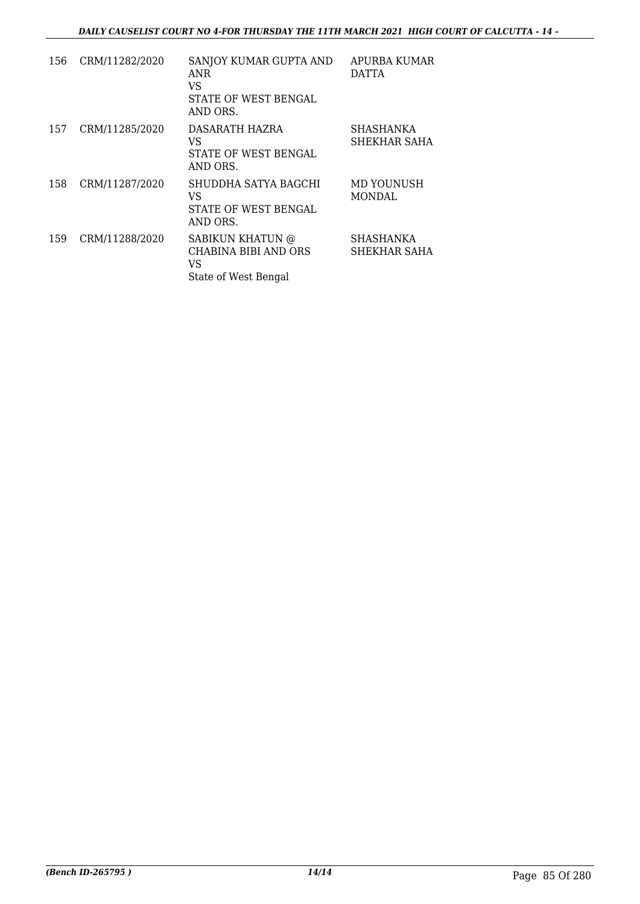| 156 | CRM/11282/2020 | SANJOY KUMAR GUPTA AND<br>ANR<br>VS<br>STATE OF WEST BENGAL<br>AND ORS. | APURBA KUMAR<br><b>DATTA</b> |
|-----|----------------|-------------------------------------------------------------------------|------------------------------|
| 157 | CRM/11285/2020 | DASARATH HAZRA<br>VS<br>STATE OF WEST BENGAL<br>AND ORS.                | SHASHANKA<br>SHEKHAR SAHA    |
| 158 | CRM/11287/2020 | SHUDDHA SATYA BAGCHI<br>VS<br>STATE OF WEST BENGAL<br>AND ORS.          | MD YOUNUSH<br>MONDAL         |
| 159 | CRM/11288/2020 | SABIKUN KHATUN @<br>CHABINA BIBI AND ORS<br>VS<br>State of West Bengal  | SHASHANKA<br>SHEKHAR SAHA    |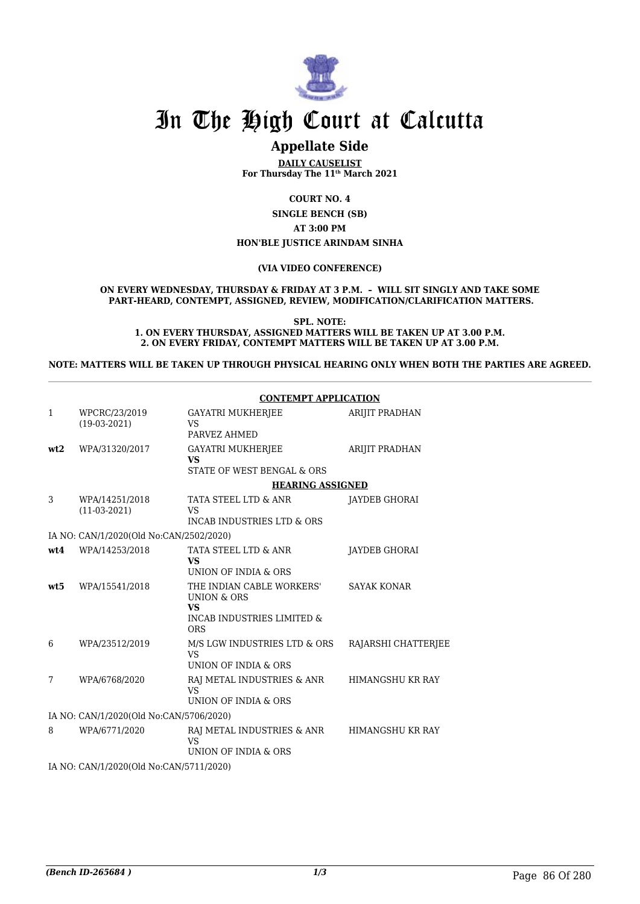

### **Appellate Side**

**DAILY CAUSELIST For Thursday The 11th March 2021**

**COURT NO. 4**

**SINGLE BENCH (SB) AT 3:00 PM HON'BLE JUSTICE ARINDAM SINHA**

**(VIA VIDEO CONFERENCE)**

**ON EVERY WEDNESDAY, THURSDAY & FRIDAY AT 3 P.M. – WILL SIT SINGLY AND TAKE SOME PART-HEARD, CONTEMPT, ASSIGNED, REVIEW, MODIFICATION/CLARIFICATION MATTERS.**

**SPL. NOTE: 1. ON EVERY THURSDAY, ASSIGNED MATTERS WILL BE TAKEN UP AT 3.00 P.M. 2. ON EVERY FRIDAY, CONTEMPT MATTERS WILL BE TAKEN UP AT 3.00 P.M.**

**NOTE: MATTERS WILL BE TAKEN UP THROUGH PHYSICAL HEARING ONLY WHEN BOTH THE PARTIES ARE AGREED.**

|              |                                         | <b>CONTEMPT APPLICATION</b>                                                                                             |                         |
|--------------|-----------------------------------------|-------------------------------------------------------------------------------------------------------------------------|-------------------------|
| $\mathbf{1}$ | WPCRC/23/2019<br>$(19-03-2021)$         | <b>GAYATRI MUKHERJEE</b><br><b>VS</b><br>PARVEZ AHMED                                                                   | ARIJIT PRADHAN          |
| wt2          | WPA/31320/2017                          | <b>GAYATRI MUKHERJEE</b><br><b>VS</b><br>STATE OF WEST BENGAL & ORS                                                     | ARIJIT PRADHAN          |
|              |                                         | <b>HEARING ASSIGNED</b>                                                                                                 |                         |
| 3            | WPA/14251/2018<br>$(11-03-2021)$        | TATA STEEL LTD & ANR<br><b>VS</b><br>INCAB INDUSTRIES LTD & ORS                                                         | <b>JAYDEB GHORAI</b>    |
|              | IA NO: CAN/1/2020(Old No:CAN/2502/2020) |                                                                                                                         |                         |
| wt4          | WPA/14253/2018                          | TATA STEEL LTD & ANR<br><b>VS</b><br>UNION OF INDIA & ORS                                                               | <b>JAYDEB GHORAI</b>    |
| wt5          | WPA/15541/2018                          | THE INDIAN CABLE WORKERS'<br><b>UNION &amp; ORS</b><br><b>VS</b><br><b>INCAB INDUSTRIES LIMITED &amp;</b><br><b>ORS</b> | <b>SAYAK KONAR</b>      |
| 6            | WPA/23512/2019                          | M/S LGW INDUSTRIES LTD & ORS<br><b>VS</b><br>UNION OF INDIA & ORS                                                       | RAJARSHI CHATTERJEE     |
| 7            | WPA/6768/2020                           | RAJ METAL INDUSTRIES & ANR<br><b>VS</b><br>UNION OF INDIA & ORS                                                         | HIMANGSHU KR RAY        |
|              | IA NO: CAN/1/2020(Old No:CAN/5706/2020) |                                                                                                                         |                         |
| 8            | WPA/6771/2020                           | RAJ METAL INDUSTRIES & ANR<br><b>VS</b><br>UNION OF INDIA & ORS                                                         | <b>HIMANGSHU KR RAY</b> |
|              | IA NO: CAN/1/2020(Old No:CAN/5711/2020) |                                                                                                                         |                         |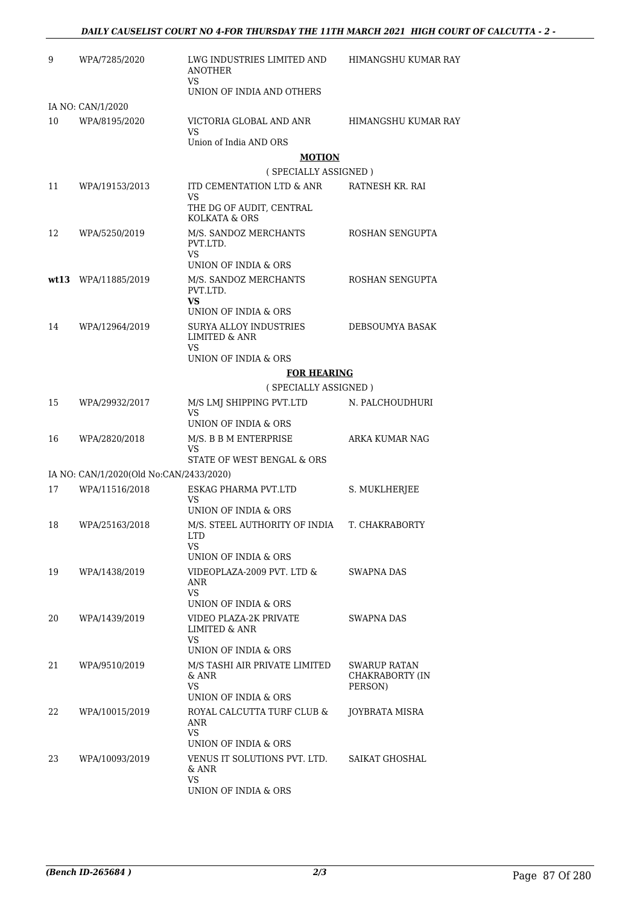| 9  | WPA/7285/2020                           | LWG INDUSTRIES LIMITED AND<br><b>ANOTHER</b><br>VS     | HIMANGSHU KUMAR RAY        |
|----|-----------------------------------------|--------------------------------------------------------|----------------------------|
|    |                                         | UNION OF INDIA AND OTHERS                              |                            |
|    | IA NO: CAN/1/2020                       |                                                        |                            |
| 10 | WPA/8195/2020                           | VICTORIA GLOBAL AND ANR<br>VS                          | HIMANGSHU KUMAR RAY        |
|    |                                         | Union of India AND ORS                                 |                            |
|    |                                         | <b>MOTION</b>                                          |                            |
|    |                                         | (SPECIALLY ASSIGNED)                                   |                            |
| 11 | WPA/19153/2013                          | ITD CEMENTATION LTD & ANR<br>VS                        | RATNESH KR. RAI            |
|    |                                         | THE DG OF AUDIT, CENTRAL<br>KOLKATA & ORS              |                            |
| 12 | WPA/5250/2019                           | M/S. SANDOZ MERCHANTS<br>PVT.LTD.                      | ROSHAN SENGUPTA            |
|    |                                         | VS<br>UNION OF INDIA & ORS                             |                            |
|    | wt13 WPA/11885/2019                     | M/S. SANDOZ MERCHANTS<br>PVT.LTD.                      | ROSHAN SENGUPTA            |
|    |                                         | VS<br>UNION OF INDIA & ORS                             |                            |
| 14 | WPA/12964/2019                          | SURYA ALLOY INDUSTRIES                                 | DEBSOUMYA BASAK            |
|    |                                         | <b>LIMITED &amp; ANR</b><br>VS                         |                            |
|    |                                         | UNION OF INDIA & ORS                                   |                            |
|    |                                         | <b>FOR HEARING</b>                                     |                            |
|    |                                         | (SPECIALLY ASSIGNED)                                   |                            |
| 15 | WPA/29932/2017                          | M/S LMJ SHIPPING PVT.LTD<br>VS<br>UNION OF INDIA & ORS | N. PALCHOUDHURI            |
| 16 | WPA/2820/2018                           | M/S. B B M ENTERPRISE<br>VS                            | ARKA KUMAR NAG             |
|    |                                         | STATE OF WEST BENGAL & ORS                             |                            |
|    | IA NO: CAN/1/2020(Old No:CAN/2433/2020) |                                                        |                            |
| 17 | WPA/11516/2018                          | ESKAG PHARMA PVT.LTD<br>VS                             | S. MUKLHERJEE              |
|    |                                         | UNION OF INDIA & ORS                                   |                            |
| 18 | WPA/25163/2018                          | M/S. STEEL AUTHORITY OF INDIA<br>LTD                   | T. CHAKRABORTY             |
|    |                                         | VS<br>UNION OF INDIA & ORS                             |                            |
| 19 | WPA/1438/2019                           | VIDEOPLAZA-2009 PVT. LTD &<br>ANR                      | SWAPNA DAS                 |
|    |                                         | VS<br>UNION OF INDIA & ORS                             |                            |
| 20 | WPA/1439/2019                           | VIDEO PLAZA-2K PRIVATE<br>LIMITED & ANR                | SWAPNA DAS                 |
|    |                                         | VS<br>UNION OF INDIA & ORS                             |                            |
| 21 | WPA/9510/2019                           | M/S TASHI AIR PRIVATE LIMITED                          | <b>SWARUP RATAN</b>        |
|    |                                         | & ANR<br>VS                                            | CHAKRABORTY (IN<br>PERSON) |
|    |                                         | UNION OF INDIA & ORS                                   |                            |
| 22 | WPA/10015/2019                          | ROYAL CALCUTTA TURF CLUB &<br>ANR<br><b>VS</b>         | JOYBRATA MISRA             |
|    |                                         | UNION OF INDIA & ORS                                   |                            |
| 23 | WPA/10093/2019                          | VENUS IT SOLUTIONS PVT. LTD.<br>& ANR                  | SAIKAT GHOSHAL             |
|    |                                         | <b>VS</b><br>UNION OF INDIA & ORS                      |                            |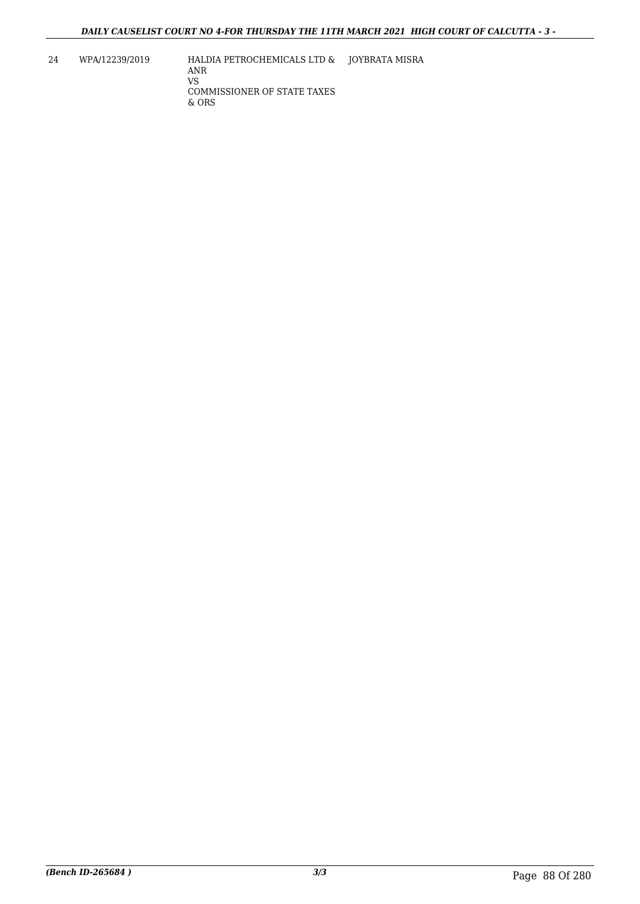24 WPA/12239/2019 HALDIA PETROCHEMICALS LTD & JOYBRATA MISRA ANR VS COMMISSIONER OF STATE TAXES & ORS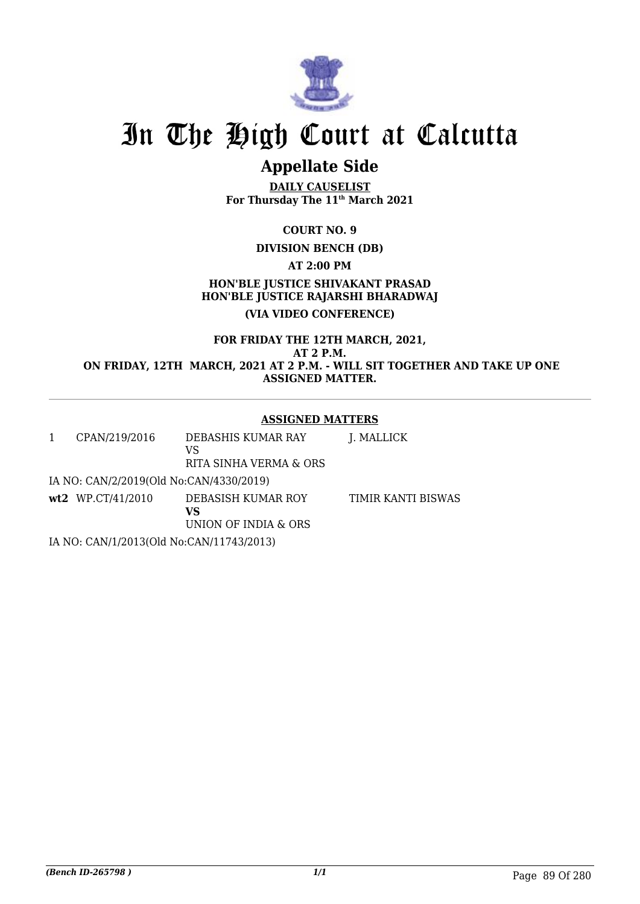

## **Appellate Side**

**DAILY CAUSELIST For Thursday The 11th March 2021**

**COURT NO. 9**

**DIVISION BENCH (DB)**

**AT 2:00 PM**

**HON'BLE JUSTICE SHIVAKANT PRASAD HON'BLE JUSTICE RAJARSHI BHARADWAJ (VIA VIDEO CONFERENCE)**

**FOR FRIDAY THE 12TH MARCH, 2021, AT 2 P.M. ON FRIDAY, 12TH MARCH, 2021 AT 2 P.M. - WILL SIT TOGETHER AND TAKE UP ONE ASSIGNED MATTER.**

### **ASSIGNED MATTERS**

| 1 | CPAN/219/2016                            | DEBASHIS KUMAR RAY<br>VS<br>RITA SINHA VERMA & ORS | J. MALLICK         |
|---|------------------------------------------|----------------------------------------------------|--------------------|
|   | IA NO: CAN/2/2019(Old No:CAN/4330/2019)  |                                                    |                    |
|   | $wt2$ WP.CT/41/2010                      | DEBASISH KUMAR ROY<br>VS<br>UNION OF INDIA & ORS   | TIMIR KANTI BISWAS |
|   | IA NO: CAN/1/2013(Old No:CAN/11743/2013) |                                                    |                    |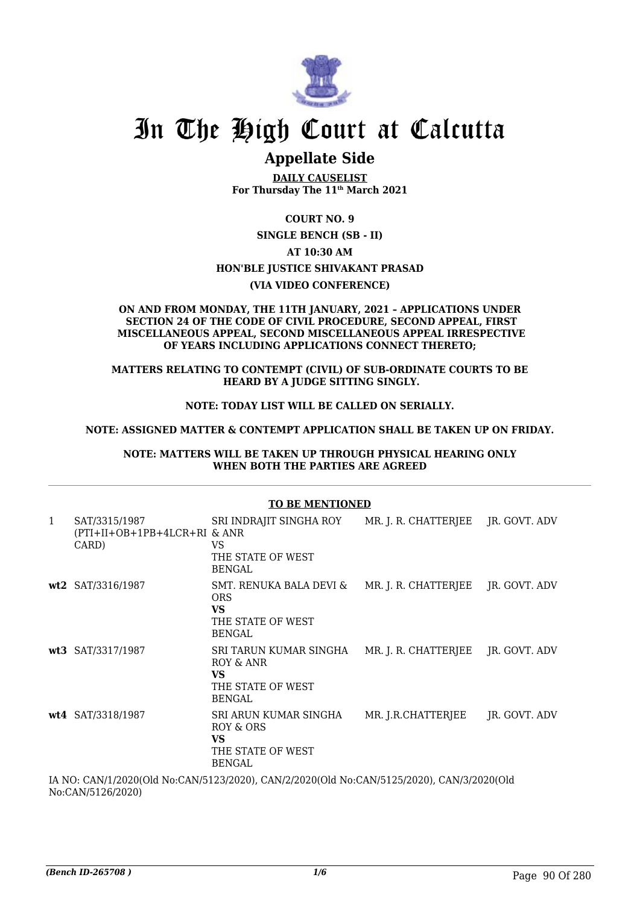

### **Appellate Side**

**DAILY CAUSELIST For Thursday The 11th March 2021**

**COURT NO. 9**

**SINGLE BENCH (SB - II) AT 10:30 AM HON'BLE JUSTICE SHIVAKANT PRASAD (VIA VIDEO CONFERENCE)**

#### **ON AND FROM MONDAY, THE 11TH JANUARY, 2021 – APPLICATIONS UNDER SECTION 24 OF THE CODE OF CIVIL PROCEDURE, SECOND APPEAL, FIRST MISCELLANEOUS APPEAL, SECOND MISCELLANEOUS APPEAL IRRESPECTIVE OF YEARS INCLUDING APPLICATIONS CONNECT THERETO;**

#### **MATTERS RELATING TO CONTEMPT (CIVIL) OF SUB-ORDINATE COURTS TO BE HEARD BY A JUDGE SITTING SINGLY.**

### **NOTE: TODAY LIST WILL BE CALLED ON SERIALLY.**

#### **NOTE: ASSIGNED MATTER & CONTEMPT APPLICATION SHALL BE TAKEN UP ON FRIDAY.**

**NOTE: MATTERS WILL BE TAKEN UP THROUGH PHYSICAL HEARING ONLY WHEN BOTH THE PARTIES ARE AGREED**

|                                                                                           | <b>TO BE MENTIONED</b>                                 |                                                                                          |                      |               |  |
|-------------------------------------------------------------------------------------------|--------------------------------------------------------|------------------------------------------------------------------------------------------|----------------------|---------------|--|
| 1                                                                                         | SAT/3315/1987<br>(PTI+II+OB+1PB+4LCR+RI & ANR<br>CARD) | SRI INDRAJIT SINGHA ROY<br>VS<br>THE STATE OF WEST<br><b>BENGAL</b>                      | MR. J. R. CHATTERJEE | JR. GOVT. ADV |  |
|                                                                                           | wt2 SAT/3316/1987                                      | SMT. RENUKA BALA DEVI &<br><b>ORS</b><br><b>VS</b><br>THE STATE OF WEST<br><b>BENGAL</b> | MR. J. R. CHATTERJEE | JR. GOVT. ADV |  |
|                                                                                           | wt3 SAT/3317/1987                                      | SRI TARUN KUMAR SINGHA<br>ROY & ANR<br><b>VS</b><br>THE STATE OF WEST<br>BENGAL          | MR. J. R. CHATTERJEE | JR. GOVT. ADV |  |
|                                                                                           | wt4 SAT/3318/1987                                      | SRI ARUN KUMAR SINGHA<br>ROY & ORS<br><b>VS</b><br>THE STATE OF WEST<br><b>BENGAL</b>    | MR. J.R.CHATTERJEE   | JR. GOVT. ADV |  |
| IA NO: CAN/1/2020(Old No:CAN/5123/2020). CAN/2/2020(Old No:CAN/5125/2020). CAN/3/2020(Old |                                                        |                                                                                          |                      |               |  |

No:CAN/5126/2020)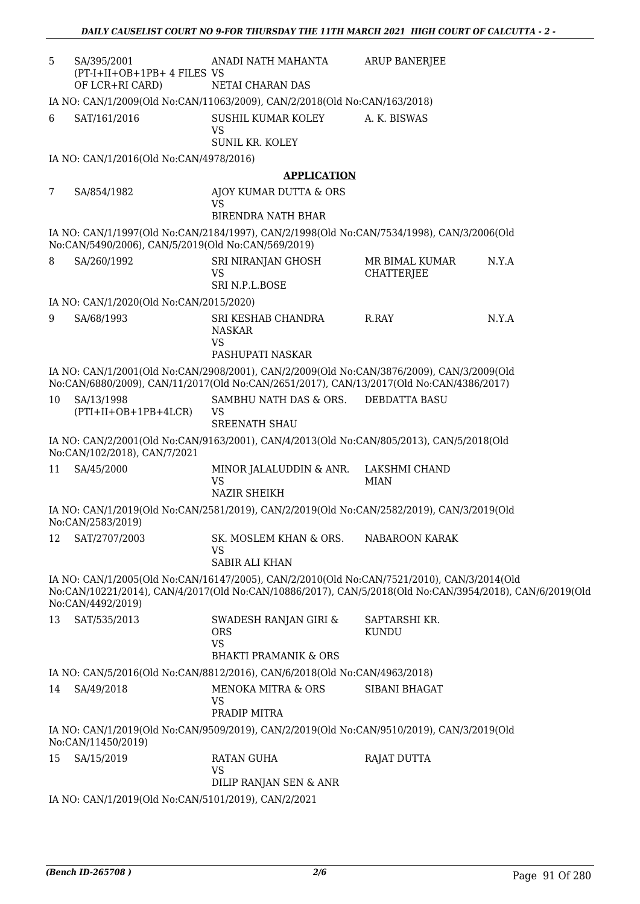| 5  | SA/395/2001<br>(PT-I+II+OB+1PB+ 4 FILES VS          | ANADI NATH MAHANTA                                                                                                                                                                                    | ARUP BANERJEE                       |       |
|----|-----------------------------------------------------|-------------------------------------------------------------------------------------------------------------------------------------------------------------------------------------------------------|-------------------------------------|-------|
|    | OF LCR+RI CARD)                                     | NETAI CHARAN DAS                                                                                                                                                                                      |                                     |       |
|    |                                                     | IA NO: CAN/1/2009(Old No:CAN/11063/2009), CAN/2/2018(Old No:CAN/163/2018)                                                                                                                             |                                     |       |
| 6  | SAT/161/2016                                        | SUSHIL KUMAR KOLEY<br><b>VS</b>                                                                                                                                                                       | A. K. BISWAS                        |       |
|    |                                                     | <b>SUNIL KR. KOLEY</b>                                                                                                                                                                                |                                     |       |
|    | IA NO: CAN/1/2016(Old No:CAN/4978/2016)             |                                                                                                                                                                                                       |                                     |       |
|    |                                                     | <b>APPLICATION</b>                                                                                                                                                                                    |                                     |       |
| 7  | SA/854/1982                                         | AJOY KUMAR DUTTA & ORS<br><b>VS</b>                                                                                                                                                                   |                                     |       |
|    |                                                     | <b>BIRENDRA NATH BHAR</b>                                                                                                                                                                             |                                     |       |
|    | No:CAN/5490/2006), CAN/5/2019(Old No:CAN/569/2019)  | IA NO: CAN/1/1997(Old No:CAN/2184/1997), CAN/2/1998(Old No:CAN/7534/1998), CAN/3/2006(Old                                                                                                             |                                     |       |
| 8  | SA/260/1992                                         | SRI NIRANJAN GHOSH<br><b>VS</b>                                                                                                                                                                       | MR BIMAL KUMAR<br><b>CHATTERJEE</b> | N.Y.A |
|    |                                                     | SRI N.P.L.BOSE                                                                                                                                                                                        |                                     |       |
|    | IA NO: CAN/1/2020(Old No:CAN/2015/2020)             |                                                                                                                                                                                                       |                                     |       |
| 9  | SA/68/1993                                          | SRI KESHAB CHANDRA<br><b>NASKAR</b><br><b>VS</b><br>PASHUPATI NASKAR                                                                                                                                  | R.RAY                               | N.Y.A |
|    |                                                     | IA NO: CAN/1/2001(Old No:CAN/2908/2001), CAN/2/2009(Old No:CAN/3876/2009), CAN/3/2009(Old                                                                                                             |                                     |       |
|    |                                                     | No:CAN/6880/2009), CAN/11/2017(Old No:CAN/2651/2017), CAN/13/2017(Old No:CAN/4386/2017)                                                                                                               |                                     |       |
| 10 | SA/13/1998<br>$(PTI+II+OB+1PB+4LCR)$                | SAMBHU NATH DAS & ORS.<br><b>VS</b>                                                                                                                                                                   | <b>DEBDATTA BASU</b>                |       |
|    |                                                     | <b>SREENATH SHAU</b>                                                                                                                                                                                  |                                     |       |
|    | No:CAN/102/2018), CAN/7/2021                        | IA NO: CAN/2/2001(Old No:CAN/9163/2001), CAN/4/2013(Old No:CAN/805/2013), CAN/5/2018(Old                                                                                                              |                                     |       |
| 11 | SA/45/2000                                          | MINOR JALALUDDIN & ANR.<br><b>VS</b><br><b>NAZIR SHEIKH</b>                                                                                                                                           | LAKSHMI CHAND<br><b>MIAN</b>        |       |
|    |                                                     | IA NO: CAN/1/2019(Old No:CAN/2581/2019), CAN/2/2019(Old No:CAN/2582/2019), CAN/3/2019(Old                                                                                                             |                                     |       |
|    | No:CAN/2583/2019)                                   |                                                                                                                                                                                                       |                                     |       |
| 12 | SAT/2707/2003                                       | SK. MOSLEM KHAN & ORS.<br><b>VS</b>                                                                                                                                                                   | NABAROON KARAK                      |       |
|    |                                                     | <b>SABIR ALI KHAN</b>                                                                                                                                                                                 |                                     |       |
|    | No:CAN/4492/2019)                                   | IA NO: CAN/1/2005(Old No:CAN/16147/2005), CAN/2/2010(Old No:CAN/7521/2010), CAN/3/2014(Old<br>No:CAN/10221/2014), CAN/4/2017(Old No:CAN/10886/2017), CAN/5/2018(Old No:CAN/3954/2018), CAN/6/2019(Old |                                     |       |
| 13 | SAT/535/2013                                        | SWADESH RANJAN GIRI &<br><b>ORS</b>                                                                                                                                                                   | SAPTARSHI KR.<br><b>KUNDU</b>       |       |
|    |                                                     | <b>VS</b>                                                                                                                                                                                             |                                     |       |
|    |                                                     | <b>BHAKTI PRAMANIK &amp; ORS</b>                                                                                                                                                                      |                                     |       |
|    |                                                     | IA NO: CAN/5/2016(Old No:CAN/8812/2016), CAN/6/2018(Old No:CAN/4963/2018)                                                                                                                             |                                     |       |
| 14 | SA/49/2018                                          | MENOKA MITRA & ORS<br><b>VS</b><br>PRADIP MITRA                                                                                                                                                       | SIBANI BHAGAT                       |       |
|    | No:CAN/11450/2019)                                  | IA NO: CAN/1/2019(Old No:CAN/9509/2019), CAN/2/2019(Old No:CAN/9510/2019), CAN/3/2019(Old                                                                                                             |                                     |       |
| 15 | SA/15/2019                                          | <b>RATAN GUHA</b><br><b>VS</b>                                                                                                                                                                        | <b>RAJAT DUTTA</b>                  |       |
|    |                                                     | DILIP RANJAN SEN & ANR                                                                                                                                                                                |                                     |       |
|    | IA NO: CAN/1/2019(Old No:CAN/5101/2019), CAN/2/2021 |                                                                                                                                                                                                       |                                     |       |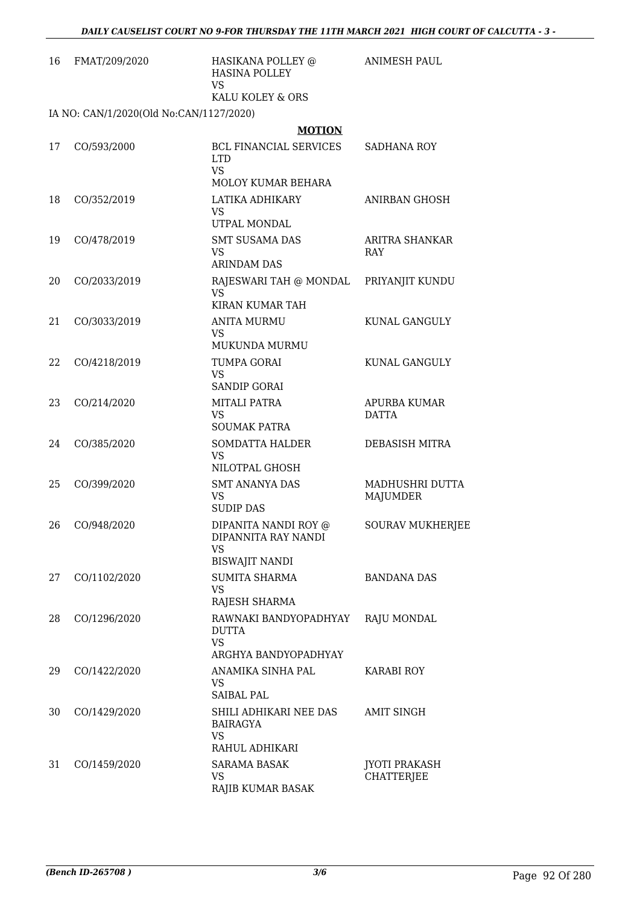| 16 | FMAT/209/2020                           | HASIKANA POLLEY @<br><b>HASINA POLLEY</b><br><b>VS</b><br>KALU KOLEY & ORS | <b>ANIMESH PAUL</b>                       |
|----|-----------------------------------------|----------------------------------------------------------------------------|-------------------------------------------|
|    | IA NO: CAN/1/2020(Old No:CAN/1127/2020) |                                                                            |                                           |
|    |                                         | <b>MOTION</b>                                                              |                                           |
| 17 | CO/593/2000                             | <b>BCL FINANCIAL SERVICES</b><br><b>LTD</b><br><b>VS</b>                   | SADHANA ROY                               |
|    |                                         | MOLOY KUMAR BEHARA                                                         |                                           |
| 18 | CO/352/2019                             | LATIKA ADHIKARY<br><b>VS</b><br>UTPAL MONDAL                               | ANIRBAN GHOSH                             |
| 19 | CO/478/2019                             | <b>SMT SUSAMA DAS</b><br>VS.                                               | ARITRA SHANKAR<br>RAY                     |
|    |                                         | <b>ARINDAM DAS</b>                                                         |                                           |
| 20 | CO/2033/2019                            | RAJESWARI TAH @ MONDAL<br><b>VS</b><br>KIRAN KUMAR TAH                     | PRIYANJIT KUNDU                           |
| 21 | CO/3033/2019                            | <b>ANITA MURMU</b><br><b>VS</b><br>MUKUNDA MURMU                           | KUNAL GANGULY                             |
| 22 | CO/4218/2019                            | TUMPA GORAI<br><b>VS</b><br><b>SANDIP GORAI</b>                            | KUNAL GANGULY                             |
| 23 | CO/214/2020                             | MITALI PATRA<br><b>VS</b><br><b>SOUMAK PATRA</b>                           | APURBA KUMAR<br><b>DATTA</b>              |
| 24 | CO/385/2020                             | <b>SOMDATTA HALDER</b><br><b>VS</b><br>NILOTPAL GHOSH                      | DEBASISH MITRA                            |
| 25 | CO/399/2020                             | <b>SMT ANANYA DAS</b><br>VS<br><b>SUDIP DAS</b>                            | MADHUSHRI DUTTA<br>MAJUMDER               |
| 26 | CO/948/2020                             | DIPANITA NANDI ROY @<br>DIPANNITA RAY NANDI<br><b>VS</b>                   | <b>SOURAV MUKHERJEE</b>                   |
| 27 | CO/1102/2020                            | <b>BISWAJIT NANDI</b><br>SUMITA SHARMA<br><b>VS</b><br>RAJESH SHARMA       | <b>BANDANA DAS</b>                        |
| 28 | CO/1296/2020                            | RAWNAKI BANDYOPADHYAY<br><b>DUTTA</b><br><b>VS</b><br>ARGHYA BANDYOPADHYAY | RAJU MONDAL                               |
| 29 | CO/1422/2020                            | ANAMIKA SINHA PAL<br>VS<br><b>SAIBAL PAL</b>                               | KARABI ROY                                |
| 30 | CO/1429/2020                            | SHILI ADHIKARI NEE DAS<br><b>BAIRAGYA</b><br><b>VS</b>                     | AMIT SINGH                                |
| 31 | CO/1459/2020                            | RAHUL ADHIKARI<br>SARAMA BASAK<br>VS.<br>RAJIB KUMAR BASAK                 | <b>JYOTI PRAKASH</b><br><b>CHATTERJEE</b> |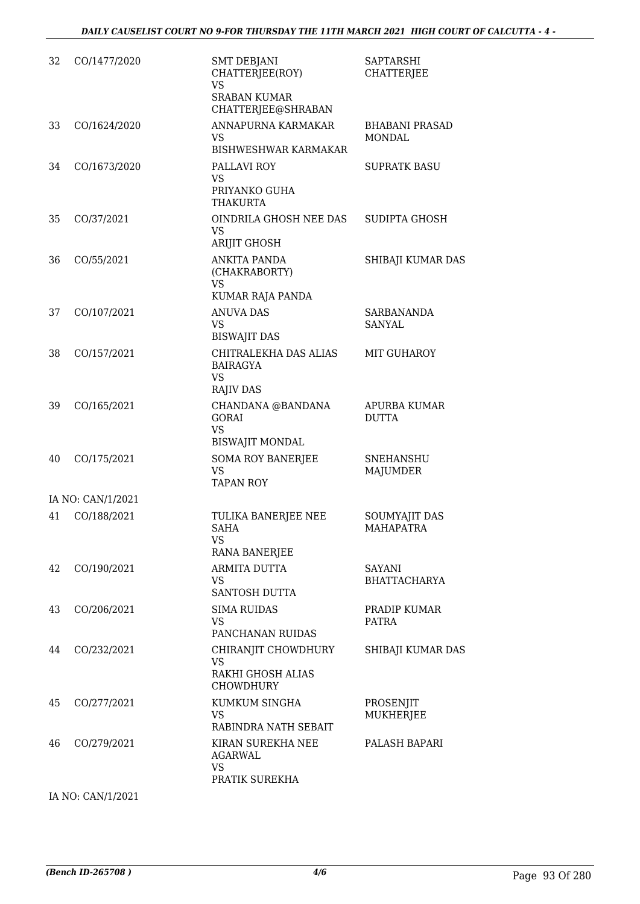| 32 | CO/1477/2020      | <b>SMT DEBJANI</b><br>CHATTERJEE(ROY)<br><b>VS</b><br><b>SRABAN KUMAR</b><br>CHATTERJEE@SHRABAN | <b>SAPTARSHI</b><br><b>CHATTERJEE</b>    |
|----|-------------------|-------------------------------------------------------------------------------------------------|------------------------------------------|
| 33 | CO/1624/2020      | ANNAPURNA KARMAKAR<br>VS.<br><b>BISHWESHWAR KARMAKAR</b>                                        | <b>BHABANI PRASAD</b><br><b>MONDAL</b>   |
| 34 | CO/1673/2020      | PALLAVI ROY<br><b>VS</b><br>PRIYANKO GUHA<br><b>THAKURTA</b>                                    | <b>SUPRATK BASU</b>                      |
| 35 | CO/37/2021        | OINDRILA GHOSH NEE DAS<br><b>VS</b><br><b>ARIJIT GHOSH</b>                                      | SUDIPTA GHOSH                            |
| 36 | CO/55/2021        | <b>ANKITA PANDA</b><br>(CHAKRABORTY)<br><b>VS</b><br>KUMAR RAJA PANDA                           | SHIBAJI KUMAR DAS                        |
| 37 | CO/107/2021       | <b>ANUVA DAS</b><br>VS.<br><b>BISWAJIT DAS</b>                                                  | <b>SARBANANDA</b><br><b>SANYAL</b>       |
| 38 | CO/157/2021       | CHITRALEKHA DAS ALIAS<br><b>BAIRAGYA</b><br><b>VS</b><br><b>RAJIV DAS</b>                       | MIT GUHAROY                              |
| 39 | CO/165/2021       | CHANDANA @BANDANA<br><b>GORAI</b><br><b>VS</b><br><b>BISWAJIT MONDAL</b>                        | APURBA KUMAR<br><b>DUTTA</b>             |
| 40 | CO/175/2021       | <b>SOMA ROY BANERJEE</b><br><b>VS</b><br><b>TAPAN ROY</b>                                       | <b>SNEHANSHU</b><br>MAJUMDER             |
|    | IA NO: CAN/1/2021 |                                                                                                 |                                          |
| 41 | CO/188/2021       | TULIKA BANERJEE NEE<br><b>SAHA</b><br><b>VS</b><br>RANA BANERJEE                                | <b>SOUMYAJIT DAS</b><br><b>MAHAPATRA</b> |
| 42 | CO/190/2021       | ARMITA DUTTA<br>VS<br>SANTOSH DUTTA                                                             | SAYANI<br><b>BHATTACHARYA</b>            |
| 43 | CO/206/2021       | <b>SIMA RUIDAS</b><br><b>VS</b><br>PANCHANAN RUIDAS                                             | PRADIP KUMAR<br><b>PATRA</b>             |
| 44 | CO/232/2021       | CHIRANJIT CHOWDHURY<br><b>VS</b><br>RAKHI GHOSH ALIAS<br><b>CHOWDHURY</b>                       | SHIBAJI KUMAR DAS                        |
| 45 | CO/277/2021       | KUMKUM SINGHA<br><b>VS</b><br>RABINDRA NATH SEBAIT                                              | PROSENJIT<br><b>MUKHERJEE</b>            |
| 46 | CO/279/2021       | KIRAN SUREKHA NEE<br>AGARWAL<br><b>VS</b><br>PRATIK SUREKHA                                     | PALASH BAPARI                            |

IA NO: CAN/1/2021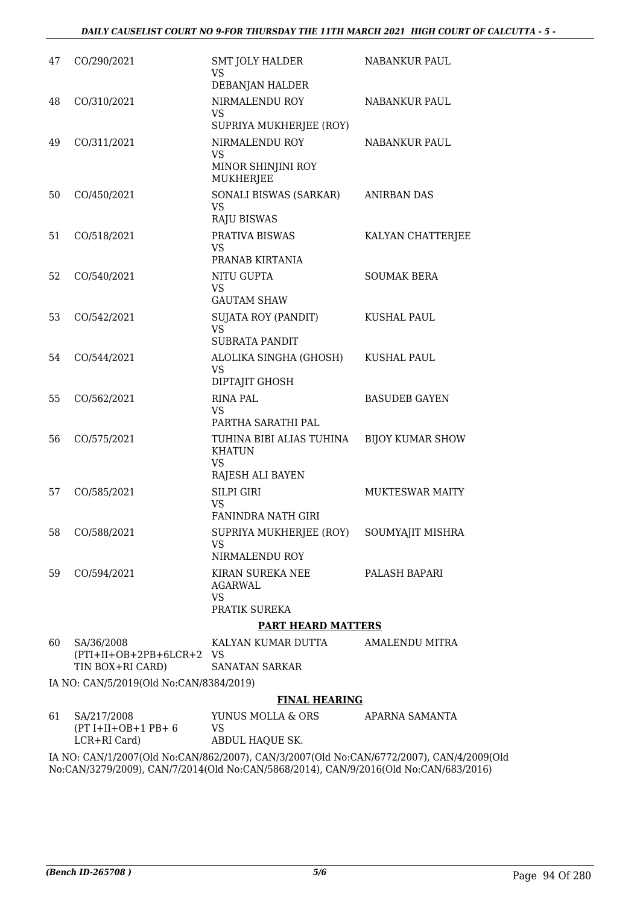| 47 | CO/290/2021                                                | <b>SMT JOLY HALDER</b><br>VS.                             | NABANKUR PAUL           |
|----|------------------------------------------------------------|-----------------------------------------------------------|-------------------------|
|    |                                                            | DEBANJAN HALDER                                           |                         |
| 48 | CO/310/2021                                                | NIRMALENDU ROY<br><b>VS</b>                               | NABANKUR PAUL           |
|    |                                                            | SUPRIYA MUKHERJEE (ROY)                                   |                         |
| 49 | CO/311/2021                                                | NIRMALENDU ROY<br><b>VS</b>                               | NABANKUR PAUL           |
|    |                                                            | MINOR SHINJINI ROY<br><b>MUKHERJEE</b>                    |                         |
| 50 | CO/450/2021                                                | SONALI BISWAS (SARKAR)<br><b>VS</b><br><b>RAJU BISWAS</b> | <b>ANIRBAN DAS</b>      |
| 51 | CO/518/2021                                                | PRATIVA BISWAS<br>VS.                                     | KALYAN CHATTERJEE       |
|    |                                                            | PRANAB KIRTANIA                                           |                         |
| 52 | CO/540/2021                                                | NITU GUPTA<br><b>VS</b><br><b>GAUTAM SHAW</b>             | <b>SOUMAK BERA</b>      |
| 53 | CO/542/2021                                                | <b>SUJATA ROY (PANDIT)</b>                                | <b>KUSHAL PAUL</b>      |
|    |                                                            | <b>VS</b><br><b>SUBRATA PANDIT</b>                        |                         |
| 54 | CO/544/2021                                                | ALOLIKA SINGHA (GHOSH)                                    | <b>KUSHAL PAUL</b>      |
|    |                                                            | <b>VS</b><br>DIPTAJIT GHOSH                               |                         |
| 55 | CO/562/2021                                                | <b>RINA PAL</b><br>VS.                                    | <b>BASUDEB GAYEN</b>    |
|    |                                                            | PARTHA SARATHI PAL                                        |                         |
| 56 | CO/575/2021                                                | TUHINA BIBI ALIAS TUHINA<br><b>KHATUN</b><br><b>VS</b>    | <b>BIJOY KUMAR SHOW</b> |
|    |                                                            | RAJESH ALI BAYEN                                          |                         |
| 57 | CO/585/2021                                                | <b>SILPI GIRI</b><br><b>VS</b>                            | <b>MUKTESWAR MAITY</b>  |
|    |                                                            | <b>FANINDRA NATH GIRI</b>                                 |                         |
| 58 | CO/588/2021                                                | SUPRIYA MUKHERJEE (ROY) SOUMYAJIT MISHRA<br><b>VS</b>     |                         |
|    |                                                            | NIRMALENDU ROY                                            |                         |
| 59 | CO/594/2021                                                | KIRAN SUREKA NEE<br>AGARWAL<br><b>VS</b>                  | PALASH BAPARI           |
|    |                                                            | PRATIK SUREKA                                             |                         |
|    |                                                            | <b>PART HEARD MATTERS</b>                                 |                         |
| 60 | SA/36/2008<br>(PTI+II+OB+2PB+6LCR+2 VS<br>TIN BOX+RI CARD) | KALYAN KUMAR DUTTA<br><b>SANATAN SARKAR</b>               | AMALENDU MITRA          |
|    | IA NO: CAN/5/2019(Old No:CAN/8384/2019)                    |                                                           |                         |
|    |                                                            | <b>FINAL HEARING</b>                                      |                         |
|    | $C1 \quad C1/217/200$                                      | VIINUIC MOLLA CODC ADADNA CAMANTA                         |                         |

| 61 SA/217/2008       | YUNUS MOLLA & ORS                                                                    | APARNA SAMANTA |
|----------------------|--------------------------------------------------------------------------------------|----------------|
| $(PT I+II+OB+1 PB+6$ | VS.                                                                                  |                |
| LCR+RI Card)         | ABDUL HAOUE SK.                                                                      |                |
|                      | IA NO: CAN/1/2007(Old No:CAN/862/2007). CAN/3/2007(Old No:CAN/6772/2007). CAN/4/2009 |                |

IA NO: CAN/1/2007(Old No:CAN/862/2007), CAN/3/2007(Old No:CAN/6772/2007), CAN/4/2009(Old No:CAN/3279/2009), CAN/7/2014(Old No:CAN/5868/2014), CAN/9/2016(Old No:CAN/683/2016)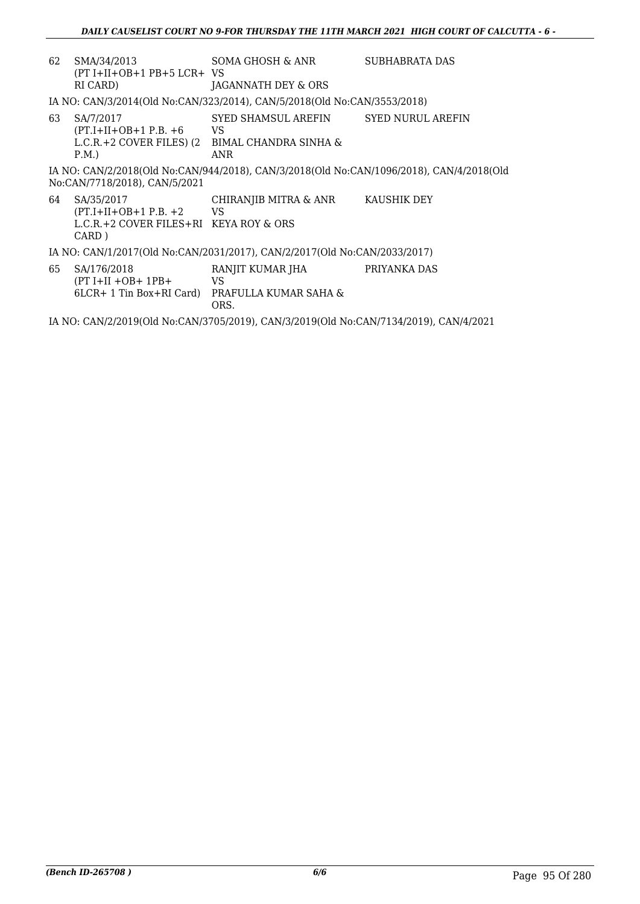| 62 | SMA/34/2013<br>$(PT I+II+OB+1 PB+5 LCR+VS)$<br>RI CARD)                                     | SOMA GHOSH & ANR<br>JAGANNATH DEY & ORS                                                                                | SUBHABRATA DAS |  |
|----|---------------------------------------------------------------------------------------------|------------------------------------------------------------------------------------------------------------------------|----------------|--|
|    |                                                                                             | IA NO: CAN/3/2014(Old No:CAN/323/2014), CAN/5/2018(Old No:CAN/3553/2018)                                               |                |  |
| 63 | SA/7/2017<br>$(PT.I+II+OB+1 P.B. +6)$<br>P.M.                                               | SYED SHAMSUL AREFIN SYED NURUL AREFIN<br><b>VS</b><br>L.C.R. + 2 COVER FILES) $(2$ BIMAL CHANDRA SINHA &<br><b>ANR</b> |                |  |
|    | No:CAN/7718/2018), CAN/5/2021                                                               | IA NO: CAN/2/2018(Old No:CAN/944/2018), CAN/3/2018(Old No:CAN/1096/2018), CAN/4/2018(Old                               |                |  |
| 64 | SA/35/2017<br>$(PT.I+II+OB+1 P.B. +2$ VS<br>L.C.R.+2 COVER FILES+RI KEYA ROY & ORS<br>CARD) | CHIRANJIB MITRA & ANR KAUSHIK DEY                                                                                      |                |  |
|    |                                                                                             | IA NO: CAN/1/2017(Old No:CAN/2031/2017), CAN/2/2017(Old No:CAN/2033/2017)                                              |                |  |
| 65 | SA/176/2018<br>$(PT I+II+OB+1PB+$                                                           | RANJIT KUMAR JHA<br>VS<br>6LCR+ 1 Tin Box+RI Card) PRAFULLA KUMAR SAHA &<br>ORS.                                       | PRIYANKA DAS   |  |
|    | IA NO: CAN/2/2019(Old No:CAN/3705/2019), CAN/3/2019(Old No:CAN/7134/2019), CAN/4/2021       |                                                                                                                        |                |  |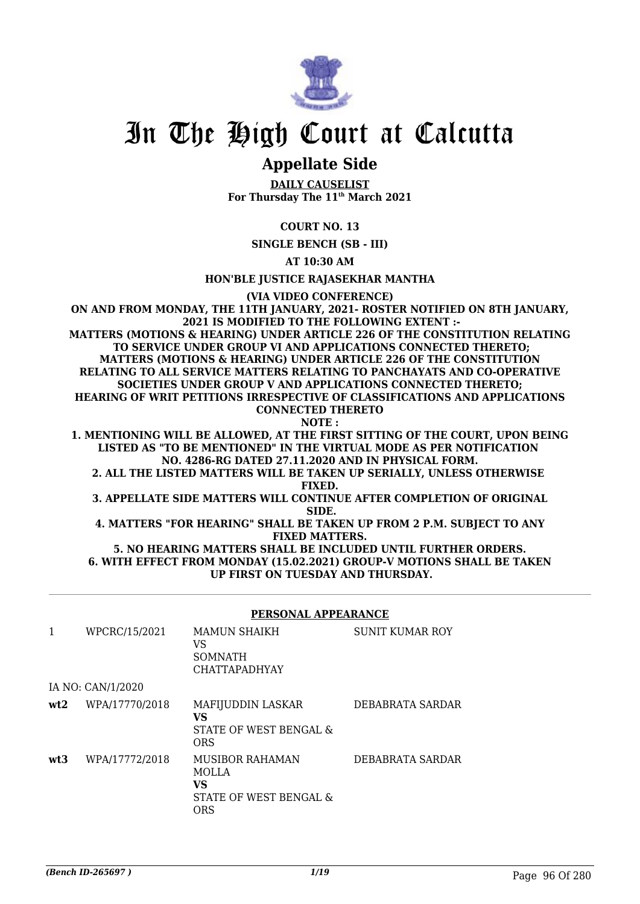

### **Appellate Side**

**DAILY CAUSELIST For Thursday The 11th March 2021**

### **COURT NO. 13**

**SINGLE BENCH (SB - III)**

**AT 10:30 AM**

**HON'BLE JUSTICE RAJASEKHAR MANTHA**

**(VIA VIDEO CONFERENCE)**

**ON AND FROM MONDAY, THE 11TH JANUARY, 2021- ROSTER NOTIFIED ON 8TH JANUARY, 2021 IS MODIFIED TO THE FOLLOWING EXTENT :- MATTERS (MOTIONS & HEARING) UNDER ARTICLE 226 OF THE CONSTITUTION RELATING TO SERVICE UNDER GROUP VI AND APPLICATIONS CONNECTED THERETO; MATTERS (MOTIONS & HEARING) UNDER ARTICLE 226 OF THE CONSTITUTION RELATING TO ALL SERVICE MATTERS RELATING TO PANCHAYATS AND CO-OPERATIVE SOCIETIES UNDER GROUP V AND APPLICATIONS CONNECTED THERETO; HEARING OF WRIT PETITIONS IRRESPECTIVE OF CLASSIFICATIONS AND APPLICATIONS CONNECTED THERETO NOTE :**

**1. MENTIONING WILL BE ALLOWED, AT THE FIRST SITTING OF THE COURT, UPON BEING LISTED AS "TO BE MENTIONED" IN THE VIRTUAL MODE AS PER NOTIFICATION NO. 4286-RG DATED 27.11.2020 AND IN PHYSICAL FORM.**

**2. ALL THE LISTED MATTERS WILL BE TAKEN UP SERIALLY, UNLESS OTHERWISE FIXED.**

**3. APPELLATE SIDE MATTERS WILL CONTINUE AFTER COMPLETION OF ORIGINAL SIDE.**

**4. MATTERS "FOR HEARING" SHALL BE TAKEN UP FROM 2 P.M. SUBJECT TO ANY FIXED MATTERS.**

**5. NO HEARING MATTERS SHALL BE INCLUDED UNTIL FURTHER ORDERS. 6. WITH EFFECT FROM MONDAY (15.02.2021) GROUP-V MOTIONS SHALL BE TAKEN UP FIRST ON TUESDAY AND THURSDAY.**

### **PERSONAL APPEARANCE**

| 1   | WPCRC/15/2021     | <b>MAMUN SHAIKH</b><br>VS<br><b>SOMNATH</b><br><b>CHATTAPADHYAY</b> | <b>SUNIT KUMAR ROY</b> |
|-----|-------------------|---------------------------------------------------------------------|------------------------|
|     | IA NO: CAN/1/2020 |                                                                     |                        |
| wt2 | WPA/17770/2018    | MAFIJUDDIN LASKAR<br>VS<br>STATE OF WEST BENGAL &<br><b>ORS</b>     | DEBABRATA SARDAR       |
| wt3 | WPA/17772/2018    | MUSIBOR RAHAMAN<br>MOLLA<br>VS<br>STATE OF WEST BENGAL &<br>ORS     | DEBABRATA SARDAR       |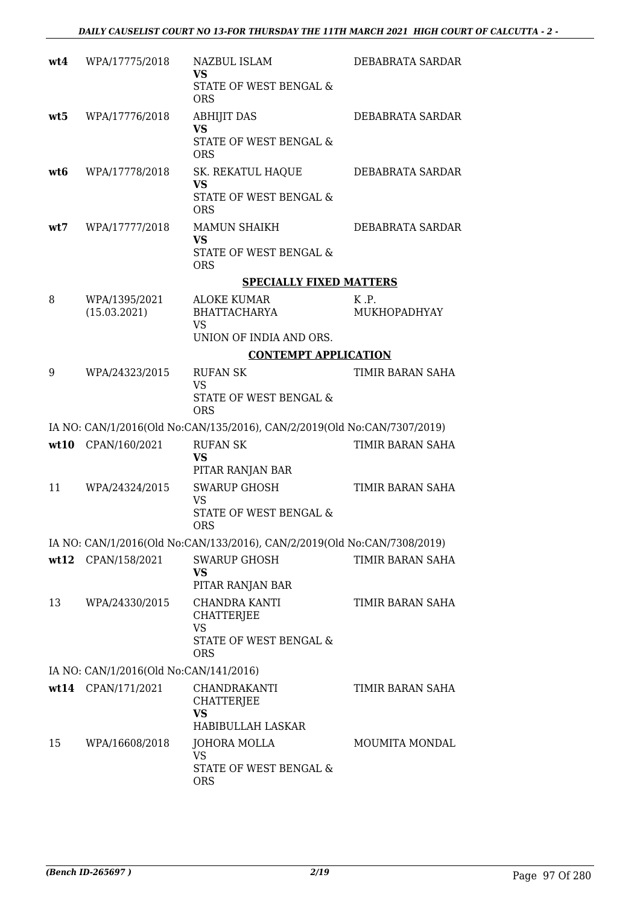| wt4 | WPA/17775/2018                         | NAZBUL ISLAM<br><b>VS</b><br>STATE OF WEST BENGAL &                                     | DEBABRATA SARDAR      |
|-----|----------------------------------------|-----------------------------------------------------------------------------------------|-----------------------|
| wt5 | WPA/17776/2018                         | <b>ORS</b><br><b>ABHIJIT DAS</b><br><b>VS</b><br>STATE OF WEST BENGAL &<br><b>ORS</b>   | DEBABRATA SARDAR      |
| wt6 | WPA/17778/2018                         | SK. REKATUL HAQUE<br><b>VS</b><br>STATE OF WEST BENGAL &<br><b>ORS</b>                  | DEBABRATA SARDAR      |
| wt7 | WPA/17777/2018                         | <b>MAMUN SHAIKH</b><br><b>VS</b><br>STATE OF WEST BENGAL &<br><b>ORS</b>                | DEBABRATA SARDAR      |
|     |                                        | <b>SPECIALLY FIXED MATTERS</b>                                                          |                       |
| 8   | WPA/1395/2021<br>(15.03.2021)          | ALOKE KUMAR<br><b>BHATTACHARYA</b><br><b>VS</b>                                         | K.P.<br>MUKHOPADHYAY  |
|     |                                        | UNION OF INDIA AND ORS.                                                                 |                       |
|     |                                        | <b>CONTEMPT APPLICATION</b>                                                             |                       |
| 9   | WPA/24323/2015                         | <b>RUFAN SK</b><br><b>VS</b>                                                            | TIMIR BARAN SAHA      |
|     |                                        | STATE OF WEST BENGAL &<br><b>ORS</b>                                                    |                       |
|     |                                        | IA NO: CAN/1/2016(Old No:CAN/135/2016), CAN/2/2019(Old No:CAN/7307/2019)                |                       |
|     | wt10 CPAN/160/2021                     | <b>RUFAN SK</b><br><b>VS</b><br>PITAR RANJAN BAR                                        | TIMIR BARAN SAHA      |
| 11  | WPA/24324/2015                         | <b>SWARUP GHOSH</b><br><b>VS</b><br>STATE OF WEST BENGAL &<br><b>ORS</b>                | TIMIR BARAN SAHA      |
|     |                                        | IA NO: CAN/1/2016(Old No:CAN/133/2016), CAN/2/2019(Old No:CAN/7308/2019)                |                       |
|     | wt12 CPAN/158/2021                     | <b>SWARUP GHOSH</b><br>VS<br>PITAR RANJAN BAR                                           | TIMIR BARAN SAHA      |
| 13  | WPA/24330/2015                         | <b>CHANDRA KANTI</b><br>CHATTERJEE<br><b>VS</b><br>STATE OF WEST BENGAL &<br><b>ORS</b> | TIMIR BARAN SAHA      |
|     | IA NO: CAN/1/2016(Old No:CAN/141/2016) |                                                                                         |                       |
|     | wt14 CPAN/171/2021                     | CHANDRAKANTI<br><b>CHATTERJEE</b><br>VS<br>HABIBULLAH LASKAR                            | TIMIR BARAN SAHA      |
| 15  | WPA/16608/2018                         | JOHORA MOLLA<br><b>VS</b><br>STATE OF WEST BENGAL &<br><b>ORS</b>                       | <b>MOUMITA MONDAL</b> |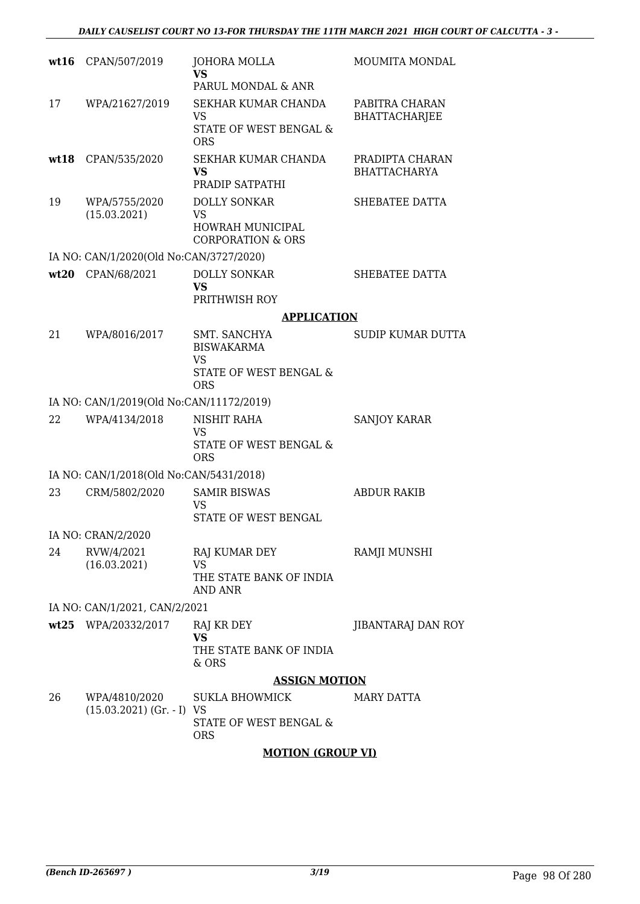| wt16 | CPAN/507/2019                                | <b>JOHORA MOLLA</b><br><b>VS</b>                                                | <b>MOUMITA MONDAL</b>                  |
|------|----------------------------------------------|---------------------------------------------------------------------------------|----------------------------------------|
|      |                                              | PARUL MONDAL & ANR                                                              |                                        |
| 17   | WPA/21627/2019                               | SEKHAR KUMAR CHANDA<br>VS<br>STATE OF WEST BENGAL &<br><b>ORS</b>               | PABITRA CHARAN<br><b>BHATTACHARJEE</b> |
| wt18 | CPAN/535/2020                                | SEKHAR KUMAR CHANDA<br><b>VS</b><br>PRADIP SATPATHI                             | PRADIPTA CHARAN<br><b>BHATTACHARYA</b> |
| 19   | WPA/5755/2020<br>(15.03.2021)                | <b>DOLLY SONKAR</b><br>VS<br>HOWRAH MUNICIPAL<br><b>CORPORATION &amp; ORS</b>   | SHEBATEE DATTA                         |
|      | IA NO: CAN/1/2020(Old No:CAN/3727/2020)      |                                                                                 |                                        |
| wt20 | CPAN/68/2021                                 | <b>DOLLY SONKAR</b><br><b>VS</b><br>PRITHWISH ROY                               | SHEBATEE DATTA                         |
|      |                                              | <b>APPLICATION</b>                                                              |                                        |
| 21   | WPA/8016/2017                                | SMT. SANCHYA<br><b>BISWAKARMA</b><br>VS<br>STATE OF WEST BENGAL &<br><b>ORS</b> | <b>SUDIP KUMAR DUTTA</b>               |
|      | IA NO: CAN/1/2019(Old No:CAN/11172/2019)     |                                                                                 |                                        |
| 22   | WPA/4134/2018                                | NISHIT RAHA<br><b>VS</b><br>STATE OF WEST BENGAL &<br><b>ORS</b>                | <b>SANJOY KARAR</b>                    |
|      | IA NO: CAN/1/2018(Old No:CAN/5431/2018)      |                                                                                 |                                        |
| 23   | CRM/5802/2020                                | <b>SAMIR BISWAS</b><br>VS<br><b>STATE OF WEST BENGAL</b>                        | <b>ABDUR RAKIB</b>                     |
|      | IA NO: CRAN/2/2020                           |                                                                                 |                                        |
| 24   | RVW/4/2021<br>(16.03.2021)                   | RAJ KUMAR DEY<br><b>VS</b><br>THE STATE BANK OF INDIA                           | RAMJI MUNSHI                           |
|      | IA NO: CAN/1/2021, CAN/2/2021                | AND ANR                                                                         |                                        |
|      | wt25 WPA/20332/2017                          | RAJ KR DEY                                                                      | <b>JIBANTARAJ DAN ROY</b>              |
|      |                                              | <b>VS</b><br>THE STATE BANK OF INDIA<br>& ORS                                   |                                        |
|      |                                              | <b>ASSIGN MOTION</b>                                                            |                                        |
| 26   | WPA/4810/2020<br>$(15.03.2021)$ (Gr. - I) VS | SUKLA BHOWMICK<br>STATE OF WEST BENGAL &<br><b>ORS</b>                          | <b>MARY DATTA</b>                      |

### **MOTION (GROUP VI)**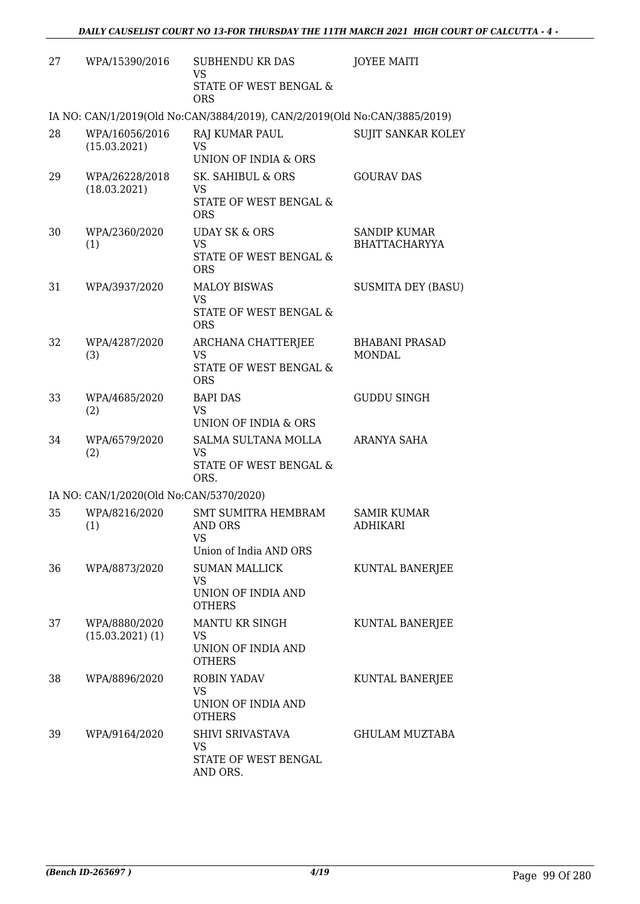| 27 | WPA/15390/2016                          | <b>SUBHENDU KR DAS</b><br>VS                                                  | <b>JOYEE MAITI</b>                          |
|----|-----------------------------------------|-------------------------------------------------------------------------------|---------------------------------------------|
|    |                                         | STATE OF WEST BENGAL &<br><b>ORS</b>                                          |                                             |
|    |                                         | IA NO: CAN/1/2019(Old No:CAN/3884/2019), CAN/2/2019(Old No:CAN/3885/2019)     |                                             |
| 28 | WPA/16056/2016<br>(15.03.2021)          | RAJ KUMAR PAUL<br><b>VS</b><br>UNION OF INDIA & ORS                           | <b>SUJIT SANKAR KOLEY</b>                   |
| 29 | WPA/26228/2018<br>(18.03.2021)          | SK. SAHIBUL & ORS<br>VS<br>STATE OF WEST BENGAL &<br><b>ORS</b>               | <b>GOURAV DAS</b>                           |
| 30 | WPA/2360/2020<br>(1)                    | <b>UDAY SK &amp; ORS</b><br><b>VS</b><br>STATE OF WEST BENGAL &<br><b>ORS</b> | <b>SANDIP KUMAR</b><br><b>BHATTACHARYYA</b> |
| 31 | WPA/3937/2020                           | <b>MALOY BISWAS</b><br><b>VS</b><br>STATE OF WEST BENGAL &<br><b>ORS</b>      | <b>SUSMITA DEY (BASU)</b>                   |
| 32 | WPA/4287/2020<br>(3)                    | ARCHANA CHATTERJEE<br>VS<br>STATE OF WEST BENGAL &<br><b>ORS</b>              | <b>BHABANI PRASAD</b><br><b>MONDAL</b>      |
| 33 | WPA/4685/2020<br>(2)                    | <b>BAPI DAS</b><br><b>VS</b><br>UNION OF INDIA & ORS                          | <b>GUDDU SINGH</b>                          |
| 34 | WPA/6579/2020<br>(2)                    | SALMA SULTANA MOLLA<br><b>VS</b><br>STATE OF WEST BENGAL &<br>ORS.            | ARANYA SAHA                                 |
|    | IA NO: CAN/1/2020(Old No:CAN/5370/2020) |                                                                               |                                             |
| 35 | WPA/8216/2020<br>(1)                    | <b>SMT SUMITRA HEMBRAM</b><br>AND ORS<br>VS<br>Union of India AND ORS         | <b>SAMIR KUMAR</b><br><b>ADHIKARI</b>       |
| 36 | WPA/8873/2020                           | <b>SUMAN MALLICK</b><br><b>VS</b><br>UNION OF INDIA AND<br><b>OTHERS</b>      | KUNTAL BANERJEE                             |
| 37 | WPA/8880/2020<br>$(15.03.2021)$ $(1)$   | MANTU KR SINGH<br>VS<br>UNION OF INDIA AND<br><b>OTHERS</b>                   | KUNTAL BANERJEE                             |
| 38 | WPA/8896/2020                           | ROBIN YADAV<br>VS<br>UNION OF INDIA AND<br><b>OTHERS</b>                      | KUNTAL BANERJEE                             |
| 39 | WPA/9164/2020                           | SHIVI SRIVASTAVA<br>VS<br>STATE OF WEST BENGAL<br>AND ORS.                    | <b>GHULAM MUZTABA</b>                       |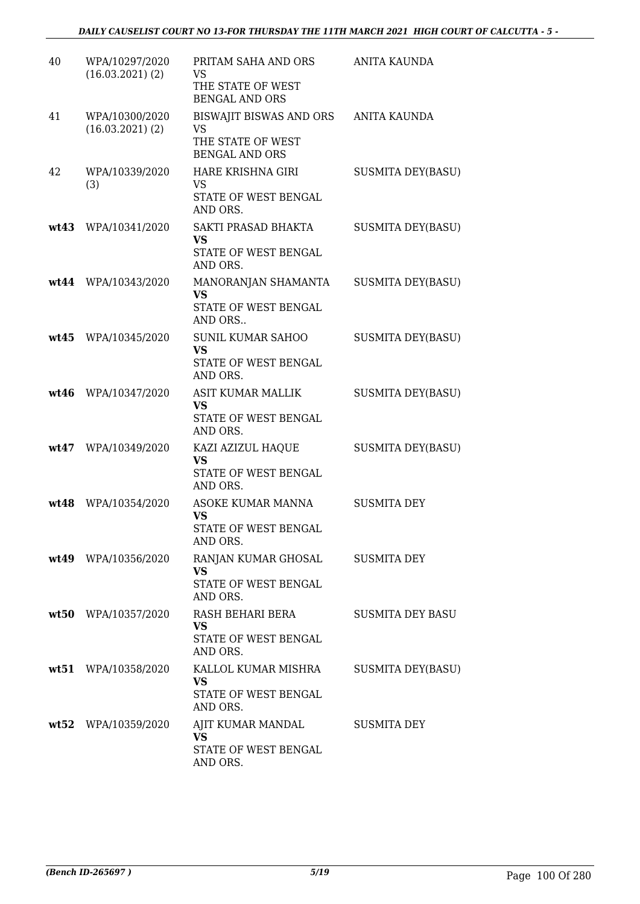| 40   | WPA/10297/2020<br>$(16.03.2021)$ $(2)$ | PRITAM SAHA AND ORS<br>VS<br>THE STATE OF WEST<br><b>BENGAL AND ORS</b>          | ANITA KAUNDA             |
|------|----------------------------------------|----------------------------------------------------------------------------------|--------------------------|
| 41   | WPA/10300/2020<br>$(16.03.2021)$ $(2)$ | BISWAJIT BISWAS AND ORS<br>VS<br>THE STATE OF WEST<br><b>BENGAL AND ORS</b>      | <b>ANITA KAUNDA</b>      |
| 42   | WPA/10339/2020<br>(3)                  | HARE KRISHNA GIRI<br><b>VS</b><br>STATE OF WEST BENGAL<br>AND ORS.               | <b>SUSMITA DEY(BASU)</b> |
| wt43 | WPA/10341/2020                         | SAKTI PRASAD BHAKTA<br><b>VS</b><br>STATE OF WEST BENGAL<br>AND ORS.             | <b>SUSMITA DEY(BASU)</b> |
|      | wt44 WPA/10343/2020                    | MANORANJAN SHAMANTA<br>VS<br>STATE OF WEST BENGAL<br>AND ORS                     | <b>SUSMITA DEY(BASU)</b> |
| wt45 | WPA/10345/2020                         | <b>SUNIL KUMAR SAHOO</b><br><b>VS</b><br>STATE OF WEST BENGAL<br>AND ORS.        | <b>SUSMITA DEY(BASU)</b> |
| wt46 | WPA/10347/2020                         | ASIT KUMAR MALLIK<br>VS<br>STATE OF WEST BENGAL<br>AND ORS.                      | <b>SUSMITA DEY(BASU)</b> |
| wt47 | WPA/10349/2020                         | KAZI AZIZUL HAQUE<br><b>VS</b><br>STATE OF WEST BENGAL<br>AND ORS.               | <b>SUSMITA DEY(BASU)</b> |
| wt48 | WPA/10354/2020                         | ASOKE KUMAR MANNA<br><b>VS</b><br>STATE OF WEST BENGAL<br>AND ORS.               | <b>SUSMITA DEY</b>       |
|      | wt49 WPA/10356/2020                    | RANJAN KUMAR GHOSAL SUSMITA DEY<br><b>VS</b><br>STATE OF WEST BENGAL<br>AND ORS. |                          |
|      | wt50 WPA/10357/2020                    | RASH BEHARI BERA<br><b>VS</b><br>STATE OF WEST BENGAL<br>AND ORS.                | <b>SUSMITA DEY BASU</b>  |
|      | wt51 WPA/10358/2020                    | KALLOL KUMAR MISHRA<br><b>VS</b><br>STATE OF WEST BENGAL<br>AND ORS.             | <b>SUSMITA DEY(BASU)</b> |
|      | wt52 WPA/10359/2020                    | AJIT KUMAR MANDAL<br><b>VS</b><br>STATE OF WEST BENGAL<br>AND ORS.               | SUSMITA DEY              |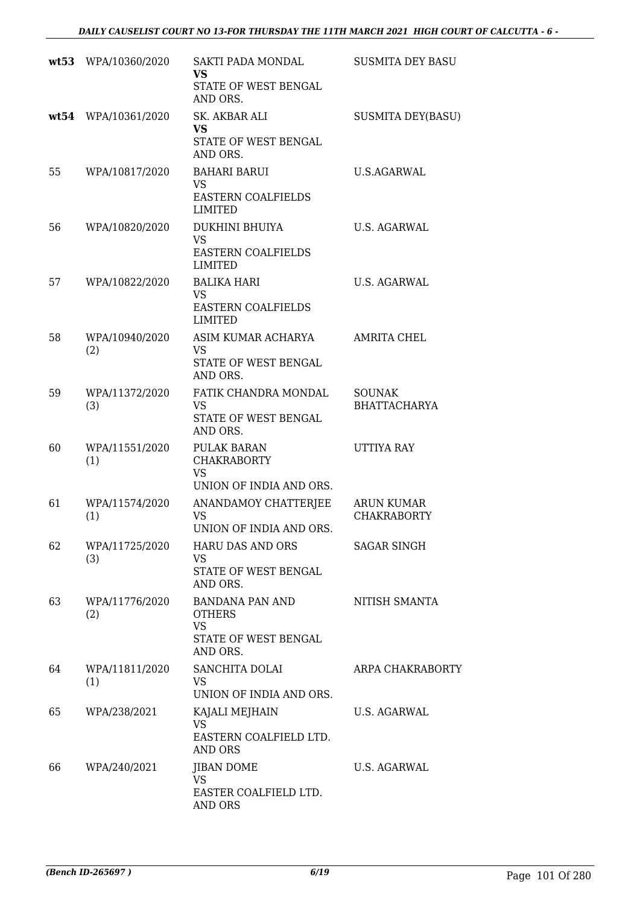|    | wt53 WPA/10360/2020   | SAKTI PADA MONDAL<br><b>VS</b><br>STATE OF WEST BENGAL                     | <b>SUSMITA DEY BASU</b>                 |
|----|-----------------------|----------------------------------------------------------------------------|-----------------------------------------|
|    | wt54 WPA/10361/2020   | AND ORS.<br>SK. AKBAR ALI<br><b>VS</b><br>STATE OF WEST BENGAL<br>AND ORS. | <b>SUSMITA DEY(BASU)</b>                |
| 55 | WPA/10817/2020        | <b>BAHARI BARUI</b><br><b>VS</b><br>EASTERN COALFIELDS<br>LIMITED          | U.S.AGARWAL                             |
| 56 | WPA/10820/2020        | DUKHINI BHUIYA<br><b>VS</b><br><b>EASTERN COALFIELDS</b><br>LIMITED        | U.S. AGARWAL                            |
| 57 | WPA/10822/2020        | <b>BALIKA HARI</b><br><b>VS</b><br><b>EASTERN COALFIELDS</b><br>LIMITED    | U.S. AGARWAL                            |
| 58 | WPA/10940/2020<br>(2) | ASIM KUMAR ACHARYA<br><b>VS</b><br>STATE OF WEST BENGAL<br>AND ORS.        | AMRITA CHEL                             |
| 59 | WPA/11372/2020<br>(3) | FATIK CHANDRA MONDAL<br>VS<br>STATE OF WEST BENGAL<br>AND ORS.             | <b>SOUNAK</b><br><b>BHATTACHARYA</b>    |
| 60 | WPA/11551/2020<br>(1) | PULAK BARAN<br><b>CHAKRABORTY</b><br><b>VS</b><br>UNION OF INDIA AND ORS.  | UTTIYA RAY                              |
| 61 | WPA/11574/2020<br>(1) | ANANDAMOY CHATTERJEE<br><b>VS</b><br>UNION OF INDIA AND ORS                | <b>ARUN KUMAR</b><br><b>CHAKRABORTY</b> |
| 62 | WPA/11725/2020<br>(3) | HARU DAS AND ORS<br>VS<br>STATE OF WEST BENGAL<br>AND ORS.                 | <b>SAGAR SINGH</b>                      |
| 63 | WPA/11776/2020<br>(2) | BANDANA PAN AND<br><b>OTHERS</b><br>VS<br>STATE OF WEST BENGAL<br>AND ORS. | NITISH SMANTA                           |
| 64 | WPA/11811/2020<br>(1) | SANCHITA DOLAI<br>VS<br>UNION OF INDIA AND ORS.                            | ARPA CHAKRABORTY                        |
| 65 | WPA/238/2021          | KAJALI MEJHAIN<br><b>VS</b><br>EASTERN COALFIELD LTD.<br>AND ORS           | U.S. AGARWAL                            |
| 66 | WPA/240/2021          | <b>JIBAN DOME</b><br><b>VS</b><br>EASTER COALFIELD LTD.<br>AND ORS         | U.S. AGARWAL                            |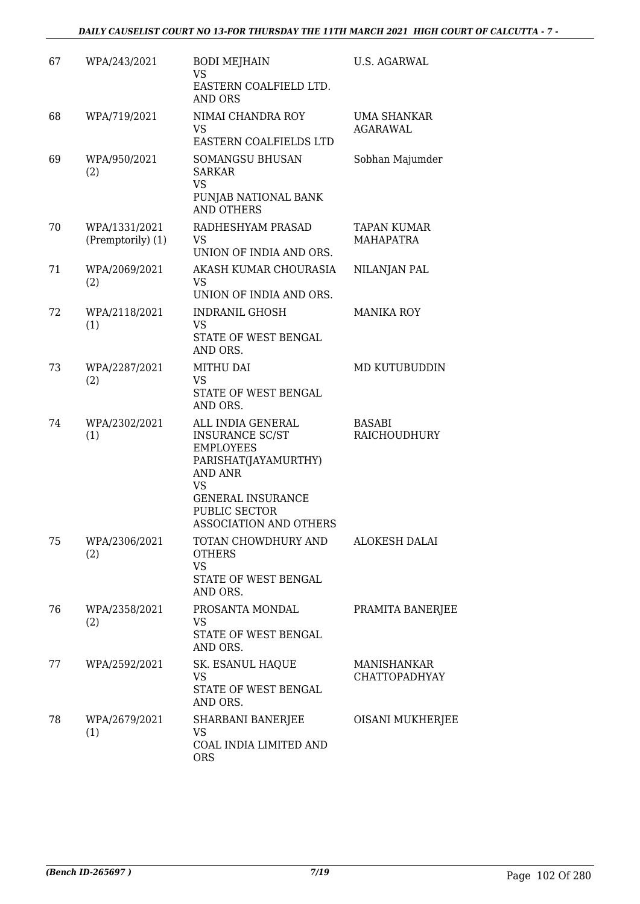| 67 | WPA/243/2021                       | <b>BODI MEJHAIN</b><br><b>VS</b><br>EASTERN COALFIELD LTD.<br>AND ORS                                                                                                                  | <b>U.S. AGARWAL</b>                    |
|----|------------------------------------|----------------------------------------------------------------------------------------------------------------------------------------------------------------------------------------|----------------------------------------|
| 68 | WPA/719/2021                       | NIMAI CHANDRA ROY<br><b>VS</b><br>EASTERN COALFIELDS LTD                                                                                                                               | UMA SHANKAR<br><b>AGARAWAL</b>         |
| 69 | WPA/950/2021<br>(2)                | <b>SOMANGSU BHUSAN</b><br><b>SARKAR</b><br><b>VS</b><br>PUNJAB NATIONAL BANK<br><b>AND OTHERS</b>                                                                                      | Sobhan Majumder                        |
| 70 | WPA/1331/2021<br>(Premptorily) (1) | RADHESHYAM PRASAD<br>VS.<br>UNION OF INDIA AND ORS.                                                                                                                                    | <b>TAPAN KUMAR</b><br><b>MAHAPATRA</b> |
| 71 | WPA/2069/2021<br>(2)               | AKASH KUMAR CHOURASIA<br>VS<br>UNION OF INDIA AND ORS.                                                                                                                                 | NILANJAN PAL                           |
| 72 | WPA/2118/2021<br>(1)               | <b>INDRANIL GHOSH</b><br><b>VS</b><br>STATE OF WEST BENGAL<br>AND ORS.                                                                                                                 | <b>MANIKA ROY</b>                      |
| 73 | WPA/2287/2021<br>(2)               | MITHU DAI<br><b>VS</b><br>STATE OF WEST BENGAL<br>AND ORS.                                                                                                                             | MD KUTUBUDDIN                          |
| 74 | WPA/2302/2021<br>(1)               | ALL INDIA GENERAL<br><b>INSURANCE SC/ST</b><br><b>EMPLOYEES</b><br>PARISHAT(JAYAMURTHY)<br><b>AND ANR</b><br>VS<br><b>GENERAL INSURANCE</b><br>PUBLIC SECTOR<br>ASSOCIATION AND OTHERS | BASABI<br><b>RAICHOUDHURY</b>          |
| 75 | WPA/2306/2021<br>(2)               | TOTAN CHOWDHURY AND<br><b>OTHERS</b><br><b>VS</b><br>STATE OF WEST BENGAL<br>AND ORS.                                                                                                  | <b>ALOKESH DALAI</b>                   |
| 76 | WPA/2358/2021<br>(2)               | PROSANTA MONDAL<br>VS<br>STATE OF WEST BENGAL<br>AND ORS.                                                                                                                              | PRAMITA BANERJEE                       |
| 77 | WPA/2592/2021                      | SK. ESANUL HAQUE<br><b>VS</b><br>STATE OF WEST BENGAL<br>AND ORS.                                                                                                                      | <b>MANISHANKAR</b><br>CHATTOPADHYAY    |
| 78 | WPA/2679/2021<br>(1)               | SHARBANI BANERJEE<br><b>VS</b><br>COAL INDIA LIMITED AND<br><b>ORS</b>                                                                                                                 | OISANI MUKHERJEE                       |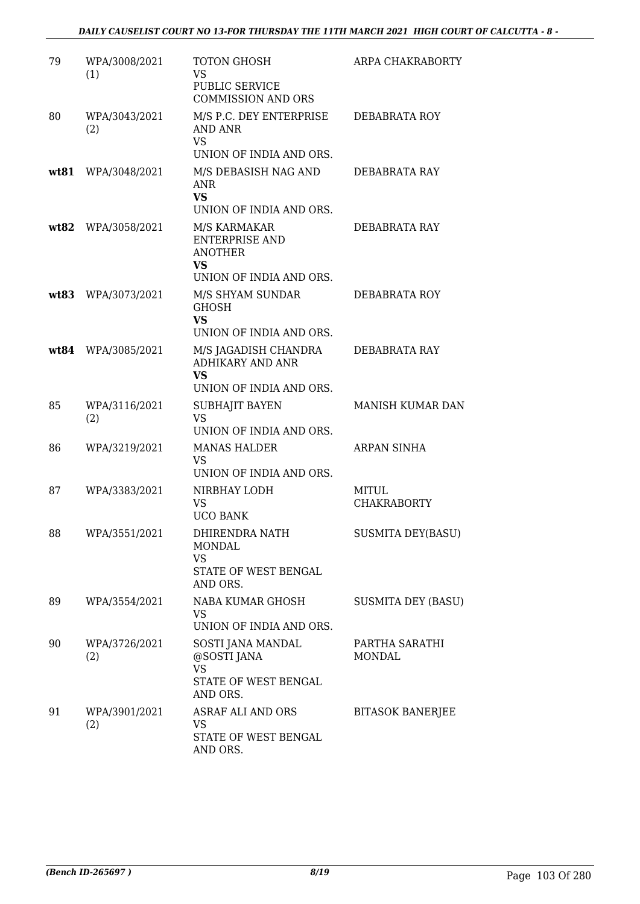| 79   | WPA/3008/2021<br>(1) | TOTON GHOSH<br><b>VS</b><br>PUBLIC SERVICE<br><b>COMMISSION AND ORS</b>                  | ARPA CHAKRABORTY                   |
|------|----------------------|------------------------------------------------------------------------------------------|------------------------------------|
| 80   | WPA/3043/2021<br>(2) | M/S P.C. DEY ENTERPRISE<br>AND ANR<br><b>VS</b><br>UNION OF INDIA AND ORS.               | DEBABRATA ROY                      |
| wt81 | WPA/3048/2021        | M/S DEBASISH NAG AND<br><b>ANR</b><br><b>VS</b><br>UNION OF INDIA AND ORS.               | DEBABRATA RAY                      |
|      | wt82 WPA/3058/2021   | M/S KARMAKAR<br>ENTERPRISE AND<br><b>ANOTHER</b><br><b>VS</b><br>UNION OF INDIA AND ORS. | DEBABRATA RAY                      |
|      | wt83 WPA/3073/2021   | M/S SHYAM SUNDAR<br><b>GHOSH</b><br><b>VS</b><br>UNION OF INDIA AND ORS.                 | DEBABRATA ROY                      |
|      | wt84 WPA/3085/2021   | M/S JAGADISH CHANDRA<br><b>ADHIKARY AND ANR</b><br><b>VS</b><br>UNION OF INDIA AND ORS.  | DEBABRATA RAY                      |
| 85   | WPA/3116/2021<br>(2) | SUBHAJIT BAYEN<br><b>VS</b><br>UNION OF INDIA AND ORS.                                   | MANISH KUMAR DAN                   |
| 86   | WPA/3219/2021        | <b>MANAS HALDER</b><br>VS<br>UNION OF INDIA AND ORS.                                     | ARPAN SINHA                        |
| 87   | WPA/3383/2021        | NIRBHAY LODH<br><b>VS</b><br><b>UCO BANK</b>                                             | <b>MITUL</b><br><b>CHAKRABORTY</b> |
| 88   | WPA/3551/2021        | DHIRENDRA NATH<br><b>MONDAL</b><br><b>VS</b><br>STATE OF WEST BENGAL<br>AND ORS.         | <b>SUSMITA DEY(BASU)</b>           |
| 89   | WPA/3554/2021        | NABA KUMAR GHOSH<br>VS<br>UNION OF INDIA AND ORS.                                        | <b>SUSMITA DEY (BASU)</b>          |
| 90   | WPA/3726/2021<br>(2) | SOSTI JANA MANDAL<br>@SOSTI JANA<br><b>VS</b><br>STATE OF WEST BENGAL<br>AND ORS.        | PARTHA SARATHI<br>MONDAL           |
| 91   | WPA/3901/2021<br>(2) | ASRAF ALI AND ORS<br>VS<br>STATE OF WEST BENGAL<br>AND ORS.                              | <b>BITASOK BANERJEE</b>            |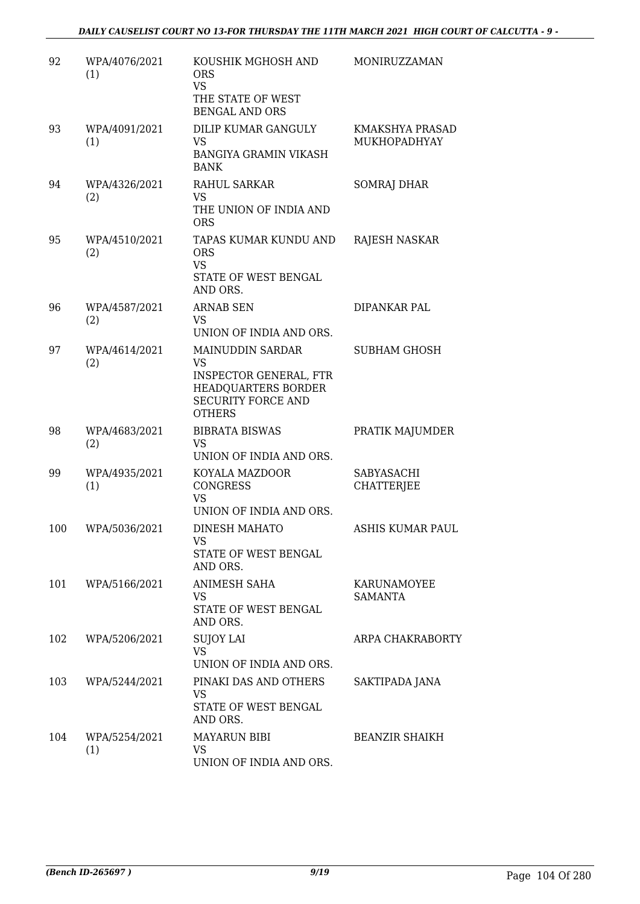| 92  | WPA/4076/2021<br>(1) | KOUSHIK MGHOSH AND<br><b>ORS</b><br><b>VS</b><br>THE STATE OF WEST<br><b>BENGAL AND ORS</b>                                         | MONIRUZZAMAN                    |
|-----|----------------------|-------------------------------------------------------------------------------------------------------------------------------------|---------------------------------|
| 93  | WPA/4091/2021<br>(1) | DILIP KUMAR GANGULY<br>VS<br><b>BANGIYA GRAMIN VIKASH</b><br><b>BANK</b>                                                            | KMAKSHYA PRASAD<br>MUKHOPADHYAY |
| 94  | WPA/4326/2021<br>(2) | RAHUL SARKAR<br><b>VS</b><br>THE UNION OF INDIA AND<br><b>ORS</b>                                                                   | <b>SOMRAJ DHAR</b>              |
| 95  | WPA/4510/2021<br>(2) | TAPAS KUMAR KUNDU AND<br><b>ORS</b><br><b>VS</b><br>STATE OF WEST BENGAL<br>AND ORS.                                                | RAJESH NASKAR                   |
| 96  | WPA/4587/2021<br>(2) | <b>ARNAB SEN</b><br>VS<br>UNION OF INDIA AND ORS.                                                                                   | DIPANKAR PAL                    |
| 97  | WPA/4614/2021<br>(2) | <b>MAINUDDIN SARDAR</b><br>VS<br><b>INSPECTOR GENERAL, FTR</b><br>HEADQUARTERS BORDER<br><b>SECURITY FORCE AND</b><br><b>OTHERS</b> | <b>SUBHAM GHOSH</b>             |
| 98  | WPA/4683/2021<br>(2) | <b>BIBRATA BISWAS</b><br>VS<br>UNION OF INDIA AND ORS.                                                                              | PRATIK MAJUMDER                 |
| 99  | WPA/4935/2021<br>(1) | KOYALA MAZDOOR<br><b>CONGRESS</b><br><b>VS</b><br>UNION OF INDIA AND ORS.                                                           | SABYASACHI<br><b>CHATTERJEE</b> |
| 100 | WPA/5036/2021        | <b>DINESH MAHATO</b><br>VS<br>STATE OF WEST BENGAL<br>AND ORS.                                                                      | ASHIS KUMAR PAUL                |
| 101 | WPA/5166/2021        | ANIMESH SAHA<br>VS<br>STATE OF WEST BENGAL<br>AND ORS.                                                                              | KARUNAMOYEE<br><b>SAMANTA</b>   |
| 102 | WPA/5206/2021        | <b>SUJOY LAI</b><br>VS<br>UNION OF INDIA AND ORS.                                                                                   | ARPA CHAKRABORTY                |
| 103 | WPA/5244/2021        | PINAKI DAS AND OTHERS<br>VS<br>STATE OF WEST BENGAL<br>AND ORS.                                                                     | SAKTIPADA JANA                  |
| 104 | WPA/5254/2021<br>(1) | <b>MAYARUN BIBI</b><br>VS<br>UNION OF INDIA AND ORS.                                                                                | <b>BEANZIR SHAIKH</b>           |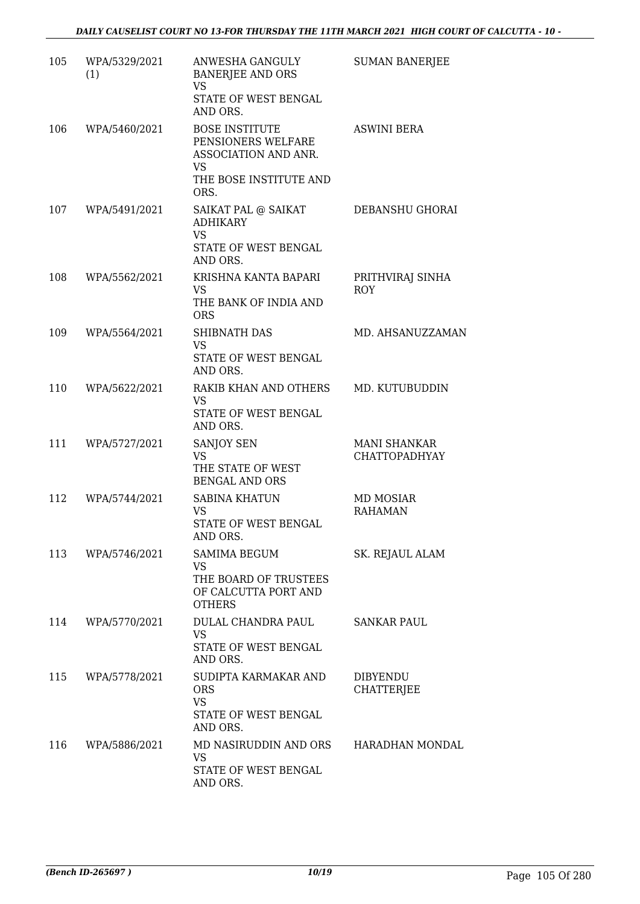| 105 | WPA/5329/2021<br>(1) | ANWESHA GANGULY<br><b>BANERJEE AND ORS</b><br>VS<br>STATE OF WEST BENGAL<br>AND ORS.                        | <b>SUMAN BANERJEE</b>                       |
|-----|----------------------|-------------------------------------------------------------------------------------------------------------|---------------------------------------------|
| 106 | WPA/5460/2021        | <b>BOSE INSTITUTE</b><br>PENSIONERS WELFARE<br>ASSOCIATION AND ANR.<br>VS<br>THE BOSE INSTITUTE AND<br>ORS. | <b>ASWINI BERA</b>                          |
| 107 | WPA/5491/2021        | SAIKAT PAL @ SAIKAT<br><b>ADHIKARY</b><br><b>VS</b><br>STATE OF WEST BENGAL<br>AND ORS.                     | DEBANSHU GHORAI                             |
| 108 | WPA/5562/2021        | KRISHNA KANTA BAPARI<br><b>VS</b><br>THE BANK OF INDIA AND<br><b>ORS</b>                                    | PRITHVIRAJ SINHA<br><b>ROY</b>              |
| 109 | WPA/5564/2021        | <b>SHIBNATH DAS</b><br><b>VS</b><br>STATE OF WEST BENGAL<br>AND ORS.                                        | MD. AHSANUZZAMAN                            |
| 110 | WPA/5622/2021        | RAKIB KHAN AND OTHERS<br>VS<br>STATE OF WEST BENGAL<br>AND ORS.                                             | MD. KUTUBUDDIN                              |
| 111 | WPA/5727/2021        | SANJOY SEN<br><b>VS</b><br>THE STATE OF WEST<br><b>BENGAL AND ORS</b>                                       | <b>MANI SHANKAR</b><br><b>CHATTOPADHYAY</b> |
| 112 | WPA/5744/2021        | <b>SABINA KHATUN</b><br>VS<br>STATE OF WEST BENGAL<br>AND ORS.                                              | MD MOSIAR<br><b>RAHAMAN</b>                 |
| 113 | WPA/5746/2021        | <b>SAMIMA BEGUM</b><br><b>VS</b><br>THE BOARD OF TRUSTEES<br>OF CALCUTTA PORT AND<br><b>OTHERS</b>          | SK. REJAUL ALAM                             |
| 114 | WPA/5770/2021        | DULAL CHANDRA PAUL<br><b>VS</b><br>STATE OF WEST BENGAL<br>AND ORS.                                         | SANKAR PAUL                                 |
| 115 | WPA/5778/2021        | SUDIPTA KARMAKAR AND<br><b>ORS</b><br><b>VS</b><br>STATE OF WEST BENGAL<br>AND ORS.                         | DIBYENDU<br><b>CHATTERJEE</b>               |
| 116 | WPA/5886/2021        | MD NASIRUDDIN AND ORS<br><b>VS</b><br>STATE OF WEST BENGAL<br>AND ORS.                                      | HARADHAN MONDAL                             |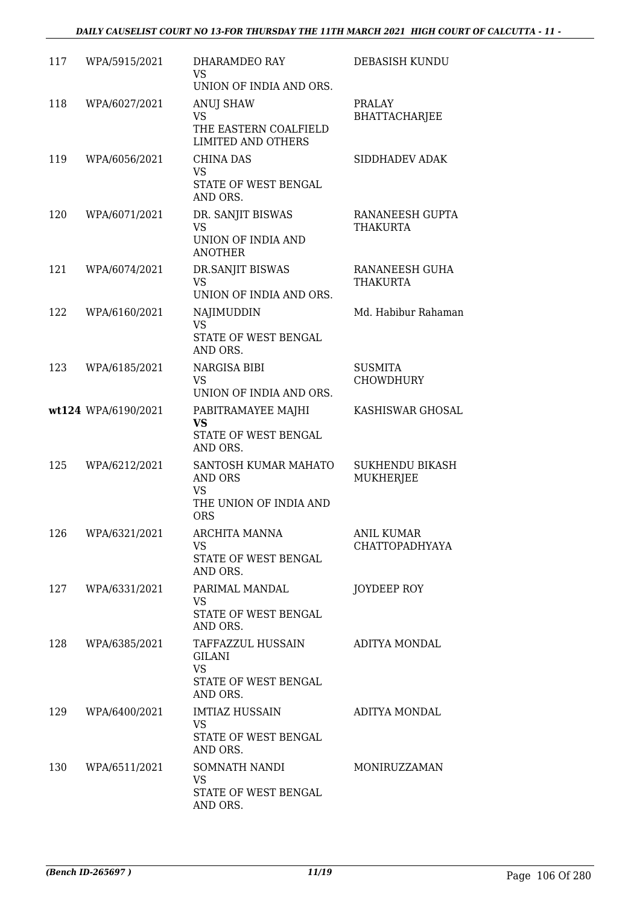| 117 | WPA/5915/2021       | DHARAMDEO RAY<br><b>VS</b><br>UNION OF INDIA AND ORS.                                       | DEBASISH KUNDU                             |
|-----|---------------------|---------------------------------------------------------------------------------------------|--------------------------------------------|
| 118 | WPA/6027/2021       | ANUJ SHAW<br>VS<br>THE EASTERN COALFIELD<br><b>LIMITED AND OTHERS</b>                       | PRALAY<br><b>BHATTACHARJEE</b>             |
| 119 | WPA/6056/2021       | <b>CHINA DAS</b><br>VS.<br>STATE OF WEST BENGAL<br>AND ORS.                                 | SIDDHADEV ADAK                             |
| 120 | WPA/6071/2021       | DR. SANJIT BISWAS<br><b>VS</b><br>UNION OF INDIA AND<br><b>ANOTHER</b>                      | RANANEESH GUPTA<br><b>THAKURTA</b>         |
| 121 | WPA/6074/2021       | DR.SANJIT BISWAS<br><b>VS</b><br>UNION OF INDIA AND ORS.                                    | RANANEESH GUHA<br><b>THAKURTA</b>          |
| 122 | WPA/6160/2021       | NAJIMUDDIN<br><b>VS</b><br>STATE OF WEST BENGAL<br>AND ORS.                                 | Md. Habibur Rahaman                        |
| 123 | WPA/6185/2021       | NARGISA BIBI<br><b>VS</b><br>UNION OF INDIA AND ORS.                                        | <b>SUSMITA</b><br><b>CHOWDHURY</b>         |
|     | wt124 WPA/6190/2021 | PABITRAMAYEE MAJHI<br><b>VS</b><br>STATE OF WEST BENGAL<br>AND ORS.                         | KASHISWAR GHOSAL                           |
| 125 | WPA/6212/2021       | SANTOSH KUMAR MAHATO<br><b>AND ORS</b><br><b>VS</b><br>THE UNION OF INDIA AND<br><b>ORS</b> | <b>SUKHENDU BIKASH</b><br>MUKHERJEE        |
|     | 126 WPA/6321/2021   | <b>ARCHITA MANNA</b><br>VS<br>STATE OF WEST BENGAL<br>AND ORS.                              | <b>ANIL KUMAR</b><br><b>CHATTOPADHYAYA</b> |
| 127 | WPA/6331/2021       | PARIMAL MANDAL<br>VS.<br>STATE OF WEST BENGAL<br>AND ORS.                                   | JOYDEEP ROY                                |
| 128 | WPA/6385/2021       | TAFFAZZUL HUSSAIN<br><b>GILANI</b><br><b>VS</b><br>STATE OF WEST BENGAL<br>AND ORS.         | ADITYA MONDAL                              |
| 129 | WPA/6400/2021       | <b>IMTIAZ HUSSAIN</b><br>VS<br>STATE OF WEST BENGAL<br>AND ORS.                             | ADITYA MONDAL                              |
| 130 | WPA/6511/2021       | SOMNATH NANDI<br><b>VS</b><br>STATE OF WEST BENGAL<br>AND ORS.                              | MONIRUZZAMAN                               |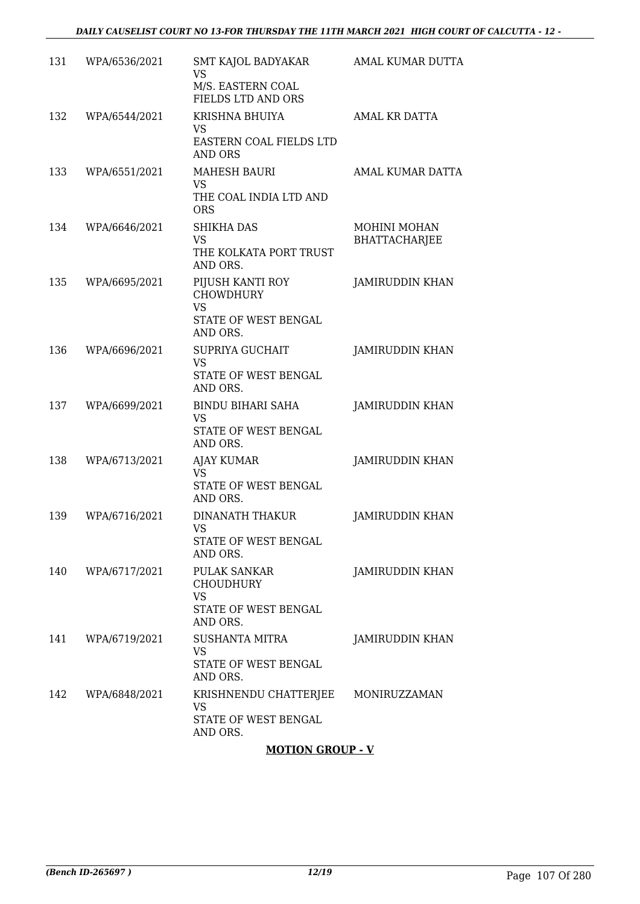| 131 | WPA/6536/2021 | SMT KAJOL BADYAKAR<br><b>VS</b>                                           | AMAL KUMAR DUTTA                     |
|-----|---------------|---------------------------------------------------------------------------|--------------------------------------|
|     |               | M/S. EASTERN COAL<br>FIELDS LTD AND ORS                                   |                                      |
| 132 | WPA/6544/2021 | KRISHNA BHUIYA<br>VS                                                      | <b>AMAL KR DATTA</b>                 |
|     |               | EASTERN COAL FIELDS LTD<br><b>AND ORS</b>                                 |                                      |
| 133 | WPA/6551/2021 | <b>MAHESH BAURI</b><br><b>VS</b><br>THE COAL INDIA LTD AND<br><b>ORS</b>  | AMAL KUMAR DATTA                     |
| 134 | WPA/6646/2021 | <b>SHIKHA DAS</b><br><b>VS</b><br>THE KOLKATA PORT TRUST<br>AND ORS.      | MOHINI MOHAN<br><b>BHATTACHARJEE</b> |
| 135 | WPA/6695/2021 | PIJUSH KANTI ROY<br><b>CHOWDHURY</b><br><b>VS</b><br>STATE OF WEST BENGAL | <b>JAMIRUDDIN KHAN</b>               |
| 136 | WPA/6696/2021 | AND ORS.<br>SUPRIYA GUCHAIT                                               | JAMIRUDDIN KHAN                      |
|     |               | <b>VS</b><br>STATE OF WEST BENGAL<br>AND ORS.                             |                                      |
| 137 | WPA/6699/2021 | <b>BINDU BIHARI SAHA</b><br><b>VS</b>                                     | <b>JAMIRUDDIN KHAN</b>               |
|     |               | STATE OF WEST BENGAL<br>AND ORS.                                          |                                      |
| 138 | WPA/6713/2021 | <b>AJAY KUMAR</b><br>VS<br>STATE OF WEST BENGAL<br>AND ORS.               | <b>JAMIRUDDIN KHAN</b>               |
| 139 | WPA/6716/2021 | DINANATH THAKUR<br><b>VS</b><br>STATE OF WEST BENGAL<br>AND ORS.          | JAMIRUDDIN KHAN                      |
| 140 | WPA/6717/2021 | PULAK SANKAR<br><b>CHOUDHURY</b><br><b>VS</b><br>STATE OF WEST BENGAL     | <b>JAMIRUDDIN KHAN</b>               |
| 141 | WPA/6719/2021 | AND ORS.<br>SUSHANTA MITRA                                                | <b>JAMIRUDDIN KHAN</b>               |
|     |               | <b>VS</b><br>STATE OF WEST BENGAL<br>AND ORS.                             |                                      |
| 142 | WPA/6848/2021 | KRISHNENDU CHATTERJEE<br>VS<br>STATE OF WEST BENGAL<br>AND ORS.           | MONIRUZZAMAN                         |
|     |               |                                                                           |                                      |

### **MOTION GROUP - V**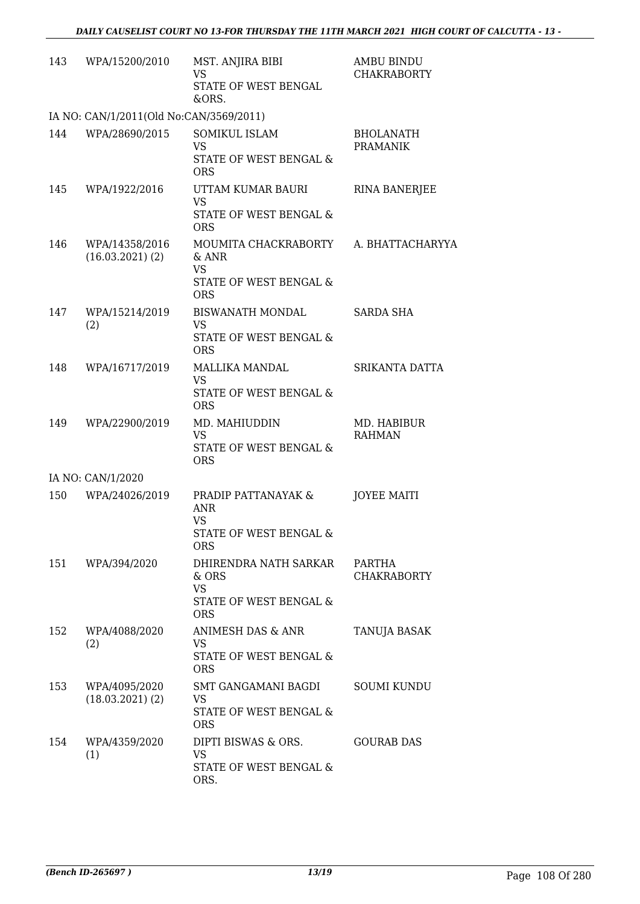| 143 | WPA/15200/2010                          | MST. ANJIRA BIBI<br><b>VS</b><br>STATE OF WEST BENGAL<br>&ORS.                        | <b>AMBU BINDU</b><br><b>CHAKRABORTY</b> |
|-----|-----------------------------------------|---------------------------------------------------------------------------------------|-----------------------------------------|
|     | IA NO: CAN/1/2011(Old No:CAN/3569/2011) |                                                                                       |                                         |
| 144 | WPA/28690/2015                          | <b>SOMIKUL ISLAM</b><br><b>VS</b><br>STATE OF WEST BENGAL &                           | <b>BHOLANATH</b><br><b>PRAMANIK</b>     |
| 145 | WPA/1922/2016                           | <b>ORS</b><br>UTTAM KUMAR BAURI                                                       | <b>RINA BANERJEE</b>                    |
|     |                                         | <b>VS</b><br>STATE OF WEST BENGAL &<br><b>ORS</b>                                     |                                         |
| 146 | WPA/14358/2016<br>$(16.03.2021)$ $(2)$  | MOUMITA CHACKRABORTY<br>$&$ ANR<br><b>VS</b><br>STATE OF WEST BENGAL &<br><b>ORS</b>  | A. BHATTACHARYYA                        |
| 147 | WPA/15214/2019<br>(2)                   | <b>BISWANATH MONDAL</b><br>VS.                                                        | <b>SARDA SHA</b>                        |
|     |                                         | <b>STATE OF WEST BENGAL &amp;</b><br><b>ORS</b>                                       |                                         |
| 148 | WPA/16717/2019                          | MALLIKA MANDAL<br><b>VS</b>                                                           | SRIKANTA DATTA                          |
|     |                                         | STATE OF WEST BENGAL &<br><b>ORS</b>                                                  |                                         |
| 149 | WPA/22900/2019                          | MD. MAHIUDDIN<br><b>VS</b><br>STATE OF WEST BENGAL &<br><b>ORS</b>                    | MD. HABIBUR<br><b>RAHMAN</b>            |
|     | IA NO: CAN/1/2020                       |                                                                                       |                                         |
| 150 | WPA/24026/2019                          | PRADIP PATTANAYAK &<br><b>ANR</b><br><b>VS</b>                                        | <b>JOYEE MAITI</b>                      |
|     |                                         | STATE OF WEST BENGAL &<br><b>ORS</b>                                                  |                                         |
| 151 | WPA/394/2020                            | DHIRENDRA NATH SARKAR<br>$&$ ORS<br><b>VS</b><br>STATE OF WEST BENGAL &<br><b>ORS</b> | PARTHA<br><b>CHAKRABORTY</b>            |
| 152 | WPA/4088/2020<br>(2)                    | ANIMESH DAS & ANR<br><b>VS</b><br>STATE OF WEST BENGAL &<br><b>ORS</b>                | TANUJA BASAK                            |
| 153 | WPA/4095/2020<br>$(18.03.2021)$ $(2)$   | SMT GANGAMANI BAGDI<br><b>VS</b><br>STATE OF WEST BENGAL &<br><b>ORS</b>              | <b>SOUMI KUNDU</b>                      |
| 154 | WPA/4359/2020<br>(1)                    | DIPTI BISWAS & ORS.<br>VS<br>STATE OF WEST BENGAL &<br>ORS.                           | <b>GOURAB DAS</b>                       |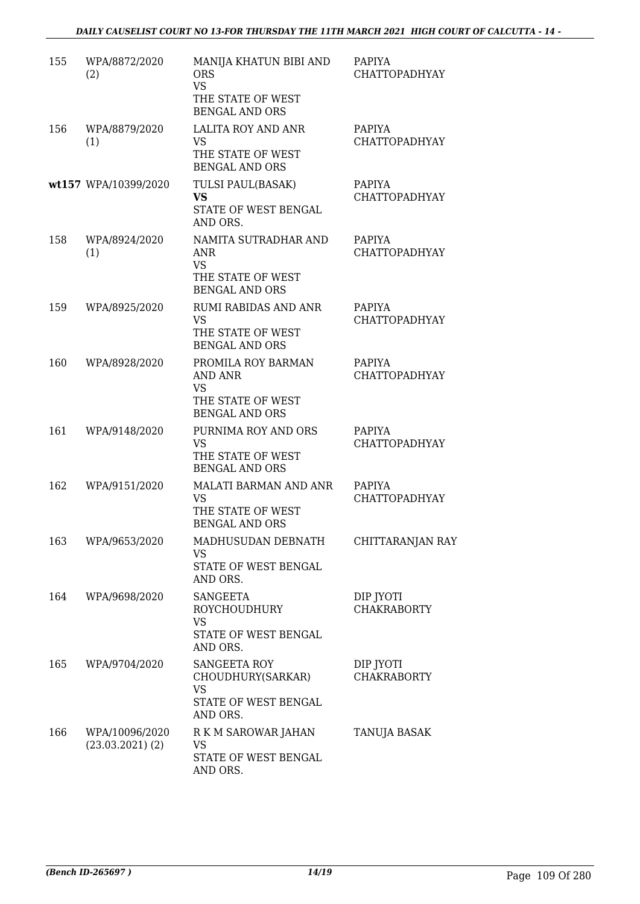| 155 | WPA/8872/2020<br>(2)                   | MANIJA KHATUN BIBI AND<br><b>ORS</b><br><b>VS</b><br>THE STATE OF WEST<br><b>BENGAL AND ORS</b> | <b>PAPIYA</b><br><b>CHATTOPADHYAY</b> |
|-----|----------------------------------------|-------------------------------------------------------------------------------------------------|---------------------------------------|
| 156 | WPA/8879/2020<br>(1)                   | LALITA ROY AND ANR<br><b>VS</b><br>THE STATE OF WEST<br><b>BENGAL AND ORS</b>                   | <b>PAPIYA</b><br><b>CHATTOPADHYAY</b> |
|     | wt157 WPA/10399/2020                   | TULSI PAUL(BASAK)<br><b>VS</b><br>STATE OF WEST BENGAL<br>AND ORS.                              | PAPIYA<br><b>CHATTOPADHYAY</b>        |
| 158 | WPA/8924/2020<br>(1)                   | NAMITA SUTRADHAR AND<br>ANR<br><b>VS</b><br>THE STATE OF WEST<br><b>BENGAL AND ORS</b>          | <b>PAPIYA</b><br><b>CHATTOPADHYAY</b> |
| 159 | WPA/8925/2020                          | <b>RUMI RABIDAS AND ANR</b><br><b>VS</b><br>THE STATE OF WEST<br><b>BENGAL AND ORS</b>          | PAPIYA<br><b>CHATTOPADHYAY</b>        |
| 160 | WPA/8928/2020                          | PROMILA ROY BARMAN<br>AND ANR<br><b>VS</b><br>THE STATE OF WEST<br><b>BENGAL AND ORS</b>        | <b>PAPIYA</b><br><b>CHATTOPADHYAY</b> |
| 161 | WPA/9148/2020                          | PURNIMA ROY AND ORS<br><b>VS</b><br>THE STATE OF WEST<br><b>BENGAL AND ORS</b>                  | <b>PAPIYA</b><br><b>CHATTOPADHYAY</b> |
| 162 | WPA/9151/2020                          | MALATI BARMAN AND ANR<br>VS<br>THE STATE OF WEST<br><b>BENGAL AND ORS</b>                       | <b>PAPIYA</b><br>CHATTOPADHYAY        |
| 163 | WPA/9653/2020                          | MADHUSUDAN DEBNATH<br><b>VS</b><br>STATE OF WEST BENGAL<br>AND ORS.                             | CHITTARANJAN RAY                      |
| 164 | WPA/9698/2020                          | <b>SANGEETA</b><br>ROYCHOUDHURY<br><b>VS</b><br>STATE OF WEST BENGAL<br>AND ORS.                | DIP JYOTI<br><b>CHAKRABORTY</b>       |
| 165 | WPA/9704/2020                          | SANGEETA ROY<br>CHOUDHURY(SARKAR)<br><b>VS</b><br>STATE OF WEST BENGAL<br>AND ORS.              | DIP JYOTI<br><b>CHAKRABORTY</b>       |
| 166 | WPA/10096/2020<br>$(23.03.2021)$ $(2)$ | R K M SAROWAR JAHAN<br>VS<br>STATE OF WEST BENGAL<br>AND ORS.                                   | TANUJA BASAK                          |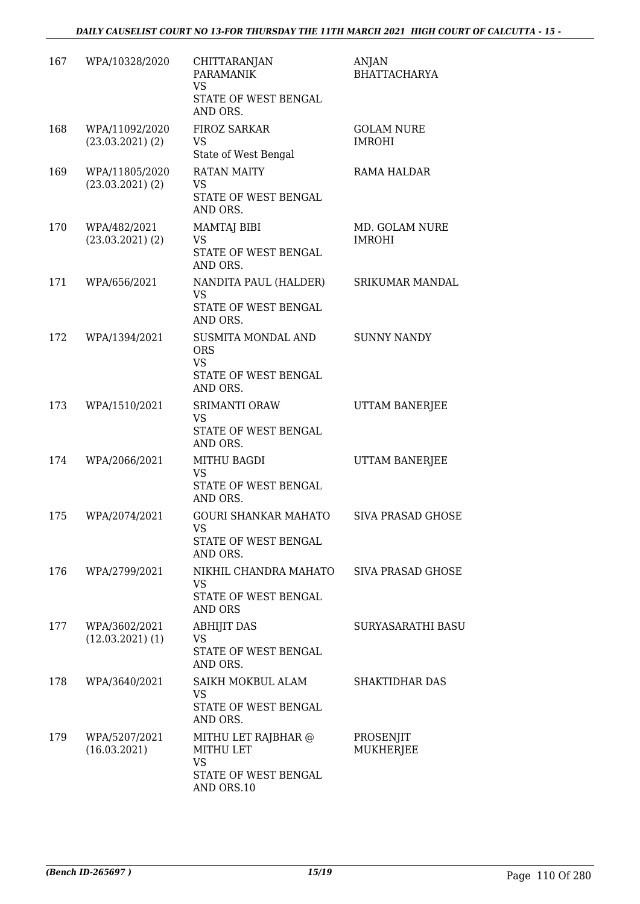| 167 | WPA/10328/2020                         | <b>CHITTARANJAN</b><br><b>PARAMANIK</b><br><b>VS</b><br>STATE OF WEST BENGAL<br>AND ORS. | <b>ANJAN</b><br><b>BHATTACHARYA</b> |
|-----|----------------------------------------|------------------------------------------------------------------------------------------|-------------------------------------|
| 168 | WPA/11092/2020<br>$(23.03.2021)$ $(2)$ | FIROZ SARKAR<br>VS<br>State of West Bengal                                               | <b>GOLAM NURE</b><br><b>IMROHI</b>  |
| 169 | WPA/11805/2020<br>$(23.03.2021)$ $(2)$ | <b>RATAN MAITY</b><br><b>VS</b><br>STATE OF WEST BENGAL<br>AND ORS.                      | RAMA HALDAR                         |
| 170 | WPA/482/2021<br>$(23.03.2021)$ $(2)$   | MAMTAJ BIBI<br>VS<br>STATE OF WEST BENGAL<br>AND ORS.                                    | MD. GOLAM NURE<br><b>IMROHI</b>     |
| 171 | WPA/656/2021                           | NANDITA PAUL (HALDER)<br>VS<br>STATE OF WEST BENGAL<br>AND ORS.                          | SRIKUMAR MANDAL                     |
| 172 | WPA/1394/2021                          | <b>SUSMITA MONDAL AND</b><br><b>ORS</b><br>VS<br>STATE OF WEST BENGAL<br>AND ORS.        | <b>SUNNY NANDY</b>                  |
| 173 | WPA/1510/2021                          | SRIMANTI ORAW<br><b>VS</b><br>STATE OF WEST BENGAL<br>AND ORS.                           | UTTAM BANERJEE                      |
| 174 | WPA/2066/2021                          | <b>MITHU BAGDI</b><br><b>VS</b><br>STATE OF WEST BENGAL<br>AND ORS.                      | UTTAM BANERJEE                      |
| 175 | WPA/2074/2021                          | <b>GOURI SHANKAR MAHATO</b><br><b>VS</b><br>STATE OF WEST BENGAL<br>AND ORS.             | <b>SIVA PRASAD GHOSE</b>            |
| 176 | WPA/2799/2021                          | NIKHIL CHANDRA MAHATO<br>VS<br>STATE OF WEST BENGAL<br><b>AND ORS</b>                    | SIVA PRASAD GHOSE                   |
| 177 | WPA/3602/2021<br>$(12.03.2021)$ $(1)$  | <b>ABHIJIT DAS</b><br>VS<br>STATE OF WEST BENGAL<br>AND ORS.                             | <b>SURYASARATHI BASU</b>            |
| 178 | WPA/3640/2021                          | SAIKH MOKBUL ALAM<br>VS.<br>STATE OF WEST BENGAL<br>AND ORS.                             | <b>SHAKTIDHAR DAS</b>               |
| 179 | WPA/5207/2021<br>(16.03.2021)          | MITHU LET RAJBHAR @<br>MITHU LET<br><b>VS</b><br>STATE OF WEST BENGAL<br>AND ORS.10      | PROSENJIT<br>MUKHERJEE              |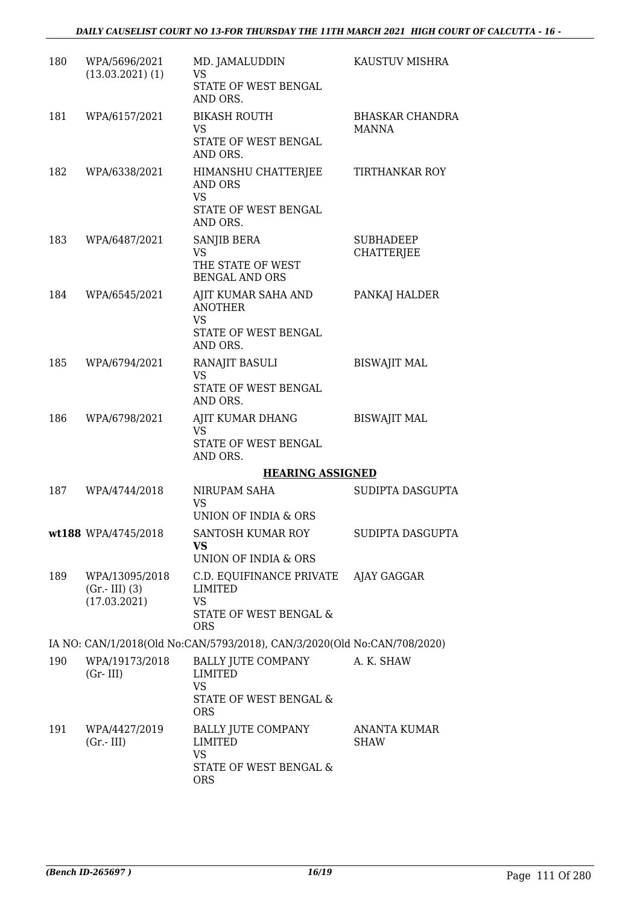| 180 | WPA/5696/2021<br>$(13.03.2021)$ $(1)$             | MD. JAMALUDDIN<br>VS<br>STATE OF WEST BENGAL<br>AND ORS.                                                    | KAUSTUV MISHRA                         |
|-----|---------------------------------------------------|-------------------------------------------------------------------------------------------------------------|----------------------------------------|
| 181 | WPA/6157/2021                                     | <b>BIKASH ROUTH</b><br>VS<br>STATE OF WEST BENGAL<br>AND ORS.                                               | <b>BHASKAR CHANDRA</b><br><b>MANNA</b> |
| 182 | WPA/6338/2021                                     | HIMANSHU CHATTERJEE<br><b>AND ORS</b><br><b>VS</b><br>STATE OF WEST BENGAL<br>AND ORS.                      | TIRTHANKAR ROY                         |
| 183 | WPA/6487/2021                                     | SANJIB BERA<br><b>VS</b><br>THE STATE OF WEST<br><b>BENGAL AND ORS</b>                                      | <b>SUBHADEEP</b><br><b>CHATTERJEE</b>  |
| 184 | WPA/6545/2021                                     | AJIT KUMAR SAHA AND<br><b>ANOTHER</b><br>VS<br>STATE OF WEST BENGAL<br>AND ORS.                             | PANKAJ HALDER                          |
| 185 | WPA/6794/2021                                     | RANAJIT BASULI<br>VS<br>STATE OF WEST BENGAL<br>AND ORS.                                                    | <b>BISWAJIT MAL</b>                    |
| 186 | WPA/6798/2021                                     | AJIT KUMAR DHANG<br>VS<br>STATE OF WEST BENGAL<br>AND ORS.                                                  | <b>BISWAJIT MAL</b>                    |
|     |                                                   | <b>HEARING ASSIGNED</b>                                                                                     |                                        |
| 187 | WPA/4744/2018                                     | NIRUPAM SAHA<br><b>VS</b><br><b>UNION OF INDIA &amp; ORS</b>                                                | SUDIPTA DASGUPTA                       |
|     | wt188 WPA/4745/2018                               | SANTOSH KUMAR ROY<br>VS<br>UNION OF INDIA & ORS                                                             | SUDIPTA DASGUPTA                       |
| 189 | WPA/13095/2018<br>$(Gr.-III)$ (3)<br>(17.03.2021) | C.D. EQUIFINANCE PRIVATE AJAY GAGGAR<br><b>LIMITED</b><br><b>VS</b><br>STATE OF WEST BENGAL &<br><b>ORS</b> |                                        |
|     |                                                   | IA NO: CAN/1/2018(Old No:CAN/5793/2018), CAN/3/2020(Old No:CAN/708/2020)                                    |                                        |
| 190 | WPA/19173/2018<br>$(Gr-III)$                      | BALLY JUTE COMPANY<br>LIMITED<br><b>VS</b><br>STATE OF WEST BENGAL &<br><b>ORS</b>                          | A. K. SHAW                             |
| 191 | WPA/4427/2019<br>$(Gr.-III)$                      | <b>BALLY JUTE COMPANY</b><br>LIMITED<br><b>VS</b><br>STATE OF WEST BENGAL &<br><b>ORS</b>                   | <b>ANANTA KUMAR</b><br>SHAW            |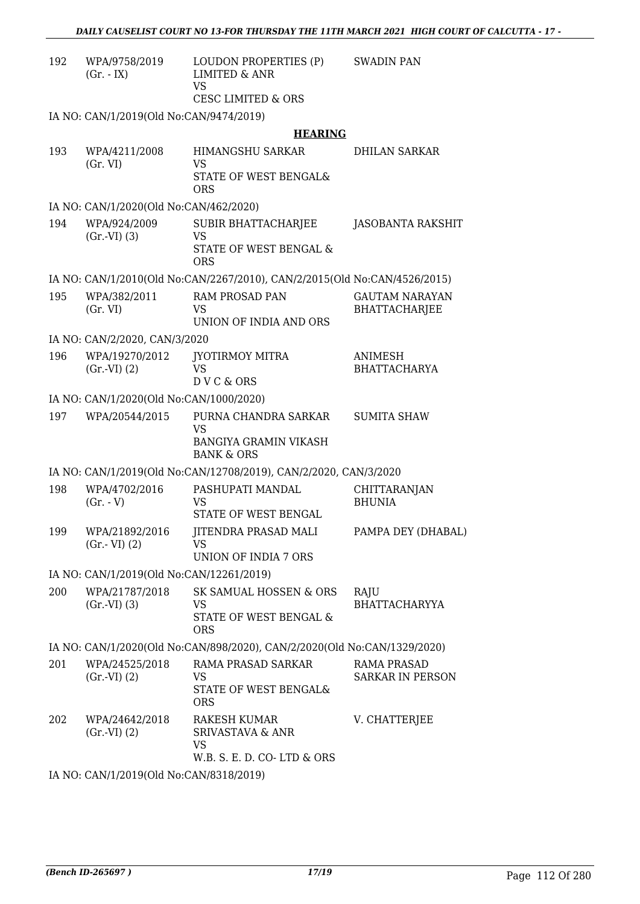| 192 | WPA/9758/2019<br>$(Gr. - IX)$            | LOUDON PROPERTIES (P)<br><b>LIMITED &amp; ANR</b><br><b>VS</b><br><b>CESC LIMITED &amp; ORS</b> | <b>SWADIN PAN</b>                             |
|-----|------------------------------------------|-------------------------------------------------------------------------------------------------|-----------------------------------------------|
|     | IA NO: CAN/1/2019(Old No:CAN/9474/2019)  |                                                                                                 |                                               |
|     |                                          | <b>HEARING</b>                                                                                  |                                               |
| 193 | WPA/4211/2008<br>(Gr. VI)                | HIMANGSHU SARKAR<br><b>VS</b><br>STATE OF WEST BENGAL&<br><b>ORS</b>                            | <b>DHILAN SARKAR</b>                          |
|     | IA NO: CAN/1/2020(Old No:CAN/462/2020)   |                                                                                                 |                                               |
| 194 | WPA/924/2009<br>(Gr.VI) (3)              | SUBIR BHATTACHARJEE<br><b>VS</b><br>STATE OF WEST BENGAL &<br><b>ORS</b>                        | <b>JASOBANTA RAKSHIT</b>                      |
|     |                                          | IA NO: CAN/1/2010(Old No:CAN/2267/2010), CAN/2/2015(Old No:CAN/4526/2015)                       |                                               |
| 195 | WPA/382/2011<br>(Gr. VI)                 | <b>RAM PROSAD PAN</b><br>VS<br>UNION OF INDIA AND ORS                                           | <b>GAUTAM NARAYAN</b><br><b>BHATTACHARJEE</b> |
|     | IA NO: CAN/2/2020, CAN/3/2020            |                                                                                                 |                                               |
| 196 | WPA/19270/2012<br>(Gr.VI) (2)            | JYOTIRMOY MITRA<br><b>VS</b><br>DVC&ORS                                                         | ANIMESH<br><b>BHATTACHARYA</b>                |
|     | IA NO: CAN/1/2020(Old No:CAN/1000/2020)  |                                                                                                 |                                               |
| 197 | WPA/20544/2015                           | PURNA CHANDRA SARKAR<br><b>VS</b><br><b>BANGIYA GRAMIN VIKASH</b><br><b>BANK &amp; ORS</b>      | <b>SUMITA SHAW</b>                            |
|     |                                          | IA NO: CAN/1/2019(Old No:CAN/12708/2019), CAN/2/2020, CAN/3/2020                                |                                               |
| 198 | WPA/4702/2016<br>$(Gr. - V)$             | PASHUPATI MANDAL<br>VS<br>STATE OF WEST BENGAL                                                  | <b>CHITTARANJAN</b><br><b>BHUNIA</b>          |
| 199 | WPA/21892/2016<br>$(Gr.-VI)$ $(2)$       | JITENDRA PRASAD MALI<br>VS<br><b>UNION OF INDIA 7 ORS</b>                                       | PAMPA DEY (DHABAL)                            |
|     | IA NO: CAN/1/2019(Old No:CAN/12261/2019) |                                                                                                 |                                               |
| 200 | WPA/21787/2018<br>(Gr.VI) (3)            | SK SAMUAL HOSSEN & ORS<br>VS<br>STATE OF WEST BENGAL &<br><b>ORS</b>                            | RAJU<br><b>BHATTACHARYYA</b>                  |
|     |                                          | IA NO: CAN/1/2020(Old No:CAN/898/2020), CAN/2/2020(Old No:CAN/1329/2020)                        |                                               |
| 201 | WPA/24525/2018<br>(Gr.VI) (2)            | <b>RAMA PRASAD SARKAR</b><br>VS<br>STATE OF WEST BENGAL&<br><b>ORS</b>                          | <b>RAMA PRASAD</b><br><b>SARKAR IN PERSON</b> |
| 202 | WPA/24642/2018<br>$(Gr.-VI) (2)$         | <b>RAKESH KUMAR</b><br><b>SRIVASTAVA &amp; ANR</b><br>VS<br>W.B. S. E. D. CO-LTD & ORS          | V. CHATTERJEE                                 |
|     | IA NO: CAN/1/2019(Old No:CAN/8318/2019)  |                                                                                                 |                                               |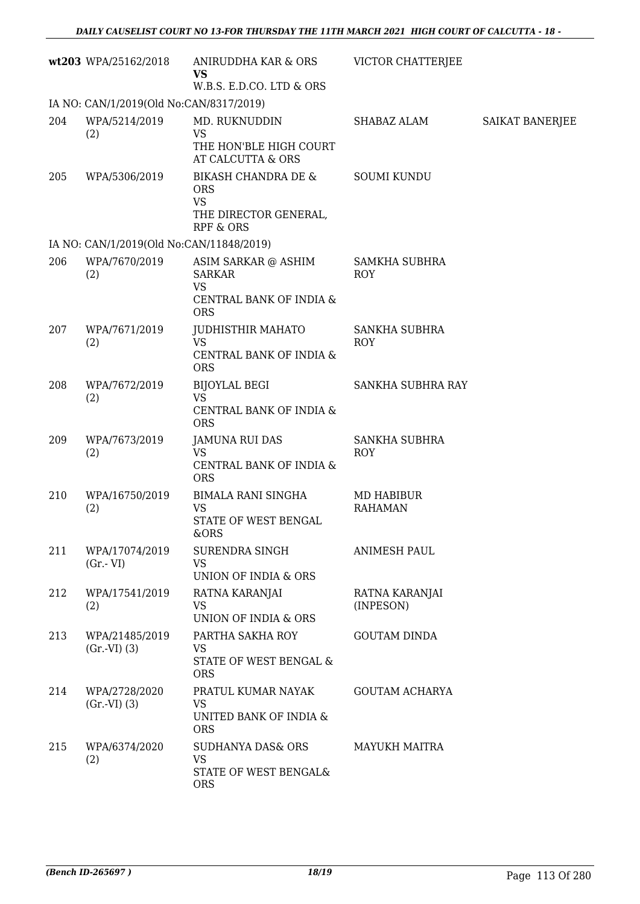|     | wt203 WPA/25162/2018                                            | ANIRUDDHA KAR & ORS<br><b>VS</b>                                                                | <b>VICTOR CHATTERJEE</b>           |                        |
|-----|-----------------------------------------------------------------|-------------------------------------------------------------------------------------------------|------------------------------------|------------------------|
|     |                                                                 | W.B.S. E.D.CO. LTD & ORS                                                                        |                                    |                        |
| 204 | IA NO: CAN/1/2019(Old No:CAN/8317/2019)<br>WPA/5214/2019<br>(2) | MD. RUKNUDDIN<br><b>VS</b><br>THE HON'BLE HIGH COURT                                            | SHABAZ ALAM                        | <b>SAIKAT BANERJEE</b> |
|     |                                                                 | AT CALCUTTA & ORS                                                                               |                                    |                        |
| 205 | WPA/5306/2019                                                   | BIKASH CHANDRA DE &<br><b>ORS</b><br><b>VS</b><br>THE DIRECTOR GENERAL,<br><b>RPF &amp; ORS</b> | <b>SOUMI KUNDU</b>                 |                        |
|     | IA NO: CAN/1/2019(Old No:CAN/11848/2019)                        |                                                                                                 |                                    |                        |
| 206 | WPA/7670/2019<br>(2)                                            | ASIM SARKAR @ ASHIM<br><b>SARKAR</b><br><b>VS</b><br>CENTRAL BANK OF INDIA &<br><b>ORS</b>      | <b>SAMKHA SUBHRA</b><br><b>ROY</b> |                        |
| 207 | WPA/7671/2019<br>(2)                                            | JUDHISTHIR MAHATO<br><b>VS</b><br>CENTRAL BANK OF INDIA &<br><b>ORS</b>                         | <b>SANKHA SUBHRA</b><br><b>ROY</b> |                        |
| 208 | WPA/7672/2019<br>(2)                                            | <b>BIJOYLAL BEGI</b><br><b>VS</b><br>CENTRAL BANK OF INDIA &<br><b>ORS</b>                      | SANKHA SUBHRA RAY                  |                        |
| 209 | WPA/7673/2019<br>(2)                                            | <b>JAMUNA RUI DAS</b><br><b>VS</b><br>CENTRAL BANK OF INDIA &<br><b>ORS</b>                     | <b>SANKHA SUBHRA</b><br><b>ROY</b> |                        |
| 210 | WPA/16750/2019<br>(2)                                           | <b>BIMALA RANI SINGHA</b><br><b>VS</b><br>STATE OF WEST BENGAL<br>&ORS                          | MD HABIBUR<br><b>RAHAMAN</b>       |                        |
| 211 | WPA/17074/2019<br>$(Gr.-VI)$                                    | SURENDRA SINGH<br><b>VS</b><br>UNION OF INDIA & ORS                                             | <b>ANIMESH PAUL</b>                |                        |
| 212 | WPA/17541/2019<br>(2)                                           | RATNA KARANJAI<br><b>VS</b><br>UNION OF INDIA & ORS                                             | RATNA KARANJAI<br>(INPESON)        |                        |
| 213 | WPA/21485/2019<br>(Gr.VI) (3)                                   | PARTHA SAKHA ROY<br>VS<br>STATE OF WEST BENGAL &<br><b>ORS</b>                                  | <b>GOUTAM DINDA</b>                |                        |
| 214 | WPA/2728/2020<br>(Gr.VI) (3)                                    | PRATUL KUMAR NAYAK<br>VS<br>UNITED BANK OF INDIA &<br><b>ORS</b>                                | <b>GOUTAM ACHARYA</b>              |                        |
| 215 | WPA/6374/2020<br>(2)                                            | <b>SUDHANYA DAS&amp; ORS</b><br><b>VS</b><br>STATE OF WEST BENGAL&<br><b>ORS</b>                | <b>MAYUKH MAITRA</b>               |                        |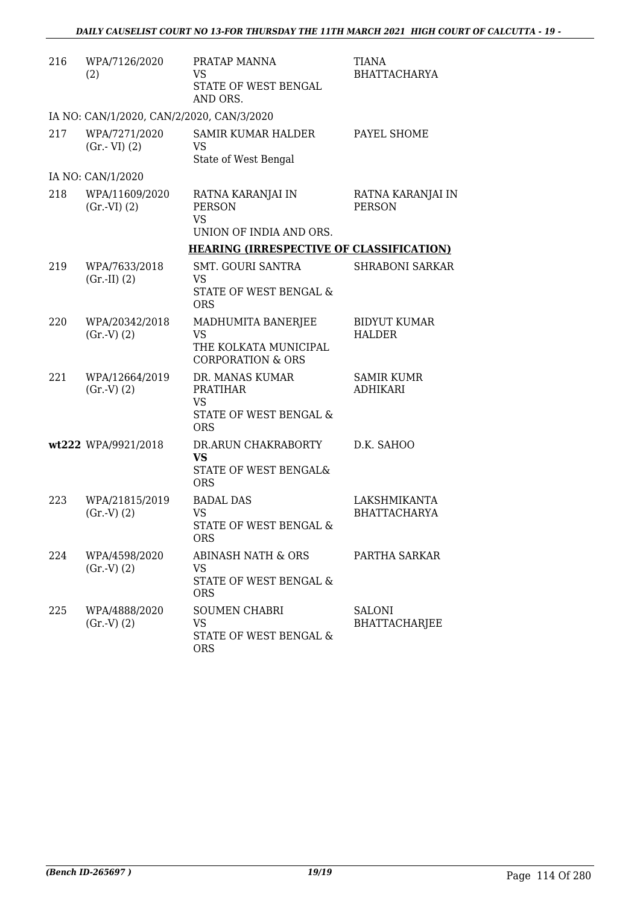| 216 | WPA/7126/2020<br>(2)                      | PRATAP MANNA<br>VS                                                          | TIANA<br><b>BHATTACHARYA</b>       |
|-----|-------------------------------------------|-----------------------------------------------------------------------------|------------------------------------|
|     |                                           | STATE OF WEST BENGAL<br>AND ORS.                                            |                                    |
|     | IA NO: CAN/1/2020, CAN/2/2020, CAN/3/2020 |                                                                             |                                    |
| 217 | WPA/7271/2020<br>$(Gr.-VI)$ $(2)$         | SAMIR KUMAR HALDER<br><b>VS</b><br>State of West Bengal                     | PAYEL SHOME                        |
|     | IA NO: CAN/1/2020                         |                                                                             |                                    |
| 218 | WPA/11609/2020<br>(Gr.VI) (2)             | RATNA KARANJAI IN<br><b>PERSON</b><br><b>VS</b>                             | RATNA KARANJAI IN<br><b>PERSON</b> |
|     |                                           | UNION OF INDIA AND ORS.                                                     |                                    |
|     |                                           | <b>HEARING (IRRESPECTIVE OF CLASSIFICATION)</b><br><b>SMT. GOURI SANTRA</b> | <b>SHRABONI SARKAR</b>             |
| 219 | WPA/7633/2018<br>$(Gr.-II) (2)$           | VS<br>STATE OF WEST BENGAL &<br><b>ORS</b>                                  |                                    |
| 220 | WPA/20342/2018                            | MADHUMITA BANERJEE                                                          | <b>BIDYUT KUMAR</b>                |
|     | (Gr.V) (2)                                | <b>VS</b><br>THE KOLKATA MUNICIPAL<br><b>CORPORATION &amp; ORS</b>          | <b>HALDER</b>                      |
| 221 | WPA/12664/2019<br>(Gr.V) (2)              | DR. MANAS KUMAR<br><b>PRATIHAR</b><br>VS<br>STATE OF WEST BENGAL &          | SAMIR KUMR<br><b>ADHIKARI</b>      |
|     |                                           | <b>ORS</b>                                                                  |                                    |
|     | wt222 WPA/9921/2018                       | DR.ARUN CHAKRABORTY<br><b>VS</b>                                            | D.K. SAHOO                         |
|     |                                           | STATE OF WEST BENGAL&<br><b>ORS</b>                                         |                                    |
| 223 | WPA/21815/2019                            | <b>BADAL DAS</b>                                                            | LAKSHMIKANTA                       |
|     | (Gr.V) (2)                                | <b>VS</b><br>STATE OF WEST BENGAL &<br><b>ORS</b>                           | <b>BHATTACHARYA</b>                |
| 224 | WPA/4598/2020                             | ABINASH NATH & ORS                                                          | PARTHA SARKAR                      |
|     | (Gr.V) (2)                                | VS<br>STATE OF WEST BENGAL &<br><b>ORS</b>                                  |                                    |
| 225 | WPA/4888/2020<br>(Gr.V) (2)               | <b>SOUMEN CHABRI</b><br>VS<br>STATE OF WEST BENGAL &<br><b>ORS</b>          | <b>SALONI</b><br>BHATTACHARJEE     |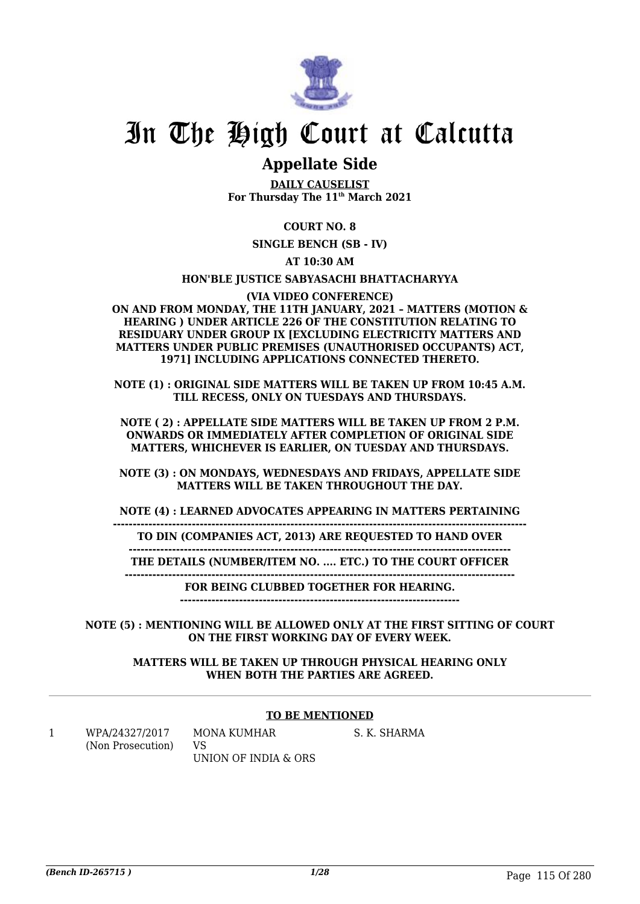

# In The High Court at Calcutta

## **Appellate Side**

**DAILY CAUSELIST For Thursday The 11th March 2021**

#### **COURT NO. 8**

**SINGLE BENCH (SB - IV)**

**AT 10:30 AM**

#### **HON'BLE JUSTICE SABYASACHI BHATTACHARYYA**

#### **(VIA VIDEO CONFERENCE)**

**ON AND FROM MONDAY, THE 11TH JANUARY, 2021 – MATTERS (MOTION & HEARING ) UNDER ARTICLE 226 OF THE CONSTITUTION RELATING TO RESIDUARY UNDER GROUP IX [EXCLUDING ELECTRICITY MATTERS AND MATTERS UNDER PUBLIC PREMISES (UNAUTHORISED OCCUPANTS) ACT, 1971] INCLUDING APPLICATIONS CONNECTED THERETO.**

**NOTE (1) : ORIGINAL SIDE MATTERS WILL BE TAKEN UP FROM 10:45 A.M. TILL RECESS, ONLY ON TUESDAYS AND THURSDAYS.**

**NOTE ( 2) : APPELLATE SIDE MATTERS WILL BE TAKEN UP FROM 2 P.M. ONWARDS OR IMMEDIATELY AFTER COMPLETION OF ORIGINAL SIDE MATTERS, WHICHEVER IS EARLIER, ON TUESDAY AND THURSDAYS.**

**NOTE (3) : ON MONDAYS, WEDNESDAYS AND FRIDAYS, APPELLATE SIDE MATTERS WILL BE TAKEN THROUGHOUT THE DAY.**

**NOTE (4) : LEARNED ADVOCATES APPEARING IN MATTERS PERTAINING**

**--------------------------------------------------------------------------------------------------------- TO DIN (COMPANIES ACT, 2013) ARE REQUESTED TO HAND OVER**

**------------------------------------------------------------------------------------------------- THE DETAILS (NUMBER/ITEM NO. .... ETC.) TO THE COURT OFFICER**

**---------------------------------------------------------------------------------------------------**

**FOR BEING CLUBBED TOGETHER FOR HEARING.**

**-----------------------------------------------------------------------**

**NOTE (5) : MENTIONING WILL BE ALLOWED ONLY AT THE FIRST SITTING OF COURT ON THE FIRST WORKING DAY OF EVERY WEEK.**

**MATTERS WILL BE TAKEN UP THROUGH PHYSICAL HEARING ONLY WHEN BOTH THE PARTIES ARE AGREED.**

#### **TO BE MENTIONED**

S. K. SHARMA

1 WPA/24327/2017 (Non Prosecution) MONA KUMHAR VS UNION OF INDIA & ORS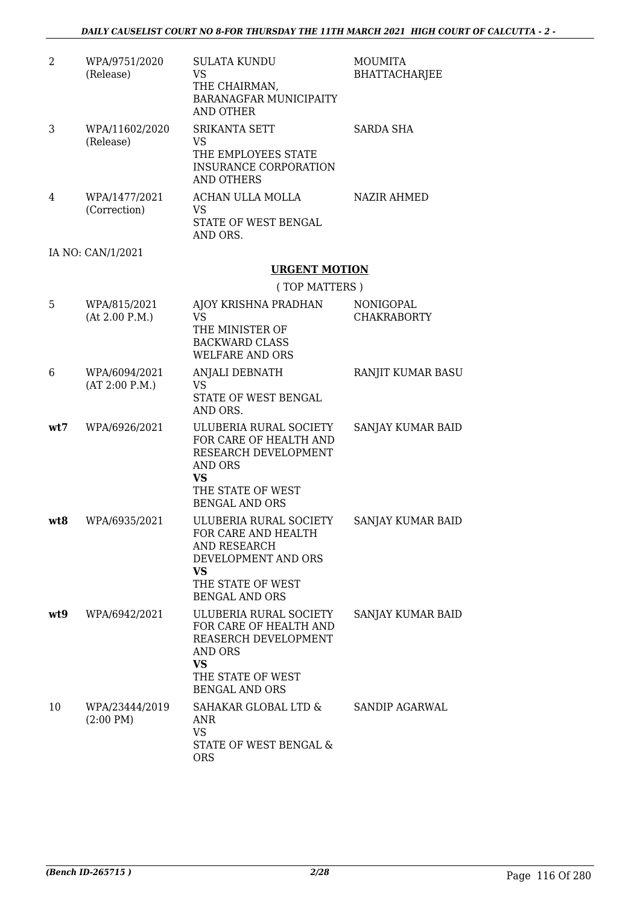| 2 | WPA/9751/2020<br>(Release)    | SULATA KUNDU<br>VS<br>THE CHAIRMAN,<br><b>BARANAGFAR MUNICIPAITY</b><br>AND OTHER | <b>MOUMITA</b><br><b>BHATTACHARJEE</b> |
|---|-------------------------------|-----------------------------------------------------------------------------------|----------------------------------------|
| 3 | WPA/11602/2020<br>(Release)   | SRIKANTA SETT<br>VS<br>THE EMPLOYEES STATE<br>INSURANCE CORPORATION<br>AND OTHERS | SARDA SHA                              |
| 4 | WPA/1477/2021<br>(Correction) | ACHAN ULLA MOLLA<br>VS<br>STATE OF WEST BENGAL<br>AND ORS.                        | <b>NAZIR AHMED</b>                     |
|   | IA NO: CAN/1/2021             |                                                                                   |                                        |
|   |                               | <b>URGENT MOTION</b>                                                              |                                        |

|  | (TOP MATTERS) |  |
|--|---------------|--|
|  |               |  |

| 5   | WPA/815/2021<br>(At 2.00 P.M.)        | AJOY KRISHNA PRADHAN<br><b>VS</b><br>THE MINISTER OF<br><b>BACKWARD CLASS</b><br><b>WELFARE AND ORS</b>                                               | <b>NONIGOPAL</b><br><b>CHAKRABORTY</b> |
|-----|---------------------------------------|-------------------------------------------------------------------------------------------------------------------------------------------------------|----------------------------------------|
| 6   | WPA/6094/2021<br>(AT 2:00 P.M.)       | ANJALI DEBNATH<br><b>VS</b><br>STATE OF WEST BENGAL<br>AND ORS.                                                                                       | RANJIT KUMAR BASU                      |
| wt7 | WPA/6926/2021                         | ULUBERIA RURAL SOCIETY<br>FOR CARE OF HEALTH AND<br>RESEARCH DEVELOPMENT<br>AND ORS<br><b>VS</b><br>THE STATE OF WEST<br><b>BENGAL AND ORS</b>        | SANJAY KUMAR BAID                      |
| wt8 | WPA/6935/2021                         | ULUBERIA RURAL SOCIETY<br>FOR CARE AND HEALTH<br>AND RESEARCH<br>DEVELOPMENT AND ORS<br><b>VS</b><br>THE STATE OF WEST<br><b>BENGAL AND ORS</b>       | SANJAY KUMAR BAID                      |
| wt9 | WPA/6942/2021                         | ULUBERIA RURAL SOCIETY<br>FOR CARE OF HEALTH AND<br>REASERCH DEVELOPMENT<br><b>AND ORS</b><br><b>VS</b><br>THE STATE OF WEST<br><b>BENGAL AND ORS</b> | SANJAY KUMAR BAID                      |
| 10  | WPA/23444/2019<br>$(2:00 \text{ PM})$ | SAHAKAR GLOBAL LTD &<br><b>ANR</b><br>VS<br>STATE OF WEST BENGAL &<br><b>ORS</b>                                                                      | <b>SANDIP AGARWAL</b>                  |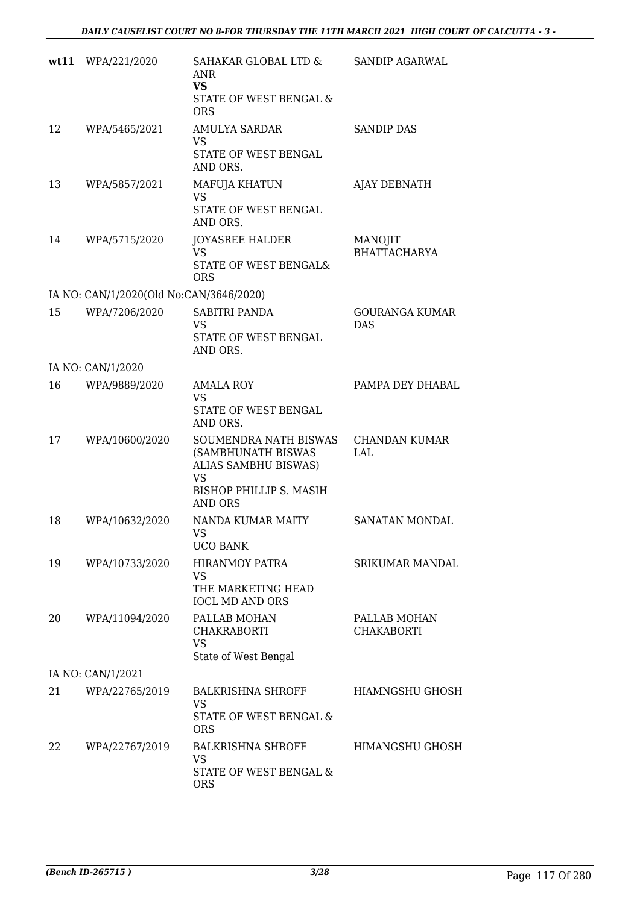| wt11 | WPA/221/2020                            | SAHAKAR GLOBAL LTD &<br>ANR<br><b>VS</b><br>STATE OF WEST BENGAL &<br><b>ORS</b>                                              | SANDIP AGARWAL                      |
|------|-----------------------------------------|-------------------------------------------------------------------------------------------------------------------------------|-------------------------------------|
| 12   | WPA/5465/2021                           | <b>AMULYA SARDAR</b><br>VS<br>STATE OF WEST BENGAL<br>AND ORS.                                                                | <b>SANDIP DAS</b>                   |
| 13   | WPA/5857/2021                           | MAFUJA KHATUN<br><b>VS</b><br>STATE OF WEST BENGAL<br>AND ORS.                                                                | <b>AJAY DEBNATH</b>                 |
| 14   | WPA/5715/2020                           | <b>JOYASREE HALDER</b><br><b>VS</b><br>STATE OF WEST BENGAL&<br><b>ORS</b>                                                    | MANOJIT<br><b>BHATTACHARYA</b>      |
|      | IA NO: CAN/1/2020(Old No:CAN/3646/2020) |                                                                                                                               |                                     |
| 15   | WPA/7206/2020                           | <b>SABITRI PANDA</b><br>VS<br>STATE OF WEST BENGAL<br>AND ORS.                                                                | <b>GOURANGA KUMAR</b><br><b>DAS</b> |
|      | IA NO: CAN/1/2020                       |                                                                                                                               |                                     |
| 16   | WPA/9889/2020                           | <b>AMALA ROY</b><br><b>VS</b><br>STATE OF WEST BENGAL<br>AND ORS.                                                             | PAMPA DEY DHABAL                    |
| 17   | WPA/10600/2020                          | SOUMENDRA NATH BISWAS<br>(SAMBHUNATH BISWAS<br>ALIAS SAMBHU BISWAS)<br><b>VS</b><br>BISHOP PHILLIP S. MASIH<br><b>AND ORS</b> | <b>CHANDAN KUMAR</b><br>LAL         |
| 18   | WPA/10632/2020                          | NANDA KUMAR MAITY<br>VS 7<br><b>UCO BANK</b>                                                                                  | <b>SANATAN MONDAL</b>               |
| 19   | WPA/10733/2020                          | <b>HIRANMOY PATRA</b><br>VS<br>THE MARKETING HEAD<br><b>IOCL MD AND ORS</b>                                                   | <b>SRIKUMAR MANDAL</b>              |
| 20   | WPA/11094/2020                          | PALLAB MOHAN<br><b>CHAKRABORTI</b><br><b>VS</b><br>State of West Bengal                                                       | PALLAB MOHAN<br><b>CHAKABORTI</b>   |
|      | IA NO: CAN/1/2021                       |                                                                                                                               |                                     |
| 21   | WPA/22765/2019                          | <b>BALKRISHNA SHROFF</b><br>VS<br>STATE OF WEST BENGAL &<br><b>ORS</b>                                                        | <b>HIAMNGSHU GHOSH</b>              |
| 22   | WPA/22767/2019                          | <b>BALKRISHNA SHROFF</b><br><b>VS</b><br>STATE OF WEST BENGAL &<br><b>ORS</b>                                                 | <b>HIMANGSHU GHOSH</b>              |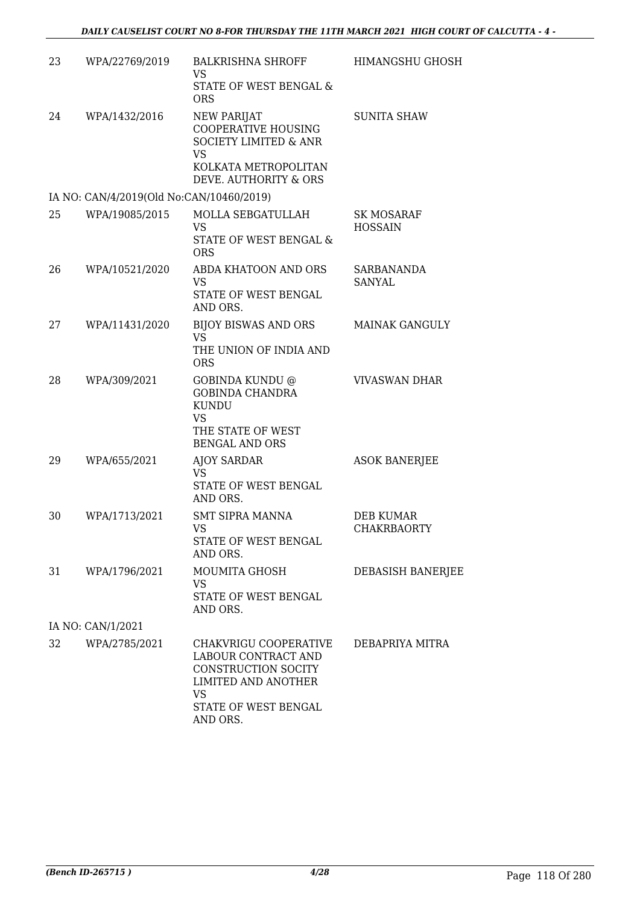| 23 | WPA/22769/2019                           | <b>BALKRISHNA SHROFF</b><br>VS<br>STATE OF WEST BENGAL &<br><b>ORS</b>                                                                      | <b>HIMANGSHU GHOSH</b>                 |
|----|------------------------------------------|---------------------------------------------------------------------------------------------------------------------------------------------|----------------------------------------|
| 24 | WPA/1432/2016                            | <b>NEW PARIJAT</b><br>COOPERATIVE HOUSING<br><b>SOCIETY LIMITED &amp; ANR</b><br><b>VS</b><br>KOLKATA METROPOLITAN<br>DEVE. AUTHORITY & ORS | <b>SUNITA SHAW</b>                     |
|    | IA NO: CAN/4/2019(Old No:CAN/10460/2019) |                                                                                                                                             |                                        |
| 25 | WPA/19085/2015                           | MOLLA SEBGATULLAH<br>VS.<br>STATE OF WEST BENGAL &<br><b>ORS</b>                                                                            | SK MOSARAF<br><b>HOSSAIN</b>           |
| 26 | WPA/10521/2020                           | ABDA KHATOON AND ORS<br>VS<br>STATE OF WEST BENGAL<br>AND ORS.                                                                              | <b>SARBANANDA</b><br>SANYAL            |
| 27 | WPA/11431/2020                           | <b>BIJOY BISWAS AND ORS</b><br><b>VS</b><br>THE UNION OF INDIA AND<br><b>ORS</b>                                                            | <b>MAINAK GANGULY</b>                  |
| 28 | WPA/309/2021                             | GOBINDA KUNDU @<br><b>GOBINDA CHANDRA</b><br><b>KUNDU</b><br><b>VS</b><br>THE STATE OF WEST<br>BENGAL AND ORS                               | <b>VIVASWAN DHAR</b>                   |
| 29 | WPA/655/2021                             | <b>AJOY SARDAR</b><br>VS<br>STATE OF WEST BENGAL<br>AND ORS.                                                                                | <b>ASOK BANERJEE</b>                   |
| 30 | WPA/1713/2021                            | <b>SMT SIPRA MANNA</b><br>VS<br>STATE OF WEST BENGAL<br>AND ORS.                                                                            | <b>DEB KUMAR</b><br><b>CHAKRBAORTY</b> |
| 31 | WPA/1796/2021                            | MOUMITA GHOSH<br>VS<br>STATE OF WEST BENGAL<br>AND ORS.                                                                                     | DEBASISH BANERJEE                      |
|    | IA NO: CAN/1/2021                        |                                                                                                                                             |                                        |
| 32 | WPA/2785/2021                            | CHAKVRIGU COOPERATIVE<br>LABOUR CONTRACT AND<br>CONSTRUCTION SOCITY<br>LIMITED AND ANOTHER<br><b>VS</b><br>STATE OF WEST BENGAL             | DEBAPRIYA MITRA                        |

AND ORS.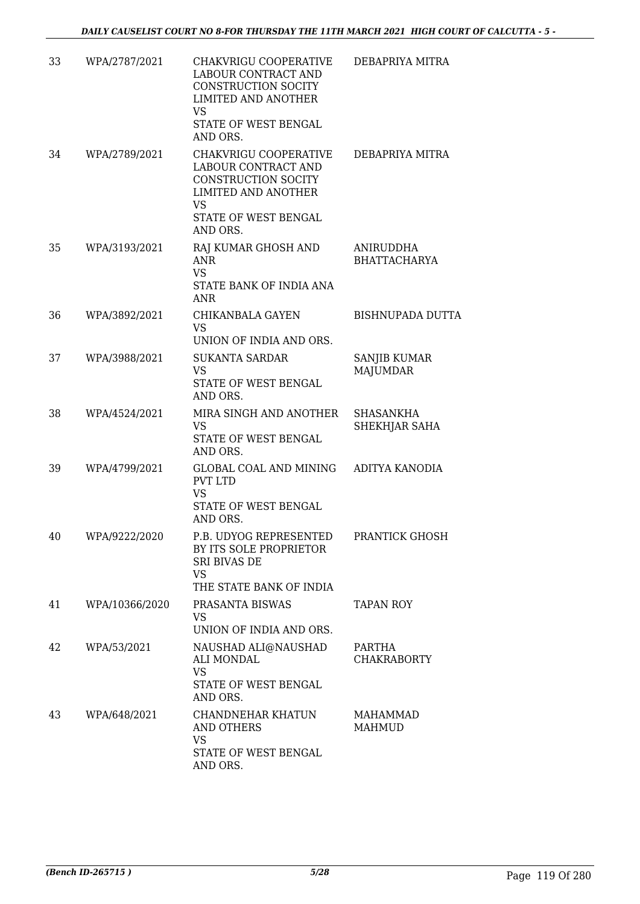| 33 | WPA/2787/2021  | CHAKVRIGU COOPERATIVE<br>LABOUR CONTRACT AND<br>CONSTRUCTION SOCITY<br><b>LIMITED AND ANOTHER</b><br><b>VS</b><br>STATE OF WEST BENGAL<br>AND ORS. | DEBAPRIYA MITRA                  |
|----|----------------|----------------------------------------------------------------------------------------------------------------------------------------------------|----------------------------------|
| 34 | WPA/2789/2021  | CHAKVRIGU COOPERATIVE<br>LABOUR CONTRACT AND<br>CONSTRUCTION SOCITY<br><b>LIMITED AND ANOTHER</b><br><b>VS</b><br>STATE OF WEST BENGAL             | DEBAPRIYA MITRA                  |
| 35 | WPA/3193/2021  | AND ORS.<br>RAJ KUMAR GHOSH AND<br><b>ANR</b><br><b>VS</b><br>STATE BANK OF INDIA ANA<br>ANR                                                       | ANIRUDDHA<br><b>BHATTACHARYA</b> |
| 36 | WPA/3892/2021  | CHIKANBALA GAYEN<br><b>VS</b><br>UNION OF INDIA AND ORS.                                                                                           | <b>BISHNUPADA DUTTA</b>          |
| 37 | WPA/3988/2021  | <b>SUKANTA SARDAR</b><br><b>VS</b><br>STATE OF WEST BENGAL<br>AND ORS.                                                                             | SANJIB KUMAR<br><b>MAJUMDAR</b>  |
| 38 | WPA/4524/2021  | MIRA SINGH AND ANOTHER<br>VS<br>STATE OF WEST BENGAL<br>AND ORS.                                                                                   | SHASANKHA<br>SHEKHJAR SAHA       |
| 39 | WPA/4799/2021  | GLOBAL COAL AND MINING<br><b>PVT LTD</b><br><b>VS</b><br>STATE OF WEST BENGAL<br>AND ORS.                                                          | ADITYA KANODIA                   |
| 40 | WPA/9222/2020  | P.B. UDYOG REPRESENTED PRANTICK GHOSH<br>BY ITS SOLE PROPRIETOR<br><b>SRI BIVAS DE</b><br><b>VS</b><br>THE STATE BANK OF INDIA                     |                                  |
| 41 | WPA/10366/2020 | PRASANTA BISWAS<br>VS.<br>UNION OF INDIA AND ORS.                                                                                                  | <b>TAPAN ROY</b>                 |
| 42 | WPA/53/2021    | NAUSHAD ALI@NAUSHAD<br>ALI MONDAL<br><b>VS</b><br>STATE OF WEST BENGAL<br>AND ORS.                                                                 | PARTHA<br><b>CHAKRABORTY</b>     |
| 43 | WPA/648/2021   | CHANDNEHAR KHATUN<br><b>AND OTHERS</b><br><b>VS</b><br>STATE OF WEST BENGAL<br>AND ORS.                                                            | <b>MAHAMMAD</b><br>MAHMUD        |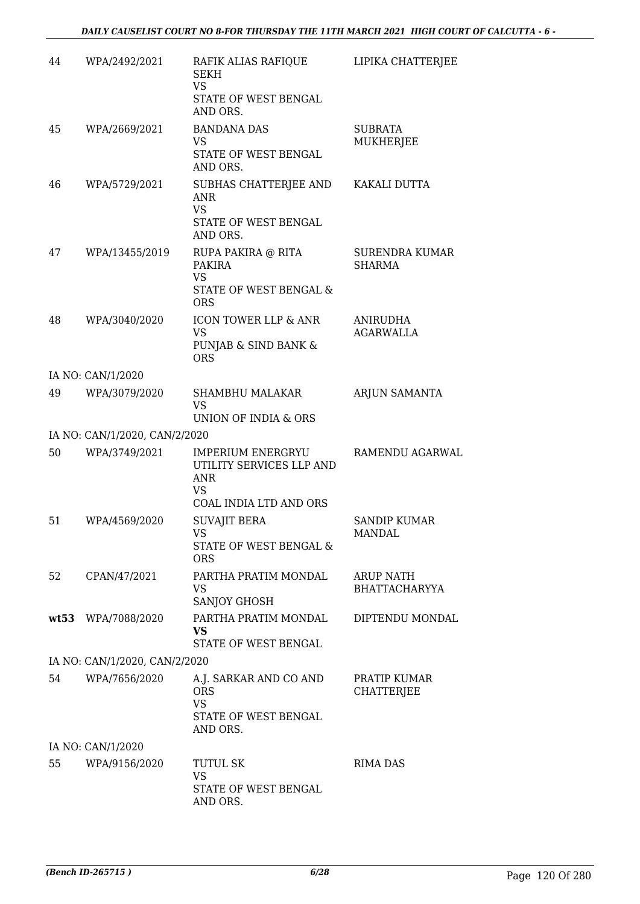| 44 | WPA/2492/2021                 | RAFIK ALIAS RAFIQUE<br><b>SEKH</b><br><b>VS</b><br>STATE OF WEST BENGAL<br>AND ORS.                | LIPIKA CHATTERJEE                        |
|----|-------------------------------|----------------------------------------------------------------------------------------------------|------------------------------------------|
| 45 | WPA/2669/2021                 | <b>BANDANA DAS</b><br><b>VS</b><br>STATE OF WEST BENGAL<br>AND ORS.                                | <b>SUBRATA</b><br><b>MUKHERJEE</b>       |
| 46 | WPA/5729/2021                 | SUBHAS CHATTERJEE AND KAKALI DUTTA<br>ANR<br><b>VS</b><br>STATE OF WEST BENGAL<br>AND ORS.         |                                          |
| 47 | WPA/13455/2019                | RUPA PAKIRA @ RITA<br><b>PAKIRA</b><br><b>VS</b><br>STATE OF WEST BENGAL &<br><b>ORS</b>           | <b>SURENDRA KUMAR</b><br>SHARMA          |
| 48 | WPA/3040/2020                 | ICON TOWER LLP & ANR<br><b>VS</b><br>PUNJAB & SIND BANK &<br><b>ORS</b>                            | <b>ANIRUDHA</b><br><b>AGARWALLA</b>      |
|    | IA NO: CAN/1/2020             |                                                                                                    |                                          |
| 49 | WPA/3079/2020                 | <b>SHAMBHU MALAKAR</b><br><b>VS</b><br>UNION OF INDIA & ORS                                        | ARJUN SAMANTA                            |
|    | IA NO: CAN/1/2020, CAN/2/2020 |                                                                                                    |                                          |
| 50 | WPA/3749/2021                 | IMPERIUM ENERGRYU<br>UTILITY SERVICES LLP AND<br><b>ANR</b><br><b>VS</b><br>COAL INDIA LTD AND ORS | RAMENDU AGARWAL                          |
| 51 | WPA/4569/2020                 | <b>SUVAJIT BERA</b><br>VS.<br>STATE OF WEST BENGAL &<br><b>ORS</b>                                 | SANDIP KUMAR<br>MANDAL                   |
| 52 | CPAN/47/2021                  | PARTHA PRATIM MONDAL<br>VS<br><b>SANJOY GHOSH</b>                                                  | <b>ARUP NATH</b><br><b>BHATTACHARYYA</b> |
|    | wt53 WPA/7088/2020            | PARTHA PRATIM MONDAL<br>VS.<br>STATE OF WEST BENGAL                                                | DIPTENDU MONDAL                          |
|    | IA NO: CAN/1/2020, CAN/2/2020 |                                                                                                    |                                          |
| 54 | WPA/7656/2020                 | A.J. SARKAR AND CO AND<br><b>ORS</b><br><b>VS</b><br>STATE OF WEST BENGAL<br>AND ORS.              | PRATIP KUMAR<br><b>CHATTERJEE</b>        |
|    | IA NO: CAN/1/2020             |                                                                                                    |                                          |
| 55 | WPA/9156/2020                 | <b>TUTUL SK</b><br><b>VS</b><br>STATE OF WEST BENGAL<br>AND ORS.                                   | <b>RIMA DAS</b>                          |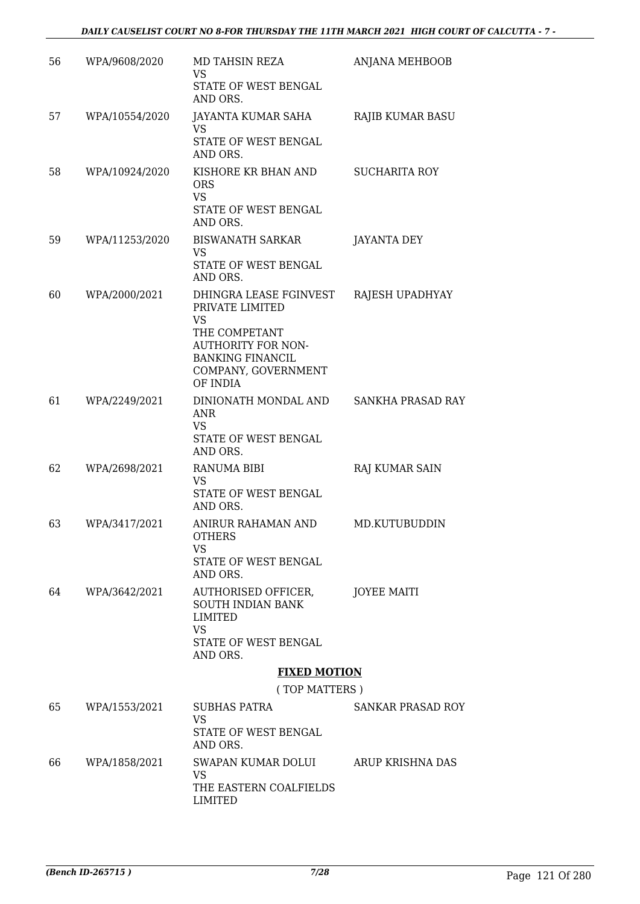| 56 | WPA/9608/2020  | MD TAHSIN REZA<br>VS                                                                                                                                        | <b>ANJANA MEHBOOB</b> |
|----|----------------|-------------------------------------------------------------------------------------------------------------------------------------------------------------|-----------------------|
|    |                | STATE OF WEST BENGAL<br>AND ORS.                                                                                                                            |                       |
| 57 | WPA/10554/2020 | JAYANTA KUMAR SAHA                                                                                                                                          | RAJIB KUMAR BASU      |
|    |                | VS<br>STATE OF WEST BENGAL<br>AND ORS.                                                                                                                      |                       |
| 58 | WPA/10924/2020 | KISHORE KR BHAN AND<br><b>ORS</b><br><b>VS</b><br>STATE OF WEST BENGAL<br>AND ORS.                                                                          | <b>SUCHARITA ROY</b>  |
| 59 | WPA/11253/2020 | <b>BISWANATH SARKAR</b>                                                                                                                                     | JAYANTA DEY           |
|    |                | VS<br>STATE OF WEST BENGAL<br>AND ORS.                                                                                                                      |                       |
| 60 | WPA/2000/2021  | DHINGRA LEASE FGINVEST<br>PRIVATE LIMITED<br>VS<br>THE COMPETANT<br><b>AUTHORITY FOR NON-</b><br><b>BANKING FINANCIL</b><br>COMPANY, GOVERNMENT<br>OF INDIA | RAJESH UPADHYAY       |
| 61 | WPA/2249/2021  | DINIONATH MONDAL AND<br>ANR<br><b>VS</b><br>STATE OF WEST BENGAL<br>AND ORS.                                                                                | SANKHA PRASAD RAY     |
| 62 | WPA/2698/2021  | <b>RANUMA BIBI</b>                                                                                                                                          | <b>RAJ KUMAR SAIN</b> |
|    |                | VS<br>STATE OF WEST BENGAL<br>AND ORS.                                                                                                                      |                       |
| 63 | WPA/3417/2021  | ANIRUR RAHAMAN AND<br><b>OTHERS</b><br><b>VS</b><br>STATE OF WEST BENGAL<br>AND ORS.                                                                        | MD.KUTUBUDDIN         |
| 64 | WPA/3642/2021  | AUTHORISED OFFICER,<br>SOUTH INDIAN BANK<br>LIMITED<br><b>VS</b><br>STATE OF WEST BENGAL<br>AND ORS.                                                        | JOYEE MAITI           |
|    |                | <b>FIXED MOTION</b>                                                                                                                                         |                       |
|    |                | (TOP MATTERS)                                                                                                                                               |                       |
| 65 | WPA/1553/2021  | SUBHAS PATRA<br><b>VS</b>                                                                                                                                   | SANKAR PRASAD ROY     |
|    |                | STATE OF WEST BENGAL<br>AND ORS.                                                                                                                            |                       |
| 66 | WPA/1858/2021  | SWAPAN KUMAR DOLUI<br>VS<br>THE EASTERN COALFIELDS                                                                                                          | ARUP KRISHNA DAS      |
|    |                |                                                                                                                                                             |                       |

LIMITED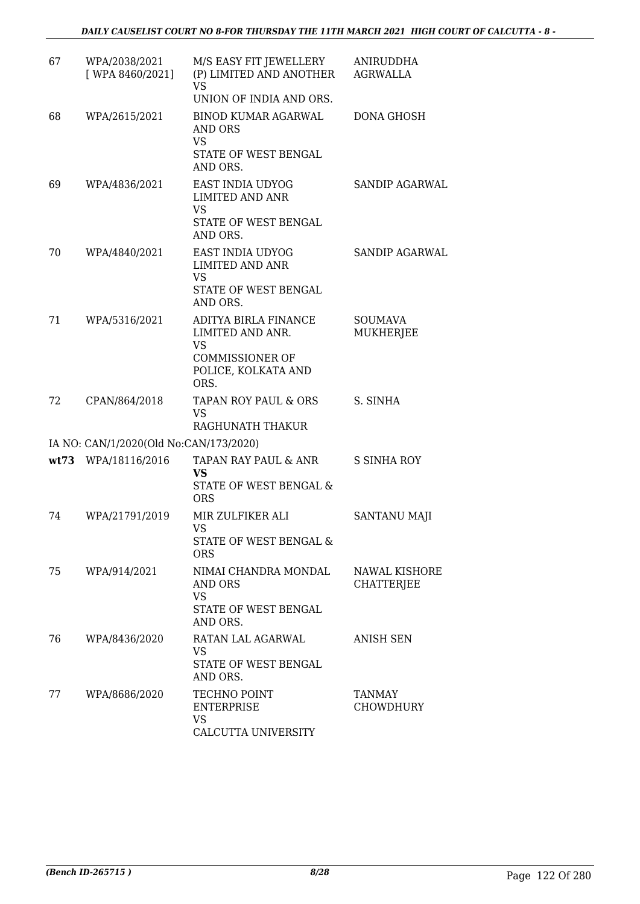| 67 | WPA/2038/2021<br>[ WPA 8460/2021]      | M/S EASY FIT JEWELLERY<br>(P) LIMITED AND ANOTHER<br><b>VS</b><br>UNION OF INDIA AND ORS.                      | ANIRUDDHA<br><b>AGRWALLA</b>              |
|----|----------------------------------------|----------------------------------------------------------------------------------------------------------------|-------------------------------------------|
| 68 | WPA/2615/2021                          | <b>BINOD KUMAR AGARWAL</b><br>AND ORS<br><b>VS</b><br>STATE OF WEST BENGAL<br>AND ORS.                         | <b>DONA GHOSH</b>                         |
| 69 | WPA/4836/2021                          | EAST INDIA UDYOG<br><b>LIMITED AND ANR</b><br><b>VS</b><br>STATE OF WEST BENGAL<br>AND ORS.                    | <b>SANDIP AGARWAL</b>                     |
| 70 | WPA/4840/2021                          | EAST INDIA UDYOG<br><b>LIMITED AND ANR</b><br><b>VS</b><br>STATE OF WEST BENGAL<br>AND ORS.                    | <b>SANDIP AGARWAL</b>                     |
| 71 | WPA/5316/2021                          | ADITYA BIRLA FINANCE<br>LIMITED AND ANR.<br><b>VS</b><br><b>COMMISSIONER OF</b><br>POLICE, KOLKATA AND<br>ORS. | <b>SOUMAVA</b><br><b>MUKHERJEE</b>        |
| 72 | CPAN/864/2018                          | TAPAN ROY PAUL & ORS<br><b>VS</b><br>RAGHUNATH THAKUR                                                          | S. SINHA                                  |
|    | IA NO: CAN/1/2020(Old No:CAN/173/2020) |                                                                                                                |                                           |
|    | wt73 WPA/18116/2016                    | TAPAN RAY PAUL & ANR<br><b>VS</b><br>STATE OF WEST BENGAL &<br><b>ORS</b>                                      | <b>S SINHA ROY</b>                        |
| 74 | WPA/21791/2019                         | MIR ZULFIKER ALI<br><b>VS</b><br>STATE OF WEST BENGAL &<br><b>ORS</b>                                          | <b>SANTANU MAJI</b>                       |
| 75 | WPA/914/2021                           | NIMAI CHANDRA MONDAL<br><b>AND ORS</b><br><b>VS</b><br>STATE OF WEST BENGAL<br>AND ORS.                        | <b>NAWAL KISHORE</b><br><b>CHATTERJEE</b> |
| 76 | WPA/8436/2020                          | RATAN LAL AGARWAL<br>VS<br>STATE OF WEST BENGAL<br>AND ORS.                                                    | <b>ANISH SEN</b>                          |
| 77 | WPA/8686/2020                          | TECHNO POINT<br><b>ENTERPRISE</b><br><b>VS</b><br>CALCUTTA UNIVERSITY                                          | TANMAY<br><b>CHOWDHURY</b>                |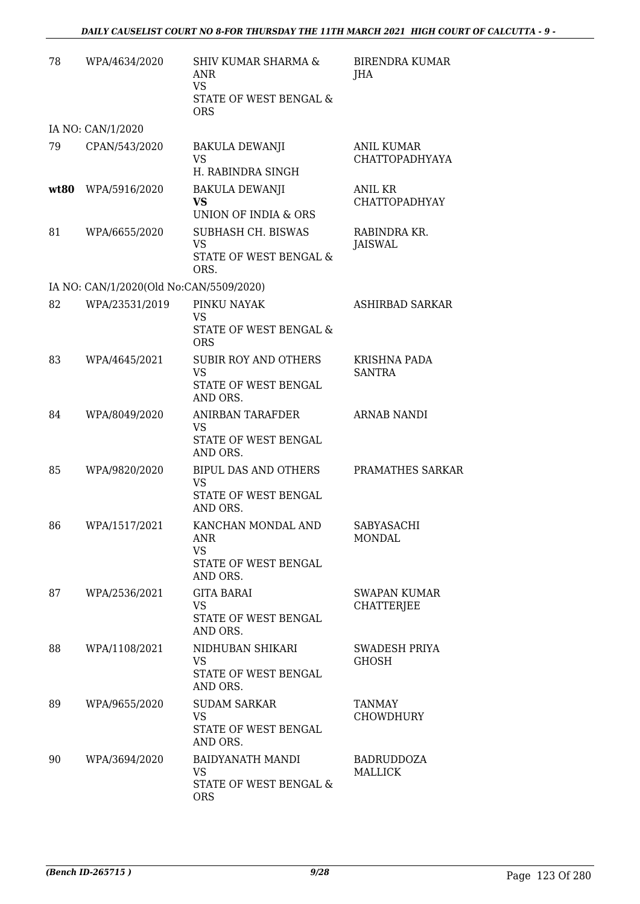| 78 | WPA/4634/2020                           | <b>SHIV KUMAR SHARMA &amp;</b><br>ANR<br>VS.<br>STATE OF WEST BENGAL &<br><b>ORS</b>       | <b>BIRENDRA KUMAR</b><br>JHA               |
|----|-----------------------------------------|--------------------------------------------------------------------------------------------|--------------------------------------------|
|    | IA NO: CAN/1/2020                       |                                                                                            |                                            |
| 79 | CPAN/543/2020                           | <b>BAKULA DEWANJI</b><br><b>VS</b><br>H. RABINDRA SINGH                                    | <b>ANIL KUMAR</b><br><b>CHATTOPADHYAYA</b> |
|    | wt80 WPA/5916/2020                      | <b>BAKULA DEWANJI</b><br>VS<br>UNION OF INDIA & ORS                                        | ANIL KR<br><b>CHATTOPADHYAY</b>            |
| 81 | WPA/6655/2020                           | SUBHASH CH. BISWAS<br><b>VS</b><br>STATE OF WEST BENGAL &<br>ORS.                          | RABINDRA KR.<br>JAISWAL                    |
|    | IA NO: CAN/1/2020(Old No:CAN/5509/2020) |                                                                                            |                                            |
| 82 | WPA/23531/2019                          | PINKU NAYAK<br>VS<br>STATE OF WEST BENGAL &                                                | ASHIRBAD SARKAR                            |
| 83 | WPA/4645/2021                           | <b>ORS</b><br><b>SUBIR ROY AND OTHERS</b><br><b>VS</b><br>STATE OF WEST BENGAL<br>AND ORS. | <b>KRISHNA PADA</b><br><b>SANTRA</b>       |
| 84 | WPA/8049/2020                           | <b>ANIRBAN TARAFDER</b><br><b>VS</b><br>STATE OF WEST BENGAL<br>AND ORS.                   | <b>ARNAB NANDI</b>                         |
| 85 | WPA/9820/2020                           | <b>BIPUL DAS AND OTHERS</b><br><b>VS</b><br>STATE OF WEST BENGAL<br>AND ORS.               | PRAMATHES SARKAR                           |
| 86 | WPA/1517/2021                           | KANCHAN MONDAL AND<br><b>ANR</b><br><b>VS</b><br>STATE OF WEST BENGAL<br>AND ORS.          | SABYASACHI<br><b>MONDAL</b>                |
| 87 | WPA/2536/2021                           | <b>GITA BARAI</b><br>VS.<br>STATE OF WEST BENGAL<br>AND ORS.                               | SWAPAN KUMAR<br><b>CHATTERJEE</b>          |
| 88 | WPA/1108/2021                           | NIDHUBAN SHIKARI<br>VS<br>STATE OF WEST BENGAL<br>AND ORS.                                 | SWADESH PRIYA<br><b>GHOSH</b>              |
| 89 | WPA/9655/2020                           | <b>SUDAM SARKAR</b><br><b>VS</b><br>STATE OF WEST BENGAL<br>AND ORS.                       | TANMAY<br><b>CHOWDHURY</b>                 |
| 90 | WPA/3694/2020                           | BAIDYANATH MANDI<br>VS.<br>STATE OF WEST BENGAL &<br><b>ORS</b>                            | <b>BADRUDDOZA</b><br><b>MALLICK</b>        |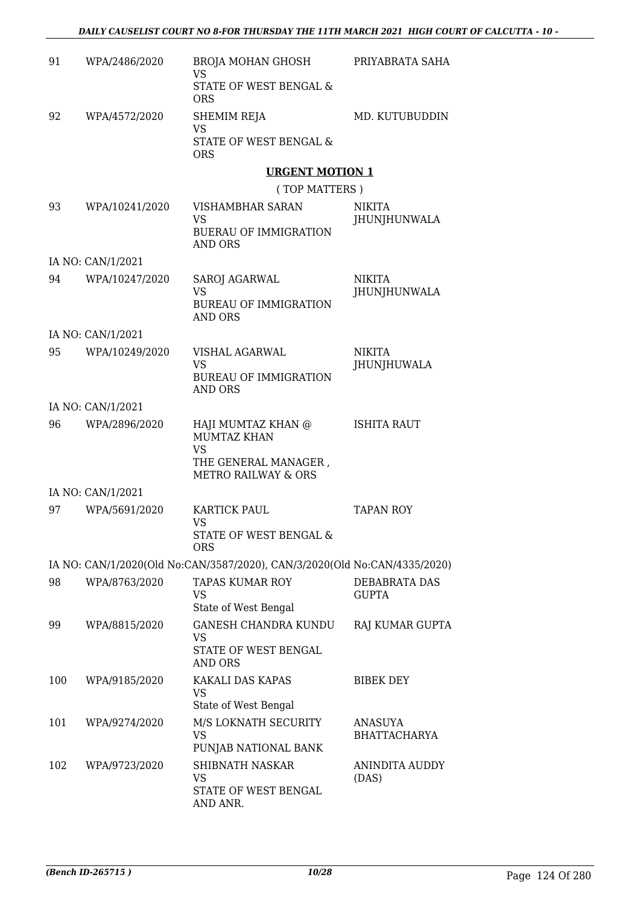| 91  | WPA/2486/2020     | BROJA MOHAN GHOSH<br><b>VS</b>                                                                           | PRIYABRATA SAHA               |
|-----|-------------------|----------------------------------------------------------------------------------------------------------|-------------------------------|
|     |                   | STATE OF WEST BENGAL &<br><b>ORS</b>                                                                     |                               |
| 92  | WPA/4572/2020     | SHEMIM REJA<br>VS                                                                                        | MD. KUTUBUDDIN                |
|     |                   | STATE OF WEST BENGAL &<br><b>ORS</b>                                                                     |                               |
|     |                   | <b>URGENT MOTION 1</b>                                                                                   |                               |
|     |                   | (TOP MATTERS)                                                                                            |                               |
| 93  | WPA/10241/2020    | <b>VISHAMBHAR SARAN</b>                                                                                  | NIKITA                        |
|     |                   | VS<br><b>BUERAU OF IMMIGRATION</b><br>AND ORS                                                            | JHUNJHUNWALA                  |
|     | IA NO: CAN/1/2021 |                                                                                                          |                               |
| 94  | WPA/10247/2020    | SAROJ AGARWAL<br><b>VS</b><br><b>BUREAU OF IMMIGRATION</b><br>AND ORS                                    | <b>NIKITA</b><br>JHUNJHUNWALA |
|     | IA NO: CAN/1/2021 |                                                                                                          |                               |
| 95  | WPA/10249/2020    | VISHAL AGARWAL<br><b>VS</b>                                                                              | NIKITA<br><b>JHUNJHUWALA</b>  |
|     |                   | <b>BUREAU OF IMMIGRATION</b><br><b>AND ORS</b>                                                           |                               |
|     | IA NO: CAN/1/2021 |                                                                                                          |                               |
| 96  | WPA/2896/2020     | HAJI MUMTAZ KHAN @<br>MUMTAZ KHAN<br><b>VS</b><br>THE GENERAL MANAGER,<br><b>METRO RAILWAY &amp; ORS</b> | <b>ISHITA RAUT</b>            |
|     | IA NO: CAN/1/2021 |                                                                                                          |                               |
| 97  | WPA/5691/2020     | <b>KARTICK PAUL</b><br>VS                                                                                | <b>TAPAN ROY</b>              |
|     |                   | <b>STATE OF WEST BENGAL &amp;</b><br><b>ORS</b>                                                          |                               |
|     |                   | IA NO: CAN/1/2020(Old No:CAN/3587/2020), CAN/3/2020(Old No:CAN/4335/2020)                                |                               |
| 98  | WPA/8763/2020     | <b>TAPAS KUMAR ROY</b><br>VS<br>State of West Bengal                                                     | DEBABRATA DAS<br><b>GUPTA</b> |
| 99  | WPA/8815/2020     | <b>GANESH CHANDRA KUNDU</b>                                                                              | RAJ KUMAR GUPTA               |
|     |                   | VS<br>STATE OF WEST BENGAL<br><b>AND ORS</b>                                                             |                               |
| 100 | WPA/9185/2020     | KAKALI DAS KAPAS<br><b>VS</b>                                                                            | <b>BIBEK DEY</b>              |
| 101 | WPA/9274/2020     | State of West Bengal<br>M/S LOKNATH SECURITY                                                             | ANASUYA                       |
|     |                   | <b>VS</b><br>PUNJAB NATIONAL BANK                                                                        | <b>BHATTACHARYA</b>           |
| 102 | WPA/9723/2020     | SHIBNATH NASKAR<br><b>VS</b>                                                                             | ANINDITA AUDDY<br>(DAS)       |
|     |                   | STATE OF WEST BENGAL<br>AND ANR.                                                                         |                               |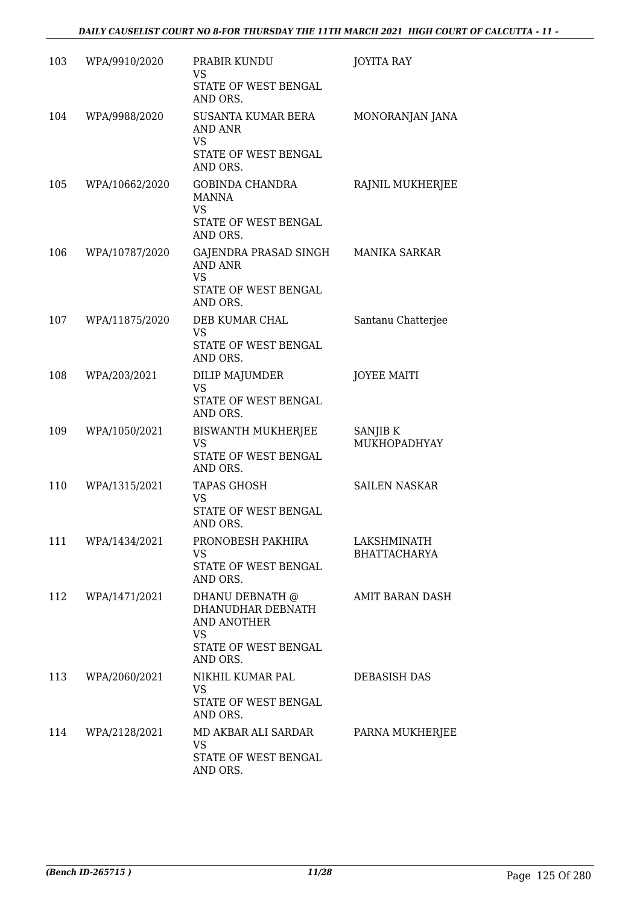| 103 | WPA/9910/2020  | PRABIR KUNDU<br>VS<br>STATE OF WEST BENGAL<br>AND ORS.                                         | <b>JOYITA RAY</b>                  |
|-----|----------------|------------------------------------------------------------------------------------------------|------------------------------------|
| 104 | WPA/9988/2020  | <b>SUSANTA KUMAR BERA</b><br>AND ANR<br>VS<br>STATE OF WEST BENGAL<br>AND ORS.                 | MONORANJAN JANA                    |
| 105 | WPA/10662/2020 | <b>GOBINDA CHANDRA</b><br><b>MANNA</b><br>VS<br>STATE OF WEST BENGAL<br>AND ORS.               | RAJNIL MUKHERJEE                   |
| 106 | WPA/10787/2020 | GAJENDRA PRASAD SINGH<br><b>AND ANR</b><br><b>VS</b><br>STATE OF WEST BENGAL<br>AND ORS.       | <b>MANIKA SARKAR</b>               |
| 107 | WPA/11875/2020 | DEB KUMAR CHAL<br>VS<br>STATE OF WEST BENGAL<br>AND ORS.                                       | Santanu Chatterjee                 |
| 108 | WPA/203/2021   | DILIP MAJUMDER<br><b>VS</b><br>STATE OF WEST BENGAL<br>AND ORS.                                | <b>JOYEE MAITI</b>                 |
| 109 | WPA/1050/2021  | <b>BISWANTH MUKHERJEE</b><br><b>VS</b><br>STATE OF WEST BENGAL<br>AND ORS.                     | SANJIB K<br>MUKHOPADHYAY           |
| 110 | WPA/1315/2021  | <b>TAPAS GHOSH</b><br>VS<br>STATE OF WEST BENGAL<br>AND ORS.                                   | <b>SAILEN NASKAR</b>               |
| 111 | WPA/1434/2021  | PRONOBESH PAKHIRA<br><b>VS</b><br>STATE OF WEST BENGAL<br>AND ORS.                             | LAKSHMINATH<br><b>BHATTACHARYA</b> |
| 112 | WPA/1471/2021  | DHANU DEBNATH @<br>DHANUDHAR DEBNATH<br>AND ANOTHER<br>VS.<br>STATE OF WEST BENGAL<br>AND ORS. | <b>AMIT BARAN DASH</b>             |
| 113 | WPA/2060/2021  | NIKHIL KUMAR PAL<br>VS<br>STATE OF WEST BENGAL<br>AND ORS.                                     | DEBASISH DAS                       |
| 114 | WPA/2128/2021  | MD AKBAR ALI SARDAR<br>VS<br>STATE OF WEST BENGAL<br>AND ORS.                                  | PARNA MUKHERJEE                    |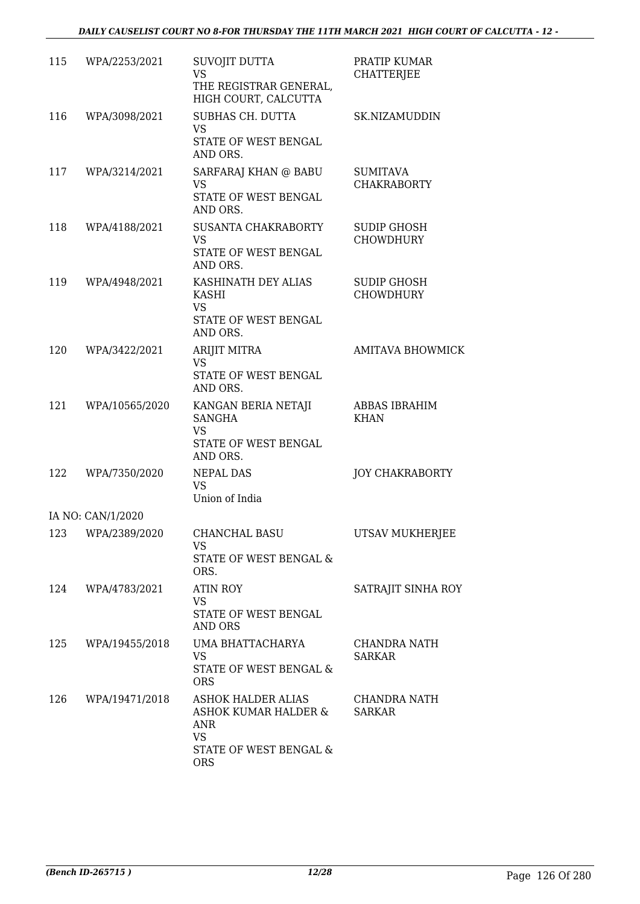| 115 | WPA/2253/2021     | SUVOJIT DUTTA<br><b>VS</b>                                                                             | PRATIP KUMAR<br><b>CHATTERJEE</b>      |
|-----|-------------------|--------------------------------------------------------------------------------------------------------|----------------------------------------|
|     |                   | THE REGISTRAR GENERAL,<br>HIGH COURT, CALCUTTA                                                         |                                        |
| 116 | WPA/3098/2021     | SUBHAS CH. DUTTA<br><b>VS</b>                                                                          | SK.NIZAMUDDIN                          |
|     |                   | STATE OF WEST BENGAL<br>AND ORS.                                                                       |                                        |
| 117 | WPA/3214/2021     | SARFARAJ KHAN @ BABU<br>VS<br>STATE OF WEST BENGAL<br>AND ORS.                                         | <b>SUMITAVA</b><br><b>CHAKRABORTY</b>  |
| 118 | WPA/4188/2021     | SUSANTA CHAKRABORTY<br><b>VS</b><br>STATE OF WEST BENGAL<br>AND ORS.                                   | SUDIP GHOSH<br><b>CHOWDHURY</b>        |
| 119 | WPA/4948/2021     | KASHINATH DEY ALIAS<br>KASHI<br><b>VS</b><br>STATE OF WEST BENGAL<br>AND ORS.                          | <b>SUDIP GHOSH</b><br><b>CHOWDHURY</b> |
| 120 | WPA/3422/2021     | ARIJIT MITRA<br><b>VS</b><br>STATE OF WEST BENGAL<br>AND ORS.                                          | <b>AMITAVA BHOWMICK</b>                |
| 121 | WPA/10565/2020    | KANGAN BERIA NETAJI<br>SANGHA<br><b>VS</b><br>STATE OF WEST BENGAL<br>AND ORS.                         | ABBAS IBRAHIM<br><b>KHAN</b>           |
| 122 | WPA/7350/2020     | <b>NEPAL DAS</b><br><b>VS</b><br>Union of India                                                        | <b>JOY CHAKRABORTY</b>                 |
|     | IA NO: CAN/1/2020 |                                                                                                        |                                        |
| 123 | WPA/2389/2020     | CHANCHAL BASU<br>VS.<br>STATE OF WEST BENGAL &<br>ORS.                                                 | UTSAV MUKHERJEE                        |
| 124 | WPA/4783/2021     | <b>ATIN ROY</b><br><b>VS</b><br>STATE OF WEST BENGAL<br>AND ORS                                        | SATRAJIT SINHA ROY                     |
| 125 | WPA/19455/2018    | UMA BHATTACHARYA<br>VS.<br>STATE OF WEST BENGAL &<br><b>ORS</b>                                        | CHANDRA NATH<br><b>SARKAR</b>          |
| 126 | WPA/19471/2018    | ASHOK HALDER ALIAS<br>ASHOK KUMAR HALDER &<br>ANR<br><b>VS</b><br>STATE OF WEST BENGAL &<br><b>ORS</b> | CHANDRA NATH<br><b>SARKAR</b>          |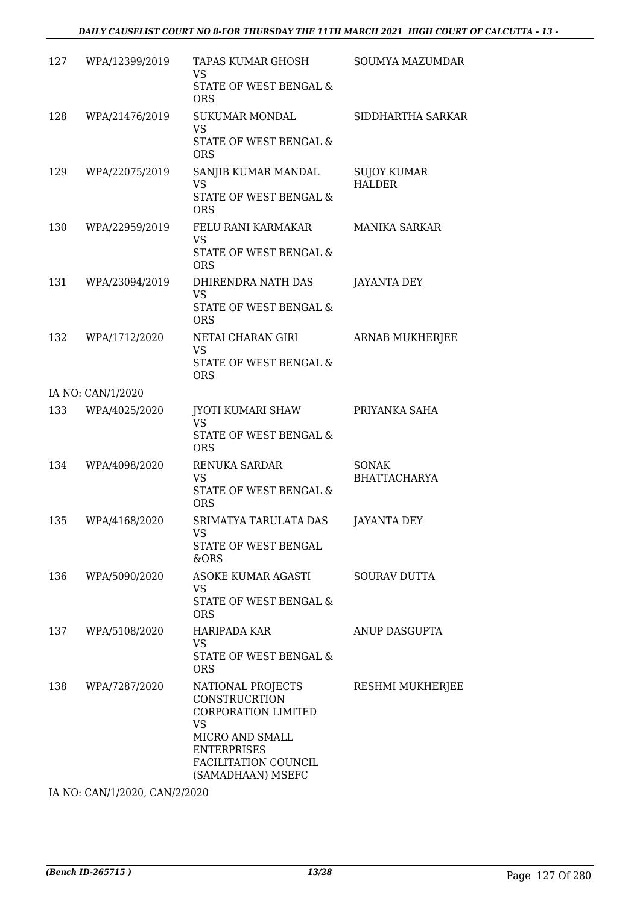| 127 | WPA/12399/2019    | TAPAS KUMAR GHOSH<br>VS<br>STATE OF WEST BENGAL &<br><b>ORS</b>                                                                                              | SOUMYA MAZUMDAR                     |
|-----|-------------------|--------------------------------------------------------------------------------------------------------------------------------------------------------------|-------------------------------------|
| 128 | WPA/21476/2019    | SUKUMAR MONDAL<br>VS<br>STATE OF WEST BENGAL &<br><b>ORS</b>                                                                                                 | SIDDHARTHA SARKAR                   |
| 129 | WPA/22075/2019    | SANJIB KUMAR MANDAL<br><b>VS</b><br>STATE OF WEST BENGAL &<br><b>ORS</b>                                                                                     | <b>SUJOY KUMAR</b><br><b>HALDER</b> |
| 130 | WPA/22959/2019    | FELU RANI KARMAKAR<br><b>VS</b><br>STATE OF WEST BENGAL &<br><b>ORS</b>                                                                                      | <b>MANIKA SARKAR</b>                |
| 131 | WPA/23094/2019    | DHIRENDRA NATH DAS<br>VS<br>STATE OF WEST BENGAL &<br><b>ORS</b>                                                                                             | JAYANTA DEY                         |
| 132 | WPA/1712/2020     | NETAI CHARAN GIRI<br><b>VS</b><br>STATE OF WEST BENGAL &<br><b>ORS</b>                                                                                       | ARNAB MUKHERJEE                     |
|     | IA NO: CAN/1/2020 |                                                                                                                                                              |                                     |
| 133 | WPA/4025/2020     | JYOTI KUMARI SHAW<br><b>VS</b><br>STATE OF WEST BENGAL &<br><b>ORS</b>                                                                                       | PRIYANKA SAHA                       |
| 134 | WPA/4098/2020     | RENUKA SARDAR<br><b>VS</b><br>STATE OF WEST BENGAL &<br><b>ORS</b>                                                                                           | <b>SONAK</b><br><b>BHATTACHARYA</b> |
| 135 | WPA/4168/2020     | SRIMATYA TARULATA DAS<br>VS<br>STATE OF WEST BENGAL<br>&ORS                                                                                                  | JAYANTA DEY                         |
| 136 | WPA/5090/2020     | <b>ASOKE KUMAR AGASTI</b><br><b>VS</b><br>STATE OF WEST BENGAL &<br><b>ORS</b>                                                                               | <b>SOURAV DUTTA</b>                 |
| 137 | WPA/5108/2020     | HARIPADA KAR<br><b>VS</b><br>STATE OF WEST BENGAL &<br><b>ORS</b>                                                                                            | ANUP DASGUPTA                       |
| 138 | WPA/7287/2020     | NATIONAL PROJECTS<br>CONSTRUCRTION<br>CORPORATION LIMITED<br><b>VS</b><br>MICRO AND SMALL<br><b>ENTERPRISES</b><br>FACILITATION COUNCIL<br>(SAMADHAAN) MSEFC | RESHMI MUKHERJEE                    |

IA NO: CAN/1/2020, CAN/2/2020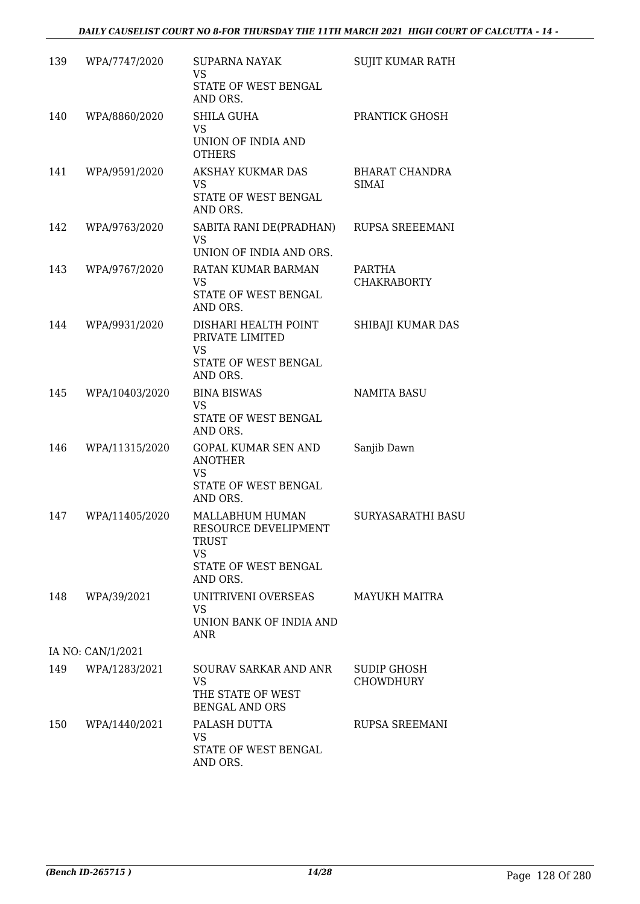| 139 | WPA/7747/2020     | <b>SUPARNA NAYAK</b><br>VS<br>STATE OF WEST BENGAL                                                | SUJIT KUMAR RATH                |
|-----|-------------------|---------------------------------------------------------------------------------------------------|---------------------------------|
| 140 | WPA/8860/2020     | AND ORS.<br><b>SHILA GUHA</b><br><b>VS</b><br>UNION OF INDIA AND                                  | PRANTICK GHOSH                  |
|     |                   | <b>OTHERS</b>                                                                                     |                                 |
| 141 | WPA/9591/2020     | AKSHAY KUKMAR DAS<br><b>VS</b><br>STATE OF WEST BENGAL<br>AND ORS.                                | BHARAT CHANDRA<br><b>SIMAI</b>  |
| 142 | WPA/9763/2020     | SABITA RANI DE(PRADHAN)<br>VS<br>UNION OF INDIA AND ORS.                                          | RUPSA SREEEMANI                 |
| 143 | WPA/9767/2020     | RATAN KUMAR BARMAN<br><b>VS</b><br>STATE OF WEST BENGAL<br>AND ORS.                               | PARTHA<br><b>CHAKRABORTY</b>    |
| 144 | WPA/9931/2020     | DISHARI HEALTH POINT<br>PRIVATE LIMITED<br><b>VS</b><br>STATE OF WEST BENGAL<br>AND ORS.          | SHIBAJI KUMAR DAS               |
| 145 | WPA/10403/2020    | <b>BINA BISWAS</b><br>VS<br>STATE OF WEST BENGAL<br>AND ORS.                                      | <b>NAMITA BASU</b>              |
| 146 | WPA/11315/2020    | <b>GOPAL KUMAR SEN AND</b><br><b>ANOTHER</b><br><b>VS</b><br>STATE OF WEST BENGAL<br>AND ORS.     | Sanjib Dawn                     |
| 147 | WPA/11405/2020    | MALLABHUM HUMAN<br>RESOURCE DEVELIPMENT<br>TRUST<br><b>VS</b><br>STATE OF WEST BENGAL<br>AND ORS. | SURYASARATHI BASU               |
|     | 148 WPA/39/2021   | UNITRIVENI OVERSEAS<br><b>VS</b><br>UNION BANK OF INDIA AND<br>ANR                                | <b>MAYUKH MAITRA</b>            |
|     | IA NO: CAN/1/2021 |                                                                                                   |                                 |
|     | 149 WPA/1283/2021 | SOURAV SARKAR AND ANR<br><b>VS</b><br>THE STATE OF WEST<br><b>BENGAL AND ORS</b>                  | SUDIP GHOSH<br><b>CHOWDHURY</b> |
| 150 | WPA/1440/2021     | PALASH DUTTA<br>VS<br>STATE OF WEST BENGAL<br>AND ORS.                                            | RUPSA SREEMANI                  |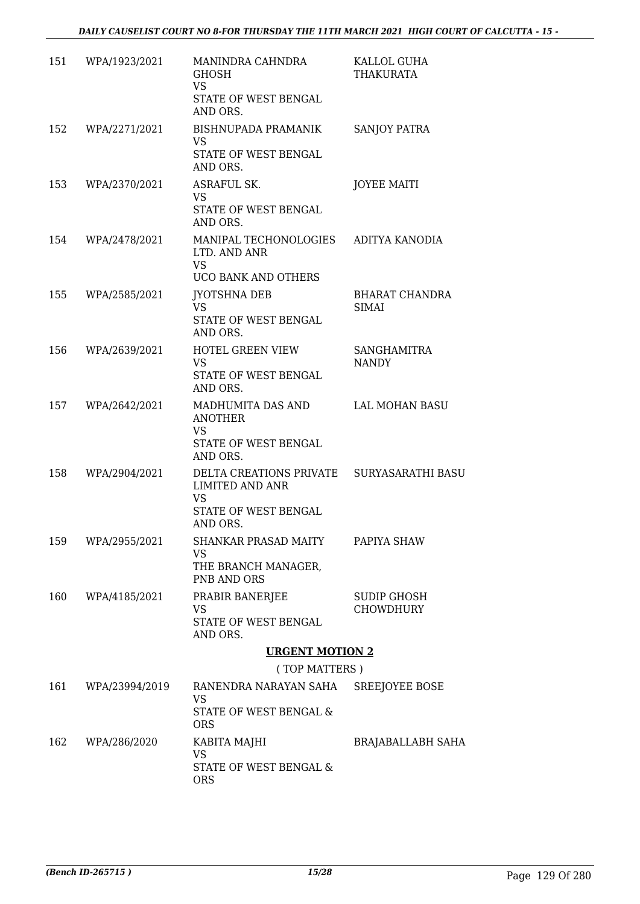| 151 | WPA/1923/2021      | MANINDRA CAHNDRA<br><b>GHOSH</b><br><b>VS</b><br>STATE OF WEST BENGAL<br>AND ORS.                        | KALLOL GUHA<br><b>THAKURATA</b>        |
|-----|--------------------|----------------------------------------------------------------------------------------------------------|----------------------------------------|
| 152 | WPA/2271/2021      | <b>BISHNUPADA PRAMANIK</b><br>VS                                                                         | <b>SANJOY PATRA</b>                    |
|     |                    | STATE OF WEST BENGAL<br>AND ORS.                                                                         |                                        |
| 153 | WPA/2370/2021      | ASRAFUL SK.<br><b>VS</b><br>STATE OF WEST BENGAL<br>AND ORS.                                             | <b>JOYEE MAITI</b>                     |
| 154 | WPA/2478/2021      | MANIPAL TECHONOLOGIES<br>LTD. AND ANR<br><b>VS</b>                                                       | ADITYA KANODIA                         |
|     |                    | UCO BANK AND OTHERS                                                                                      |                                        |
| 155 | WPA/2585/2021      | JYOTSHNA DEB<br><b>VS</b><br>STATE OF WEST BENGAL                                                        | <b>BHARAT CHANDRA</b><br><b>SIMAI</b>  |
|     |                    | AND ORS.                                                                                                 |                                        |
| 156 | WPA/2639/2021      | HOTEL GREEN VIEW<br><b>VS</b><br>STATE OF WEST BENGAL<br>AND ORS.                                        | <b>SANGHAMITRA</b><br><b>NANDY</b>     |
| 157 | WPA/2642/2021      | MADHUMITA DAS AND<br><b>ANOTHER</b><br><b>VS</b>                                                         | LAL MOHAN BASU                         |
|     |                    | STATE OF WEST BENGAL<br>AND ORS.                                                                         |                                        |
| 158 | WPA/2904/2021      | DELTA CREATIONS PRIVATE SURYASARATHI BASU<br><b>LIMITED AND ANR</b><br><b>VS</b><br>STATE OF WEST BENGAL |                                        |
| 159 | WPA/2955/2021      | AND ORS.<br>SHANKAR PRASAD MAITY                                                                         | PAPIYA SHAW                            |
|     |                    | VS.<br>THE BRANCH MANAGER,<br>PNB AND ORS                                                                |                                        |
| 160 | WPA/4185/2021      | PRABIR BANERJEE<br>VS<br>STATE OF WEST BENGAL<br>AND ORS.                                                | <b>SUDIP GHOSH</b><br><b>CHOWDHURY</b> |
|     |                    | <b>URGENT MOTION 2</b>                                                                                   |                                        |
|     |                    | (TOP MATTERS)                                                                                            |                                        |
|     | 161 WPA/23994/2019 | RANENDRA NARAYAN SAHA SREEJOYEE BOSE<br>VS.                                                              |                                        |
|     |                    | STATE OF WEST BENGAL &<br><b>ORS</b>                                                                     |                                        |
| 162 | WPA/286/2020       | KABITA MAJHI<br><b>VS</b>                                                                                | <b>BRAJABALLABH SAHA</b>               |
|     |                    | STATE OF WEST BENGAL &<br><b>ORS</b>                                                                     |                                        |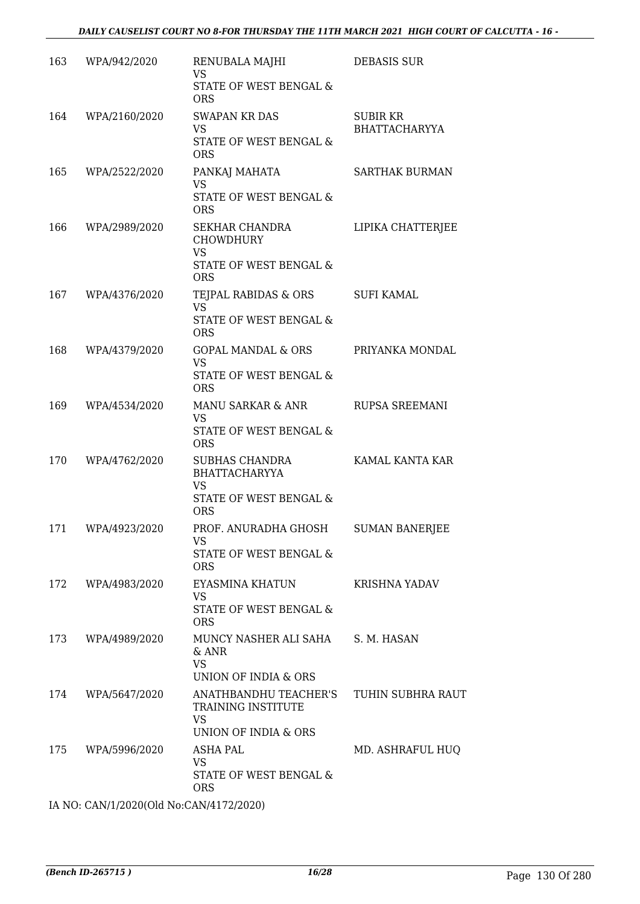| 163 | WPA/942/2020      | RENUBALA MAJHI<br><b>VS</b>                                                                 | <b>DEBASIS SUR</b>                      |
|-----|-------------------|---------------------------------------------------------------------------------------------|-----------------------------------------|
|     |                   | STATE OF WEST BENGAL &<br><b>ORS</b>                                                        |                                         |
| 164 | WPA/2160/2020     | <b>SWAPAN KR DAS</b><br><b>VS</b><br>STATE OF WEST BENGAL &<br><b>ORS</b>                   | <b>SUBIR KR</b><br><b>BHATTACHARYYA</b> |
| 165 | WPA/2522/2020     | PANKAJ MAHATA<br><b>VS</b><br>STATE OF WEST BENGAL &<br><b>ORS</b>                          | <b>SARTHAK BURMAN</b>                   |
| 166 | WPA/2989/2020     | SEKHAR CHANDRA<br><b>CHOWDHURY</b><br><b>VS</b><br>STATE OF WEST BENGAL &<br><b>ORS</b>     | LIPIKA CHATTERJEE                       |
| 167 | WPA/4376/2020     | TEJPAL RABIDAS & ORS<br><b>VS</b><br>STATE OF WEST BENGAL &<br><b>ORS</b>                   | <b>SUFI KAMAL</b>                       |
| 168 | WPA/4379/2020     | GOPAL MANDAL & ORS PRIYANKA MONDAL<br><b>VS</b><br>STATE OF WEST BENGAL &<br><b>ORS</b>     |                                         |
|     | 169 WPA/4534/2020 | MANU SARKAR & ANR<br>VS<br>STATE OF WEST BENGAL &<br><b>ORS</b>                             | RUPSA SREEMANI                          |
| 170 | WPA/4762/2020     | SUBHAS CHANDRA<br><b>BHATTACHARYYA</b><br><b>VS</b><br>STATE OF WEST BENGAL &<br><b>ORS</b> | KAMAL KANTA KAR                         |
| 171 | WPA/4923/2020     | PROF. ANURADHA GHOSH<br>VS<br>STATE OF WEST BENGAL &<br><b>ORS</b>                          | <b>SUMAN BANERJEE</b>                   |
| 172 | WPA/4983/2020     | EYASMINA KHATUN<br>VS<br>STATE OF WEST BENGAL &<br><b>ORS</b>                               | KRISHNA YADAV                           |
| 173 | WPA/4989/2020     | MUNCY NASHER ALI SAHA<br>$&$ ANR<br><b>VS</b><br><b>UNION OF INDIA &amp; ORS</b>            | S. M. HASAN                             |
| 174 | WPA/5647/2020     | ANATHBANDHU TEACHER'S<br>TRAINING INSTITUTE<br><b>VS</b><br>UNION OF INDIA & ORS            | TUHIN SUBHRA RAUT                       |
| 175 | WPA/5996/2020     | ASHA PAL<br>VS<br>STATE OF WEST BENGAL &<br><b>ORS</b>                                      | MD. ASHRAFUL HUQ                        |

IA NO: CAN/1/2020(Old No:CAN/4172/2020)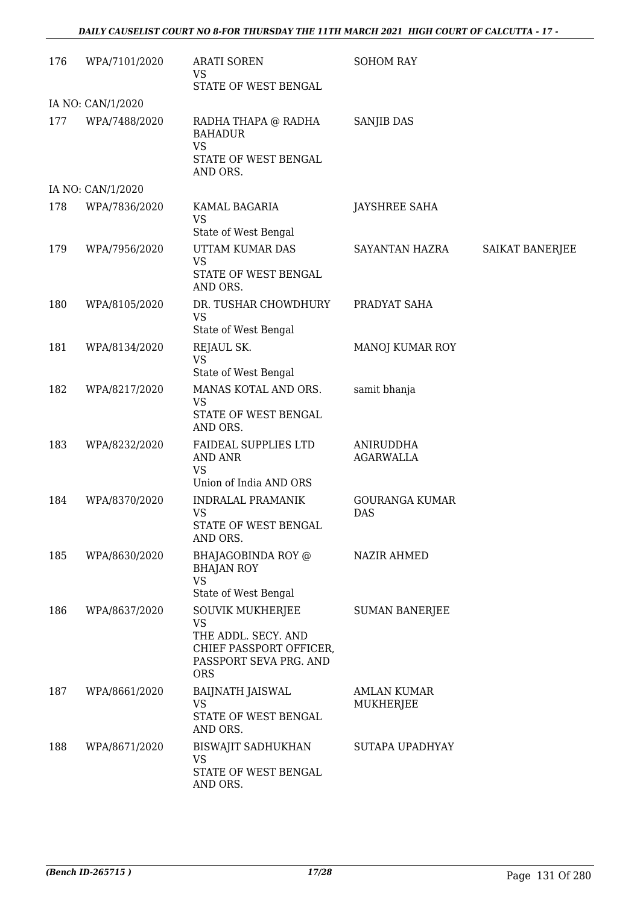| 176 | WPA/7101/2020     | <b>ARATI SOREN</b><br>VS<br>STATE OF WEST BENGAL                                                                               | <b>SOHOM RAY</b>                |                        |
|-----|-------------------|--------------------------------------------------------------------------------------------------------------------------------|---------------------------------|------------------------|
|     | IA NO: CAN/1/2020 |                                                                                                                                |                                 |                        |
| 177 | WPA/7488/2020     | RADHA THAPA @ RADHA<br><b>BAHADUR</b><br><b>VS</b><br>STATE OF WEST BENGAL<br>AND ORS.                                         | <b>SANJIB DAS</b>               |                        |
|     | IA NO: CAN/1/2020 |                                                                                                                                |                                 |                        |
| 178 | WPA/7836/2020     | KAMAL BAGARIA<br><b>VS</b><br>State of West Bengal                                                                             | JAYSHREE SAHA                   |                        |
| 179 | WPA/7956/2020     | UTTAM KUMAR DAS<br><b>VS</b><br>STATE OF WEST BENGAL<br>AND ORS.                                                               | SAYANTAN HAZRA                  | <b>SAIKAT BANERJEE</b> |
| 180 | WPA/8105/2020     | DR. TUSHAR CHOWDHURY<br><b>VS</b><br>State of West Bengal                                                                      | PRADYAT SAHA                    |                        |
| 181 | WPA/8134/2020     | REJAUL SK.<br><b>VS</b><br>State of West Bengal                                                                                | MANOJ KUMAR ROY                 |                        |
| 182 | WPA/8217/2020     | MANAS KOTAL AND ORS.<br><b>VS</b><br>STATE OF WEST BENGAL<br>AND ORS.                                                          | samit bhanja                    |                        |
| 183 | WPA/8232/2020     | FAIDEAL SUPPLIES LTD<br><b>AND ANR</b><br><b>VS</b><br>Union of India AND ORS                                                  | ANIRUDDHA<br><b>AGARWALLA</b>   |                        |
| 184 | WPA/8370/2020     | <b>INDRALAL PRAMANIK</b><br><b>VS</b><br>STATE OF WEST BENGAL<br>AND ORS.                                                      | <b>GOURANGA KUMAR</b><br>DAS    |                        |
| 185 | WPA/8630/2020     | BHAJAGOBINDA ROY @<br><b>BHAJAN ROY</b><br>VS<br>State of West Bengal                                                          | <b>NAZIR AHMED</b>              |                        |
| 186 | WPA/8637/2020     | <b>SOUVIK MUKHERJEE</b><br><b>VS</b><br>THE ADDL. SECY. AND<br>CHIEF PASSPORT OFFICER,<br>PASSPORT SEVA PRG. AND<br><b>ORS</b> | <b>SUMAN BANERJEE</b>           |                        |
| 187 | WPA/8661/2020     | BAIJNATH JAISWAL<br><b>VS</b><br>STATE OF WEST BENGAL<br>AND ORS.                                                              | <b>AMLAN KUMAR</b><br>MUKHERJEE |                        |
| 188 | WPA/8671/2020     | <b>BISWAJIT SADHUKHAN</b><br>VS<br>STATE OF WEST BENGAL<br>AND ORS.                                                            | SUTAPA UPADHYAY                 |                        |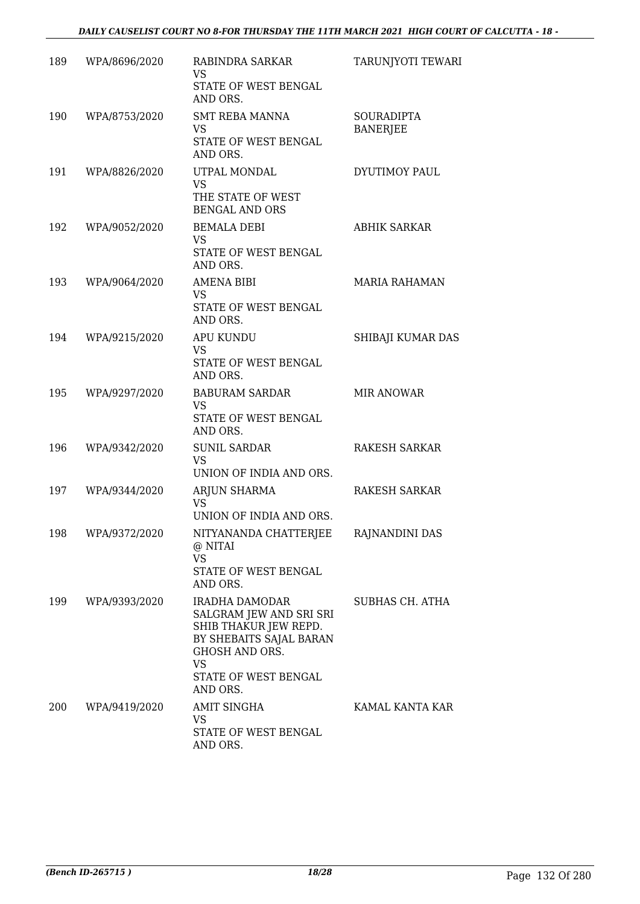| 189 | WPA/8696/2020     | RABINDRA SARKAR<br>VS<br>STATE OF WEST BENGAL<br>AND ORS.                                                                                                               | TARUNJYOTI TEWARI                    |
|-----|-------------------|-------------------------------------------------------------------------------------------------------------------------------------------------------------------------|--------------------------------------|
| 190 | WPA/8753/2020     | <b>SMT REBA MANNA</b><br>VS<br>STATE OF WEST BENGAL<br>AND ORS.                                                                                                         | <b>SOURADIPTA</b><br><b>BANERJEE</b> |
| 191 | WPA/8826/2020     | UTPAL MONDAL<br><b>VS</b><br>THE STATE OF WEST<br><b>BENGAL AND ORS</b>                                                                                                 | DYUTIMOY PAUL                        |
| 192 | WPA/9052/2020     | <b>BEMALA DEBI</b><br><b>VS</b><br>STATE OF WEST BENGAL<br>AND ORS.                                                                                                     | <b>ABHIK SARKAR</b>                  |
| 193 | WPA/9064/2020     | <b>AMENA BIBI</b><br><b>VS</b><br>STATE OF WEST BENGAL<br>AND ORS.                                                                                                      | <b>MARIA RAHAMAN</b>                 |
| 194 | WPA/9215/2020     | <b>APU KUNDU</b><br><b>VS</b><br>STATE OF WEST BENGAL<br>AND ORS.                                                                                                       | SHIBAJI KUMAR DAS                    |
| 195 | WPA/9297/2020     | <b>BABURAM SARDAR</b><br><b>VS</b><br>STATE OF WEST BENGAL<br>AND ORS.                                                                                                  | <b>MIR ANOWAR</b>                    |
| 196 | WPA/9342/2020     | <b>SUNIL SARDAR</b><br><b>VS</b><br>UNION OF INDIA AND ORS.                                                                                                             | <b>RAKESH SARKAR</b>                 |
| 197 | WPA/9344/2020     | ARJUN SHARMA<br>VS.<br>UNION OF INDIA AND ORS.                                                                                                                          | RAKESH SARKAR                        |
|     | 198 WPA/9372/2020 | NITYANANDA CHATTERJEE<br>@ NITAI<br><b>VS</b><br>STATE OF WEST BENGAL<br>AND ORS.                                                                                       | RAJNANDINI DAS                       |
| 199 | WPA/9393/2020     | <b>IRADHA DAMODAR</b><br>SALGRAM JEW AND SRI SRI<br>SHIB THAKUR JEW REPD.<br>BY SHEBAITS SAJAL BARAN<br><b>GHOSH AND ORS.</b><br>VS<br>STATE OF WEST BENGAL<br>AND ORS. | SUBHAS CH. ATHA                      |
| 200 | WPA/9419/2020     | <b>AMIT SINGHA</b><br>VS<br>STATE OF WEST BENGAL<br>AND ORS.                                                                                                            | KAMAL KANTA KAR                      |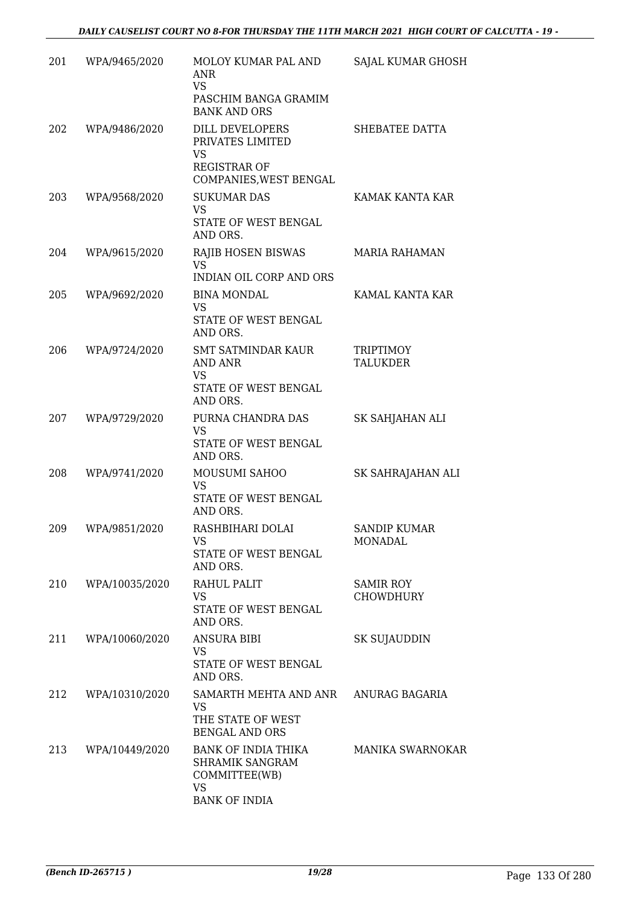| 201 | WPA/9465/2020  | MOLOY KUMAR PAL AND<br><b>ANR</b><br><b>VS</b><br>PASCHIM BANGA GRAMIM<br><b>BANK AND ORS</b> | SAJAL KUMAR GHOSH                     |
|-----|----------------|-----------------------------------------------------------------------------------------------|---------------------------------------|
| 202 | WPA/9486/2020  | DILL DEVELOPERS<br>PRIVATES LIMITED<br>VS<br><b>REGISTRAR OF</b><br>COMPANIES, WEST BENGAL    | SHEBATEE DATTA                        |
| 203 | WPA/9568/2020  | <b>SUKUMAR DAS</b><br><b>VS</b><br>STATE OF WEST BENGAL<br>AND ORS.                           | KAMAK KANTA KAR                       |
| 204 | WPA/9615/2020  | RAJIB HOSEN BISWAS<br><b>VS</b><br><b>INDIAN OIL CORP AND ORS</b>                             | <b>MARIA RAHAMAN</b>                  |
| 205 | WPA/9692/2020  | <b>BINA MONDAL</b><br><b>VS</b><br>STATE OF WEST BENGAL<br>AND ORS.                           | KAMAL KANTA KAR                       |
| 206 | WPA/9724/2020  | <b>SMT SATMINDAR KAUR</b><br><b>AND ANR</b><br><b>VS</b><br>STATE OF WEST BENGAL<br>AND ORS.  | <b>TRIPTIMOY</b><br><b>TALUKDER</b>   |
| 207 | WPA/9729/2020  | PURNA CHANDRA DAS<br><b>VS</b><br>STATE OF WEST BENGAL<br>AND ORS.                            | SK SAHJAHAN ALI                       |
| 208 | WPA/9741/2020  | MOUSUMI SAHOO<br>VS<br>STATE OF WEST BENGAL<br>AND ORS.                                       | SK SAHRAJAHAN ALI                     |
| 209 | WPA/9851/2020  | RASHBIHARI DOLAI<br>VS<br>STATE OF WEST BENGAL<br>AND ORS.                                    | <b>SANDIP KUMAR</b><br><b>MONADAL</b> |
| 210 | WPA/10035/2020 | RAHUL PALIT<br><b>VS</b><br>STATE OF WEST BENGAL<br>AND ORS.                                  | SAMIR ROY<br>CHOWDHURY                |
| 211 | WPA/10060/2020 | <b>ANSURA BIBI</b><br><b>VS</b><br>STATE OF WEST BENGAL<br>AND ORS.                           | SK SUJAUDDIN                          |
| 212 | WPA/10310/2020 | SAMARTH MEHTA AND ANR<br><b>VS</b><br>THE STATE OF WEST<br><b>BENGAL AND ORS</b>              | ANURAG BAGARIA                        |
| 213 | WPA/10449/2020 | BANK OF INDIA THIKA<br>SHRAMIK SANGRAM<br>COMMITTEE(WB)<br><b>VS</b><br><b>BANK OF INDIA</b>  | <b>MANIKA SWARNOKAR</b>               |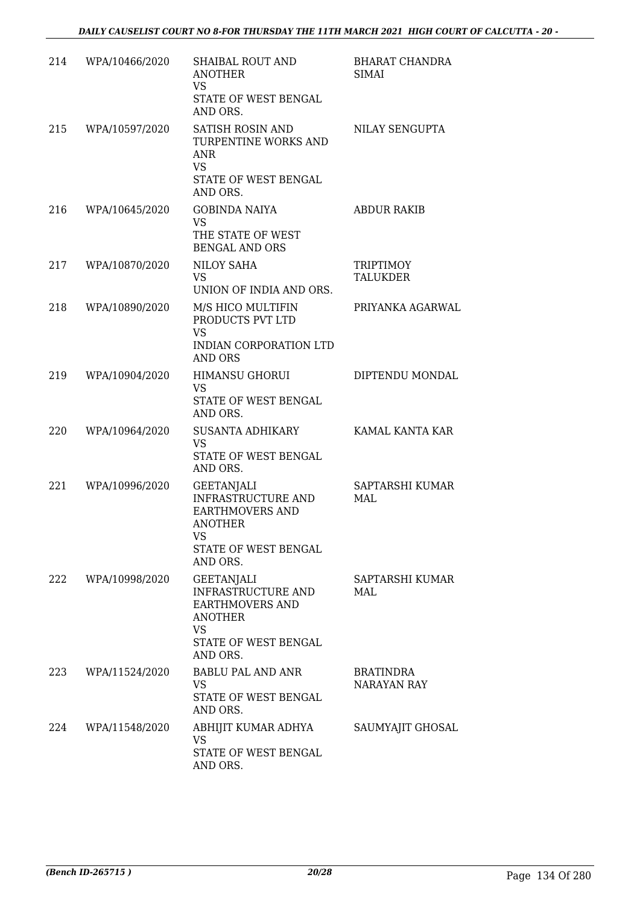| 214 | WPA/10466/2020 | <b>SHAIBAL ROUT AND</b><br><b>ANOTHER</b><br>VS<br>STATE OF WEST BENGAL<br>AND ORS.                                                  | <b>BHARAT CHANDRA</b><br>SIMAI |
|-----|----------------|--------------------------------------------------------------------------------------------------------------------------------------|--------------------------------|
| 215 | WPA/10597/2020 | SATISH ROSIN AND<br>TURPENTINE WORKS AND<br>ANR<br><b>VS</b><br>STATE OF WEST BENGAL<br>AND ORS.                                     | NILAY SENGUPTA                 |
| 216 | WPA/10645/2020 | <b>GOBINDA NAIYA</b><br><b>VS</b><br>THE STATE OF WEST<br><b>BENGAL AND ORS</b>                                                      | <b>ABDUR RAKIB</b>             |
| 217 | WPA/10870/2020 | NILOY SAHA<br><b>VS</b><br>UNION OF INDIA AND ORS.                                                                                   | <b>TRIPTIMOY</b><br>TALUKDER   |
| 218 | WPA/10890/2020 | M/S HICO MULTIFIN<br>PRODUCTS PVT LTD<br><b>VS</b><br><b>INDIAN CORPORATION LTD</b><br>AND ORS                                       | PRIYANKA AGARWAL               |
| 219 | WPA/10904/2020 | <b>HIMANSU GHORUI</b><br><b>VS</b><br>STATE OF WEST BENGAL<br>AND ORS.                                                               | DIPTENDU MONDAL                |
| 220 | WPA/10964/2020 | SUSANTA ADHIKARY<br><b>VS</b><br>STATE OF WEST BENGAL<br>AND ORS.                                                                    | KAMAL KANTA KAR                |
| 221 | WPA/10996/2020 | <b>GEETANJALI</b><br><b>INFRASTRUCTURE AND</b><br><b>EARTHMOVERS AND</b><br><b>ANOTHER</b><br>VS<br>STATE OF WEST BENGAL<br>AND ORS. | SAPTARSHI KUMAR<br>MAI.        |
| 222 | WPA/10998/2020 | <b>GEETANJALI</b><br>INFRASTRUCTURE AND<br><b>EARTHMOVERS AND</b><br><b>ANOTHER</b><br>VS<br>STATE OF WEST BENGAL<br>AND ORS.        | SAPTARSHI KUMAR<br>MAL         |
| 223 | WPA/11524/2020 | <b>BABLU PAL AND ANR</b><br>VS<br>STATE OF WEST BENGAL<br>AND ORS.                                                                   | BRATINDRA<br>NARAYAN RAY       |
| 224 | WPA/11548/2020 | ABHIJIT KUMAR ADHYA<br>VS<br>STATE OF WEST BENGAL<br>AND ORS.                                                                        | SAUMYAJIT GHOSAL               |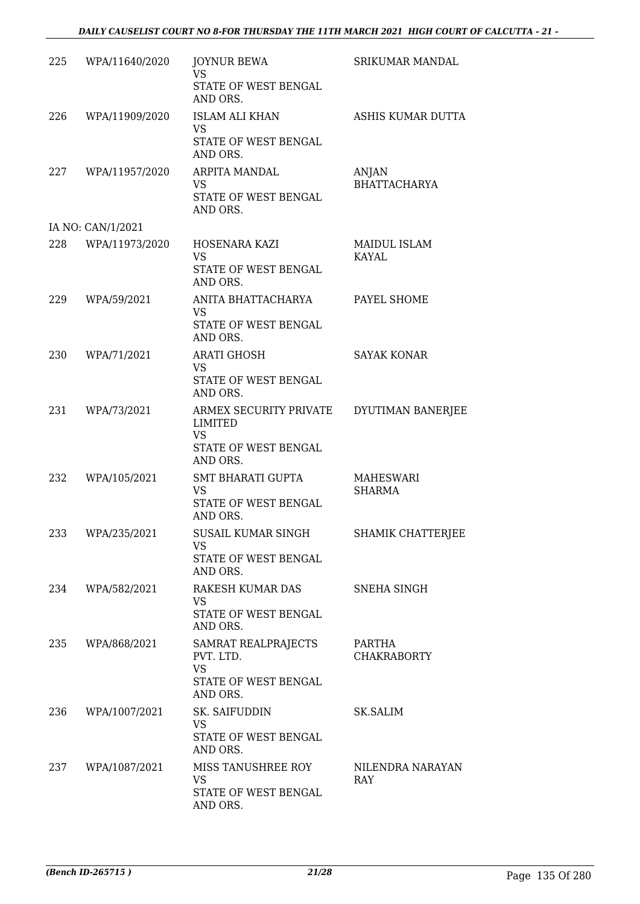|     | 225 WPA/11640/2020 | <b>JOYNUR BEWA</b><br><b>VS</b><br>STATE OF WEST BENGAL<br>AND ORS.                | SRIKUMAR MANDAL              |
|-----|--------------------|------------------------------------------------------------------------------------|------------------------------|
| 226 | WPA/11909/2020     | <b>ISLAM ALI KHAN</b><br>VS<br>STATE OF WEST BENGAL<br>AND ORS.                    | ASHIS KUMAR DUTTA            |
| 227 | WPA/11957/2020     | ARPITA MANDAL<br><b>VS</b><br>STATE OF WEST BENGAL<br>AND ORS.                     | ANJAN<br><b>BHATTACHARYA</b> |
|     | IA NO: CAN/1/2021  |                                                                                    |                              |
| 228 | WPA/11973/2020     | HOSENARA KAZI<br><b>VS</b><br>STATE OF WEST BENGAL<br>AND ORS.                     | MAIDUL ISLAM<br>KAYAL        |
| 229 | WPA/59/2021        | ANITA BHATTACHARYA<br><b>VS</b><br>STATE OF WEST BENGAL<br>AND ORS.                | PAYEL SHOME                  |
| 230 | WPA/71/2021        | <b>ARATI GHOSH</b><br>VS<br>STATE OF WEST BENGAL<br>AND ORS.                       | <b>SAYAK KONAR</b>           |
| 231 | WPA/73/2021        | ARMEX SECURITY PRIVATE<br>LIMITED<br><b>VS</b><br>STATE OF WEST BENGAL<br>AND ORS. | DYUTIMAN BANERJEE            |
| 232 | WPA/105/2021       | SMT BHARATI GUPTA<br><b>VS</b><br>STATE OF WEST BENGAL<br>AND ORS.                 | MAHESWARI<br><b>SHARMA</b>   |
|     | 233 WPA/235/2021   | SUSAIL KUMAR SINGH<br>VS.<br>STATE OF WEST BENGAL<br>AND ORS.                      | SHAMIK CHATTERJEE            |
| 234 | WPA/582/2021       | RAKESH KUMAR DAS<br>VS.<br>STATE OF WEST BENGAL<br>AND ORS.                        | SNEHA SINGH                  |
| 235 | WPA/868/2021       | SAMRAT REALPRAJECTS<br>PVT. LTD.<br><b>VS</b><br>STATE OF WEST BENGAL<br>AND ORS.  | PARTHA<br><b>CHAKRABORTY</b> |
| 236 | WPA/1007/2021      | SK. SAIFUDDIN<br><b>VS</b><br>STATE OF WEST BENGAL<br>AND ORS.                     | SK.SALIM                     |
| 237 | WPA/1087/2021      | MISS TANUSHREE ROY<br>VS<br>STATE OF WEST BENGAL<br>AND ORS.                       | NILENDRA NARAYAN<br>RAY      |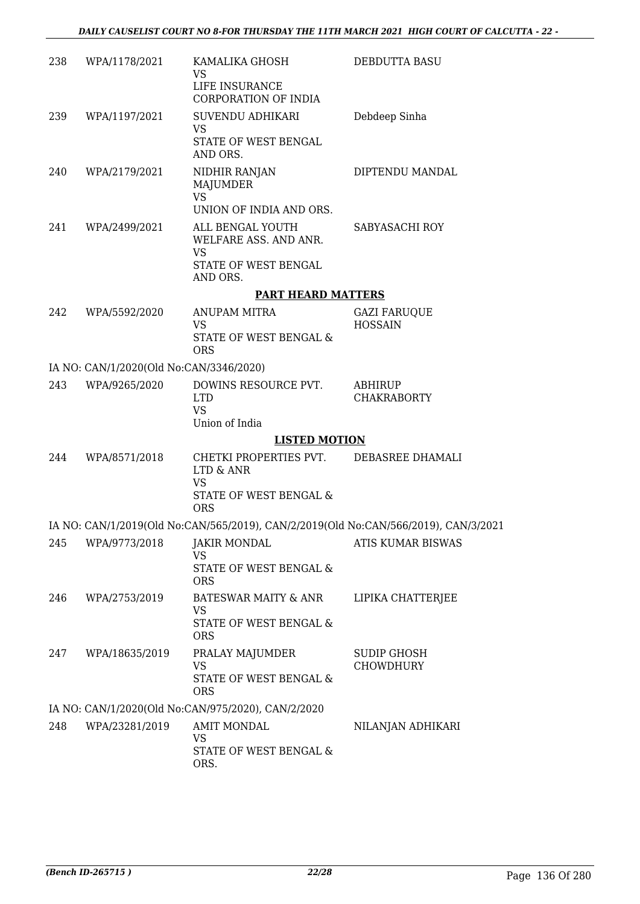| 238 | WPA/1178/2021                           | KAMALIKA GHOSH<br>VS                                                                | DEBDUTTA BASU                         |
|-----|-----------------------------------------|-------------------------------------------------------------------------------------|---------------------------------------|
|     |                                         | LIFE INSURANCE<br><b>CORPORATION OF INDIA</b>                                       |                                       |
| 239 | WPA/1197/2021                           | SUVENDU ADHIKARI<br><b>VS</b>                                                       | Debdeep Sinha                         |
|     |                                         | STATE OF WEST BENGAL<br>AND ORS.                                                    |                                       |
| 240 | WPA/2179/2021                           | NIDHIR RANJAN<br>MAJUMDER<br><b>VS</b>                                              | DIPTENDU MANDAL                       |
|     |                                         | UNION OF INDIA AND ORS.                                                             |                                       |
| 241 | WPA/2499/2021                           | ALL BENGAL YOUTH<br>WELFARE ASS. AND ANR.<br>VS<br>STATE OF WEST BENGAL             | SABYASACHI ROY                        |
|     |                                         | AND ORS.                                                                            |                                       |
|     |                                         | <b>PART HEARD MATTERS</b>                                                           |                                       |
| 242 | WPA/5592/2020                           | ANUPAM MITRA<br><b>VS</b><br>STATE OF WEST BENGAL &                                 | <b>GAZI FARUQUE</b><br><b>HOSSAIN</b> |
|     |                                         | <b>ORS</b>                                                                          |                                       |
|     | IA NO: CAN/1/2020(Old No:CAN/3346/2020) |                                                                                     |                                       |
| 243 | WPA/9265/2020                           | DOWINS RESOURCE PVT.<br><b>LTD</b><br><b>VS</b>                                     | ABHIRUP<br><b>CHAKRABORTY</b>         |
|     |                                         | Union of India                                                                      |                                       |
|     |                                         | <b>LISTED MOTION</b>                                                                |                                       |
| 244 | WPA/8571/2018                           | CHETKI PROPERTIES PVT. DEBASREE DHAMALI<br>LTD & ANR<br><b>VS</b>                   |                                       |
|     |                                         | STATE OF WEST BENGAL &<br><b>ORS</b>                                                |                                       |
|     |                                         | IA NO: CAN/1/2019(Old No:CAN/565/2019), CAN/2/2019(Old No:CAN/566/2019), CAN/3/2021 |                                       |
|     | 245 WPA/9773/2018                       | <b>JAKIR MONDAL</b><br>VS.                                                          | ATIS KUMAR BISWAS                     |
|     |                                         | STATE OF WEST BENGAL &<br><b>ORS</b>                                                |                                       |
| 246 | WPA/2753/2019                           | BATESWAR MAITY & ANR<br>VS.                                                         | LIPIKA CHATTERJEE                     |
|     |                                         | STATE OF WEST BENGAL &<br><b>ORS</b>                                                |                                       |
| 247 | WPA/18635/2019                          | PRALAY MAJUMDER<br>VS                                                               | SUDIP GHOSH<br><b>CHOWDHURY</b>       |
|     |                                         | STATE OF WEST BENGAL &<br><b>ORS</b>                                                |                                       |
|     |                                         | IA NO: CAN/1/2020(Old No:CAN/975/2020), CAN/2/2020                                  |                                       |
| 248 | WPA/23281/2019                          | <b>AMIT MONDAL</b><br>VS                                                            | NILANJAN ADHIKARI                     |
|     |                                         | STATE OF WEST BENGAL &<br>ORS.                                                      |                                       |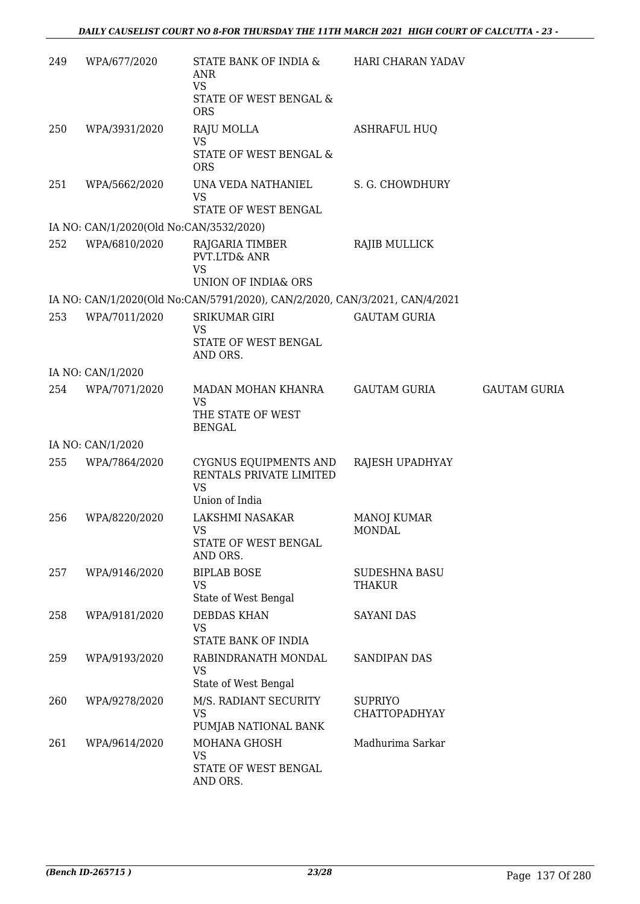| 249 | WPA/677/2020                            | STATE BANK OF INDIA &<br>ANR<br><b>VS</b><br>STATE OF WEST BENGAL &<br><b>ORS</b> | HARI CHARAN YADAV                      |                     |
|-----|-----------------------------------------|-----------------------------------------------------------------------------------|----------------------------------------|---------------------|
| 250 | WPA/3931/2020                           | RAJU MOLLA<br><b>VS</b><br>STATE OF WEST BENGAL &<br><b>ORS</b>                   | <b>ASHRAFUL HUQ</b>                    |                     |
| 251 | WPA/5662/2020                           | UNA VEDA NATHANIEL<br><b>VS</b><br>STATE OF WEST BENGAL                           | S. G. CHOWDHURY                        |                     |
|     | IA NO: CAN/1/2020(Old No:CAN/3532/2020) |                                                                                   |                                        |                     |
| 252 | WPA/6810/2020                           | RAJGARIA TIMBER<br>PVT.LTD& ANR<br><b>VS</b><br>UNION OF INDIA& ORS               | RAJIB MULLICK                          |                     |
|     |                                         | IA NO: CAN/1/2020(Old No:CAN/5791/2020), CAN/2/2020, CAN/3/2021, CAN/4/2021       |                                        |                     |
| 253 | WPA/7011/2020                           | SRIKUMAR GIRI<br><b>VS</b><br>STATE OF WEST BENGAL<br>AND ORS.                    | <b>GAUTAM GURIA</b>                    |                     |
|     | IA NO: CAN/1/2020                       |                                                                                   |                                        |                     |
| 254 | WPA/7071/2020                           | MADAN MOHAN KHANRA<br><b>VS</b><br>THE STATE OF WEST                              | <b>GAUTAM GURIA</b>                    | <b>GAUTAM GURIA</b> |
|     | IA NO: CAN/1/2020                       | <b>BENGAL</b>                                                                     |                                        |                     |
| 255 | WPA/7864/2020                           | CYGNUS EQUIPMENTS AND<br>RENTALS PRIVATE LIMITED<br><b>VS</b><br>Union of India   | RAJESH UPADHYAY                        |                     |
| 256 | WPA/8220/2020                           | LAKSHMI NASAKAR<br><b>VS</b><br>STATE OF WEST BENGAL<br>AND ORS.                  | <b>MANOJ KUMAR</b><br><b>MONDAL</b>    |                     |
| 257 | WPA/9146/2020                           | <b>BIPLAB BOSE</b><br><b>VS</b><br>State of West Bengal                           | <b>SUDESHNA BASU</b><br><b>THAKUR</b>  |                     |
| 258 | WPA/9181/2020                           | <b>DEBDAS KHAN</b><br><b>VS</b><br>STATE BANK OF INDIA                            | <b>SAYANI DAS</b>                      |                     |
| 259 | WPA/9193/2020                           | RABINDRANATH MONDAL<br><b>VS</b><br>State of West Bengal                          | <b>SANDIPAN DAS</b>                    |                     |
| 260 | WPA/9278/2020                           | M/S. RADIANT SECURITY<br><b>VS</b><br>PUMJAB NATIONAL BANK                        | <b>SUPRIYO</b><br><b>CHATTOPADHYAY</b> |                     |
| 261 | WPA/9614/2020                           | MOHANA GHOSH<br><b>VS</b><br>STATE OF WEST BENGAL<br>AND ORS.                     | Madhurima Sarkar                       |                     |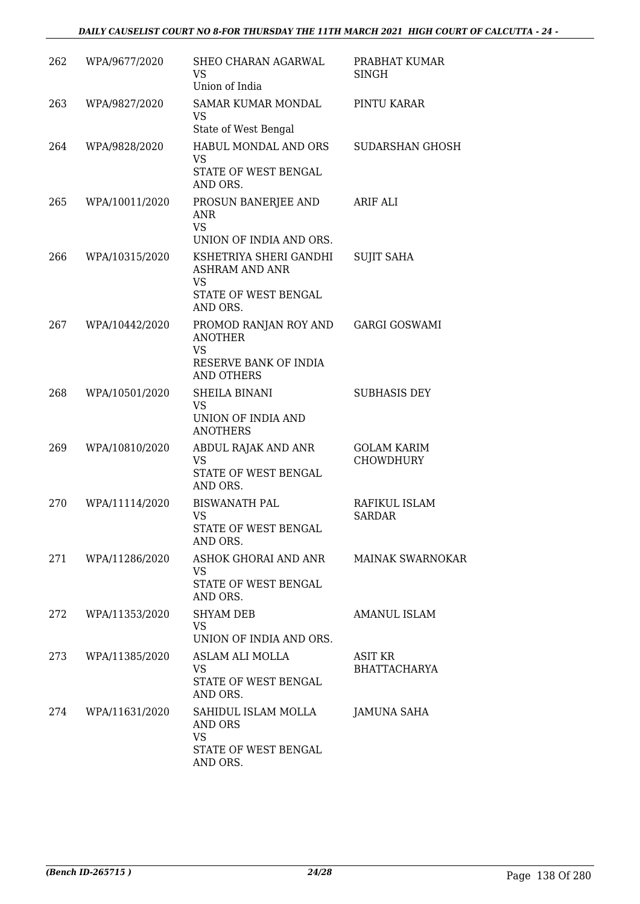#### *DAILY CAUSELIST COURT NO 8-FOR THURSDAY THE 11TH MARCH 2021 HIGH COURT OF CALCUTTA - 24 -*

| 262 | WPA/9677/2020  | SHEO CHARAN AGARWAL<br>VS<br>Union of India                                                        | PRABHAT KUMAR<br><b>SINGH</b>          |
|-----|----------------|----------------------------------------------------------------------------------------------------|----------------------------------------|
| 263 | WPA/9827/2020  | <b>SAMAR KUMAR MONDAL</b><br>VS<br>State of West Bengal                                            | PINTU KARAR                            |
| 264 | WPA/9828/2020  | HABUL MONDAL AND ORS<br>VS<br>STATE OF WEST BENGAL<br>AND ORS.                                     | SUDARSHAN GHOSH                        |
| 265 | WPA/10011/2020 | PROSUN BANERJEE AND<br>ANR.<br><b>VS</b><br>UNION OF INDIA AND ORS.                                | ARIF ALI                               |
| 266 | WPA/10315/2020 | KSHETRIYA SHERI GANDHI<br><b>ASHRAM AND ANR</b><br><b>VS</b><br>STATE OF WEST BENGAL<br>AND ORS.   | <b>SUJIT SAHA</b>                      |
| 267 | WPA/10442/2020 | PROMOD RANJAN ROY AND<br><b>ANOTHER</b><br><b>VS</b><br>RESERVE BANK OF INDIA<br><b>AND OTHERS</b> | <b>GARGI GOSWAMI</b>                   |
| 268 | WPA/10501/2020 | SHEILA BINANI<br><b>VS</b><br>UNION OF INDIA AND<br><b>ANOTHERS</b>                                | <b>SUBHASIS DEY</b>                    |
| 269 | WPA/10810/2020 | ABDUL RAJAK AND ANR<br><b>VS</b><br>STATE OF WEST BENGAL<br>AND ORS.                               | <b>GOLAM KARIM</b><br><b>CHOWDHURY</b> |
| 270 | WPA/11114/2020 | <b>BISWANATH PAL</b><br><b>VS</b><br>STATE OF WEST BENGAL<br>AND ORS.                              | RAFIKUL ISLAM<br><b>SARDAR</b>         |
| 271 | WPA/11286/2020 | ASHOK GHORAI AND ANR<br>VS<br>STATE OF WEST BENGAL<br>AND ORS.                                     | <b>MAINAK SWARNOKAR</b>                |
| 272 | WPA/11353/2020 | <b>SHYAM DEB</b><br>VS<br>UNION OF INDIA AND ORS.                                                  | AMANUL ISLAM                           |
| 273 | WPA/11385/2020 | ASLAM ALI MOLLA<br><b>VS</b><br>STATE OF WEST BENGAL<br>AND ORS.                                   | <b>ASIT KR</b><br><b>BHATTACHARYA</b>  |
| 274 | WPA/11631/2020 | SAHIDUL ISLAM MOLLA<br>AND ORS<br><b>VS</b><br>STATE OF WEST BENGAL<br>AND ORS.                    | JAMUNA SAHA                            |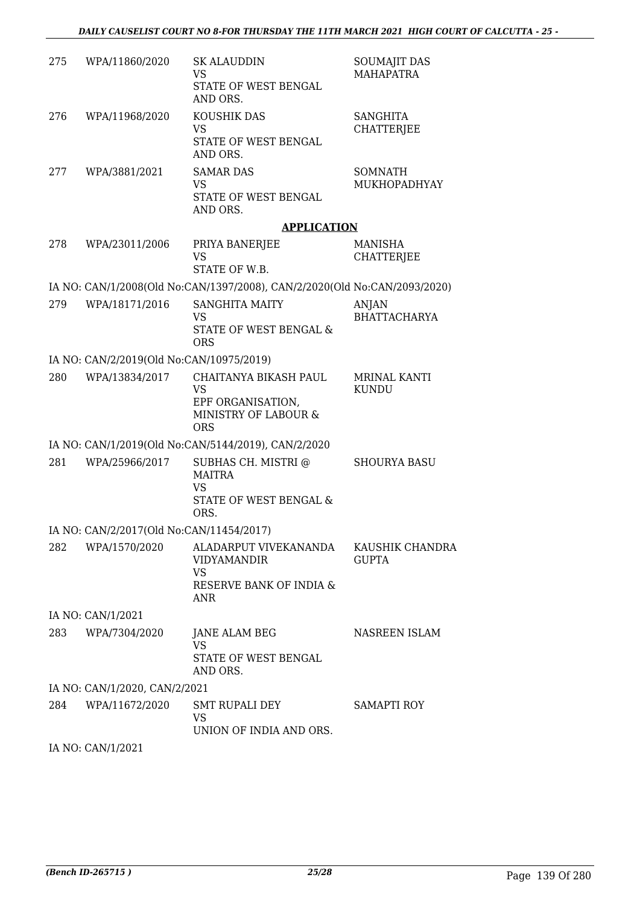| 275 | WPA/11860/2020                           | <b>SK ALAUDDIN</b><br><b>VS</b><br>STATE OF WEST BENGAL                                       | <b>SOUMAJIT DAS</b><br><b>MAHAPATRA</b> |
|-----|------------------------------------------|-----------------------------------------------------------------------------------------------|-----------------------------------------|
| 276 | WPA/11968/2020                           | AND ORS.<br>KOUSHIK DAS<br><b>VS</b><br>STATE OF WEST BENGAL                                  | <b>SANGHITA</b><br><b>CHATTERJEE</b>    |
| 277 | WPA/3881/2021                            | AND ORS.<br><b>SAMAR DAS</b><br>VS<br>STATE OF WEST BENGAL                                    | <b>SOMNATH</b><br>MUKHOPADHYAY          |
|     |                                          | AND ORS.<br><b>APPLICATION</b>                                                                |                                         |
| 278 | WPA/23011/2006                           | PRIYA BANERJEE<br><b>VS</b><br>STATE OF W.B.                                                  | <b>MANISHA</b><br><b>CHATTERJEE</b>     |
|     |                                          | IA NO: CAN/1/2008(Old No:CAN/1397/2008), CAN/2/2020(Old No:CAN/2093/2020)                     |                                         |
| 279 | WPA/18171/2016                           | <b>SANGHITA MAITY</b><br><b>VS</b><br><b>STATE OF WEST BENGAL &amp;</b><br><b>ORS</b>         | <b>ANJAN</b><br><b>BHATTACHARYA</b>     |
|     | IA NO: CAN/2/2019(Old No:CAN/10975/2019) |                                                                                               |                                         |
| 280 | WPA/13834/2017                           | CHAITANYA BIKASH PAUL<br><b>VS</b><br>EPF ORGANISATION,<br>MINISTRY OF LABOUR &<br><b>ORS</b> | MRINAL KANTI<br><b>KUNDU</b>            |
|     |                                          | IA NO: CAN/1/2019(Old No:CAN/5144/2019), CAN/2/2020                                           |                                         |
| 281 | WPA/25966/2017                           | SUBHAS CH. MISTRI @<br><b>MAITRA</b><br><b>VS</b><br>STATE OF WEST BENGAL &<br>ORS.           | <b>SHOURYA BASU</b>                     |
|     | IA NO: CAN/2/2017(Old No:CAN/11454/2017) |                                                                                               |                                         |
| 282 | WPA/1570/2020                            | ALADARPUT VIVEKANANDA<br><b>VIDYAMANDIR</b><br>VS<br>RESERVE BANK OF INDIA &<br>ANR           | KAUSHIK CHANDRA<br><b>GUPTA</b>         |
|     | IA NO: CAN/1/2021                        |                                                                                               |                                         |
| 283 | WPA/7304/2020                            | JANE ALAM BEG<br><b>VS</b><br>STATE OF WEST BENGAL<br>AND ORS.                                | NASREEN ISLAM                           |
|     | IA NO: CAN/1/2020, CAN/2/2021            |                                                                                               |                                         |
| 284 | WPA/11672/2020 SMT RUPALI DEY            | <b>VS</b>                                                                                     | <b>SAMAPTI ROY</b>                      |
|     |                                          | UNION OF INDIA AND ORS.                                                                       |                                         |

IA NO: CAN/1/2021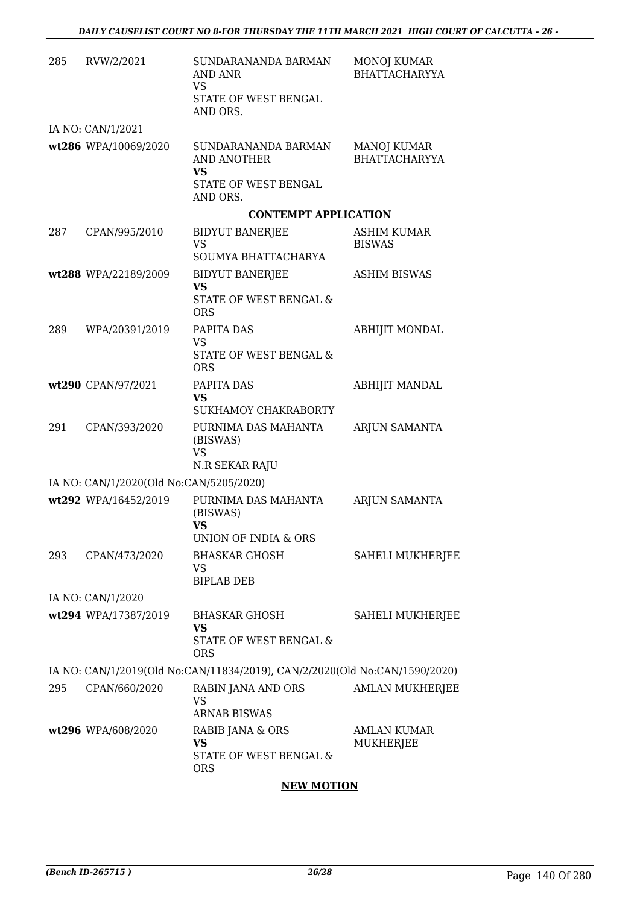| 285 | RVW/2/2021                              | SUNDARANANDA BARMAN<br>AND ANR<br>VS<br>STATE OF WEST BENGAL<br>AND ORS.   | <b>MONOJ KUMAR</b><br><b>BHATTACHARYYA</b> |
|-----|-----------------------------------------|----------------------------------------------------------------------------|--------------------------------------------|
|     | IA NO: CAN/1/2021                       |                                                                            |                                            |
|     | wt286 WPA/10069/2020                    | SUNDARANANDA BARMAN<br><b>AND ANOTHER</b><br><b>VS</b>                     | MANOJ KUMAR<br><b>BHATTACHARYYA</b>        |
|     |                                         | STATE OF WEST BENGAL<br>AND ORS.                                           |                                            |
|     |                                         | <b>CONTEMPT APPLICATION</b>                                                |                                            |
| 287 | CPAN/995/2010                           | <b>BIDYUT BANERJEE</b><br>VS                                               | ASHIM KUMAR<br><b>BISWAS</b>               |
|     |                                         | SOUMYA BHATTACHARYA                                                        |                                            |
|     | wt288 WPA/22189/2009                    | <b>BIDYUT BANERJEE</b><br><b>VS</b>                                        | <b>ASHIM BISWAS</b>                        |
|     |                                         | STATE OF WEST BENGAL &<br><b>ORS</b>                                       |                                            |
| 289 | WPA/20391/2019                          | PAPITA DAS                                                                 | <b>ABHIJIT MONDAL</b>                      |
|     |                                         | VS<br>STATE OF WEST BENGAL &<br><b>ORS</b>                                 |                                            |
|     | wt290 CPAN/97/2021                      | PAPITA DAS                                                                 | <b>ABHIJIT MANDAL</b>                      |
|     |                                         | <b>VS</b><br>SUKHAMOY CHAKRABORTY                                          |                                            |
| 291 | CPAN/393/2020                           | PURNIMA DAS MAHANTA<br>(BISWAS)<br><b>VS</b>                               | ARJUN SAMANTA                              |
|     | IA NO: CAN/1/2020(Old No:CAN/5205/2020) | N.R SEKAR RAJU                                                             |                                            |
|     | wt292 WPA/16452/2019                    | PURNIMA DAS MAHANTA                                                        |                                            |
|     |                                         | (BISWAS)<br><b>VS</b><br><b>UNION OF INDIA &amp; ORS</b>                   | ARJUN SAMANTA                              |
| 293 | CPAN/473/2020                           | <b>BHASKAR GHOSH</b>                                                       | SAHELI MUKHERJEE                           |
|     |                                         | VS<br><b>BIPLAB DEB</b>                                                    |                                            |
|     | IA NO: CAN/1/2020                       |                                                                            |                                            |
|     | wt294 WPA/17387/2019                    | <b>BHASKAR GHOSH</b><br><b>VS</b>                                          | <b>SAHELI MUKHERJEE</b>                    |
|     |                                         | STATE OF WEST BENGAL &<br><b>ORS</b>                                       |                                            |
|     |                                         | IA NO: CAN/1/2019(Old No:CAN/11834/2019), CAN/2/2020(Old No:CAN/1590/2020) |                                            |
| 295 | CPAN/660/2020                           | RABIN JANA AND ORS<br>VS<br><b>ARNAB BISWAS</b>                            | <b>AMLAN MUKHERJEE</b>                     |
|     | wt296 WPA/608/2020                      | RABIB JANA & ORS<br><b>VS</b><br>STATE OF WEST BENGAL &<br><b>ORS</b>      | AMLAN KUMAR<br>MUKHERJEE                   |

### **NEW MOTION**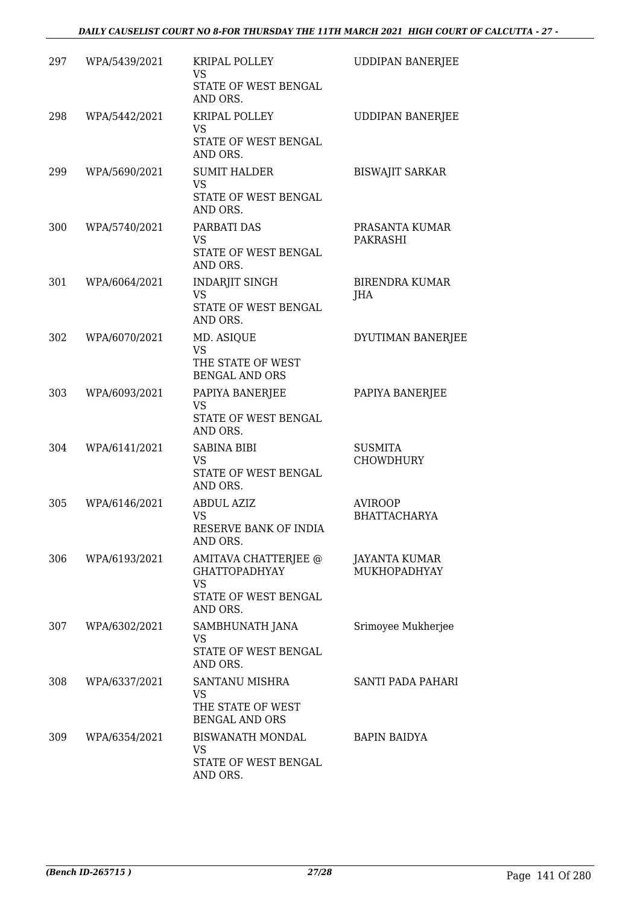| 297 | WPA/5439/2021 | KRIPAL POLLEY<br>VS<br>STATE OF WEST BENGAL<br>AND ORS.                                       | <b>UDDIPAN BANERJEE</b>               |
|-----|---------------|-----------------------------------------------------------------------------------------------|---------------------------------------|
| 298 | WPA/5442/2021 | KRIPAL POLLEY<br>VS<br>STATE OF WEST BENGAL<br>AND ORS.                                       | <b>UDDIPAN BANERJEE</b>               |
| 299 | WPA/5690/2021 | <b>SUMIT HALDER</b><br><b>VS</b><br>STATE OF WEST BENGAL<br>AND ORS.                          | <b>BISWAJIT SARKAR</b>                |
| 300 | WPA/5740/2021 | PARBATI DAS<br><b>VS</b><br>STATE OF WEST BENGAL<br>AND ORS.                                  | PRASANTA KUMAR<br>PAKRASHI            |
| 301 | WPA/6064/2021 | <b>INDARJIT SINGH</b><br>VS<br>STATE OF WEST BENGAL<br>AND ORS.                               | <b>BIRENDRA KUMAR</b><br>JHA          |
| 302 | WPA/6070/2021 | MD. ASIQUE<br><b>VS</b><br>THE STATE OF WEST<br><b>BENGAL AND ORS</b>                         | DYUTIMAN BANERJEE                     |
| 303 | WPA/6093/2021 | PAPIYA BANERJEE<br><b>VS</b><br>STATE OF WEST BENGAL<br>AND ORS.                              | PAPIYA BANERJEE                       |
| 304 | WPA/6141/2021 | <b>SABINA BIBI</b><br>VS<br>STATE OF WEST BENGAL<br>AND ORS.                                  | <b>SUSMITA</b><br><b>CHOWDHURY</b>    |
| 305 | WPA/6146/2021 | <b>ABDUL AZIZ</b><br><b>VS</b><br>RESERVE BANK OF INDIA<br>AND ORS.                           | <b>AVIROOP</b><br><b>BHATTACHARYA</b> |
| 306 | WPA/6193/2021 | AMITAVA CHATTERJEE @<br><b>GHATTOPADHYAY</b><br><b>VS</b><br>STATE OF WEST BENGAL<br>AND ORS. | JAYANTA KUMAR<br>MUKHOPADHYAY         |
| 307 | WPA/6302/2021 | SAMBHUNATH JANA<br>VS<br>STATE OF WEST BENGAL<br>AND ORS.                                     | Srimoyee Mukherjee                    |
| 308 | WPA/6337/2021 | SANTANU MISHRA<br>VS<br>THE STATE OF WEST<br><b>BENGAL AND ORS</b>                            | SANTI PADA PAHARI                     |
| 309 | WPA/6354/2021 | BISWANATH MONDAL<br>VS<br>STATE OF WEST BENGAL<br>AND ORS.                                    | BAPIN BAIDYA                          |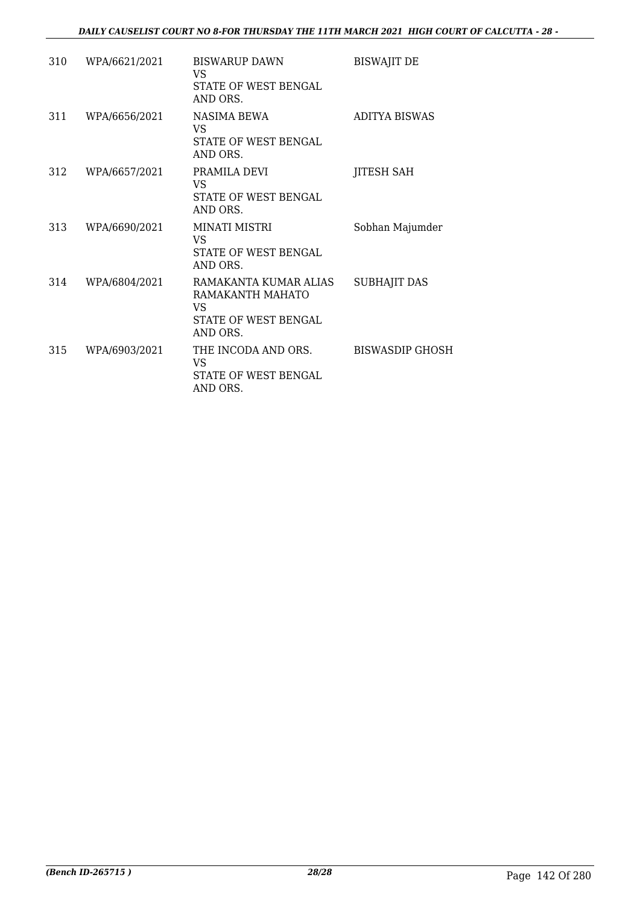| 310 | WPA/6621/2021 | <b>BISWARUP DAWN</b><br>VS<br>STATE OF WEST BENGAL<br>AND ORS.                      | <b>BISWAJIT DE</b>   |
|-----|---------------|-------------------------------------------------------------------------------------|----------------------|
| 311 | WPA/6656/2021 | NASIMA BEWA<br>VS.<br>STATE OF WEST BENGAL<br>AND ORS.                              | <b>ADITYA BISWAS</b> |
| 312 | WPA/6657/2021 | PRAMILA DEVI<br>VS.<br>STATE OF WEST BENGAL<br>AND ORS.                             | JITESH SAH           |
| 313 | WPA/6690/2021 | <b>MINATI MISTRI</b><br>VS.<br><b>STATE OF WEST BENGAL</b><br>AND ORS.              | Sobhan Majumder      |
| 314 | WPA/6804/2021 | RAMAKANTA KUMAR ALIAS<br>RAMAKANTH MAHATO<br>VS<br>STATE OF WEST BENGAL<br>AND ORS. | <b>SUBHAJIT DAS</b>  |
| 315 | WPA/6903/2021 | THE INCODA AND ORS.<br>VS<br>STATE OF WEST BENGAL<br>AND ORS.                       | BISWASDIP GHOSH      |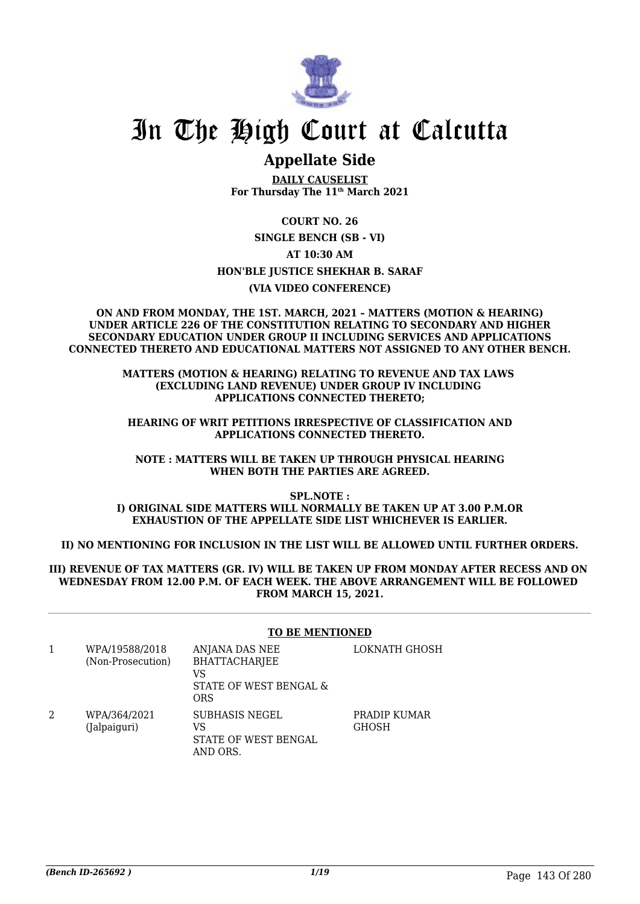

# In The High Court at Calcutta

## **Appellate Side**

**DAILY CAUSELIST For Thursday The 11th March 2021**

**COURT NO. 26**

**SINGLE BENCH (SB - VI)**

**AT 10:30 AM**

**HON'BLE JUSTICE SHEKHAR B. SARAF**

**(VIA VIDEO CONFERENCE)**

**ON AND FROM MONDAY, THE 1ST. MARCH, 2021 – MATTERS (MOTION & HEARING) UNDER ARTICLE 226 OF THE CONSTITUTION RELATING TO SECONDARY AND HIGHER SECONDARY EDUCATION UNDER GROUP II INCLUDING SERVICES AND APPLICATIONS CONNECTED THERETO AND EDUCATIONAL MATTERS NOT ASSIGNED TO ANY OTHER BENCH.**

**MATTERS (MOTION & HEARING) RELATING TO REVENUE AND TAX LAWS (EXCLUDING LAND REVENUE) UNDER GROUP IV INCLUDING APPLICATIONS CONNECTED THERETO;**

**HEARING OF WRIT PETITIONS IRRESPECTIVE OF CLASSIFICATION AND APPLICATIONS CONNECTED THERETO.**

**NOTE : MATTERS WILL BE TAKEN UP THROUGH PHYSICAL HEARING WHEN BOTH THE PARTIES ARE AGREED.**

**SPL.NOTE : I) ORIGINAL SIDE MATTERS WILL NORMALLY BE TAKEN UP AT 3.00 P.M.OR EXHAUSTION OF THE APPELLATE SIDE LIST WHICHEVER IS EARLIER.**

**II) NO MENTIONING FOR INCLUSION IN THE LIST WILL BE ALLOWED UNTIL FURTHER ORDERS.**

#### **III) REVENUE OF TAX MATTERS (GR. IV) WILL BE TAKEN UP FROM MONDAY AFTER RECESS AND ON WEDNESDAY FROM 12.00 P.M. OF EACH WEEK. THE ABOVE ARRANGEMENT WILL BE FOLLOWED FROM MARCH 15, 2021.**

#### **TO BE MENTIONED**

|   | WPA/19588/2018<br>(Non-Prosecution) | ANJANA DAS NEE<br><b>BHATTACHARJEE</b><br>VS<br>STATE OF WEST BENGAL &<br>ORS | LOKNATH GHOSH                |
|---|-------------------------------------|-------------------------------------------------------------------------------|------------------------------|
| 2 | WPA/364/2021<br>(Jalpaiguri)        | <b>SUBHASIS NEGEL</b><br>VS<br>STATE OF WEST BENGAL<br>AND ORS.               | PRADIP KUMAR<br><b>GHOSH</b> |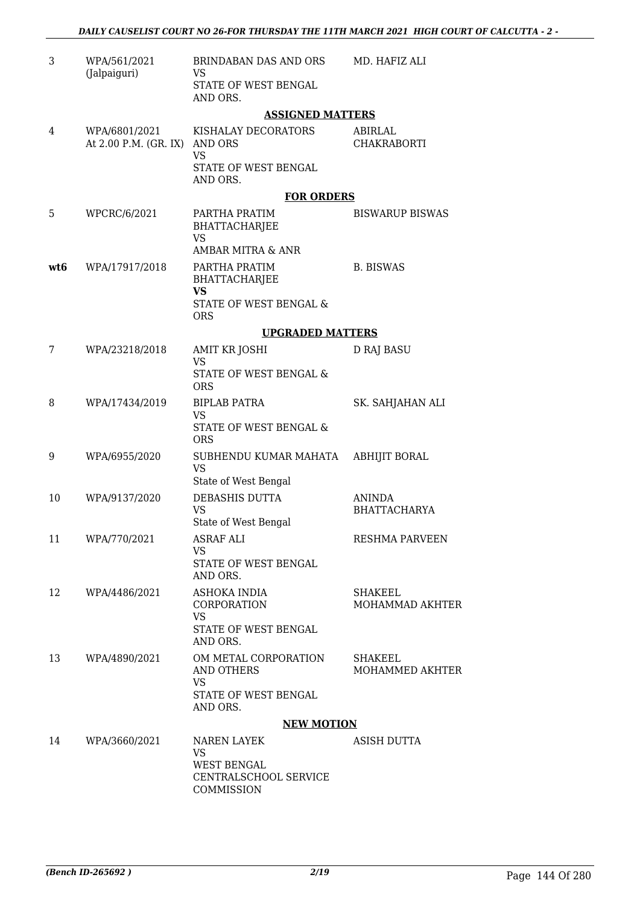| 3   | WPA/561/2021<br>(Jalpaiguri)           | BRINDABAN DAS AND ORS<br>VS                       | MD. HAFIZ ALI                 |
|-----|----------------------------------------|---------------------------------------------------|-------------------------------|
|     |                                        | STATE OF WEST BENGAL<br>AND ORS.                  |                               |
|     |                                        | <b>ASSIGNED MATTERS</b>                           |                               |
| 4   | WPA/6801/2021<br>At 2.00 P.M. (GR. IX) | KISHALAY DECORATORS<br>AND ORS<br><b>VS</b>       | ABIRLAL<br><b>CHAKRABORTI</b> |
|     |                                        | STATE OF WEST BENGAL<br>AND ORS.                  |                               |
|     |                                        | <b>FOR ORDERS</b>                                 |                               |
| 5   | WPCRC/6/2021                           | PARTHA PRATIM<br>BHATTACHARJEE<br><b>VS</b>       | <b>BISWARUP BISWAS</b>        |
|     |                                        | AMBAR MITRA & ANR                                 |                               |
| wt6 | WPA/17917/2018                         | PARTHA PRATIM<br>BHATTACHARJEE<br><b>VS</b>       | <b>B. BISWAS</b>              |
|     |                                        | STATE OF WEST BENGAL &<br><b>ORS</b>              |                               |
|     |                                        | <b>UPGRADED MATTERS</b>                           |                               |
| 7   | WPA/23218/2018                         | <b>AMIT KR JOSHI</b>                              | D RAJ BASU                    |
|     |                                        | <b>VS</b><br>STATE OF WEST BENGAL &<br><b>ORS</b> |                               |
| 8   | WPA/17434/2019                         | <b>BIPLAB PATRA</b>                               | SK. SAHJAHAN ALI              |
|     |                                        | <b>VS</b><br>STATE OF WEST BENGAL &<br><b>ORS</b> |                               |
| 9   | WPA/6955/2020                          | SUBHENDU KUMAR MAHATA<br><b>VS</b>                | <b>ABHIJIT BORAL</b>          |
|     |                                        | State of West Bengal                              |                               |
| 10  | WPA/9137/2020                          | DEBASHIS DUTTA<br><b>VS</b>                       | ANINDA<br><b>BHATTACHARYA</b> |
|     |                                        | State of West Bengal                              |                               |
| 11  | WPA/770/2021                           | <b>ASRAF ALI</b>                                  | <b>RESHMA PARVEEN</b>         |
|     |                                        | <b>VS</b><br>STATE OF WEST BENGAL<br>AND ORS.     |                               |
| 12  | WPA/4486/2021                          | ASHOKA INDIA                                      | <b>SHAKEEL</b>                |
|     |                                        | CORPORATION                                       | MOHAMMAD AKHTER               |
|     |                                        | <b>VS</b><br>STATE OF WEST BENGAL<br>AND ORS.     |                               |
| 13  | WPA/4890/2021                          | OM METAL CORPORATION<br>AND OTHERS<br>VS          | SHAKEEL<br>MOHAMMED AKHTER    |
|     |                                        | STATE OF WEST BENGAL<br>AND ORS.                  |                               |
|     |                                        | <b>NEW MOTION</b>                                 |                               |
| 14  | WPA/3660/2021                          | NAREN LAYEK<br><b>VS</b><br><b>WEST BENGAL</b>    | ASISH DUTTA                   |
|     |                                        | CENTRALSCHOOL SERVICE<br>COMMISSION               |                               |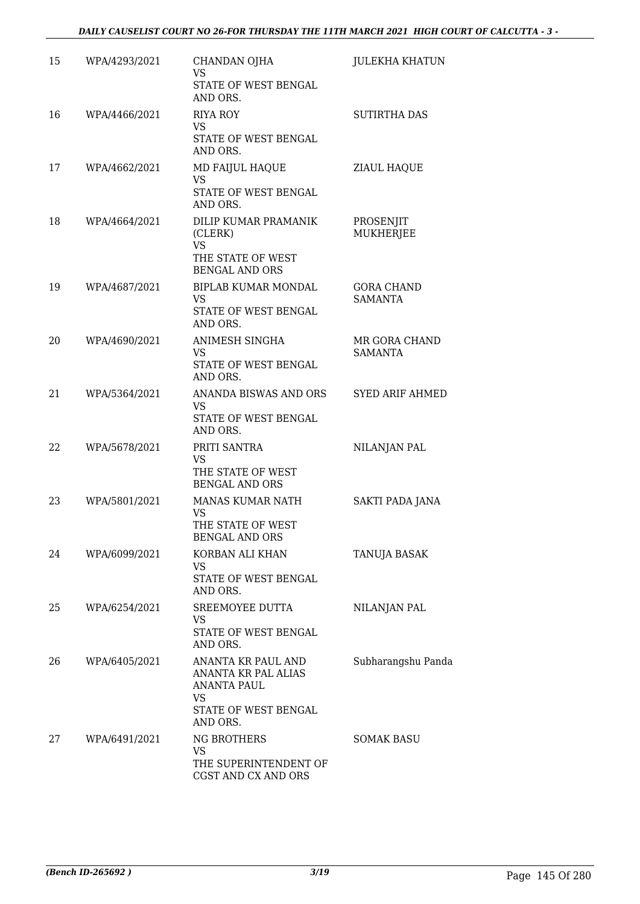| 15 | WPA/4293/2021 | CHANDAN OJHA<br><b>VS</b><br>STATE OF WEST BENGAL                                      | JULEKHA KHATUN                      |
|----|---------------|----------------------------------------------------------------------------------------|-------------------------------------|
| 16 | WPA/4466/2021 | AND ORS.<br><b>RIYA ROY</b><br><b>VS</b><br>STATE OF WEST BENGAL                       | <b>SUTIRTHA DAS</b>                 |
| 17 | WPA/4662/2021 | AND ORS.<br>MD FAIJUL HAQUE                                                            | ZIAUL HAQUE                         |
|    |               | <b>VS</b><br><b>STATE OF WEST BENGAL</b><br>AND ORS.                                   |                                     |
| 18 | WPA/4664/2021 | DILIP KUMAR PRAMANIK<br>(CLERK)<br><b>VS</b>                                           | PROSENJIT<br><b>MUKHERJEE</b>       |
|    |               | THE STATE OF WEST<br><b>BENGAL AND ORS</b>                                             |                                     |
| 19 | WPA/4687/2021 | BIPLAB KUMAR MONDAL<br><b>VS</b><br>STATE OF WEST BENGAL<br>AND ORS.                   | <b>GORA CHAND</b><br><b>SAMANTA</b> |
| 20 | WPA/4690/2021 | ANIMESH SINGHA<br><b>VS</b><br>STATE OF WEST BENGAL<br>AND ORS.                        | MR GORA CHAND<br><b>SAMANTA</b>     |
| 21 | WPA/5364/2021 | ANANDA BISWAS AND ORS<br>VS.<br>STATE OF WEST BENGAL<br>AND ORS.                       | <b>SYED ARIF AHMED</b>              |
| 22 | WPA/5678/2021 | PRITI SANTRA<br><b>VS</b>                                                              | NILANJAN PAL                        |
|    |               | THE STATE OF WEST<br><b>BENGAL AND ORS</b>                                             |                                     |
| 23 | WPA/5801/2021 | MANAS KUMAR NATH<br><b>VS</b><br>THE STATE OF WEST<br><b>BENGAL AND ORS</b>            | <b>SAKTI PADA JANA</b>              |
| 24 | WPA/6099/2021 | KORBAN ALI KHAN<br><b>VS</b><br>STATE OF WEST BENGAL                                   | <b>TANUJA BASAK</b>                 |
|    |               | AND ORS.                                                                               |                                     |
| 25 | WPA/6254/2021 | SREEMOYEE DUTTA<br>VS.<br>STATE OF WEST BENGAL<br>AND ORS.                             | NILANJAN PAL                        |
| 26 | WPA/6405/2021 | ANANTA KR PAUL AND<br>ANANTA KR PAL ALIAS<br>ANANTA PAUL<br>VS<br>STATE OF WEST BENGAL | Subharangshu Panda                  |
| 27 | WPA/6491/2021 | AND ORS.<br><b>NG BROTHERS</b><br><b>VS</b><br>THE SUPERINTENDENT OF                   | <b>SOMAK BASU</b>                   |
|    |               | CGST AND CX AND ORS                                                                    |                                     |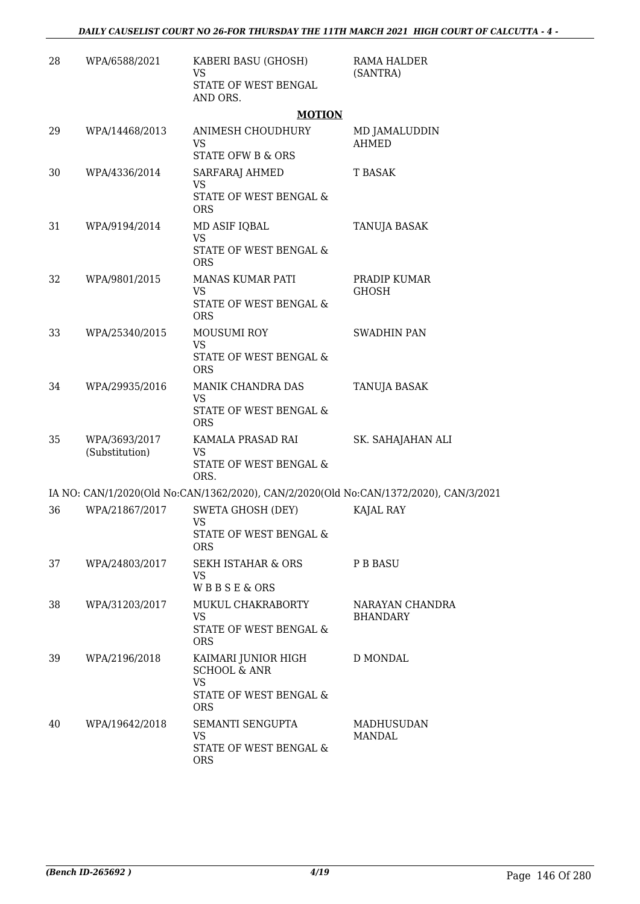| 28 | WPA/6588/2021                   | KABERI BASU (GHOSH)<br><b>VS</b><br>STATE OF WEST BENGAL<br>AND ORS.                                | RAMA HALDER<br>(SANTRA)            |
|----|---------------------------------|-----------------------------------------------------------------------------------------------------|------------------------------------|
|    |                                 | <b>MOTION</b>                                                                                       |                                    |
| 29 | WPA/14468/2013                  | ANIMESH CHOUDHURY<br><b>VS</b><br><b>STATE OFW B &amp; ORS</b>                                      | MD JAMALUDDIN<br><b>AHMED</b>      |
| 30 | WPA/4336/2014                   | SARFARAJ AHMED<br><b>VS</b><br>STATE OF WEST BENGAL &<br><b>ORS</b>                                 | T BASAK                            |
| 31 | WPA/9194/2014                   | MD ASIF IQBAL<br><b>VS</b><br>STATE OF WEST BENGAL &<br><b>ORS</b>                                  | TANUJA BASAK                       |
| 32 | WPA/9801/2015                   | MANAS KUMAR PATI<br><b>VS</b><br>STATE OF WEST BENGAL &<br><b>ORS</b>                               | PRADIP KUMAR<br><b>GHOSH</b>       |
| 33 | WPA/25340/2015                  | <b>MOUSUMI ROY</b><br><b>VS</b><br>STATE OF WEST BENGAL &<br><b>ORS</b>                             | <b>SWADHIN PAN</b>                 |
| 34 | WPA/29935/2016                  | MANIK CHANDRA DAS<br><b>VS</b><br>STATE OF WEST BENGAL &<br><b>ORS</b>                              | TANUJA BASAK                       |
| 35 | WPA/3693/2017<br>(Substitution) | KAMALA PRASAD RAI<br><b>VS</b><br>STATE OF WEST BENGAL &<br>ORS.                                    | SK. SAHAJAHAN ALI                  |
|    |                                 | IA NO: CAN/1/2020(Old No:CAN/1362/2020), CAN/2/2020(Old No:CAN/1372/2020), CAN/3/2021               |                                    |
| 36 | WPA/21867/2017                  | SWETA GHOSH (DEY)<br>VS<br>STATE OF WEST BENGAL &<br><b>ORS</b>                                     | KAJAL RAY                          |
| 37 | WPA/24803/2017                  | SEKH ISTAHAR & ORS<br><b>VS</b><br><b>WBBSE&amp;ORS</b>                                             | <b>P B BASU</b>                    |
| 38 | WPA/31203/2017                  | MUKUL CHAKRABORTY<br><b>VS</b><br>STATE OF WEST BENGAL &<br><b>ORS</b>                              | NARAYAN CHANDRA<br><b>BHANDARY</b> |
| 39 | WPA/2196/2018                   | KAIMARI JUNIOR HIGH<br><b>SCHOOL &amp; ANR</b><br><b>VS</b><br>STATE OF WEST BENGAL &<br><b>ORS</b> | D MONDAL                           |
| 40 | WPA/19642/2018                  | SEMANTI SENGUPTA<br>VS.<br>STATE OF WEST BENGAL &<br><b>ORS</b>                                     | MADHUSUDAN<br>MANDAL               |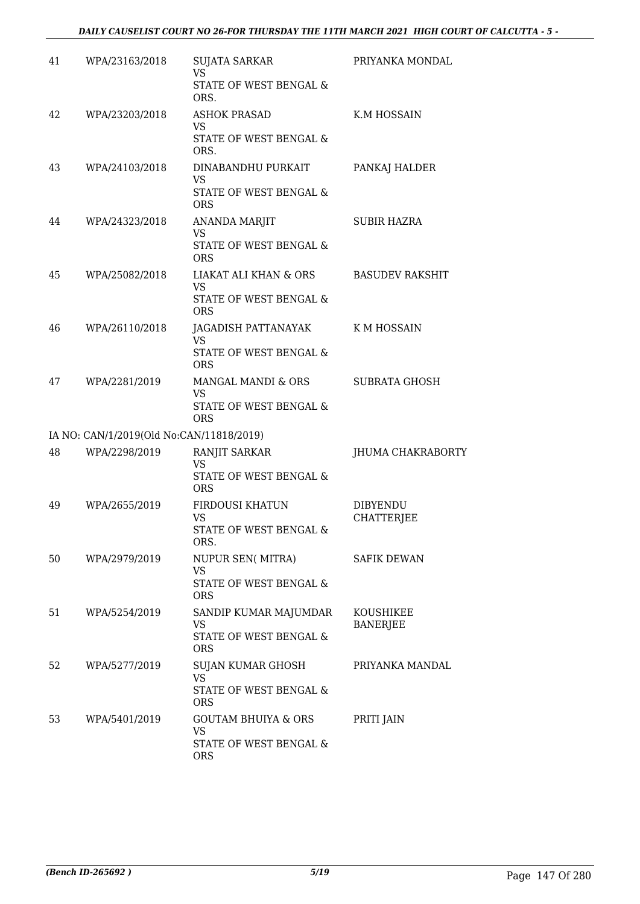| 41 | WPA/23163/2018                           | <b>SUJATA SARKAR</b><br><b>VS</b><br>STATE OF WEST BENGAL &<br>ORS.           | PRIYANKA MONDAL                      |
|----|------------------------------------------|-------------------------------------------------------------------------------|--------------------------------------|
| 42 | WPA/23203/2018                           | <b>ASHOK PRASAD</b><br><b>VS</b><br>STATE OF WEST BENGAL &<br>ORS.            | K.M HOSSAIN                          |
| 43 | WPA/24103/2018                           | DINABANDHU PURKAIT<br><b>VS</b><br>STATE OF WEST BENGAL &<br><b>ORS</b>       | PANKAJ HALDER                        |
| 44 | WPA/24323/2018                           | <b>ANANDA MARJIT</b><br><b>VS</b><br>STATE OF WEST BENGAL &<br><b>ORS</b>     | <b>SUBIR HAZRA</b>                   |
| 45 | WPA/25082/2018                           | LIAKAT ALI KHAN & ORS<br><b>VS</b><br>STATE OF WEST BENGAL &<br><b>ORS</b>    | <b>BASUDEV RAKSHIT</b>               |
| 46 | WPA/26110/2018                           | JAGADISH PATTANAYAK<br><b>VS</b><br>STATE OF WEST BENGAL &<br><b>ORS</b>      | K M HOSSAIN                          |
| 47 | WPA/2281/2019                            | MANGAL MANDI & ORS<br><b>VS</b><br>STATE OF WEST BENGAL &<br><b>ORS</b>       | <b>SUBRATA GHOSH</b>                 |
|    | IA NO: CAN/1/2019(Old No:CAN/11818/2019) |                                                                               |                                      |
| 48 | WPA/2298/2019                            | RANJIT SARKAR<br><b>VS</b><br><b>STATE OF WEST BENGAL &amp;</b><br><b>ORS</b> | JHUMA CHAKRABORTY                    |
| 49 | WPA/2655/2019                            | FIRDOUSI KHATUN<br><b>VS</b><br>STATE OF WEST BENGAL &<br>ORS.                | <b>DIBYENDU</b><br><b>CHATTERJEE</b> |
| 50 | WPA/2979/2019                            | <b>NUPUR SEN( MITRA)</b><br><b>VS</b><br>STATE OF WEST BENGAL &<br><b>ORS</b> | <b>SAFIK DEWAN</b>                   |
| 51 | WPA/5254/2019                            | SANDIP KUMAR MAJUMDAR<br><b>VS</b><br>STATE OF WEST BENGAL &<br><b>ORS</b>    | <b>KOUSHIKEE</b><br><b>BANERJEE</b>  |
| 52 | WPA/5277/2019                            | SUJAN KUMAR GHOSH<br><b>VS</b><br>STATE OF WEST BENGAL &<br><b>ORS</b>        | PRIYANKA MANDAL                      |
| 53 | WPA/5401/2019                            | <b>GOUTAM BHUIYA &amp; ORS</b><br>VS.<br>STATE OF WEST BENGAL &<br><b>ORS</b> | PRITI JAIN                           |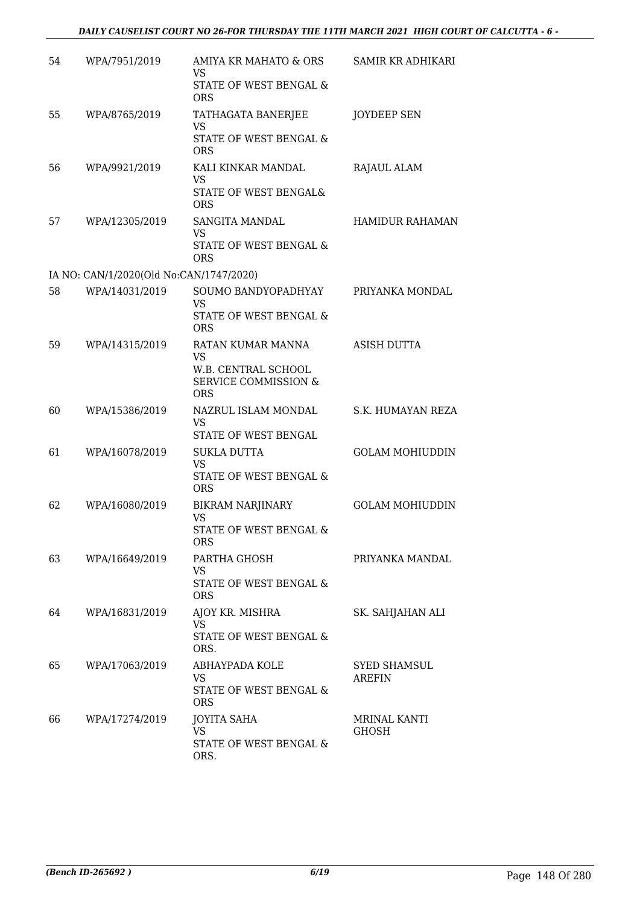| 54 | WPA/7951/2019                           | AMIYA KR MAHATO & ORS<br><b>VS</b>                                   | <b>SAMIR KR ADHIKARI</b>             |
|----|-----------------------------------------|----------------------------------------------------------------------|--------------------------------------|
|    |                                         | STATE OF WEST BENGAL &<br><b>ORS</b>                                 |                                      |
| 55 | WPA/8765/2019                           | TATHAGATA BANERJEE<br><b>VS</b>                                      | JOYDEEP SEN                          |
|    |                                         | STATE OF WEST BENGAL &<br><b>ORS</b>                                 |                                      |
| 56 | WPA/9921/2019                           | KALI KINKAR MANDAL<br><b>VS</b>                                      | RAJAUL ALAM                          |
|    |                                         | STATE OF WEST BENGAL&<br><b>ORS</b>                                  |                                      |
| 57 | WPA/12305/2019                          | SANGITA MANDAL<br><b>VS</b>                                          | <b>HAMIDUR RAHAMAN</b>               |
|    |                                         | STATE OF WEST BENGAL &<br><b>ORS</b>                                 |                                      |
|    | IA NO: CAN/1/2020(Old No:CAN/1747/2020) |                                                                      |                                      |
| 58 | WPA/14031/2019                          | SOUMO BANDYOPADHYAY<br><b>VS</b>                                     | PRIYANKA MONDAL                      |
|    |                                         | <b>STATE OF WEST BENGAL &amp;</b><br><b>ORS</b>                      |                                      |
| 59 | WPA/14315/2019                          | RATAN KUMAR MANNA<br><b>VS</b>                                       | <b>ASISH DUTTA</b>                   |
|    |                                         | W.B. CENTRAL SCHOOL<br><b>SERVICE COMMISSION &amp;</b><br><b>ORS</b> |                                      |
| 60 | WPA/15386/2019                          | NAZRUL ISLAM MONDAL<br><b>VS</b><br>STATE OF WEST BENGAL             | S.K. HUMAYAN REZA                    |
| 61 | WPA/16078/2019                          | <b>SUKLA DUTTA</b><br><b>VS</b>                                      | <b>GOLAM MOHIUDDIN</b>               |
|    |                                         | STATE OF WEST BENGAL &<br><b>ORS</b>                                 |                                      |
| 62 | WPA/16080/2019                          | <b>BIKRAM NARJINARY</b><br><b>VS</b>                                 | <b>GOLAM MOHIUDDIN</b>               |
|    |                                         | STATE OF WEST BENGAL $\&$<br><b>ORS</b>                              |                                      |
| 63 | WPA/16649/2019                          | PARTHA GHOSH<br>VS                                                   | PRIYANKA MANDAL                      |
|    |                                         | STATE OF WEST BENGAL &<br><b>ORS</b>                                 |                                      |
| 64 | WPA/16831/2019                          | AJOY KR. MISHRA<br>VS.                                               | SK. SAHJAHAN ALI                     |
|    |                                         | STATE OF WEST BENGAL &<br>ORS.                                       |                                      |
| 65 | WPA/17063/2019                          | ABHAYPADA KOLE<br>VS.                                                | <b>SYED SHAMSUL</b><br><b>AREFIN</b> |
|    |                                         | STATE OF WEST BENGAL &<br><b>ORS</b>                                 |                                      |
| 66 | WPA/17274/2019                          | <b>JOYITA SAHA</b><br><b>VS</b>                                      | MRINAL KANTI<br><b>GHOSH</b>         |
|    |                                         | STATE OF WEST BENGAL &<br>ORS.                                       |                                      |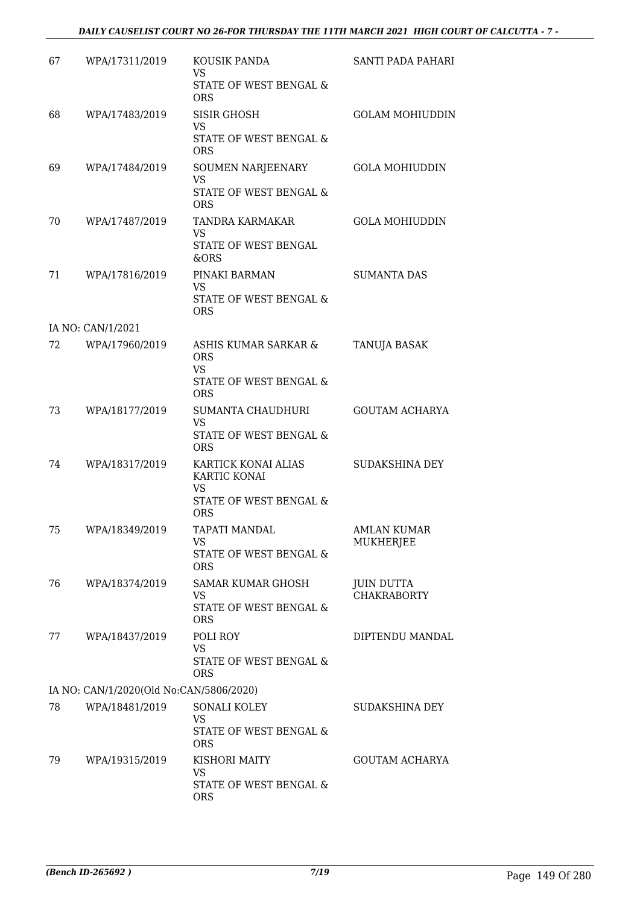### *DAILY CAUSELIST COURT NO 26-FOR THURSDAY THE 11TH MARCH 2021 HIGH COURT OF CALCUTTA - 7 -*

| 67 | WPA/17311/2019                          | KOUSIK PANDA<br>VS                              | SANTI PADA PAHARI                       |
|----|-----------------------------------------|-------------------------------------------------|-----------------------------------------|
|    |                                         | STATE OF WEST BENGAL &<br><b>ORS</b>            |                                         |
| 68 | WPA/17483/2019                          | <b>SISIR GHOSH</b><br><b>VS</b>                 | <b>GOLAM MOHIUDDIN</b>                  |
|    |                                         | STATE OF WEST BENGAL &<br><b>ORS</b>            |                                         |
| 69 | WPA/17484/2019                          | SOUMEN NARJEENARY<br><b>VS</b>                  | <b>GOLA MOHIUDDIN</b>                   |
|    |                                         | STATE OF WEST BENGAL &<br><b>ORS</b>            |                                         |
| 70 | WPA/17487/2019                          | TANDRA KARMAKAR<br><b>VS</b>                    | <b>GOLA MOHIUDDIN</b>                   |
|    |                                         | STATE OF WEST BENGAL<br>&ORS                    |                                         |
| 71 | WPA/17816/2019                          | PINAKI BARMAN<br><b>VS</b>                      | <b>SUMANTA DAS</b>                      |
|    |                                         | STATE OF WEST BENGAL &<br><b>ORS</b>            |                                         |
|    | IA NO: CAN/1/2021                       |                                                 |                                         |
| 72 | WPA/17960/2019                          | ASHIS KUMAR SARKAR &<br><b>ORS</b><br><b>VS</b> | <b>TANUJA BASAK</b>                     |
|    |                                         | STATE OF WEST BENGAL &<br><b>ORS</b>            |                                         |
| 73 | WPA/18177/2019                          | SUMANTA CHAUDHURI<br><b>VS</b>                  | <b>GOUTAM ACHARYA</b>                   |
|    |                                         | STATE OF WEST BENGAL &<br><b>ORS</b>            |                                         |
| 74 | WPA/18317/2019                          | KARTICK KONAI ALIAS<br>KARTIC KONAI<br>VS       | <b>SUDAKSHINA DEY</b>                   |
|    |                                         | STATE OF WEST BENGAL &<br><b>ORS</b>            |                                         |
| 75 | WPA/18349/2019                          | TAPATI MANDAL<br><b>VS</b>                      | <b>AMLAN KUMAR</b><br><b>MUKHERJEE</b>  |
|    |                                         | STATE OF WEST BENGAL &<br><b>ORS</b>            |                                         |
| 76 | WPA/18374/2019                          | <b>SAMAR KUMAR GHOSH</b><br><b>VS</b>           | <b>JUIN DUTTA</b><br><b>CHAKRABORTY</b> |
|    |                                         | STATE OF WEST BENGAL &<br><b>ORS</b>            |                                         |
| 77 | WPA/18437/2019                          | POLI ROY<br><b>VS</b>                           | DIPTENDU MANDAL                         |
|    |                                         | STATE OF WEST BENGAL &<br><b>ORS</b>            |                                         |
|    | IA NO: CAN/1/2020(Old No:CAN/5806/2020) |                                                 |                                         |
| 78 | WPA/18481/2019                          | SONALI KOLEY<br><b>VS</b>                       | SUDAKSHINA DEY                          |
|    |                                         | STATE OF WEST BENGAL &<br><b>ORS</b>            |                                         |
| 79 | WPA/19315/2019                          | KISHORI MAITY<br><b>VS</b>                      | <b>GOUTAM ACHARYA</b>                   |
|    |                                         | STATE OF WEST BENGAL &<br><b>ORS</b>            |                                         |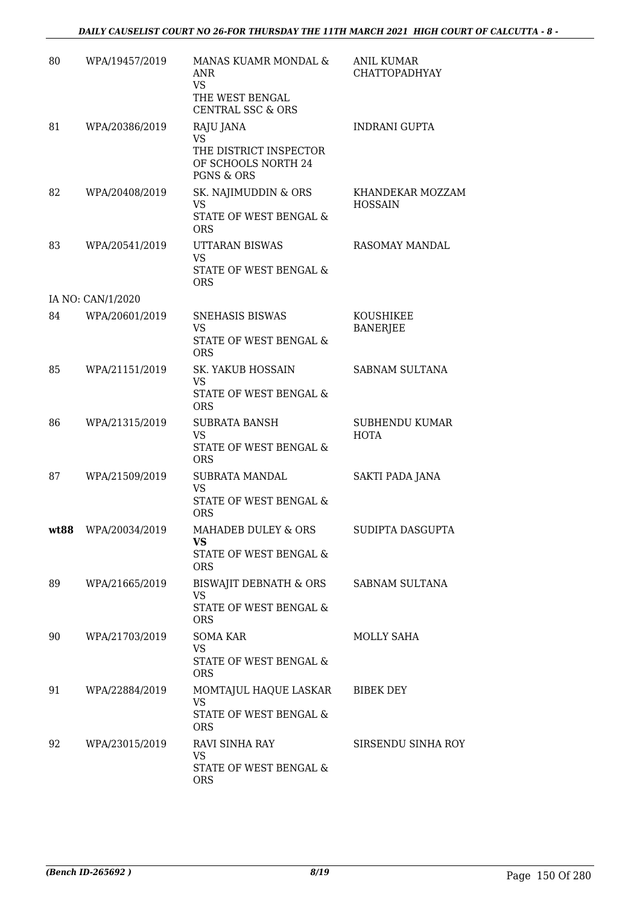| 80   | WPA/19457/2019    | MANAS KUAMR MONDAL &<br><b>ANR</b><br><b>VS</b><br>THE WEST BENGAL<br><b>CENTRAL SSC &amp; ORS</b> | ANIL KUMAR<br><b>CHATTOPADHYAY</b> |
|------|-------------------|----------------------------------------------------------------------------------------------------|------------------------------------|
| 81   | WPA/20386/2019    | RAJU JANA<br><b>VS</b><br>THE DISTRICT INSPECTOR<br>OF SCHOOLS NORTH 24<br><b>PGNS &amp; ORS</b>   | <b>INDRANI GUPTA</b>               |
| 82   | WPA/20408/2019    | SK. NAJIMUDDIN & ORS<br>VS.<br>STATE OF WEST BENGAL &<br><b>ORS</b>                                | KHANDEKAR MOZZAM<br><b>HOSSAIN</b> |
| 83   | WPA/20541/2019    | UTTARAN BISWAS<br><b>VS</b><br>STATE OF WEST BENGAL &<br><b>ORS</b>                                | RASOMAY MANDAL                     |
|      | IA NO: CAN/1/2020 |                                                                                                    |                                    |
| 84   | WPA/20601/2019    | SNEHASIS BISWAS<br><b>VS</b><br>STATE OF WEST BENGAL &<br><b>ORS</b>                               | KOUSHIKEE<br><b>BANERJEE</b>       |
| 85   | WPA/21151/2019    | SK. YAKUB HOSSAIN<br><b>VS</b><br>STATE OF WEST BENGAL &<br><b>ORS</b>                             | SABNAM SULTANA                     |
| 86   | WPA/21315/2019    | <b>SUBRATA BANSH</b><br><b>VS</b><br>STATE OF WEST BENGAL &<br><b>ORS</b>                          | SUBHENDU KUMAR<br><b>HOTA</b>      |
| 87   | WPA/21509/2019    | SUBRATA MANDAL<br><b>VS</b><br>STATE OF WEST BENGAL &<br><b>ORS</b>                                | SAKTI PADA JANA                    |
| wt88 | WPA/20034/2019    | MAHADEB DULEY & ORS<br>VS<br>STATE OF WEST BENGAL &<br><b>ORS</b>                                  | SUDIPTA DASGUPTA                   |
| 89   | WPA/21665/2019    | BISWAJIT DEBNATH & ORS<br><b>VS</b><br>STATE OF WEST BENGAL &<br><b>ORS</b>                        | SABNAM SULTANA                     |
| 90   | WPA/21703/2019    | SOMA KAR<br>VS.<br>STATE OF WEST BENGAL &<br>ORS                                                   | <b>MOLLY SAHA</b>                  |
| 91   | WPA/22884/2019    | MOMTAJUL HAQUE LASKAR<br><b>VS</b><br>STATE OF WEST BENGAL &<br><b>ORS</b>                         | BIBEK DEY                          |
| 92   | WPA/23015/2019    | RAVI SINHA RAY<br>VS<br>STATE OF WEST BENGAL &<br><b>ORS</b>                                       | SIRSENDU SINHA ROY                 |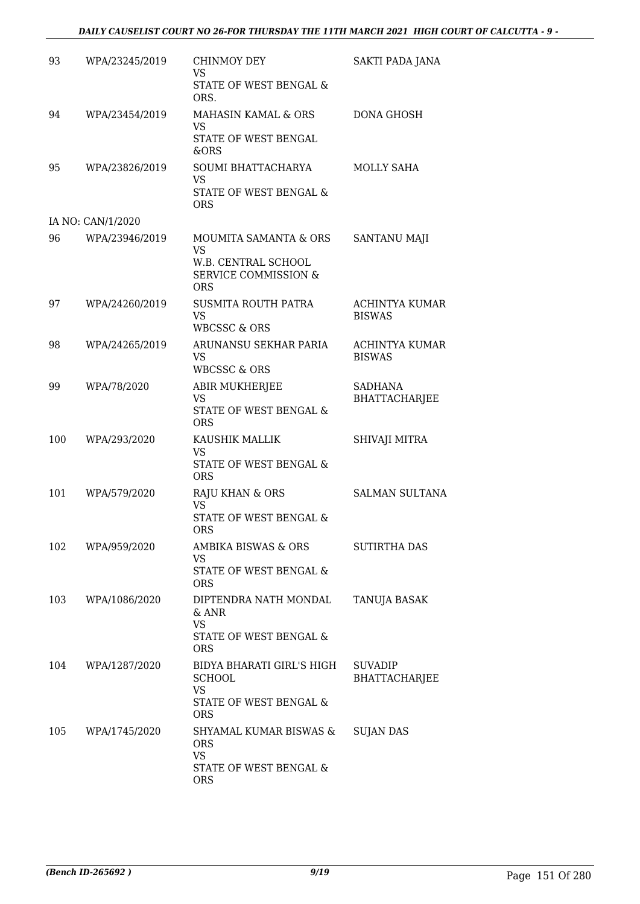| 93  | WPA/23245/2019    | CHINMOY DEY<br><b>VS</b>                                                                                   | SAKTI PADA JANA                        |
|-----|-------------------|------------------------------------------------------------------------------------------------------------|----------------------------------------|
|     |                   | STATE OF WEST BENGAL &<br>ORS.                                                                             |                                        |
| 94  | WPA/23454/2019    | <b>MAHASIN KAMAL &amp; ORS</b><br><b>VS</b>                                                                | <b>DONA GHOSH</b>                      |
|     |                   | STATE OF WEST BENGAL<br>&ORS                                                                               |                                        |
| 95  | WPA/23826/2019    | SOUMI BHATTACHARYA<br><b>VS</b><br><b>STATE OF WEST BENGAL &amp;</b><br><b>ORS</b>                         | MOLLY SAHA                             |
|     | IA NO: CAN/1/2020 |                                                                                                            |                                        |
| 96  | WPA/23946/2019    | MOUMITA SAMANTA & ORS<br><b>VS</b><br>W.B. CENTRAL SCHOOL<br><b>SERVICE COMMISSION &amp;</b><br><b>ORS</b> | SANTANU MAJI                           |
| 97  | WPA/24260/2019    | SUSMITA ROUTH PATRA<br><b>VS</b><br><b>WBCSSC &amp; ORS</b>                                                | ACHINTYA KUMAR<br><b>BISWAS</b>        |
| 98  | WPA/24265/2019    | ARUNANSU SEKHAR PARIA<br><b>VS</b><br><b>WBCSSC &amp; ORS</b>                                              | <b>ACHINTYA KUMAR</b><br><b>BISWAS</b> |
| 99  | WPA/78/2020       | <b>ABIR MUKHERJEE</b><br><b>VS</b><br>STATE OF WEST BENGAL &<br><b>ORS</b>                                 | <b>SADHANA</b><br><b>BHATTACHARJEE</b> |
| 100 | WPA/293/2020      | KAUSHIK MALLIK<br><b>VS</b><br>STATE OF WEST BENGAL &<br><b>ORS</b>                                        | SHIVAJI MITRA                          |
| 101 | WPA/579/2020      | RAJU KHAN & ORS<br>VS<br>STATE OF WEST BENGAL &<br>ORS.                                                    | <b>SALMAN SULTANA</b>                  |
| 102 | WPA/959/2020      | AMBIKA BISWAS & ORS<br><b>VS</b><br>STATE OF WEST BENGAL &<br><b>ORS</b>                                   | <b>SUTIRTHA DAS</b>                    |
| 103 | WPA/1086/2020     | DIPTENDRA NATH MONDAL<br>& ANR<br><b>VS</b><br><b>STATE OF WEST BENGAL &amp;</b><br><b>ORS</b>             | <b>TANUJA BASAK</b>                    |
| 104 | WPA/1287/2020     | BIDYA BHARATI GIRL'S HIGH<br><b>SCHOOL</b><br><b>VS</b><br>STATE OF WEST BENGAL &<br>ORS                   | <b>SUVADIP</b><br><b>BHATTACHARJEE</b> |
| 105 | WPA/1745/2020     | SHYAMAL KUMAR BISWAS &<br><b>ORS</b><br><b>VS</b><br>STATE OF WEST BENGAL &<br><b>ORS</b>                  | <b>SUJAN DAS</b>                       |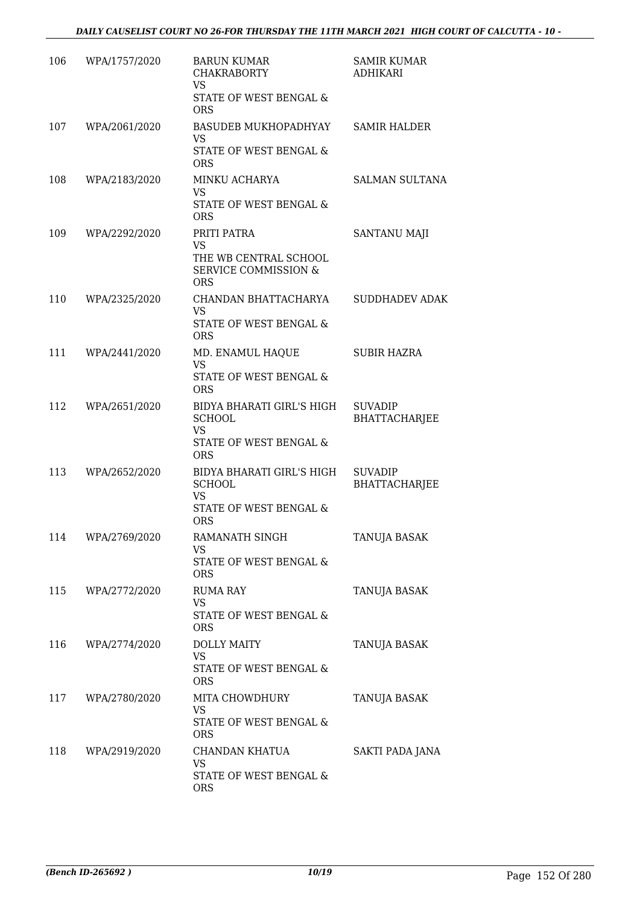| 106 | WPA/1757/2020 | <b>BARUN KUMAR</b><br><b>CHAKRABORTY</b><br><b>VS</b><br>STATE OF WEST BENGAL &<br><b>ORS</b>      | <b>SAMIR KUMAR</b><br><b>ADHIKARI</b>  |
|-----|---------------|----------------------------------------------------------------------------------------------------|----------------------------------------|
| 107 | WPA/2061/2020 | BASUDEB MUKHOPADHYAY<br><b>VS</b><br>STATE OF WEST BENGAL &<br><b>ORS</b>                          | <b>SAMIR HALDER</b>                    |
| 108 | WPA/2183/2020 | MINKU ACHARYA<br><b>VS</b><br>STATE OF WEST BENGAL &<br><b>ORS</b>                                 | <b>SALMAN SULTANA</b>                  |
| 109 | WPA/2292/2020 | PRITI PATRA<br><b>VS</b><br>THE WB CENTRAL SCHOOL<br><b>SERVICE COMMISSION &amp;</b><br><b>ORS</b> | <b>SANTANU MAJI</b>                    |
| 110 | WPA/2325/2020 | CHANDAN BHATTACHARYA<br><b>VS</b><br>STATE OF WEST BENGAL &<br><b>ORS</b>                          | <b>SUDDHADEV ADAK</b>                  |
| 111 | WPA/2441/2020 | MD. ENAMUL HAQUE<br><b>VS</b><br>STATE OF WEST BENGAL &<br><b>ORS</b>                              | <b>SUBIR HAZRA</b>                     |
| 112 | WPA/2651/2020 | BIDYA BHARATI GIRL'S HIGH<br><b>SCHOOL</b><br><b>VS</b><br>STATE OF WEST BENGAL &<br><b>ORS</b>    | <b>SUVADIP</b><br><b>BHATTACHARJEE</b> |
| 113 | WPA/2652/2020 | BIDYA BHARATI GIRL'S HIGH<br><b>SCHOOL</b><br><b>VS</b><br>STATE OF WEST BENGAL &<br><b>ORS</b>    | <b>SUVADIP</b><br><b>BHATTACHARJEE</b> |
| 114 | WPA/2769/2020 | RAMANATH SINGH<br><b>VS</b><br>STATE OF WEST BENGAL &<br><b>ORS</b>                                | <b>TANUJA BASAK</b>                    |
| 115 | WPA/2772/2020 | <b>RUMA RAY</b><br><b>VS</b><br>STATE OF WEST BENGAL &<br><b>ORS</b>                               | TANUJA BASAK                           |
| 116 | WPA/2774/2020 | <b>DOLLY MAITY</b><br><b>VS</b><br>STATE OF WEST BENGAL &<br><b>ORS</b>                            | <b>TANUJA BASAK</b>                    |
| 117 | WPA/2780/2020 | MITA CHOWDHURY<br><b>VS</b><br>STATE OF WEST BENGAL &<br><b>ORS</b>                                | TANUJA BASAK                           |
| 118 | WPA/2919/2020 | CHANDAN KHATUA<br><b>VS</b><br>STATE OF WEST BENGAL &<br><b>ORS</b>                                | <b>SAKTI PADA JANA</b>                 |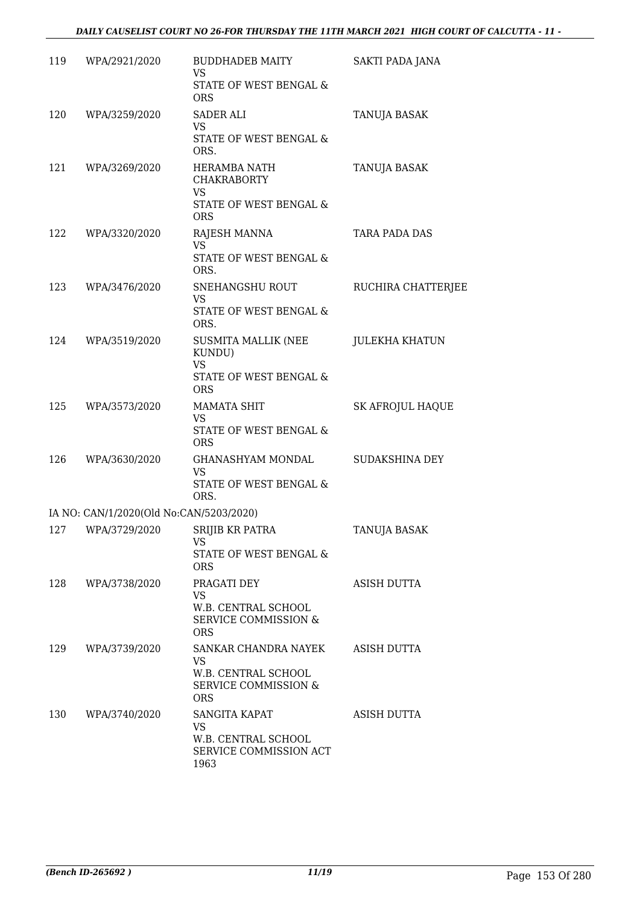| 119 | WPA/2921/2020                           | BUDDHADEB MAITY<br><b>VS</b><br>STATE OF WEST BENGAL &<br><b>ORS</b>                     | SAKTI PADA JANA           |
|-----|-----------------------------------------|------------------------------------------------------------------------------------------|---------------------------|
| 120 | WPA/3259/2020                           | <b>SADER ALI</b><br><b>VS</b><br>STATE OF WEST BENGAL &<br>ORS.                          | TANUJA BASAK              |
| 121 | WPA/3269/2020                           | HERAMBA NATH<br>CHAKRABORTY<br><b>VS</b><br>STATE OF WEST BENGAL &<br><b>ORS</b>         | TANUJA BASAK              |
| 122 | WPA/3320/2020                           | RAJESH MANNA<br><b>VS</b><br>STATE OF WEST BENGAL &<br>ORS.                              | TARA PADA DAS             |
| 123 | WPA/3476/2020                           | SNEHANGSHU ROUT<br><b>VS</b><br>STATE OF WEST BENGAL &<br>ORS.                           | <b>RUCHIRA CHATTERJEE</b> |
| 124 | WPA/3519/2020                           | SUSMITA MALLIK (NEE<br>KUNDU)<br><b>VS</b><br>STATE OF WEST BENGAL &<br><b>ORS</b>       | <b>JULEKHA KHATUN</b>     |
| 125 | WPA/3573/2020                           | <b>MAMATA SHIT</b><br><b>VS</b><br>STATE OF WEST BENGAL &<br><b>ORS</b>                  | <b>SK AFROJUL HAQUE</b>   |
| 126 | WPA/3630/2020                           | GHANASHYAM MONDAL<br><b>VS</b><br>STATE OF WEST BENGAL &<br>ORS.                         | SUDAKSHINA DEY            |
|     | IA NO: CAN/1/2020(Old No:CAN/5203/2020) |                                                                                          |                           |
| 127 | WPA/3729/2020                           | SRIJIB KR PATRA<br>VS.<br>STATE OF WEST BENGAL &<br><b>ORS</b>                           | <b>TANUJA BASAK</b>       |
| 128 | WPA/3738/2020                           | PRAGATI DEY<br><b>VS</b><br>W.B. CENTRAL SCHOOL<br>SERVICE COMMISSION &<br><b>ORS</b>    | ASISH DUTTA               |
| 129 | WPA/3739/2020                           | SANKAR CHANDRA NAYEK<br>VS.<br>W.B. CENTRAL SCHOOL<br>SERVICE COMMISSION &<br><b>ORS</b> | ASISH DUTTA               |
| 130 | WPA/3740/2020                           | SANGITA KAPAT<br><b>VS</b><br>W.B. CENTRAL SCHOOL<br>SERVICE COMMISSION ACT<br>1963      | ASISH DUTTA               |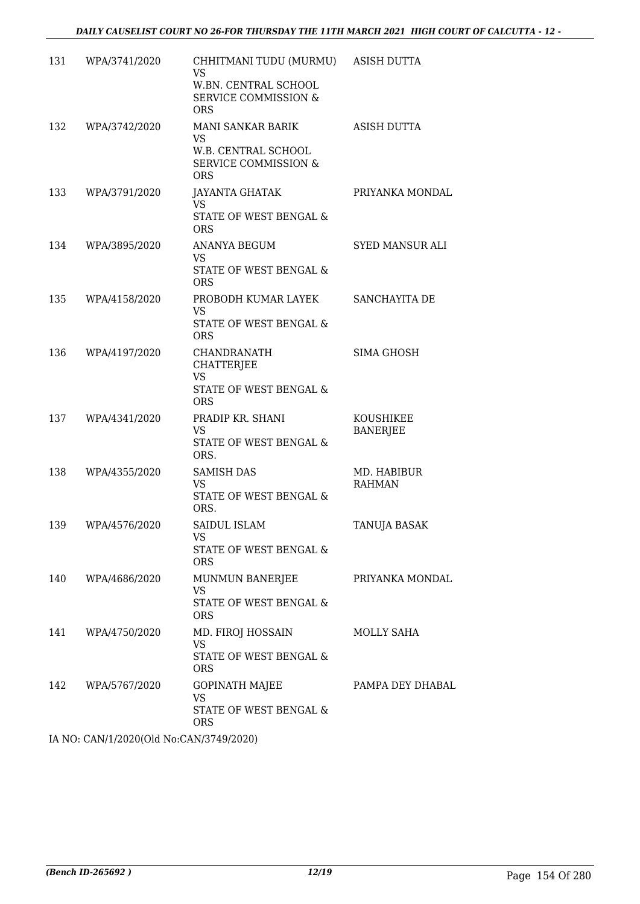| 131 | WPA/3741/2020 | CHHITMANI TUDU (MURMU)<br><b>VS</b><br>W.BN. CENTRAL SCHOOL<br><b>SERVICE COMMISSION &amp;</b><br><b>ORS</b> | <b>ASISH DUTTA</b>           |
|-----|---------------|--------------------------------------------------------------------------------------------------------------|------------------------------|
| 132 | WPA/3742/2020 | MANI SANKAR BARIK<br>VS<br>W.B. CENTRAL SCHOOL<br><b>SERVICE COMMISSION &amp;</b><br><b>ORS</b>              | <b>ASISH DUTTA</b>           |
| 133 | WPA/3791/2020 | <b>JAYANTA GHATAK</b><br><b>VS</b><br>STATE OF WEST BENGAL &<br><b>ORS</b>                                   | PRIYANKA MONDAL              |
| 134 | WPA/3895/2020 | ANANYA BEGUM<br><b>VS</b><br>STATE OF WEST BENGAL &<br><b>ORS</b>                                            | <b>SYED MANSUR ALI</b>       |
| 135 | WPA/4158/2020 | PROBODH KUMAR LAYEK<br>VS.<br>STATE OF WEST BENGAL &<br><b>ORS</b>                                           | SANCHAYITA DE                |
| 136 | WPA/4197/2020 | CHANDRANATH<br><b>CHATTERJEE</b><br><b>VS</b><br>STATE OF WEST BENGAL &<br><b>ORS</b>                        | <b>SIMA GHOSH</b>            |
| 137 | WPA/4341/2020 | PRADIP KR. SHANI<br><b>VS</b><br>STATE OF WEST BENGAL &<br>ORS.                                              | KOUSHIKEE<br><b>BANERJEE</b> |
| 138 | WPA/4355/2020 | <b>SAMISH DAS</b><br><b>VS</b><br>STATE OF WEST BENGAL &<br>ORS.                                             | MD. HABIBUR<br><b>RAHMAN</b> |
| 139 | WPA/4576/2020 | SAIDUL ISLAM<br>VS<br>STATE OF WEST BENGAL &<br><b>ORS</b>                                                   | TANUJA BASAK                 |
| 140 | WPA/4686/2020 | MUNMUN BANERJEE<br><b>VS</b><br>STATE OF WEST BENGAL &<br><b>ORS</b>                                         | PRIYANKA MONDAL              |
| 141 | WPA/4750/2020 | MD. FIROJ HOSSAIN<br><b>VS</b><br>STATE OF WEST BENGAL &<br><b>ORS</b>                                       | MOLLY SAHA                   |
| 142 | WPA/5767/2020 | <b>GOPINATH MAJEE</b><br><b>VS</b><br>STATE OF WEST BENGAL &<br><b>ORS</b>                                   | PAMPA DEY DHABAL             |

IA NO: CAN/1/2020(Old No:CAN/3749/2020)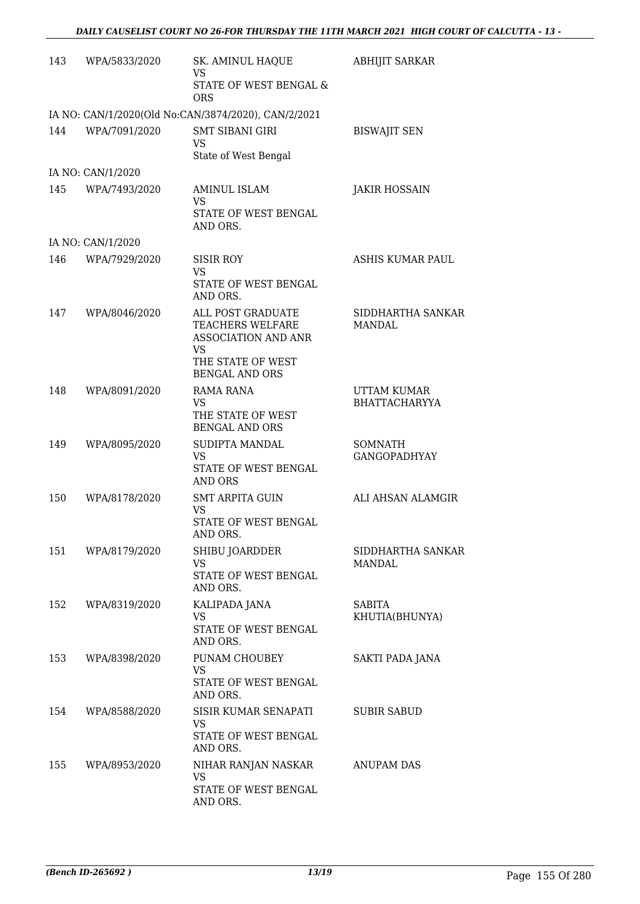| 143 | WPA/5833/2020     | SK. AMINUL HAQUE<br>VS                                                           | <b>ABHIJIT SARKAR</b>                      |
|-----|-------------------|----------------------------------------------------------------------------------|--------------------------------------------|
|     |                   | STATE OF WEST BENGAL &<br><b>ORS</b>                                             |                                            |
|     |                   | IA NO: CAN/1/2020(Old No:CAN/3874/2020), CAN/2/2021                              |                                            |
| 144 | WPA/7091/2020     | <b>SMT SIBANI GIRI</b><br><b>VS</b><br>State of West Bengal                      | <b>BISWAJIT SEN</b>                        |
|     | IA NO: CAN/1/2020 |                                                                                  |                                            |
| 145 | WPA/7493/2020     | AMINUL ISLAM<br><b>VS</b><br>STATE OF WEST BENGAL                                | <b>JAKIR HOSSAIN</b>                       |
|     |                   | AND ORS.                                                                         |                                            |
|     | IA NO: CAN/1/2020 |                                                                                  |                                            |
| 146 | WPA/7929/2020     | <b>SISIR ROY</b><br><b>VS</b><br>STATE OF WEST BENGAL<br>AND ORS.                | ASHIS KUMAR PAUL                           |
| 147 | WPA/8046/2020     | ALL POST GRADUATE<br><b>TEACHERS WELFARE</b><br>ASSOCIATION AND ANR<br><b>VS</b> | SIDDHARTHA SANKAR<br><b>MANDAL</b>         |
|     |                   | THE STATE OF WEST<br><b>BENGAL AND ORS</b>                                       |                                            |
| 148 | WPA/8091/2020     | RAMA RANA<br><b>VS</b><br>THE STATE OF WEST<br><b>BENGAL AND ORS</b>             | <b>UTTAM KUMAR</b><br><b>BHATTACHARYYA</b> |
| 149 | WPA/8095/2020     | <b>SUDIPTA MANDAL</b><br><b>VS</b><br>STATE OF WEST BENGAL<br><b>AND ORS</b>     | SOMNATH<br><b>GANGOPADHYAY</b>             |
| 150 | WPA/8178/2020     | <b>SMT ARPITA GUIN</b><br><b>VS</b><br>STATE OF WEST BENGAL<br>AND ORS.          | ALI AHSAN ALAMGIR                          |
| 151 | WPA/8179/2020     | SHIBU JOARDDER<br><b>VS</b><br>STATE OF WEST BENGAL<br>AND ORS.                  | SIDDHARTHA SANKAR<br>MANDAL                |
| 152 | WPA/8319/2020     | KALIPADA JANA<br><b>VS</b><br>STATE OF WEST BENGAL<br>AND ORS.                   | <b>SABITA</b><br>KHUTIA(BHUNYA)            |
| 153 | WPA/8398/2020     | PUNAM CHOUBEY<br><b>VS</b><br>STATE OF WEST BENGAL<br>AND ORS.                   | <b>SAKTI PADA JANA</b>                     |
| 154 | WPA/8588/2020     | SISIR KUMAR SENAPATI<br><b>VS</b><br>STATE OF WEST BENGAL<br>AND ORS.            | <b>SUBIR SABUD</b>                         |
| 155 | WPA/8953/2020     | NIHAR RANJAN NASKAR<br><b>VS</b><br>STATE OF WEST BENGAL<br>AND ORS.             | ANUPAM DAS                                 |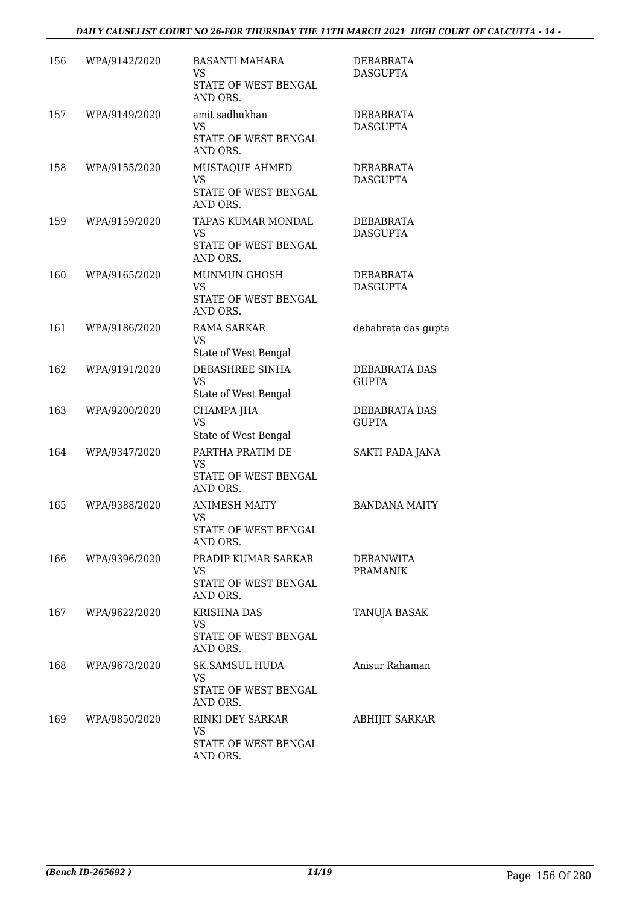| 156 | WPA/9142/2020 | <b>BASANTI MAHARA</b><br>VS.<br>STATE OF WEST BENGAL<br>AND ORS.       | DEBABRATA<br><b>DASGUPTA</b>  |
|-----|---------------|------------------------------------------------------------------------|-------------------------------|
| 157 | WPA/9149/2020 | amit sadhukhan<br><b>VS</b><br>STATE OF WEST BENGAL<br>AND ORS.        | DEBABRATA<br><b>DASGUPTA</b>  |
| 158 | WPA/9155/2020 | MUSTAQUE AHMED<br><b>VS</b><br>STATE OF WEST BENGAL<br>AND ORS.        | DEBABRATA<br><b>DASGUPTA</b>  |
| 159 | WPA/9159/2020 | TAPAS KUMAR MONDAL<br><b>VS</b><br>STATE OF WEST BENGAL<br>AND ORS.    | DEBABRATA<br><b>DASGUPTA</b>  |
| 160 | WPA/9165/2020 | <b>MUNMUN GHOSH</b><br><b>VS</b><br>STATE OF WEST BENGAL<br>AND ORS.   | DEBABRATA<br><b>DASGUPTA</b>  |
| 161 | WPA/9186/2020 | <b>RAMA SARKAR</b><br><b>VS</b><br>State of West Bengal                | debabrata das gupta           |
| 162 | WPA/9191/2020 | DEBASHREE SINHA<br><b>VS</b><br>State of West Bengal                   | DEBABRATA DAS<br><b>GUPTA</b> |
| 163 | WPA/9200/2020 | CHAMPA JHA<br><b>VS</b><br>State of West Bengal                        | DEBABRATA DAS<br><b>GUPTA</b> |
| 164 | WPA/9347/2020 | PARTHA PRATIM DE<br><b>VS</b><br>STATE OF WEST BENGAL<br>AND ORS.      | <b>SAKTI PADA JANA</b>        |
| 165 | WPA/9388/2020 | <b>ANIMESH MAITY</b><br><b>VS</b><br>STATE OF WEST BENGAL<br>AND ORS.  | <b>BANDANA MAITY</b>          |
| 166 | WPA/9396/2020 | PRADIP KUMAR SARKAR<br>VS.<br>STATE OF WEST BENGAL<br>AND ORS.         | DEBANWITA<br><b>PRAMANIK</b>  |
| 167 | WPA/9622/2020 | <b>KRISHNA DAS</b><br><b>VS</b><br>STATE OF WEST BENGAL<br>AND ORS.    | TANUJA BASAK                  |
| 168 | WPA/9673/2020 | <b>SK.SAMSUL HUDA</b><br><b>VS</b><br>STATE OF WEST BENGAL<br>AND ORS. | Anisur Rahaman                |
| 169 | WPA/9850/2020 | RINKI DEY SARKAR<br><b>VS</b><br>STATE OF WEST BENGAL<br>AND ORS.      | ABHIJIT SARKAR                |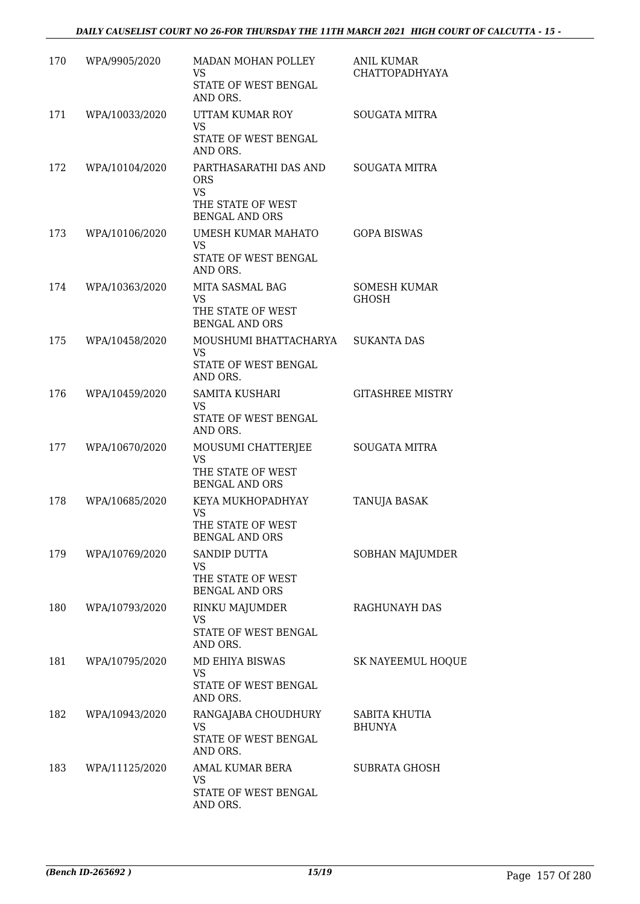| 170 | WPA/9905/2020  | MADAN MOHAN POLLEY<br><b>VS</b><br>STATE OF WEST BENGAL<br>AND ORS.                          | <b>ANIL KUMAR</b><br><b>CHATTOPADHYAYA</b> |
|-----|----------------|----------------------------------------------------------------------------------------------|--------------------------------------------|
| 171 | WPA/10033/2020 | UTTAM KUMAR ROY<br>VS<br>STATE OF WEST BENGAL<br>AND ORS.                                    | <b>SOUGATA MITRA</b>                       |
| 172 | WPA/10104/2020 | PARTHASARATHI DAS AND<br><b>ORS</b><br><b>VS</b><br>THE STATE OF WEST                        | <b>SOUGATA MITRA</b>                       |
| 173 | WPA/10106/2020 | <b>BENGAL AND ORS</b><br>UMESH KUMAR MAHATO<br><b>VS</b><br>STATE OF WEST BENGAL<br>AND ORS. | <b>GOPA BISWAS</b>                         |
| 174 | WPA/10363/2020 | MITA SASMAL BAG<br><b>VS</b><br>THE STATE OF WEST<br><b>BENGAL AND ORS</b>                   | <b>SOMESH KUMAR</b><br><b>GHOSH</b>        |
| 175 | WPA/10458/2020 | MOUSHUMI BHATTACHARYA<br>VS.<br>STATE OF WEST BENGAL<br>AND ORS.                             | <b>SUKANTA DAS</b>                         |
| 176 | WPA/10459/2020 | SAMITA KUSHARI<br><b>VS</b><br>STATE OF WEST BENGAL<br>AND ORS.                              | <b>GITASHREE MISTRY</b>                    |
| 177 | WPA/10670/2020 | MOUSUMI CHATTERJEE<br><b>VS</b><br>THE STATE OF WEST<br><b>BENGAL AND ORS</b>                | <b>SOUGATA MITRA</b>                       |
| 178 | WPA/10685/2020 | KEYA MUKHOPADHYAY<br><b>VS</b><br>THE STATE OF WEST<br><b>BENGAL AND ORS</b>                 | TANUJA BASAK                               |
| 179 | WPA/10769/2020 | <b>SANDIP DUTTA</b><br><b>VS</b><br>THE STATE OF WEST<br><b>BENGAL AND ORS</b>               | SOBHAN MAJUMDER                            |
| 180 | WPA/10793/2020 | RINKU MAJUMDER<br><b>VS</b><br>STATE OF WEST BENGAL<br>AND ORS.                              | RAGHUNAYH DAS                              |
| 181 | WPA/10795/2020 | MD EHIYA BISWAS<br>VS.<br>STATE OF WEST BENGAL<br>AND ORS.                                   | <b>SK NAYEEMUL HOQUE</b>                   |
| 182 | WPA/10943/2020 | RANGAJABA CHOUDHURY<br><b>VS</b><br>STATE OF WEST BENGAL<br>AND ORS.                         | SABITA KHUTIA<br><b>BHUNYA</b>             |
| 183 | WPA/11125/2020 | AMAL KUMAR BERA<br>VS<br>STATE OF WEST BENGAL<br>AND ORS.                                    | <b>SUBRATA GHOSH</b>                       |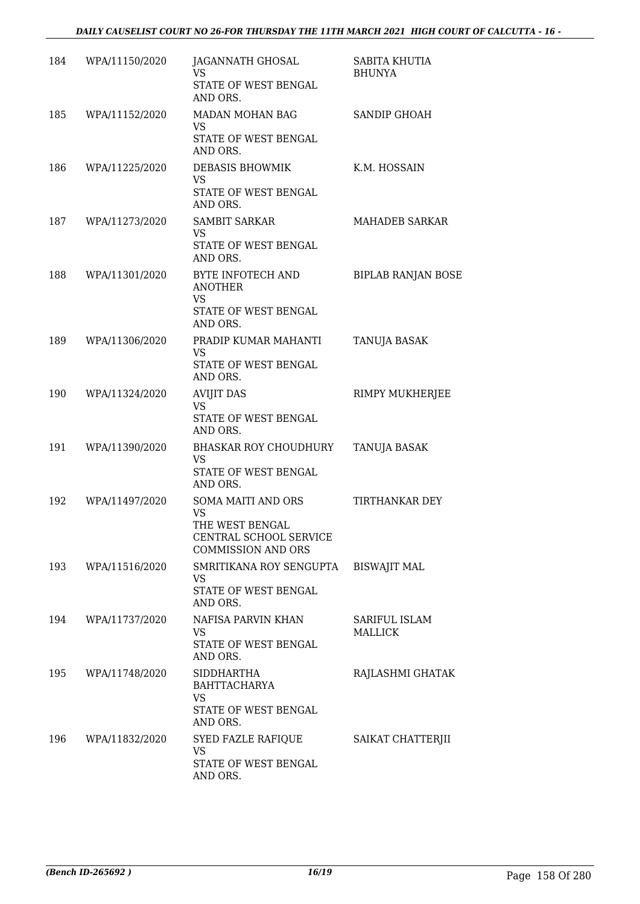| 184 | WPA/11150/2020 | JAGANNATH GHOSAL<br><b>VS</b><br>STATE OF WEST BENGAL<br>AND ORS.                                         | SABITA KHUTIA<br><b>BHUNYA</b>  |
|-----|----------------|-----------------------------------------------------------------------------------------------------------|---------------------------------|
| 185 | WPA/11152/2020 | MADAN MOHAN BAG<br><b>VS</b><br>STATE OF WEST BENGAL<br>AND ORS.                                          | <b>SANDIP GHOAH</b>             |
| 186 | WPA/11225/2020 | <b>DEBASIS BHOWMIK</b><br><b>VS</b><br>STATE OF WEST BENGAL<br>AND ORS.                                   | K.M. HOSSAIN                    |
| 187 | WPA/11273/2020 | <b>SAMBIT SARKAR</b><br><b>VS</b><br>STATE OF WEST BENGAL<br>AND ORS.                                     | <b>MAHADEB SARKAR</b>           |
| 188 | WPA/11301/2020 | BYTE INFOTECH AND<br><b>ANOTHER</b><br><b>VS</b><br>STATE OF WEST BENGAL<br>AND ORS.                      | <b>BIPLAB RANJAN BOSE</b>       |
| 189 | WPA/11306/2020 | PRADIP KUMAR MAHANTI<br><b>VS</b><br>STATE OF WEST BENGAL<br>AND ORS.                                     | <b>TANUJA BASAK</b>             |
| 190 | WPA/11324/2020 | <b>AVIJIT DAS</b><br><b>VS</b><br>STATE OF WEST BENGAL<br>AND ORS.                                        | RIMPY MUKHERJEE                 |
| 191 | WPA/11390/2020 | BHASKAR ROY CHOUDHURY<br>VS.<br>STATE OF WEST BENGAL<br>AND ORS.                                          | TANUJA BASAK                    |
| 192 | WPA/11497/2020 | SOMA MAITI AND ORS<br><b>VS</b><br>THE WEST BENGAL<br>CENTRAL SCHOOL SERVICE<br><b>COMMISSION AND ORS</b> | <b>TIRTHANKAR DEY</b>           |
| 193 | WPA/11516/2020 | SMRITIKANA ROY SENGUPTA<br>VS<br>STATE OF WEST BENGAL<br>AND ORS.                                         | <b>BISWAJIT MAL</b>             |
| 194 | WPA/11737/2020 | NAFISA PARVIN KHAN<br>VS.<br>STATE OF WEST BENGAL<br>AND ORS.                                             | SARIFUL ISLAM<br><b>MALLICK</b> |
| 195 | WPA/11748/2020 | <b>SIDDHARTHA</b><br><b>BAHTTACHARYA</b><br>VS.<br>STATE OF WEST BENGAL<br>AND ORS.                       | RAJLASHMI GHATAK                |
| 196 | WPA/11832/2020 | SYED FAZLE RAFIQUE<br><b>VS</b><br>STATE OF WEST BENGAL<br>AND ORS.                                       | SAIKAT CHATTERJII               |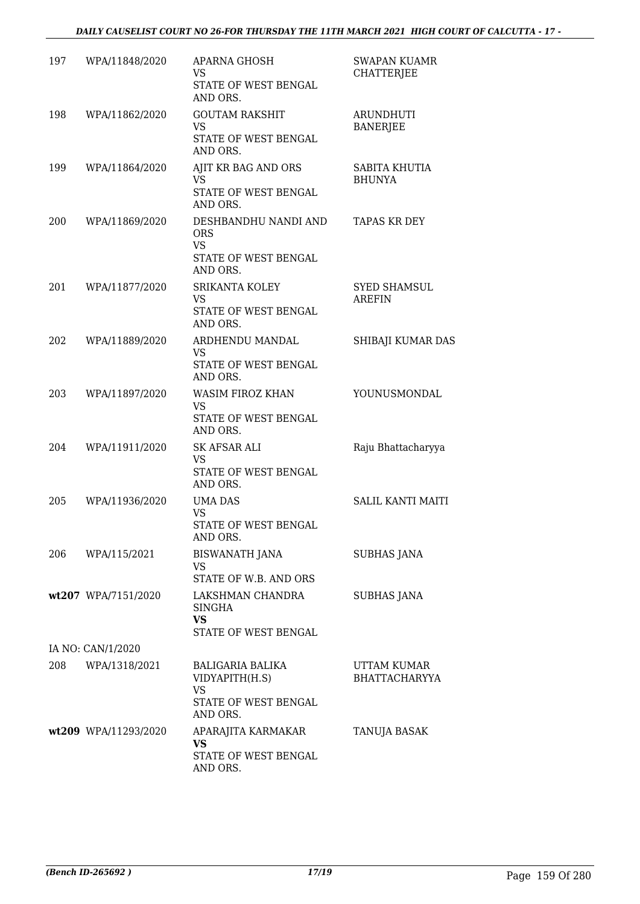| 197 | WPA/11848/2020       | APARNA GHOSH<br>VS.<br>STATE OF WEST BENGAL<br>AND ORS.                             | <b>SWAPAN KUAMR</b><br><b>CHATTERJEE</b> |
|-----|----------------------|-------------------------------------------------------------------------------------|------------------------------------------|
| 198 | WPA/11862/2020       | <b>GOUTAM RAKSHIT</b><br><b>VS</b><br>STATE OF WEST BENGAL<br>AND ORS.              | <b>ARUNDHUTI</b><br><b>BANERJEE</b>      |
| 199 | WPA/11864/2020       | AJIT KR BAG AND ORS<br><b>VS</b><br>STATE OF WEST BENGAL<br>AND ORS.                | SABITA KHUTIA<br><b>BHUNYA</b>           |
| 200 | WPA/11869/2020       | DESHBANDHU NANDI AND<br><b>ORS</b><br><b>VS</b><br>STATE OF WEST BENGAL<br>AND ORS. | <b>TAPAS KR DEY</b>                      |
| 201 | WPA/11877/2020       | SRIKANTA KOLEY<br><b>VS</b><br>STATE OF WEST BENGAL<br>AND ORS.                     | <b>SYED SHAMSUL</b><br><b>AREFIN</b>     |
| 202 | WPA/11889/2020       | ARDHENDU MANDAL<br><b>VS</b><br>STATE OF WEST BENGAL<br>AND ORS.                    | SHIBAJI KUMAR DAS                        |
| 203 | WPA/11897/2020       | WASIM FIROZ KHAN<br><b>VS</b><br>STATE OF WEST BENGAL<br>AND ORS.                   | YOUNUSMONDAL                             |
| 204 | WPA/11911/2020       | <b>SK AFSAR ALI</b><br>VS.<br>STATE OF WEST BENGAL<br>AND ORS.                      | Raju Bhattacharyya                       |
| 205 | WPA/11936/2020       | <b>UMA DAS</b><br><b>VS</b><br>STATE OF WEST BENGAL<br>AND ORS.                     | <b>SALIL KANTI MAITI</b>                 |
| 206 | WPA/115/2021         | <b>BISWANATH JANA</b><br>VS<br>STATE OF W.B. AND ORS                                | <b>SUBHAS JANA</b>                       |
|     | wt207 WPA/7151/2020  | LAKSHMAN CHANDRA<br>SINGHA<br><b>VS</b><br>STATE OF WEST BENGAL                     | SUBHAS JANA                              |
|     | IA NO: CAN/1/2020    |                                                                                     |                                          |
| 208 | WPA/1318/2021        | BALIGARIA BALIKA<br>VIDYAPITH(H.S)<br>VS<br>STATE OF WEST BENGAL<br>AND ORS.        | UTTAM KUMAR<br><b>BHATTACHARYYA</b>      |
|     | wt209 WPA/11293/2020 | APARAJITA KARMAKAR<br><b>VS</b><br>STATE OF WEST BENGAL<br>AND ORS.                 | TANUJA BASAK                             |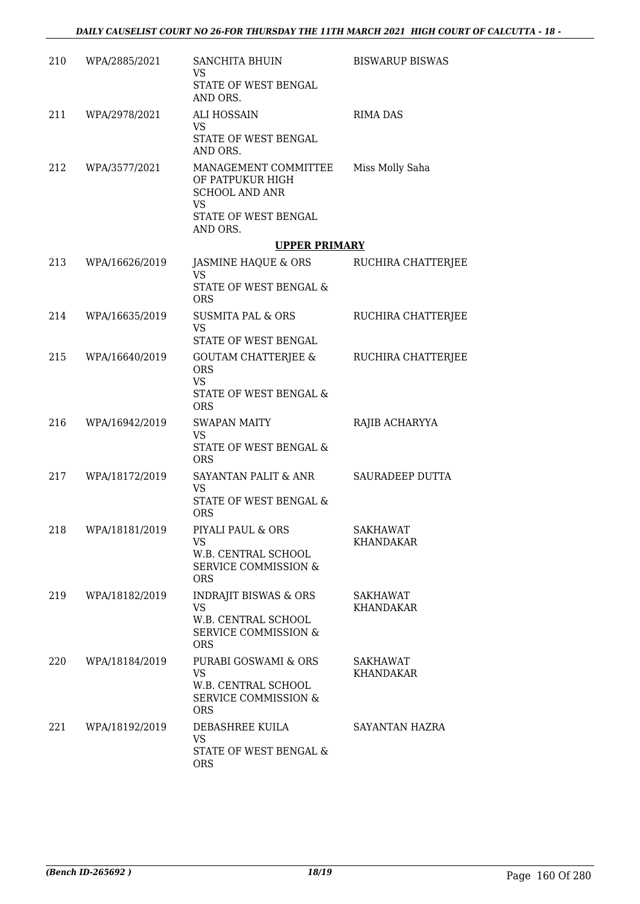| 210 | WPA/2885/2021      | SANCHITA BHUIN<br>VS.<br>STATE OF WEST BENGAL<br>AND ORS.                                                          | <b>BISWARUP BISWAS</b>              |
|-----|--------------------|--------------------------------------------------------------------------------------------------------------------|-------------------------------------|
|     | 211 WPA/2978/2021  | <b>ALI HOSSAIN</b><br>VS.<br>STATE OF WEST BENGAL<br>AND ORS.                                                      | <b>RIMA DAS</b>                     |
| 212 | WPA/3577/2021      | MANAGEMENT COMMITTEE<br>OF PATPUKUR HIGH<br><b>SCHOOL AND ANR</b><br><b>VS</b><br>STATE OF WEST BENGAL<br>AND ORS. | Miss Molly Saha                     |
|     |                    | <b>UPPER PRIMARY</b>                                                                                               |                                     |
|     | 213 WPA/16626/2019 | JASMINE HAQUE & ORS RUCHIRA CHATTERJEE<br><b>VS</b>                                                                |                                     |
|     |                    | STATE OF WEST BENGAL &<br><b>ORS</b>                                                                               |                                     |
|     | 214 WPA/16635/2019 | SUSMITA PAL & ORS<br><b>VS</b><br>STATE OF WEST BENGAL                                                             | RUCHIRA CHATTERJEE                  |
| 215 | WPA/16640/2019     | GOUTAM CHATTERJEE &<br><b>ORS</b><br><b>VS</b><br>STATE OF WEST BENGAL &<br><b>ORS</b>                             | RUCHIRA CHATTERJEE                  |
| 216 | WPA/16942/2019     | <b>SWAPAN MAITY</b><br>VS<br>STATE OF WEST BENGAL &<br><b>ORS</b>                                                  | RAJIB ACHARYYA                      |
| 217 | WPA/18172/2019     | SAYANTAN PALIT & ANR<br><b>VS</b><br>STATE OF WEST BENGAL &<br><b>ORS</b>                                          | SAURADEEP DUTTA                     |
| 218 | WPA/18181/2019     | PIYALI PAUL & ORS<br>VS<br>W.B. CENTRAL SCHOOL<br><b>SERVICE COMMISSION &amp;</b><br><b>ORS</b>                    | <b>SAKHAWAT</b><br>KHANDAKAR        |
| 219 | WPA/18182/2019     | <b>INDRAJIT BISWAS &amp; ORS</b><br>VS.<br>W.B. CENTRAL SCHOOL<br><b>SERVICE COMMISSION &amp;</b><br><b>ORS</b>    | SAKHAWAT<br>KHANDAKAR               |
| 220 | WPA/18184/2019     | PURABI GOSWAMI & ORS<br>VS<br>W.B. CENTRAL SCHOOL<br><b>SERVICE COMMISSION &amp;</b><br><b>ORS</b>                 | <b>SAKHAWAT</b><br><b>KHANDAKAR</b> |
| 221 | WPA/18192/2019     | DEBASHREE KUILA<br>VS.<br>STATE OF WEST BENGAL &<br><b>ORS</b>                                                     | SAYANTAN HAZRA                      |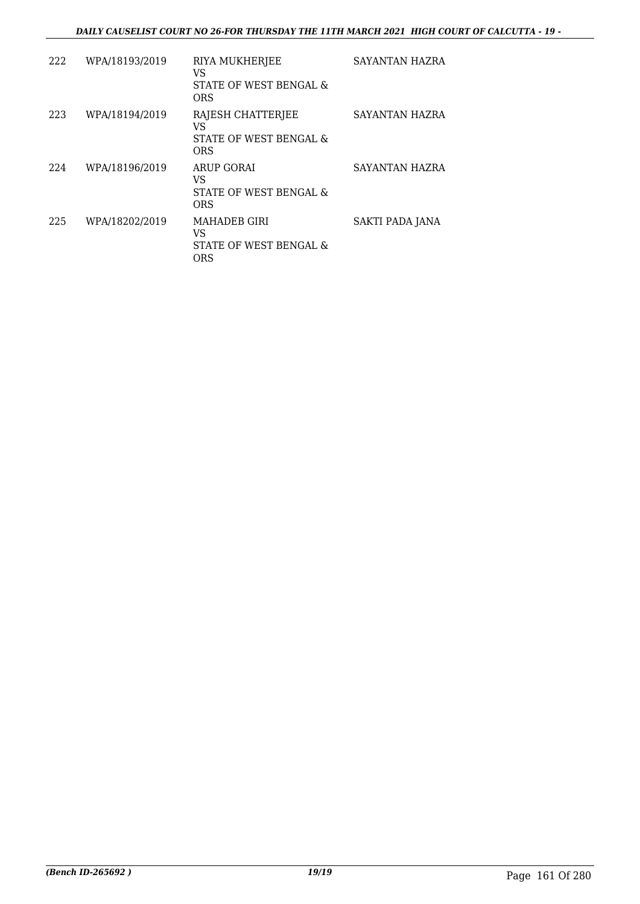| 222 | WPA/18193/2019 | RIYA MUKHERJEE<br>VS<br>STATE OF WEST BENGAL &<br><b>ORS</b>      | SAYANTAN HAZRA  |
|-----|----------------|-------------------------------------------------------------------|-----------------|
| 223 | WPA/18194/2019 | RAJESH CHATTERJEE<br>VS<br>STATE OF WEST BENGAL &<br><b>ORS</b>   | SAYANTAN HAZRA  |
| 224 | WPA/18196/2019 | ARUP GORAI<br>VS<br>STATE OF WEST BENGAL &<br>ORS                 | SAYANTAN HAZRA  |
| 225 | WPA/18202/2019 | <b>MAHADER GIRI</b><br>VS<br>STATE OF WEST BENGAL &<br><b>ORS</b> | SAKTI PADA JANA |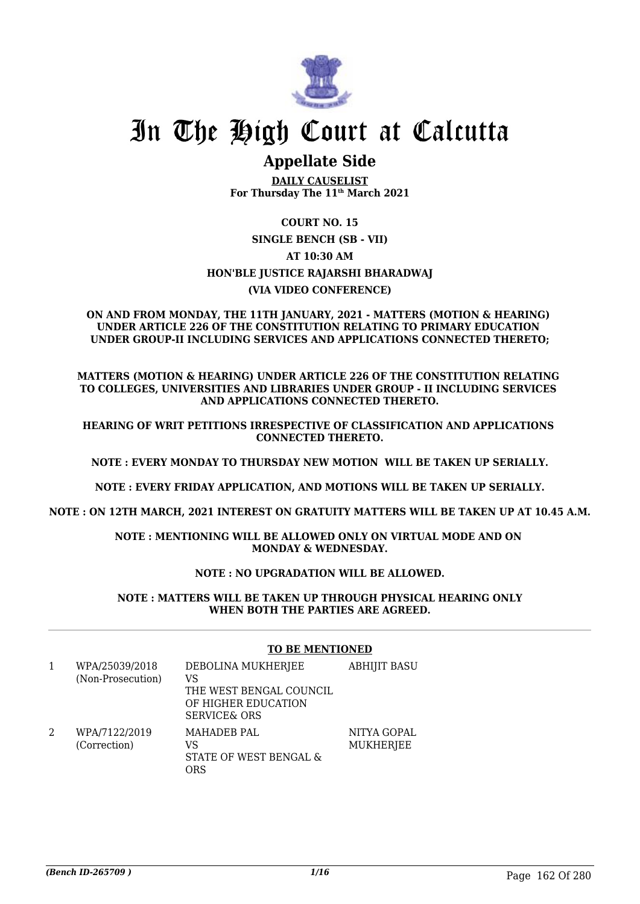

# In The High Court at Calcutta

## **Appellate Side**

**DAILY CAUSELIST For Thursday The 11th March 2021**

**COURT NO. 15 SINGLE BENCH (SB - VII) AT 10:30 AM HON'BLE JUSTICE RAJARSHI BHARADWAJ (VIA VIDEO CONFERENCE)**

#### **ON AND FROM MONDAY, THE 11TH JANUARY, 2021 - MATTERS (MOTION & HEARING) UNDER ARTICLE 226 OF THE CONSTITUTION RELATING TO PRIMARY EDUCATION UNDER GROUP-II INCLUDING SERVICES AND APPLICATIONS CONNECTED THERETO;**

**MATTERS (MOTION & HEARING) UNDER ARTICLE 226 OF THE CONSTITUTION RELATING TO COLLEGES, UNIVERSITIES AND LIBRARIES UNDER GROUP - II INCLUDING SERVICES AND APPLICATIONS CONNECTED THERETO.**

**HEARING OF WRIT PETITIONS IRRESPECTIVE OF CLASSIFICATION AND APPLICATIONS CONNECTED THERETO.**

**NOTE : EVERY MONDAY TO THURSDAY NEW MOTION WILL BE TAKEN UP SERIALLY.**

**NOTE : EVERY FRIDAY APPLICATION, AND MOTIONS WILL BE TAKEN UP SERIALLY.**

**NOTE : ON 12TH MARCH, 2021 INTEREST ON GRATUITY MATTERS WILL BE TAKEN UP AT 10.45 A.M.**

**NOTE : MENTIONING WILL BE ALLOWED ONLY ON VIRTUAL MODE AND ON MONDAY & WEDNESDAY.**

#### **NOTE : NO UPGRADATION WILL BE ALLOWED.**

**NOTE : MATTERS WILL BE TAKEN UP THROUGH PHYSICAL HEARING ONLY WHEN BOTH THE PARTIES ARE AGREED.**

|   |                                     | TO BE MENTIONED                                                                                       |                          |
|---|-------------------------------------|-------------------------------------------------------------------------------------------------------|--------------------------|
| 1 | WPA/25039/2018<br>(Non-Prosecution) | DEBOLINA MUKHERJEE<br>VS<br>THE WEST BENGAL COUNCIL<br>OF HIGHER EDUCATION<br><b>SERVICE&amp; ORS</b> | <b>ABHIJIT BASU</b>      |
|   | WPA/7122/2019<br>(Correction)       | <b>MAHADEB PAL</b><br>VS<br>STATE OF WEST BENGAL &<br>ORS                                             | NITYA GOPAL<br>MUKHERJEE |

#### **TO BE MENTIONED**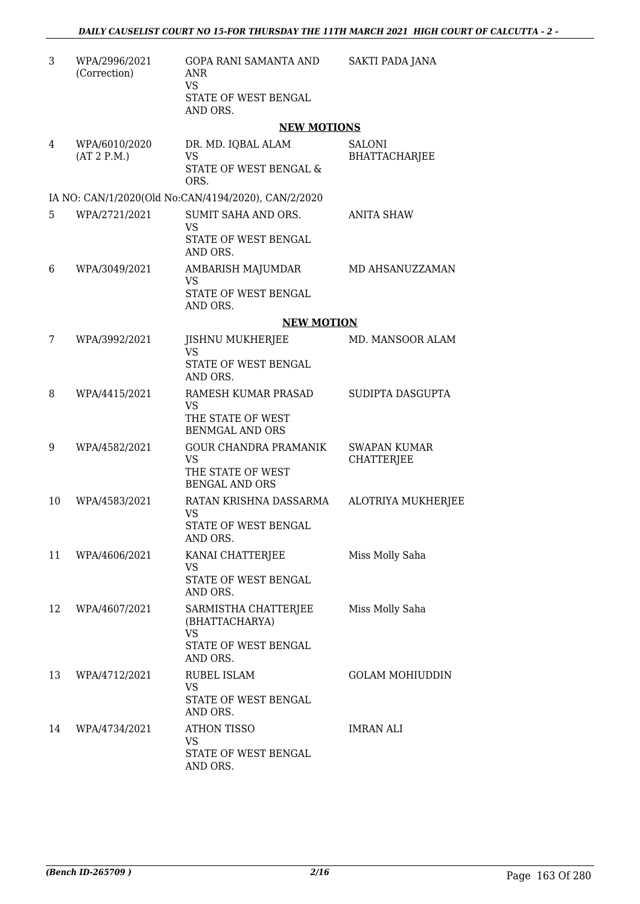| 3  | WPA/2996/2021<br>(Correction) | GOPA RANI SAMANTA AND<br><b>ANR</b><br><b>VS</b><br>STATE OF WEST BENGAL<br>AND ORS.    | SAKTI PADA JANA                          |
|----|-------------------------------|-----------------------------------------------------------------------------------------|------------------------------------------|
|    |                               | <b>NEW MOTIONS</b>                                                                      |                                          |
| 4  | WPA/6010/2020<br>(AT 2 P.M.)  | DR. MD. IQBAL ALAM<br><b>VS</b><br>STATE OF WEST BENGAL &<br>ORS.                       | <b>SALONI</b><br>BHATTACHARJEE           |
|    |                               | IA NO: CAN/1/2020(Old No:CAN/4194/2020), CAN/2/2020                                     |                                          |
| 5  | WPA/2721/2021                 | SUMIT SAHA AND ORS.<br><b>VS</b><br>STATE OF WEST BENGAL                                | ANITA SHAW                               |
|    |                               | AND ORS.                                                                                |                                          |
| 6  | WPA/3049/2021                 | AMBARISH MAJUMDAR<br><b>VS</b><br>STATE OF WEST BENGAL<br>AND ORS.                      | MD AHSANUZZAMAN                          |
|    |                               | <b>NEW MOTION</b>                                                                       |                                          |
| 7  | WPA/3992/2021                 | <b>JISHNU MUKHERJEE</b><br><b>VS</b><br>STATE OF WEST BENGAL<br>AND ORS.                | MD. MANSOOR ALAM                         |
| 8  | WPA/4415/2021                 | RAMESH KUMAR PRASAD<br><b>VS</b><br>THE STATE OF WEST<br><b>BENMGAL AND ORS</b>         | SUDIPTA DASGUPTA                         |
| 9  | WPA/4582/2021                 | <b>GOUR CHANDRA PRAMANIK</b><br><b>VS</b><br>THE STATE OF WEST<br><b>BENGAL AND ORS</b> | <b>SWAPAN KUMAR</b><br><b>CHATTERJEE</b> |
| 10 | WPA/4583/2021                 | RATAN KRISHNA DASSARMA<br><b>VS</b><br>STATE OF WEST BENGAL<br>AND ORS.                 | ALOTRIYA MUKHERJEE                       |
| 11 | WPA/4606/2021                 | KANAI CHATTERJEE<br>VS<br>STATE OF WEST BENGAL<br>AND ORS.                              | Miss Molly Saha                          |
| 12 | WPA/4607/2021                 | SARMISTHA CHATTERJEE<br>(BHATTACHARYA)<br>VS.<br>STATE OF WEST BENGAL                   | Miss Molly Saha                          |
| 13 | WPA/4712/2021                 | AND ORS.<br>RUBEL ISLAM<br>VS<br>STATE OF WEST BENGAL<br>AND ORS.                       | <b>GOLAM MOHIUDDIN</b>                   |
| 14 | WPA/4734/2021                 | <b>ATHON TISSO</b><br>VS<br>STATE OF WEST BENGAL<br>AND ORS.                            | IMRAN ALI                                |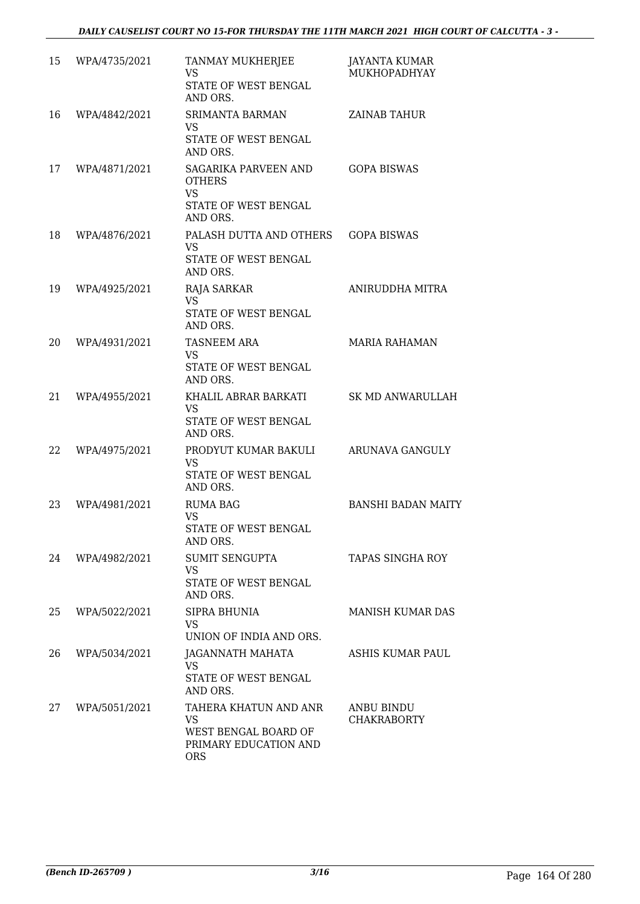| 15 | WPA/4735/2021 | TANMAY MUKHERJEE<br><b>VS</b><br>STATE OF WEST BENGAL<br>AND ORS.                                 | <b>JAYANTA KUMAR</b><br>MUKHOPADHYAY |
|----|---------------|---------------------------------------------------------------------------------------------------|--------------------------------------|
| 16 | WPA/4842/2021 | <b>SRIMANTA BARMAN</b><br><b>VS</b><br>STATE OF WEST BENGAL<br>AND ORS.                           | <b>ZAINAB TAHUR</b>                  |
| 17 | WPA/4871/2021 | SAGARIKA PARVEEN AND<br><b>OTHERS</b><br><b>VS</b><br>STATE OF WEST BENGAL<br>AND ORS.            | <b>GOPA BISWAS</b>                   |
| 18 | WPA/4876/2021 | PALASH DUTTA AND OTHERS<br><b>VS</b><br>STATE OF WEST BENGAL<br>AND ORS.                          | <b>GOPA BISWAS</b>                   |
| 19 | WPA/4925/2021 | RAJA SARKAR<br><b>VS</b><br>STATE OF WEST BENGAL<br>AND ORS.                                      | ANIRUDDHA MITRA                      |
| 20 | WPA/4931/2021 | <b>TASNEEM ARA</b><br><b>VS</b><br>STATE OF WEST BENGAL<br>AND ORS.                               | <b>MARIA RAHAMAN</b>                 |
| 21 | WPA/4955/2021 | KHALIL ABRAR BARKATI<br>VS.<br>STATE OF WEST BENGAL<br>AND ORS.                                   | SK MD ANWARULLAH                     |
| 22 | WPA/4975/2021 | PRODYUT KUMAR BAKULI<br><b>VS</b><br>STATE OF WEST BENGAL<br>AND ORS.                             | ARUNAVA GANGULY                      |
| 23 | WPA/4981/2021 | <b>RUMA BAG</b><br><b>VS</b><br>STATE OF WEST BENGAL<br>AND ORS.                                  | <b>BANSHI BADAN MAITY</b>            |
| 24 | WPA/4982/2021 | <b>SUMIT SENGUPTA</b><br><b>VS</b><br>STATE OF WEST BENGAL<br>AND ORS.                            | <b>TAPAS SINGHA ROY</b>              |
| 25 | WPA/5022/2021 | SIPRA BHUNIA<br><b>VS</b><br>UNION OF INDIA AND ORS.                                              | <b>MANISH KUMAR DAS</b>              |
| 26 | WPA/5034/2021 | JAGANNATH MAHATA<br>VS.<br>STATE OF WEST BENGAL<br>AND ORS.                                       | ASHIS KUMAR PAUL                     |
| 27 | WPA/5051/2021 | TAHERA KHATUN AND ANR<br><b>VS</b><br>WEST BENGAL BOARD OF<br>PRIMARY EDUCATION AND<br><b>ORS</b> | ANBU BINDU<br><b>CHAKRABORTY</b>     |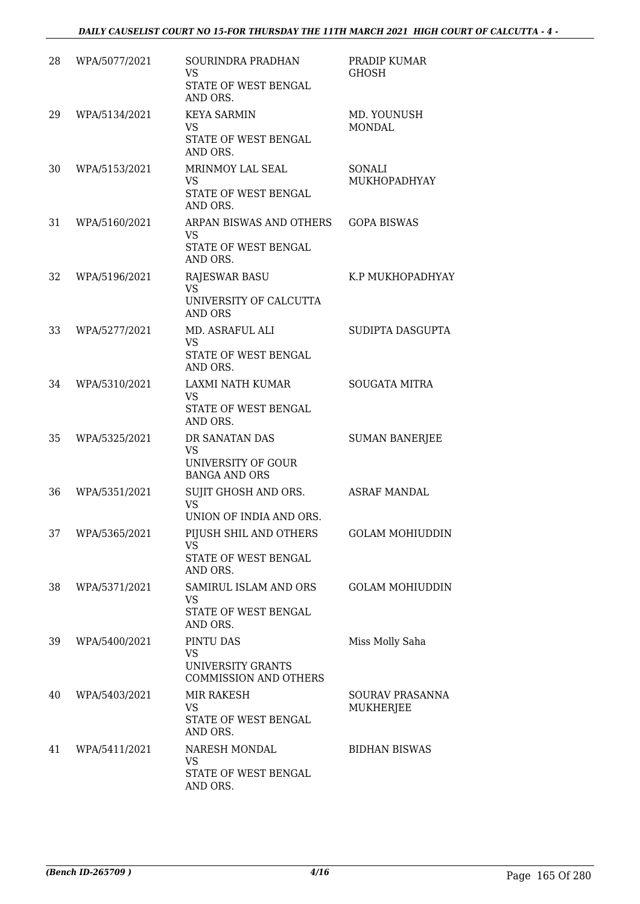| 28 | WPA/5077/2021 | SOURINDRA PRADHAN<br><b>VS</b><br>STATE OF WEST BENGAL<br>AND ORS.            | PRADIP KUMAR<br><b>GHOSH</b>        |
|----|---------------|-------------------------------------------------------------------------------|-------------------------------------|
| 29 | WPA/5134/2021 | <b>KEYA SARMIN</b><br><b>VS</b><br>STATE OF WEST BENGAL<br>AND ORS.           | MD. YOUNUSH<br><b>MONDAL</b>        |
| 30 | WPA/5153/2021 | MRINMOY LAL SEAL<br>VS<br>STATE OF WEST BENGAL<br>AND ORS.                    | SONALI<br>MUKHOPADHYAY              |
| 31 | WPA/5160/2021 | ARPAN BISWAS AND OTHERS<br><b>VS</b><br>STATE OF WEST BENGAL<br>AND ORS.      | <b>GOPA BISWAS</b>                  |
| 32 | WPA/5196/2021 | <b>RAJESWAR BASU</b><br><b>VS</b><br>UNIVERSITY OF CALCUTTA<br><b>AND ORS</b> | K.P MUKHOPADHYAY                    |
| 33 | WPA/5277/2021 | MD. ASRAFUL ALI<br>VS<br>STATE OF WEST BENGAL<br>AND ORS.                     | SUDIPTA DASGUPTA                    |
| 34 | WPA/5310/2021 | LAXMI NATH KUMAR<br><b>VS</b><br>STATE OF WEST BENGAL<br>AND ORS.             | <b>SOUGATA MITRA</b>                |
| 35 | WPA/5325/2021 | DR SANATAN DAS<br><b>VS</b><br>UNIVERSITY OF GOUR<br><b>BANGA AND ORS</b>     | <b>SUMAN BANERJEE</b>               |
| 36 | WPA/5351/2021 | SUJIT GHOSH AND ORS.<br><b>VS</b><br>UNION OF INDIA AND ORS.                  | <b>ASRAF MANDAL</b>                 |
| 37 | WPA/5365/2021 | PIJUSH SHIL AND OTHERS<br>VS<br>STATE OF WEST BENGAL<br>AND ORS.              | <b>GOLAM MOHIUDDIN</b>              |
| 38 | WPA/5371/2021 | SAMIRUL ISLAM AND ORS<br><b>VS</b><br>STATE OF WEST BENGAL<br>AND ORS.        | <b>GOLAM MOHIUDDIN</b>              |
| 39 | WPA/5400/2021 | PINTU DAS<br><b>VS</b><br>UNIVERSITY GRANTS<br><b>COMMISSION AND OTHERS</b>   | Miss Molly Saha                     |
| 40 | WPA/5403/2021 | MIR RAKESH<br>VS.<br>STATE OF WEST BENGAL<br>AND ORS.                         | SOURAV PRASANNA<br><b>MUKHERJEE</b> |
| 41 | WPA/5411/2021 | NARESH MONDAL<br><b>VS</b><br>STATE OF WEST BENGAL<br>AND ORS.                | <b>BIDHAN BISWAS</b>                |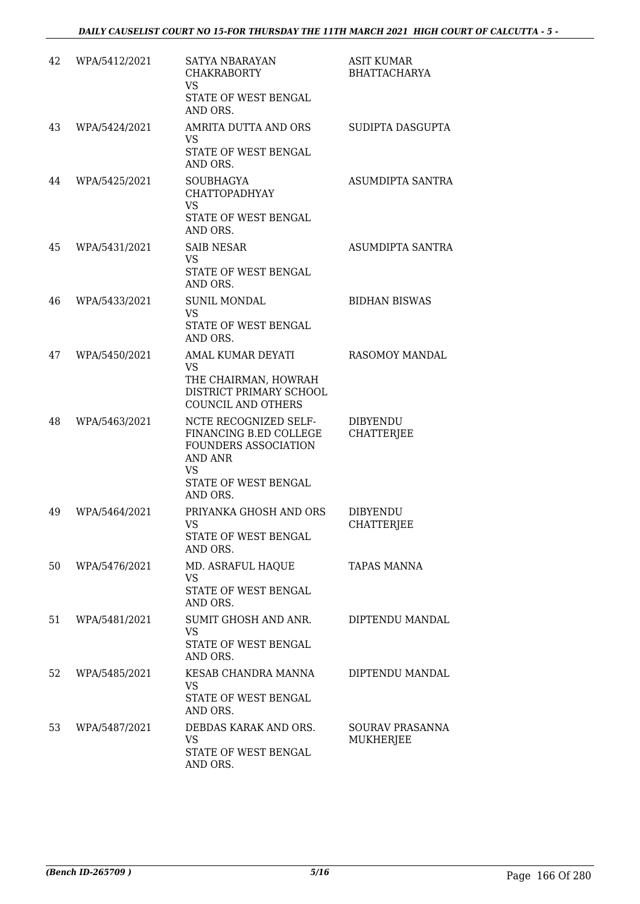| 42 | WPA/5412/2021 | <b>SATYA NBARAYAN</b><br><b>CHAKRABORTY</b><br>VS<br>STATE OF WEST BENGAL<br>AND ORS.                                                      | <b>ASIT KUMAR</b><br><b>BHATTACHARYA</b> |
|----|---------------|--------------------------------------------------------------------------------------------------------------------------------------------|------------------------------------------|
| 43 | WPA/5424/2021 | AMRITA DUTTA AND ORS<br><b>VS</b><br>STATE OF WEST BENGAL<br>AND ORS.                                                                      | SUDIPTA DASGUPTA                         |
| 44 | WPA/5425/2021 | <b>SOUBHAGYA</b><br><b>CHATTOPADHYAY</b><br><b>VS</b><br>STATE OF WEST BENGAL<br>AND ORS.                                                  | ASUMDIPTA SANTRA                         |
| 45 | WPA/5431/2021 | <b>SAIB NESAR</b><br>VS.<br>STATE OF WEST BENGAL<br>AND ORS.                                                                               | ASUMDIPTA SANTRA                         |
| 46 | WPA/5433/2021 | <b>SUNIL MONDAL</b><br>VS.<br>STATE OF WEST BENGAL<br>AND ORS.                                                                             | <b>BIDHAN BISWAS</b>                     |
| 47 | WPA/5450/2021 | AMAL KUMAR DEYATI<br>VS.<br>THE CHAIRMAN, HOWRAH<br>DISTRICT PRIMARY SCHOOL<br>COUNCIL AND OTHERS                                          | <b>RASOMOY MANDAL</b>                    |
| 48 | WPA/5463/2021 | NCTE RECOGNIZED SELF-<br>FINANCING B.ED COLLEGE<br><b>FOUNDERS ASSOCIATION</b><br>AND ANR<br><b>VS</b><br>STATE OF WEST BENGAL<br>AND ORS. | DIBYENDU<br><b>CHATTERJEE</b>            |
| 49 | WPA/5464/2021 | PRIYANKA GHOSH AND ORS<br>VS<br>STATE OF WEST BENGAL<br>AND ORS.                                                                           | <b>DIBYENDU</b><br><b>CHATTERJEE</b>     |
| 50 | WPA/5476/2021 | MD. ASRAFUL HAQUE<br>VS<br>STATE OF WEST BENGAL<br>AND ORS.                                                                                | TAPAS MANNA                              |
| 51 | WPA/5481/2021 | SUMIT GHOSH AND ANR.<br>VS.<br>STATE OF WEST BENGAL<br>AND ORS.                                                                            | DIPTENDU MANDAL                          |
| 52 | WPA/5485/2021 | KESAB CHANDRA MANNA<br>VS<br>STATE OF WEST BENGAL<br>AND ORS.                                                                              | DIPTENDU MANDAL                          |
| 53 | WPA/5487/2021 | DEBDAS KARAK AND ORS.<br><b>VS</b><br>STATE OF WEST BENGAL<br>AND ORS.                                                                     | SOURAV PRASANNA<br>MUKHERJEE             |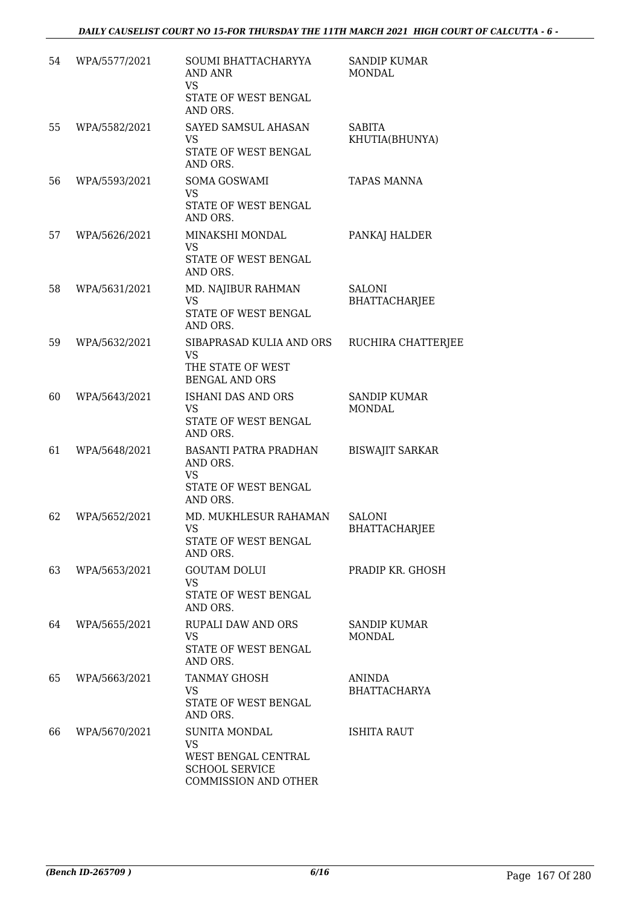| 54 | WPA/5577/2021 | SOUMI BHATTACHARYYA<br>AND ANR<br><b>VS</b><br>STATE OF WEST BENGAL<br>AND ORS.                           | <b>SANDIP KUMAR</b><br><b>MONDAL</b>  |
|----|---------------|-----------------------------------------------------------------------------------------------------------|---------------------------------------|
| 55 | WPA/5582/2021 | SAYED SAMSUL AHASAN<br><b>VS</b><br>STATE OF WEST BENGAL<br>AND ORS.                                      | <b>SABITA</b><br>KHUTIA(BHUNYA)       |
| 56 | WPA/5593/2021 | SOMA GOSWAMI<br><b>VS</b><br>STATE OF WEST BENGAL<br>AND ORS.                                             | <b>TAPAS MANNA</b>                    |
| 57 | WPA/5626/2021 | MINAKSHI MONDAL<br><b>VS</b><br>STATE OF WEST BENGAL<br>AND ORS.                                          | PANKAJ HALDER                         |
| 58 | WPA/5631/2021 | MD. NAJIBUR RAHMAN<br><b>VS</b><br>STATE OF WEST BENGAL<br>AND ORS.                                       | SALONI<br><b>BHATTACHARJEE</b>        |
| 59 | WPA/5632/2021 | SIBAPRASAD KULIA AND ORS<br><b>VS</b><br>THE STATE OF WEST<br><b>BENGAL AND ORS</b>                       | RUCHIRA CHATTERJEE                    |
| 60 | WPA/5643/2021 | ISHANI DAS AND ORS<br><b>VS</b><br>STATE OF WEST BENGAL<br>AND ORS.                                       | <b>SANDIP KUMAR</b><br><b>MONDAL</b>  |
| 61 | WPA/5648/2021 | BASANTI PATRA PRADHAN<br>AND ORS.<br><b>VS</b><br>STATE OF WEST BENGAL<br>AND ORS.                        | <b>BISWAJIT SARKAR</b>                |
| 62 | WPA/5652/2021 | MD. MUKHLESUR RAHAMAN<br>VS<br>STATE OF WEST BENGAL<br>AND ORS.                                           | <b>SALONI</b><br><b>BHATTACHARJEE</b> |
| 63 | WPA/5653/2021 | <b>GOUTAM DOLUI</b><br><b>VS</b><br>STATE OF WEST BENGAL<br>AND ORS.                                      | PRADIP KR. GHOSH                      |
| 64 | WPA/5655/2021 | RUPALI DAW AND ORS<br>VS.<br>STATE OF WEST BENGAL<br>AND ORS.                                             | <b>SANDIP KUMAR</b><br>MONDAL         |
| 65 | WPA/5663/2021 | TANMAY GHOSH<br><b>VS</b><br>STATE OF WEST BENGAL<br>AND ORS.                                             | ANINDA<br><b>BHATTACHARYA</b>         |
| 66 | WPA/5670/2021 | <b>SUNITA MONDAL</b><br><b>VS</b><br>WEST BENGAL CENTRAL<br><b>SCHOOL SERVICE</b><br>COMMISSION AND OTHER | ISHITA RAUT                           |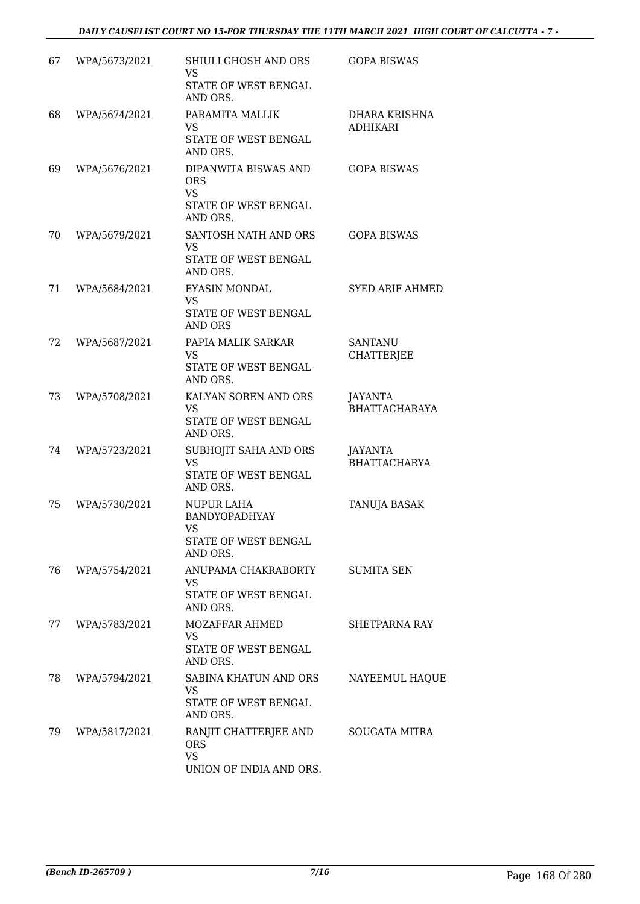| 67 | WPA/5673/2021 | SHIULI GHOSH AND ORS<br><b>VS</b><br>STATE OF WEST BENGAL<br>AND ORS.                | <b>GOPA BISWAS</b>                    |
|----|---------------|--------------------------------------------------------------------------------------|---------------------------------------|
| 68 | WPA/5674/2021 | PARAMITA MALLIK<br><b>VS</b><br>STATE OF WEST BENGAL<br>AND ORS.                     | DHARA KRISHNA<br><b>ADHIKARI</b>      |
| 69 | WPA/5676/2021 | DIPANWITA BISWAS AND<br><b>ORS</b><br><b>VS</b><br>STATE OF WEST BENGAL<br>AND ORS.  | <b>GOPA BISWAS</b>                    |
| 70 | WPA/5679/2021 | SANTOSH NATH AND ORS<br><b>VS</b><br>STATE OF WEST BENGAL<br>AND ORS.                | <b>GOPA BISWAS</b>                    |
| 71 | WPA/5684/2021 | <b>EYASIN MONDAL</b><br>VS<br>STATE OF WEST BENGAL<br><b>AND ORS</b>                 | <b>SYED ARIF AHMED</b>                |
| 72 | WPA/5687/2021 | PAPIA MALIK SARKAR<br><b>VS</b><br>STATE OF WEST BENGAL<br>AND ORS.                  | <b>SANTANU</b><br><b>CHATTERJEE</b>   |
| 73 | WPA/5708/2021 | KALYAN SOREN AND ORS<br>VS<br>STATE OF WEST BENGAL<br>AND ORS.                       | JAYANTA<br><b>BHATTACHARAYA</b>       |
| 74 | WPA/5723/2021 | SUBHOJIT SAHA AND ORS<br><b>VS</b><br>STATE OF WEST BENGAL<br>AND ORS.               | <b>JAYANTA</b><br><b>BHATTACHARYA</b> |
| 75 | WPA/5730/2021 | <b>NUPUR LAHA</b><br><b>BANDYOPADHYAY</b><br>VS.<br>STATE OF WEST BENGAL<br>AND ORS. | TANUJA BASAK                          |
| 76 | WPA/5754/2021 | ANUPAMA CHAKRABORTY<br>VS.<br>STATE OF WEST BENGAL<br>AND ORS.                       | <b>SUMITA SEN</b>                     |
| 77 | WPA/5783/2021 | <b>MOZAFFAR AHMED</b><br><b>VS</b><br>STATE OF WEST BENGAL<br>AND ORS.               | SHETPARNA RAY                         |
| 78 | WPA/5794/2021 | SABINA KHATUN AND ORS<br>VS.<br>STATE OF WEST BENGAL<br>AND ORS.                     | NAYEEMUL HAQUE                        |
| 79 | WPA/5817/2021 | RANJIT CHATTERJEE AND<br><b>ORS</b><br><b>VS</b><br>UNION OF INDIA AND ORS.          | SOUGATA MITRA                         |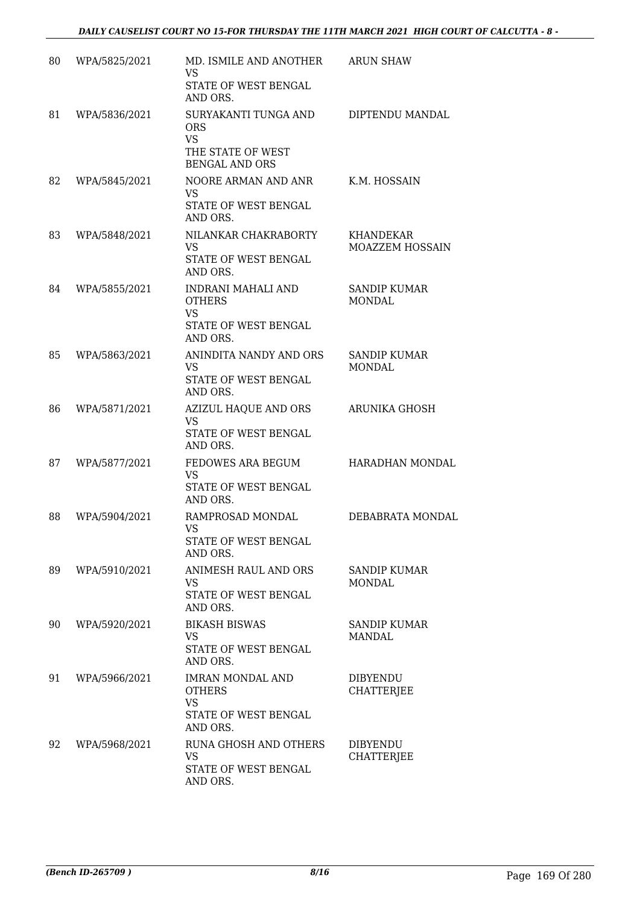| 80 | WPA/5825/2021 | MD. ISMILE AND ANOTHER<br><b>VS</b><br>STATE OF WEST BENGAL<br>AND ORS.                       | <b>ARUN SHAW</b>                     |
|----|---------------|-----------------------------------------------------------------------------------------------|--------------------------------------|
| 81 | WPA/5836/2021 | SURYAKANTI TUNGA AND<br><b>ORS</b><br><b>VS</b><br>THE STATE OF WEST<br><b>BENGAL AND ORS</b> | DIPTENDU MANDAL                      |
| 82 | WPA/5845/2021 | NOORE ARMAN AND ANR<br><b>VS</b><br>STATE OF WEST BENGAL<br>AND ORS.                          | K.M. HOSSAIN                         |
| 83 | WPA/5848/2021 | NILANKAR CHAKRABORTY<br><b>VS</b><br>STATE OF WEST BENGAL<br>AND ORS.                         | KHANDEKAR<br><b>MOAZZEM HOSSAIN</b>  |
| 84 | WPA/5855/2021 | INDRANI MAHALI AND<br><b>OTHERS</b><br><b>VS</b><br>STATE OF WEST BENGAL<br>AND ORS.          | <b>SANDIP KUMAR</b><br><b>MONDAL</b> |
| 85 | WPA/5863/2021 | ANINDITA NANDY AND ORS<br><b>VS</b><br>STATE OF WEST BENGAL<br>AND ORS.                       | SANDIP KUMAR<br><b>MONDAL</b>        |
| 86 | WPA/5871/2021 | AZIZUL HAQUE AND ORS<br><b>VS</b><br>STATE OF WEST BENGAL<br>AND ORS.                         | <b>ARUNIKA GHOSH</b>                 |
| 87 | WPA/5877/2021 | FEDOWES ARA BEGUM<br><b>VS</b><br>STATE OF WEST BENGAL<br>AND ORS.                            | HARADHAN MONDAL                      |
| 88 | WPA/5904/2021 | RAMPROSAD MONDAL<br>VS<br>STATE OF WEST BENGAL<br>AND ORS.                                    | DEBABRATA MONDAL                     |
| 89 | WPA/5910/2021 | ANIMESH RAUL AND ORS<br>VS.<br>STATE OF WEST BENGAL<br>AND ORS.                               | SANDIP KUMAR<br>MONDAL               |
| 90 | WPA/5920/2021 | <b>BIKASH BISWAS</b><br><b>VS</b><br>STATE OF WEST BENGAL<br>AND ORS.                         | <b>SANDIP KUMAR</b><br><b>MANDAL</b> |
| 91 | WPA/5966/2021 | <b>IMRAN MONDAL AND</b><br><b>OTHERS</b><br><b>VS</b><br>STATE OF WEST BENGAL<br>AND ORS.     | <b>DIBYENDU</b><br><b>CHATTERJEE</b> |
| 92 | WPA/5968/2021 | RUNA GHOSH AND OTHERS<br><b>VS</b><br>STATE OF WEST BENGAL<br>AND ORS.                        | DIBYENDU<br><b>CHATTERJEE</b>        |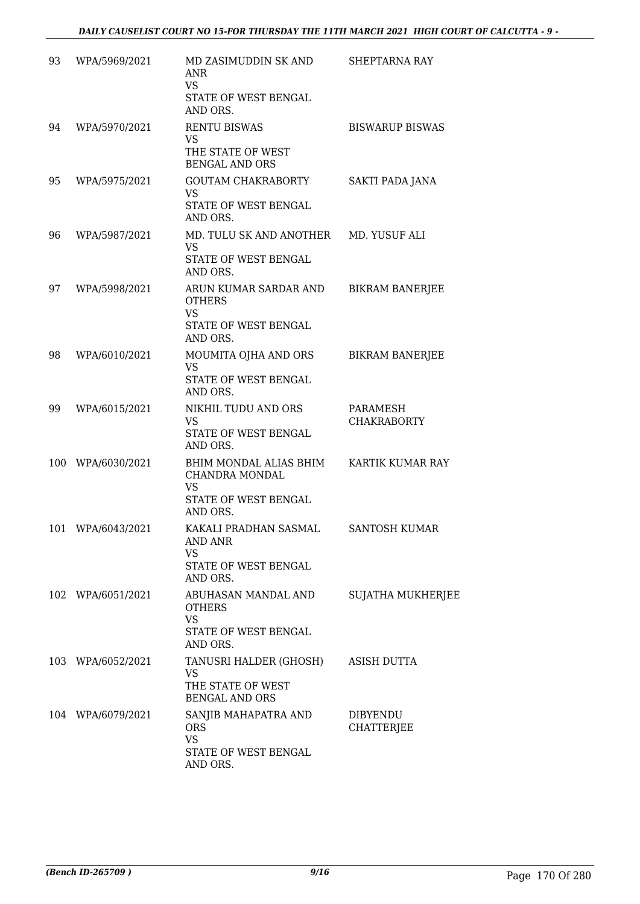| 93  | WPA/5969/2021     | MD ZASIMUDDIN SK AND<br><b>ANR</b><br>VS.<br>STATE OF WEST BENGAL<br>AND ORS.                   | SHEPTARNA RAY                        |
|-----|-------------------|-------------------------------------------------------------------------------------------------|--------------------------------------|
| 94  | WPA/5970/2021     | <b>RENTU BISWAS</b><br><b>VS</b><br>THE STATE OF WEST<br><b>BENGAL AND ORS</b>                  | <b>BISWARUP BISWAS</b>               |
| 95  | WPA/5975/2021     | <b>GOUTAM CHAKRABORTY</b><br><b>VS</b><br>STATE OF WEST BENGAL<br>AND ORS.                      | <b>SAKTI PADA JANA</b>               |
| 96  | WPA/5987/2021     | MD. TULU SK AND ANOTHER MD. YUSUF ALI<br><b>VS</b><br>STATE OF WEST BENGAL<br>AND ORS.          |                                      |
| 97  | WPA/5998/2021     | ARUN KUMAR SARDAR AND<br><b>OTHERS</b><br><b>VS</b><br>STATE OF WEST BENGAL<br>AND ORS.         | <b>BIKRAM BANERJEE</b>               |
| 98  | WPA/6010/2021     | MOUMITA OJHA AND ORS<br><b>VS</b><br>STATE OF WEST BENGAL<br>AND ORS.                           | <b>BIKRAM BANERJEE</b>               |
| 99  | WPA/6015/2021     | NIKHIL TUDU AND ORS<br><b>VS</b><br>STATE OF WEST BENGAL<br>AND ORS.                            | PARAMESH<br><b>CHAKRABORTY</b>       |
| 100 | WPA/6030/2021     | BHIM MONDAL ALIAS BHIM<br>CHANDRA MONDAL<br>VS<br>STATE OF WEST BENGAL<br>AND ORS.              | KARTIK KUMAR RAY                     |
| 101 | WPA/6043/2021     | KAKALI PRADHAN SASMAL<br><b>AND ANR</b><br><b>VS</b><br><b>STATE OF WEST BENGAL</b><br>AND ORS. | <b>SANTOSH KUMAR</b>                 |
|     | 102 WPA/6051/2021 | ABUHASAN MANDAL AND<br><b>OTHERS</b><br><b>VS</b><br>STATE OF WEST BENGAL<br>AND ORS.           | <b>SUJATHA MUKHERJEE</b>             |
|     | 103 WPA/6052/2021 | TANUSRI HALDER (GHOSH)<br>VS<br>THE STATE OF WEST<br><b>BENGAL AND ORS</b>                      | ASISH DUTTA                          |
|     | 104 WPA/6079/2021 | SANJIB MAHAPATRA AND<br><b>ORS</b><br><b>VS</b><br>STATE OF WEST BENGAL<br>AND ORS.             | <b>DIBYENDU</b><br><b>CHATTERJEE</b> |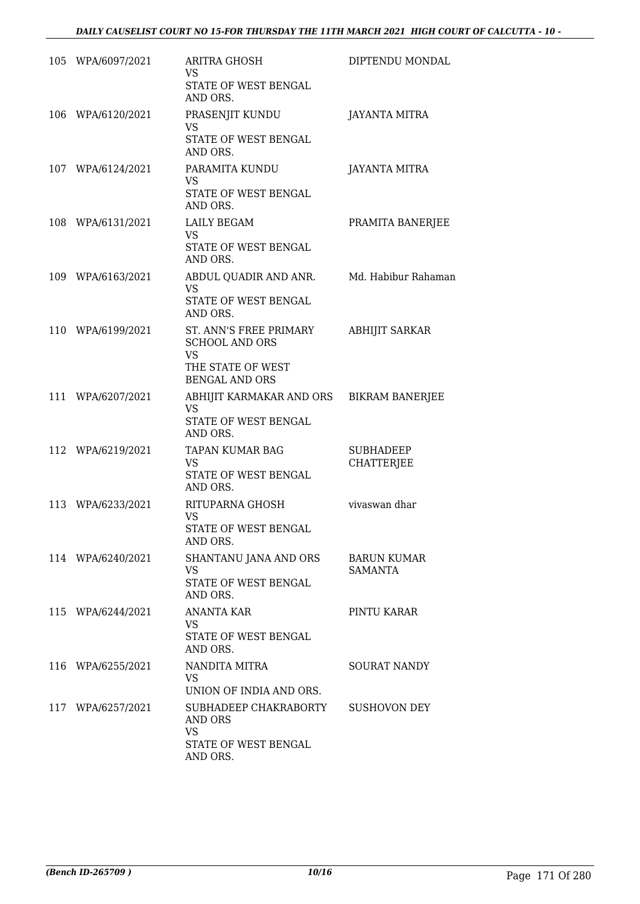|     | 105 WPA/6097/2021 | <b>ARITRA GHOSH</b><br>VS.<br>STATE OF WEST BENGAL                                                   | DIPTENDU MONDAL                       |
|-----|-------------------|------------------------------------------------------------------------------------------------------|---------------------------------------|
| 106 | WPA/6120/2021     | AND ORS.<br>PRASENJIT KUNDU<br>VS<br>STATE OF WEST BENGAL                                            | <b>JAYANTA MITRA</b>                  |
|     | 107 WPA/6124/2021 | AND ORS.<br>PARAMITA KUNDU<br>VS.                                                                    | <b>JAYANTA MITRA</b>                  |
|     |                   | STATE OF WEST BENGAL<br>AND ORS.                                                                     |                                       |
|     | 108 WPA/6131/2021 | <b>LAILY BEGAM</b><br><b>VS</b><br>STATE OF WEST BENGAL<br>AND ORS.                                  | PRAMITA BANERJEE                      |
|     | 109 WPA/6163/2021 | ABDUL QUADIR AND ANR.<br><b>VS</b><br>STATE OF WEST BENGAL<br>AND ORS.                               | Md. Habibur Rahaman                   |
|     | 110 WPA/6199/2021 | ST. ANN'S FREE PRIMARY<br><b>SCHOOL AND ORS</b><br>VS.<br>THE STATE OF WEST<br><b>BENGAL AND ORS</b> | <b>ABHIJIT SARKAR</b>                 |
| 111 | WPA/6207/2021     | ABHIJIT KARMAKAR AND ORS<br>VS.<br>STATE OF WEST BENGAL<br>AND ORS.                                  | <b>BIKRAM BANERJEE</b>                |
|     | 112 WPA/6219/2021 | TAPAN KUMAR BAG<br><b>VS</b><br>STATE OF WEST BENGAL<br>AND ORS.                                     | <b>SUBHADEEP</b><br><b>CHATTERJEE</b> |
|     | 113 WPA/6233/2021 | RITUPARNA GHOSH<br><b>VS</b><br>STATE OF WEST BENGAL<br>AND ORS.                                     | vivaswan dhar                         |
|     | 114 WPA/6240/2021 | SHANTANU JANA AND ORS<br><b>VS</b><br>STATE OF WEST BENGAL<br>AND ORS.                               | <b>BARUN KUMAR</b><br><b>SAMANTA</b>  |
|     | 115 WPA/6244/2021 | <b>ANANTA KAR</b><br><b>VS</b><br>STATE OF WEST BENGAL<br>AND ORS.                                   | PINTU KARAR                           |
|     | 116 WPA/6255/2021 | NANDITA MITRA<br>VS.<br>UNION OF INDIA AND ORS.                                                      | <b>SOURAT NANDY</b>                   |
|     | 117 WPA/6257/2021 | SUBHADEEP CHAKRABORTY<br>AND ORS<br><b>VS</b>                                                        | SUSHOVON DEY                          |
|     |                   | STATE OF WEST BENGAL<br>AND ORS.                                                                     |                                       |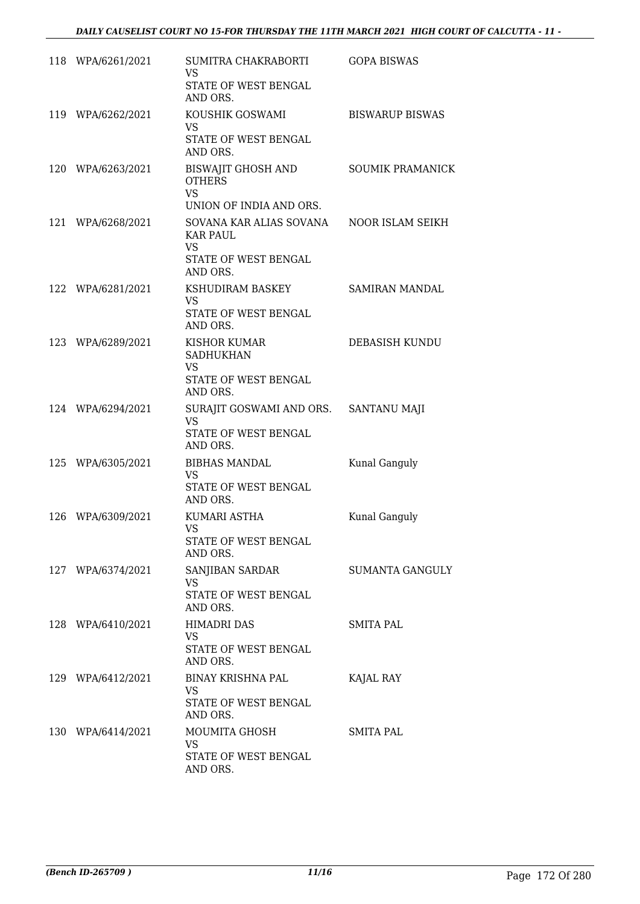|     | 118 WPA/6261/2021 | SUMITRA CHAKRABORTI<br>VS<br>STATE OF WEST BENGAL<br>AND ORS.                               | <b>GOPA BISWAS</b>      |
|-----|-------------------|---------------------------------------------------------------------------------------------|-------------------------|
|     | 119 WPA/6262/2021 | KOUSHIK GOSWAMI<br><b>VS</b><br>STATE OF WEST BENGAL<br>AND ORS.                            | <b>BISWARUP BISWAS</b>  |
| 120 | WPA/6263/2021     | BISWAJIT GHOSH AND<br><b>OTHERS</b><br><b>VS</b><br>UNION OF INDIA AND ORS.                 | <b>SOUMIK PRAMANICK</b> |
| 121 | WPA/6268/2021     | SOVANA KAR ALIAS SOVANA<br><b>KAR PAUL</b><br><b>VS</b><br>STATE OF WEST BENGAL<br>AND ORS. | NOOR ISLAM SEIKH        |
|     | 122 WPA/6281/2021 | KSHUDIRAM BASKEY<br>VS<br>STATE OF WEST BENGAL<br>AND ORS.                                  | <b>SAMIRAN MANDAL</b>   |
|     | 123 WPA/6289/2021 | <b>KISHOR KUMAR</b><br><b>SADHUKHAN</b><br><b>VS</b><br>STATE OF WEST BENGAL<br>AND ORS.    | DEBASISH KUNDU          |
|     | 124 WPA/6294/2021 | SURAJIT GOSWAMI AND ORS. SANTANU MAJI<br>VS<br>STATE OF WEST BENGAL<br>AND ORS.             |                         |
|     | 125 WPA/6305/2021 | <b>BIBHAS MANDAL</b><br>VS<br>STATE OF WEST BENGAL<br>AND ORS.                              | Kunal Ganguly           |
|     | 126 WPA/6309/2021 | KUMARI ASTHA<br>VS FOR STRUMP.<br>STATE OF WEST BENGAL<br>AND ORS.                          | Kunal Ganguly           |
|     | 127 WPA/6374/2021 | SANJIBAN SARDAR<br>VS.<br>STATE OF WEST BENGAL<br>AND ORS.                                  | SUMANTA GANGULY         |
|     | 128 WPA/6410/2021 | <b>HIMADRI DAS</b><br>VS<br>STATE OF WEST BENGAL<br>AND ORS.                                | <b>SMITA PAL</b>        |
|     | 129 WPA/6412/2021 | BINAY KRISHNA PAL<br><b>VS</b><br>STATE OF WEST BENGAL<br>AND ORS.                          | KAJAL RAY               |
|     | 130 WPA/6414/2021 | MOUMITA GHOSH<br>VS<br>STATE OF WEST BENGAL<br>AND ORS.                                     | SMITA PAL               |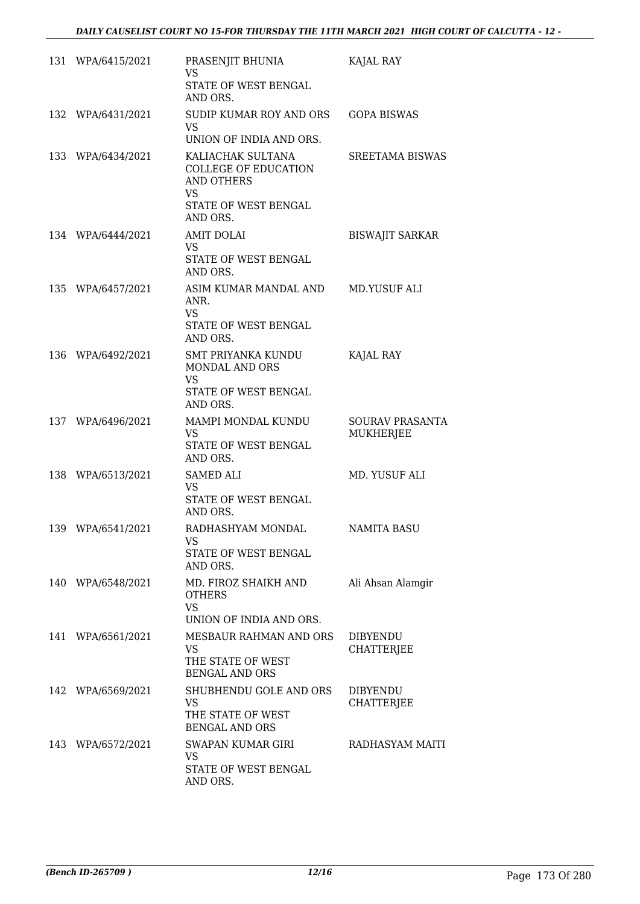| 131 WPA/6415/2021 | PRASENJIT BHUNIA<br><b>VS</b><br>STATE OF WEST BENGAL<br>AND ORS.                                                      | KAJAL RAY                                  |
|-------------------|------------------------------------------------------------------------------------------------------------------------|--------------------------------------------|
| 132 WPA/6431/2021 | <b>SUDIP KUMAR ROY AND ORS</b><br><b>VS</b><br>UNION OF INDIA AND ORS.                                                 | <b>GOPA BISWAS</b>                         |
| 133 WPA/6434/2021 | KALIACHAK SULTANA<br><b>COLLEGE OF EDUCATION</b><br><b>AND OTHERS</b><br><b>VS</b><br>STATE OF WEST BENGAL<br>AND ORS. | SREETAMA BISWAS                            |
| 134 WPA/6444/2021 | <b>AMIT DOLAI</b><br><b>VS</b><br>STATE OF WEST BENGAL<br>AND ORS.                                                     | <b>BISWAJIT SARKAR</b>                     |
| 135 WPA/6457/2021 | ASIM KUMAR MANDAL AND<br>ANR.<br><b>VS</b><br>STATE OF WEST BENGAL<br>AND ORS.                                         | MD.YUSUF ALI                               |
| 136 WPA/6492/2021 | <b>SMT PRIYANKA KUNDU</b><br><b>MONDAL AND ORS</b><br><b>VS</b><br>STATE OF WEST BENGAL<br>AND ORS.                    | KAJAL RAY                                  |
| 137 WPA/6496/2021 | MAMPI MONDAL KUNDU<br><b>VS</b><br>STATE OF WEST BENGAL<br>AND ORS.                                                    | <b>SOURAV PRASANTA</b><br><b>MUKHERJEE</b> |
| 138 WPA/6513/2021 | SAMED ALI<br><b>VS</b><br><b>STATE OF WEST BENGAL</b><br>AND ORS.                                                      | MD. YUSUF ALI                              |
| 139 WPA/6541/2021 | RADHASHYAM MONDAL<br>VS.<br>STATE OF WEST BENGAL<br>AND ORS.                                                           | NAMITA BASU                                |
| 140 WPA/6548/2021 | MD. FIROZ SHAIKH AND<br><b>OTHERS</b><br><b>VS</b><br>UNION OF INDIA AND ORS.                                          | Ali Ahsan Alamgir                          |
| 141 WPA/6561/2021 | MESBAUR RAHMAN AND ORS<br><b>VS</b><br>THE STATE OF WEST<br><b>BENGAL AND ORS</b>                                      | <b>DIBYENDU</b><br>CHATTERJEE              |
| 142 WPA/6569/2021 | SHUBHENDU GOLE AND ORS<br><b>VS</b><br>THE STATE OF WEST<br><b>BENGAL AND ORS</b>                                      | <b>DIBYENDU</b><br><b>CHATTERJEE</b>       |
| 143 WPA/6572/2021 | SWAPAN KUMAR GIRI<br><b>VS</b><br>STATE OF WEST BENGAL<br>AND ORS.                                                     | RADHASYAM MAITI                            |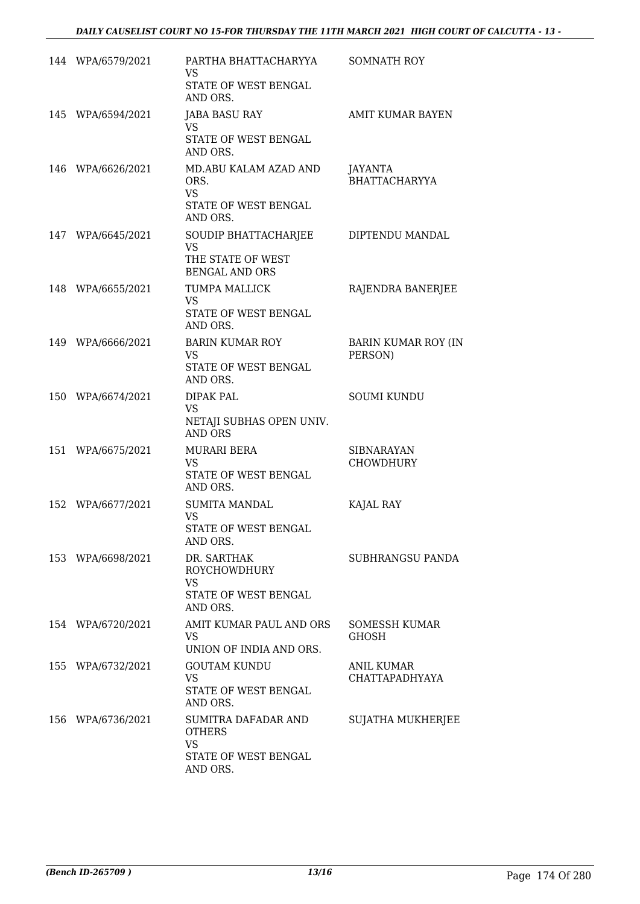|     | 144 WPA/6579/2021 | PARTHA BHATTACHARYYA<br>VS<br>STATE OF WEST BENGAL<br>AND ORS.                               | <b>SOMNATH ROY</b>                    |
|-----|-------------------|----------------------------------------------------------------------------------------------|---------------------------------------|
|     | 145 WPA/6594/2021 | <b>JABA BASU RAY</b><br><b>VS</b><br>STATE OF WEST BENGAL<br>AND ORS.                        | AMIT KUMAR BAYEN                      |
|     | 146 WPA/6626/2021 | MD.ABU KALAM AZAD AND<br>ORS.<br><b>VS</b><br>STATE OF WEST BENGAL<br>AND ORS.               | JAYANTA<br><b>BHATTACHARYYA</b>       |
|     | 147 WPA/6645/2021 | SOUDIP BHATTACHARJEE<br><b>VS</b><br>THE STATE OF WEST<br><b>BENGAL AND ORS</b>              | DIPTENDU MANDAL                       |
|     | 148 WPA/6655/2021 | <b>TUMPA MALLICK</b><br><b>VS</b><br>STATE OF WEST BENGAL<br>AND ORS.                        | RAJENDRA BANERJEE                     |
|     | 149 WPA/6666/2021 | <b>BARIN KUMAR ROY</b><br><b>VS</b><br>STATE OF WEST BENGAL<br>AND ORS.                      | <b>BARIN KUMAR ROY (IN</b><br>PERSON) |
|     | 150 WPA/6674/2021 | <b>DIPAK PAL</b><br><b>VS</b><br>NETAJI SUBHAS OPEN UNIV.<br><b>AND ORS</b>                  | <b>SOUMI KUNDU</b>                    |
|     | 151 WPA/6675/2021 | <b>MURARI BERA</b><br><b>VS</b><br>STATE OF WEST BENGAL<br>AND ORS.                          | <b>SIBNARAYAN</b><br>CHOWDHURY        |
|     | 152 WPA/6677/2021 | <b>SUMITA MANDAL</b><br><b>VS</b><br>STATE OF WEST BENGAL<br>AND ORS.                        | KAJAL RAY                             |
|     | 153 WPA/6698/2021 | DR. SARTHAK<br>ROYCHOWDHURY<br><b>VS</b><br>STATE OF WEST BENGAL<br>AND ORS.                 | SUBHRANGSU PANDA                      |
|     | 154 WPA/6720/2021 | AMIT KUMAR PAUL AND ORS<br><b>VS</b><br>UNION OF INDIA AND ORS.                              | SOMESSH KUMAR<br><b>GHOSH</b>         |
|     | 155 WPA/6732/2021 | <b>GOUTAM KUNDU</b><br><b>VS</b><br>STATE OF WEST BENGAL<br>AND ORS.                         | <b>ANIL KUMAR</b><br>CHATTAPADHYAYA   |
| 156 | WPA/6736/2021     | <b>SUMITRA DAFADAR AND</b><br><b>OTHERS</b><br><b>VS</b><br>STATE OF WEST BENGAL<br>AND ORS. | SUJATHA MUKHERJEE                     |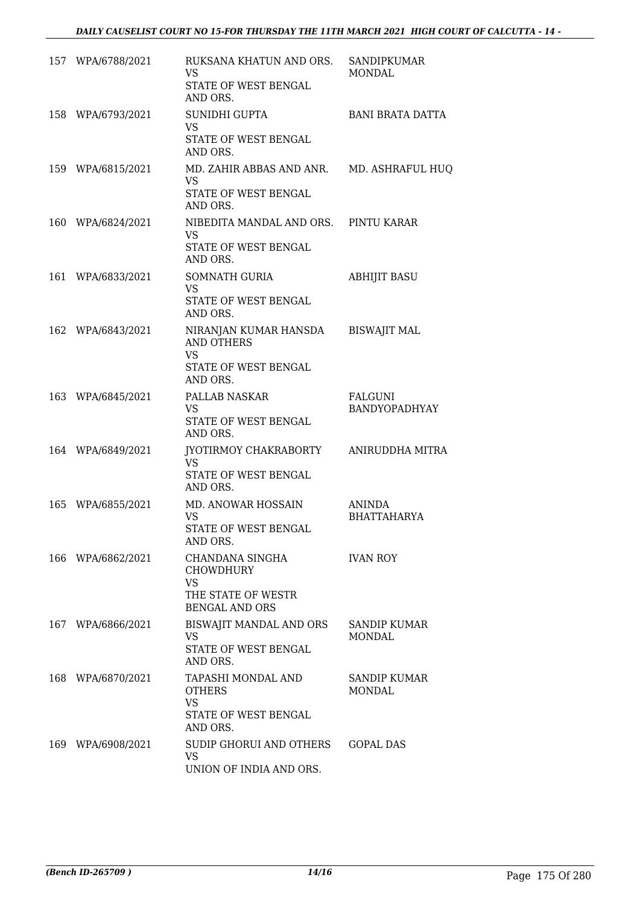| 157 WPA/6788/2021 | RUKSANA KHATUN AND ORS.<br>VS.<br>STATE OF WEST BENGAL<br>AND ORS.                          | SANDIPKUMAR<br><b>MONDAL</b>        |
|-------------------|---------------------------------------------------------------------------------------------|-------------------------------------|
| 158 WPA/6793/2021 | SUNIDHI GUPTA<br>VS.<br>STATE OF WEST BENGAL<br>AND ORS.                                    | <b>BANI BRATA DATTA</b>             |
| 159 WPA/6815/2021 | MD. ZAHIR ABBAS AND ANR.<br><b>VS</b><br>STATE OF WEST BENGAL<br>AND ORS.                   | MD. ASHRAFUL HUQ                    |
| 160 WPA/6824/2021 | NIBEDITA MANDAL AND ORS. PINTU KARAR<br><b>VS</b><br>STATE OF WEST BENGAL<br>AND ORS.       |                                     |
| 161 WPA/6833/2021 | SOMNATH GURIA<br><b>VS</b><br>STATE OF WEST BENGAL<br>AND ORS.                              | <b>ABHIJIT BASU</b>                 |
| 162 WPA/6843/2021 | NIRANJAN KUMAR HANSDA<br><b>AND OTHERS</b><br><b>VS</b><br>STATE OF WEST BENGAL<br>AND ORS. | <b>BISWAJIT MAL</b>                 |
| 163 WPA/6845/2021 | PALLAB NASKAR<br>VS.<br>STATE OF WEST BENGAL<br>AND ORS.                                    | FALGUNI<br>BANDYOPADHYAY            |
| 164 WPA/6849/2021 | JYOTIRMOY CHAKRABORTY<br>VS.<br>STATE OF WEST BENGAL<br>AND ORS.                            | ANIRUDDHA MITRA                     |
| 165 WPA/6855/2021 | <b>MD. ANOWAR HOSSAIN</b><br><b>VS</b><br>STATE OF WEST BENGAL<br>AND ORS.                  | <b>ANINDA</b><br><b>BHATTAHARYA</b> |
| 166 WPA/6862/2021 | CHANDANA SINGHA<br><b>CHOWDHURY</b><br>VS<br>THE STATE OF WESTR<br><b>BENGAL AND ORS</b>    | <b>IVAN ROY</b>                     |
| 167 WPA/6866/2021 | BISWAJIT MANDAL AND ORS<br>VS.<br>STATE OF WEST BENGAL<br>AND ORS.                          | SANDIP KUMAR<br>MONDAL              |
| 168 WPA/6870/2021 | TAPASHI MONDAL AND<br><b>OTHERS</b><br>VS<br>STATE OF WEST BENGAL<br>AND ORS.               | SANDIP KUMAR<br><b>MONDAL</b>       |
| 169 WPA/6908/2021 | SUDIP GHORUI AND OTHERS<br><b>VS</b><br>UNION OF INDIA AND ORS.                             | <b>GOPAL DAS</b>                    |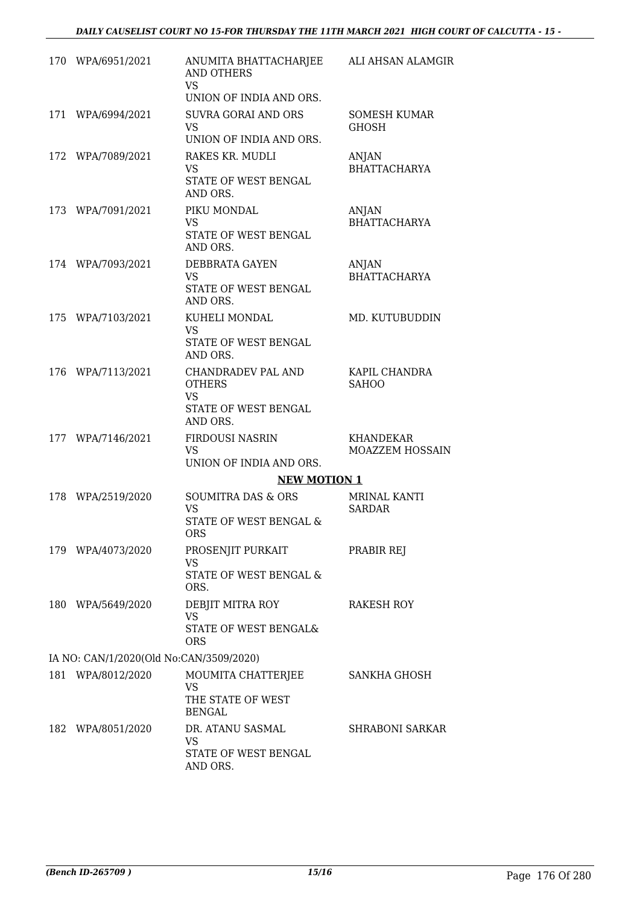| 170 WPA/6951/2021                       | ANUMITA BHATTACHARJEE<br><b>AND OTHERS</b><br>VS<br>UNION OF INDIA AND ORS.          | ALI AHSAN ALAMGIR                    |
|-----------------------------------------|--------------------------------------------------------------------------------------|--------------------------------------|
| 171 WPA/6994/2021                       | <b>SUVRA GORAI AND ORS</b><br>VS.<br>UNION OF INDIA AND ORS.                         | SOMESH KUMAR<br><b>GHOSH</b>         |
| 172 WPA/7089/2021                       | RAKES KR. MUDLI<br><b>VS</b><br>STATE OF WEST BENGAL<br>AND ORS.                     | ANJAN<br><b>BHATTACHARYA</b>         |
| 173 WPA/7091/2021                       | PIKU MONDAL<br><b>VS</b><br>STATE OF WEST BENGAL<br>AND ORS.                         | ANJAN<br><b>BHATTACHARYA</b>         |
| 174 WPA/7093/2021                       | DEBBRATA GAYEN<br><b>VS</b><br>STATE OF WEST BENGAL<br>AND ORS.                      | ANJAN<br><b>BHATTACHARYA</b>         |
| 175 WPA/7103/2021                       | KUHELI MONDAL<br><b>VS</b><br>STATE OF WEST BENGAL<br>AND ORS.                       | MD. KUTUBUDDIN                       |
| 176 WPA/7113/2021                       | CHANDRADEV PAL AND<br><b>OTHERS</b><br><b>VS</b><br>STATE OF WEST BENGAL<br>AND ORS. | KAPIL CHANDRA<br><b>SAHOO</b>        |
| 177 WPA/7146/2021                       | FIRDOUSI NASRIN<br><b>VS</b><br>UNION OF INDIA AND ORS.<br><b>NEW MOTION 1</b>       | <b>KHANDEKAR</b><br>MOAZZEM HOSSAIN  |
| 178 WPA/2519/2020                       | <b>SOUMITRA DAS &amp; ORS</b><br><b>VS</b><br>STATE OF WEST BENGAL &<br>ORS          | <b>MRINAL KANTI</b><br><b>SARDAR</b> |
| 179 WPA/4073/2020                       | PROSENJIT PURKAIT<br><b>VS</b><br><b>STATE OF WEST BENGAL &amp;</b><br>ORS.          | PRABIR REJ                           |
| 180 WPA/5649/2020                       | DEBJIT MITRA ROY<br><b>VS</b><br>STATE OF WEST BENGAL&<br><b>ORS</b>                 | RAKESH ROY                           |
| IA NO: CAN/1/2020(Old No:CAN/3509/2020) |                                                                                      |                                      |
| 181 WPA/8012/2020                       | MOUMITA CHATTERJEE<br>VS<br>THE STATE OF WEST<br><b>BENGAL</b>                       | SANKHA GHOSH                         |
| 182 WPA/8051/2020                       | DR. ATANU SASMAL<br>VS<br>STATE OF WEST BENGAL<br>AND ORS.                           | <b>SHRABONI SARKAR</b>               |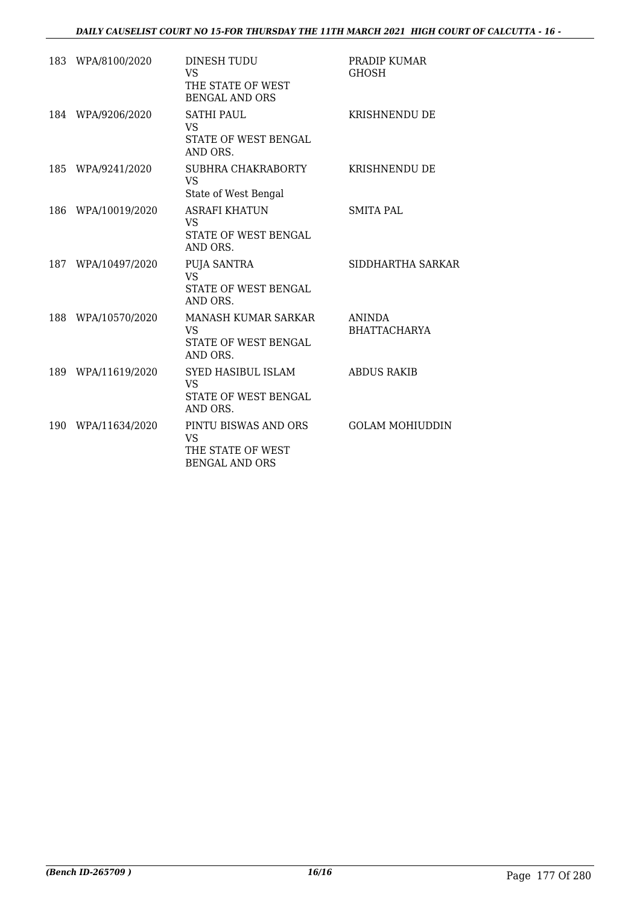|     | 183 WPA/8100/2020  | DINESH TUDU<br><b>VS</b><br>THE STATE OF WEST<br><b>BENGAL AND ORS</b>          | PRADIP KUMAR<br><b>GHOSH</b>         |
|-----|--------------------|---------------------------------------------------------------------------------|--------------------------------------|
|     | 184 WPA/9206/2020  | <b>SATHI PAUL</b><br>VS.<br><b>STATE OF WEST BENGAL</b><br>AND ORS.             | <b>KRISHNENDU DE</b>                 |
|     | 185 WPA/9241/2020  | SUBHRA CHAKRABORTY<br><b>VS</b><br>State of West Bengal                         | <b>KRISHNENDU DE</b>                 |
|     | 186 WPA/10019/2020 | <b>ASRAFI KHATUN</b><br><b>VS</b><br>STATE OF WEST BENGAL<br>AND ORS.           | <b>SMITA PAL</b>                     |
|     | 187 WPA/10497/2020 | <b>PUJA SANTRA</b><br><b>VS</b><br>STATE OF WEST BENGAL<br>AND ORS.             | SIDDHARTHA SARKAR                    |
|     | 188 WPA/10570/2020 | MANASH KUMAR SARKAR<br><b>VS</b><br>STATE OF WEST BENGAL<br>AND ORS.            | <b>ANINDA</b><br><b>BHATTACHARYA</b> |
|     | 189 WPA/11619/2020 | SYED HASIBUL ISLAM<br>VS.<br>STATE OF WEST BENGAL<br>AND ORS.                   | <b>ABDUS RAKIB</b>                   |
| 190 | WPA/11634/2020     | PINTU BISWAS AND ORS<br><b>VS</b><br>THE STATE OF WEST<br><b>BENGAL AND ORS</b> | <b>GOLAM MOHIUDDIN</b>               |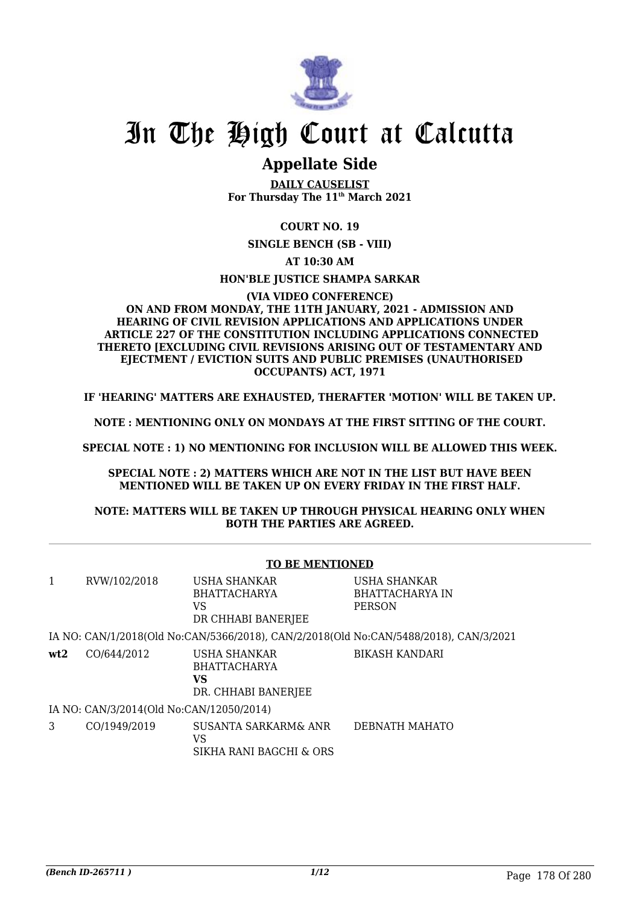

# In The High Court at Calcutta

## **Appellate Side**

**DAILY CAUSELIST For Thursday The 11th March 2021**

### **COURT NO. 19**

**SINGLE BENCH (SB - VIII)**

**AT 10:30 AM**

### **HON'BLE JUSTICE SHAMPA SARKAR**

#### **(VIA VIDEO CONFERENCE) ON AND FROM MONDAY, THE 11TH JANUARY, 2021 - ADMISSION AND HEARING OF CIVIL REVISION APPLICATIONS AND APPLICATIONS UNDER ARTICLE 227 OF THE CONSTITUTION INCLUDING APPLICATIONS CONNECTED THERETO [EXCLUDING CIVIL REVISIONS ARISING OUT OF TESTAMENTARY AND EJECTMENT / EVICTION SUITS AND PUBLIC PREMISES (UNAUTHORISED OCCUPANTS) ACT, 1971**

**IF 'HEARING' MATTERS ARE EXHAUSTED, THERAFTER 'MOTION' WILL BE TAKEN UP.**

**NOTE : MENTIONING ONLY ON MONDAYS AT THE FIRST SITTING OF THE COURT.**

**SPECIAL NOTE : 1) NO MENTIONING FOR INCLUSION WILL BE ALLOWED THIS WEEK.**

**SPECIAL NOTE : 2) MATTERS WHICH ARE NOT IN THE LIST BUT HAVE BEEN MENTIONED WILL BE TAKEN UP ON EVERY FRIDAY IN THE FIRST HALF.**

**NOTE: MATTERS WILL BE TAKEN UP THROUGH PHYSICAL HEARING ONLY WHEN BOTH THE PARTIES ARE AGREED.**

|                                                                                       |              | <b>TO BE MENTIONED</b>                                           |                                                  |  |
|---------------------------------------------------------------------------------------|--------------|------------------------------------------------------------------|--------------------------------------------------|--|
| 1                                                                                     | RVW/102/2018 | USHA SHANKAR<br><b>BHATTACHARYA</b><br>VS<br>DR CHHABI BANERJEE  | USHA SHANKAR<br>BHATTACHARYA IN<br><b>PERSON</b> |  |
| IA NO: CAN/1/2018(Old No:CAN/5366/2018), CAN/2/2018(Old No:CAN/5488/2018), CAN/3/2021 |              |                                                                  |                                                  |  |
| wt2                                                                                   | CO/644/2012  | USHA SHANKAR<br><b>BHATTACHARYA</b><br>VS<br>DR. CHHABI BANERJEE | <b>BIKASH KANDARI</b>                            |  |
| IA NO: CAN/3/2014(Old No:CAN/12050/2014)                                              |              |                                                                  |                                                  |  |
| 3                                                                                     | CO/1949/2019 | SUSANTA SARKARM& ANR<br>VS<br>SIKHA RANI BAGCHI & ORS            | DEBNATH MAHATO                                   |  |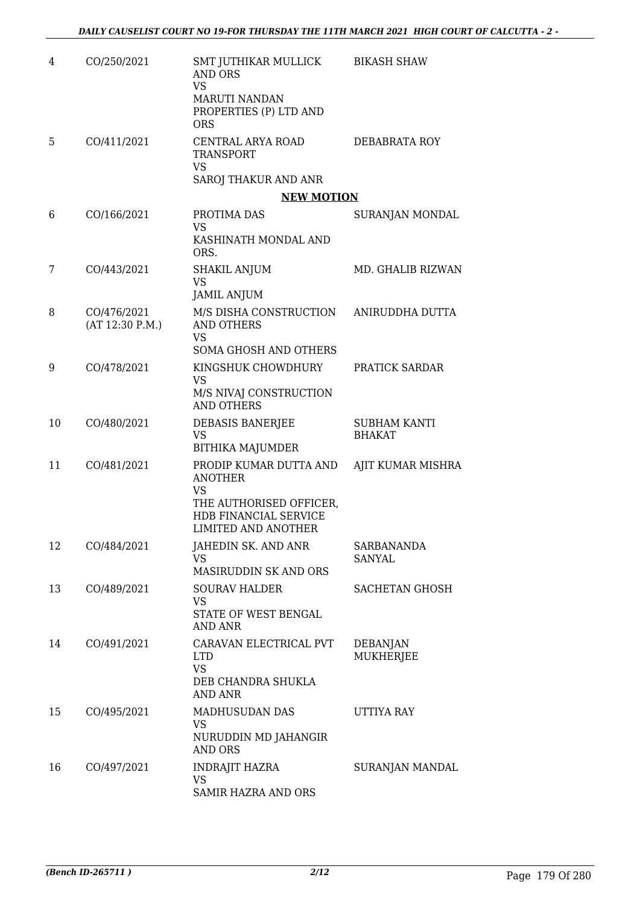| 4  | CO/250/2021                    | SMT JUTHIKAR MULLICK<br><b>AND ORS</b><br><b>VS</b><br><b>MARUTI NANDAN</b><br>PROPERTIES (P) LTD AND<br><b>ORS</b>       | <b>BIKASH SHAW</b>            |
|----|--------------------------------|---------------------------------------------------------------------------------------------------------------------------|-------------------------------|
| 5  | CO/411/2021                    | CENTRAL ARYA ROAD<br><b>TRANSPORT</b><br>VS<br>SAROJ THAKUR AND ANR                                                       | DEBABRATA ROY                 |
|    |                                | <b>NEW MOTION</b>                                                                                                         |                               |
| 6  | CO/166/2021                    | PROTIMA DAS<br><b>VS</b><br>KASHINATH MONDAL AND<br>ORS.                                                                  | SURANJAN MONDAL               |
| 7  | CO/443/2021                    | <b>SHAKIL ANJUM</b><br><b>VS</b><br><b>JAMIL ANJUM</b>                                                                    | MD. GHALIB RIZWAN             |
| 8  | CO/476/2021<br>(AT 12:30 P.M.) | M/S DISHA CONSTRUCTION<br><b>AND OTHERS</b><br><b>VS</b><br><b>SOMA GHOSH AND OTHERS</b>                                  | ANIRUDDHA DUTTA               |
| 9  | CO/478/2021                    | KINGSHUK CHOWDHURY<br><b>VS</b><br>M/S NIVAJ CONSTRUCTION<br><b>AND OTHERS</b>                                            | PRATICK SARDAR                |
| 10 | CO/480/2021                    | DEBASIS BANERJEE<br><b>VS</b><br><b>BITHIKA MAJUMDER</b>                                                                  | SUBHAM KANTI<br><b>BHAKAT</b> |
| 11 | CO/481/2021                    | PRODIP KUMAR DUTTA AND<br><b>ANOTHER</b><br>VS<br>THE AUTHORISED OFFICER,<br>HDB FINANCIAL SERVICE<br>LIMITED AND ANOTHER | AJIT KUMAR MISHRA             |
| 12 | CO/484/2021                    | JAHEDIN SK. AND ANR<br><b>VS</b><br>MASIRUDDIN SK AND ORS                                                                 | SARBANANDA<br>SANYAL          |
| 13 | CO/489/2021                    | <b>SOURAV HALDER</b><br>VS<br>STATE OF WEST BENGAL<br>AND ANR                                                             | <b>SACHETAN GHOSH</b>         |
| 14 | CO/491/2021                    | CARAVAN ELECTRICAL PVT<br><b>LTD</b><br><b>VS</b><br>DEB CHANDRA SHUKLA<br><b>AND ANR</b>                                 | <b>DEBANJAN</b><br>MUKHERJEE  |
| 15 | CO/495/2021                    | MADHUSUDAN DAS<br>VS<br>NURUDDIN MD JAHANGIR<br><b>AND ORS</b>                                                            | UTTIYA RAY                    |
| 16 | CO/497/2021                    | INDRAJIT HAZRA<br><b>VS</b><br>SAMIR HAZRA AND ORS                                                                        | SURANJAN MANDAL               |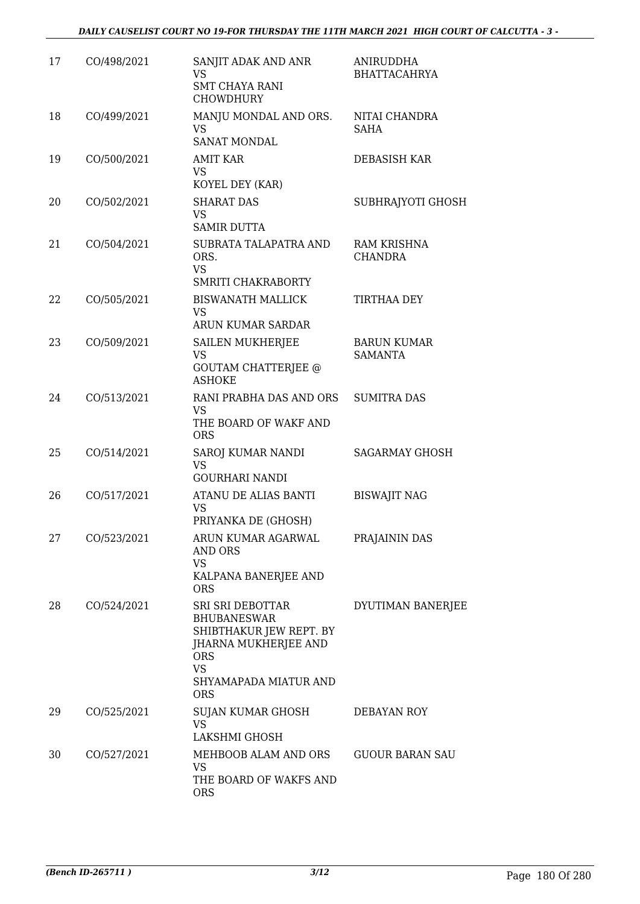| 17 | CO/498/2021 | SANJIT ADAK AND ANR<br>VS<br><b>SMT CHAYA RANI</b><br><b>CHOWDHURY</b>                                                                                      | <b>ANIRUDDHA</b><br><b>BHATTACAHRYA</b> |
|----|-------------|-------------------------------------------------------------------------------------------------------------------------------------------------------------|-----------------------------------------|
| 18 | CO/499/2021 | MANJU MONDAL AND ORS.<br><b>VS</b><br><b>SANAT MONDAL</b>                                                                                                   | NITAI CHANDRA<br><b>SAHA</b>            |
| 19 | CO/500/2021 | <b>AMIT KAR</b><br><b>VS</b><br>KOYEL DEY (KAR)                                                                                                             | DEBASISH KAR                            |
| 20 | CO/502/2021 | <b>SHARAT DAS</b><br><b>VS</b><br><b>SAMIR DUTTA</b>                                                                                                        | SUBHRAJYOTI GHOSH                       |
| 21 | CO/504/2021 | SUBRATA TALAPATRA AND<br>ORS.<br><b>VS</b><br>SMRITI CHAKRABORTY                                                                                            | RAM KRISHNA<br><b>CHANDRA</b>           |
| 22 | CO/505/2021 | <b>BISWANATH MALLICK</b><br><b>VS</b><br>ARUN KUMAR SARDAR                                                                                                  | TIRTHAA DEY                             |
| 23 | CO/509/2021 | SAILEN MUKHERJEE<br><b>VS</b><br><b>GOUTAM CHATTERJEE @</b><br><b>ASHOKE</b>                                                                                | <b>BARUN KUMAR</b><br><b>SAMANTA</b>    |
| 24 | CO/513/2021 | RANI PRABHA DAS AND ORS<br>VS<br>THE BOARD OF WAKF AND<br><b>ORS</b>                                                                                        | <b>SUMITRA DAS</b>                      |
| 25 | CO/514/2021 | SAROJ KUMAR NANDI<br><b>VS</b><br><b>GOURHARI NANDI</b>                                                                                                     | <b>SAGARMAY GHOSH</b>                   |
| 26 | CO/517/2021 | ATANU DE ALIAS BANTI<br>VS<br>PRIYANKA DE (GHOSH)                                                                                                           | <b>BISWAJIT NAG</b>                     |
| 27 | CO/523/2021 | ARUN KUMAR AGARWAL<br>AND ORS<br>VS<br>KALPANA BANERJEE AND<br><b>ORS</b>                                                                                   | PRAJAININ DAS                           |
| 28 | CO/524/2021 | SRI SRI DEBOTTAR<br><b>BHUBANESWAR</b><br>SHIBTHAKUR JEW REPT. BY<br>JHARNA MUKHERJEE AND<br><b>ORS</b><br><b>VS</b><br>SHYAMAPADA MIATUR AND<br><b>ORS</b> | DYUTIMAN BANERJEE                       |
| 29 | CO/525/2021 | SUJAN KUMAR GHOSH<br><b>VS</b><br>LAKSHMI GHOSH                                                                                                             | DEBAYAN ROY                             |
| 30 | CO/527/2021 | MEHBOOB ALAM AND ORS<br>VS<br>THE BOARD OF WAKFS AND<br><b>ORS</b>                                                                                          | <b>GUOUR BARAN SAU</b>                  |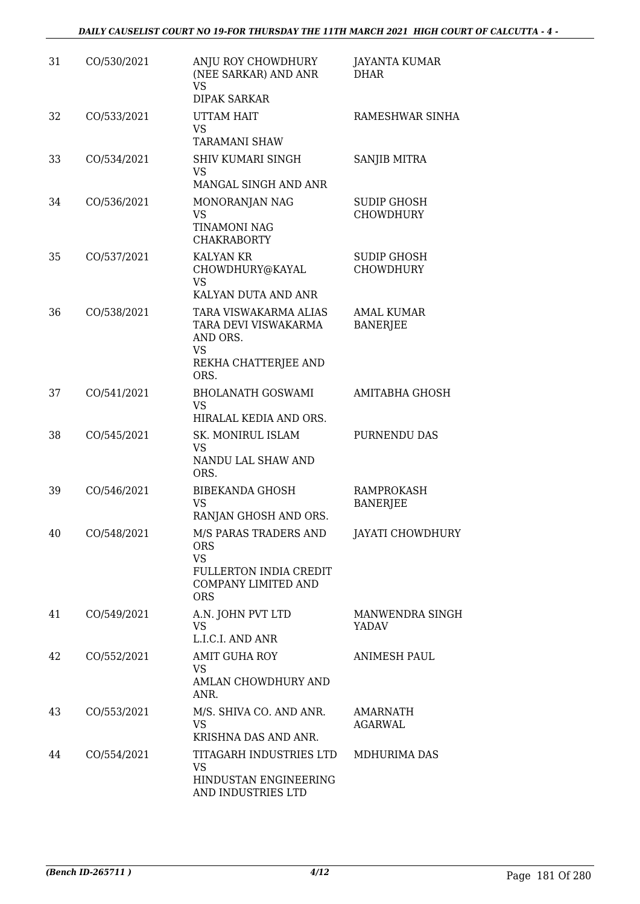| 31 | CO/530/2021 | ANJU ROY CHOWDHURY<br>(NEE SARKAR) AND ANR<br>VS<br><b>DIPAK SARKAR</b>                                         | <b>JAYANTA KUMAR</b><br><b>DHAR</b>    |
|----|-------------|-----------------------------------------------------------------------------------------------------------------|----------------------------------------|
| 32 | CO/533/2021 | UTTAM HAIT<br><b>VS</b><br><b>TARAMANI SHAW</b>                                                                 | RAMESHWAR SINHA                        |
| 33 | CO/534/2021 | SHIV KUMARI SINGH<br><b>VS</b>                                                                                  | SANJIB MITRA                           |
| 34 | CO/536/2021 | MANGAL SINGH AND ANR<br>MONORANJAN NAG<br><b>VS</b><br><b>TINAMONI NAG</b><br><b>CHAKRABORTY</b>                | <b>SUDIP GHOSH</b><br><b>CHOWDHURY</b> |
| 35 | CO/537/2021 | <b>KALYAN KR</b><br>CHOWDHURY@KAYAL<br><b>VS</b><br>KALYAN DUTA AND ANR                                         | <b>SUDIP GHOSH</b><br><b>CHOWDHURY</b> |
| 36 | CO/538/2021 | TARA VISWAKARMA ALIAS<br>TARA DEVI VISWAKARMA<br>AND ORS.<br><b>VS</b><br>REKHA CHATTERJEE AND<br>ORS.          | <b>AMAL KUMAR</b><br><b>BANERJEE</b>   |
| 37 | CO/541/2021 | <b>BHOLANATH GOSWAMI</b><br>VS<br>HIRALAL KEDIA AND ORS.                                                        | AMITABHA GHOSH                         |
| 38 | CO/545/2021 | SK. MONIRUL ISLAM<br><b>VS</b><br>NANDU LAL SHAW AND<br>ORS.                                                    | PURNENDU DAS                           |
| 39 | CO/546/2021 | <b>BIBEKANDA GHOSH</b><br><b>VS</b><br>RANJAN GHOSH AND ORS.                                                    | <b>RAMPROKASH</b><br><b>BANERJEE</b>   |
| 40 | CO/548/2021 | M/S PARAS TRADERS AND<br><b>ORS</b><br><b>VS</b><br>FULLERTON INDIA CREDIT<br>COMPANY LIMITED AND<br><b>ORS</b> | JAYATI CHOWDHURY                       |
| 41 | CO/549/2021 | A.N. JOHN PVT LTD<br><b>VS</b><br>L.I.C.I. AND ANR                                                              | <b>MANWENDRA SINGH</b><br>YADAV        |
| 42 | CO/552/2021 | <b>AMIT GUHA ROY</b><br>VS<br>AMLAN CHOWDHURY AND<br>ANR.                                                       | <b>ANIMESH PAUL</b>                    |
| 43 | CO/553/2021 | M/S. SHIVA CO. AND ANR.<br>VS<br>KRISHNA DAS AND ANR.                                                           | AMARNATH<br>AGARWAL                    |
| 44 | CO/554/2021 | TITAGARH INDUSTRIES LTD<br><b>VS</b><br>HINDUSTAN ENGINEERING<br>AND INDUSTRIES LTD                             | MDHURIMA DAS                           |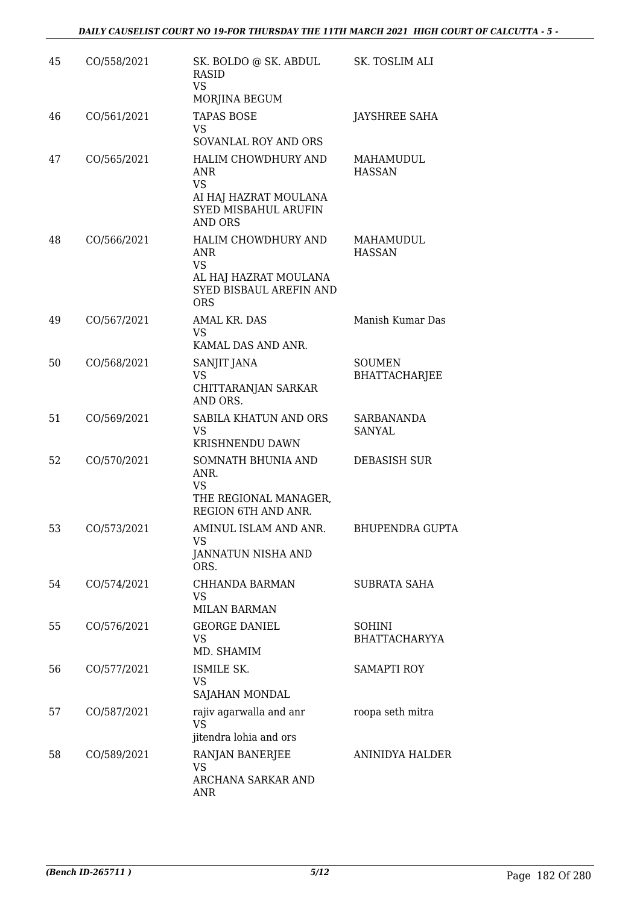| 45 | CO/558/2021 | SK. BOLDO @ SK. ABDUL<br><b>RASID</b><br><b>VS</b><br>MORJINA BEGUM                                               | SK. TOSLIM ALI                        |
|----|-------------|-------------------------------------------------------------------------------------------------------------------|---------------------------------------|
| 46 | CO/561/2021 | <b>TAPAS BOSE</b><br>VS.<br>SOVANLAL ROY AND ORS                                                                  | <b>JAYSHREE SAHA</b>                  |
| 47 | CO/565/2021 | HALIM CHOWDHURY AND<br>ANR<br><b>VS</b><br>AI HAJ HAZRAT MOULANA<br><b>SYED MISBAHUL ARUFIN</b><br><b>AND ORS</b> | MAHAMUDUL<br><b>HASSAN</b>            |
| 48 | CO/566/2021 | HALIM CHOWDHURY AND<br><b>ANR</b><br><b>VS</b><br>AL HAJ HAZRAT MOULANA<br>SYED BISBAUL AREFIN AND<br><b>ORS</b>  | MAHAMUDUL<br><b>HASSAN</b>            |
| 49 | CO/567/2021 | AMAL KR. DAS<br><b>VS</b><br>KAMAL DAS AND ANR.                                                                   | Manish Kumar Das                      |
| 50 | CO/568/2021 | SANJIT JANA<br><b>VS</b><br>CHITTARANJAN SARKAR<br>AND ORS.                                                       | <b>SOUMEN</b><br><b>BHATTACHARJEE</b> |
| 51 | CO/569/2021 | SABILA KHATUN AND ORS<br><b>VS</b><br>KRISHNENDU DAWN                                                             | SARBANANDA<br>SANYAL                  |
| 52 | CO/570/2021 | SOMNATH BHUNIA AND<br>ANR.<br>VS<br>THE REGIONAL MANAGER,<br><b>REGION 6TH AND ANR.</b>                           | <b>DEBASISH SUR</b>                   |
| 53 | CO/573/2021 | AMINUL ISLAM AND ANR.<br><b>VS</b><br>JANNATUN NISHA AND<br>ORS.                                                  | <b>BHUPENDRA GUPTA</b>                |
| 54 | CO/574/2021 | CHHANDA BARMAN<br>VS<br><b>MILAN BARMAN</b>                                                                       | <b>SUBRATA SAHA</b>                   |
| 55 | CO/576/2021 | <b>GEORGE DANIEL</b><br>VS<br>MD. SHAMIM                                                                          | <b>SOHINI</b><br><b>BHATTACHARYYA</b> |
| 56 | CO/577/2021 | ISMILE SK.<br><b>VS</b><br>SAJAHAN MONDAL                                                                         | <b>SAMAPTI ROY</b>                    |
| 57 | CO/587/2021 | rajiv agarwalla and anr<br><b>VS</b><br>jitendra lohia and ors                                                    | roopa seth mitra                      |
| 58 | CO/589/2021 | RANJAN BANERJEE<br>VS<br>ARCHANA SARKAR AND<br>ANR                                                                | ANINIDYA HALDER                       |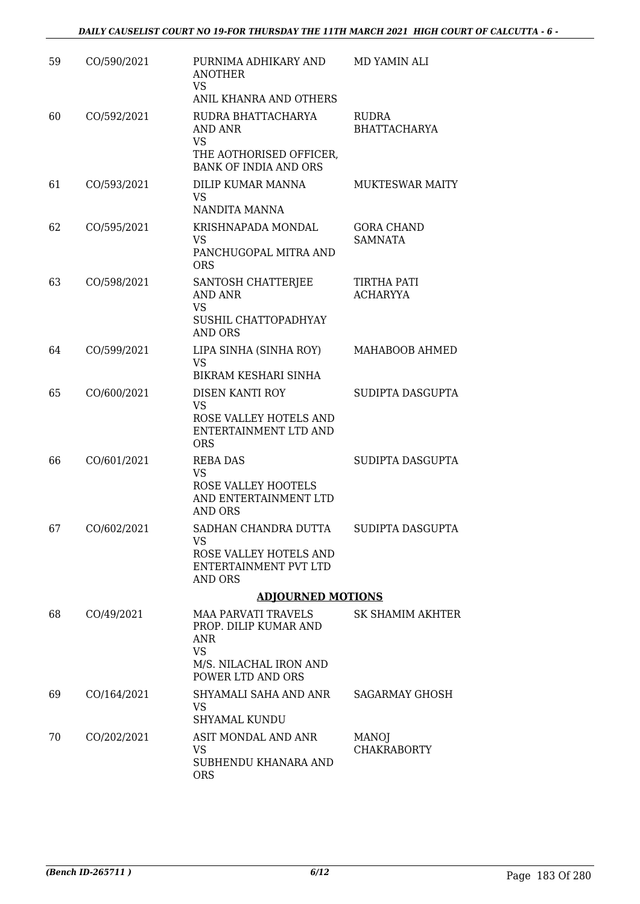| 59 | CO/590/2021 | PURNIMA ADHIKARY AND<br><b>ANOTHER</b><br><b>VS</b><br>ANIL KHANRA AND OTHERS                                          | MD YAMIN ALI                        |
|----|-------------|------------------------------------------------------------------------------------------------------------------------|-------------------------------------|
| 60 | CO/592/2021 | RUDRA BHATTACHARYA<br><b>AND ANR</b><br><b>VS</b><br>THE AOTHORISED OFFICER,<br><b>BANK OF INDIA AND ORS</b>           | <b>RUDRA</b><br><b>BHATTACHARYA</b> |
| 61 | CO/593/2021 | DILIP KUMAR MANNA<br>VS.<br>NANDITA MANNA                                                                              | <b>MUKTESWAR MAITY</b>              |
| 62 | CO/595/2021 | KRISHNAPADA MONDAL<br><b>VS</b><br>PANCHUGOPAL MITRA AND<br><b>ORS</b>                                                 | <b>GORA CHAND</b><br><b>SAMNATA</b> |
| 63 | CO/598/2021 | SANTOSH CHATTERJEE<br><b>AND ANR</b><br><b>VS</b><br>SUSHIL CHATTOPADHYAY<br><b>AND ORS</b>                            | TIRTHA PATI<br><b>ACHARYYA</b>      |
| 64 | CO/599/2021 | LIPA SINHA (SINHA ROY)<br><b>VS</b><br>BIKRAM KESHARI SINHA                                                            | MAHABOOB AHMED                      |
| 65 | CO/600/2021 | DISEN KANTI ROY<br><b>VS</b><br>ROSE VALLEY HOTELS AND<br>ENTERTAINMENT LTD AND<br><b>ORS</b>                          | SUDIPTA DASGUPTA                    |
| 66 | CO/601/2021 | <b>REBA DAS</b><br><b>VS</b><br>ROSE VALLEY HOOTELS<br>AND ENTERTAINMENT LTD<br><b>AND ORS</b>                         | SUDIPTA DASGUPTA                    |
| 67 | CO/602/2021 | SADHAN CHANDRA DUTTA<br>VS<br>ROSE VALLEY HOTELS AND<br>ENTERTAINMENT PVT LTD<br>AND ORS                               | SUDIPTA DASGUPTA                    |
|    |             | <b>ADJOURNED MOTIONS</b>                                                                                               |                                     |
| 68 | CO/49/2021  | <b>MAA PARVATI TRAVELS</b><br>PROP. DILIP KUMAR AND<br>ANR<br><b>VS</b><br>M/S. NILACHAL IRON AND<br>POWER LTD AND ORS | SK SHAMIM AKHTER                    |
| 69 | CO/164/2021 | SHYAMALI SAHA AND ANR<br><b>VS</b><br><b>SHYAMAL KUNDU</b>                                                             | <b>SAGARMAY GHOSH</b>               |
| 70 | CO/202/2021 | ASIT MONDAL AND ANR<br>VS.<br>SUBHENDU KHANARA AND<br><b>ORS</b>                                                       | <b>MANOJ</b><br><b>CHAKRABORTY</b>  |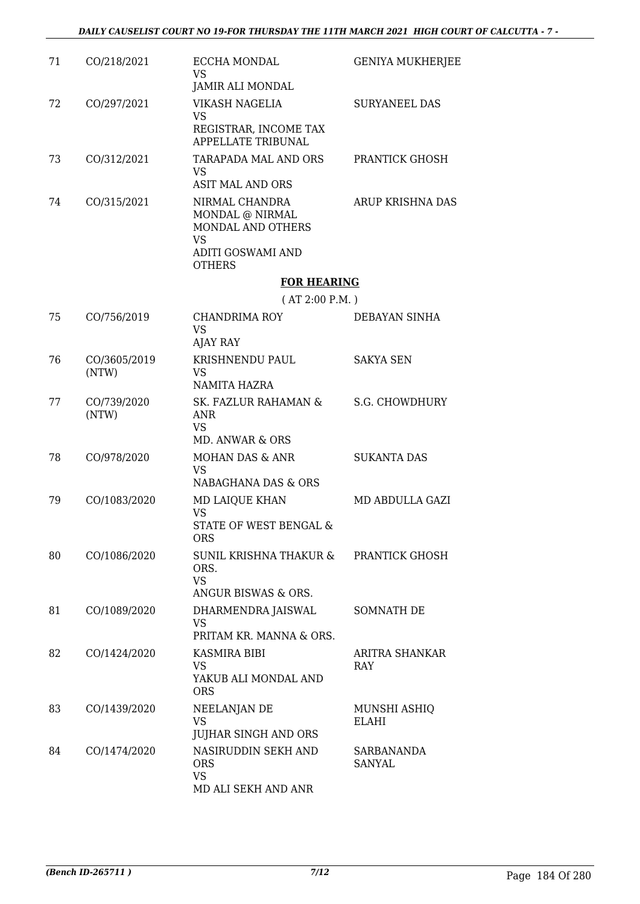| 71 | CO/218/2021           | <b>ECCHA MONDAL</b><br>VS<br>JAMIR ALI MONDAL                                                                                                                          | <b>GENIYA MUKHERJEE</b>      |
|----|-----------------------|------------------------------------------------------------------------------------------------------------------------------------------------------------------------|------------------------------|
| 72 | CO/297/2021           | VIKASH NAGELIA<br><b>VS</b><br>REGISTRAR, INCOME TAX<br><b>APPELLATE TRIBUNAL</b>                                                                                      | <b>SURYANEEL DAS</b>         |
| 73 | CO/312/2021           | TARAPADA MAL AND ORS<br><b>VS</b>                                                                                                                                      | PRANTICK GHOSH               |
| 74 | CO/315/2021           | <b>ASIT MAL AND ORS</b><br>NIRMAL CHANDRA<br>$\operatorname{MONDAL}$ @ $\operatorname{NIRMAL}$<br>MONDAL AND OTHERS<br><b>VS</b><br>ADITI GOSWAMI AND<br><b>OTHERS</b> | ARUP KRISHNA DAS             |
|    |                       | <b>FOR HEARING</b>                                                                                                                                                     |                              |
|    |                       | (AT 2:00 P.M.)                                                                                                                                                         |                              |
| 75 | CO/756/2019           | <b>CHANDRIMA ROY</b><br><b>VS</b><br><b>AJAY RAY</b>                                                                                                                   | DEBAYAN SINHA                |
| 76 | CO/3605/2019<br>(NTW) | KRISHNENDU PAUL<br><b>VS</b><br>NAMITA HAZRA                                                                                                                           | <b>SAKYA SEN</b>             |
| 77 | CO/739/2020<br>(NTW)  | SK. FAZLUR RAHAMAN &<br><b>ANR</b><br><b>VS</b><br>MD. ANWAR & ORS                                                                                                     | S.G. CHOWDHURY               |
| 78 | CO/978/2020           | MOHAN DAS & ANR<br>VS<br>NABAGHANA DAS & ORS                                                                                                                           | <b>SUKANTA DAS</b>           |
| 79 | CO/1083/2020          | MD LAIQUE KHAN<br><b>VS</b><br>STATE OF WEST BENGAL &<br>ORS                                                                                                           | MD ABDULLA GAZI              |
| 80 | CO/1086/2020          | SUNIL KRISHNA THAKUR &<br>ORS.<br><b>VS</b><br>ANGUR BISWAS & ORS.                                                                                                     | PRANTICK GHOSH               |
| 81 | CO/1089/2020          | DHARMENDRA JAISWAL<br>VS<br>PRITAM KR. MANNA & ORS.                                                                                                                    | SOMNATH DE                   |
| 82 | CO/1424/2020          | KASMIRA BIBI<br>VS<br>YAKUB ALI MONDAL AND<br><b>ORS</b>                                                                                                               | ARITRA SHANKAR<br>RAY        |
| 83 | CO/1439/2020          | NEELANJAN DE<br>VS<br><b>JUJHAR SINGH AND ORS</b>                                                                                                                      | MUNSHI ASHIQ<br><b>ELAHI</b> |
| 84 | CO/1474/2020          | NASIRUDDIN SEKH AND<br><b>ORS</b><br><b>VS</b><br>MD ALI SEKH AND ANR                                                                                                  | SARBANANDA<br>SANYAL         |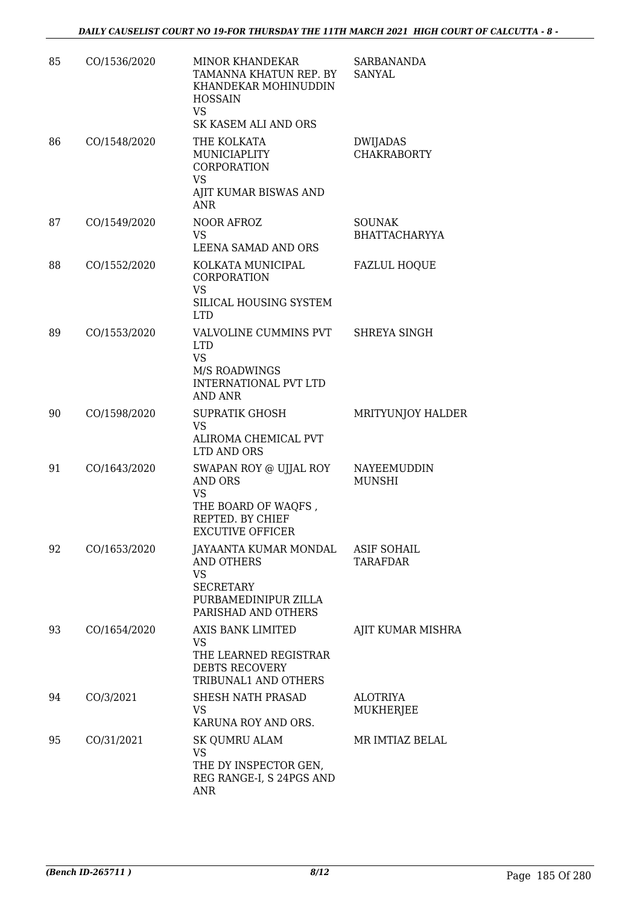| 85 | CO/1536/2020 | <b>MINOR KHANDEKAR</b><br>TAMANNA KHATUN REP. BY<br>KHANDEKAR MOHINUDDIN<br><b>HOSSAIN</b><br><b>VS</b><br>SK KASEM ALI AND ORS        | <b>SARBANANDA</b><br><b>SANYAL</b>    |
|----|--------------|----------------------------------------------------------------------------------------------------------------------------------------|---------------------------------------|
| 86 | CO/1548/2020 | THE KOLKATA<br>MUNICIAPLITY<br><b>CORPORATION</b><br>VS<br>AJIT KUMAR BISWAS AND                                                       | <b>DWIJADAS</b><br><b>CHAKRABORTY</b> |
| 87 | CO/1549/2020 | <b>ANR</b><br>NOOR AFROZ<br><b>VS</b><br>LEENA SAMAD AND ORS                                                                           | <b>SOUNAK</b><br><b>BHATTACHARYYA</b> |
| 88 | CO/1552/2020 | KOLKATA MUNICIPAL<br><b>CORPORATION</b><br><b>VS</b><br>SILICAL HOUSING SYSTEM<br><b>LTD</b>                                           | <b>FAZLUL HOQUE</b>                   |
| 89 | CO/1553/2020 | VALVOLINE CUMMINS PVT<br><b>LTD</b><br><b>VS</b><br>M/S ROADWINGS<br><b>INTERNATIONAL PVT LTD</b><br><b>AND ANR</b>                    | SHREYA SINGH                          |
| 90 | CO/1598/2020 | <b>SUPRATIK GHOSH</b><br><b>VS</b><br>ALIROMA CHEMICAL PVT<br>LTD AND ORS                                                              | MRITYUNJOY HALDER                     |
| 91 | CO/1643/2020 | SWAPAN ROY @ UJJAL ROY<br><b>AND ORS</b><br><b>VS</b><br>THE BOARD OF WAQFS,<br>REPTED. BY CHIEF<br>EXCUTIVE OFFICER                   | NAYEEMUDDIN<br><b>MUNSHI</b>          |
| 92 | CO/1653/2020 | JAYAANTA KUMAR MONDAL ASIF SOHAIL<br><b>AND OTHERS</b><br><b>VS</b><br><b>SECRETARY</b><br>PURBAMEDINIPUR ZILLA<br>PARISHAD AND OTHERS | TARAFDAR                              |
| 93 | CO/1654/2020 | AXIS BANK LIMITED<br>VS<br>THE LEARNED REGISTRAR<br>DEBTS RECOVERY<br>TRIBUNAL1 AND OTHERS                                             | AJIT KUMAR MISHRA                     |
| 94 | CO/3/2021    | SHESH NATH PRASAD<br><b>VS</b><br>KARUNA ROY AND ORS.                                                                                  | ALOTRIYA<br>MUKHERJEE                 |
| 95 | CO/31/2021   | <b>SK QUMRU ALAM</b><br><b>VS</b><br>THE DY INSPECTOR GEN,<br>REG RANGE-I, S 24PGS AND<br><b>ANR</b>                                   | MR IMTIAZ BELAL                       |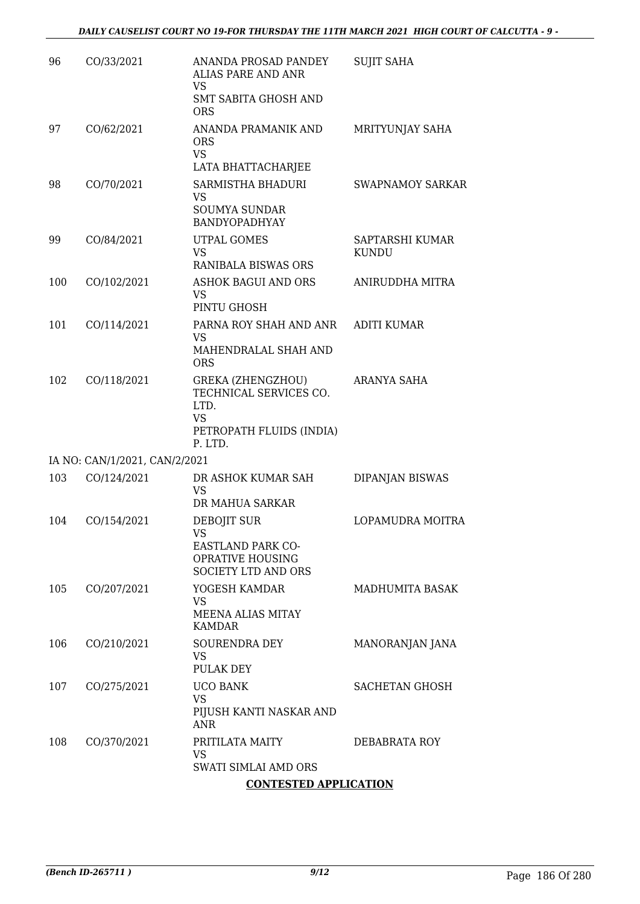| 96  | CO/33/2021                    | ANANDA PROSAD PANDEY<br><b>ALIAS PARE AND ANR</b><br><b>VS</b><br><b>SMT SABITA GHOSH AND</b>                  | <b>SUJIT SAHA</b>               |
|-----|-------------------------------|----------------------------------------------------------------------------------------------------------------|---------------------------------|
| 97  | CO/62/2021                    | <b>ORS</b><br>ANANDA PRAMANIK AND<br><b>ORS</b><br><b>VS</b>                                                   | MRITYUNJAY SAHA                 |
|     |                               | LATA BHATTACHARJEE                                                                                             |                                 |
| 98  | CO/70/2021                    | SARMISTHA BHADURI<br><b>VS</b><br><b>SOUMYA SUNDAR</b>                                                         | <b>SWAPNAMOY SARKAR</b>         |
|     |                               | BANDYOPADHYAY                                                                                                  |                                 |
| 99  | CO/84/2021                    | <b>UTPAL GOMES</b><br><b>VS</b>                                                                                | SAPTARSHI KUMAR<br><b>KUNDU</b> |
|     |                               | RANIBALA BISWAS ORS                                                                                            |                                 |
| 100 | CO/102/2021                   | <b>ASHOK BAGUI AND ORS</b><br>VS<br>PINTU GHOSH                                                                | ANIRUDDHA MITRA                 |
| 101 | CO/114/2021                   | PARNA ROY SHAH AND ANR                                                                                         | <b>ADITI KUMAR</b>              |
|     |                               | VS                                                                                                             |                                 |
|     |                               | MAHENDRALAL SHAH AND<br><b>ORS</b>                                                                             |                                 |
| 102 | CO/118/2021                   | <b>GREKA (ZHENGZHOU)</b><br>TECHNICAL SERVICES CO.<br>LTD.<br><b>VS</b><br>PETROPATH FLUIDS (INDIA)<br>P. LTD. | ARANYA SAHA                     |
|     | IA NO: CAN/1/2021, CAN/2/2021 |                                                                                                                |                                 |
| 103 | CO/124/2021                   | DR ASHOK KUMAR SAH<br><b>VS</b><br>DR MAHUA SARKAR                                                             | DIPANJAN BISWAS                 |
| 104 | CO/154/2021                   | DEBOJIT SUR                                                                                                    | LOPAMUDRA MOITRA                |
|     |                               | VS <b>Sample</b><br>EASTLAND PARK CO-<br>OPRATIVE HOUSING<br>SOCIETY LTD AND ORS                               |                                 |
| 105 | CO/207/2021                   | YOGESH KAMDAR                                                                                                  | <b>MADHUMITA BASAK</b>          |
|     |                               | VS<br><b>MEENA ALIAS MITAY</b><br><b>KAMDAR</b>                                                                |                                 |
| 106 | CO/210/2021                   | SOURENDRA DEY<br><b>VS</b>                                                                                     | MANORANJAN JANA                 |
|     |                               | PULAK DEY                                                                                                      |                                 |
| 107 | CO/275/2021                   | <b>UCO BANK</b><br><b>VS</b>                                                                                   | <b>SACHETAN GHOSH</b>           |
|     |                               | PIJUSH KANTI NASKAR AND<br><b>ANR</b>                                                                          |                                 |
| 108 | CO/370/2021                   | PRITILATA MAITY<br>VS                                                                                          | DEBABRATA ROY                   |
|     |                               | SWATI SIMLAI AMD ORS                                                                                           |                                 |
|     |                               | <b>CONTESTED APPLICATION</b>                                                                                   |                                 |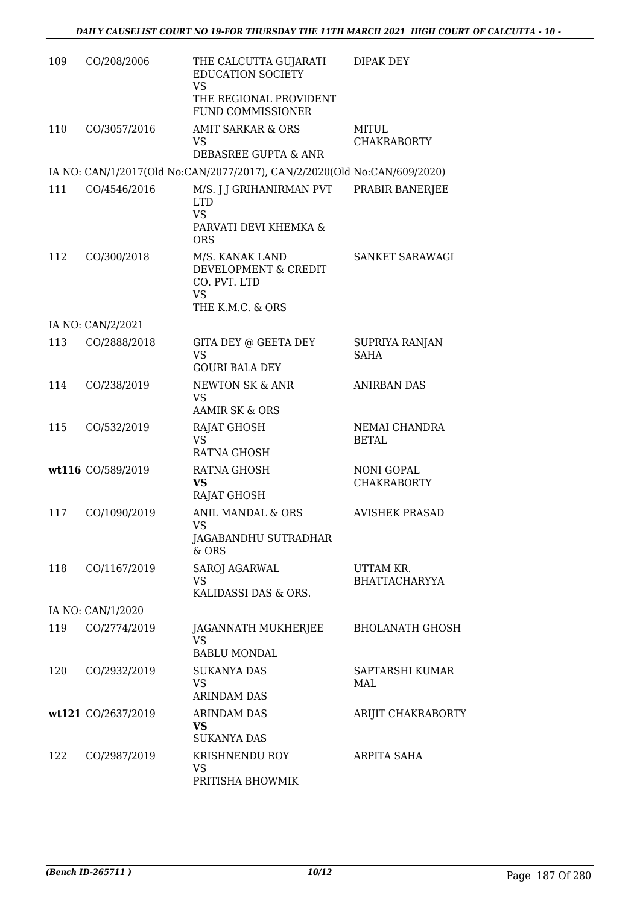| 109 | CO/208/2006        | THE CALCUTTA GUJARATI<br><b>EDUCATION SOCIETY</b><br><b>VS</b>                                   | <b>DIPAK DEY</b>                        |
|-----|--------------------|--------------------------------------------------------------------------------------------------|-----------------------------------------|
|     |                    | THE REGIONAL PROVIDENT<br><b>FUND COMMISSIONER</b>                                               |                                         |
| 110 | CO/3057/2016       | AMIT SARKAR & ORS<br>VS.                                                                         | MITUL<br><b>CHAKRABORTY</b>             |
|     |                    | DEBASREE GUPTA & ANR<br>IA NO: CAN/1/2017(Old No:CAN/2077/2017), CAN/2/2020(Old No:CAN/609/2020) |                                         |
| 111 | CO/4546/2016       | M/S. J J GRIHANIRMAN PVT                                                                         | PRABIR BANERJEE                         |
|     |                    | <b>LTD</b><br><b>VS</b><br>PARVATI DEVI KHEMKA &                                                 |                                         |
|     |                    | <b>ORS</b>                                                                                       |                                         |
| 112 | CO/300/2018        | M/S. KANAK LAND<br>DEVELOPMENT & CREDIT<br>CO. PVT. LTD<br><b>VS</b>                             | SANKET SARAWAGI                         |
|     |                    | THE K.M.C. & ORS                                                                                 |                                         |
| 113 | IA NO: CAN/2/2021  |                                                                                                  |                                         |
|     | CO/2888/2018       | <b>GITA DEY @ GEETA DEY</b><br><b>VS</b><br><b>GOURI BALA DEY</b>                                | SUPRIYA RANJAN<br><b>SAHA</b>           |
| 114 | CO/238/2019        | NEWTON SK & ANR<br><b>VS</b><br><b>AAMIR SK &amp; ORS</b>                                        | <b>ANIRBAN DAS</b>                      |
| 115 | CO/532/2019        | RAJAT GHOSH                                                                                      | NEMAI CHANDRA                           |
|     |                    | <b>VS</b><br><b>RATNA GHOSH</b>                                                                  | <b>BETAL</b>                            |
|     | wt116 CO/589/2019  | RATNA GHOSH<br><b>VS</b>                                                                         | <b>NONI GOPAL</b><br><b>CHAKRABORTY</b> |
|     |                    | RAJAT GHOSH                                                                                      |                                         |
| 117 | CO/1090/2019       | <b>ANIL MANDAL &amp; ORS</b><br>VS                                                               | <b>AVISHEK PRASAD</b>                   |
|     |                    | JAGABANDHU SUTRADHAR<br>$&$ ORS                                                                  |                                         |
| 118 | CO/1167/2019       | SAROJ AGARWAL                                                                                    | UTTAM KR.                               |
|     |                    | <b>VS</b>                                                                                        | <b>BHATTACHARYYA</b>                    |
|     |                    | KALIDASSI DAS & ORS.                                                                             |                                         |
|     | IA NO: CAN/1/2020  |                                                                                                  |                                         |
| 119 | CO/2774/2019       | JAGANNATH MUKHERJEE<br>VS<br><b>BABLU MONDAL</b>                                                 | <b>BHOLANATH GHOSH</b>                  |
| 120 | CO/2932/2019       | <b>SUKANYA DAS</b><br>VS                                                                         | SAPTARSHI KUMAR<br>MAL                  |
|     |                    | <b>ARINDAM DAS</b>                                                                               |                                         |
|     | wt121 CO/2637/2019 | ARINDAM DAS<br><b>VS</b><br><b>SUKANYA DAS</b>                                                   | ARIJIT CHAKRABORTY                      |
| 122 | CO/2987/2019       | KRISHNENDU ROY                                                                                   | ARPITA SAHA                             |
|     |                    | VS<br>PRITISHA BHOWMIK                                                                           |                                         |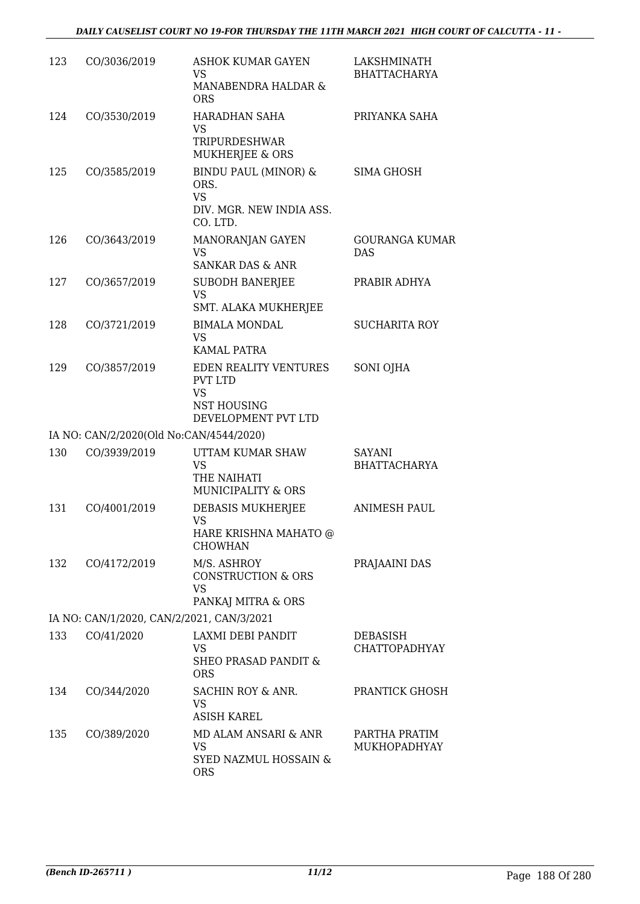| 123 | CO/3036/2019                              | <b>ASHOK KUMAR GAYEN</b><br><b>VS</b><br>MANABENDRA HALDAR &<br><b>ORS</b>                 | LAKSHMINATH<br><b>BHATTACHARYA</b>      |
|-----|-------------------------------------------|--------------------------------------------------------------------------------------------|-----------------------------------------|
| 124 | CO/3530/2019                              | <b>HARADHAN SAHA</b><br>VS<br>TRIPURDESHWAR<br>MUKHERJEE & ORS                             | PRIYANKA SAHA                           |
| 125 | CO/3585/2019                              | <b>BINDU PAUL (MINOR) &amp;</b><br>ORS.<br><b>VS</b><br>DIV. MGR. NEW INDIA ASS.           | SIMA GHOSH                              |
| 126 | CO/3643/2019                              | CO. LTD.<br>MANORANJAN GAYEN<br><b>VS</b><br><b>SANKAR DAS &amp; ANR</b>                   | <b>GOURANGA KUMAR</b><br><b>DAS</b>     |
| 127 | CO/3657/2019                              | <b>SUBODH BANERJEE</b><br><b>VS</b><br>SMT. ALAKA MUKHERJEE                                | PRABIR ADHYA                            |
| 128 | CO/3721/2019                              | <b>BIMALA MONDAL</b><br><b>VS</b><br><b>KAMAL PATRA</b>                                    | <b>SUCHARITA ROY</b>                    |
| 129 | CO/3857/2019                              | EDEN REALITY VENTURES<br><b>PVT LTD</b><br><b>VS</b><br>NST HOUSING<br>DEVELOPMENT PVT LTD | SONI OJHA                               |
|     | IA NO: CAN/2/2020(Old No:CAN/4544/2020)   |                                                                                            |                                         |
| 130 | CO/3939/2019                              | UTTAM KUMAR SHAW<br><b>VS</b><br>THE NAIHATI<br>MUNICIPALITY & ORS                         | <b>SAYANI</b><br><b>BHATTACHARYA</b>    |
| 131 | CO/4001/2019                              | DEBASIS MUKHERJEE<br>VS<br>HARE KRISHNA MAHATO @<br><b>CHOWHAN</b>                         | <b>ANIMESH PAUL</b>                     |
| 132 | CO/4172/2019                              | M/S. ASHROY<br><b>CONSTRUCTION &amp; ORS</b><br><b>VS</b><br>PANKAJ MITRA & ORS            | PRAJAAINI DAS                           |
|     | IA NO: CAN/1/2020, CAN/2/2021, CAN/3/2021 |                                                                                            |                                         |
| 133 | CO/41/2020                                | LAXMI DEBI PANDIT<br>VS<br><b>SHEO PRASAD PANDIT &amp;</b><br><b>ORS</b>                   | <b>DEBASISH</b><br><b>CHATTOPADHYAY</b> |
| 134 | CO/344/2020                               | SACHIN ROY & ANR.<br>VS<br><b>ASISH KAREL</b>                                              | PRANTICK GHOSH                          |
| 135 | CO/389/2020                               | MD ALAM ANSARI & ANR<br>VS<br>SYED NAZMUL HOSSAIN &<br><b>ORS</b>                          | PARTHA PRATIM<br>MUKHOPADHYAY           |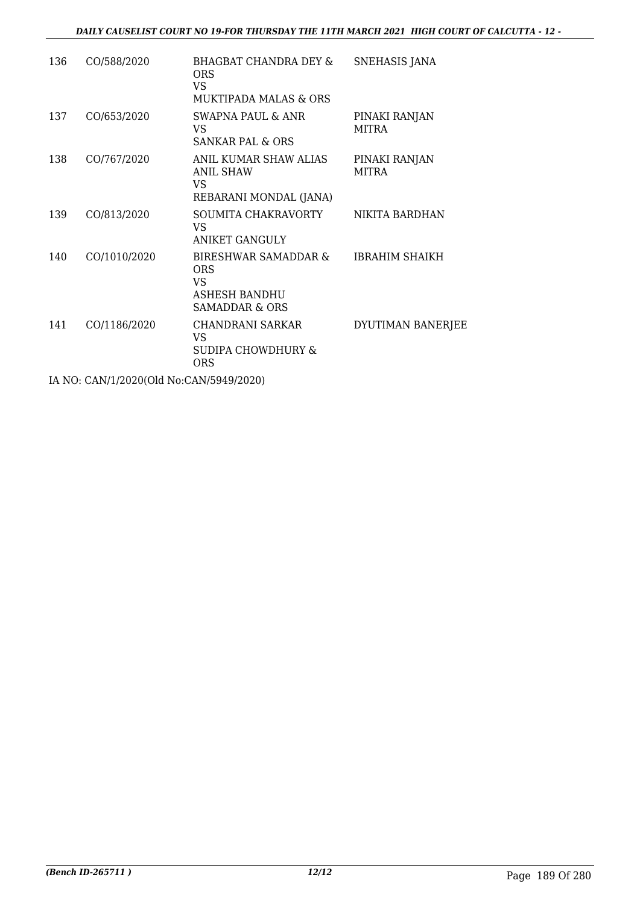| 136 | CO/588/2020                               | BHAGBAT CHANDRA DEY &<br>ORS<br>VS.<br><b>MUKTIPADA MALAS &amp; ORS</b>      | SNEHASIS JANA                 |
|-----|-------------------------------------------|------------------------------------------------------------------------------|-------------------------------|
| 137 | CO/653/2020                               | SWAPNA PAUL & ANR<br>VS.<br>SANKAR PAL & ORS                                 | PINAKI RANJAN<br>MITRA        |
| 138 | CO/767/2020                               | ANIL KUMAR SHAW ALIAS<br><b>ANIL SHAW</b><br>VS<br>REBARANI MONDAL (JANA)    | PINAKI RANJAN<br><b>MITRA</b> |
| 139 | CO/813/2020                               | SOUMITA CHAKRAVORTY<br>VS<br><b>ANIKET GANGULY</b>                           | NIKITA BARDHAN                |
| 140 | CO/1010/2020                              | BIRESHWAR SAMADDAR &<br>ORS<br>VS.<br><b>ASHESH BANDHU</b><br>SAMADDAR & ORS | <b>IBRAHIM SHAIKH</b>         |
| 141 | CO/1186/2020                              | CHANDRANI SARKAR<br>VS<br>SUDIPA CHOWDHURY &<br>ORS                          | DYUTIMAN BANERJEE             |
|     | IA NO. CANIJI (2020) OLI NA CANIJEOJOJOJO |                                                                              |                               |

IA NO: CAN/1/2020(Old No:CAN/5949/2020)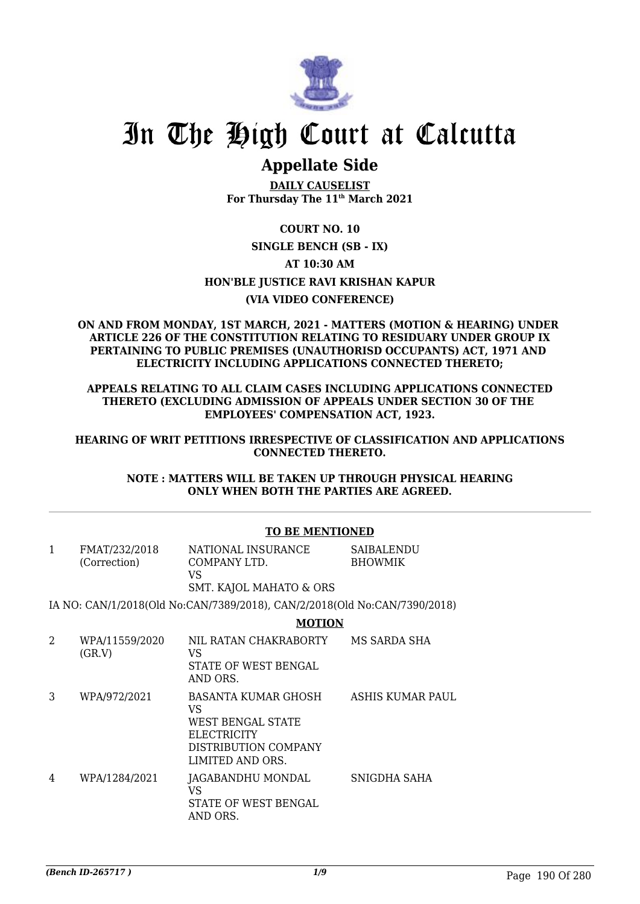

## **Appellate Side**

**DAILY CAUSELIST For Thursday The 11th March 2021**

#### **COURT NO. 10**

#### **SINGLE BENCH (SB - IX)**

#### **AT 10:30 AM**

#### **HON'BLE JUSTICE RAVI KRISHAN KAPUR**

#### **(VIA VIDEO CONFERENCE)**

#### **ON AND FROM MONDAY, 1ST MARCH, 2021 - MATTERS (MOTION & HEARING) UNDER ARTICLE 226 OF THE CONSTITUTION RELATING TO RESIDUARY UNDER GROUP IX PERTAINING TO PUBLIC PREMISES (UNAUTHORISD OCCUPANTS) ACT, 1971 AND ELECTRICITY INCLUDING APPLICATIONS CONNECTED THERETO;**

#### **APPEALS RELATING TO ALL CLAIM CASES INCLUDING APPLICATIONS CONNECTED THERETO (EXCLUDING ADMISSION OF APPEALS UNDER SECTION 30 OF THE EMPLOYEES' COMPENSATION ACT, 1923.**

#### **HEARING OF WRIT PETITIONS IRRESPECTIVE OF CLASSIFICATION AND APPLICATIONS CONNECTED THERETO.**

#### **NOTE : MATTERS WILL BE TAKEN UP THROUGH PHYSICAL HEARING ONLY WHEN BOTH THE PARTIES ARE AGREED.**

| $\mathbf{1}$  | FMAT/232/2018<br>(Correction) | NATIONAL INSURANCE<br>COMPANY LTD.<br>VS<br>SMT. KAJOL MAHATO & ORS                                       | SAIBALENDU<br><b>BHOWMIK</b> |
|---------------|-------------------------------|-----------------------------------------------------------------------------------------------------------|------------------------------|
|               |                               | IA NO: CAN/1/2018(Old No:CAN/7389/2018), CAN/2/2018(Old No:CAN/7390/2018)                                 |                              |
|               |                               | <b>MOTION</b>                                                                                             |                              |
| $\mathcal{D}$ | WPA/11559/2020<br>(GR.V)      | NIL RATAN CHAKRABORTY<br>VS<br>STATE OF WEST BENGAL<br>AND ORS.                                           | MS SARDA SHA                 |
| 3             | WPA/972/2021                  | BASANTA KUMAR GHOSH<br>VS<br>WEST BENGAL STATE<br>ELECTRICITY<br>DISTRIBUTION COMPANY<br>LIMITED AND ORS. | ASHIS KUMAR PAUL             |
| 4             | WPA/1284/2021                 | JAGABANDHU MONDAL<br>VS<br>STATE OF WEST BENGAL<br>AND ORS.                                               | SNIGDHA SAHA                 |

#### **TO BE MENTIONED**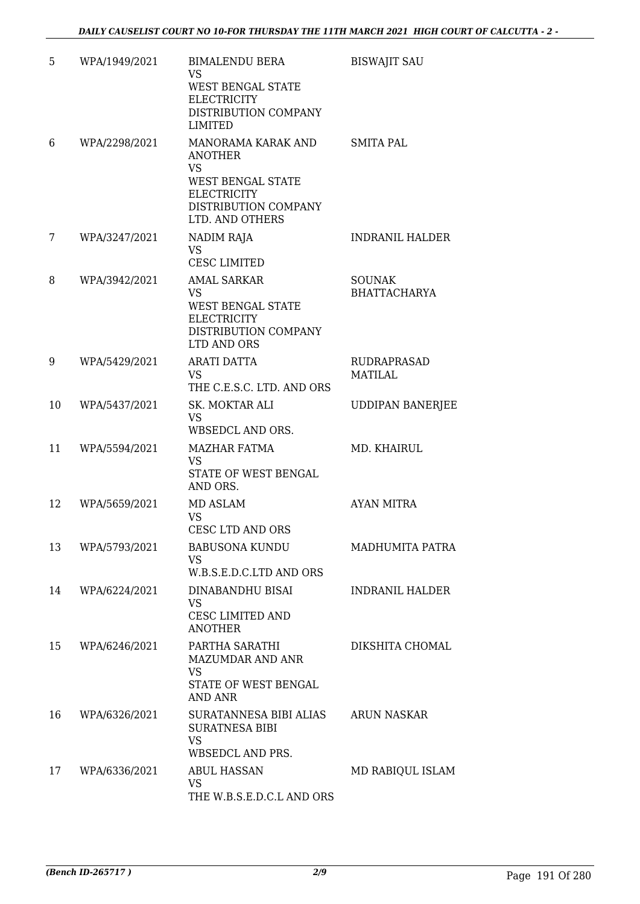| 5  | WPA/1949/2021 | <b>BIMALENDU BERA</b><br><b>VS</b><br>WEST BENGAL STATE<br><b>ELECTRICITY</b><br>DISTRIBUTION COMPANY<br><b>LIMITED</b>                        | <b>BISWAJIT SAU</b>                  |
|----|---------------|------------------------------------------------------------------------------------------------------------------------------------------------|--------------------------------------|
| 6  | WPA/2298/2021 | MANORAMA KARAK AND<br><b>ANOTHER</b><br><b>VS</b><br><b>WEST BENGAL STATE</b><br><b>ELECTRICITY</b><br>DISTRIBUTION COMPANY<br>LTD. AND OTHERS | <b>SMITA PAL</b>                     |
| 7  | WPA/3247/2021 | NADIM RAJA<br><b>VS</b><br><b>CESC LIMITED</b>                                                                                                 | <b>INDRANIL HALDER</b>               |
| 8  | WPA/3942/2021 | <b>AMAL SARKAR</b><br><b>VS</b><br>WEST BENGAL STATE<br><b>ELECTRICITY</b><br>DISTRIBUTION COMPANY<br>LTD AND ORS                              | <b>SOUNAK</b><br><b>BHATTACHARYA</b> |
| 9  | WPA/5429/2021 | <b>ARATI DATTA</b><br><b>VS</b><br>THE C.E.S.C. LTD. AND ORS                                                                                   | <b>RUDRAPRASAD</b><br><b>MATILAL</b> |
| 10 | WPA/5437/2021 | SK. MOKTAR ALI<br><b>VS</b><br>WBSEDCL AND ORS.                                                                                                | <b>UDDIPAN BANERJEE</b>              |
| 11 | WPA/5594/2021 | <b>MAZHAR FATMA</b><br><b>VS</b><br>STATE OF WEST BENGAL<br>AND ORS.                                                                           | MD. KHAIRUL                          |
| 12 | WPA/5659/2021 | MD ASLAM<br><b>VS</b><br>CESC LTD AND ORS                                                                                                      | <b>AYAN MITRA</b>                    |
| 13 | WPA/5793/2021 | <b>BABUSONA KUNDU</b><br>VS.<br>W.B.S.E.D.C.LTD AND ORS                                                                                        | MADHUMITA PATRA                      |
| 14 | WPA/6224/2021 | DINABANDHU BISAI<br><b>VS</b><br>CESC LIMITED AND<br><b>ANOTHER</b>                                                                            | <b>INDRANIL HALDER</b>               |
| 15 | WPA/6246/2021 | PARTHA SARATHI<br><b>MAZUMDAR AND ANR</b><br><b>VS</b><br>STATE OF WEST BENGAL<br><b>AND ANR</b>                                               | DIKSHITA CHOMAL                      |
| 16 | WPA/6326/2021 | SURATANNESA BIBI ALIAS<br><b>SURATNESA BIBI</b><br><b>VS</b><br>WBSEDCL AND PRS.                                                               | ARUN NASKAR                          |
| 17 | WPA/6336/2021 | <b>ABUL HASSAN</b><br><b>VS</b><br>THE W.B.S.E.D.C.L AND ORS                                                                                   | MD RABIQUL ISLAM                     |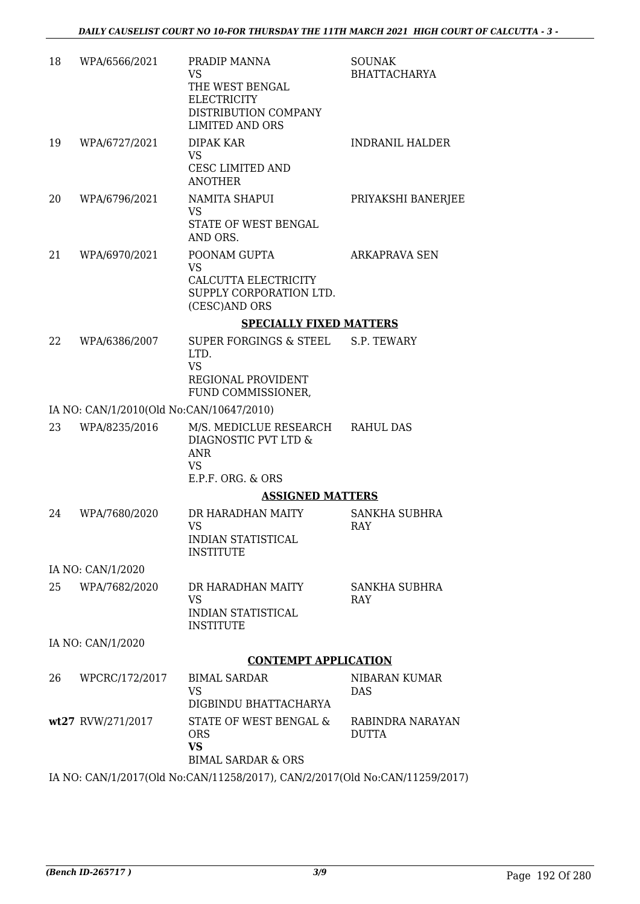| 18 | WPA/6566/2021                            | PRADIP MANNA<br>VS.<br>THE WEST BENGAL<br><b>ELECTRICITY</b><br>DISTRIBUTION COMPANY<br><b>LIMITED AND ORS</b> | <b>SOUNAK</b><br><b>BHATTACHARYA</b> |
|----|------------------------------------------|----------------------------------------------------------------------------------------------------------------|--------------------------------------|
| 19 | WPA/6727/2021                            | <b>DIPAK KAR</b><br><b>VS</b><br>CESC LIMITED AND<br><b>ANOTHER</b>                                            | <b>INDRANIL HALDER</b>               |
| 20 | WPA/6796/2021                            | NAMITA SHAPUI<br><b>VS</b><br>STATE OF WEST BENGAL<br>AND ORS.                                                 | PRIYAKSHI BANERJEE                   |
| 21 | WPA/6970/2021                            | POONAM GUPTA<br><b>VS</b><br>CALCUTTA ELECTRICITY<br>SUPPLY CORPORATION LTD.<br>(CESC)AND ORS                  | ARKAPRAVA SEN                        |
|    |                                          | <b>SPECIALLY FIXED MATTERS</b>                                                                                 |                                      |
| 22 | WPA/6386/2007                            | SUPER FORGINGS & STEEL<br>LTD.<br><b>VS</b><br>REGIONAL PROVIDENT<br>FUND COMMISSIONER,                        | S.P. TEWARY                          |
|    | IA NO: CAN/1/2010(Old No:CAN/10647/2010) |                                                                                                                |                                      |
| 23 | WPA/8235/2016                            | M/S. MEDICLUE RESEARCH RAHUL DAS<br>DIAGNOSTIC PVT LTD &<br><b>ANR</b><br><b>VS</b><br>E.P.F. ORG. & ORS       |                                      |
|    |                                          | <b>ASSIGNED MATTERS</b>                                                                                        |                                      |
| 24 | WPA/7680/2020                            | DR HARADHAN MAITY<br><b>VS</b><br><b>INDIAN STATISTICAL</b><br><b>INSTITUTE</b>                                | SANKHA SUBHRA<br><b>RAY</b>          |
|    | IA NO: CAN/1/2020                        |                                                                                                                |                                      |
| 25 | WPA/7682/2020                            | DR HARADHAN MAITY<br><b>VS</b><br><b>INDIAN STATISTICAL</b><br><b>INSTITUTE</b>                                | <b>SANKHA SUBHRA</b><br><b>RAY</b>   |
|    | IA NO: CAN/1/2020                        |                                                                                                                |                                      |
|    |                                          | <b>CONTEMPT APPLICATION</b>                                                                                    |                                      |
| 26 | WPCRC/172/2017                           | <b>BIMAL SARDAR</b><br><b>VS</b><br>DIGBINDU BHATTACHARYA                                                      | NIBARAN KUMAR<br><b>DAS</b>          |
|    | wt27 RVW/271/2017                        | STATE OF WEST BENGAL &<br><b>ORS</b><br><b>VS</b><br><b>BIMAL SARDAR &amp; ORS</b>                             | RABINDRA NARAYAN<br><b>DUTTA</b>     |
|    |                                          | IA NO: CAN/1/2017(Old No:CAN/11258/2017), CAN/2/2017(Old No:CAN/11259/2017)                                    |                                      |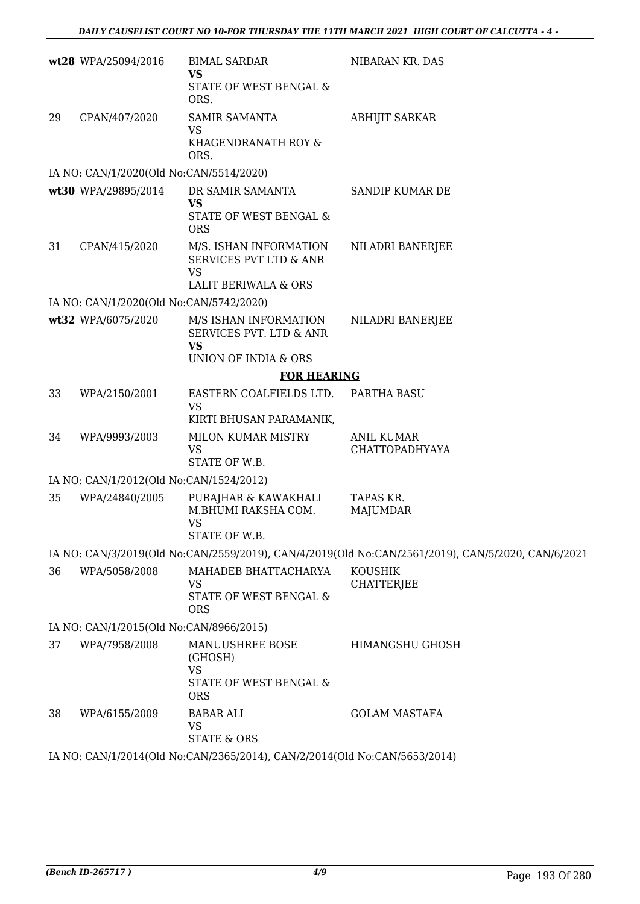|    | wt28 WPA/25094/2016                                                       | <b>BIMAL SARDAR</b><br><b>VS</b><br>STATE OF WEST BENGAL &<br>ORS.              | NIBARAN KR. DAS                                                                                   |  |  |
|----|---------------------------------------------------------------------------|---------------------------------------------------------------------------------|---------------------------------------------------------------------------------------------------|--|--|
| 29 | CPAN/407/2020                                                             | <b>SAMIR SAMANTA</b><br><b>VS</b><br>KHAGENDRANATH ROY &<br>ORS.                | <b>ABHIJIT SARKAR</b>                                                                             |  |  |
|    | IA NO: CAN/1/2020(Old No:CAN/5514/2020)                                   |                                                                                 |                                                                                                   |  |  |
|    | wt30 WPA/29895/2014                                                       | DR SAMIR SAMANTA<br><b>VS</b><br>STATE OF WEST BENGAL &<br><b>ORS</b>           | SANDIP KUMAR DE                                                                                   |  |  |
| 31 | CPAN/415/2020                                                             | M/S. ISHAN INFORMATION<br>SERVICES PVT LTD & ANR<br><b>VS</b>                   | NILADRI BANERJEE                                                                                  |  |  |
|    |                                                                           | <b>LALIT BERIWALA &amp; ORS</b>                                                 |                                                                                                   |  |  |
|    | IA NO: CAN/1/2020(Old No:CAN/5742/2020)                                   |                                                                                 |                                                                                                   |  |  |
|    | wt32 WPA/6075/2020                                                        | M/S ISHAN INFORMATION<br>SERVICES PVT. LTD & ANR<br><b>VS</b>                   | NILADRI BANERJEE                                                                                  |  |  |
|    |                                                                           | UNION OF INDIA & ORS                                                            |                                                                                                   |  |  |
|    |                                                                           | <b>FOR HEARING</b>                                                              |                                                                                                   |  |  |
| 33 | WPA/2150/2001                                                             | EASTERN COALFIELDS LTD.<br><b>VS</b><br>KIRTI BHUSAN PARAMANIK,                 | PARTHA BASU                                                                                       |  |  |
| 34 | WPA/9993/2003                                                             | MILON KUMAR MISTRY<br>VS<br>STATE OF W.B.                                       | <b>ANIL KUMAR</b><br><b>CHATTOPADHYAYA</b>                                                        |  |  |
|    | IA NO: CAN/1/2012(Old No:CAN/1524/2012)                                   |                                                                                 |                                                                                                   |  |  |
| 35 | WPA/24840/2005                                                            | PURAJHAR & KAWAKHALI<br>M.BHUMI RAKSHA COM.<br><b>VS</b><br>STATE OF W.B.       | TAPAS KR.<br><b>MAJUMDAR</b>                                                                      |  |  |
|    |                                                                           |                                                                                 | IA NO: CAN/3/2019(Old No:CAN/2559/2019), CAN/4/2019(Old No:CAN/2561/2019), CAN/5/2020, CAN/6/2021 |  |  |
| 36 | WPA/5058/2008                                                             | MAHADEB BHATTACHARYA<br>VS<br>STATE OF WEST BENGAL &<br><b>ORS</b>              | <b>KOUSHIK</b><br><b>CHATTERJEE</b>                                                               |  |  |
|    | IA NO: CAN/1/2015(Old No:CAN/8966/2015)                                   |                                                                                 |                                                                                                   |  |  |
| 37 | WPA/7958/2008                                                             | MANUUSHREE BOSE<br>(GHOSH)<br><b>VS</b><br>STATE OF WEST BENGAL &<br><b>ORS</b> | <b>HIMANGSHU GHOSH</b>                                                                            |  |  |
| 38 | WPA/6155/2009                                                             | <b>BABAR ALI</b><br>VS<br><b>STATE &amp; ORS</b>                                | <b>GOLAM MASTAFA</b>                                                                              |  |  |
|    | IA NO: CAN/1/2014(Old No:CAN/2365/2014), CAN/2/2014(Old No:CAN/5653/2014) |                                                                                 |                                                                                                   |  |  |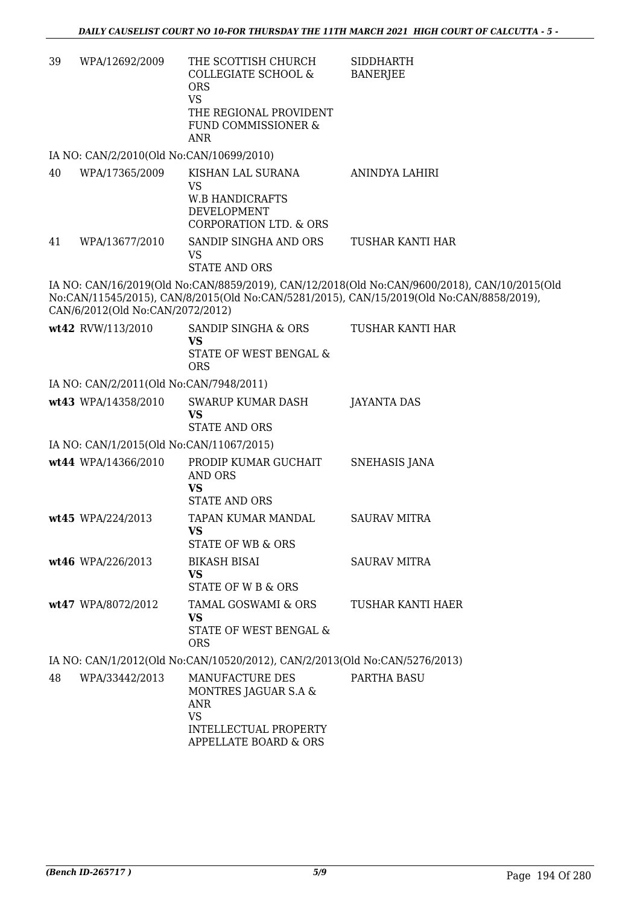| 39 | WPA/12692/2009                           | THE SCOTTISH CHURCH<br><b>COLLEGIATE SCHOOL &amp;</b><br><b>ORS</b><br><b>VS</b><br>THE REGIONAL PROVIDENT<br>FUND COMMISSIONER &<br><b>ANR</b> | <b>SIDDHARTH</b><br><b>BANERJEE</b>                                                                                                                                                      |
|----|------------------------------------------|-------------------------------------------------------------------------------------------------------------------------------------------------|------------------------------------------------------------------------------------------------------------------------------------------------------------------------------------------|
|    | IA NO: CAN/2/2010(Old No:CAN/10699/2010) |                                                                                                                                                 |                                                                                                                                                                                          |
| 40 | WPA/17365/2009                           | KISHAN LAL SURANA<br><b>VS</b><br><b>W.B HANDICRAFTS</b><br><b>DEVELOPMENT</b><br><b>CORPORATION LTD. &amp; ORS</b>                             | ANINDYA LAHIRI                                                                                                                                                                           |
| 41 | WPA/13677/2010                           | SANDIP SINGHA AND ORS<br><b>VS</b><br><b>STATE AND ORS</b>                                                                                      | TUSHAR KANTI HAR                                                                                                                                                                         |
|    | CAN/6/2012(Old No:CAN/2072/2012)         |                                                                                                                                                 | IA NO: CAN/16/2019(Old No:CAN/8859/2019), CAN/12/2018(Old No:CAN/9600/2018), CAN/10/2015(Old<br>No:CAN/11545/2015), CAN/8/2015(Old No:CAN/5281/2015), CAN/15/2019(Old No:CAN/8858/2019), |
|    | wt42 RVW/113/2010                        | SANDIP SINGHA & ORS<br><b>VS</b><br>STATE OF WEST BENGAL &<br><b>ORS</b>                                                                        | TUSHAR KANTI HAR                                                                                                                                                                         |
|    | IA NO: CAN/2/2011(Old No:CAN/7948/2011)  |                                                                                                                                                 |                                                                                                                                                                                          |
|    | wt43 WPA/14358/2010                      | <b>SWARUP KUMAR DASH</b><br><b>VS</b><br><b>STATE AND ORS</b>                                                                                   | <b>JAYANTA DAS</b>                                                                                                                                                                       |
|    | IA NO: CAN/1/2015(Old No:CAN/11067/2015) |                                                                                                                                                 |                                                                                                                                                                                          |
|    | wt44 WPA/14366/2010                      | PRODIP KUMAR GUCHAIT<br><b>AND ORS</b><br><b>VS</b><br><b>STATE AND ORS</b>                                                                     | <b>SNEHASIS JANA</b>                                                                                                                                                                     |
|    | wt45 WPA/224/2013                        | TAPAN KUMAR MANDAL<br><b>VS</b><br><b>STATE OF WB &amp; ORS</b>                                                                                 | <b>SAURAV MITRA</b>                                                                                                                                                                      |
|    | wt46 WPA/226/2013                        | <b>BIKASH BISAI</b><br>VS<br>STATE OF W B & ORS                                                                                                 | <b>SAURAV MITRA</b>                                                                                                                                                                      |
|    | wt47 WPA/8072/2012                       | TAMAL GOSWAMI & ORS<br><b>VS</b><br>STATE OF WEST BENGAL &<br><b>ORS</b>                                                                        | TUSHAR KANTI HAER                                                                                                                                                                        |
|    |                                          | IA NO: CAN/1/2012(Old No:CAN/10520/2012), CAN/2/2013(Old No:CAN/5276/2013)                                                                      |                                                                                                                                                                                          |
| 48 | WPA/33442/2013                           | MANUFACTURE DES<br>MONTRES JAGUAR S.A &<br>ANR<br><b>VS</b><br>INTELLECTUAL PROPERTY<br>APPELLATE BOARD & ORS                                   | PARTHA BASU                                                                                                                                                                              |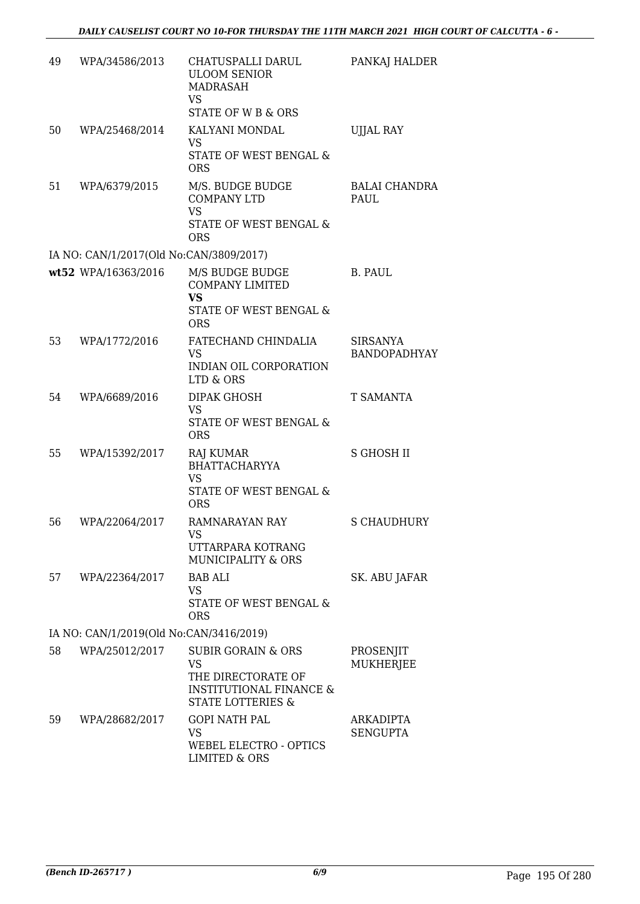| 49 | WPA/34586/2013                                                 | CHATUSPALLI DARUL<br><b>ULOOM SENIOR</b><br>MADRASAH<br>VS<br><b>STATE OF W B &amp; ORS</b>                                            | PANKAJ HALDER                          |
|----|----------------------------------------------------------------|----------------------------------------------------------------------------------------------------------------------------------------|----------------------------------------|
| 50 | WPA/25468/2014                                                 | KALYANI MONDAL<br>VS.<br>STATE OF WEST BENGAL &<br><b>ORS</b>                                                                          | <b>UJJAL RAY</b>                       |
| 51 | WPA/6379/2015                                                  | M/S. BUDGE BUDGE<br><b>COMPANY LTD</b><br><b>VS</b><br>STATE OF WEST BENGAL &                                                          | BALAI CHANDRA<br><b>PAUL</b>           |
|    |                                                                | <b>ORS</b>                                                                                                                             |                                        |
|    | IA NO: CAN/1/2017(Old No:CAN/3809/2017)<br>wt52 WPA/16363/2016 | M/S BUDGE BUDGE<br><b>COMPANY LIMITED</b><br><b>VS</b><br><b>STATE OF WEST BENGAL &amp;</b><br><b>ORS</b>                              | <b>B. PAUL</b>                         |
| 53 | WPA/1772/2016                                                  | FATECHAND CHINDALIA<br>VS<br>INDIAN OIL CORPORATION<br>LTD & ORS                                                                       | <b>SIRSANYA</b><br><b>BANDOPADHYAY</b> |
| 54 | WPA/6689/2016                                                  | DIPAK GHOSH<br>VS<br>STATE OF WEST BENGAL &<br><b>ORS</b>                                                                              | T SAMANTA                              |
| 55 | WPA/15392/2017                                                 | <b>RAJ KUMAR</b><br><b>BHATTACHARYYA</b><br><b>VS</b><br>STATE OF WEST BENGAL &<br><b>ORS</b>                                          | <b>S GHOSH II</b>                      |
| 56 | WPA/22064/2017                                                 | <b>RAMNARAYAN RAY</b><br>VS<br>UTTARPARA KOTRANG<br><b>MUNICIPALITY &amp; ORS</b>                                                      | <b>S CHAUDHURY</b>                     |
| 57 | WPA/22364/2017                                                 | <b>BAB ALI</b><br>VS.<br>STATE OF WEST BENGAL &<br><b>ORS</b>                                                                          | SK. ABU JAFAR                          |
|    | IA NO: CAN/1/2019(Old No:CAN/3416/2019)                        |                                                                                                                                        |                                        |
| 58 | WPA/25012/2017                                                 | <b>SUBIR GORAIN &amp; ORS</b><br><b>VS</b><br>THE DIRECTORATE OF<br><b>INSTITUTIONAL FINANCE &amp;</b><br><b>STATE LOTTERIES &amp;</b> | PROSENJIT<br><b>MUKHERJEE</b>          |
| 59 | WPA/28682/2017                                                 | <b>GOPI NATH PAL</b><br><b>VS</b><br>WEBEL ELECTRO - OPTICS<br><b>LIMITED &amp; ORS</b>                                                | ARKADIPTA<br><b>SENGUPTA</b>           |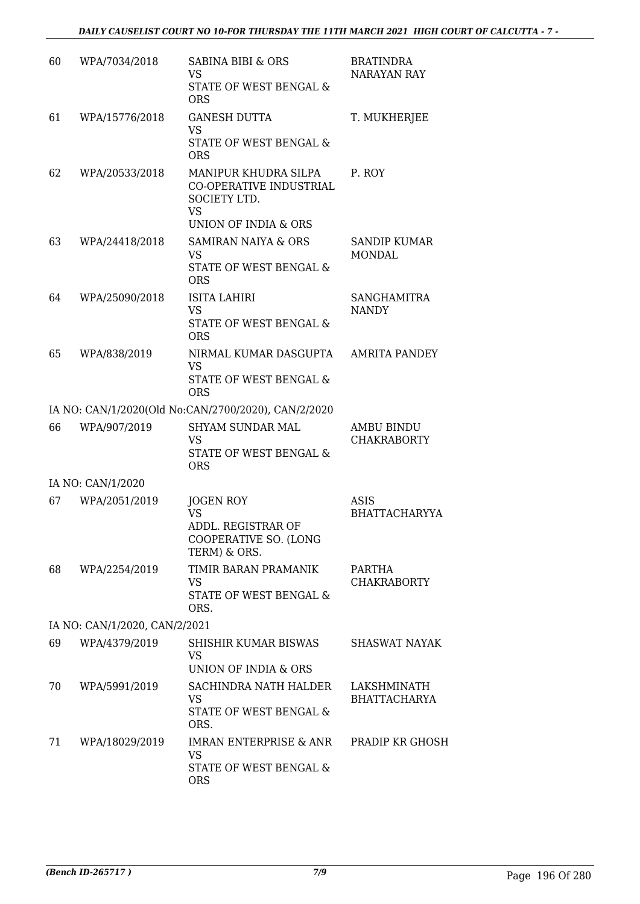| 60 | WPA/7034/2018                 | <b>SABINA BIBI &amp; ORS</b><br><b>VS</b><br>STATE OF WEST BENGAL &<br><b>ORS</b>                                      | <b>BRATINDRA</b><br><b>NARAYAN RAY</b> |
|----|-------------------------------|------------------------------------------------------------------------------------------------------------------------|----------------------------------------|
| 61 | WPA/15776/2018                | <b>GANESH DUTTA</b><br><b>VS</b><br>STATE OF WEST BENGAL &<br><b>ORS</b>                                               | T. MUKHERJEE                           |
| 62 | WPA/20533/2018                | MANIPUR KHUDRA SILPA<br><b>CO-OPERATIVE INDUSTRIAL</b><br>SOCIETY LTD.<br><b>VS</b><br><b>UNION OF INDIA &amp; ORS</b> | P. ROY                                 |
| 63 | WPA/24418/2018                | <b>SAMIRAN NAIYA &amp; ORS</b><br>VS<br>STATE OF WEST BENGAL &<br><b>ORS</b>                                           | SANDIP KUMAR<br><b>MONDAL</b>          |
| 64 | WPA/25090/2018                | <b>ISITA LAHIRI</b><br><b>VS</b><br>STATE OF WEST BENGAL &<br><b>ORS</b>                                               | SANGHAMITRA<br><b>NANDY</b>            |
| 65 | WPA/838/2019                  | NIRMAL KUMAR DASGUPTA<br><b>VS</b><br>STATE OF WEST BENGAL &<br><b>ORS</b>                                             | <b>AMRITA PANDEY</b>                   |
|    |                               | IA NO: CAN/1/2020(Old No:CAN/2700/2020), CAN/2/2020                                                                    |                                        |
| 66 | WPA/907/2019                  | <b>SHYAM SUNDAR MAL</b><br><b>VS</b><br>STATE OF WEST BENGAL &<br><b>ORS</b>                                           | AMBU BINDU<br><b>CHAKRABORTY</b>       |
|    | IA NO: CAN/1/2020             |                                                                                                                        |                                        |
| 67 | WPA/2051/2019                 | JOGEN ROY<br><b>VS</b><br>ADDL. REGISTRAR OF<br>COOPERATIVE SO. (LONG<br>TERM) & ORS.                                  | ASIS<br><b>BHATTACHARYYA</b>           |
| 68 | WPA/2254/2019                 | TIMIR BARAN PRAMANIK<br>VS<br>STATE OF WEST BENGAL &<br>ORS.                                                           | PARTHA<br><b>CHAKRABORTY</b>           |
|    | IA NO: CAN/1/2020, CAN/2/2021 |                                                                                                                        |                                        |
| 69 | WPA/4379/2019                 | SHISHIR KUMAR BISWAS<br>VS<br><b>UNION OF INDIA &amp; ORS</b>                                                          | SHASWAT NAYAK                          |
| 70 | WPA/5991/2019                 | SACHINDRA NATH HALDER<br><b>VS</b><br>STATE OF WEST BENGAL &<br>ORS.                                                   | LAKSHMINATH<br><b>BHATTACHARYA</b>     |
| 71 | WPA/18029/2019                | IMRAN ENTERPRISE & ANR<br><b>VS</b><br>STATE OF WEST BENGAL &<br><b>ORS</b>                                            | PRADIP KR GHOSH                        |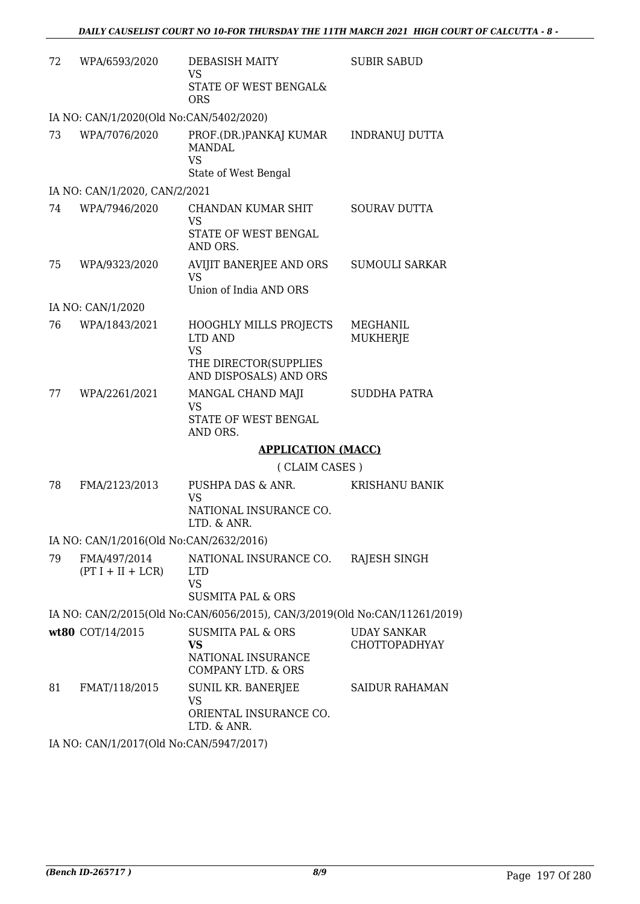| 72 | WPA/6593/2020                           | <b>DEBASISH MAITY</b><br>VS                                                               | <b>SUBIR SABUD</b>                  |
|----|-----------------------------------------|-------------------------------------------------------------------------------------------|-------------------------------------|
|    |                                         | STATE OF WEST BENGAL&<br><b>ORS</b>                                                       |                                     |
|    | IA NO: CAN/1/2020(Old No:CAN/5402/2020) |                                                                                           |                                     |
| 73 | WPA/7076/2020                           | PROF.(DR.)PANKAJ KUMAR<br><b>MANDAL</b><br><b>VS</b>                                      | <b>INDRANUJ DUTTA</b>               |
|    |                                         | State of West Bengal                                                                      |                                     |
|    | IA NO: CAN/1/2020, CAN/2/2021           |                                                                                           |                                     |
| 74 | WPA/7946/2020                           | <b>CHANDAN KUMAR SHIT</b><br><b>VS</b><br>STATE OF WEST BENGAL<br>AND ORS.                | <b>SOURAV DUTTA</b>                 |
| 75 | WPA/9323/2020                           | AVIJIT BANERJEE AND ORS<br><b>VS</b>                                                      | <b>SUMOULI SARKAR</b>               |
|    |                                         | Union of India AND ORS                                                                    |                                     |
|    | IA NO: CAN/1/2020                       |                                                                                           |                                     |
| 76 | WPA/1843/2021                           | HOOGHLY MILLS PROJECTS<br>LTD AND<br><b>VS</b>                                            | <b>MEGHANIL</b><br>MUKHERJE         |
|    |                                         | THE DIRECTOR(SUPPLIES<br>AND DISPOSALS) AND ORS                                           |                                     |
| 77 | WPA/2261/2021                           | MANGAL CHAND MAJI<br>VS                                                                   | SUDDHA PATRA                        |
|    |                                         | STATE OF WEST BENGAL<br>AND ORS.                                                          |                                     |
|    |                                         | <b>APPLICATION (MACC)</b>                                                                 |                                     |
|    |                                         | (CLAIM CASES)                                                                             |                                     |
| 78 | FMA/2123/2013                           | PUSHPA DAS & ANR.<br>VS                                                                   | <b>KRISHANU BANIK</b>               |
|    |                                         | NATIONAL INSURANCE CO.<br>LTD. & ANR.                                                     |                                     |
|    | IA NO: CAN/1/2016(Old No:CAN/2632/2016) |                                                                                           |                                     |
| 79 | FMA/497/2014<br>$(PT I + II + LCR)$     | NATIONAL INSURANCE CO.<br><b>LTD</b><br><b>VS</b>                                         | RAJESH SINGH                        |
|    |                                         | <b>SUSMITA PAL &amp; ORS</b>                                                              |                                     |
|    |                                         | IA NO: CAN/2/2015(Old No:CAN/6056/2015), CAN/3/2019(Old No:CAN/11261/2019)                |                                     |
|    | wt80 COT/14/2015                        | <b>SUSMITA PAL &amp; ORS</b><br>VS<br>NATIONAL INSURANCE<br><b>COMPANY LTD. &amp; ORS</b> | <b>UDAY SANKAR</b><br>CHOTTOPADHYAY |
| 81 | FMAT/118/2015                           | SUNIL KR. BANERJEE                                                                        | <b>SAIDUR RAHAMAN</b>               |
|    |                                         | VS<br>ORIENTAL INSURANCE CO.<br>LTD. & ANR.                                               |                                     |
|    |                                         |                                                                                           |                                     |

IA NO: CAN/1/2017(Old No:CAN/5947/2017)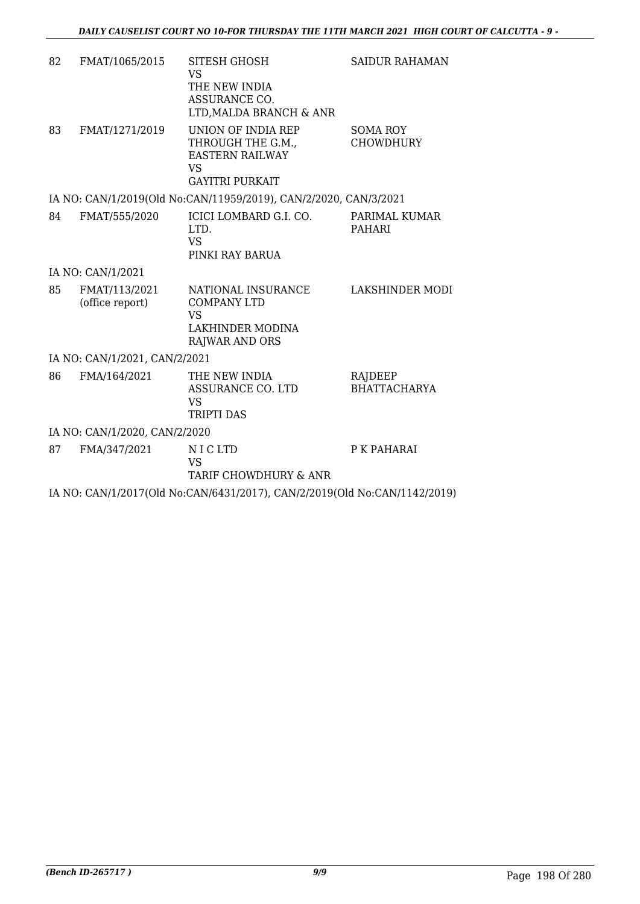| 82 | FMAT/1065/2015                   | <b>SITESH GHOSH</b><br><b>VS</b><br>THE NEW INDIA<br>ASSURANCE CO.<br>LTD, MALDA BRANCH & ANR            | <b>SAIDUR RAHAMAN</b>               |
|----|----------------------------------|----------------------------------------------------------------------------------------------------------|-------------------------------------|
| 83 | FMAT/1271/2019                   | UNION OF INDIA REP<br>THROUGH THE G.M.,<br><b>EASTERN RAILWAY</b><br><b>VS</b><br><b>GAYITRI PURKAIT</b> | <b>SOMA ROY</b><br><b>CHOWDHURY</b> |
|    |                                  | IA NO: CAN/1/2019(Old No:CAN/11959/2019), CAN/2/2020, CAN/3/2021                                         |                                     |
| 84 | FMAT/555/2020                    | ICICI LOMBARD G.I. CO.<br>LTD.<br><b>VS</b><br>PINKI RAY BARUA                                           | PARIMAL KUMAR<br><b>PAHARI</b>      |
|    | IA NO: CAN/1/2021                |                                                                                                          |                                     |
| 85 | FMAT/113/2021<br>(office report) | NATIONAL INSURANCE<br><b>COMPANY LTD</b><br><b>VS</b><br>LAKHINDER MODINA<br><b>RAJWAR AND ORS</b>       | LAKSHINDER MODI                     |
|    | IA NO: CAN/1/2021, CAN/2/2021    |                                                                                                          |                                     |
| 86 | FMA/164/2021                     | THE NEW INDIA<br><b>ASSURANCE CO. LTD</b><br><b>VS</b><br><b>TRIPTI DAS</b>                              | RAJDEEP<br><b>BHATTACHARYA</b>      |
|    | IA NO: CAN/1/2020, CAN/2/2020    |                                                                                                          |                                     |
| 87 | FMA/347/2021                     | N I C LTD<br><b>VS</b><br>TARIF CHOWDHURY & ANR                                                          | P K PAHARAI                         |
|    |                                  | IA NO: CAN/1/2017(Old No:CAN/6431/2017), CAN/2/2019(Old No:CAN/1142/2019)                                |                                     |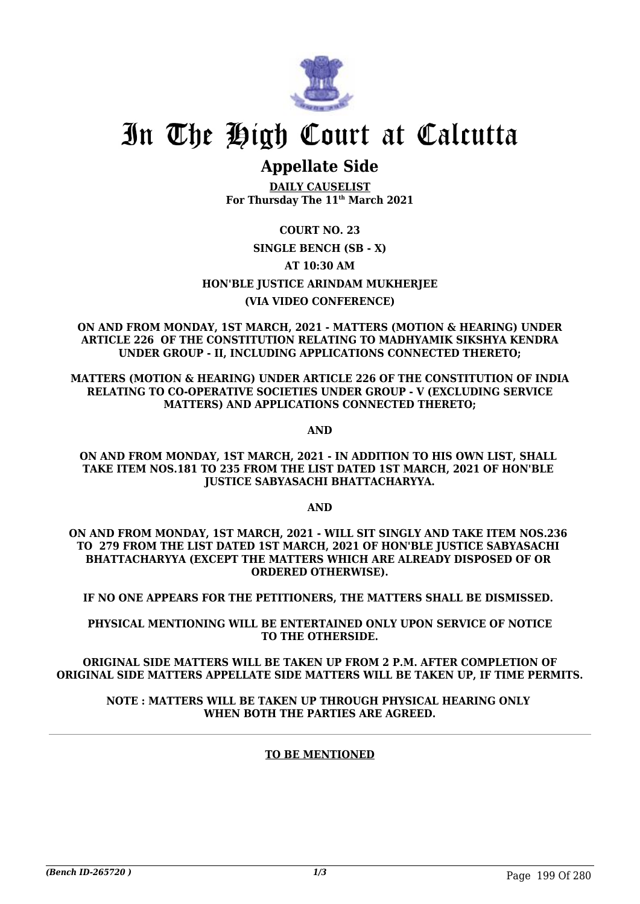

## **Appellate Side**

**DAILY CAUSELIST For Thursday The 11th March 2021**

### **COURT NO. 23 SINGLE BENCH (SB - X) AT 10:30 AM HON'BLE JUSTICE ARINDAM MUKHERJEE (VIA VIDEO CONFERENCE)**

**ON AND FROM MONDAY, 1ST MARCH, 2021 - MATTERS (MOTION & HEARING) UNDER ARTICLE 226 OF THE CONSTITUTION RELATING TO MADHYAMIK SIKSHYA KENDRA UNDER GROUP - II, INCLUDING APPLICATIONS CONNECTED THERETO;**

**MATTERS (MOTION & HEARING) UNDER ARTICLE 226 OF THE CONSTITUTION OF INDIA RELATING TO CO-OPERATIVE SOCIETIES UNDER GROUP - V (EXCLUDING SERVICE MATTERS) AND APPLICATIONS CONNECTED THERETO;**

**AND**

**ON AND FROM MONDAY, 1ST MARCH, 2021 - IN ADDITION TO HIS OWN LIST, SHALL TAKE ITEM NOS.181 TO 235 FROM THE LIST DATED 1ST MARCH, 2021 OF HON'BLE JUSTICE SABYASACHI BHATTACHARYYA.**

**AND**

**ON AND FROM MONDAY, 1ST MARCH, 2021 - WILL SIT SINGLY AND TAKE ITEM NOS.236 TO 279 FROM THE LIST DATED 1ST MARCH, 2021 OF HON'BLE JUSTICE SABYASACHI BHATTACHARYYA (EXCEPT THE MATTERS WHICH ARE ALREADY DISPOSED OF OR ORDERED OTHERWISE).**

**IF NO ONE APPEARS FOR THE PETITIONERS, THE MATTERS SHALL BE DISMISSED.** 

**PHYSICAL MENTIONING WILL BE ENTERTAINED ONLY UPON SERVICE OF NOTICE TO THE OTHERSIDE.**

**ORIGINAL SIDE MATTERS WILL BE TAKEN UP FROM 2 P.M. AFTER COMPLETION OF ORIGINAL SIDE MATTERS APPELLATE SIDE MATTERS WILL BE TAKEN UP, IF TIME PERMITS.**

#### **NOTE : MATTERS WILL BE TAKEN UP THROUGH PHYSICAL HEARING ONLY WHEN BOTH THE PARTIES ARE AGREED.**

#### **TO BE MENTIONED**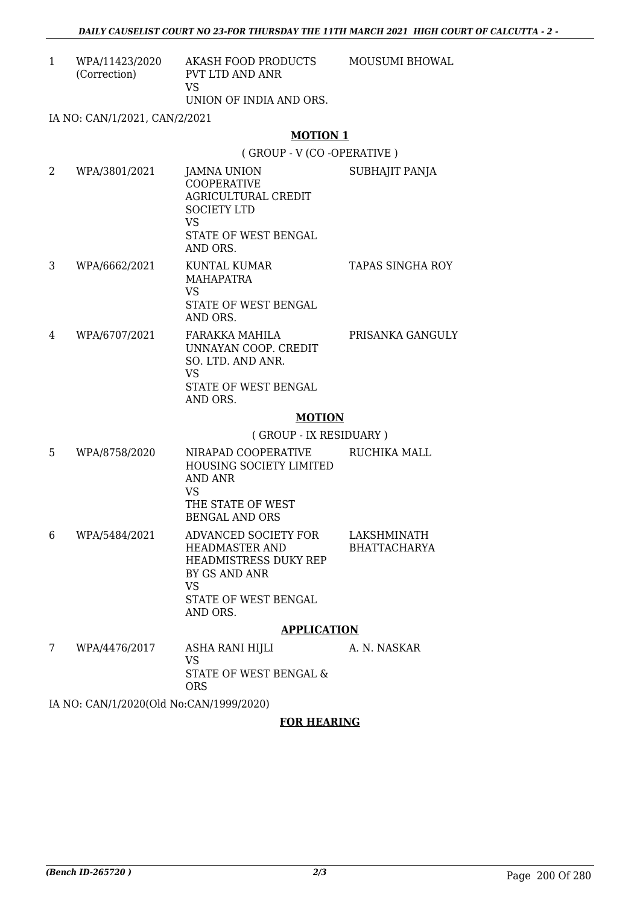1 WPA/11423/2020 (Correction) AKASH FOOD PRODUCTS PVT LTD AND ANR VS UNION OF INDIA AND ORS. MOUSUMI BHOWAL

IA NO: CAN/1/2021, CAN/2/2021

#### **MOTION 1**

( GROUP - V (CO -OPERATIVE )

| 2 | WPA/3801/2021 | JAMNA UNION<br><b>COOPERATIVE</b><br>AGRICULTURAL CREDIT<br><b>SOCIETY LTD</b><br>VS<br>STATE OF WEST BENGAL<br>AND ORS. | SUBHAJIT PANJA   |
|---|---------------|--------------------------------------------------------------------------------------------------------------------------|------------------|
| 3 | WPA/6662/2021 | KUNTAL KUMAR<br><b>MAHAPATRA</b><br>VS<br>STATE OF WEST BENGAL<br>AND ORS.                                               | TAPAS SINGHA ROY |
| 4 | WPA/6707/2021 | FARAKKA MAHILA                                                                                                           | PRISANKA GANGULY |

UNNAYAN COOP. CREDIT SO. LTD. AND ANR. VS STATE OF WEST BENGAL AND ORS.

#### **MOTION**

( GROUP - IX RESIDUARY )

- 5 WPA/8758/2020 NIRAPAD COOPERATIVE HOUSING SOCIETY LIMITED AND ANR VS THE STATE OF WEST BENGAL AND ORS RUCHIKA MALL 6 WPA/5484/2021 ADVANCED SOCIETY FOR LAKSHMINATH
- HEADMASTER AND HEADMISTRESS DUKY REP BY GS AND ANR VS STATE OF WEST BENGAL AND ORS. BHATTACHARYA

#### **APPLICATION**

7 WPA/4476/2017 ASHA RANI HIJLI VS STATE OF WEST BENGAL & ORS A. N. NASKAR

IA NO: CAN/1/2020(Old No:CAN/1999/2020)

#### **FOR HEARING**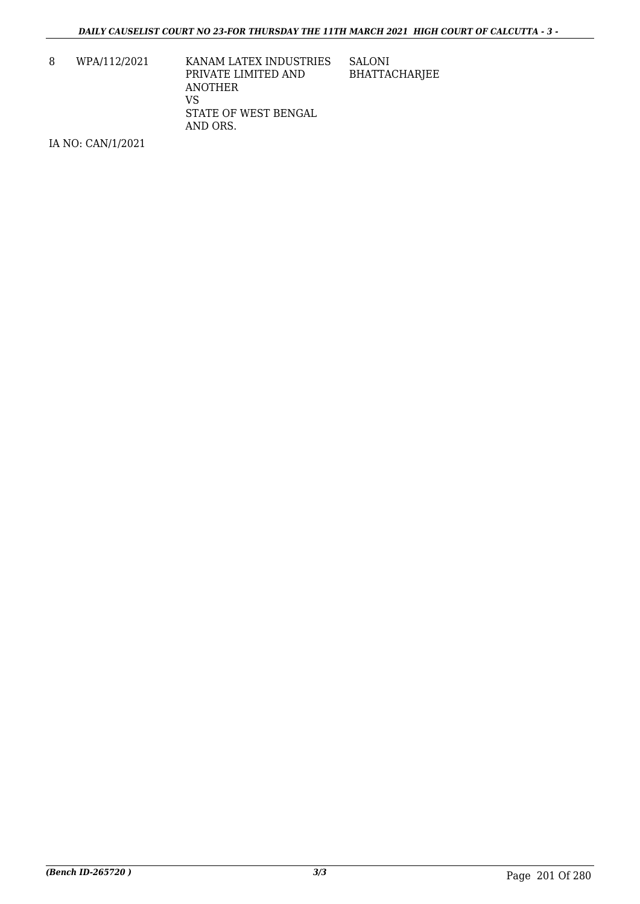8 WPA/112/2021 KANAM LATEX INDUSTRIES PRIVATE LIMITED AND ANOTHER VS STATE OF WEST BENGAL AND ORS.

SALONI BHATTACHARJEE

IA NO: CAN/1/2021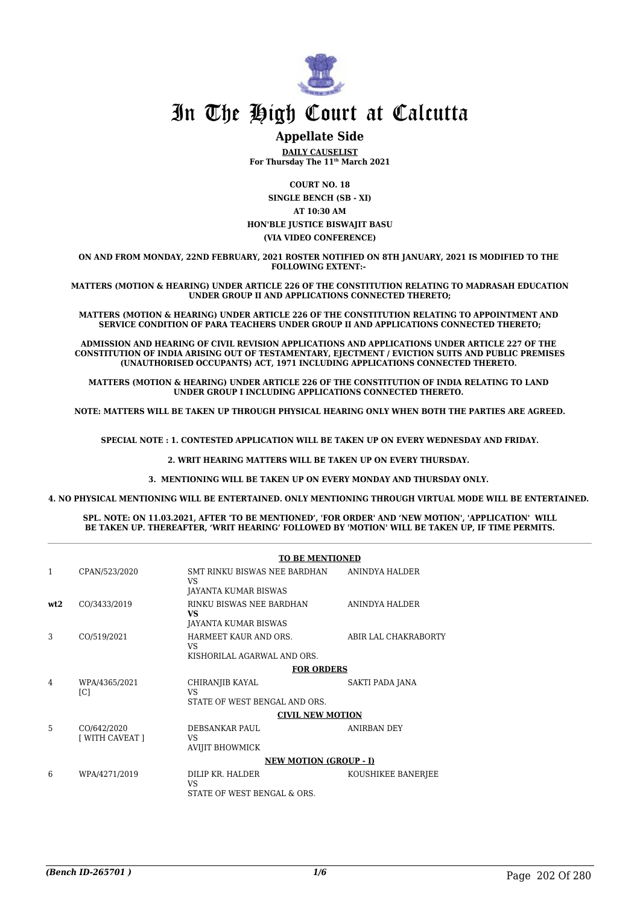

#### **Appellate Side**

**DAILY CAUSELIST For Thursday The 11th March 2021**

**COURT NO. 18 SINGLE BENCH (SB - XI) AT 10:30 AM HON'BLE JUSTICE BISWAJIT BASU**

**(VIA VIDEO CONFERENCE)**

**ON AND FROM MONDAY, 22ND FEBRUARY, 2021 ROSTER NOTIFIED ON 8TH JANUARY, 2021 IS MODIFIED TO THE FOLLOWING EXTENT:-** 

**MATTERS (MOTION & HEARING) UNDER ARTICLE 226 OF THE CONSTITUTION RELATING TO MADRASAH EDUCATION UNDER GROUP II AND APPLICATIONS CONNECTED THERETO;**

**MATTERS (MOTION & HEARING) UNDER ARTICLE 226 OF THE CONSTITUTION RELATING TO APPOINTMENT AND SERVICE CONDITION OF PARA TEACHERS UNDER GROUP II AND APPLICATIONS CONNECTED THERETO;**

**ADMISSION AND HEARING OF CIVIL REVISION APPLICATIONS AND APPLICATIONS UNDER ARTICLE 227 OF THE CONSTITUTION OF INDIA ARISING OUT OF TESTAMENTARY, EJECTMENT / EVICTION SUITS AND PUBLIC PREMISES (UNAUTHORISED OCCUPANTS) ACT, 1971 INCLUDING APPLICATIONS CONNECTED THERETO.** 

**MATTERS (MOTION & HEARING) UNDER ARTICLE 226 OF THE CONSTITUTION OF INDIA RELATING TO LAND UNDER GROUP I INCLUDING APPLICATIONS CONNECTED THERETO.** 

**NOTE: MATTERS WILL BE TAKEN UP THROUGH PHYSICAL HEARING ONLY WHEN BOTH THE PARTIES ARE AGREED.**

**SPECIAL NOTE : 1. CONTESTED APPLICATION WILL BE TAKEN UP ON EVERY WEDNESDAY AND FRIDAY.**

**2. WRIT HEARING MATTERS WILL BE TAKEN UP ON EVERY THURSDAY.** 

**3. MENTIONING WILL BE TAKEN UP ON EVERY MONDAY AND THURSDAY ONLY.** 

**4. NO PHYSICAL MENTIONING WILL BE ENTERTAINED. ONLY MENTIONING THROUGH VIRTUAL MODE WILL BE ENTERTAINED.** 

**SPL. NOTE: ON 11.03.2021, AFTER 'TO BE MENTIONED', 'FOR ORDER' AND 'NEW MOTION', 'APPLICATION' WILL BE TAKEN UP. THEREAFTER, 'WRIT HEARING' FOLLOWED BY 'MOTION' WILL BE TAKEN UP, IF TIME PERMITS.**

|     |                                    | <b>TO BE MENTIONED</b>                                              |                      |  |
|-----|------------------------------------|---------------------------------------------------------------------|----------------------|--|
| 1   | CPAN/523/2020                      | SMT RINKU BISWAS NEE BARDHAN<br>VS<br>JAYANTA KUMAR BISWAS          | ANINDYA HALDER       |  |
| wt2 | CO/3433/2019                       | RINKU BISWAS NEE BARDHAN<br><b>VS</b><br>JAYANTA KUMAR BISWAS       | ANINDYA HALDER       |  |
| 3   | CO/519/2021                        | HARMEET KAUR AND ORS.<br>VS.<br>KISHORILAL AGARWAL AND ORS.         | ABIR LAL CHAKRABORTY |  |
|     |                                    | <b>FOR ORDERS</b>                                                   |                      |  |
| 4   | WPA/4365/2021<br>$\lceil C \rceil$ | CHIRANJIB KAYAL<br>VS <sub>1</sub><br>STATE OF WEST BENGAL AND ORS. | SAKTI PADA JANA      |  |
|     |                                    | <b>CIVIL NEW MOTION</b>                                             |                      |  |
| 5   | CO/642/2020<br>[ WITH CAVEAT ]     | DEBSANKAR PAUL<br>VS<br><b>AVIJIT BHOWMICK</b>                      | ANIRBAN DEY          |  |
|     |                                    | <b>NEW MOTION (GROUP - I)</b>                                       |                      |  |
| 6   | WPA/4271/2019                      | DILIP KR. HALDER<br><b>VS</b><br>STATE OF WEST BENGAL & ORS.        | KOUSHIKEE BANERJEE   |  |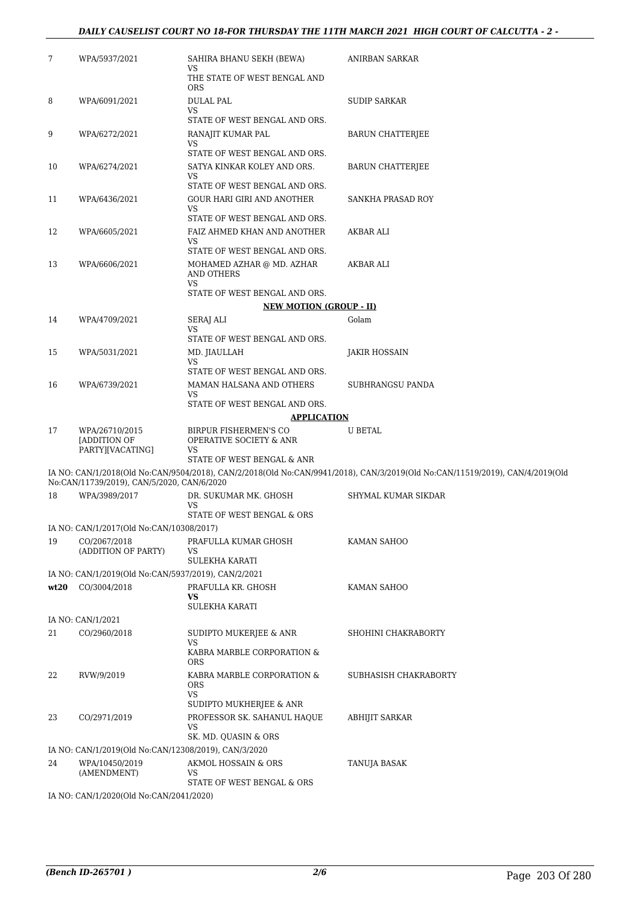#### *DAILY CAUSELIST COURT NO 18-FOR THURSDAY THE 11TH MARCH 2021 HIGH COURT OF CALCUTTA - 2 -*

| 7    | WPA/5937/2021                                        | SAHIRA BHANU SEKH (BEWA)<br>VS                                           | ANIRBAN SARKAR                                                                                                               |
|------|------------------------------------------------------|--------------------------------------------------------------------------|------------------------------------------------------------------------------------------------------------------------------|
|      |                                                      | THE STATE OF WEST BENGAL AND<br><b>ORS</b>                               |                                                                                                                              |
| 8    | WPA/6091/2021                                        | <b>DULAL PAL</b><br><b>VS</b>                                            | SUDIP SARKAR                                                                                                                 |
|      |                                                      | STATE OF WEST BENGAL AND ORS.                                            |                                                                                                                              |
| 9    | WPA/6272/2021                                        | RANAJIT KUMAR PAL<br>VS                                                  | BARUN CHATTERJEE                                                                                                             |
|      |                                                      | STATE OF WEST BENGAL AND ORS.                                            |                                                                                                                              |
| 10   | WPA/6274/2021                                        | SATYA KINKAR KOLEY AND ORS.<br>VS<br>STATE OF WEST BENGAL AND ORS.       | <b>BARUN CHATTERJEE</b>                                                                                                      |
|      |                                                      |                                                                          |                                                                                                                              |
| 11   | WPA/6436/2021                                        | GOUR HARI GIRI AND ANOTHER<br><b>VS</b><br>STATE OF WEST BENGAL AND ORS. | SANKHA PRASAD ROY                                                                                                            |
| 12   | WPA/6605/2021                                        | FAIZ AHMED KHAN AND ANOTHER                                              | AKBAR ALI                                                                                                                    |
|      |                                                      | VS                                                                       |                                                                                                                              |
|      |                                                      | STATE OF WEST BENGAL AND ORS.                                            |                                                                                                                              |
| 13   | WPA/6606/2021                                        | MOHAMED AZHAR @ MD. AZHAR<br>AND OTHERS<br><b>VS</b>                     | AKBAR ALI                                                                                                                    |
|      |                                                      | STATE OF WEST BENGAL AND ORS.                                            |                                                                                                                              |
|      |                                                      | <b>NEW MOTION (GROUP - II)</b>                                           |                                                                                                                              |
| 14   | WPA/4709/2021                                        | SERAJ ALI                                                                | Golam                                                                                                                        |
|      |                                                      | VS                                                                       |                                                                                                                              |
|      |                                                      | STATE OF WEST BENGAL AND ORS.                                            |                                                                                                                              |
| 15   | WPA/5031/2021                                        | MD. JIAULLAH<br><b>VS</b>                                                | <b>JAKIR HOSSAIN</b>                                                                                                         |
|      |                                                      | STATE OF WEST BENGAL AND ORS.                                            |                                                                                                                              |
| 16   | WPA/6739/2021                                        | MAMAN HALSANA AND OTHERS                                                 | SUBHRANGSU PANDA                                                                                                             |
|      |                                                      | <b>VS</b><br>STATE OF WEST BENGAL AND ORS.                               |                                                                                                                              |
|      |                                                      | <b>APPLICATION</b>                                                       |                                                                                                                              |
| 17   | WPA/26710/2015<br>[ADDITION OF<br>PARTY][VACATING]   | BIRPUR FISHERMEN'S CO<br>OPERATIVE SOCIETY & ANR<br>VS                   | <b>U BETAL</b>                                                                                                               |
|      |                                                      | STATE OF WEST BENGAL & ANR                                               |                                                                                                                              |
|      | No:CAN/11739/2019), CAN/5/2020, CAN/6/2020           |                                                                          | IA NO: CAN/1/2018(Old No:CAN/9504/2018), CAN/2/2018(Old No:CAN/9941/2018), CAN/3/2019(Old No:CAN/11519/2019), CAN/4/2019(Old |
| 18   | WPA/3989/2017                                        | DR. SUKUMAR MK. GHOSH                                                    | SHYMAL KUMAR SIKDAR                                                                                                          |
|      |                                                      | VS<br>STATE OF WEST BENGAL & ORS                                         |                                                                                                                              |
|      | IA NO: CAN/1/2017(Old No:CAN/10308/2017)             |                                                                          |                                                                                                                              |
| 19   | CO/2067/2018                                         | PRAFULLA KUMAR GHOSH                                                     | KAMAN SAHOO                                                                                                                  |
|      | (ADDITION OF PARTY)                                  | VS                                                                       |                                                                                                                              |
|      |                                                      | SULEKHA KARATI                                                           |                                                                                                                              |
|      | IA NO: CAN/1/2019(Old No:CAN/5937/2019), CAN/2/2021  |                                                                          |                                                                                                                              |
| wt20 | CO/3004/2018                                         | PRAFULLA KR. GHOSH<br>VS                                                 | KAMAN SAHOO                                                                                                                  |
|      |                                                      | <b>SULEKHA KARATI</b>                                                    |                                                                                                                              |
|      | IA NO: CAN/1/2021                                    |                                                                          |                                                                                                                              |
| 21   | CO/2960/2018                                         | SUDIPTO MUKERJEE & ANR                                                   | SHOHINI CHAKRABORTY                                                                                                          |
|      |                                                      | VS<br>KABRA MARBLE CORPORATION &<br><b>ORS</b>                           |                                                                                                                              |
| 22   | RVW/9/2019                                           | KABRA MARBLE CORPORATION &                                               | SUBHASISH CHAKRABORTY                                                                                                        |
|      |                                                      | <b>ORS</b><br>VS                                                         |                                                                                                                              |
|      |                                                      | SUDIPTO MUKHERJEE & ANR                                                  |                                                                                                                              |
| 23   | CO/2971/2019                                         | PROFESSOR SK. SAHANUL HAQUE<br>VS                                        | <b>ABHIJIT SARKAR</b>                                                                                                        |
|      |                                                      | SK. MD. QUASIN & ORS                                                     |                                                                                                                              |
|      | IA NO: CAN/1/2019(Old No:CAN/12308/2019), CAN/3/2020 |                                                                          |                                                                                                                              |
| 24   | WPA/10450/2019                                       | AKMOL HOSSAIN & ORS                                                      | TANUJA BASAK                                                                                                                 |
|      | (AMENDMENT)                                          | VS<br>STATE OF WEST BENGAL & ORS                                         |                                                                                                                              |
|      | IA NO: CAN/1/2020(Old No:CAN/2041/2020)              |                                                                          |                                                                                                                              |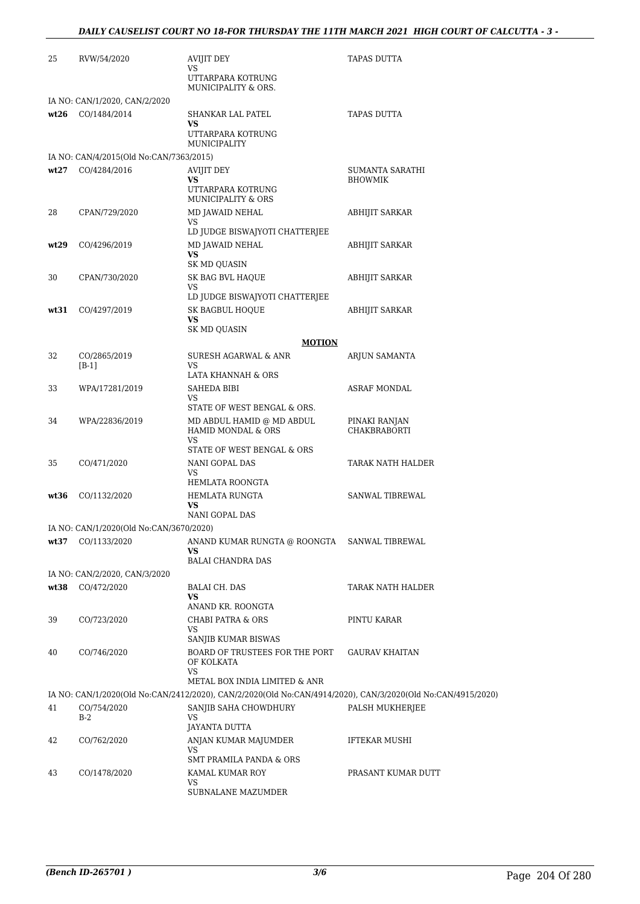| 25   | RVW/54/2020                                             | AVIJIT DEY<br>VS<br>UTTARPARA KOTRUNG<br>MUNICIPALITY & ORS.                                                | <b>TAPAS DUTTA</b>     |
|------|---------------------------------------------------------|-------------------------------------------------------------------------------------------------------------|------------------------|
|      | IA NO: CAN/1/2020, CAN/2/2020                           |                                                                                                             |                        |
|      | wt26 CO/1484/2014                                       | SHANKAR LAL PATEL                                                                                           | <b>TAPAS DUTTA</b>     |
|      |                                                         | VS<br>UTTARPARA KOTRUNG                                                                                     |                        |
|      |                                                         | MUNICIPALITY                                                                                                |                        |
| wt27 | IA NO: CAN/4/2015(Old No:CAN/7363/2015)<br>CO/4284/2016 | AVIJIT DEY                                                                                                  | SUMANTA SARATHI        |
|      |                                                         | <b>VS</b><br>UTTARPARA KOTRUNG<br>MUNICIPALITY & ORS                                                        | <b>BHOWMIK</b>         |
| 28   | CPAN/729/2020                                           | MD JAWAID NEHAL                                                                                             | ABHIJIT SARKAR         |
|      |                                                         | VS<br>LD JUDGE BISWAJYOTI CHATTERJEE                                                                        |                        |
| wt29 | CO/4296/2019                                            | MD JAWAID NEHAL                                                                                             | ABHIJIT SARKAR         |
|      |                                                         | <b>VS</b>                                                                                                   |                        |
| 30   | CPAN/730/2020                                           | SK MD QUASIN<br>SK BAG BVL HAQUE                                                                            | <b>ABHIJIT SARKAR</b>  |
|      |                                                         | <b>VS</b>                                                                                                   |                        |
|      |                                                         | LD JUDGE BISWAJYOTI CHATTERJEE                                                                              |                        |
| wt31 | CO/4297/2019                                            | SK BAGBUL HOQUE<br><b>VS</b>                                                                                | <b>ABHIJIT SARKAR</b>  |
|      |                                                         | SK MD QUASIN                                                                                                |                        |
|      |                                                         | <b>MOTION</b>                                                                                               |                        |
| 32   | CO/2865/2019<br>$[B-1]$                                 | SURESH AGARWAL & ANR<br><b>VS</b>                                                                           | ARJUN SAMANTA          |
|      |                                                         | LATA KHANNAH & ORS                                                                                          |                        |
| 33   | WPA/17281/2019                                          | SAHEDA BIBI                                                                                                 | <b>ASRAF MONDAL</b>    |
|      |                                                         | VS<br>STATE OF WEST BENGAL & ORS.                                                                           |                        |
| 34   | WPA/22836/2019                                          | MD ABDUL HAMID @ MD ABDUL                                                                                   | PINAKI RANJAN          |
|      |                                                         | HAMID MONDAL & ORS<br><b>VS</b>                                                                             | <b>CHAKBRABORTI</b>    |
|      |                                                         | STATE OF WEST BENGAL & ORS                                                                                  |                        |
| 35   | CO/471/2020                                             | NANI GOPAL DAS                                                                                              | TARAK NATH HALDER      |
|      |                                                         | VS<br>HEMLATA ROONGTA                                                                                       |                        |
| wt36 | CO/1132/2020                                            | HEMLATA RUNGTA                                                                                              | <b>SANWAL TIBREWAL</b> |
|      |                                                         | VS                                                                                                          |                        |
|      | IA NO: CAN/1/2020(Old No:CAN/3670/2020)                 | NANI GOPAL DAS                                                                                              |                        |
| wt37 | CO/1133/2020                                            | ANAND KUMAR RUNGTA @ ROONGTA                                                                                | SANWAL TIBREWAL        |
|      |                                                         | VS.                                                                                                         |                        |
|      |                                                         | <b>BALAI CHANDRA DAS</b>                                                                                    |                        |
| wt38 | IA NO: CAN/2/2020, CAN/3/2020<br>CO/472/2020            | BALAI CH. DAS                                                                                               | TARAK NATH HALDER      |
|      |                                                         | VS                                                                                                          |                        |
|      |                                                         | ANAND KR. ROONGTA                                                                                           |                        |
| 39   | CO/723/2020                                             | <b>CHABI PATRA &amp; ORS</b><br>VS                                                                          | PINTU KARAR            |
|      |                                                         | SANJIB KUMAR BISWAS                                                                                         |                        |
| 40   | CO/746/2020                                             | BOARD OF TRUSTEES FOR THE PORT<br>OF KOLKATA<br><b>VS</b>                                                   | <b>GAURAV KHAITAN</b>  |
|      |                                                         | METAL BOX INDIA LIMITED & ANR                                                                               |                        |
|      |                                                         | IA NO: CAN/1/2020(Old No:CAN/2412/2020), CAN/2/2020(Old No:CAN/4914/2020), CAN/3/2020(Old No:CAN/4915/2020) |                        |
| 41   | CO/754/2020<br>B-2                                      | SANJIB SAHA CHOWDHURY<br><b>VS</b>                                                                          | PALSH MUKHERJEE        |
|      |                                                         | JAYANTA DUTTA                                                                                               |                        |
| 42   | CO/762/2020                                             | ANJAN KUMAR MAJUMDER                                                                                        | <b>IFTEKAR MUSHI</b>   |
|      |                                                         | VS<br>SMT PRAMILA PANDA & ORS                                                                               |                        |
| 43   | CO/1478/2020                                            | KAMAL KUMAR ROY                                                                                             | PRASANT KUMAR DUTT     |
|      |                                                         | VS<br>SUBNALANE MAZUMDER                                                                                    |                        |
|      |                                                         |                                                                                                             |                        |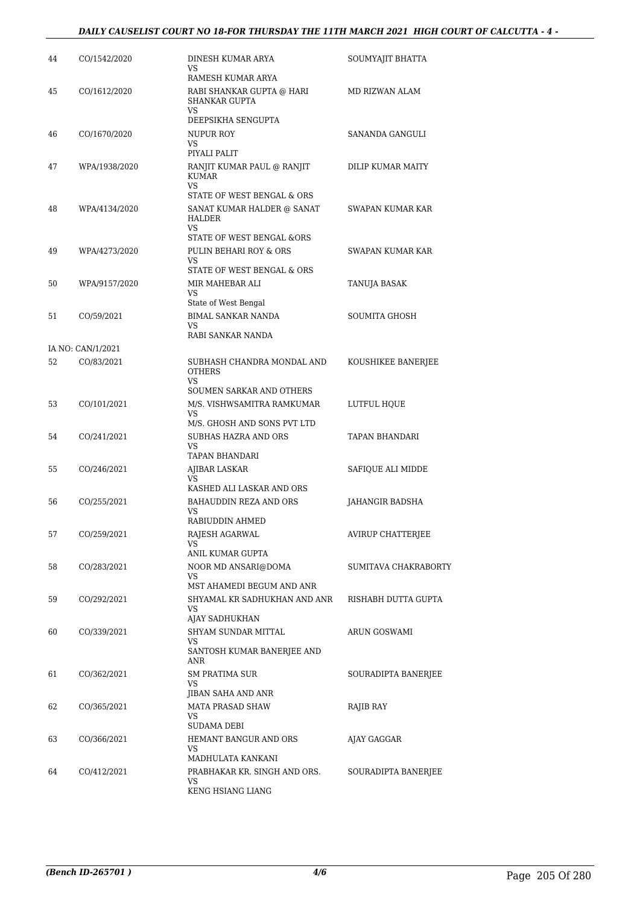#### *DAILY CAUSELIST COURT NO 18-FOR THURSDAY THE 11TH MARCH 2021 HIGH COURT OF CALCUTTA - 4 -*

| 44 | CO/1542/2020      | DINESH KUMAR ARYA<br>VS.                           | SOUMYAJIT BHATTA         |
|----|-------------------|----------------------------------------------------|--------------------------|
| 45 | CO/1612/2020      | RAMESH KUMAR ARYA<br>RABI SHANKAR GUPTA @ HARI     | MD RIZWAN ALAM           |
|    |                   | SHANKAR GUPTA<br><b>VS</b>                         |                          |
|    |                   | DEEPSIKHA SENGUPTA                                 |                          |
| 46 | CO/1670/2020      | NUPUR ROY<br>VS<br>PIYALI PALIT                    | SANANDA GANGULI          |
| 47 | WPA/1938/2020     | RANJIT KUMAR PAUL @ RANJIT                         | DILIP KUMAR MAITY        |
|    |                   | KUMAR<br>VS                                        |                          |
|    |                   | STATE OF WEST BENGAL & ORS                         |                          |
| 48 | WPA/4134/2020     | SANAT KUMAR HALDER @ SANAT<br>HALDER<br>VS         | SWAPAN KUMAR KAR         |
|    |                   | STATE OF WEST BENGAL &ORS                          |                          |
| 49 | WPA/4273/2020     | PULIN BEHARI ROY & ORS                             | SWAPAN KUMAR KAR         |
|    |                   | VS<br>STATE OF WEST BENGAL & ORS                   |                          |
| 50 | WPA/9157/2020     | MIR MAHEBAR ALI                                    | TANUJA BASAK             |
|    |                   | VS                                                 |                          |
|    |                   | State of West Bengal                               |                          |
| 51 | CO/59/2021        | <b>BIMAL SANKAR NANDA</b><br><b>VS</b>             | SOUMITA GHOSH            |
|    |                   | RABI SANKAR NANDA                                  |                          |
|    | IA NO: CAN/1/2021 |                                                    |                          |
| 52 | CO/83/2021        | SUBHASH CHANDRA MONDAL AND<br><b>OTHERS</b><br>VS. | KOUSHIKEE BANERJEE       |
|    |                   | SOUMEN SARKAR AND OTHERS                           |                          |
| 53 | CO/101/2021       | M/S. VISHWSAMITRA RAMKUMAR<br><b>VS</b>            | LUTFUL HQUE              |
|    |                   | M/S. GHOSH AND SONS PVT LTD                        |                          |
| 54 | CO/241/2021       | SUBHAS HAZRA AND ORS<br>VS<br>TAPAN BHANDARI       | TAPAN BHANDARI           |
| 55 | CO/246/2021       | AJIBAR LASKAR                                      | SAFIQUE ALI MIDDE        |
|    |                   | VS                                                 |                          |
|    |                   | KASHED ALI LASKAR AND ORS                          |                          |
| 56 | CO/255/2021       | BAHAUDDIN REZA AND ORS<br>VS                       | JAHANGIR BADSHA          |
|    |                   | RABIUDDIN AHMED                                    |                          |
| 57 | CO/259/2021       | RAJESH AGARWAL<br>VS                               | <b>AVIRUP CHATTERJEE</b> |
|    |                   | ANIL KUMAR GUPTA                                   |                          |
| 58 | CO/283/2021       | NOOR MD ANSARI@DOMA                                | SUMITAVA CHAKRABORTY     |
|    |                   | VS<br>MST AHAMEDI BEGUM AND ANR                    |                          |
| 59 | CO/292/2021       | SHYAMAL KR SADHUKHAN AND ANR                       | RISHABH DUTTA GUPTA      |
|    |                   | VS                                                 |                          |
|    |                   | AJAY SADHUKHAN                                     |                          |
| 60 | CO/339/2021       | SHYAM SUNDAR MITTAL<br>VS                          | ARUN GOSWAMI             |
|    |                   | SANTOSH KUMAR BANERJEE AND<br>ANR                  |                          |
| 61 | CO/362/2021       | <b>SM PRATIMA SUR</b><br>VS                        | SOURADIPTA BANERJEE      |
|    |                   | JIBAN SAHA AND ANR                                 |                          |
| 62 | CO/365/2021       | MATA PRASAD SHAW                                   | RAJIB RAY                |
|    |                   | VS<br>SUDAMA DEBI                                  |                          |
| 63 | CO/366/2021       | HEMANT BANGUR AND ORS                              | AJAY GAGGAR              |
|    |                   | VS                                                 |                          |
|    |                   | MADHULATA KANKANI                                  |                          |
| 64 | CO/412/2021       | PRABHAKAR KR. SINGH AND ORS.<br>VS                 | SOURADIPTA BANERJEE      |
|    |                   | KENG HSIANG LIANG                                  |                          |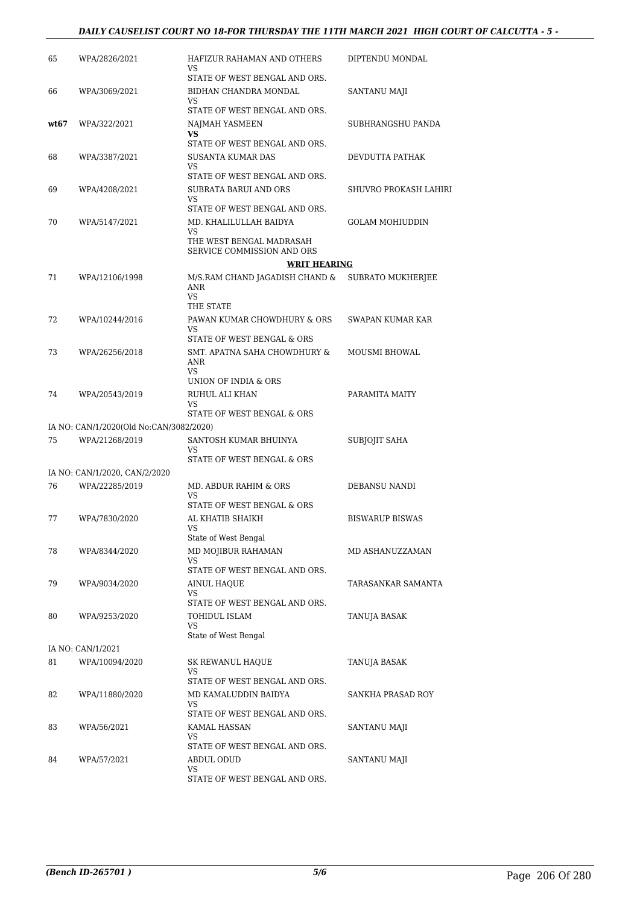#### *DAILY CAUSELIST COURT NO 18-FOR THURSDAY THE 11TH MARCH 2021 HIGH COURT OF CALCUTTA - 5 -*

| 65   | WPA/2826/2021                           | HAFIZUR RAHAMAN AND OTHERS<br>VS.                                                                                              | DIPTENDU MONDAL              |
|------|-----------------------------------------|--------------------------------------------------------------------------------------------------------------------------------|------------------------------|
| 66   | WPA/3069/2021                           | STATE OF WEST BENGAL AND ORS.<br>BIDHAN CHANDRA MONDAL<br>VS                                                                   | SANTANU MAJI                 |
| wt67 | WPA/322/2021                            | STATE OF WEST BENGAL AND ORS.<br>NAJMAH YASMEEN<br>VS                                                                          | SUBHRANGSHU PANDA            |
| 68   | WPA/3387/2021                           | STATE OF WEST BENGAL AND ORS.<br><b>SUSANTA KUMAR DAS</b><br>VS                                                                | DEVDUTTA PATHAK              |
| 69   | WPA/4208/2021                           | STATE OF WEST BENGAL AND ORS.<br>SUBRATA BARUI AND ORS<br><b>VS</b>                                                            | <b>SHUVRO PROKASH LAHIRI</b> |
| 70   | WPA/5147/2021                           | STATE OF WEST BENGAL AND ORS.<br>MD. KHALILULLAH BAIDYA<br><b>VS</b><br>THE WEST BENGAL MADRASAH<br>SERVICE COMMISSION AND ORS | <b>GOLAM MOHIUDDIN</b>       |
|      |                                         | <b>WRIT HEARING</b>                                                                                                            |                              |
| 71   | WPA/12106/1998                          | M/S.RAM CHAND JAGADISH CHAND &<br>ANR<br><b>VS</b><br>THE STATE                                                                | SUBRATO MUKHERJEE            |
| 72   | WPA/10244/2016                          | PAWAN KUMAR CHOWDHURY & ORS<br><b>VS</b>                                                                                       | SWAPAN KUMAR KAR             |
| 73   | WPA/26256/2018                          | STATE OF WEST BENGAL & ORS<br>SMT. APATNA SAHA CHOWDHURY &<br>ANR<br><b>VS</b>                                                 | MOUSMI BHOWAL                |
| 74   | WPA/20543/2019                          | UNION OF INDIA & ORS<br>RUHUL ALI KHAN<br>VS<br>STATE OF WEST BENGAL & ORS                                                     | PARAMITA MAITY               |
|      | IA NO: CAN/1/2020(Old No:CAN/3082/2020) |                                                                                                                                |                              |
| 75   | WPA/21268/2019                          | SANTOSH KUMAR BHUINYA<br>VS<br>STATE OF WEST BENGAL & ORS                                                                      | SUBJOJIT SAHA                |
|      | IA NO: CAN/1/2020, CAN/2/2020           |                                                                                                                                |                              |
| 76   | WPA/22285/2019                          | MD. ABDUR RAHIM & ORS                                                                                                          | DEBANSU NANDI                |
|      |                                         | <b>VS</b><br>STATE OF WEST BENGAL & ORS                                                                                        |                              |
| 77   | WPA/7830/2020                           | AL KHATIB SHAIKH<br>VS<br>State of West Bengal                                                                                 | <b>BISWARUP BISWAS</b>       |
| 78   | WPA/8344/2020                           | MD MOJIBUR RAHAMAN<br><b>VS</b><br>STATE OF WEST BENGAL AND ORS.                                                               | MD ASHANUZZAMAN              |
| 79   | WPA/9034/2020                           | AINUL HAQUE<br>VS.                                                                                                             | TARASANKAR SAMANTA           |
| 80   | WPA/9253/2020                           | STATE OF WEST BENGAL AND ORS.<br>TOHIDUL ISLAM<br>VS<br>State of West Bengal                                                   | TANUJA BASAK                 |
|      | IA NO: CAN/1/2021                       |                                                                                                                                |                              |
| 81   | WPA/10094/2020                          | <b>SK REWANUL HAQUE</b><br>VS                                                                                                  | TANUJA BASAK                 |
| 82   | WPA/11880/2020                          | STATE OF WEST BENGAL AND ORS.<br>MD KAMALUDDIN BAIDYA<br>VS.                                                                   | SANKHA PRASAD ROY            |
| 83   | WPA/56/2021                             | STATE OF WEST BENGAL AND ORS.<br>KAMAL HASSAN<br>VS                                                                            | SANTANU MAJI                 |
| 84   | WPA/57/2021                             | STATE OF WEST BENGAL AND ORS.<br>ABDUL ODUD<br>VS.<br>STATE OF WEST BENGAL AND ORS.                                            | SANTANU MAJI                 |
|      |                                         |                                                                                                                                |                              |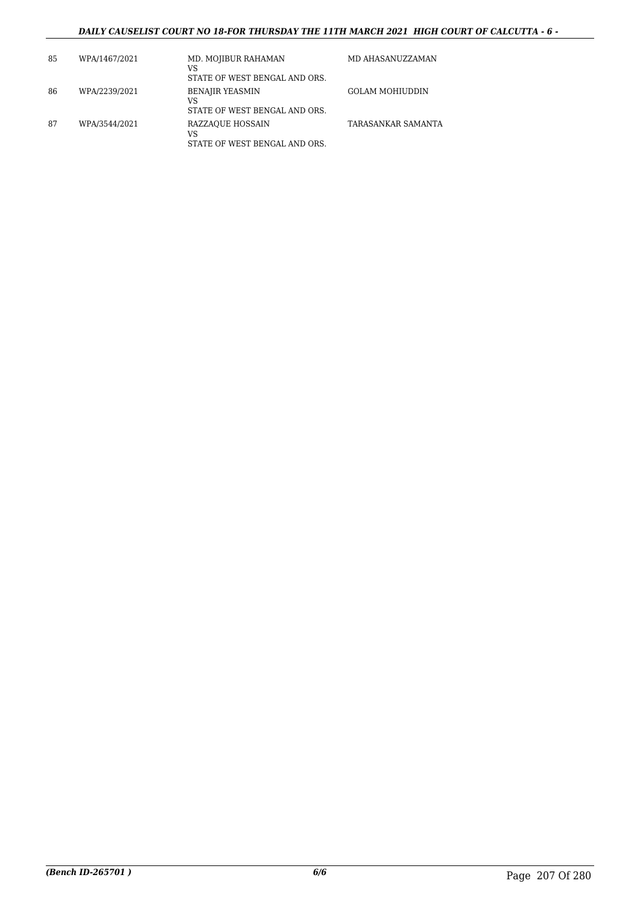#### *DAILY CAUSELIST COURT NO 18-FOR THURSDAY THE 11TH MARCH 2021 HIGH COURT OF CALCUTTA - 6 -*

| 85 | WPA/1467/2021 | MD. MOJIBUR RAHAMAN<br>VS<br>STATE OF WEST BENGAL AND ORS.    | MD AHASANUZZAMAN   |
|----|---------------|---------------------------------------------------------------|--------------------|
| 86 | WPA/2239/2021 | <b>BENAJIR YEASMIN</b><br>VS<br>STATE OF WEST BENGAL AND ORS. | GOLAM MOHIUDDIN    |
| 87 | WPA/3544/2021 | RAZZAQUE HOSSAIN<br>VS<br>STATE OF WEST BENGAL AND ORS.       | TARASANKAR SAMANTA |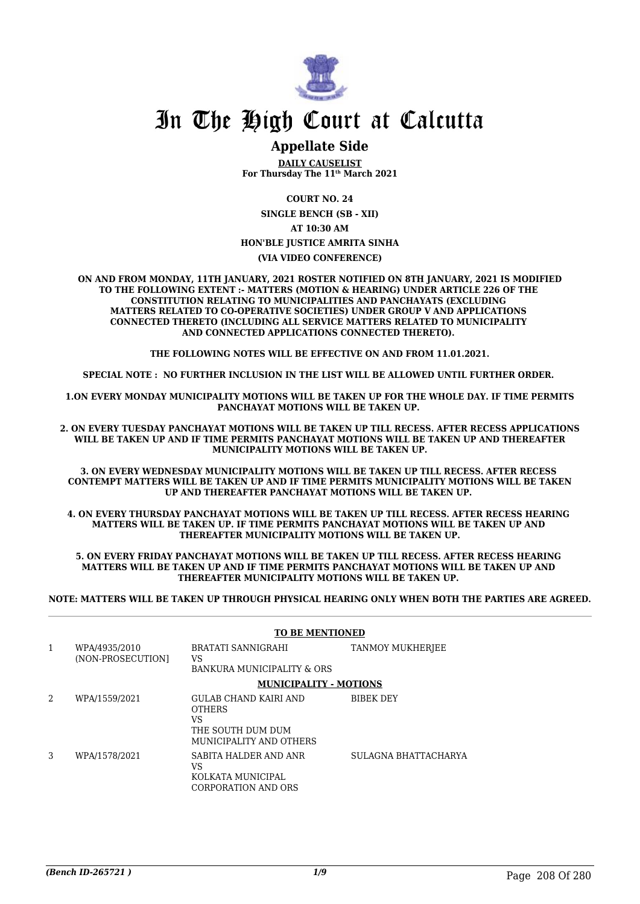

### **Appellate Side**

**DAILY CAUSELIST For Thursday The 11th March 2021**

**COURT NO. 24**

**SINGLE BENCH (SB - XII) AT 10:30 AM HON'BLE JUSTICE AMRITA SINHA (VIA VIDEO CONFERENCE)**

**ON AND FROM MONDAY, 11TH JANUARY, 2021 ROSTER NOTIFIED ON 8TH JANUARY, 2021 IS MODIFIED TO THE FOLLOWING EXTENT :- MATTERS (MOTION & HEARING) UNDER ARTICLE 226 OF THE CONSTITUTION RELATING TO MUNICIPALITIES AND PANCHAYATS (EXCLUDING MATTERS RELATED TO CO-OPERATIVE SOCIETIES) UNDER GROUP V AND APPLICATIONS CONNECTED THERETO (INCLUDING ALL SERVICE MATTERS RELATED TO MUNICIPALITY AND CONNECTED APPLICATIONS CONNECTED THERETO).** 

**THE FOLLOWING NOTES WILL BE EFFECTIVE ON AND FROM 11.01.2021.**

**SPECIAL NOTE : NO FURTHER INCLUSION IN THE LIST WILL BE ALLOWED UNTIL FURTHER ORDER.** 

**1.ON EVERY MONDAY MUNICIPALITY MOTIONS WILL BE TAKEN UP FOR THE WHOLE DAY. IF TIME PERMITS PANCHAYAT MOTIONS WILL BE TAKEN UP.** 

**2. ON EVERY TUESDAY PANCHAYAT MOTIONS WILL BE TAKEN UP TILL RECESS. AFTER RECESS APPLICATIONS WILL BE TAKEN UP AND IF TIME PERMITS PANCHAYAT MOTIONS WILL BE TAKEN UP AND THEREAFTER MUNICIPALITY MOTIONS WILL BE TAKEN UP.**

**3. ON EVERY WEDNESDAY MUNICIPALITY MOTIONS WILL BE TAKEN UP TILL RECESS. AFTER RECESS CONTEMPT MATTERS WILL BE TAKEN UP AND IF TIME PERMITS MUNICIPALITY MOTIONS WILL BE TAKEN UP AND THEREAFTER PANCHAYAT MOTIONS WILL BE TAKEN UP.** 

**4. ON EVERY THURSDAY PANCHAYAT MOTIONS WILL BE TAKEN UP TILL RECESS. AFTER RECESS HEARING MATTERS WILL BE TAKEN UP. IF TIME PERMITS PANCHAYAT MOTIONS WILL BE TAKEN UP AND THEREAFTER MUNICIPALITY MOTIONS WILL BE TAKEN UP.**

**5. ON EVERY FRIDAY PANCHAYAT MOTIONS WILL BE TAKEN UP TILL RECESS. AFTER RECESS HEARING MATTERS WILL BE TAKEN UP AND IF TIME PERMITS PANCHAYAT MOTIONS WILL BE TAKEN UP AND THEREAFTER MUNICIPALITY MOTIONS WILL BE TAKEN UP.** 

**NOTE: MATTERS WILL BE TAKEN UP THROUGH PHYSICAL HEARING ONLY WHEN BOTH THE PARTIES ARE AGREED.**

|   |                                    | <b>TO BE MENTIONED</b>                                                                       |                      |
|---|------------------------------------|----------------------------------------------------------------------------------------------|----------------------|
| 1 | WPA/4935/2010<br>(NON-PROSECUTION) | BRATATI SANNIGRAHI<br>VS                                                                     | TANMOY MUKHERJEE     |
|   |                                    | BANKURA MUNICIPALITY & ORS                                                                   |                      |
|   |                                    | <b>MUNICIPALITY - MOTIONS</b>                                                                |                      |
| 2 | WPA/1559/2021                      | GULAB CHAND KAIRI AND<br><b>OTHERS</b><br>VS<br>THE SOUTH DUM DUM<br>MUNICIPALITY AND OTHERS | <b>BIBEK DEY</b>     |
| 3 | WPA/1578/2021                      | SABITA HALDER AND ANR<br>VS<br>KOLKATA MUNICIPAL<br>CORPORATION AND ORS                      | SULAGNA BHATTACHARYA |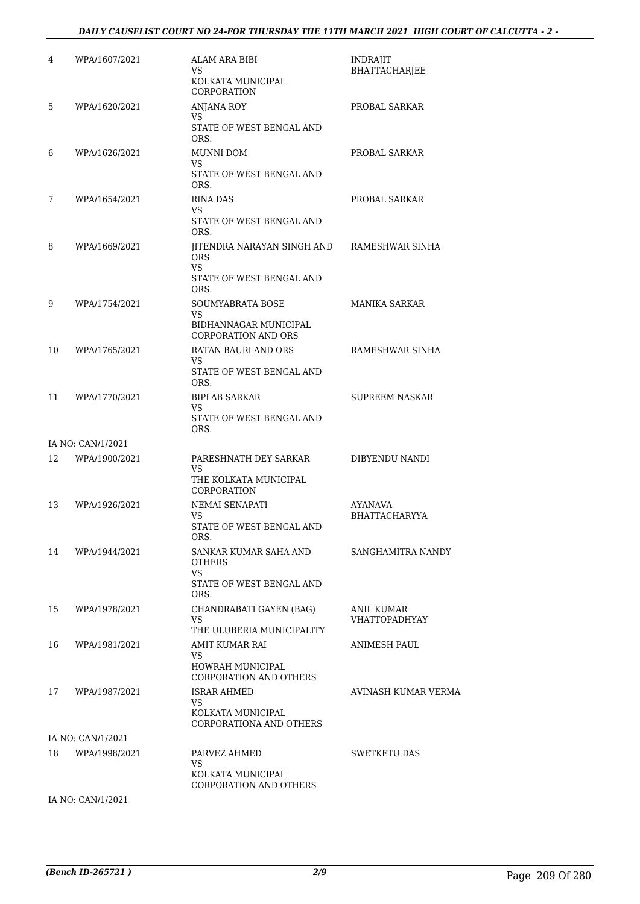#### *DAILY CAUSELIST COURT NO 24-FOR THURSDAY THE 11TH MARCH 2021 HIGH COURT OF CALCUTTA - 2 -*

| 4  | WPA/1607/2021     | ALAM ARA BIBI<br>VS<br>KOLKATA MUNICIPAL<br>CORPORATION                     | INDRAJIT<br><b>BHATTACHARJEE</b>   |
|----|-------------------|-----------------------------------------------------------------------------|------------------------------------|
| 5  | WPA/1620/2021     | ANJANA ROY<br><b>VS</b><br>STATE OF WEST BENGAL AND<br>ORS.                 | PROBAL SARKAR                      |
| 6  | WPA/1626/2021     | MUNNI DOM<br>VS<br>STATE OF WEST BENGAL AND<br>ORS.                         | PROBAL SARKAR                      |
| 7  | WPA/1654/2021     | <b>RINA DAS</b><br>VS.<br>STATE OF WEST BENGAL AND<br>ORS.                  | PROBAL SARKAR                      |
| 8  | WPA/1669/2021     | JITENDRA NARAYAN SINGH AND<br><b>ORS</b><br>VS.<br>STATE OF WEST BENGAL AND | RAMESHWAR SINHA                    |
| 9  | WPA/1754/2021     | ORS.<br>SOUMYABRATA BOSE<br>VS                                              | MANIKA SARKAR                      |
|    |                   | BIDHANNAGAR MUNICIPAL<br>CORPORATION AND ORS                                |                                    |
| 10 | WPA/1765/2021     | RATAN BAURI AND ORS<br>VS                                                   | RAMESHWAR SINHA                    |
|    |                   | STATE OF WEST BENGAL AND<br>ORS.                                            |                                    |
| 11 | WPA/1770/2021     | <b>BIPLAB SARKAR</b><br>VS                                                  | SUPREEM NASKAR                     |
|    |                   | STATE OF WEST BENGAL AND<br>ORS.                                            |                                    |
|    | IA NO: CAN/1/2021 |                                                                             |                                    |
| 12 | WPA/1900/2021     | PARESHNATH DEY SARKAR<br>VS                                                 | DIBYENDU NANDI                     |
|    |                   | THE KOLKATA MUNICIPAL<br>CORPORATION                                        |                                    |
| 13 | WPA/1926/2021     | NEMAI SENAPATI                                                              | <b>AYANAVA</b>                     |
|    |                   | VS<br>STATE OF WEST BENGAL AND<br>ORS.                                      | <b>BHATTACHARYYA</b>               |
| 14 | WPA/1944/2021     | SANKAR KUMAR SAHA AND<br><b>OTHERS</b><br>VS                                | SANGHAMITRA NANDY                  |
|    |                   | STATE OF WEST BENGAL AND<br>ORS.                                            |                                    |
| 15 | WPA/1978/2021     | CHANDRABATI GAYEN (BAG)<br>VS.<br>THE ULUBERIA MUNICIPALITY                 | ANIL KUMAR<br><b>VHATTOPADHYAY</b> |
| 16 | WPA/1981/2021     | AMIT KUMAR RAI                                                              | ANIMESH PAUL                       |
|    |                   | VS.<br>HOWRAH MUNICIPAL<br>CORPORATION AND OTHERS                           |                                    |
| 17 | WPA/1987/2021     | <b>ISRAR AHMED</b><br>VS.                                                   | AVINASH KUMAR VERMA                |
|    |                   | KOLKATA MUNICIPAL<br>CORPORATIONA AND OTHERS                                |                                    |
|    | IA NO: CAN/1/2021 |                                                                             |                                    |
| 18 | WPA/1998/2021     | PARVEZ AHMED<br>VS<br>KOLKATA MUNICIPAL                                     | SWETKETU DAS                       |
|    |                   | CORPORATION AND OTHERS                                                      |                                    |

IA NO: CAN/1/2021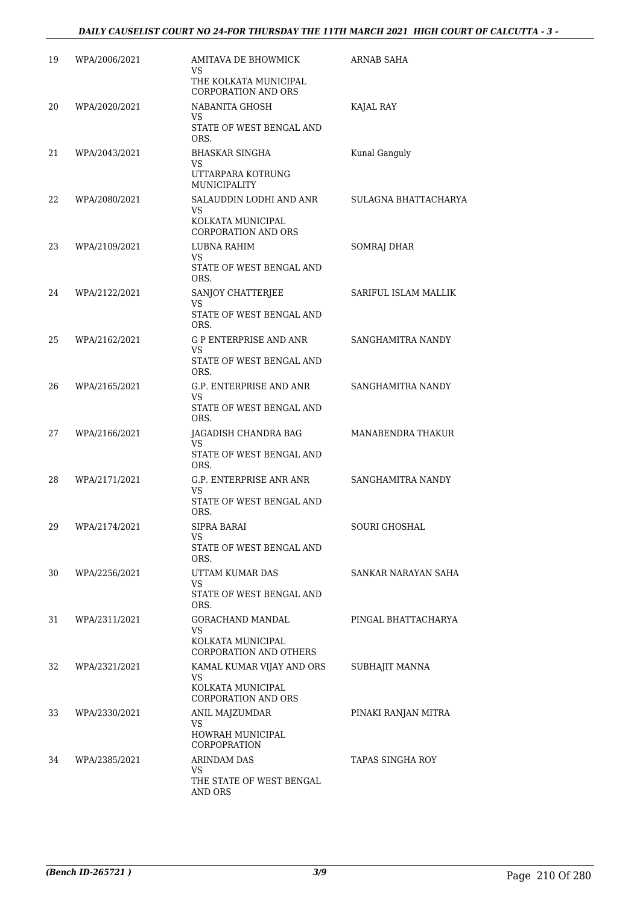| 19 | WPA/2006/2021 | AMITAVA DE BHOWMICK<br>VS<br>THE KOLKATA MUNICIPAL<br><b>CORPORATION AND ORS</b> | <b>ARNAB SAHA</b>    |
|----|---------------|----------------------------------------------------------------------------------|----------------------|
| 20 | WPA/2020/2021 | NABANITA GHOSH<br>VS<br>STATE OF WEST BENGAL AND<br>ORS.                         | KAJAL RAY            |
| 21 | WPA/2043/2021 | BHASKAR SINGHA<br>VS<br>UTTARPARA KOTRUNG<br>MUNICIPALITY                        | Kunal Ganguly        |
| 22 | WPA/2080/2021 | SALAUDDIN LODHI AND ANR<br>VS<br>KOLKATA MUNICIPAL<br><b>CORPORATION AND ORS</b> | SULAGNA BHATTACHARYA |
| 23 | WPA/2109/2021 | LUBNA RAHIM<br>VS<br>STATE OF WEST BENGAL AND<br>ORS.                            | SOMRAJ DHAR          |
| 24 | WPA/2122/2021 | SANJOY CHATTERJEE<br>VS.<br>STATE OF WEST BENGAL AND                             | SARIFUL ISLAM MALLIK |
| 25 | WPA/2162/2021 | ORS.<br>G P ENTERPRISE AND ANR<br><b>VS</b><br>STATE OF WEST BENGAL AND<br>ORS.  | SANGHAMITRA NANDY    |
| 26 | WPA/2165/2021 | G.P. ENTERPRISE AND ANR<br>VS<br>STATE OF WEST BENGAL AND<br>ORS.                | SANGHAMITRA NANDY    |
| 27 | WPA/2166/2021 | JAGADISH CHANDRA BAG<br>VS<br>STATE OF WEST BENGAL AND<br>ORS.                   | MANABENDRA THAKUR    |
| 28 | WPA/2171/2021 | G.P. ENTERPRISE ANR ANR<br>VS<br>STATE OF WEST BENGAL AND<br>ORS.                | SANGHAMITRA NANDY    |
| 29 | WPA/2174/2021 | SIPRA BARAI<br>VS<br>STATE OF WEST BENGAL AND<br>ORS.                            | SOURI GHOSHAL        |
| 30 | WPA/2256/2021 | UTTAM KUMAR DAS<br>VS<br>STATE OF WEST BENGAL AND<br>ORS.                        | SANKAR NARAYAN SAHA  |
| 31 | WPA/2311/2021 | GORACHAND MANDAL<br>VS<br>KOLKATA MUNICIPAL<br><b>CORPORATION AND OTHERS</b>     | PINGAL BHATTACHARYA  |
| 32 | WPA/2321/2021 | KAMAL KUMAR VIJAY AND ORS<br>VS<br>KOLKATA MUNICIPAL<br>CORPORATION AND ORS      | SUBHAJIT MANNA       |
| 33 | WPA/2330/2021 | ANIL MAJZUMDAR<br>VS<br>HOWRAH MUNICIPAL<br><b>CORPOPRATION</b>                  | PINAKI RANJAN MITRA  |
| 34 | WPA/2385/2021 | ARINDAM DAS<br>VS<br>THE STATE OF WEST BENGAL<br>AND ORS                         | TAPAS SINGHA ROY     |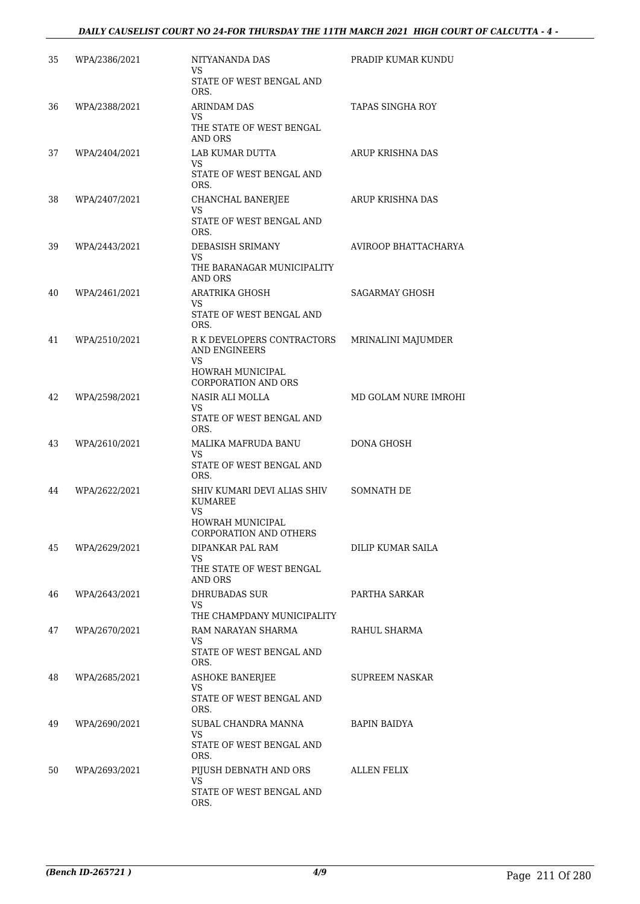#### *DAILY CAUSELIST COURT NO 24-FOR THURSDAY THE 11TH MARCH 2021 HIGH COURT OF CALCUTTA - 4 -*

| 35 | WPA/2386/2021 | NITYANANDA DAS<br>VS                                                                              | PRADIP KUMAR KUNDU   |
|----|---------------|---------------------------------------------------------------------------------------------------|----------------------|
|    |               | STATE OF WEST BENGAL AND<br>ORS.                                                                  |                      |
| 36 | WPA/2388/2021 | ARINDAM DAS<br>VS<br>THE STATE OF WEST BENGAL<br>AND ORS                                          | TAPAS SINGHA ROY     |
| 37 | WPA/2404/2021 | LAB KUMAR DUTTA<br>VS.<br>STATE OF WEST BENGAL AND<br>ORS.                                        | ARUP KRISHNA DAS     |
| 38 | WPA/2407/2021 | CHANCHAL BANERJEE<br>VS.<br>STATE OF WEST BENGAL AND<br>ORS.                                      | ARUP KRISHNA DAS     |
| 39 | WPA/2443/2021 | DEBASISH SRIMANY<br>VS<br>THE BARANAGAR MUNICIPALITY<br>AND ORS                                   | AVIROOP BHATTACHARYA |
| 40 | WPA/2461/2021 | ARATRIKA GHOSH<br>VS.<br>STATE OF WEST BENGAL AND<br>ORS.                                         | SAGARMAY GHOSH       |
| 41 | WPA/2510/2021 | R K DEVELOPERS CONTRACTORS<br><b>AND ENGINEERS</b><br>VS<br>HOWRAH MUNICIPAL                      | MRINALINI MAJUMDER   |
| 42 | WPA/2598/2021 | <b>CORPORATION AND ORS</b><br>NASIR ALI MOLLA<br>VS.<br>STATE OF WEST BENGAL AND<br>ORS.          | MD GOLAM NURE IMROHI |
| 43 | WPA/2610/2021 | MALIKA MAFRUDA BANU<br>VS<br>STATE OF WEST BENGAL AND<br>ORS.                                     | DONA GHOSH           |
| 44 | WPA/2622/2021 | SHIV KUMARI DEVI ALIAS SHIV<br><b>KUMAREE</b><br>VS<br>HOWRAH MUNICIPAL<br>CORPORATION AND OTHERS | <b>SOMNATH DE</b>    |
| 45 | WPA/2629/2021 | DIPANKAR PAL RAM<br>VS<br>THE STATE OF WEST BENGAL<br>AND ORS                                     | DILIP KUMAR SAILA    |
| 46 | WPA/2643/2021 | DHRUBADAS SUR<br>VS<br>THE CHAMPDANY MUNICIPALITY                                                 | PARTHA SARKAR        |
| 47 | WPA/2670/2021 | RAM NARAYAN SHARMA<br>VS<br>STATE OF WEST BENGAL AND<br>ORS.                                      | RAHUL SHARMA         |
| 48 | WPA/2685/2021 | <b>ASHOKE BANERJEE</b><br>VS<br>STATE OF WEST BENGAL AND<br>ORS.                                  | SUPREEM NASKAR       |
| 49 | WPA/2690/2021 | SUBAL CHANDRA MANNA<br>VS<br>STATE OF WEST BENGAL AND<br>ORS.                                     | BAPIN BAIDYA         |
| 50 | WPA/2693/2021 | PIJUSH DEBNATH AND ORS<br>VS.<br>STATE OF WEST BENGAL AND<br>ORS.                                 | ALLEN FELIX          |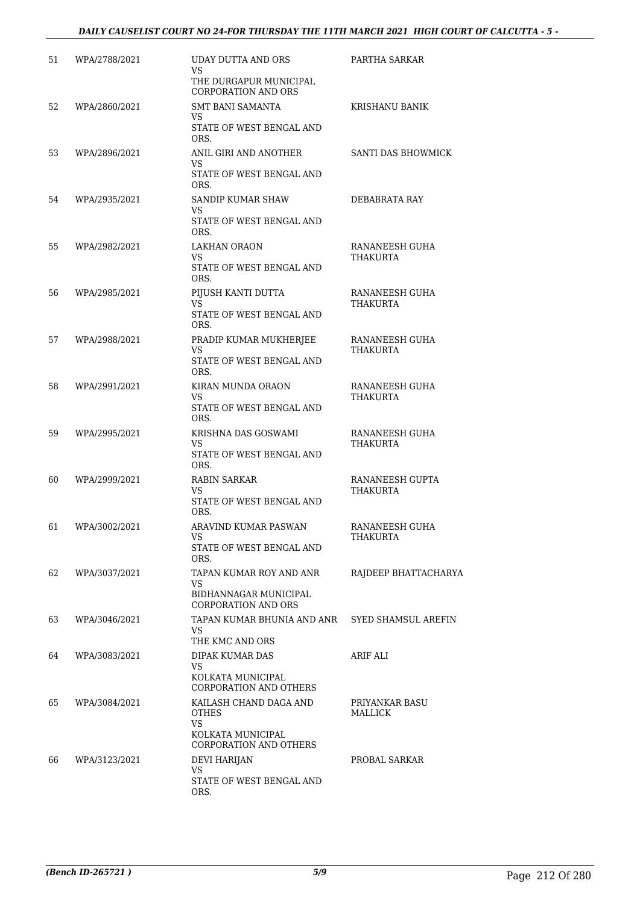#### *DAILY CAUSELIST COURT NO 24-FOR THURSDAY THE 11TH MARCH 2021 HIGH COURT OF CALCUTTA - 5 -*

| 51 | WPA/2788/2021 | UDAY DUTTA AND ORS<br>VS.<br>THE DURGAPUR MUNICIPAL<br>CORPORATION AND ORS                         | PARTHA SARKAR                     |
|----|---------------|----------------------------------------------------------------------------------------------------|-----------------------------------|
| 52 | WPA/2860/2021 | <b>SMT BANI SAMANTA</b><br>VS.<br>STATE OF WEST BENGAL AND<br>ORS.                                 | KRISHANU BANIK                    |
| 53 | WPA/2896/2021 | ANIL GIRI AND ANOTHER<br>VS.<br>STATE OF WEST BENGAL AND<br>ORS.                                   | SANTI DAS BHOWMICK                |
| 54 | WPA/2935/2021 | SANDIP KUMAR SHAW<br>VS.<br>STATE OF WEST BENGAL AND<br>ORS.                                       | DEBABRATA RAY                     |
| 55 | WPA/2982/2021 | LAKHAN ORAON<br>VS.<br>STATE OF WEST BENGAL AND<br>ORS.                                            | RANANEESH GUHA<br>THAKURTA        |
| 56 | WPA/2985/2021 | PIJUSH KANTI DUTTA<br>VS.<br>STATE OF WEST BENGAL AND<br>ORS.                                      | RANANEESH GUHA<br>THAKURTA        |
| 57 | WPA/2988/2021 | PRADIP KUMAR MUKHERJEE<br><b>VS</b><br>STATE OF WEST BENGAL AND<br>ORS.                            | RANANEESH GUHA<br>THAKURTA        |
| 58 | WPA/2991/2021 | KIRAN MUNDA ORAON<br>VS.<br>STATE OF WEST BENGAL AND<br>ORS.                                       | RANANEESH GUHA<br>THAKURTA        |
| 59 | WPA/2995/2021 | KRISHNA DAS GOSWAMI<br>VS<br>STATE OF WEST BENGAL AND<br>ORS.                                      | RANANEESH GUHA<br><b>THAKURTA</b> |
| 60 | WPA/2999/2021 | RABIN SARKAR<br>VS<br>STATE OF WEST BENGAL AND<br>ORS.                                             | RANANEESH GUPTA<br>THAKURTA       |
| 61 | WPA/3002/2021 | ARAVIND KUMAR PASWAN<br>VS.<br>STATE OF WEST BENGAL AND<br>ORS.                                    | RANANEESH GUHA<br>THAKURTA        |
| 62 | WPA/3037/2021 | TAPAN KUMAR ROY AND ANR<br>VS<br>BIDHANNAGAR MUNICIPAL<br><b>CORPORATION AND ORS</b>               | RAJDEEP BHATTACHARYA              |
| 63 | WPA/3046/2021 | TAPAN KUMAR BHUNIA AND ANR<br>VS.<br>THE KMC AND ORS                                               | SYED SHAMSUL AREFIN               |
| 64 | WPA/3083/2021 | DIPAK KUMAR DAS<br>VS.<br>KOLKATA MUNICIPAL<br>CORPORATION AND OTHERS                              | ARIF ALI                          |
| 65 | WPA/3084/2021 | KAILASH CHAND DAGA AND<br><b>OTHES</b><br><b>VS</b><br>KOLKATA MUNICIPAL<br>CORPORATION AND OTHERS | PRIYANKAR BASU<br>MALLICK         |
| 66 | WPA/3123/2021 | <b>DEVI HARIJAN</b><br>VS.<br>STATE OF WEST BENGAL AND<br>ORS.                                     | PROBAL SARKAR                     |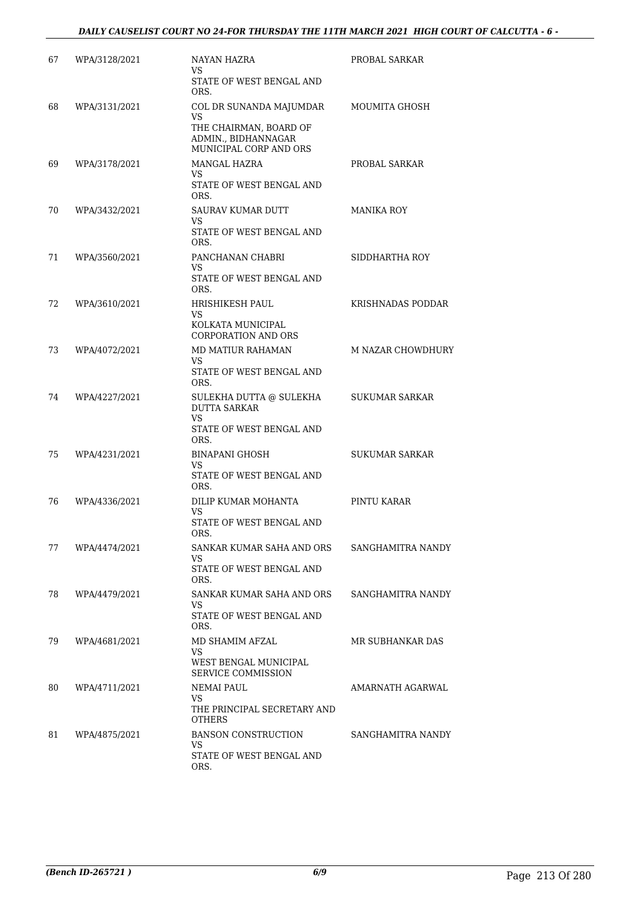| 67 | WPA/3128/2021 | <b>NAYAN HAZRA</b><br>VS.                                                                                | PROBAL SARKAR     |
|----|---------------|----------------------------------------------------------------------------------------------------------|-------------------|
|    |               | STATE OF WEST BENGAL AND<br>ORS.                                                                         |                   |
| 68 | WPA/3131/2021 | COL DR SUNANDA MAJUMDAR<br>VS<br>THE CHAIRMAN, BOARD OF<br>ADMIN., BIDHANNAGAR<br>MUNICIPAL CORP AND ORS | MOUMITA GHOSH     |
| 69 | WPA/3178/2021 | MANGAL HAZRA<br>VS<br>STATE OF WEST BENGAL AND<br>ORS.                                                   | PROBAL SARKAR     |
| 70 | WPA/3432/2021 | <b>SAURAV KUMAR DUTT</b><br>VS<br>STATE OF WEST BENGAL AND<br>ORS.                                       | MANIKA ROY        |
| 71 | WPA/3560/2021 | PANCHANAN CHABRI<br>VS.<br>STATE OF WEST BENGAL AND<br>ORS.                                              | SIDDHARTHA ROY    |
| 72 | WPA/3610/2021 | HRISHIKESH PAUL<br>VS<br>KOLKATA MUNICIPAL<br><b>CORPORATION AND ORS</b>                                 | KRISHNADAS PODDAR |
| 73 | WPA/4072/2021 | MD MATIUR RAHAMAN<br>VS.<br>STATE OF WEST BENGAL AND<br>ORS.                                             | M NAZAR CHOWDHURY |
| 74 | WPA/4227/2021 | SULEKHA DUTTA @ SULEKHA<br><b>DUTTA SARKAR</b><br><b>VS</b><br>STATE OF WEST BENGAL AND<br>ORS.          | SUKUMAR SARKAR    |
| 75 | WPA/4231/2021 | <b>BINAPANI GHOSH</b><br>VS<br>STATE OF WEST BENGAL AND<br>ORS.                                          | SUKUMAR SARKAR    |
| 76 | WPA/4336/2021 | DILIP KUMAR MOHANTA<br>VS<br>STATE OF WEST BENGAL AND<br>ORS.                                            | PINTU KARAR       |
| 77 | WPA/4474/2021 | SANKAR KUMAR SAHA AND ORS<br>VS.<br>STATE OF WEST BENGAL AND<br>ORS.                                     | SANGHAMITRA NANDY |
| 78 | WPA/4479/2021 | SANKAR KUMAR SAHA AND ORS<br>VS.<br>STATE OF WEST BENGAL AND<br>ORS.                                     | SANGHAMITRA NANDY |
| 79 | WPA/4681/2021 | MD SHAMIM AFZAL<br>VS<br>WEST BENGAL MUNICIPAL<br><b>SERVICE COMMISSION</b>                              | MR SUBHANKAR DAS  |
| 80 | WPA/4711/2021 | NEMAI PAUL<br>VS<br>THE PRINCIPAL SECRETARY AND<br><b>OTHERS</b>                                         | AMARNATH AGARWAL  |
| 81 | WPA/4875/2021 | <b>BANSON CONSTRUCTION</b><br>VS.<br>STATE OF WEST BENGAL AND<br>ORS.                                    | SANGHAMITRA NANDY |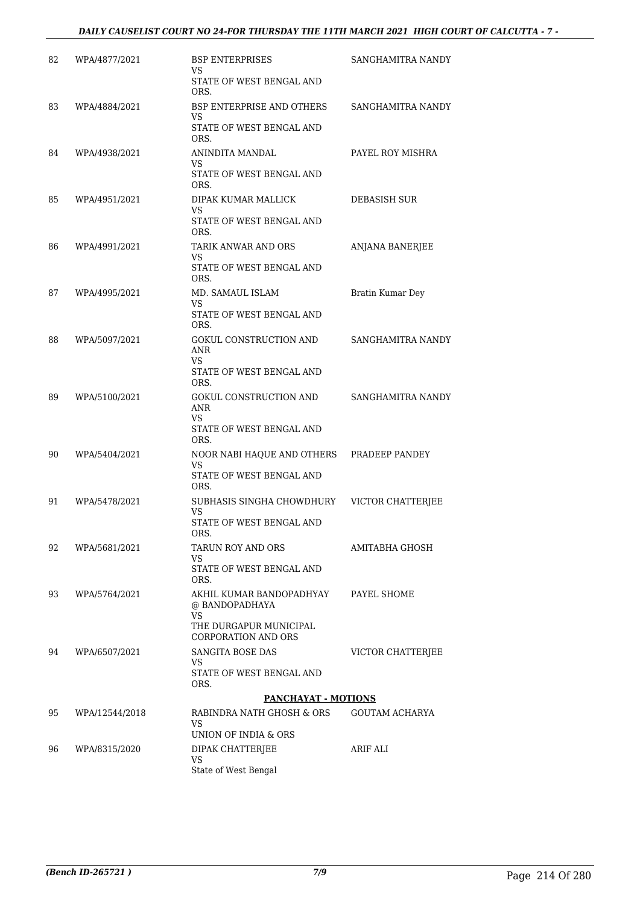#### *DAILY CAUSELIST COURT NO 24-FOR THURSDAY THE 11TH MARCH 2021 HIGH COURT OF CALCUTTA - 7 -*

| 82 | WPA/4877/2021  | <b>BSP ENTERPRISES</b><br>VS                            | SANGHAMITRA NANDY        |
|----|----------------|---------------------------------------------------------|--------------------------|
|    |                | STATE OF WEST BENGAL AND<br>ORS.                        |                          |
| 83 | WPA/4884/2021  | <b>BSP ENTERPRISE AND OTHERS</b><br>VS                  | SANGHAMITRA NANDY        |
|    |                | STATE OF WEST BENGAL AND<br>ORS.                        |                          |
| 84 | WPA/4938/2021  | ANINDITA MANDAL<br>VS.                                  | PAYEL ROY MISHRA         |
|    |                | STATE OF WEST BENGAL AND<br>ORS.                        |                          |
| 85 | WPA/4951/2021  | DIPAK KUMAR MALLICK<br>VS.                              | DEBASISH SUR             |
|    |                | STATE OF WEST BENGAL AND<br>ORS.                        |                          |
| 86 | WPA/4991/2021  | TARIK ANWAR AND ORS<br>VS.                              | ANJANA BANERJEE          |
|    |                | STATE OF WEST BENGAL AND<br>ORS.                        |                          |
| 87 | WPA/4995/2021  | MD. SAMAUL ISLAM<br>VS                                  | Bratin Kumar Dey         |
|    |                | STATE OF WEST BENGAL AND<br>ORS.                        |                          |
| 88 | WPA/5097/2021  | <b>GOKUL CONSTRUCTION AND</b><br>ANR<br>VS.             | SANGHAMITRA NANDY        |
|    |                | STATE OF WEST BENGAL AND<br>ORS.                        |                          |
| 89 | WPA/5100/2021  | GOKUL CONSTRUCTION AND<br>ANR                           | SANGHAMITRA NANDY        |
|    |                | VS<br>STATE OF WEST BENGAL AND<br>ORS.                  |                          |
| 90 | WPA/5404/2021  | NOOR NABI HAQUE AND OTHERS<br>VS.                       | PRADEEP PANDEY           |
|    |                | STATE OF WEST BENGAL AND<br>ORS.                        |                          |
| 91 | WPA/5478/2021  | SUBHASIS SINGHA CHOWDHURY<br>VS                         | VICTOR CHATTERJEE        |
|    |                | STATE OF WEST BENGAL AND<br>ORS.                        |                          |
| 92 | WPA/5681/2021  | TARUN ROY AND ORS<br>VS                                 | AMITABHA GHOSH           |
|    |                | STATE OF WEST BENGAL AND<br>ORS.                        |                          |
| 93 | WPA/5764/2021  | AKHIL KUMAR BANDOPADHYAY<br>@ BANDOPADHAYA<br>VS        | PAYEL SHOME              |
|    |                | THE DURGAPUR MUNICIPAL<br><b>CORPORATION AND ORS</b>    |                          |
| 94 | WPA/6507/2021  | <b>SANGITA BOSE DAS</b><br>VS                           | <b>VICTOR CHATTERIEE</b> |
|    |                | STATE OF WEST BENGAL AND<br>ORS.                        |                          |
|    |                | PANCHAYAT - MOTIONS                                     |                          |
| 95 | WPA/12544/2018 | RABINDRA NATH GHOSH & ORS<br>VS<br>UNION OF INDIA & ORS | GOUTAM ACHARYA           |
| 96 | WPA/8315/2020  | DIPAK CHATTERJEE                                        | ARIF ALI                 |
|    |                | VS<br>State of West Bengal                              |                          |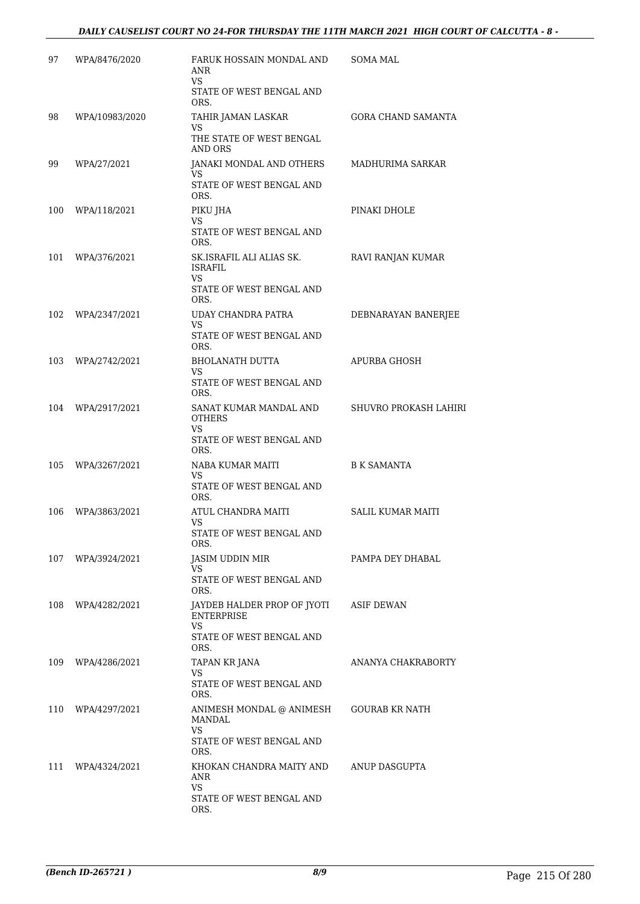| 97  | WPA/8476/2020     | FARUK HOSSAIN MONDAL AND<br>ANR<br>VS.<br>STATE OF WEST BENGAL AND                                    | SOMA MAL                 |
|-----|-------------------|-------------------------------------------------------------------------------------------------------|--------------------------|
| 98  | WPA/10983/2020    | ORS.<br>TAHIR JAMAN LASKAR<br>VS<br>THE STATE OF WEST BENGAL                                          | GORA CHAND SAMANTA       |
| 99  | WPA/27/2021       | <b>AND ORS</b><br>JANAKI MONDAL AND OTHERS<br>VS.<br>STATE OF WEST BENGAL AND<br>ORS.                 | MADHURIMA SARKAR         |
| 100 | WPA/118/2021      | PIKU JHA<br>VS<br>STATE OF WEST BENGAL AND<br>ORS.                                                    | PINAKI DHOLE             |
| 101 | WPA/376/2021      | SK.ISRAFIL ALI ALIAS SK.<br>ISRAFIL<br>VS<br>STATE OF WEST BENGAL AND<br>ORS.                         | RAVI RANJAN KUMAR        |
| 102 | WPA/2347/2021     | UDAY CHANDRA PATRA<br>VS<br>STATE OF WEST BENGAL AND<br>ORS.                                          | DEBNARAYAN BANERJEE      |
| 103 | WPA/2742/2021     | BHOLANATH DUTTA<br>VS<br>STATE OF WEST BENGAL AND<br>ORS.                                             | APURBA GHOSH             |
| 104 | WPA/2917/2021     | SANAT KUMAR MANDAL AND<br><b>OTHERS</b><br>VS.<br>STATE OF WEST BENGAL AND<br>ORS.                    | SHUVRO PROKASH LAHIRI    |
| 105 | WPA/3267/2021     | NABA KUMAR MAITI<br>VS<br>STATE OF WEST BENGAL AND<br>ORS.                                            | <b>B K SAMANTA</b>       |
| 106 | WPA/3863/2021     | ATUL CHANDRA MAITI<br>VS<br>STATE OF WEST BENGAL AND<br>ORS.                                          | <b>SALIL KUMAR MAITI</b> |
|     | 107 WPA/3924/2021 | JASIM UDDIN MIR<br>VS<br>STATE OF WEST BENGAL AND<br>ORS.                                             | PAMPA DEY DHABAL         |
| 108 | WPA/4282/2021     | JAYDEB HALDER PROP OF JYOTI ASIF DEWAN<br><b>ENTERPRISE</b><br>VS<br>STATE OF WEST BENGAL AND<br>ORS. |                          |
|     | 109 WPA/4286/2021 | TAPAN KR JANA<br>VS.<br>STATE OF WEST BENGAL AND<br>ORS.                                              | ANANYA CHAKRABORTY       |
| 110 | WPA/4297/2021     | ANIMESH MONDAL @ ANIMESH<br>MANDAL<br>VS.<br>STATE OF WEST BENGAL AND<br>ORS.                         | GOURAB KR NATH           |
| 111 | WPA/4324/2021     | KHOKAN CHANDRA MAITY AND<br>ANR<br>VS.<br>STATE OF WEST BENGAL AND<br>ORS.                            | ANUP DASGUPTA            |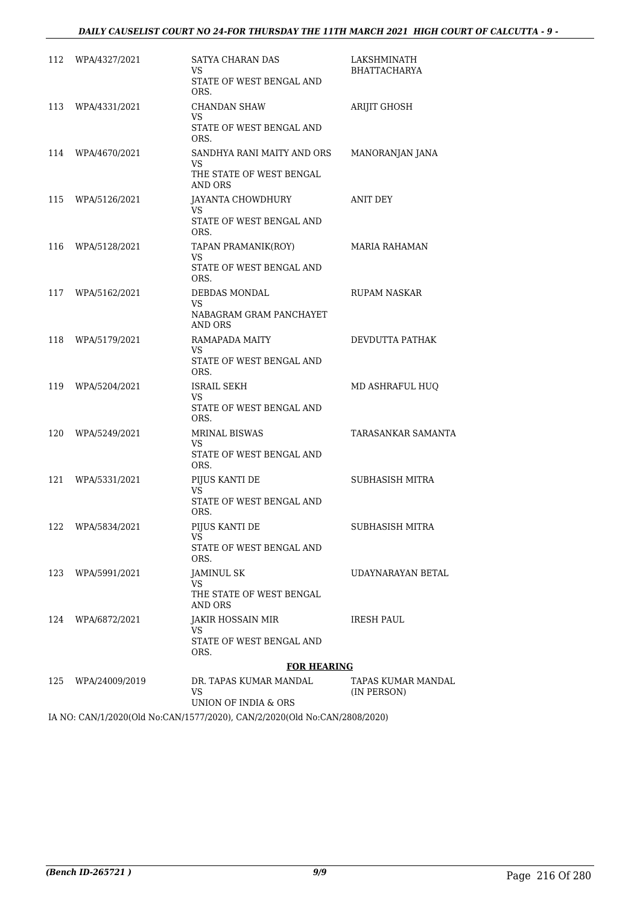| 112 | WPA/4327/2021     | SATYA CHARAN DAS<br>VS<br>STATE OF WEST BENGAL AND<br>ORS.               | LAKSHMINATH<br>BHATTACHARYA       |
|-----|-------------------|--------------------------------------------------------------------------|-----------------------------------|
| 113 | WPA/4331/2021     | CHANDAN SHAW<br>VS<br>STATE OF WEST BENGAL AND<br>ORS.                   | ARIJIT GHOSH                      |
| 114 | WPA/4670/2021     | SANDHYA RANI MAITY AND ORS<br>VS.<br>THE STATE OF WEST BENGAL<br>AND ORS | MANORANJAN JANA                   |
| 115 | WPA/5126/2021     | <b>JAYANTA CHOWDHURY</b><br>VS.<br>STATE OF WEST BENGAL AND<br>ORS.      | ANIT DEY                          |
| 116 | WPA/5128/2021     | TAPAN PRAMANIK(ROY)<br>VS<br>STATE OF WEST BENGAL AND<br>ORS.            | MARIA RAHAMAN                     |
|     | 117 WPA/5162/2021 | DEBDAS MONDAL<br>VS<br>NABAGRAM GRAM PANCHAYET<br>AND ORS                | <b>RUPAM NASKAR</b>               |
| 118 | WPA/5179/2021     | RAMAPADA MAITY<br>VS.<br>STATE OF WEST BENGAL AND<br>ORS.                | DEVDUTTA PATHAK                   |
| 119 | WPA/5204/2021     | ISRAIL SEKH<br>VS.<br>STATE OF WEST BENGAL AND<br>ORS.                   | MD ASHRAFUL HUQ                   |
| 120 | WPA/5249/2021     | <b>MRINAL BISWAS</b><br>VS<br>STATE OF WEST BENGAL AND<br>ORS.           | TARASANKAR SAMANTA                |
| 121 | WPA/5331/2021     | PIJUS KANTI DE<br>VS.<br>STATE OF WEST BENGAL AND<br>ORS.                | SUBHASISH MITRA                   |
| 122 | WPA/5834/2021     | PIJUS KANTI DE<br>VS<br>STATE OF WEST BENGAL AND<br>ORS.                 | SUBHASISH MITRA                   |
| 123 | WPA/5991/2021     | JAMINUL SK<br>VS.<br>THE STATE OF WEST BENGAL<br>AND ORS                 | UDAYNARAYAN BETAL                 |
| 124 | WPA/6872/2021     | <b>JAKIR HOSSAIN MIR</b><br>VS<br>STATE OF WEST BENGAL AND<br>ORS.       | <b>IRESH PAUL</b>                 |
|     |                   | <b>FOR HEARING</b>                                                       |                                   |
| 125 | WPA/24009/2019    | DR. TAPAS KUMAR MANDAL<br>VS.<br>UNION OF INDIA & ORS                    | TAPAS KUMAR MANDAL<br>(IN PERSON) |

IA NO: CAN/1/2020(Old No:CAN/1577/2020), CAN/2/2020(Old No:CAN/2808/2020)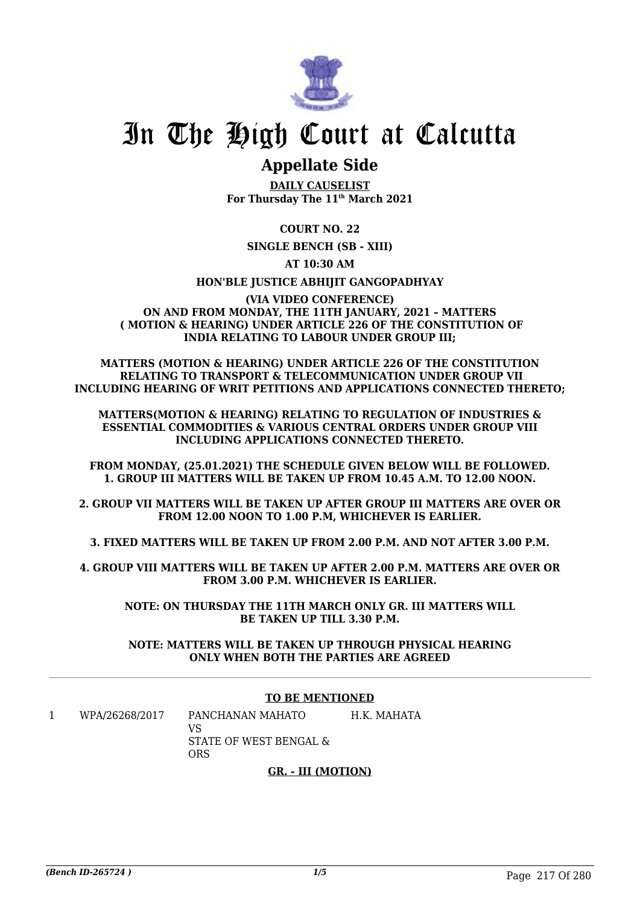

# In The High Court at Calcutta

# **Appellate Side**

**DAILY CAUSELIST For Thursday The 11th March 2021**

## **COURT NO. 22**

**SINGLE BENCH (SB - XIII)**

### **AT 10:30 AM**

#### **HON'BLE JUSTICE ABHIJIT GANGOPADHYAY**

#### **(VIA VIDEO CONFERENCE) ON AND FROM MONDAY, THE 11TH JANUARY, 2021 – MATTERS ( MOTION & HEARING) UNDER ARTICLE 226 OF THE CONSTITUTION OF INDIA RELATING TO LABOUR UNDER GROUP III;**

**MATTERS (MOTION & HEARING) UNDER ARTICLE 226 OF THE CONSTITUTION RELATING TO TRANSPORT & TELECOMMUNICATION UNDER GROUP VII INCLUDING HEARING OF WRIT PETITIONS AND APPLICATIONS CONNECTED THERETO;**

**MATTERS(MOTION & HEARING) RELATING TO REGULATION OF INDUSTRIES & ESSENTIAL COMMODITIES & VARIOUS CENTRAL ORDERS UNDER GROUP VIII INCLUDING APPLICATIONS CONNECTED THERETO.**

**FROM MONDAY, (25.01.2021) THE SCHEDULE GIVEN BELOW WILL BE FOLLOWED. 1. GROUP III MATTERS WILL BE TAKEN UP FROM 10.45 A.M. TO 12.00 NOON.**

**2. GROUP VII MATTERS WILL BE TAKEN UP AFTER GROUP III MATTERS ARE OVER OR FROM 12.00 NOON TO 1.00 P.M, WHICHEVER IS EARLIER.**

**3. FIXED MATTERS WILL BE TAKEN UP FROM 2.00 P.M. AND NOT AFTER 3.00 P.M.**

**4. GROUP VIII MATTERS WILL BE TAKEN UP AFTER 2.00 P.M. MATTERS ARE OVER OR FROM 3.00 P.M. WHICHEVER IS EARLIER.**

**NOTE: ON THURSDAY THE 11TH MARCH ONLY GR. III MATTERS WILL BE TAKEN UP TILL 3.30 P.M.**

**NOTE: MATTERS WILL BE TAKEN UP THROUGH PHYSICAL HEARING ONLY WHEN BOTH THE PARTIES ARE AGREED**

#### **TO BE MENTIONED**

1 WPA/26268/2017 PANCHANAN MAHATO VS STATE OF WEST BENGAL & ORS H.K. MAHATA

#### **GR. - III (MOTION)**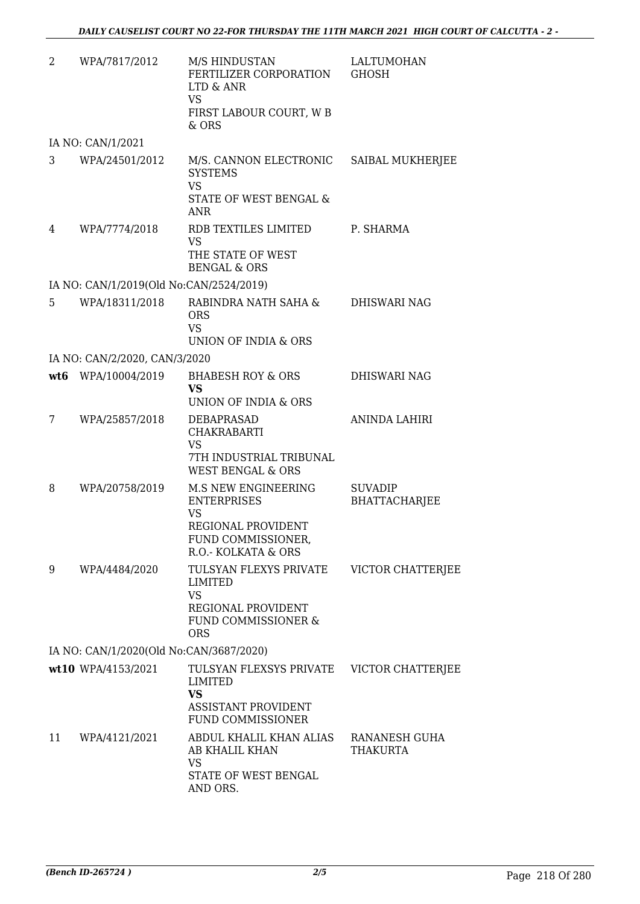| $\overline{2}$ | WPA/7817/2012                           | M/S HINDUSTAN<br>FERTILIZER CORPORATION<br>LTD & ANR<br><b>VS</b>                                         | <b>LALTUMOHAN</b><br><b>GHOSH</b> |
|----------------|-----------------------------------------|-----------------------------------------------------------------------------------------------------------|-----------------------------------|
|                |                                         | FIRST LABOUR COURT, W B<br>& ORS                                                                          |                                   |
|                | IA NO: CAN/1/2021                       |                                                                                                           |                                   |
| 3              | WPA/24501/2012                          | M/S. CANNON ELECTRONIC<br><b>SYSTEMS</b><br><b>VS</b>                                                     | SAIBAL MUKHERJEE                  |
|                |                                         | STATE OF WEST BENGAL &<br><b>ANR</b>                                                                      |                                   |
| 4              | WPA/7774/2018                           | RDB TEXTILES LIMITED<br>VS<br>THE STATE OF WEST<br><b>BENGAL &amp; ORS</b>                                | P. SHARMA                         |
|                | IA NO: CAN/1/2019(Old No:CAN/2524/2019) |                                                                                                           |                                   |
| 5              | WPA/18311/2018                          | RABINDRA NATH SAHA &<br><b>ORS</b><br><b>VS</b>                                                           | DHISWARI NAG                      |
|                |                                         | UNION OF INDIA & ORS                                                                                      |                                   |
|                | IA NO: CAN/2/2020, CAN/3/2020           |                                                                                                           |                                   |
|                | wt6 WPA/10004/2019                      | <b>BHABESH ROY &amp; ORS</b><br><b>VS</b><br>UNION OF INDIA & ORS                                         | <b>DHISWARI NAG</b>               |
| 7              | WPA/25857/2018                          | DEBAPRASAD<br><b>CHAKRABARTI</b><br><b>VS</b>                                                             | ANINDA LAHIRI                     |
|                |                                         | 7TH INDUSTRIAL TRIBUNAL<br><b>WEST BENGAL &amp; ORS</b>                                                   |                                   |
| 8              | WPA/20758/2019                          | <b>M.S NEW ENGINEERING</b><br><b>ENTERPRISES</b><br><b>VS</b>                                             | <b>SUVADIP</b><br>BHATTACHARJEE   |
|                |                                         | REGIONAL PROVIDENT<br>FUND COMMISSIONER,<br>R.O.- KOLKATA & ORS                                           |                                   |
| 9              | WPA/4484/2020                           | TULSYAN FLEXYS PRIVATE<br>LIMITED<br><b>VS</b>                                                            | VICTOR CHATTERJEE                 |
|                |                                         | REGIONAL PROVIDENT<br>FUND COMMISSIONER &<br><b>ORS</b>                                                   |                                   |
|                | IA NO: CAN/1/2020(Old No:CAN/3687/2020) |                                                                                                           |                                   |
|                | wt10 WPA/4153/2021                      | TULSYAN FLEXSYS PRIVATE<br><b>LIMITED</b><br><b>VS</b><br><b>ASSISTANT PROVIDENT</b><br>FUND COMMISSIONER | <b>VICTOR CHATTERJEE</b>          |
| 11             | WPA/4121/2021                           | ABDUL KHALIL KHAN ALIAS<br>AB KHALIL KHAN<br><b>VS</b>                                                    | RANANESH GUHA<br><b>THAKURTA</b>  |
|                |                                         | STATE OF WEST BENGAL<br>AND ORS.                                                                          |                                   |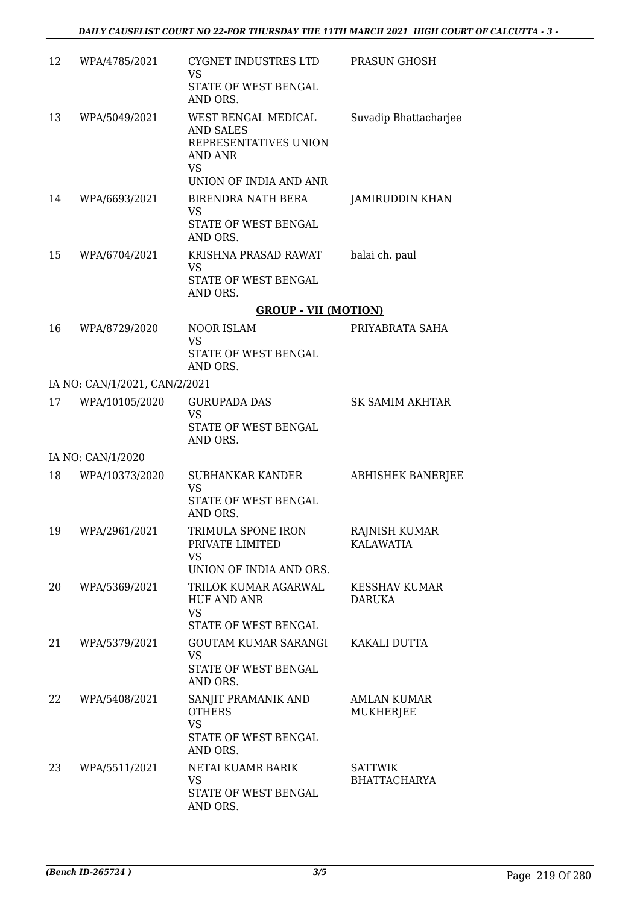| 12 | WPA/4785/2021                 | CYGNET INDUSTRES LTD<br><b>VS</b><br>STATE OF WEST BENGAL<br>AND ORS.                                              | PRASUN GHOSH                           |
|----|-------------------------------|--------------------------------------------------------------------------------------------------------------------|----------------------------------------|
| 13 | WPA/5049/2021                 | WEST BENGAL MEDICAL<br><b>AND SALES</b><br>REPRESENTATIVES UNION<br>AND ANR<br><b>VS</b><br>UNION OF INDIA AND ANR | Suvadip Bhattacharjee                  |
| 14 | WPA/6693/2021                 | BIRENDRA NATH BERA<br><b>VS</b><br>STATE OF WEST BENGAL<br>AND ORS.                                                | JAMIRUDDIN KHAN                        |
| 15 | WPA/6704/2021                 | KRISHNA PRASAD RAWAT<br>VS.<br>STATE OF WEST BENGAL<br>AND ORS.                                                    | balai ch. paul                         |
|    |                               | <b>GROUP - VII (MOTION)</b>                                                                                        |                                        |
| 16 | WPA/8729/2020                 | <b>NOOR ISLAM</b><br><b>VS</b><br>STATE OF WEST BENGAL<br>AND ORS.                                                 | PRIYABRATA SAHA                        |
|    | IA NO: CAN/1/2021, CAN/2/2021 |                                                                                                                    |                                        |
| 17 | WPA/10105/2020                | <b>GURUPADA DAS</b><br><b>VS</b>                                                                                   | <b>SK SAMIM AKHTAR</b>                 |
|    |                               | STATE OF WEST BENGAL<br>AND ORS.                                                                                   |                                        |
|    | IA NO: CAN/1/2020             |                                                                                                                    |                                        |
| 18 | WPA/10373/2020                | SUBHANKAR KANDER<br><b>VS</b><br>STATE OF WEST BENGAL                                                              | <b>ABHISHEK BANERJEE</b>               |
|    |                               | AND ORS.                                                                                                           |                                        |
| 19 | WPA/2961/2021                 | TRIMULA SPONE IRON<br>PRIVATE LIMITED<br><b>VS</b>                                                                 | RAJNISH KUMAR<br><b>KALAWATIA</b>      |
|    |                               | UNION OF INDIA AND ORS.                                                                                            |                                        |
| 20 | WPA/5369/2021                 | TRILOK KUMAR AGARWAL<br><b>HUF AND ANR</b><br><b>VS</b><br>STATE OF WEST BENGAL                                    | <b>KESSHAV KUMAR</b><br><b>DARUKA</b>  |
| 21 | WPA/5379/2021                 | <b>GOUTAM KUMAR SARANGI</b><br><b>VS</b><br>STATE OF WEST BENGAL<br>AND ORS.                                       | KAKALI DUTTA                           |
| 22 | WPA/5408/2021                 | SANJIT PRAMANIK AND<br><b>OTHERS</b><br><b>VS</b><br>STATE OF WEST BENGAL<br>AND ORS.                              | <b>AMLAN KUMAR</b><br><b>MUKHERJEE</b> |
| 23 | WPA/5511/2021                 | NETAI KUAMR BARIK<br><b>VS</b><br>STATE OF WEST BENGAL<br>AND ORS.                                                 | <b>SATTWIK</b><br><b>BHATTACHARYA</b>  |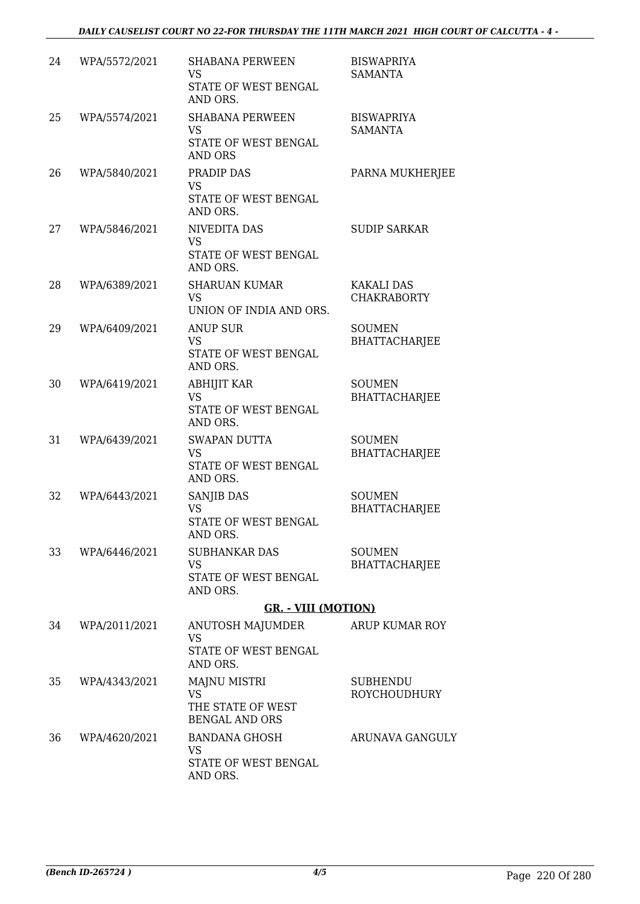| 24 | WPA/5572/2021 | <b>SHABANA PERWEEN</b><br><b>VS</b><br>STATE OF WEST BENGAL<br>AND ORS.         | <b>BISWAPRIYA</b><br>SAMANTA            |
|----|---------------|---------------------------------------------------------------------------------|-----------------------------------------|
| 25 | WPA/5574/2021 | <b>SHABANA PERWEEN</b><br><b>VS</b><br>STATE OF WEST BENGAL<br><b>AND ORS</b>   | <b>BISWAPRIYA</b><br><b>SAMANTA</b>     |
| 26 | WPA/5840/2021 | PRADIP DAS<br><b>VS</b><br>STATE OF WEST BENGAL<br>AND ORS.                     | PARNA MUKHERJEE                         |
| 27 | WPA/5846/2021 | NIVEDITA DAS<br><b>VS</b><br>STATE OF WEST BENGAL<br>AND ORS.                   | <b>SUDIP SARKAR</b>                     |
| 28 | WPA/6389/2021 | <b>SHARUAN KUMAR</b><br><b>VS</b><br>UNION OF INDIA AND ORS.                    | <b>KAKALI DAS</b><br><b>CHAKRABORTY</b> |
| 29 | WPA/6409/2021 | <b>ANUP SUR</b><br><b>VS</b><br>STATE OF WEST BENGAL<br>AND ORS.                | <b>SOUMEN</b><br><b>BHATTACHARJEE</b>   |
| 30 | WPA/6419/2021 | <b>ABHIJIT KAR</b><br><b>VS</b><br>STATE OF WEST BENGAL<br>AND ORS.             | <b>SOUMEN</b><br><b>BHATTACHARJEE</b>   |
| 31 | WPA/6439/2021 | <b>SWAPAN DUTTA</b><br><b>VS</b><br>STATE OF WEST BENGAL<br>AND ORS.            | <b>SOUMEN</b><br><b>BHATTACHARJEE</b>   |
| 32 | WPA/6443/2021 | SANJIB DAS<br><b>VS</b><br><b>STATE OF WEST BENGAL</b><br>AND ORS.              | <b>SOUMEN</b><br><b>BHATTACHARJEE</b>   |
| 33 | WPA/6446/2021 | <b>SUBHANKAR DAS</b><br><b>VS</b><br>STATE OF WEST BENGAL<br>AND ORS.           | <b>SOUMEN</b><br><b>BHATTACHARJEE</b>   |
|    |               | <b>GR. - VIII (MOTION)</b>                                                      |                                         |
| 34 | WPA/2011/2021 | <b>ANUTOSH MAJUMDER</b><br><b>VS</b><br><b>STATE OF WEST BENGAL</b><br>AND ORS. | ARUP KUMAR ROY                          |
| 35 | WPA/4343/2021 | <b>MAJNU MISTRI</b><br><b>VS</b><br>THE STATE OF WEST<br><b>BENGAL AND ORS</b>  | SUBHENDU<br><b>ROYCHOUDHURY</b>         |
| 36 | WPA/4620/2021 | <b>BANDANA GHOSH</b><br>VS<br>STATE OF WEST BENGAL<br>AND ORS.                  | ARUNAVA GANGULY                         |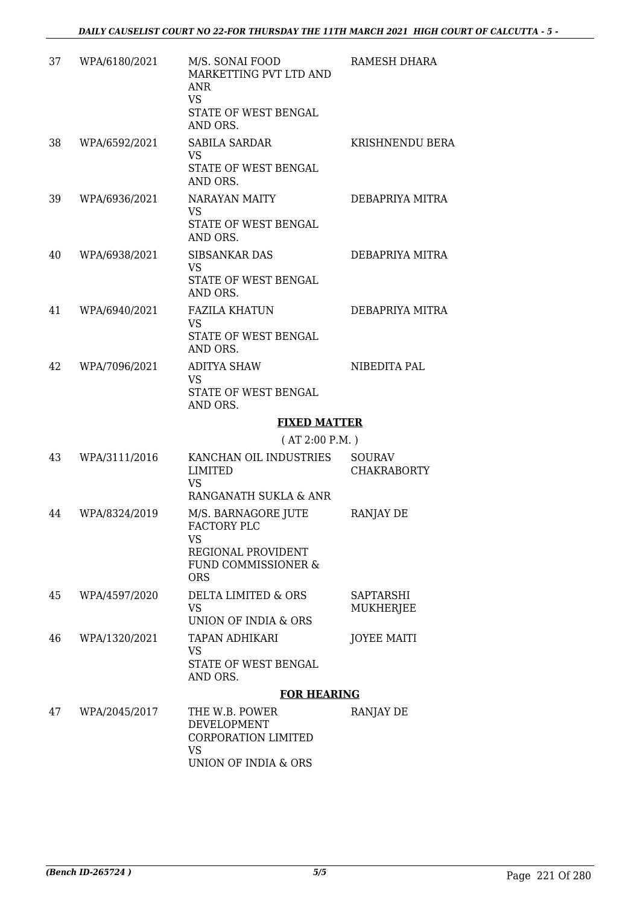| 37 | WPA/6180/2021 | M/S. SONAI FOOD<br>MARKETTING PVT LTD AND<br>ANR<br><b>VS</b><br>STATE OF WEST BENGAL<br>AND ORS. | RAMESH DHARA                        |
|----|---------------|---------------------------------------------------------------------------------------------------|-------------------------------------|
| 38 | WPA/6592/2021 | <b>SABILA SARDAR</b><br><b>VS</b><br>STATE OF WEST BENGAL<br>AND ORS.                             | KRISHNENDU BERA                     |
| 39 | WPA/6936/2021 | NARAYAN MAITY<br><b>VS</b><br>STATE OF WEST BENGAL<br>AND ORS.                                    | DEBAPRIYA MITRA                     |
| 40 | WPA/6938/2021 | <b>SIBSANKAR DAS</b><br>VS<br>STATE OF WEST BENGAL<br>AND ORS.                                    | DEBAPRIYA MITRA                     |
| 41 | WPA/6940/2021 | <b>FAZILA KHATUN</b><br><b>VS</b><br>STATE OF WEST BENGAL<br>AND ORS.                             | DEBAPRIYA MITRA                     |
| 42 | WPA/7096/2021 | <b>ADITYA SHAW</b><br><b>VS</b><br>STATE OF WEST BENGAL<br>AND ORS.                               | NIBEDITA PAL                        |
|    |               | <b>FIXED MATTER</b>                                                                               |                                     |
|    |               | (AT 2:00 P.M.)                                                                                    |                                     |
| 43 | WPA/3111/2016 | KANCHAN OIL INDUSTRIES<br>LIMITED<br><b>VS</b>                                                    | <b>SOURAV</b><br><b>CHAKRABORTY</b> |
|    |               | RANGANATH SUKLA & ANR                                                                             |                                     |
| 44 | WPA/8324/2019 | M/S. BARNAGORE JUTE<br>FACTORY PLC<br>VS<br>REGIONAL PROVIDENT<br>FUND COMMISSIONER &             | RANJAY DE                           |
|    |               | <b>ORS</b>                                                                                        |                                     |
| 45 | WPA/4597/2020 | <b>DELTA LIMITED &amp; ORS</b><br>VS.<br>UNION OF INDIA & ORS                                     | SAPTARSHI<br><b>MUKHERJEE</b>       |
| 46 | WPA/1320/2021 | TAPAN ADHIKARI<br><b>VS</b><br>STATE OF WEST BENGAL<br>AND ORS.                                   | <b>JOYEE MAITI</b>                  |
|    |               | <b>FOR HEARING</b>                                                                                |                                     |
| 47 | WPA/2045/2017 | THE W.B. POWER<br>DEVELOPMENT<br>CORPORATION LIMITED                                              | RANJAY DE                           |

VS UNION OF INDIA & ORS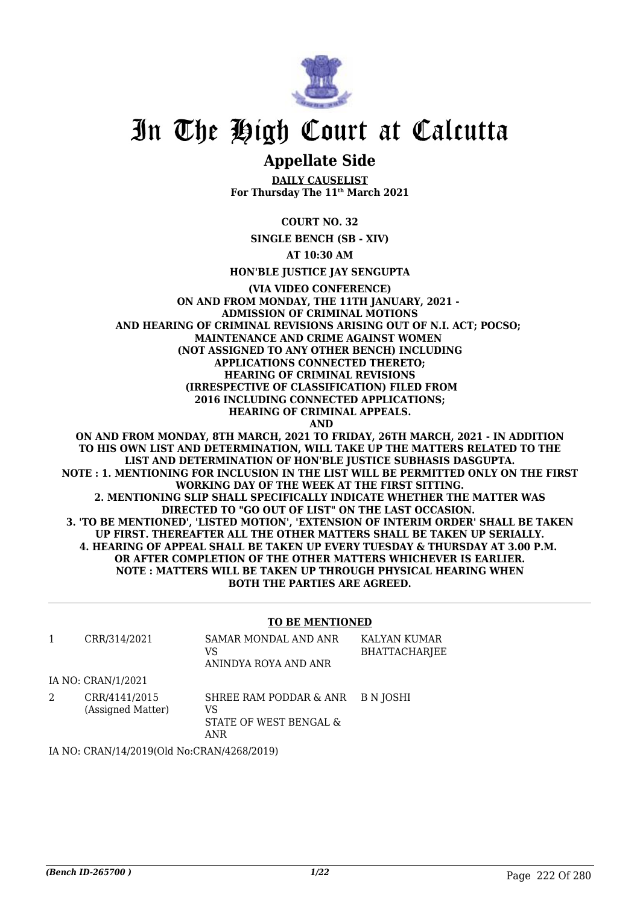

# In The High Court at Calcutta

# **Appellate Side**

**DAILY CAUSELIST For Thursday The 11th March 2021**

**COURT NO. 32**

**SINGLE BENCH (SB - XIV)**

**AT 10:30 AM**

**HON'BLE JUSTICE JAY SENGUPTA**

**(VIA VIDEO CONFERENCE) ON AND FROM MONDAY, THE 11TH JANUARY, 2021 - ADMISSION OF CRIMINAL MOTIONS AND HEARING OF CRIMINAL REVISIONS ARISING OUT OF N.I. ACT; POCSO; MAINTENANCE AND CRIME AGAINST WOMEN (NOT ASSIGNED TO ANY OTHER BENCH) INCLUDING APPLICATIONS CONNECTED THERETO; HEARING OF CRIMINAL REVISIONS (IRRESPECTIVE OF CLASSIFICATION) FILED FROM 2016 INCLUDING CONNECTED APPLICATIONS; HEARING OF CRIMINAL APPEALS. AND**

**ON AND FROM MONDAY, 8TH MARCH, 2021 TO FRIDAY, 26TH MARCH, 2021 - IN ADDITION TO HIS OWN LIST AND DETERMINATION, WILL TAKE UP THE MATTERS RELATED TO THE LIST AND DETERMINATION OF HON'BLE JUSTICE SUBHASIS DASGUPTA. NOTE : 1. MENTIONING FOR INCLUSION IN THE LIST WILL BE PERMITTED ONLY ON THE FIRST WORKING DAY OF THE WEEK AT THE FIRST SITTING. 2. MENTIONING SLIP SHALL SPECIFICALLY INDICATE WHETHER THE MATTER WAS DIRECTED TO "GO OUT OF LIST" ON THE LAST OCCASION. 3. 'TO BE MENTIONED', 'LISTED MOTION', 'EXTENSION OF INTERIM ORDER' SHALL BE TAKEN UP FIRST. THEREAFTER ALL THE OTHER MATTERS SHALL BE TAKEN UP SERIALLY. 4. HEARING OF APPEAL SHALL BE TAKEN UP EVERY TUESDAY & THURSDAY AT 3.00 P.M. OR AFTER COMPLETION OF THE OTHER MATTERS WHICHEVER IS EARLIER. NOTE : MATTERS WILL BE TAKEN UP THROUGH PHYSICAL HEARING WHEN BOTH THE PARTIES ARE AGREED.**

#### **TO BE MENTIONED**

|   | CRR/314/2021                               | SAMAR MONDAL AND ANR<br>VS<br>ANINDYA ROYA AND ANR            | KALYAN KUMAR<br><b>BHATTACHARJEE</b> |
|---|--------------------------------------------|---------------------------------------------------------------|--------------------------------------|
|   | IA NO: CRAN/1/2021                         |                                                               |                                      |
| 2 | CRR/4141/2015<br>(Assigned Matter)         | SHREE RAM PODDAR & ANR<br>VS<br>STATE OF WEST BENGAL &<br>ANR | B N JOSHI                            |
|   | IA NO: CRAN/14/2019(Old No:CRAN/4268/2019) |                                                               |                                      |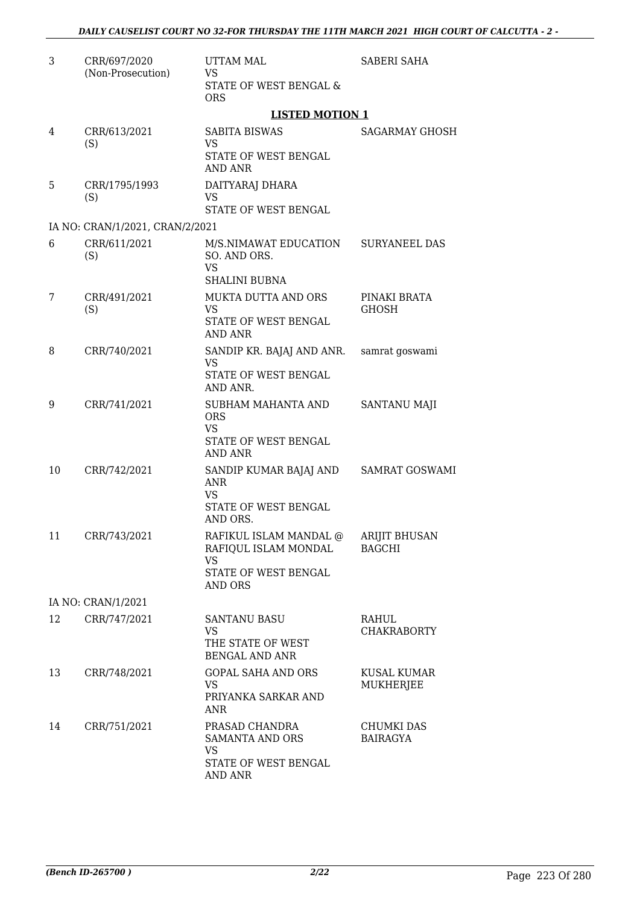| 3  | CRR/697/2020<br>(Non-Prosecution) | <b>UTTAM MAL</b><br><b>VS</b>                               | <b>SABERI SAHA</b>                     |  |
|----|-----------------------------------|-------------------------------------------------------------|----------------------------------------|--|
|    |                                   | STATE OF WEST BENGAL &<br><b>ORS</b>                        |                                        |  |
|    |                                   | <b>LISTED MOTION 1</b>                                      |                                        |  |
| 4  | CRR/613/2021<br>(S)               | <b>SABITA BISWAS</b><br><b>VS</b>                           | SAGARMAY GHOSH                         |  |
|    |                                   | STATE OF WEST BENGAL<br><b>AND ANR</b>                      |                                        |  |
| 5  | CRR/1795/1993<br>(S)              | DAITYARAJ DHARA<br><b>VS</b><br>STATE OF WEST BENGAL        |                                        |  |
|    | IA NO: CRAN/1/2021, CRAN/2/2021   |                                                             |                                        |  |
| 6  | CRR/611/2021                      | M/S.NIMAWAT EDUCATION                                       | <b>SURYANEEL DAS</b>                   |  |
|    | (S)                               | SO. AND ORS.<br><b>VS</b><br><b>SHALINI BUBNA</b>           |                                        |  |
| 7  | CRR/491/2021                      | <b>MUKTA DUTTA AND ORS</b>                                  | PINAKI BRATA                           |  |
|    | (S)                               | <b>VS</b><br>STATE OF WEST BENGAL<br><b>AND ANR</b>         | <b>GHOSH</b>                           |  |
| 8  | CRR/740/2021                      | SANDIP KR. BAJAJ AND ANR.                                   | samrat goswami                         |  |
|    |                                   | <b>VS</b>                                                   |                                        |  |
|    |                                   | STATE OF WEST BENGAL<br>AND ANR.                            |                                        |  |
| 9  | CRR/741/2021                      | SUBHAM MAHANTA AND<br><b>ORS</b><br>VS                      | SANTANU MAJI                           |  |
|    |                                   | STATE OF WEST BENGAL<br><b>AND ANR</b>                      |                                        |  |
| 10 | CRR/742/2021                      | SANDIP KUMAR BAJAJ AND<br><b>ANR</b><br><b>VS</b>           | <b>SAMRAT GOSWAMI</b>                  |  |
|    |                                   | <b>STATE OF WEST BENGAL</b><br>AND ORS.                     |                                        |  |
| 11 | CRR/743/2021                      | RAFIKUL ISLAM MANDAL @<br>RAFIQUL ISLAM MONDAL<br><b>VS</b> | <b>ARIJIT BHUSAN</b><br><b>BAGCHI</b>  |  |
|    |                                   | STATE OF WEST BENGAL<br>AND ORS                             |                                        |  |
|    | IA NO: CRAN/1/2021                |                                                             |                                        |  |
| 12 | CRR/747/2021                      | <b>SANTANU BASU</b><br><b>VS</b><br>THE STATE OF WEST       | RAHUL<br><b>CHAKRABORTY</b>            |  |
|    |                                   | <b>BENGAL AND ANR</b>                                       |                                        |  |
| 13 | CRR/748/2021                      | <b>GOPAL SAHA AND ORS</b><br>VS.<br>PRIYANKA SARKAR AND     | <b>KUSAL KUMAR</b><br><b>MUKHERJEE</b> |  |
|    |                                   | ANR                                                         |                                        |  |
| 14 | CRR/751/2021                      | PRASAD CHANDRA<br>SAMANTA AND ORS<br>VS                     | <b>CHUMKI DAS</b><br><b>BAIRAGYA</b>   |  |
|    |                                   | STATE OF WEST BENGAL<br>AND ANR                             |                                        |  |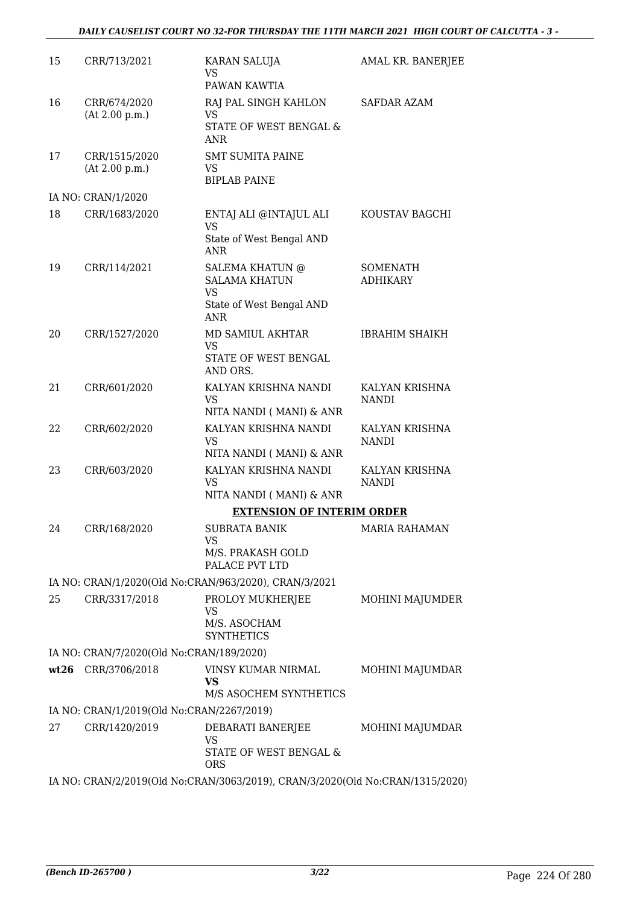## *DAILY CAUSELIST COURT NO 32-FOR THURSDAY THE 11TH MARCH 2021 HIGH COURT OF CALCUTTA - 3 -*

| 15 | CRR/713/2021                              | <b>KARAN SALUJA</b><br><b>VS</b><br>PAWAN KAWTIA                                        | AMAL KR. BANERJEE              |
|----|-------------------------------------------|-----------------------------------------------------------------------------------------|--------------------------------|
| 16 | CRR/674/2020<br>(At 2.00 p.m.)            | RAJ PAL SINGH KAHLON<br><b>VS</b><br>STATE OF WEST BENGAL &<br><b>ANR</b>               | <b>SAFDAR AZAM</b>             |
| 17 | CRR/1515/2020<br>(At 2.00 p.m.)           | <b>SMT SUMITA PAINE</b><br><b>VS</b><br><b>BIPLAB PAINE</b>                             |                                |
|    | IA NO: CRAN/1/2020                        |                                                                                         |                                |
| 18 | CRR/1683/2020                             | ENTAJ ALI @INTAJUL ALI<br><b>VS</b><br>State of West Bengal AND<br><b>ANR</b>           | KOUSTAV BAGCHI                 |
| 19 | CRR/114/2021                              | <b>SALEMA KHATUN @</b><br><b>SALAMA KHATUN</b><br><b>VS</b>                             | SOMENATH<br><b>ADHIKARY</b>    |
|    |                                           | State of West Bengal AND<br><b>ANR</b>                                                  |                                |
| 20 | CRR/1527/2020                             | MD SAMIUL AKHTAR<br><b>VS</b><br>STATE OF WEST BENGAL<br>AND ORS.                       | <b>IBRAHIM SHAIKH</b>          |
| 21 | CRR/601/2020                              | KALYAN KRISHNA NANDI<br><b>VS</b>                                                       | KALYAN KRISHNA<br><b>NANDI</b> |
| 22 | CRR/602/2020                              | NITA NANDI (MANI) & ANR<br>KALYAN KRISHNA NANDI<br><b>VS</b><br>NITA NANDI (MANI) & ANR | KALYAN KRISHNA<br><b>NANDI</b> |
| 23 | CRR/603/2020                              | KALYAN KRISHNA NANDI<br><b>VS</b><br>NITA NANDI (MANI) & ANR                            | KALYAN KRISHNA<br><b>NANDI</b> |
|    |                                           | <b>EXTENSION OF INTERIM ORDER</b>                                                       |                                |
| 24 | CRR/168/2020                              | <b>SUBRATA BANIK</b>                                                                    | <b>MARIA RAHAMAN</b>           |
|    |                                           | VS<br>M/S. PRAKASH GOLD<br>PALACE PVT LTD                                               |                                |
|    |                                           | IA NO: CRAN/1/2020(Old No:CRAN/963/2020), CRAN/3/2021                                   |                                |
| 25 | CRR/3317/2018                             | PROLOY MUKHERJEE<br>VS<br>M/S. ASOCHAM<br><b>SYNTHETICS</b>                             | MOHINI MAJUMDER                |
|    | IA NO: CRAN/7/2020(Old No:CRAN/189/2020)  |                                                                                         |                                |
|    | wt26 CRR/3706/2018                        | VINSY KUMAR NIRMAL<br><b>VS</b><br>M/S ASOCHEM SYNTHETICS                               | MOHINI MAJUMDAR                |
|    | IA NO: CRAN/1/2019(Old No:CRAN/2267/2019) |                                                                                         |                                |
| 27 | CRR/1420/2019                             | DEBARATI BANERJEE<br><b>VS</b><br>STATE OF WEST BENGAL &<br><b>ORS</b>                  | MOHINI MAJUMDAR                |
|    |                                           | IA NO: CRAN/2/2019(Old No:CRAN/3063/2019), CRAN/3/2020(Old No:CRAN/1315/2020)           |                                |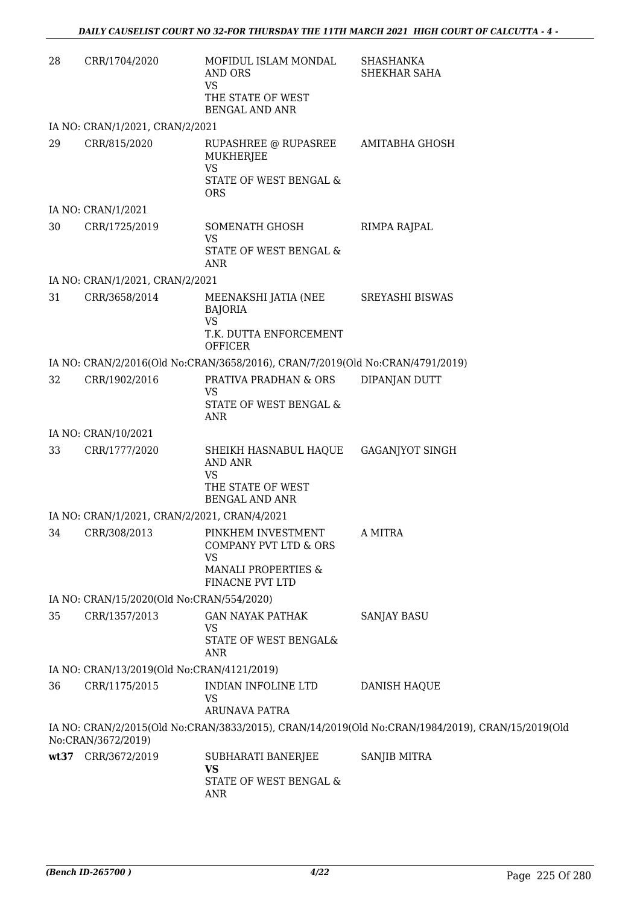| 28 | CRR/1704/2020                                | MOFIDUL ISLAM MONDAL<br><b>AND ORS</b><br><b>VS</b><br>THE STATE OF WEST<br><b>BENGAL AND ANR</b>      | <b>SHASHANKA</b><br>SHEKHAR SAHA                                                                 |
|----|----------------------------------------------|--------------------------------------------------------------------------------------------------------|--------------------------------------------------------------------------------------------------|
|    | IA NO: CRAN/1/2021, CRAN/2/2021              |                                                                                                        |                                                                                                  |
| 29 | CRR/815/2020                                 | RUPASHREE @ RUPASREE<br><b>MUKHERJEE</b><br><b>VS</b><br>STATE OF WEST BENGAL &<br><b>ORS</b>          | AMITABHA GHOSH                                                                                   |
|    | IA NO: CRAN/1/2021                           |                                                                                                        |                                                                                                  |
| 30 | CRR/1725/2019                                | SOMENATH GHOSH<br><b>VS</b><br>STATE OF WEST BENGAL &<br><b>ANR</b>                                    | RIMPA RAJPAL                                                                                     |
|    | IA NO: CRAN/1/2021, CRAN/2/2021              |                                                                                                        |                                                                                                  |
| 31 | CRR/3658/2014                                | MEENAKSHI JATIA (NEE<br><b>BAJORIA</b><br><b>VS</b><br>T.K. DUTTA ENFORCEMENT<br><b>OFFICER</b>        | <b>SREYASHI BISWAS</b>                                                                           |
|    |                                              | IA NO: CRAN/2/2016(Old No:CRAN/3658/2016), CRAN/7/2019(Old No:CRAN/4791/2019)                          |                                                                                                  |
| 32 | CRR/1902/2016                                | PRATIVA PRADHAN & ORS<br><b>VS</b><br>STATE OF WEST BENGAL &<br><b>ANR</b>                             | DIPANJAN DUTT                                                                                    |
|    | IA NO: CRAN/10/2021                          |                                                                                                        |                                                                                                  |
| 33 | CRR/1777/2020                                | SHEIKH HASNABUL HAQUE<br><b>AND ANR</b><br><b>VS</b><br>THE STATE OF WEST<br><b>BENGAL AND ANR</b>     | <b>GAGANJYOT SINGH</b>                                                                           |
|    | IA NO: CRAN/1/2021, CRAN/2/2021, CRAN/4/2021 |                                                                                                        |                                                                                                  |
|    | 34 CRR/308/2013                              | PINKHEM INVESTMENT<br>COMPANY PVT LTD & ORS<br>VS<br><b>MANALI PROPERTIES &amp;</b><br>FINACNE PVT LTD | A MITRA                                                                                          |
|    | IA NO: CRAN/15/2020(Old No:CRAN/554/2020)    |                                                                                                        |                                                                                                  |
| 35 | CRR/1357/2013                                | <b>GAN NAYAK PATHAK</b><br><b>VS</b><br>STATE OF WEST BENGAL&<br><b>ANR</b>                            | <b>SANJAY BASU</b>                                                                               |
|    | IA NO: CRAN/13/2019(Old No:CRAN/4121/2019)   |                                                                                                        |                                                                                                  |
| 36 | CRR/1175/2015                                | INDIAN INFOLINE LTD<br><b>VS</b><br><b>ARUNAVA PATRA</b>                                               | DANISH HAQUE                                                                                     |
|    | No:CRAN/3672/2019)                           |                                                                                                        | IA NO: CRAN/2/2015(Old No:CRAN/3833/2015), CRAN/14/2019(Old No:CRAN/1984/2019), CRAN/15/2019(Old |
|    | wt37 CRR/3672/2019                           | SUBHARATI BANERJEE<br><b>VS</b><br>STATE OF WEST BENGAL &<br><b>ANR</b>                                | SANJIB MITRA                                                                                     |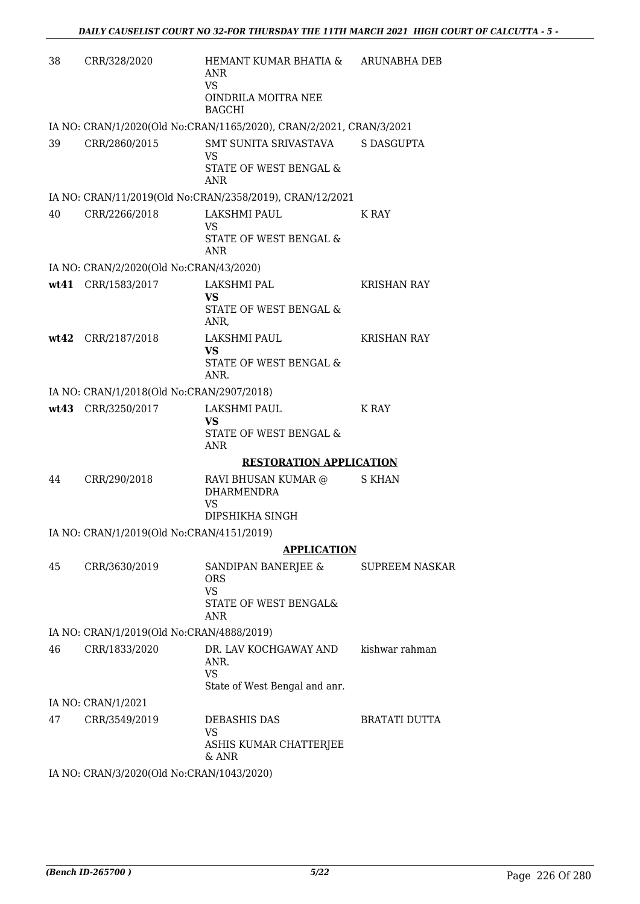| 38 | CRR/328/2020                              | HEMANT KUMAR BHATIA & ARUNABHA DEB<br><b>ANR</b><br><b>VS</b><br>OINDRILA MOITRA NEE<br><b>BAGCHI</b> |                      |
|----|-------------------------------------------|-------------------------------------------------------------------------------------------------------|----------------------|
|    |                                           | IA NO: CRAN/1/2020(Old No:CRAN/1165/2020), CRAN/2/2021, CRAN/3/2021                                   |                      |
| 39 | CRR/2860/2015                             | SMT SUNITA SRIVASTAVA<br><b>VS</b>                                                                    | <b>S DASGUPTA</b>    |
|    |                                           | STATE OF WEST BENGAL &<br><b>ANR</b>                                                                  |                      |
|    |                                           | IA NO: CRAN/11/2019(Old No:CRAN/2358/2019), CRAN/12/2021                                              |                      |
| 40 | CRR/2266/2018                             | LAKSHMI PAUL<br><b>VS</b><br>STATE OF WEST BENGAL &<br>ANR                                            | K RAY                |
|    | IA NO: CRAN/2/2020(Old No:CRAN/43/2020)   |                                                                                                       |                      |
|    | wt41 CRR/1583/2017                        | LAKSHMI PAL                                                                                           | <b>KRISHAN RAY</b>   |
|    |                                           | <b>VS</b><br>STATE OF WEST BENGAL &<br>ANR,                                                           |                      |
|    | wt42 CRR/2187/2018                        | LAKSHMI PAUL                                                                                          | <b>KRISHAN RAY</b>   |
|    |                                           | <b>VS</b><br>STATE OF WEST BENGAL &<br>ANR.                                                           |                      |
|    | IA NO: CRAN/1/2018(Old No:CRAN/2907/2018) |                                                                                                       |                      |
|    | wt43 CRR/3250/2017                        | LAKSHMI PAUL<br><b>VS</b><br>STATE OF WEST BENGAL &<br><b>ANR</b>                                     | K RAY                |
|    |                                           | <b>RESTORATION APPLICATION</b>                                                                        |                      |
| 44 | CRR/290/2018                              | RAVI BHUSAN KUMAR @<br><b>DHARMENDRA</b><br><b>VS</b>                                                 | <b>S KHAN</b>        |
|    |                                           | DIPSHIKHA SINGH                                                                                       |                      |
|    | IA NO: CRAN/1/2019(Old No:CRAN/4151/2019) |                                                                                                       |                      |
|    |                                           | <b>APPLICATION</b>                                                                                    |                      |
| 45 | CRR/3630/2019                             | SANDIPAN BANERJEE & SUPREEM NASKAR<br><b>ORS</b><br><b>VS</b><br>STATE OF WEST BENGAL&<br><b>ANR</b>  |                      |
|    | IA NO: CRAN/1/2019(Old No:CRAN/4888/2019) |                                                                                                       |                      |
| 46 | CRR/1833/2020                             | DR. LAV KOCHGAWAY AND                                                                                 | kishwar rahman       |
|    |                                           | ANR.<br><b>VS</b>                                                                                     |                      |
|    |                                           | State of West Bengal and anr.                                                                         |                      |
| 47 | IA NO: CRAN/1/2021<br>CRR/3549/2019       | <b>DEBASHIS DAS</b>                                                                                   | <b>BRATATI DUTTA</b> |
|    |                                           | <b>VS</b><br>ASHIS KUMAR CHATTERJEE                                                                   |                      |
|    | IA NO: CRAN/3/2020(Old No:CRAN/1043/2020) | & ANR                                                                                                 |                      |
|    |                                           |                                                                                                       |                      |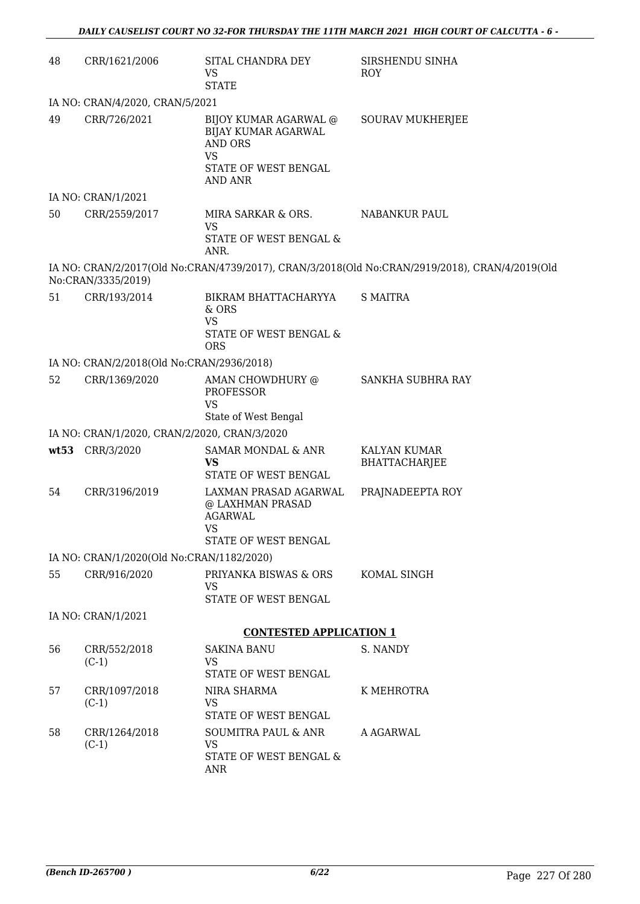| 48                                           | CRR/1621/2006                             | SITAL CHANDRA DEY<br><b>VS</b><br><b>STATE</b>                                                                               | SIRSHENDU SINHA<br>ROY                                                                         |  |
|----------------------------------------------|-------------------------------------------|------------------------------------------------------------------------------------------------------------------------------|------------------------------------------------------------------------------------------------|--|
|                                              | IA NO: CRAN/4/2020, CRAN/5/2021           |                                                                                                                              |                                                                                                |  |
| 49                                           | CRR/726/2021                              | BIJOY KUMAR AGARWAL @<br><b>BIJAY KUMAR AGARWAL</b><br><b>AND ORS</b><br><b>VS</b><br>STATE OF WEST BENGAL<br><b>AND ANR</b> | <b>SOURAV MUKHERJEE</b>                                                                        |  |
|                                              | IA NO: CRAN/1/2021                        |                                                                                                                              |                                                                                                |  |
| 50                                           | CRR/2559/2017                             | MIRA SARKAR & ORS.<br><b>VS</b><br>STATE OF WEST BENGAL &<br>ANR.                                                            | NABANKUR PAUL                                                                                  |  |
|                                              | No:CRAN/3335/2019)                        |                                                                                                                              | IA NO: CRAN/2/2017(Old No:CRAN/4739/2017), CRAN/3/2018(Old No:CRAN/2919/2018), CRAN/4/2019(Old |  |
| 51                                           | CRR/193/2014                              | BIKRAM BHATTACHARYYA<br>& ORS<br><b>VS</b><br>STATE OF WEST BENGAL &<br><b>ORS</b>                                           | <b>S MAITRA</b>                                                                                |  |
|                                              | IA NO: CRAN/2/2018(Old No:CRAN/2936/2018) |                                                                                                                              |                                                                                                |  |
| 52                                           | CRR/1369/2020                             | AMAN CHOWDHURY @<br><b>PROFESSOR</b><br><b>VS</b><br>State of West Bengal                                                    | SANKHA SUBHRA RAY                                                                              |  |
| IA NO: CRAN/1/2020, CRAN/2/2020, CRAN/3/2020 |                                           |                                                                                                                              |                                                                                                |  |
| wt53                                         | CRR/3/2020                                | SAMAR MONDAL & ANR<br><b>VS</b><br>STATE OF WEST BENGAL                                                                      | KALYAN KUMAR<br>BHATTACHARJEE                                                                  |  |
| 54                                           | CRR/3196/2019                             | LAXMAN PRASAD AGARWAL<br>@ LAXHMAN PRASAD<br><b>AGARWAL</b><br><b>VS</b><br>STATE OF WEST BENGAL                             | PRAJNADEEPTA ROY                                                                               |  |
|                                              | IA NO: CRAN/1/2020(Old No:CRAN/1182/2020) |                                                                                                                              |                                                                                                |  |
| 55                                           | CRR/916/2020                              | PRIYANKA BISWAS & ORS<br><b>VS</b><br>STATE OF WEST BENGAL                                                                   | KOMAL SINGH                                                                                    |  |
|                                              | IA NO: CRAN/1/2021                        |                                                                                                                              |                                                                                                |  |
|                                              |                                           | <b>CONTESTED APPLICATION 1</b>                                                                                               |                                                                                                |  |
| 56                                           | CRR/552/2018<br>$(C-1)$                   | <b>SAKINA BANU</b><br><b>VS</b><br>STATE OF WEST BENGAL                                                                      | S. NANDY                                                                                       |  |
| 57                                           | CRR/1097/2018<br>$(C-1)$                  | NIRA SHARMA<br><b>VS</b><br>STATE OF WEST BENGAL                                                                             | K MEHROTRA                                                                                     |  |
| 58                                           | CRR/1264/2018<br>$(C-1)$                  | <b>SOUMITRA PAUL &amp; ANR</b><br><b>VS</b><br>STATE OF WEST BENGAL &<br><b>ANR</b>                                          | A AGARWAL                                                                                      |  |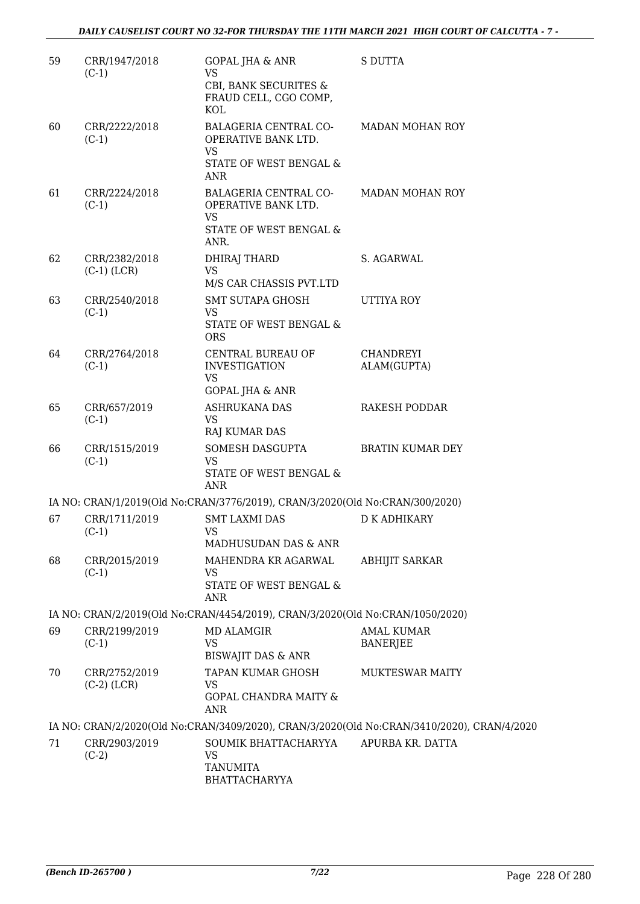| 59 | CRR/1947/2018<br>$(C-1)$       | <b>GOPAL JHA &amp; ANR</b><br><b>VS</b><br>CBI, BANK SECURITES &<br>FRAUD CELL, CGO COMP,<br>KOL         | <b>S DUTTA</b>                                                                             |
|----|--------------------------------|----------------------------------------------------------------------------------------------------------|--------------------------------------------------------------------------------------------|
| 60 | CRR/2222/2018<br>$(C-1)$       | <b>BALAGERIA CENTRAL CO-</b><br>OPERATIVE BANK LTD.<br><b>VS</b><br>STATE OF WEST BENGAL &<br><b>ANR</b> | <b>MADAN MOHAN ROY</b>                                                                     |
| 61 | CRR/2224/2018<br>$(C-1)$       | BALAGERIA CENTRAL CO-<br>OPERATIVE BANK LTD.<br><b>VS</b><br>STATE OF WEST BENGAL &<br>ANR.              | MADAN MOHAN ROY                                                                            |
| 62 | CRR/2382/2018<br>$(C-1)$ (LCR) | DHIRAJ THARD<br><b>VS</b><br>M/S CAR CHASSIS PVT.LTD                                                     | S. AGARWAL                                                                                 |
| 63 | CRR/2540/2018<br>$(C-1)$       | SMT SUTAPA GHOSH<br><b>VS</b><br>STATE OF WEST BENGAL &<br><b>ORS</b>                                    | <b>UTTIYA ROY</b>                                                                          |
| 64 | CRR/2764/2018<br>$(C-1)$       | CENTRAL BUREAU OF<br><b>INVESTIGATION</b><br><b>VS</b><br><b>GOPAL JHA &amp; ANR</b>                     | <b>CHANDREYI</b><br>ALAM(GUPTA)                                                            |
| 65 | CRR/657/2019<br>$(C-1)$        | <b>ASHRUKANA DAS</b><br><b>VS</b><br>RAJ KUMAR DAS                                                       | <b>RAKESH PODDAR</b>                                                                       |
| 66 | CRR/1515/2019<br>$(C-1)$       | SOMESH DASGUPTA<br><b>VS</b><br>STATE OF WEST BENGAL &<br><b>ANR</b>                                     | <b>BRATIN KUMAR DEY</b>                                                                    |
|    |                                | IA NO: CRAN/1/2019(Old No:CRAN/3776/2019), CRAN/3/2020(Old No:CRAN/300/2020)                             |                                                                                            |
| 67 | CRR/1711/2019<br>$(C-1)$       | <b>SMT LAXMI DAS</b><br>VS.<br>MADHUSUDAN DAS & ANR                                                      | <b>D K ADHIKARY</b>                                                                        |
| 68 | CRR/2015/2019<br>$(C-1)$       | MAHENDRA KR AGARWAL<br><b>VS</b><br>STATE OF WEST BENGAL &<br><b>ANR</b>                                 | <b>ABHIJIT SARKAR</b>                                                                      |
|    |                                | IA NO: CRAN/2/2019(Old No:CRAN/4454/2019), CRAN/3/2020(Old No:CRAN/1050/2020)                            |                                                                                            |
| 69 | CRR/2199/2019<br>$(C-1)$       | <b>MD ALAMGIR</b><br><b>VS</b><br><b>BISWAJIT DAS &amp; ANR</b>                                          | <b>AMAL KUMAR</b><br><b>BANERJEE</b>                                                       |
| 70 | CRR/2752/2019<br>$(C-2)$ (LCR) | <b>TAPAN KUMAR GHOSH</b><br>VS.<br><b>GOPAL CHANDRA MAITY &amp;</b><br><b>ANR</b>                        | <b>MUKTESWAR MAITY</b>                                                                     |
|    |                                |                                                                                                          | IA NO: CRAN/2/2020(Old No:CRAN/3409/2020), CRAN/3/2020(Old No:CRAN/3410/2020), CRAN/4/2020 |
| 71 | CRR/2903/2019<br>$(C-2)$       | SOUMIK BHATTACHARYYA<br><b>VS</b><br><b>TANUMITA</b><br><b>BHATTACHARYYA</b>                             | APURBA KR. DATTA                                                                           |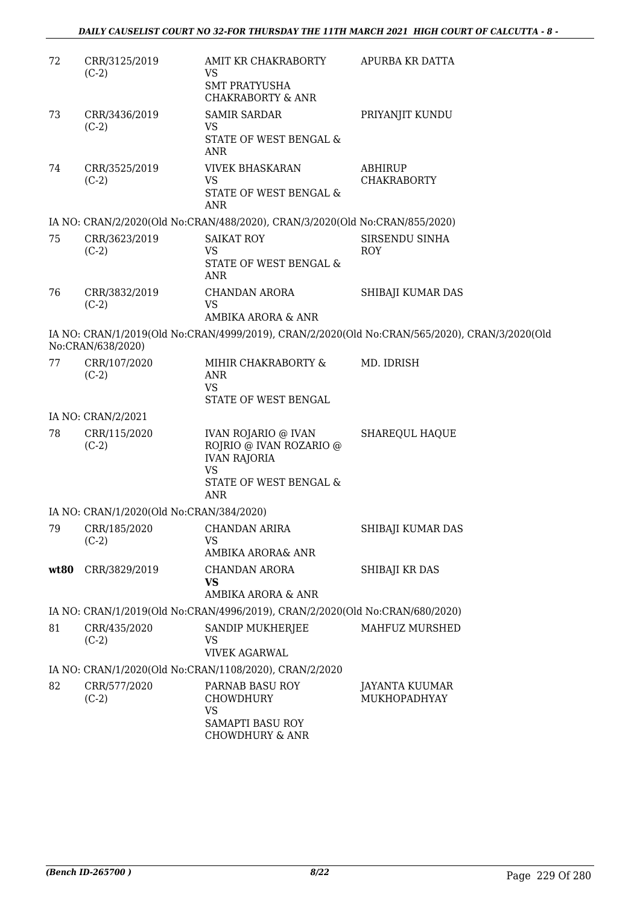| 72   | CRR/3125/2019<br>$(C-2)$                 | AMIT KR CHAKRABORTY<br><b>VS</b><br><b>SMT PRATYUSHA</b>                                                            | APURBA KR DATTA                                                                               |
|------|------------------------------------------|---------------------------------------------------------------------------------------------------------------------|-----------------------------------------------------------------------------------------------|
|      |                                          | <b>CHAKRABORTY &amp; ANR</b>                                                                                        |                                                                                               |
| 73   | CRR/3436/2019<br>$(C-2)$                 | <b>SAMIR SARDAR</b><br><b>VS</b><br>STATE OF WEST BENGAL &<br>ANR                                                   | PRIYANJIT KUNDU                                                                               |
| 74   | CRR/3525/2019<br>$(C-2)$                 | <b>VIVEK BHASKARAN</b><br><b>VS</b><br><b>STATE OF WEST BENGAL &amp;</b><br><b>ANR</b>                              | ABHIRUP<br><b>CHAKRABORTY</b>                                                                 |
|      |                                          | IA NO: CRAN/2/2020(Old No:CRAN/488/2020), CRAN/3/2020(Old No:CRAN/855/2020)                                         |                                                                                               |
| 75   | CRR/3623/2019<br>$(C-2)$                 | <b>SAIKAT ROY</b><br><b>VS</b><br>STATE OF WEST BENGAL &<br><b>ANR</b>                                              | SIRSENDU SINHA<br><b>ROY</b>                                                                  |
| 76   | CRR/3832/2019<br>$(C-2)$                 | <b>CHANDAN ARORA</b><br><b>VS</b><br>AMBIKA ARORA & ANR                                                             | SHIBAJI KUMAR DAS                                                                             |
|      | No:CRAN/638/2020)                        |                                                                                                                     | IA NO: CRAN/1/2019(Old No:CRAN/4999/2019), CRAN/2/2020(Old No:CRAN/565/2020), CRAN/3/2020(Old |
| 77   | CRR/107/2020<br>$(C-2)$                  | MIHIR CHAKRABORTY &<br><b>ANR</b><br><b>VS</b><br>STATE OF WEST BENGAL                                              | MD. IDRISH                                                                                    |
|      | IA NO: CRAN/2/2021                       |                                                                                                                     |                                                                                               |
| 78   | CRR/115/2020<br>$(C-2)$                  | IVAN ROJARIO @ IVAN<br>ROJRIO @ IVAN ROZARIO @<br><b>IVAN RAJORIA</b><br>VS<br>STATE OF WEST BENGAL &<br><b>ANR</b> | <b>SHAREQUL HAQUE</b>                                                                         |
|      | IA NO: CRAN/1/2020(Old No:CRAN/384/2020) |                                                                                                                     |                                                                                               |
| 79   | CRR/185/2020<br>$(C-2)$                  | CHANDAN ARIRA<br>VS<br>AMBIKA ARORA& ANR                                                                            | SHIBAJI KUMAR DAS                                                                             |
| wt80 | CRR/3829/2019                            | <b>CHANDAN ARORA</b><br><b>VS</b><br>AMBIKA ARORA & ANR                                                             | SHIBAJI KR DAS                                                                                |
|      |                                          | IA NO: CRAN/1/2019(Old No:CRAN/4996/2019), CRAN/2/2020(Old No:CRAN/680/2020)                                        |                                                                                               |
| 81   | CRR/435/2020<br>$(C-2)$                  | SANDIP MUKHERJEE<br><b>VS</b><br><b>VIVEK AGARWAL</b>                                                               | MAHFUZ MURSHED                                                                                |
|      |                                          | IA NO: CRAN/1/2020(Old No:CRAN/1108/2020), CRAN/2/2020                                                              |                                                                                               |
| 82   | CRR/577/2020<br>$(C-2)$                  | PARNAB BASU ROY<br>CHOWDHURY<br><b>VS</b><br>SAMAPTI BASU ROY<br><b>CHOWDHURY &amp; ANR</b>                         | JAYANTA KUUMAR<br>MUKHOPADHYAY                                                                |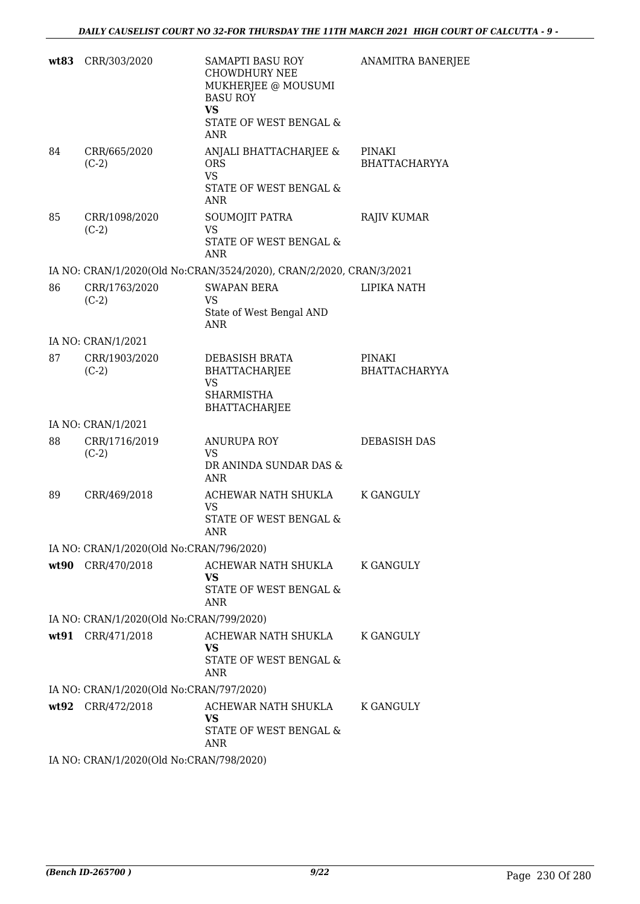| wt83 | CRR/303/2020                             | SAMAPTI BASU ROY<br><b>CHOWDHURY NEE</b><br>MUKHERJEE @ MOUSUMI<br><b>BASU ROY</b><br><b>VS</b><br>STATE OF WEST BENGAL &<br><b>ANR</b> | ANAMITRA BANERJEE              |
|------|------------------------------------------|-----------------------------------------------------------------------------------------------------------------------------------------|--------------------------------|
| 84   | CRR/665/2020<br>$(C-2)$                  | ANJALI BHATTACHARJEE &<br><b>ORS</b><br><b>VS</b><br>STATE OF WEST BENGAL &<br><b>ANR</b>                                               | PINAKI<br><b>BHATTACHARYYA</b> |
| 85   | CRR/1098/2020<br>$(C-2)$                 | SOUMOJIT PATRA<br><b>VS</b><br>STATE OF WEST BENGAL &<br><b>ANR</b>                                                                     | <b>RAJIV KUMAR</b>             |
|      |                                          | IA NO: CRAN/1/2020(Old No:CRAN/3524/2020), CRAN/2/2020, CRAN/3/2021                                                                     |                                |
| 86   | CRR/1763/2020<br>$(C-2)$                 | <b>SWAPAN BERA</b><br><b>VS</b><br>State of West Bengal AND<br><b>ANR</b>                                                               | LIPIKA NATH                    |
|      | IA NO: CRAN/1/2021                       |                                                                                                                                         |                                |
| 87   | CRR/1903/2020<br>$(C-2)$                 | DEBASISH BRATA<br>BHATTACHARJEE<br><b>VS</b><br><b>SHARMISTHA</b><br><b>BHATTACHARJEE</b>                                               | PINAKI<br><b>BHATTACHARYYA</b> |
|      | IA NO: CRAN/1/2021                       |                                                                                                                                         |                                |
| 88   | CRR/1716/2019<br>$(C-2)$                 | <b>ANURUPA ROY</b><br><b>VS</b><br>DR ANINDA SUNDAR DAS &<br><b>ANR</b>                                                                 | <b>DEBASISH DAS</b>            |
| 89   | CRR/469/2018                             | ACHEWAR NATH SHUKLA K GANGULY<br>VS.<br>STATE OF WEST BENGAL &<br>ANR                                                                   |                                |
|      | IA NO: CRAN/1/2020(Old No:CRAN/796/2020) |                                                                                                                                         |                                |
|      | wt90 CRR/470/2018                        | ACHEWAR NATH SHUKLA<br><b>VS</b><br>STATE OF WEST BENGAL &<br><b>ANR</b>                                                                | <b>K GANGULY</b>               |
|      | IA NO: CRAN/1/2020(Old No:CRAN/799/2020) |                                                                                                                                         |                                |
|      | wt91 CRR/471/2018                        | ACHEWAR NATH SHUKLA<br><b>VS</b><br>STATE OF WEST BENGAL &<br><b>ANR</b>                                                                | K GANGULY                      |
|      | IA NO: CRAN/1/2020(Old No:CRAN/797/2020) |                                                                                                                                         |                                |
|      | wt92 CRR/472/2018                        | ACHEWAR NATH SHUKLA<br><b>VS</b><br>STATE OF WEST BENGAL &<br><b>ANR</b>                                                                | <b>K GANGULY</b>               |
|      | IA NO: CRAN/1/2020(Old No:CRAN/798/2020) |                                                                                                                                         |                                |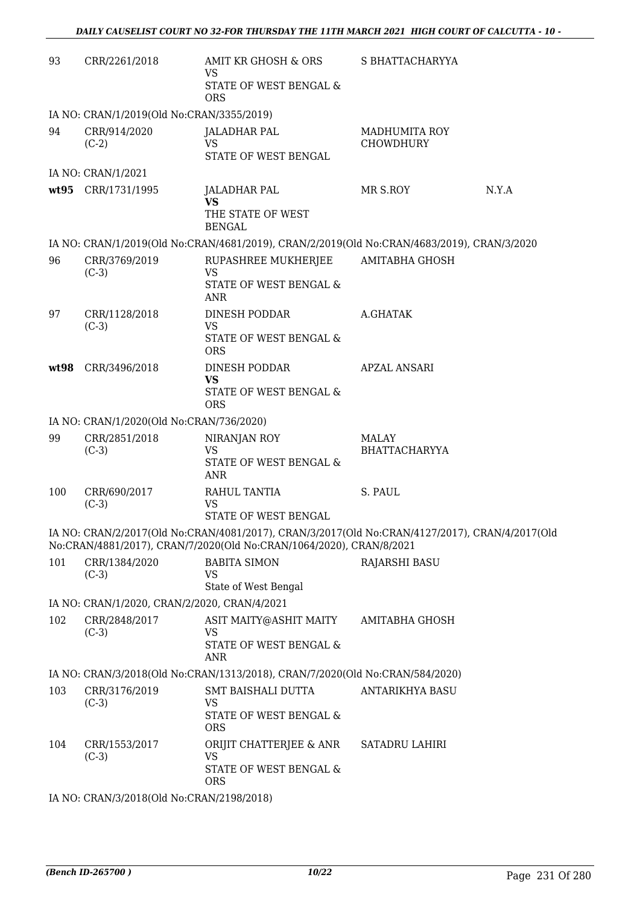| 93   | CRR/2261/2018                                | AMIT KR GHOSH & ORS<br><b>VS</b><br>STATE OF WEST BENGAL &<br><b>ORS</b>                                                                                              | S BHATTACHARYYA                          |       |
|------|----------------------------------------------|-----------------------------------------------------------------------------------------------------------------------------------------------------------------------|------------------------------------------|-------|
|      | IA NO: CRAN/1/2019(Old No:CRAN/3355/2019)    |                                                                                                                                                                       |                                          |       |
| 94   | CRR/914/2020<br>$(C-2)$                      | JALADHAR PAL<br><b>VS</b><br>STATE OF WEST BENGAL                                                                                                                     | <b>MADHUMITA ROY</b><br><b>CHOWDHURY</b> |       |
|      | IA NO: CRAN/1/2021                           |                                                                                                                                                                       |                                          |       |
|      | wt95 CRR/1731/1995                           | JALADHAR PAL<br><b>VS</b><br>THE STATE OF WEST<br><b>BENGAL</b>                                                                                                       | MR S.ROY                                 | N.Y.A |
|      |                                              | IA NO: CRAN/1/2019(Old No:CRAN/4681/2019), CRAN/2/2019(Old No:CRAN/4683/2019), CRAN/3/2020                                                                            |                                          |       |
| 96   | CRR/3769/2019<br>$(C-3)$                     | RUPASHREE MUKHERJEE<br><b>VS</b><br><b>STATE OF WEST BENGAL &amp;</b><br><b>ANR</b>                                                                                   | AMITABHA GHOSH                           |       |
| 97   | CRR/1128/2018<br>$(C-3)$                     | DINESH PODDAR<br><b>VS</b><br>STATE OF WEST BENGAL &<br><b>ORS</b>                                                                                                    | A.GHATAK                                 |       |
| wt98 | CRR/3496/2018                                | DINESH PODDAR<br>VS<br>STATE OF WEST BENGAL &<br><b>ORS</b>                                                                                                           | <b>APZAL ANSARI</b>                      |       |
|      | IA NO: CRAN/1/2020(Old No:CRAN/736/2020)     |                                                                                                                                                                       |                                          |       |
| 99   | CRR/2851/2018<br>$(C-3)$                     | NIRANJAN ROY<br><b>VS</b><br>STATE OF WEST BENGAL &<br><b>ANR</b>                                                                                                     | <b>MALAY</b><br><b>BHATTACHARYYA</b>     |       |
| 100  | CRR/690/2017<br>$(C-3)$                      | RAHUL TANTIA<br><b>VS</b><br>STATE OF WEST BENGAL                                                                                                                     | S. PAUL                                  |       |
|      |                                              | IA NO: CRAN/2/2017(Old No:CRAN/4081/2017), CRAN/3/2017(Old No:CRAN/4127/2017), CRAN/4/2017(Old<br>No:CRAN/4881/2017), CRAN/7/2020(Old No:CRAN/1064/2020), CRAN/8/2021 |                                          |       |
| 101  | CRR/1384/2020<br>$(C-3)$                     | <b>BABITA SIMON</b><br><b>VS</b><br>State of West Bengal                                                                                                              | <b>RAJARSHI BASU</b>                     |       |
|      | IA NO: CRAN/1/2020, CRAN/2/2020, CRAN/4/2021 |                                                                                                                                                                       |                                          |       |
| 102  | CRR/2848/2017<br>$(C-3)$                     | ASIT MAITY@ASHIT MAITY<br><b>VS</b><br>STATE OF WEST BENGAL &<br><b>ANR</b>                                                                                           | AMITABHA GHOSH                           |       |
|      |                                              | IA NO: CRAN/3/2018(Old No:CRAN/1313/2018), CRAN/7/2020(Old No:CRAN/584/2020)                                                                                          |                                          |       |
| 103  | CRR/3176/2019<br>$(C-3)$                     | <b>SMT BAISHALI DUTTA</b><br><b>VS</b><br>STATE OF WEST BENGAL &<br><b>ORS</b>                                                                                        | <b>ANTARIKHYA BASU</b>                   |       |
| 104  | CRR/1553/2017<br>$(C-3)$                     | ORIJIT CHATTERJEE & ANR<br><b>VS</b><br>STATE OF WEST BENGAL &<br><b>ORS</b>                                                                                          | SATADRU LAHIRI                           |       |
|      | IA NO: CRAN/3/2018(Old No:CRAN/2198/2018)    |                                                                                                                                                                       |                                          |       |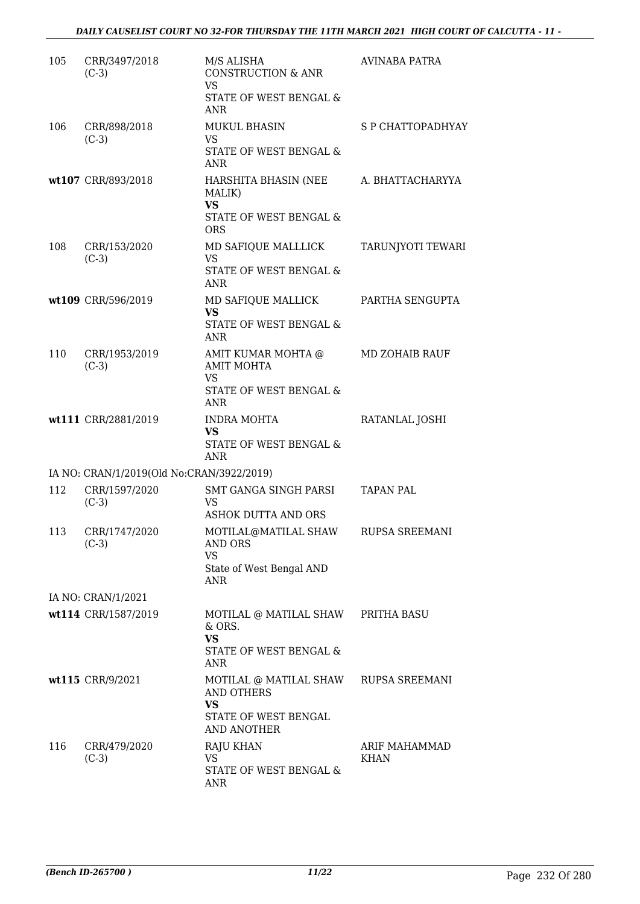| 105 | CRR/3497/2018<br>$(C-3)$                  | M/S ALISHA<br><b>CONSTRUCTION &amp; ANR</b><br>VS<br>STATE OF WEST BENGAL &<br><b>ANR</b>         | <b>AVINABA PATRA</b>         |
|-----|-------------------------------------------|---------------------------------------------------------------------------------------------------|------------------------------|
| 106 | CRR/898/2018<br>$(C-3)$                   | <b>MUKUL BHASIN</b><br><b>VS</b><br>STATE OF WEST BENGAL &<br><b>ANR</b>                          | S P CHATTOPADHYAY            |
|     | wt107 CRR/893/2018                        | HARSHITA BHASIN (NEE<br>MALIK)<br><b>VS</b><br>STATE OF WEST BENGAL &<br><b>ORS</b>               | A. BHATTACHARYYA             |
| 108 | CRR/153/2020<br>$(C-3)$                   | MD SAFIQUE MALLLICK<br>VS.<br>STATE OF WEST BENGAL &<br><b>ANR</b>                                | TARUNJYOTI TEWARI            |
|     | wt109 CRR/596/2019                        | MD SAFIQUE MALLICK<br><b>VS</b><br>STATE OF WEST BENGAL &<br><b>ANR</b>                           | PARTHA SENGUPTA              |
| 110 | CRR/1953/2019<br>$(C-3)$                  | AMIT KUMAR MOHTA @<br><b>AMIT MOHTA</b><br><b>VS</b><br>STATE OF WEST BENGAL &<br><b>ANR</b>      | MD ZOHAIB RAUF               |
|     | wt111 CRR/2881/2019                       | INDRA MOHTA<br><b>VS</b><br>STATE OF WEST BENGAL &<br><b>ANR</b>                                  | RATANLAL JOSHI               |
|     | IA NO: CRAN/1/2019(Old No:CRAN/3922/2019) |                                                                                                   |                              |
| 112 | CRR/1597/2020<br>$(C-3)$                  | SMT GANGA SINGH PARSI<br><b>VS</b><br><b>ASHOK DUTTA AND ORS</b>                                  | <b>TAPAN PAL</b>             |
| 113 | CRR/1747/2020<br>$(C-3)$                  | MOTILAL@MATILAL SHAW<br>AND ORS<br><b>VS</b><br>State of West Bengal AND<br><b>ANR</b>            | RUPSA SREEMANI               |
|     | IA NO: CRAN/1/2021                        |                                                                                                   |                              |
|     | wt114 CRR/1587/2019                       | MOTILAL @ MATILAL SHAW PRITHA BASU<br>& ORS.<br><b>VS</b><br>STATE OF WEST BENGAL &<br><b>ANR</b> |                              |
|     | wt115 CRR/9/2021                          | MOTILAL @ MATILAL SHAW<br><b>AND OTHERS</b><br><b>VS</b><br>STATE OF WEST BENGAL<br>AND ANOTHER   | <b>RUPSA SREEMANI</b>        |
| 116 | CRR/479/2020<br>$(C-3)$                   | <b>RAJU KHAN</b><br>VS.<br>STATE OF WEST BENGAL &<br><b>ANR</b>                                   | ARIF MAHAMMAD<br><b>KHAN</b> |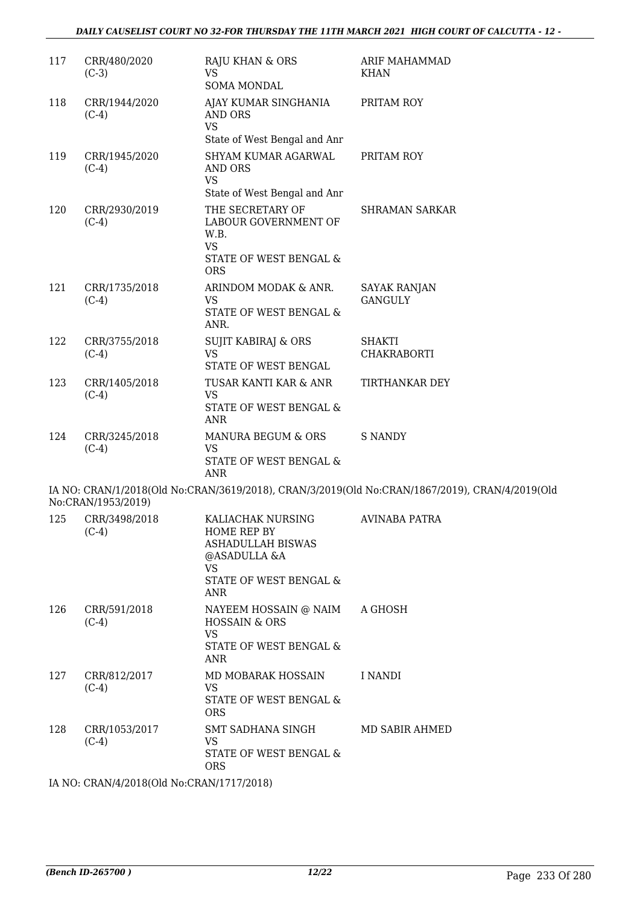| 117 | CRR/480/2020<br>$(C-3)$  | RAJU KHAN & ORS<br><b>VS</b><br>SOMA MONDAL                                                                                | <b>ARIF MAHAMMAD</b><br><b>KHAN</b>                                                            |
|-----|--------------------------|----------------------------------------------------------------------------------------------------------------------------|------------------------------------------------------------------------------------------------|
| 118 | CRR/1944/2020<br>$(C-4)$ | AJAY KUMAR SINGHANIA<br>AND ORS<br><b>VS</b><br>State of West Bengal and Anr                                               | PRITAM ROY                                                                                     |
| 119 | CRR/1945/2020<br>$(C-4)$ | SHYAM KUMAR AGARWAL<br>AND ORS<br><b>VS</b><br>State of West Bengal and Anr                                                | PRITAM ROY                                                                                     |
| 120 | CRR/2930/2019<br>$(C-4)$ | THE SECRETARY OF<br>LABOUR GOVERNMENT OF<br>W.B.<br><b>VS</b><br>STATE OF WEST BENGAL &<br><b>ORS</b>                      | <b>SHRAMAN SARKAR</b>                                                                          |
| 121 | CRR/1735/2018<br>$(C-4)$ | ARINDOM MODAK & ANR.<br><b>VS</b><br>STATE OF WEST BENGAL &<br>ANR.                                                        | <b>SAYAK RANJAN</b><br><b>GANGULY</b>                                                          |
| 122 | CRR/3755/2018<br>$(C-4)$ | <b>SUJIT KABIRAJ &amp; ORS</b><br><b>VS</b><br>STATE OF WEST BENGAL                                                        | <b>SHAKTI</b><br><b>CHAKRABORTI</b>                                                            |
| 123 | CRR/1405/2018<br>$(C-4)$ | TUSAR KANTI KAR & ANR<br><b>VS</b><br>STATE OF WEST BENGAL &<br><b>ANR</b>                                                 | TIRTHANKAR DEY                                                                                 |
| 124 | CRR/3245/2018<br>$(C-4)$ | MANURA BEGUM & ORS<br><b>VS</b><br>STATE OF WEST BENGAL &<br><b>ANR</b>                                                    | <b>S NANDY</b>                                                                                 |
|     | No:CRAN/1953/2019)       |                                                                                                                            | IA NO: CRAN/1/2018(Old No:CRAN/3619/2018), CRAN/3/2019(Old No:CRAN/1867/2019), CRAN/4/2019(Old |
| 125 | CRR/3498/2018<br>$(C-4)$ | KALIACHAK NURSING<br>HOME REP BY<br>ASHADULLAH BISWAS<br>@ASADULLA &A<br><b>VS</b><br>STATE OF WEST BENGAL &<br><b>ANR</b> | <b>AVINABA PATRA</b>                                                                           |
| 126 | CRR/591/2018<br>$(C-4)$  | NAYEEM HOSSAIN @ NAIM<br><b>HOSSAIN &amp; ORS</b><br><b>VS</b><br>STATE OF WEST BENGAL &<br><b>ANR</b>                     | A GHOSH                                                                                        |
| 127 | CRR/812/2017<br>$(C-4)$  | MD MOBARAK HOSSAIN<br><b>VS</b><br>STATE OF WEST BENGAL &<br><b>ORS</b>                                                    | I NANDI                                                                                        |
| 128 | CRR/1053/2017<br>$(C-4)$ | SMT SADHANA SINGH<br><b>VS</b><br>STATE OF WEST BENGAL &<br><b>ORS</b>                                                     | MD SABIR AHMED                                                                                 |

IA NO: CRAN/4/2018(Old No:CRAN/1717/2018)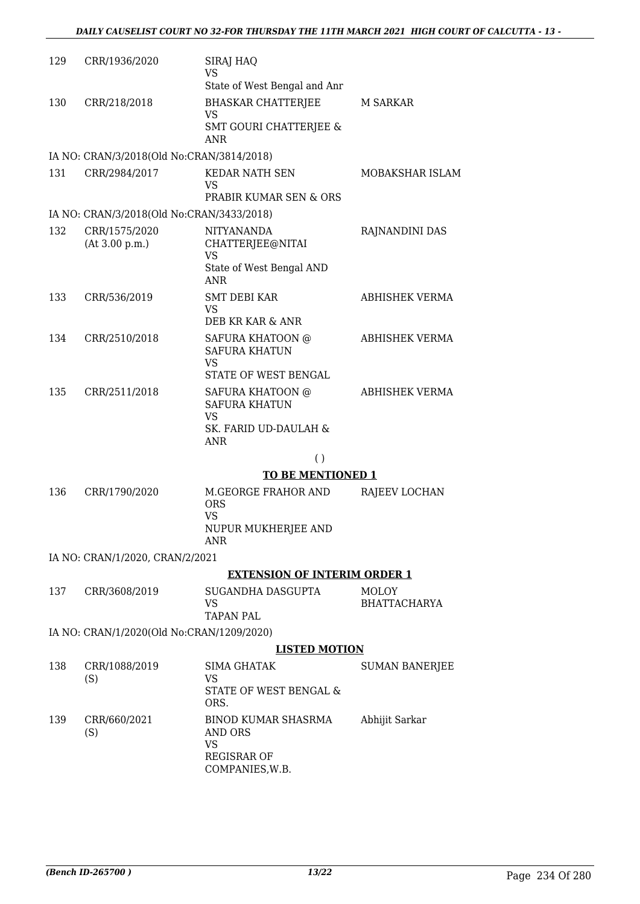| 129 | CRR/1936/2020                             | <b>SIRAJ HAQ</b><br><b>VS</b>                                |                       |
|-----|-------------------------------------------|--------------------------------------------------------------|-----------------------|
|     |                                           | State of West Bengal and Anr                                 |                       |
| 130 | CRR/218/2018                              | <b>BHASKAR CHATTERJEE</b><br>VS                              | M SARKAR              |
|     |                                           | <b>SMT GOURI CHATTERJEE &amp;</b><br><b>ANR</b>              |                       |
|     | IA NO: CRAN/3/2018(Old No:CRAN/3814/2018) |                                                              |                       |
| 131 | CRR/2984/2017                             | <b>KEDAR NATH SEN</b><br><b>VS</b>                           | MOBAKSHAR ISLAM       |
|     |                                           | PRABIR KUMAR SEN & ORS                                       |                       |
|     | IA NO: CRAN/3/2018(Old No:CRAN/3433/2018) |                                                              |                       |
| 132 | CRR/1575/2020<br>(At 3.00 p.m.)           | <b>NITYANANDA</b><br>CHATTERJEE@NITAI<br><b>VS</b>           | RAJNANDINI DAS        |
|     |                                           | State of West Bengal AND<br><b>ANR</b>                       |                       |
| 133 | CRR/536/2019                              | <b>SMT DEBI KAR</b><br><b>VS</b>                             | <b>ABHISHEK VERMA</b> |
|     |                                           | DEB KR KAR & ANR                                             |                       |
| 134 | CRR/2510/2018                             | <b>SAFURA KHATOON @</b><br><b>SAFURA KHATUN</b><br><b>VS</b> | ABHISHEK VERMA        |
|     |                                           | STATE OF WEST BENGAL                                         |                       |
| 135 | CRR/2511/2018                             | <b>SAFURA KHATOON @</b><br><b>SAFURA KHATUN</b>              | ABHISHEK VERMA        |
|     |                                           | <b>VS</b><br>SK. FARID UD-DAULAH &<br><b>ANR</b>             |                       |
|     |                                           | (                                                            |                       |

#### $\left( \right)$

### **TO BE MENTIONED 1**

136 CRR/1790/2020 M.GEORGE FRAHOR AND ORS VS NUPUR MUKHERJEE AND ANR RAJEEV LOCHAN

#### IA NO: CRAN/1/2020, CRAN/2/2021

#### **EXTENSION OF INTERIM ORDER 1**

137 CRR/3608/2019 SUGANDHA DASGUPTA VS TAPAN PAL MOLOY BHATTACHARYA

IA NO: CRAN/1/2020(Old No:CRAN/1209/2020)

#### **LISTED MOTION**

| 138 | CRR/1088/2019<br>(S) | SIMA GHATAK<br>VS<br>STATE OF WEST BENGAL &<br>ORS.                           | <b>SUMAN BANERJEE</b> |
|-----|----------------------|-------------------------------------------------------------------------------|-----------------------|
| 139 | CRR/660/2021<br>(S)  | BINOD KUMAR SHASRMA<br>AND ORS<br>VS<br><b>REGISRAR OF</b><br>COMPANIES, W.B. | Abhijit Sarkar        |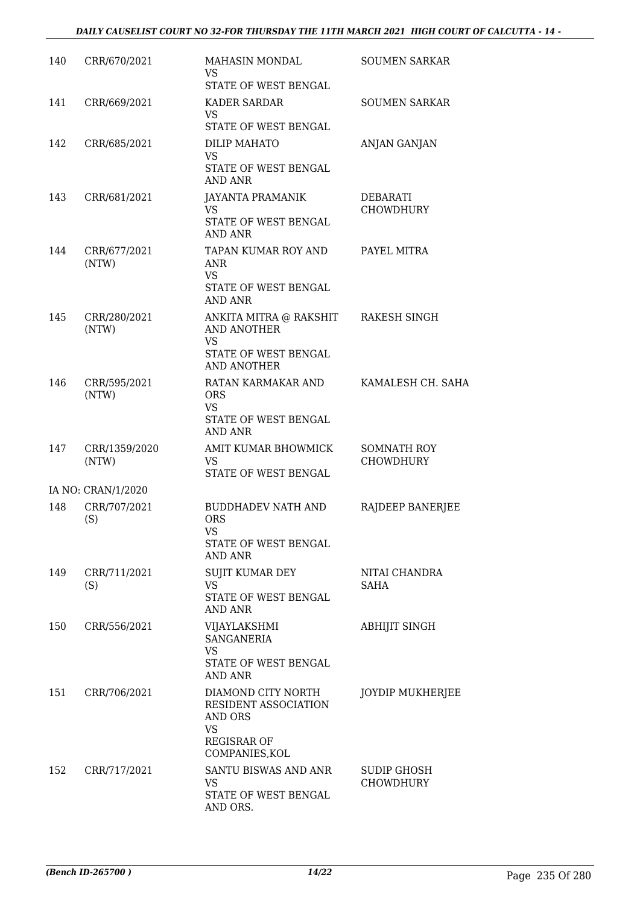| 140 | CRR/670/2021           | MAHASIN MONDAL<br><b>VS</b><br>STATE OF WEST BENGAL                                                                   | <b>SOUMEN SARKAR</b>                   |
|-----|------------------------|-----------------------------------------------------------------------------------------------------------------------|----------------------------------------|
| 141 | CRR/669/2021           | <b>KADER SARDAR</b><br><b>VS</b><br>STATE OF WEST BENGAL                                                              | <b>SOUMEN SARKAR</b>                   |
| 142 | CRR/685/2021           | DILIP MAHATO<br><b>VS</b><br>STATE OF WEST BENGAL<br><b>AND ANR</b>                                                   | ANJAN GANJAN                           |
| 143 | CRR/681/2021           | <b>JAYANTA PRAMANIK</b><br><b>VS</b><br>STATE OF WEST BENGAL<br><b>AND ANR</b>                                        | <b>DEBARATI</b><br><b>CHOWDHURY</b>    |
| 144 | CRR/677/2021<br>(NTW)  | TAPAN KUMAR ROY AND<br><b>ANR</b><br><b>VS</b><br>STATE OF WEST BENGAL<br>AND ANR                                     | PAYEL MITRA                            |
| 145 | CRR/280/2021<br>(NTW)  | ANKITA MITRA @ RAKSHIT<br><b>AND ANOTHER</b><br><b>VS</b><br>STATE OF WEST BENGAL<br><b>AND ANOTHER</b>               | <b>RAKESH SINGH</b>                    |
| 146 | CRR/595/2021<br>(NTW)  | RATAN KARMAKAR AND<br><b>ORS</b><br><b>VS</b><br>STATE OF WEST BENGAL<br>AND ANR                                      | KAMALESH CH. SAHA                      |
| 147 | CRR/1359/2020<br>(NTW) | AMIT KUMAR BHOWMICK<br>VS.<br>STATE OF WEST BENGAL                                                                    | <b>SOMNATH ROY</b><br><b>CHOWDHURY</b> |
|     | IA NO: CRAN/1/2020     |                                                                                                                       |                                        |
| 148 | CRR/707/2021<br>(S)    | <b>BUDDHADEV NATH AND</b><br><b>ORS</b><br><b>VS</b><br>STATE OF WEST BENGAL<br><b>AND ANR</b>                        | RAJDEEP BANERJEE                       |
| 149 | CRR/711/2021<br>(S)    | SUJIT KUMAR DEY<br>VS.<br>STATE OF WEST BENGAL<br>AND ANR                                                             | NITAI CHANDRA<br>SAHA                  |
| 150 | CRR/556/2021           | VIJAYLAKSHMI<br><b>SANGANERIA</b><br><b>VS</b><br>STATE OF WEST BENGAL                                                | <b>ABHIJIT SINGH</b>                   |
| 151 | CRR/706/2021           | AND ANR<br>DIAMOND CITY NORTH<br>RESIDENT ASSOCIATION<br>AND ORS<br><b>VS</b><br><b>REGISRAR OF</b><br>COMPANIES, KOL | <b>JOYDIP MUKHERJEE</b>                |
| 152 | CRR/717/2021           | SANTU BISWAS AND ANR<br>VS<br>STATE OF WEST BENGAL<br>AND ORS.                                                        | SUDIP GHOSH<br><b>CHOWDHURY</b>        |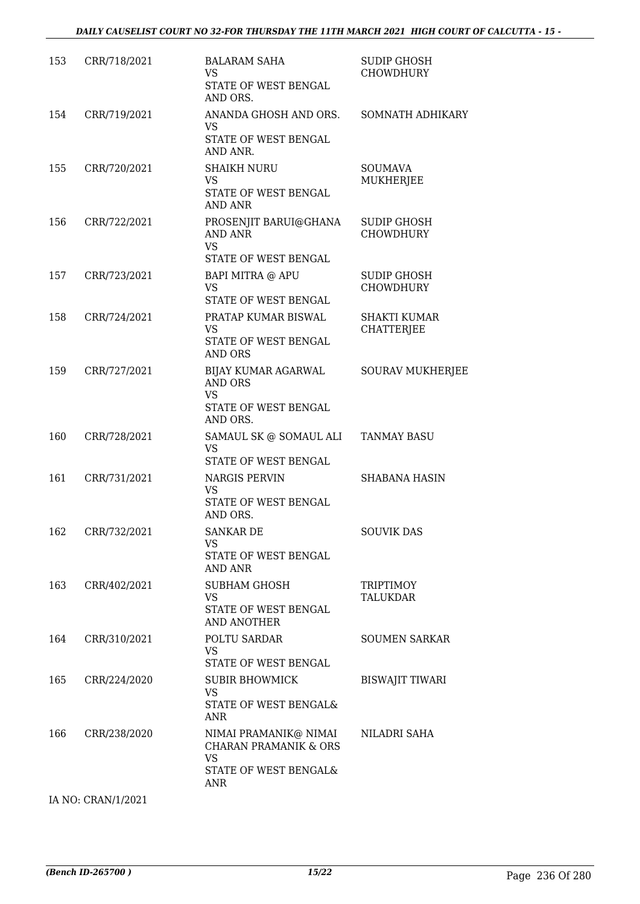| 153 | CRR/718/2021 | <b>BALARAM SAHA</b><br>VS.<br>STATE OF WEST BENGAL<br>AND ORS.                                                | <b>SUDIP GHOSH</b><br><b>CHOWDHURY</b>   |
|-----|--------------|---------------------------------------------------------------------------------------------------------------|------------------------------------------|
| 154 | CRR/719/2021 | ANANDA GHOSH AND ORS.<br><b>VS</b><br>STATE OF WEST BENGAL<br>AND ANR.                                        | SOMNATH ADHIKARY                         |
| 155 | CRR/720/2021 | <b>SHAIKH NURU</b><br><b>VS</b><br>STATE OF WEST BENGAL<br><b>AND ANR</b>                                     | <b>SOUMAVA</b><br><b>MUKHERJEE</b>       |
| 156 | CRR/722/2021 | PROSENJIT BARUI@GHANA<br>AND ANR<br><b>VS</b><br>STATE OF WEST BENGAL                                         | <b>SUDIP GHOSH</b><br><b>CHOWDHURY</b>   |
| 157 | CRR/723/2021 | <b>BAPI MITRA @ APU</b><br><b>VS</b><br>STATE OF WEST BENGAL                                                  | <b>SUDIP GHOSH</b><br><b>CHOWDHURY</b>   |
| 158 | CRR/724/2021 | PRATAP KUMAR BISWAL<br><b>VS</b><br>STATE OF WEST BENGAL<br><b>AND ORS</b>                                    | <b>SHAKTI KUMAR</b><br><b>CHATTERJEE</b> |
| 159 | CRR/727/2021 | BIJAY KUMAR AGARWAL<br>AND ORS<br><b>VS</b><br>STATE OF WEST BENGAL<br>AND ORS.                               | <b>SOURAV MUKHERJEE</b>                  |
| 160 | CRR/728/2021 | SAMAUL SK @ SOMAUL ALI<br><b>VS</b><br>STATE OF WEST BENGAL                                                   | <b>TANMAY BASU</b>                       |
| 161 | CRR/731/2021 | <b>NARGIS PERVIN</b><br><b>VS</b><br>STATE OF WEST BENGAL<br>AND ORS.                                         | <b>SHABANA HASIN</b>                     |
| 162 | CRR/732/2021 | <b>SANKAR DE</b><br><b>VS</b><br>STATE OF WEST BENGAL<br>AND ANR                                              | <b>SOUVIK DAS</b>                        |
| 163 | CRR/402/2021 | SUBHAM GHOSH<br><b>VS</b><br>STATE OF WEST BENGAL<br><b>AND ANOTHER</b>                                       | TRIPTIMOY<br><b>TALUKDAR</b>             |
| 164 | CRR/310/2021 | POLTU SARDAR<br><b>VS</b><br>STATE OF WEST BENGAL                                                             | <b>SOUMEN SARKAR</b>                     |
| 165 | CRR/224/2020 | SUBIR BHOWMICK<br><b>VS</b><br>STATE OF WEST BENGAL&<br><b>ANR</b>                                            | <b>BISWAJIT TIWARI</b>                   |
| 166 | CRR/238/2020 | NIMAI PRAMANIK@ NIMAI<br><b>CHARAN PRAMANIK &amp; ORS</b><br><b>VS</b><br>STATE OF WEST BENGAL&<br><b>ANR</b> | NILADRI SAHA                             |

IA NO: CRAN/1/2021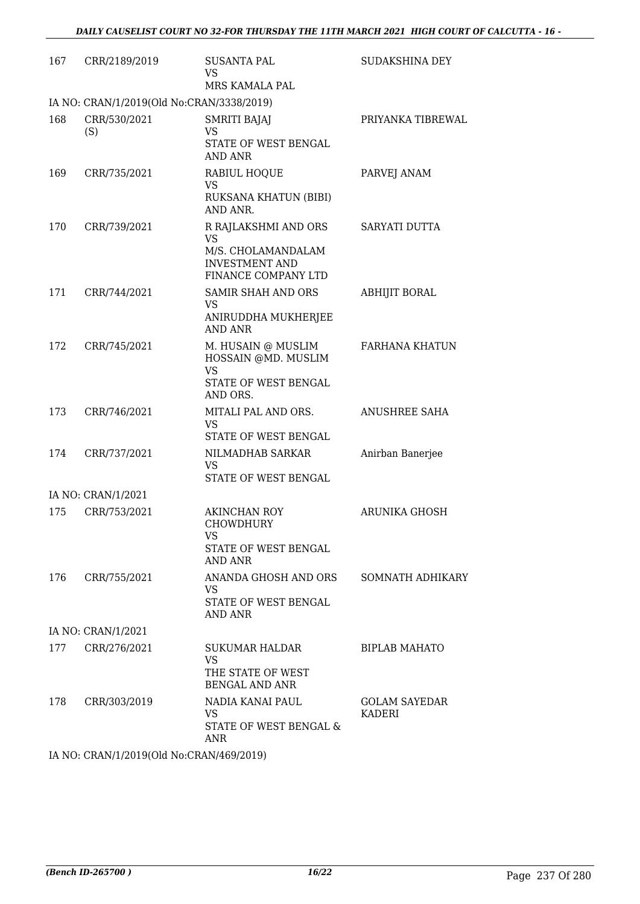| 167 | CRR/2189/2019                             | <b>SUSANTA PAL</b><br>VS<br>MRS KAMALA PAL                                                                     | SUDAKSHINA DEY                 |
|-----|-------------------------------------------|----------------------------------------------------------------------------------------------------------------|--------------------------------|
|     | IA NO: CRAN/1/2019(Old No:CRAN/3338/2019) |                                                                                                                |                                |
| 168 | CRR/530/2021<br>(S)                       | <b>SMRITI BAJAJ</b><br><b>VS</b><br>STATE OF WEST BENGAL<br><b>AND ANR</b>                                     | PRIYANKA TIBREWAL              |
| 169 | CRR/735/2021                              | RABIUL HOQUE<br>VS<br>RUKSANA KHATUN (BIBI)<br>AND ANR.                                                        | PARVEJ ANAM                    |
| 170 | CRR/739/2021                              | R RAJLAKSHMI AND ORS<br><b>VS</b><br>M/S. CHOLAMANDALAM<br><b>INVESTMENT AND</b><br><b>FINANCE COMPANY LTD</b> | SARYATI DUTTA                  |
| 171 | CRR/744/2021                              | <b>SAMIR SHAH AND ORS</b><br><b>VS</b><br>ANIRUDDHA MUKHERJEE<br><b>AND ANR</b>                                | <b>ABHIJIT BORAL</b>           |
| 172 | CRR/745/2021                              | M. HUSAIN @ MUSLIM<br>HOSSAIN @MD. MUSLIM<br><b>VS</b><br>STATE OF WEST BENGAL<br>AND ORS.                     | <b>FARHANA KHATUN</b>          |
| 173 | CRR/746/2021                              | MITALI PAL AND ORS.<br><b>VS</b><br>STATE OF WEST BENGAL                                                       | ANUSHREE SAHA                  |
| 174 | CRR/737/2021                              | NILMADHAB SARKAR<br>VS<br>STATE OF WEST BENGAL                                                                 | Anirban Banerjee               |
|     | IA NO: CRAN/1/2021                        |                                                                                                                |                                |
| 175 | CRR/753/2021                              | AKINCHAN ROY<br><b>CHOWDHURY</b><br>VS<br>STATE OF WEST BENGAL<br>AND ANR                                      | <b>ARUNIKA GHOSH</b>           |
| 176 | CRR/755/2021                              | ANANDA GHOSH AND ORS<br><b>VS</b><br>STATE OF WEST BENGAL<br>AND ANR                                           | SOMNATH ADHIKARY               |
|     | IA NO: CRAN/1/2021                        |                                                                                                                |                                |
| 177 | CRR/276/2021                              | SUKUMAR HALDAR<br><b>VS</b><br>THE STATE OF WEST<br><b>BENGAL AND ANR</b>                                      | <b>BIPLAB MAHATO</b>           |
| 178 | CRR/303/2019                              | NADIA KANAI PAUL<br><b>VS</b><br>STATE OF WEST BENGAL &<br>ANR                                                 | <b>GOLAM SAYEDAR</b><br>KADERI |
|     | IA NO. CRANI1/2010(Old No.CRANI460/2010)  |                                                                                                                |                                |

IA NO: CRAN/1/2019(Old No:CRAN/469/2019)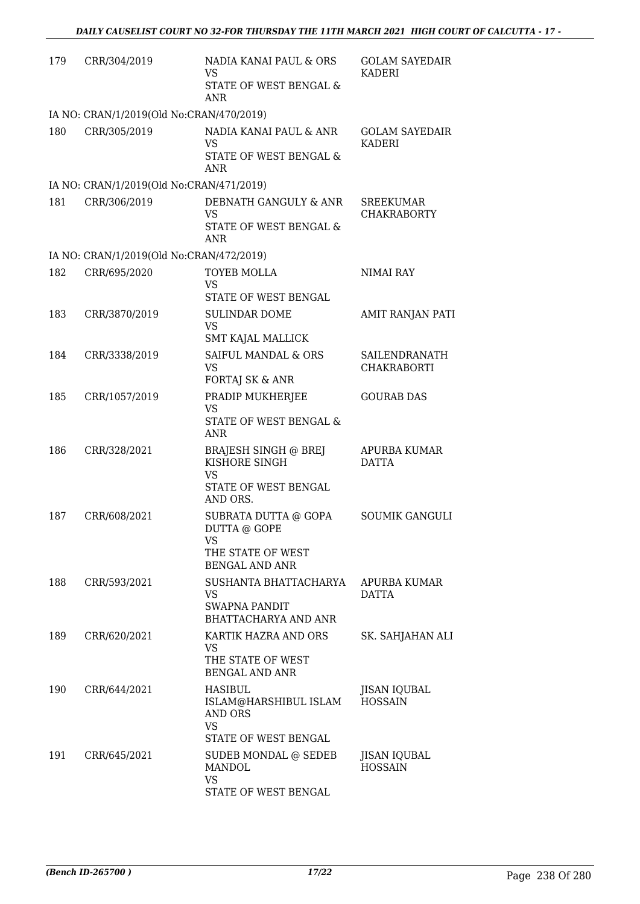| 179 | CRR/304/2019                             | NADIA KANAI PAUL & ORS<br><b>VS</b><br>STATE OF WEST BENGAL &<br>ANR             | <b>GOLAM SAYEDAIR</b><br>KADERI        |
|-----|------------------------------------------|----------------------------------------------------------------------------------|----------------------------------------|
|     | IA NO: CRAN/1/2019(Old No:CRAN/470/2019) |                                                                                  |                                        |
| 180 | CRR/305/2019                             | NADIA KANAI PAUL & ANR<br><b>VS</b>                                              | <b>GOLAM SAYEDAIR</b><br>KADERI        |
|     |                                          | STATE OF WEST BENGAL &<br><b>ANR</b>                                             |                                        |
|     | IA NO: CRAN/1/2019(Old No:CRAN/471/2019) |                                                                                  |                                        |
| 181 | CRR/306/2019                             | DEBNATH GANGULY & ANR<br><b>VS</b><br>STATE OF WEST BENGAL &<br><b>ANR</b>       | <b>SREEKUMAR</b><br><b>CHAKRABORTY</b> |
|     | IA NO: CRAN/1/2019(Old No:CRAN/472/2019) |                                                                                  |                                        |
| 182 | CRR/695/2020                             | <b>TOYEB MOLLA</b>                                                               | <b>NIMAI RAY</b>                       |
|     |                                          | <b>VS</b><br>STATE OF WEST BENGAL                                                |                                        |
| 183 | CRR/3870/2019                            | <b>SULINDAR DOME</b>                                                             | AMIT RANJAN PATI                       |
|     |                                          | <b>VS</b>                                                                        |                                        |
|     |                                          | SMT KAJAL MALLICK<br>SAIFUL MANDAL & ORS                                         |                                        |
| 184 | CRR/3338/2019                            | <b>VS</b><br>FORTAJ SK & ANR                                                     | SAILENDRANATH<br><b>CHAKRABORTI</b>    |
| 185 | CRR/1057/2019                            | PRADIP MUKHERJEE                                                                 | <b>GOURAB DAS</b>                      |
|     |                                          | <b>VS</b><br>STATE OF WEST BENGAL &<br><b>ANR</b>                                |                                        |
| 186 | CRR/328/2021                             | <b>BRAJESH SINGH @ BREJ</b><br>KISHORE SINGH<br><b>VS</b>                        | APURBA KUMAR<br><b>DATTA</b>           |
|     |                                          | STATE OF WEST BENGAL<br>AND ORS.                                                 |                                        |
| 187 | CRR/608/2021                             | SUBRATA DUTTA @ GOPA<br>DUTTA @ GOPE<br><b>VS</b>                                | <b>SOUMIK GANGULI</b>                  |
|     |                                          | THE STATE OF WEST<br><b>BENGAL AND ANR</b>                                       |                                        |
| 188 | CRR/593/2021                             | SUSHANTA BHATTACHARYA<br><b>VS</b>                                               | APURBA KUMAR<br><b>DATTA</b>           |
|     |                                          | SWAPNA PANDIT<br>BHATTACHARYA AND ANR                                            |                                        |
| 189 | CRR/620/2021                             | KARTIK HAZRA AND ORS<br><b>VS</b><br>THE STATE OF WEST                           | SK. SAHJAHAN ALI                       |
|     |                                          | <b>BENGAL AND ANR</b>                                                            |                                        |
| 190 | CRR/644/2021                             | HASIBUL<br>ISLAM@HARSHIBUL ISLAM<br>AND ORS<br><b>VS</b><br>STATE OF WEST BENGAL | <b>JISAN IQUBAL</b><br><b>HOSSAIN</b>  |
| 191 | CRR/645/2021                             | SUDEB MONDAL @ SEDEB<br>MANDOL<br><b>VS</b>                                      | JISAN IQUBAL<br><b>HOSSAIN</b>         |
|     |                                          | STATE OF WEST BENGAL                                                             |                                        |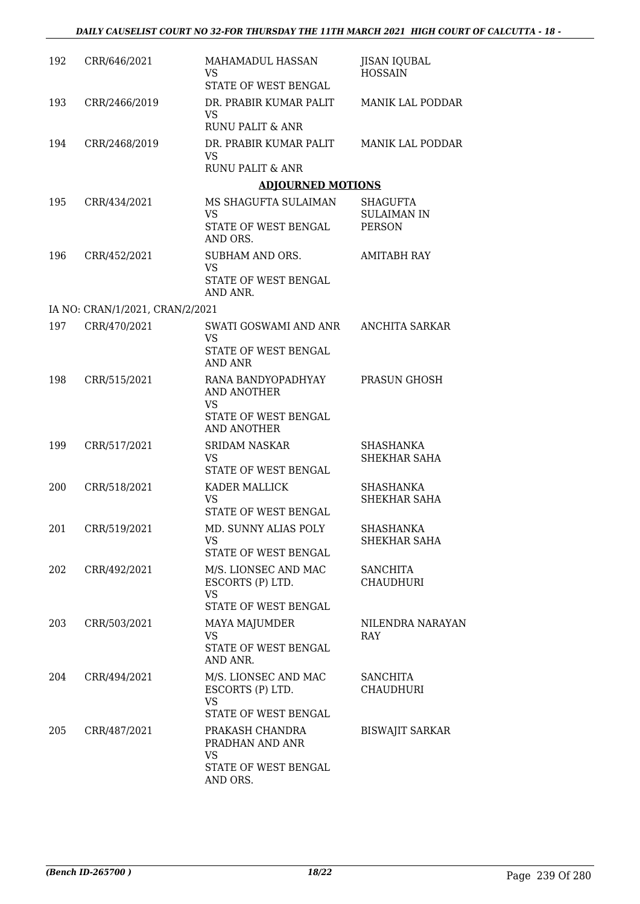| 192 | CRR/646/2021                    | MAHAMADUL HASSAN<br>VS.<br>STATE OF WEST BENGAL                                                     | <b>JISAN IQUBAL</b><br><b>HOSSAIN</b>           |
|-----|---------------------------------|-----------------------------------------------------------------------------------------------------|-------------------------------------------------|
| 193 | CRR/2466/2019                   | DR. PRABIR KUMAR PALIT<br>VS.<br>RUNU PALIT & ANR                                                   | <b>MANIK LAL PODDAR</b>                         |
| 194 | CRR/2468/2019                   | DR. PRABIR KUMAR PALIT<br><b>VS</b>                                                                 | <b>MANIK LAL PODDAR</b>                         |
|     |                                 | RUNU PALIT & ANR                                                                                    |                                                 |
|     |                                 | <b>ADJOURNED MOTIONS</b>                                                                            |                                                 |
| 195 | CRR/434/2021                    | MS SHAGUFTA SULAIMAN<br><b>VS</b><br>STATE OF WEST BENGAL<br>AND ORS.                               | SHAGUFTA<br><b>SULAIMAN IN</b><br><b>PERSON</b> |
| 196 | CRR/452/2021                    | SUBHAM AND ORS.<br><b>VS</b><br>STATE OF WEST BENGAL                                                | <b>AMITABH RAY</b>                              |
|     |                                 | AND ANR.                                                                                            |                                                 |
|     | IA NO: CRAN/1/2021, CRAN/2/2021 |                                                                                                     |                                                 |
| 197 | CRR/470/2021                    | SWATI GOSWAMI AND ANR ANCHITA SARKAR<br><b>VS</b><br>STATE OF WEST BENGAL                           |                                                 |
|     |                                 | AND ANR                                                                                             |                                                 |
| 198 | CRR/515/2021                    | RANA BANDYOPADHYAY<br><b>AND ANOTHER</b><br><b>VS</b><br>STATE OF WEST BENGAL<br><b>AND ANOTHER</b> | PRASUN GHOSH                                    |
| 199 | CRR/517/2021                    | <b>SRIDAM NASKAR</b><br><b>VS</b><br>STATE OF WEST BENGAL                                           | <b>SHASHANKA</b><br>SHEKHAR SAHA                |
| 200 | CRR/518/2021                    | KADER MALLICK<br><b>VS</b><br>STATE OF WEST BENGAL                                                  | SHASHANKA<br>SHEKHAR SAHA                       |
| 201 | CRR/519/2021                    | MD. SUNNY ALIAS POLY<br><b>VS</b><br>STATE OF WEST BENGAL                                           | <b>SHASHANKA</b><br>SHEKHAR SAHA                |
| 202 | CRR/492/2021                    | M/S. LIONSEC AND MAC<br>ESCORTS (P) LTD.<br><b>VS</b><br>STATE OF WEST BENGAL                       | <b>SANCHITA</b><br><b>CHAUDHURI</b>             |
| 203 | CRR/503/2021                    | MAYA MAJUMDER<br>VS<br>STATE OF WEST BENGAL<br>AND ANR.                                             | NILENDRA NARAYAN<br><b>RAY</b>                  |
| 204 | CRR/494/2021                    | M/S. LIONSEC AND MAC<br>ESCORTS (P) LTD.<br><b>VS</b><br>STATE OF WEST BENGAL                       | <b>SANCHITA</b><br><b>CHAUDHURI</b>             |
| 205 | CRR/487/2021                    | PRAKASH CHANDRA<br>PRADHAN AND ANR<br><b>VS</b><br>STATE OF WEST BENGAL                             | <b>BISWAJIT SARKAR</b>                          |
|     |                                 | AND ORS.                                                                                            |                                                 |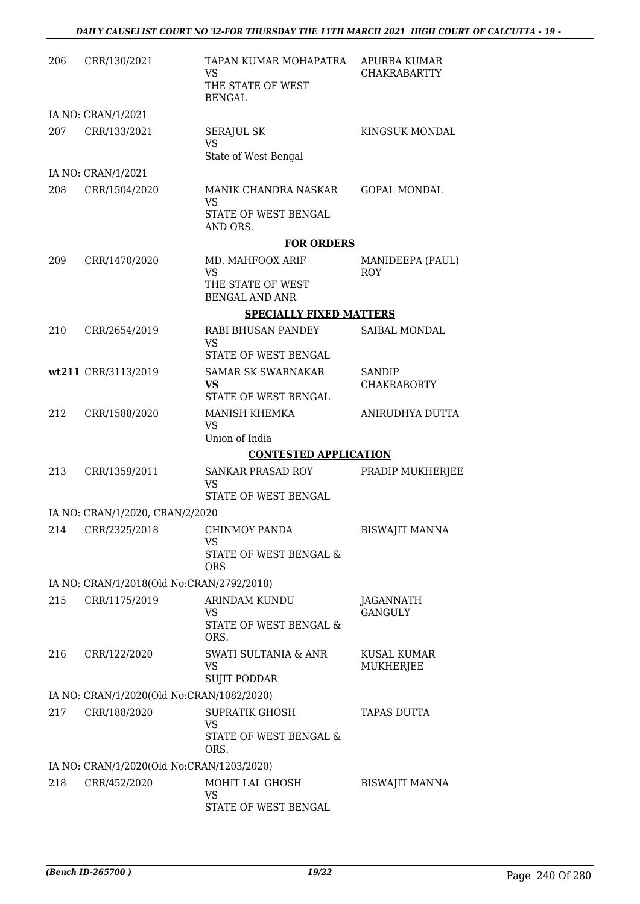| 206 | CRR/130/2021                              | TAPAN KUMAR MOHAPATRA<br><b>VS</b><br>THE STATE OF WEST<br><b>BENGAL</b> | APURBA KUMAR<br><b>CHAKRABARTTY</b> |
|-----|-------------------------------------------|--------------------------------------------------------------------------|-------------------------------------|
|     | IA NO: CRAN/1/2021                        |                                                                          |                                     |
| 207 | CRR/133/2021                              | <b>SERAJUL SK</b><br><b>VS</b>                                           | KINGSUK MONDAL                      |
|     | IA NO: CRAN/1/2021                        | State of West Bengal                                                     |                                     |
| 208 | CRR/1504/2020                             | MANIK CHANDRA NASKAR                                                     | <b>GOPAL MONDAL</b>                 |
|     |                                           | <b>VS</b><br>STATE OF WEST BENGAL                                        |                                     |
|     |                                           | AND ORS.                                                                 |                                     |
|     |                                           | <b>FOR ORDERS</b>                                                        |                                     |
| 209 | CRR/1470/2020                             | MD. MAHFOOX ARIF<br><b>VS</b>                                            | MANIDEEPA (PAUL)<br><b>ROY</b>      |
|     |                                           | THE STATE OF WEST<br><b>BENGAL AND ANR</b>                               |                                     |
|     |                                           | <b>SPECIALLY FIXED MATTERS</b>                                           |                                     |
| 210 | CRR/2654/2019                             | RABI BHUSAN PANDEY<br><b>VS</b>                                          | SAIBAL MONDAL                       |
|     |                                           | STATE OF WEST BENGAL                                                     |                                     |
|     | wt211 CRR/3113/2019                       | <b>SAMAR SK SWARNAKAR</b><br>VS.                                         | <b>SANDIP</b><br><b>CHAKRABORTY</b> |
|     |                                           | STATE OF WEST BENGAL                                                     |                                     |
| 212 | CRR/1588/2020                             | MANISH KHEMKA<br><b>VS</b><br>Union of India                             | ANIRUDHYA DUTTA                     |
|     |                                           | <b>CONTESTED APPLICATION</b>                                             |                                     |
| 213 | CRR/1359/2011                             | <b>SANKAR PRASAD ROY</b>                                                 | PRADIP MUKHERJEE                    |
|     |                                           | <b>VS</b><br>STATE OF WEST BENGAL                                        |                                     |
|     | IA NO: CRAN/1/2020, CRAN/2/2020           |                                                                          |                                     |
| 214 | CRR/2325/2018                             | CHINMOY PANDA<br>VS                                                      | <b>BISWAJIT MANNA</b>               |
|     |                                           | STATE OF WEST BENGAL &<br><b>ORS</b>                                     |                                     |
|     | IA NO: CRAN/1/2018(Old No:CRAN/2792/2018) |                                                                          |                                     |
| 215 | CRR/1175/2019                             | ARINDAM KUNDU                                                            | <b>JAGANNATH</b>                    |
|     |                                           | VS<br>STATE OF WEST BENGAL &<br>ORS.                                     | <b>GANGULY</b>                      |
| 216 | CRR/122/2020                              | SWATI SULTANIA & ANR<br>VS<br><b>SUJIT PODDAR</b>                        | <b>KUSAL KUMAR</b><br>MUKHERJEE     |
|     | IA NO: CRAN/1/2020(Old No:CRAN/1082/2020) |                                                                          |                                     |
| 217 | CRR/188/2020                              | <b>SUPRATIK GHOSH</b><br>VS<br>STATE OF WEST BENGAL &                    | <b>TAPAS DUTTA</b>                  |
|     |                                           | ORS.                                                                     |                                     |
|     | IA NO: CRAN/1/2020(Old No:CRAN/1203/2020) |                                                                          |                                     |
| 218 | CRR/452/2020                              | MOHIT LAL GHOSH<br>VS<br>STATE OF WEST BENGAL                            | <b>BISWAJIT MANNA</b>               |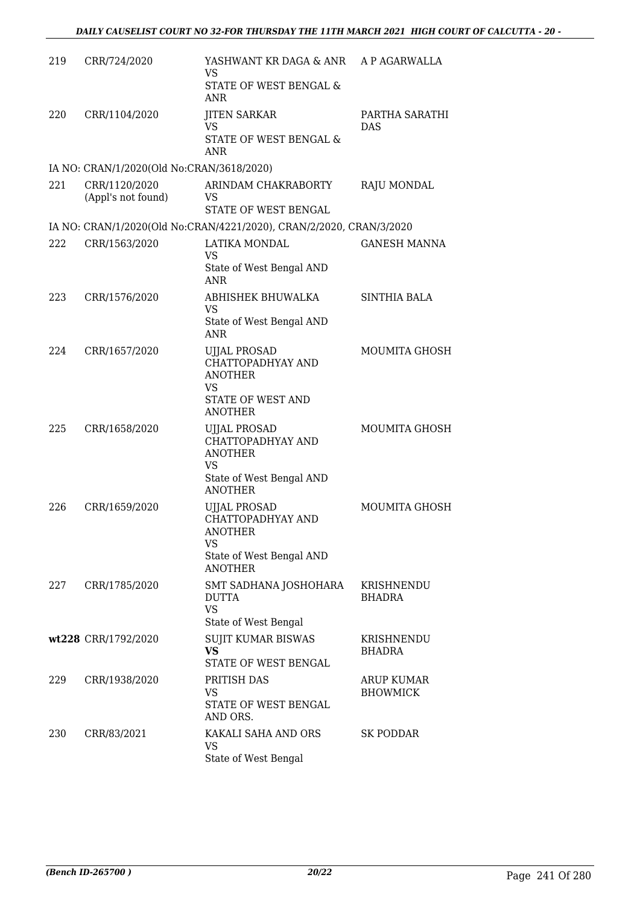| 219  | CRR/724/2020                              | YASHWANT KR DAGA & ANR A P AGARWALLA<br><b>VS</b><br>STATE OF WEST BENGAL &<br><b>ANR</b>                      |                               |
|------|-------------------------------------------|----------------------------------------------------------------------------------------------------------------|-------------------------------|
| 220  | CRR/1104/2020                             | <b>JITEN SARKAR</b><br><b>VS</b><br>STATE OF WEST BENGAL &<br><b>ANR</b>                                       | PARTHA SARATHI<br>DAS         |
|      | IA NO: CRAN/1/2020(Old No:CRAN/3618/2020) |                                                                                                                |                               |
| 22.1 | CRR/1120/2020<br>(Appl's not found)       | ARINDAM CHAKRABORTY<br><b>VS</b><br>STATE OF WEST BENGAL                                                       | RAJU MONDAL                   |
|      |                                           | IA NO: CRAN/1/2020(Old No:CRAN/4221/2020), CRAN/2/2020, CRAN/3/2020                                            |                               |
| 222  | CRR/1563/2020                             | LATIKA MONDAL<br><b>VS</b><br>State of West Bengal AND                                                         | <b>GANESH MANNA</b>           |
|      |                                           | <b>ANR</b>                                                                                                     |                               |
| 223  | CRR/1576/2020                             | ABHISHEK BHUWALKA<br><b>VS</b><br>State of West Bengal AND                                                     | <b>SINTHIA BALA</b>           |
|      |                                           | <b>ANR</b>                                                                                                     |                               |
| 224  | CRR/1657/2020                             | <b>UJJAL PROSAD</b><br>CHATTOPADHYAY AND<br><b>ANOTHER</b><br><b>VS</b><br>STATE OF WEST AND                   | <b>MOUMITA GHOSH</b>          |
|      |                                           | <b>ANOTHER</b>                                                                                                 |                               |
| 225  | CRR/1658/2020                             | <b>UJJAL PROSAD</b><br>CHATTOPADHYAY AND<br><b>ANOTHER</b><br><b>VS</b><br>State of West Bengal AND            | <b>MOUMITA GHOSH</b>          |
|      |                                           | <b>ANOTHER</b>                                                                                                 |                               |
| 226  | CRR/1659/2020                             | <b>UJJAL PROSAD</b><br>CHATTOPADHYAY AND<br><b>ANOTHER</b><br>VS<br>State of West Bengal AND<br><b>ANOTHER</b> | <b>MOUMITA GHOSH</b>          |
| 227  | CRR/1785/2020                             | SMT SADHANA JOSHOHARA<br><b>DUTTA</b><br><b>VS</b>                                                             | KRISHNENDU<br><b>BHADRA</b>   |
|      | wt228 CRR/1792/2020                       | State of West Bengal<br><b>SUJIT KUMAR BISWAS</b>                                                              | KRISHNENDU                    |
|      |                                           | <b>VS</b><br><b>STATE OF WEST BENGAL</b>                                                                       | <b>BHADRA</b>                 |
| 229  | CRR/1938/2020                             | PRITISH DAS<br><b>VS</b><br>STATE OF WEST BENGAL<br>AND ORS.                                                   | ARUP KUMAR<br><b>BHOWMICK</b> |
| 230  | CRR/83/2021                               | KAKALI SAHA AND ORS<br><b>VS</b><br>State of West Bengal                                                       | SK PODDAR                     |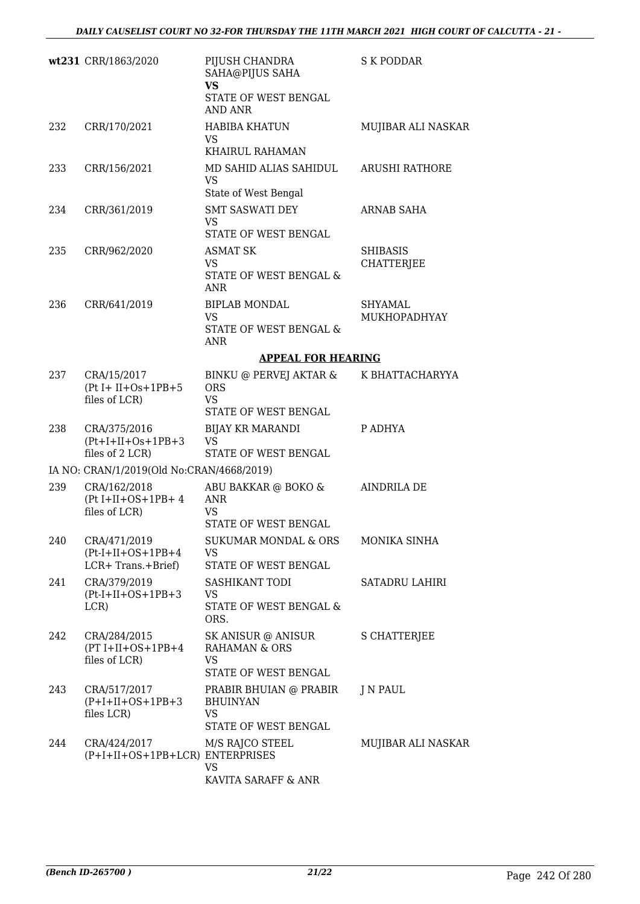|     | wt231 CRR/1863/2020                                         | PIJUSH CHANDRA<br>SAHA@PIJUS SAHA<br><b>VS</b><br>STATE OF WEST BENGAL<br><b>AND ANR</b> | <b>S K PODDAR</b>                    |
|-----|-------------------------------------------------------------|------------------------------------------------------------------------------------------|--------------------------------------|
| 232 | CRR/170/2021                                                | <b>HABIBA KHATUN</b><br>VS.<br>KHAIRUL RAHAMAN                                           | MUJIBAR ALI NASKAR                   |
| 233 | CRR/156/2021                                                | MD SAHID ALIAS SAHIDUL<br><b>VS</b><br>State of West Bengal                              | <b>ARUSHI RATHORE</b>                |
| 234 | CRR/361/2019                                                | <b>SMT SASWATI DEY</b><br><b>VS</b><br>STATE OF WEST BENGAL                              | <b>ARNAB SAHA</b>                    |
| 235 | CRR/962/2020                                                | <b>ASMAT SK</b><br><b>VS</b><br>STATE OF WEST BENGAL &<br><b>ANR</b>                     | <b>SHIBASIS</b><br><b>CHATTERJEE</b> |
| 236 | CRR/641/2019                                                | <b>BIPLAB MONDAL</b><br><b>VS</b><br>STATE OF WEST BENGAL &<br><b>ANR</b>                | <b>SHYAMAL</b><br>MUKHOPADHYAY       |
|     |                                                             | <b>APPEAL FOR HEARING</b>                                                                |                                      |
| 237 | CRA/15/2017<br>$(Pt I + II + Os + 1PB + 5$<br>files of LCR) | BINKU @ PERVEJ AKTAR &<br><b>ORS</b><br><b>VS</b><br>STATE OF WEST BENGAL                | K BHATTACHARYYA                      |
| 238 | CRA/375/2016<br>$(Pt+I+II+Os+1PB+3$<br>files of 2 LCR)      | BIJAY KR MARANDI<br><b>VS</b><br>STATE OF WEST BENGAL                                    | P ADHYA                              |
|     | IA NO: CRAN/1/2019(Old No:CRAN/4668/2019)                   |                                                                                          |                                      |
| 239 | CRA/162/2018<br>$(Pt I+II+OS+1PB+4$<br>files of LCR)        | ABU BAKKAR @ BOKO &<br><b>ANR</b><br>VS<br>STATE OF WEST BENGAL                          | <b>AINDRILA DE</b>                   |
| 240 | CRA/471/2019<br>$(Pt-I+II+OS+1PB+4)$<br>LCR+ Trans.+Brief)  | SUKUMAR MONDAL & ORS<br>VS<br>STATE OF WEST BENGAL                                       | MONIKA SINHA                         |
| 241 | CRA/379/2019<br>$(Pt-I+II+OS+1PB+3)$<br>LCR)                | SASHIKANT TODI<br><b>VS</b><br>STATE OF WEST BENGAL &<br>ORS.                            | SATADRU LAHIRI                       |
| 242 | CRA/284/2015<br>$(PT I+II+OS+1PB+4$<br>files of LCR)        | SK ANISUR @ ANISUR<br><b>RAHAMAN &amp; ORS</b><br><b>VS</b><br>STATE OF WEST BENGAL      | <b>S CHATTERJEE</b>                  |
| 243 | CRA/517/2017<br>$(P+I+II+OS+1PB+3$<br>files LCR)            | PRABIR BHUIAN @ PRABIR<br><b>BHUINYAN</b><br><b>VS</b><br>STATE OF WEST BENGAL           | J N PAUL                             |
| 244 | CRA/424/2017<br>(P+I+II+OS+1PB+LCR) ENTERPRISES             | M/S RAJCO STEEL<br>VS<br>KAVITA SARAFF & ANR                                             | MUJIBAR ALI NASKAR                   |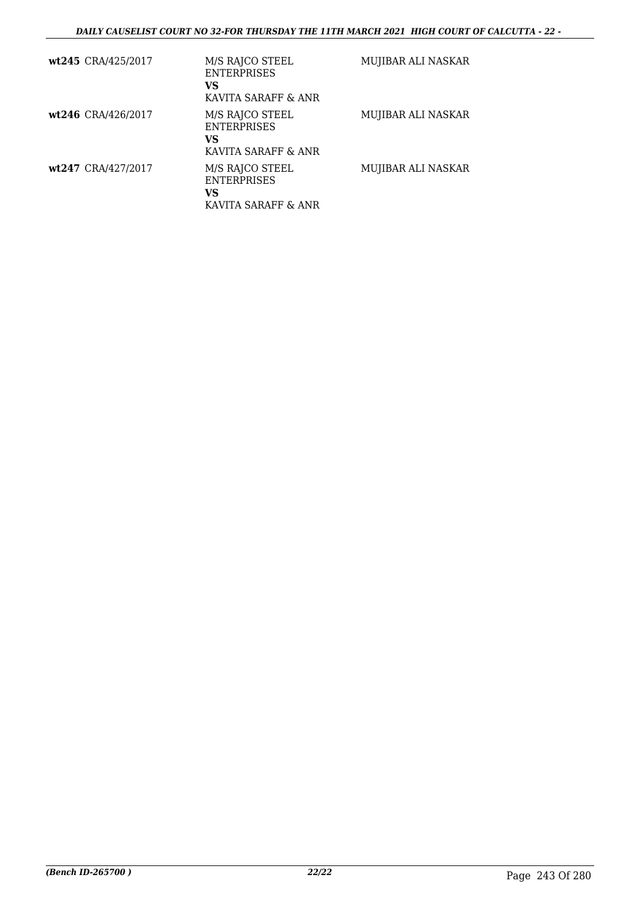| wt245 CRA/425/2017 | M/S RAJCO STEEL<br><b>ENTERPRISES</b><br>VS<br>KAVITA SARAFF & ANR | MUJIBAR ALI NASKAR |
|--------------------|--------------------------------------------------------------------|--------------------|
| wt246 CRA/426/2017 | M/S RAJCO STEEL<br><b>ENTERPRISES</b><br>VS<br>KAVITA SARAFF & ANR | MUJIBAR ALI NASKAR |
| wt247 CRA/427/2017 | M/S RAJCO STEEL<br><b>ENTERPRISES</b><br>VS<br>KAVITA SARAFF & ANR | MUJIBAR ALI NASKAR |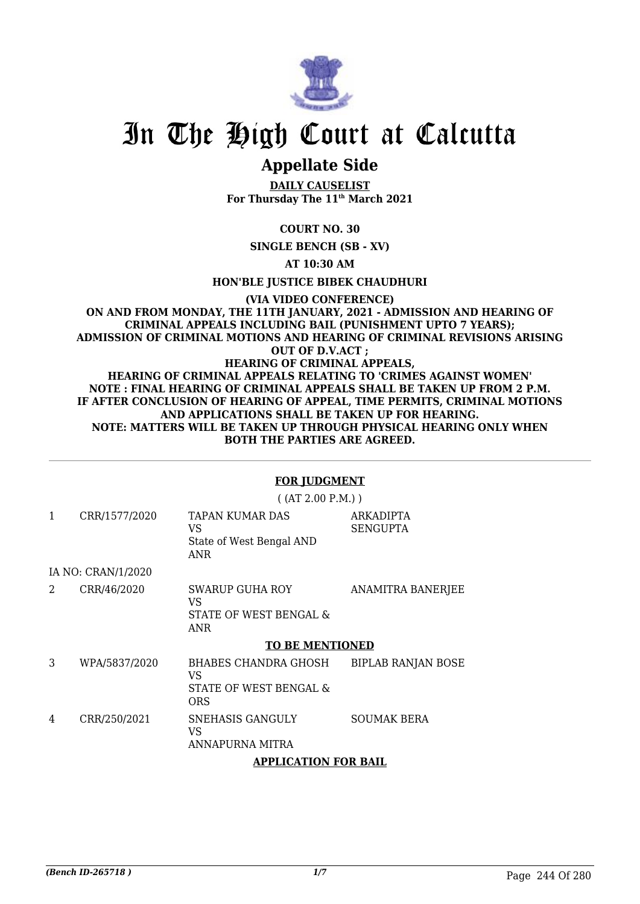

# In The High Court at Calcutta

# **Appellate Side**

**DAILY CAUSELIST For Thursday The 11th March 2021**

**COURT NO. 30**

**SINGLE BENCH (SB - XV)**

**AT 10:30 AM**

**HON'BLE JUSTICE BIBEK CHAUDHURI**

#### **(VIA VIDEO CONFERENCE) ON AND FROM MONDAY, THE 11TH JANUARY, 2021 - ADMISSION AND HEARING OF CRIMINAL APPEALS INCLUDING BAIL (PUNISHMENT UPTO 7 YEARS); ADMISSION OF CRIMINAL MOTIONS AND HEARING OF CRIMINAL REVISIONS ARISING OUT OF D.V.ACT ; HEARING OF CRIMINAL APPEALS, HEARING OF CRIMINAL APPEALS RELATING TO 'CRIMES AGAINST WOMEN' NOTE : FINAL HEARING OF CRIMINAL APPEALS SHALL BE TAKEN UP FROM 2 P.M. IF AFTER CONCLUSION OF HEARING OF APPEAL, TIME PERMITS, CRIMINAL MOTIONS AND APPLICATIONS SHALL BE TAKEN UP FOR HEARING. NOTE: MATTERS WILL BE TAKEN UP THROUGH PHYSICAL HEARING ONLY WHEN BOTH THE PARTIES ARE AGREED.**

### **FOR JUDGMENT**

( (AT 2.00 P.M.) )

| 1              | CRR/1577/2020      | TAPAN KUMAR DAS<br>VS<br>State of West Bengal AND<br>ANR           | <b>ARKADIPTA</b><br><b>SENGUPTA</b> |
|----------------|--------------------|--------------------------------------------------------------------|-------------------------------------|
|                | IA NO: CRAN/1/2020 |                                                                    |                                     |
| $\overline{2}$ | CRR/46/2020        | SWARUP GUHA ROY<br>VS<br>STATE OF WEST BENGAL &<br>ANR             | <b>ANAMITRA BANERJEE</b>            |
|                |                    | <b>TO BE MENTIONED</b>                                             |                                     |
| 3              | WPA/5837/2020      | BHABES CHANDRA GHOSH<br>VS<br>STATE OF WEST BENGAL &<br><b>ORS</b> | <b>BIPLAB RANJAN BOSE</b>           |
| 4              | CRR/250/2021       | SNEHASIS GANGULY<br>VS<br>ANNAPURNA MITRA                          | <b>SOUMAK BERA</b>                  |
|                |                    | A DDI IOATIONI FOD DAII                                            |                                     |

**APPLICATION FOR BAIL**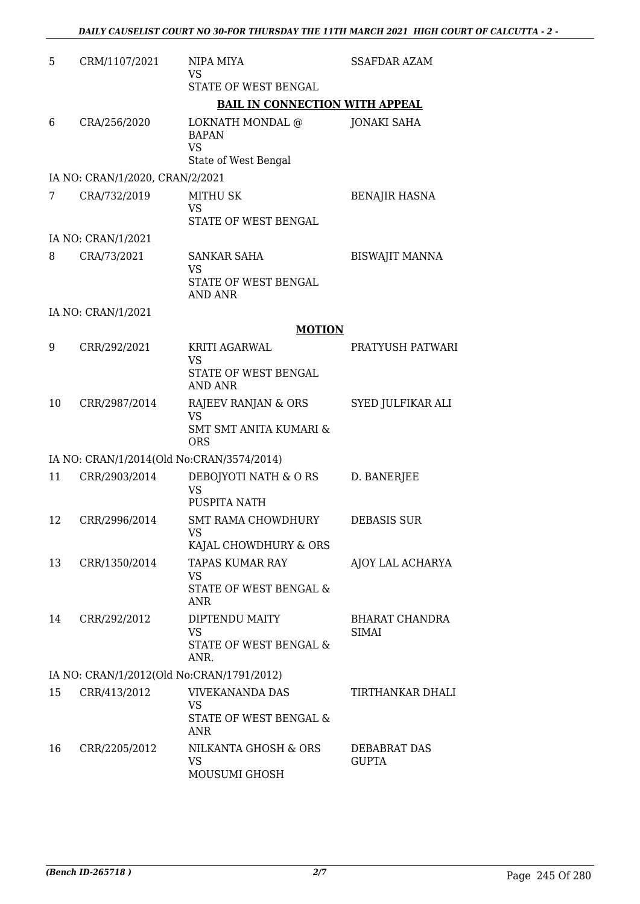| 5  | CRM/1107/2021                             | NIPA MIYA<br><b>VS</b>                                                              | <b>SSAFDAR AZAM</b>            |
|----|-------------------------------------------|-------------------------------------------------------------------------------------|--------------------------------|
|    |                                           | STATE OF WEST BENGAL                                                                |                                |
|    |                                           | <b>BAIL IN CONNECTION WITH APPEAL</b>                                               |                                |
| 6  | CRA/256/2020                              | <b>LOKNATH MONDAL @</b><br><b>BAPAN</b><br><b>VS</b><br>State of West Bengal        | <b>JONAKI SAHA</b>             |
|    | IA NO: CRAN/1/2020, CRAN/2/2021           |                                                                                     |                                |
| 7  | CRA/732/2019                              | <b>MITHU SK</b><br><b>VS</b><br>STATE OF WEST BENGAL                                | <b>BENAJIR HASNA</b>           |
|    | IA NO: CRAN/1/2021                        |                                                                                     |                                |
| 8  | CRA/73/2021                               | <b>SANKAR SAHA</b><br><b>VS</b><br>STATE OF WEST BENGAL<br><b>AND ANR</b>           | <b>BISWAJIT MANNA</b>          |
|    | IA NO: CRAN/1/2021                        |                                                                                     |                                |
|    |                                           | <b>MOTION</b>                                                                       |                                |
| 9  | CRR/292/2021                              | KRITI AGARWAL<br><b>VS</b><br>STATE OF WEST BENGAL<br><b>AND ANR</b>                | PRATYUSH PATWARI               |
| 10 | CRR/2987/2014                             | RAJEEV RANJAN & ORS<br><b>VS</b><br><b>SMT SMT ANITA KUMARI &amp;</b><br><b>ORS</b> | SYED JULFIKAR ALI              |
|    | IA NO: CRAN/1/2014(Old No:CRAN/3574/2014) |                                                                                     |                                |
| 11 | CRR/2903/2014                             | DEBOJYOTI NATH & ORS<br><b>VS</b><br>PUSPITA NATH                                   | D. BANERJEE                    |
| 12 | CRR/2996/2014                             | <b>SMT RAMA CHOWDHURY</b><br>VS.<br>KAJAL CHOWDHURY & ORS                           | <b>DEBASIS SUR</b>             |
| 13 | CRR/1350/2014                             | <b>TAPAS KUMAR RAY</b><br><b>VS</b><br>STATE OF WEST BENGAL &<br>ANR                | AJOY LAL ACHARYA               |
| 14 | CRR/292/2012                              | DIPTENDU MAITY<br>VS<br>STATE OF WEST BENGAL &<br>ANR.                              | <b>BHARAT CHANDRA</b><br>SIMAI |
|    | IA NO: CRAN/1/2012(Old No:CRAN/1791/2012) |                                                                                     |                                |
| 15 | CRR/413/2012                              | <b>VIVEKANANDA DAS</b><br><b>VS</b><br>STATE OF WEST BENGAL &<br><b>ANR</b>         | TIRTHANKAR DHALI               |
| 16 | CRR/2205/2012                             | NILKANTA GHOSH & ORS<br><b>VS</b><br>MOUSUMI GHOSH                                  | DEBABRAT DAS<br><b>GUPTA</b>   |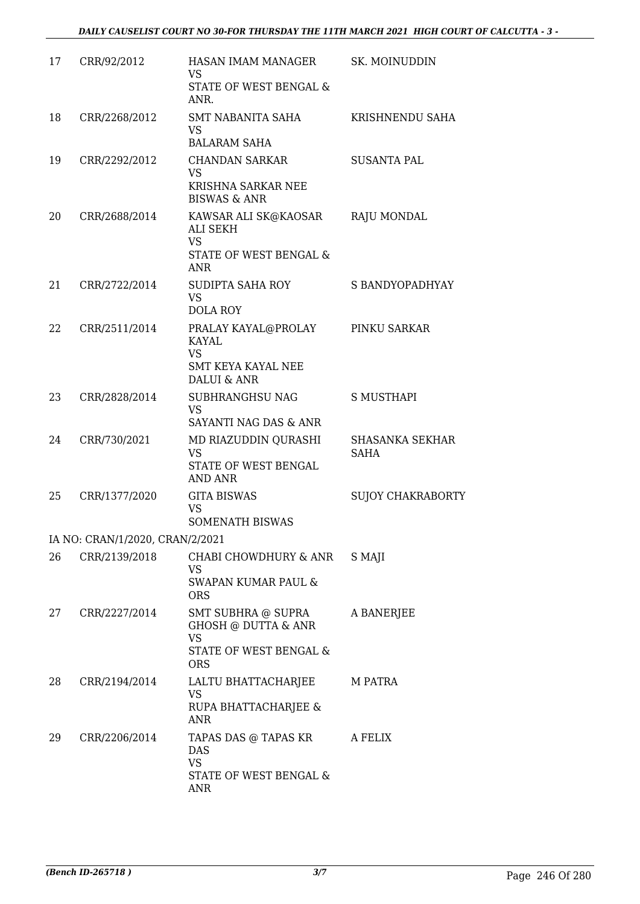| 17 | CRR/92/2012                     | HASAN IMAM MANAGER<br><b>VS</b><br>STATE OF WEST BENGAL &<br>ANR.                              | SK. MOINUDDIN                  |
|----|---------------------------------|------------------------------------------------------------------------------------------------|--------------------------------|
| 18 | CRR/2268/2012                   | <b>SMT NABANITA SAHA</b><br>VS<br><b>BALARAM SAHA</b>                                          | KRISHNENDU SAHA                |
| 19 | CRR/2292/2012                   | <b>CHANDAN SARKAR</b><br><b>VS</b><br>KRISHNA SARKAR NEE<br><b>BISWAS &amp; ANR</b>            | <b>SUSANTA PAL</b>             |
| 20 | CRR/2688/2014                   | KAWSAR ALI SK@KAOSAR<br>ALI SEKH<br><b>VS</b><br>STATE OF WEST BENGAL &<br><b>ANR</b>          | RAJU MONDAL                    |
| 21 | CRR/2722/2014                   | SUDIPTA SAHA ROY<br><b>VS</b><br><b>DOLA ROY</b>                                               | S BANDYOPADHYAY                |
| 22 | CRR/2511/2014                   | PRALAY KAYAL@PROLAY<br>KAYAL<br><b>VS</b><br>SMT KEYA KAYAL NEE<br>DALUI & ANR                 | PINKU SARKAR                   |
| 23 | CRR/2828/2014                   | SUBHRANGHSU NAG<br><b>VS</b><br>SAYANTI NAG DAS & ANR                                          | S MUSTHAPI                     |
| 24 | CRR/730/2021                    | MD RIAZUDDIN QURASHI<br><b>VS</b><br>STATE OF WEST BENGAL<br>AND ANR                           | <b>SHASANKA SEKHAR</b><br>SAHA |
| 25 | CRR/1377/2020                   | <b>GITA BISWAS</b><br><b>VS</b><br><b>SOMENATH BISWAS</b>                                      | <b>SUJOY CHAKRABORTY</b>       |
|    | IA NO: CRAN/1/2020, CRAN/2/2021 |                                                                                                |                                |
| 26 | CRR/2139/2018                   | CHABI CHOWDHURY & ANR<br>VS<br><b>SWAPAN KUMAR PAUL &amp;</b><br><b>ORS</b>                    | S MAJI                         |
| 27 | CRR/2227/2014                   | SMT SUBHRA @ SUPRA<br>GHOSH @ DUTTA & ANR<br><b>VS</b><br>STATE OF WEST BENGAL &<br><b>ORS</b> | A BANERJEE                     |
| 28 | CRR/2194/2014                   | LALTU BHATTACHARJEE<br><b>VS</b><br>RUPA BHATTACHARJEE &<br><b>ANR</b>                         | M PATRA                        |
| 29 | CRR/2206/2014                   | TAPAS DAS @ TAPAS KR<br><b>DAS</b><br><b>VS</b><br>STATE OF WEST BENGAL &<br>ANR               | A FELIX                        |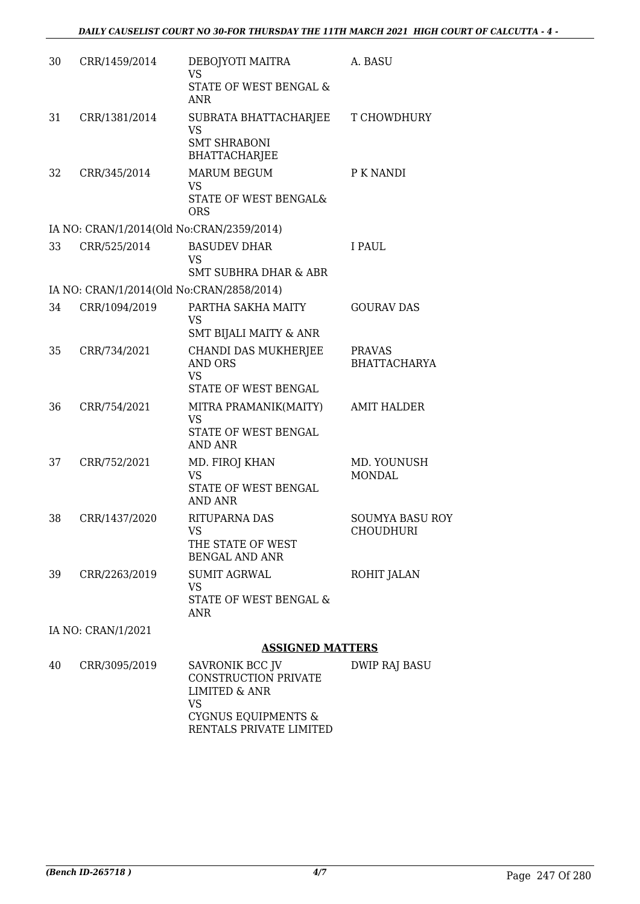| 30 | CRR/1459/2014      | DEBOJYOTI MAITRA<br><b>VS</b>                                                    | A. BASU                |
|----|--------------------|----------------------------------------------------------------------------------|------------------------|
|    |                    | STATE OF WEST BENGAL &<br><b>ANR</b>                                             |                        |
| 31 | CRR/1381/2014      | SUBRATA BHATTACHARJEE<br><b>VS</b><br><b>SMT SHRABONI</b>                        | T CHOWDHURY            |
|    |                    | <b>BHATTACHARJEE</b>                                                             |                        |
| 32 | CRR/345/2014       | <b>MARUM BEGUM</b><br><b>VS</b>                                                  | P K NANDI              |
|    |                    | STATE OF WEST BENGAL&<br><b>ORS</b>                                              |                        |
|    |                    | IA NO: CRAN/1/2014(Old No:CRAN/2359/2014)                                        |                        |
| 33 | CRR/525/2014       | <b>BASUDEV DHAR</b><br><b>VS</b>                                                 | I PAUL                 |
|    |                    | <b>SMT SUBHRA DHAR &amp; ABR</b>                                                 |                        |
|    |                    | IA NO: CRAN/1/2014(Old No:CRAN/2858/2014)                                        |                        |
| 34 | CRR/1094/2019      | PARTHA SAKHA MAITY<br><b>VS</b><br>SMT BIJALI MAITY & ANR                        | <b>GOURAV DAS</b>      |
| 35 | CRR/734/2021       | CHANDI DAS MUKHERJEE                                                             | <b>PRAVAS</b>          |
|    |                    | <b>AND ORS</b><br><b>VS</b>                                                      | <b>BHATTACHARYA</b>    |
|    |                    | STATE OF WEST BENGAL                                                             |                        |
| 36 | CRR/754/2021       | MITRA PRAMANIK(MAITY)<br><b>VS</b><br>STATE OF WEST BENGAL<br><b>AND ANR</b>     | <b>AMIT HALDER</b>     |
| 37 | CRR/752/2021       | MD. FIROJ KHAN                                                                   | MD. YOUNUSH            |
|    |                    | <b>VS</b><br>STATE OF WEST BENGAL<br><b>AND ANR</b>                              | <b>MONDAL</b>          |
| 38 | CRR/1437/2020      | RITUPARNA DAS                                                                    | <b>SOUMYA BASU ROY</b> |
|    |                    | <b>VS</b><br>THE STATE OF WEST<br><b>BENGAL AND ANR</b>                          | <b>CHOUDHURI</b>       |
| 39 | CRR/2263/2019      | <b>SUMIT AGRWAL</b>                                                              | ROHIT JALAN            |
|    |                    | <b>VS</b><br>STATE OF WEST BENGAL &<br><b>ANR</b>                                |                        |
|    | IA NO: CRAN/1/2021 |                                                                                  |                        |
|    |                    | <b>ASSIGNED MATTERS</b>                                                          |                        |
| 40 | CRR/3095/2019      | SAVRONIK BCC JV<br>CONSTRUCTION PRIVATE<br><b>LIMITED &amp; ANR</b><br><b>VS</b> | <b>DWIP RAJ BASU</b>   |

CYGNUS EQUIPMENTS & RENTALS PRIVATE LIMITED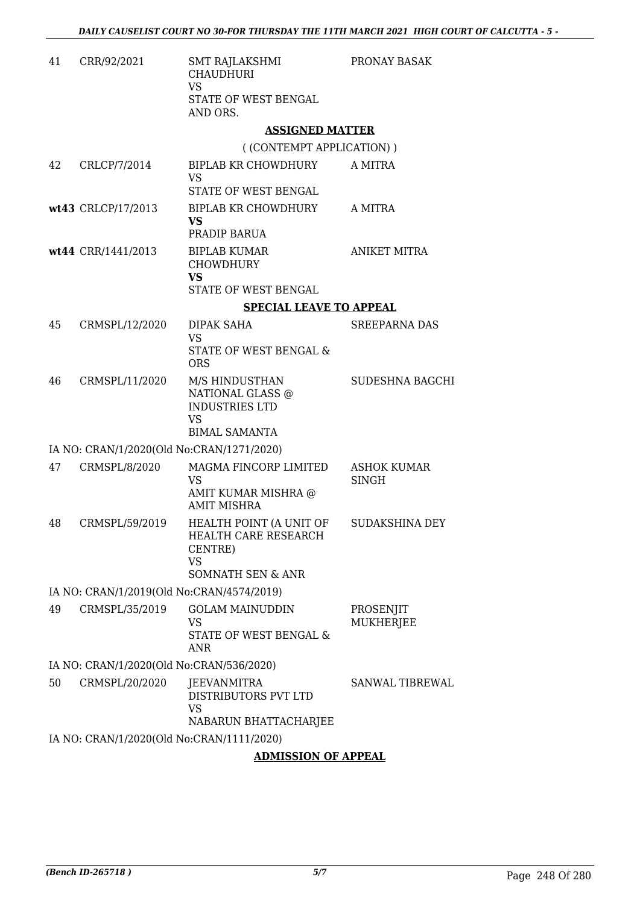| 41 | CRR/92/2021                               | <b>SMT RAJLAKSHMI</b><br><b>CHAUDHURI</b><br><b>VS</b><br>STATE OF WEST BENGAL<br>AND ORS.              | PRONAY BASAK                  |
|----|-------------------------------------------|---------------------------------------------------------------------------------------------------------|-------------------------------|
|    |                                           | <b>ASSIGNED MATTER</b>                                                                                  |                               |
|    |                                           | ((CONTEMPT APPLICATION))                                                                                |                               |
| 42 | CRLCP/7/2014                              | BIPLAB KR CHOWDHURY<br><b>VS</b><br>STATE OF WEST BENGAL                                                | A MITRA                       |
|    | wt43 CRLCP/17/2013                        | <b>BIPLAB KR CHOWDHURY</b><br><b>VS</b><br>PRADIP BARUA                                                 | A MITRA                       |
|    | wt44 CRR/1441/2013                        | <b>BIPLAB KUMAR</b><br><b>CHOWDHURY</b><br><b>VS</b>                                                    | <b>ANIKET MITRA</b>           |
|    |                                           | STATE OF WEST BENGAL                                                                                    |                               |
|    |                                           | <b>SPECIAL LEAVE TO APPEAL</b>                                                                          |                               |
| 45 | CRMSPL/12/2020                            | DIPAK SAHA<br>VS<br>STATE OF WEST BENGAL &<br><b>ORS</b>                                                | <b>SREEPARNA DAS</b>          |
| 46 | CRMSPL/11/2020                            | M/S HINDUSTHAN<br>NATIONAL GLASS @<br><b>INDUSTRIES LTD</b><br><b>VS</b><br><b>BIMAL SAMANTA</b>        | SUDESHNA BAGCHI               |
|    | IA NO: CRAN/1/2020(Old No:CRAN/1271/2020) |                                                                                                         |                               |
| 47 | CRMSPL/8/2020                             | MAGMA FINCORP LIMITED<br>VS<br>AMIT KUMAR MISHRA @<br><b>AMIT MISHRA</b>                                | <b>ASHOK KUMAR</b><br>SINGH   |
| 48 | CRMSPL/59/2019                            | HEALTH POINT (A UNIT OF<br><b>HEALTH CARE RESEARCH</b><br>CENTRE)<br>VS<br><b>SOMNATH SEN &amp; ANR</b> | <b>SUDAKSHINA DEY</b>         |
|    | IA NO: CRAN/1/2019(Old No:CRAN/4574/2019) |                                                                                                         |                               |
| 49 | CRMSPL/35/2019                            | <b>GOLAM MAINUDDIN</b><br><b>VS</b><br>STATE OF WEST BENGAL &<br><b>ANR</b>                             | PROSENJIT<br><b>MUKHERJEE</b> |
|    | IA NO: CRAN/1/2020(Old No:CRAN/536/2020)  |                                                                                                         |                               |
| 50 | CRMSPL/20/2020                            | JEEVANMITRA<br>DISTRIBUTORS PVT LTD<br><b>VS</b>                                                        | SANWAL TIBREWAL               |
|    |                                           | NABARUN BHATTACHARJEE                                                                                   |                               |
|    | IA NO: CRAN/1/2020(Old No:CRAN/1111/2020) |                                                                                                         |                               |
|    |                                           | <b>ADMISSION OF APPEAL</b>                                                                              |                               |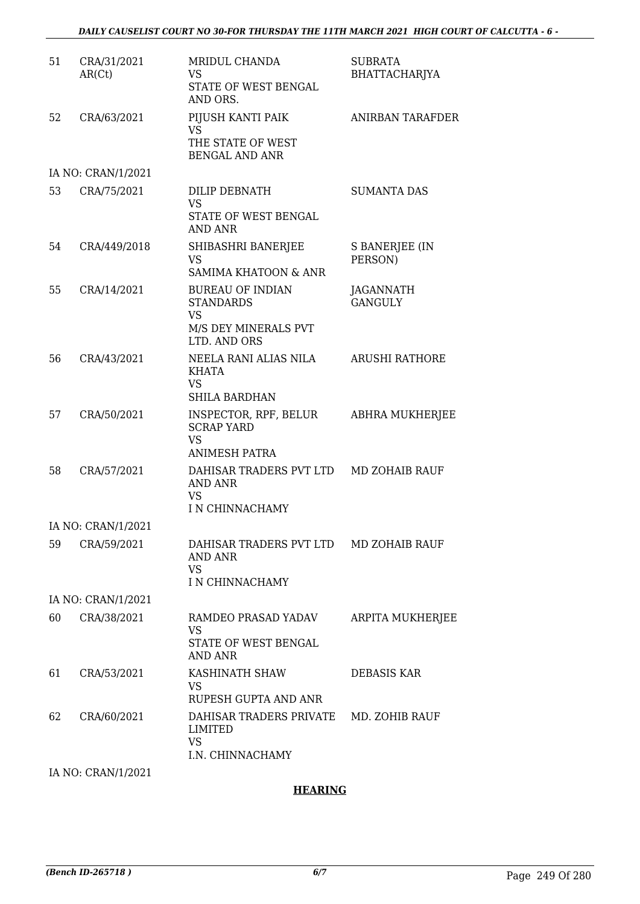| 51 | CRA/31/2021<br>AR(Ct) | MRIDUL CHANDA<br><b>VS</b><br>STATE OF WEST BENGAL<br>AND ORS.                                   | <b>SUBRATA</b><br>BHATTACHARJYA |  |  |
|----|-----------------------|--------------------------------------------------------------------------------------------------|---------------------------------|--|--|
| 52 | CRA/63/2021           | PIJUSH KANTI PAIK<br><b>VS</b><br>THE STATE OF WEST<br><b>BENGAL AND ANR</b>                     | <b>ANIRBAN TARAFDER</b>         |  |  |
|    | IA NO: CRAN/1/2021    |                                                                                                  |                                 |  |  |
| 53 | CRA/75/2021           | DILIP DEBNATH<br>VS<br>STATE OF WEST BENGAL<br>AND ANR                                           | <b>SUMANTA DAS</b>              |  |  |
| 54 | CRA/449/2018          | SHIBASHRI BANERJEE<br><b>VS</b><br>SAMIMA KHATOON & ANR                                          | S BANERJEE (IN<br>PERSON)       |  |  |
| 55 | CRA/14/2021           | <b>BUREAU OF INDIAN</b><br><b>STANDARDS</b><br><b>VS</b><br>M/S DEY MINERALS PVT<br>LTD. AND ORS | JAGANNATH<br><b>GANGULY</b>     |  |  |
| 56 | CRA/43/2021           | NEELA RANI ALIAS NILA<br>KHATA<br>VS<br><b>SHILA BARDHAN</b>                                     | ARUSHI RATHORE                  |  |  |
| 57 | CRA/50/2021           | INSPECTOR, RPF, BELUR<br><b>SCRAP YARD</b><br><b>VS</b><br><b>ANIMESH PATRA</b>                  | ABHRA MUKHERJEE                 |  |  |
| 58 | CRA/57/2021           | DAHISAR TRADERS PVT LTD MD ZOHAIB RAUF<br>AND ANR<br><b>VS</b><br>I N CHINNACHAMY                |                                 |  |  |
|    | IA NO: CRAN/1/2021    |                                                                                                  |                                 |  |  |
| 59 | CRA/59/2021           | DAHISAR TRADERS PVT LTD MD ZOHAIB RAUF<br><b>AND ANR</b><br><b>VS</b><br>I N CHINNACHAMY         |                                 |  |  |
|    | IA NO: CRAN/1/2021    |                                                                                                  |                                 |  |  |
| 60 | CRA/38/2021           | RAMDEO PRASAD YADAV<br>VS<br>STATE OF WEST BENGAL<br><b>AND ANR</b>                              | ARPITA MUKHERJEE                |  |  |
| 61 | CRA/53/2021           | KASHINATH SHAW<br>VS<br>RUPESH GUPTA AND ANR                                                     | DEBASIS KAR                     |  |  |
| 62 | CRA/60/2021           | DAHISAR TRADERS PRIVATE<br><b>LIMITED</b><br><b>VS</b><br>I.N. CHINNACHAMY                       | MD. ZOHIB RAUF                  |  |  |
|    | IA NO: CRAN/1/2021    |                                                                                                  |                                 |  |  |

## **HEARING**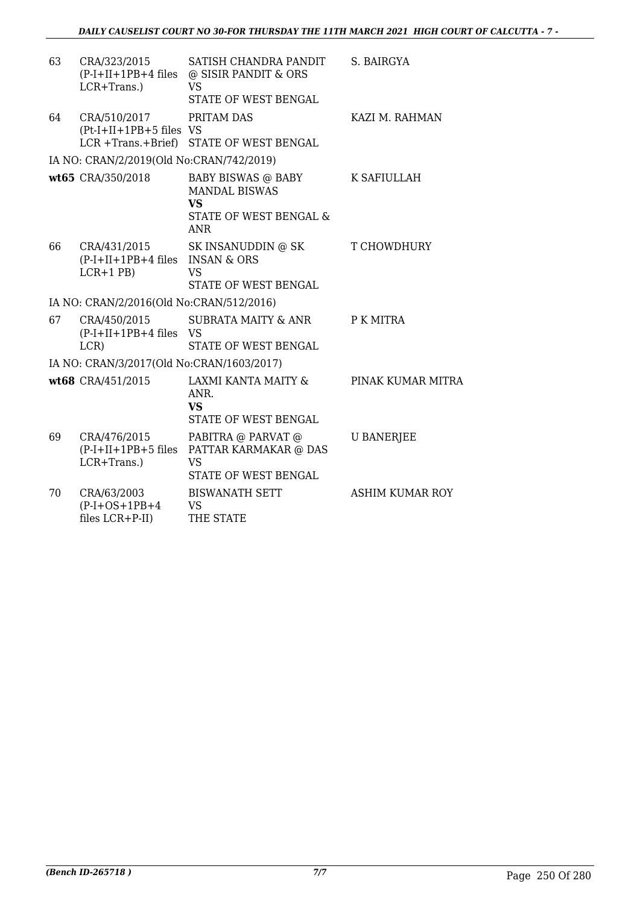| 63 | CRA/323/2015<br>$(P-I+II+1PB+4$ files<br>LCR+Trans.)               | SATISH CHANDRA PANDIT<br>@ SISIR PANDIT & ORS<br><b>VS</b><br>STATE OF WEST BENGAL                     | S. BAIRGYA             |
|----|--------------------------------------------------------------------|--------------------------------------------------------------------------------------------------------|------------------------|
| 64 | CRA/510/2017<br>$(Pt-I+II+1PB+5$ files VS<br>$LCR + Trans.+Brief)$ | PRITAM DAS<br>STATE OF WEST BENGAL                                                                     | KAZI M. RAHMAN         |
|    | IA NO: CRAN/2/2019(Old No:CRAN/742/2019)                           |                                                                                                        |                        |
|    | wt65 CRA/350/2018                                                  | <b>BABY BISWAS @ BABY</b><br><b>MANDAL BISWAS</b><br><b>VS</b><br>STATE OF WEST BENGAL &<br><b>ANR</b> | K SAFIULLAH            |
| 66 | CRA/431/2015<br>(P-I+II+1PB+4 files INSAN & ORS<br>$LCR+1$ PB)     | SK INSANUDDIN @ SK<br><b>VS</b><br>STATE OF WEST BENGAL                                                | T CHOWDHURY            |
|    | IA NO: CRAN/2/2016(Old No:CRAN/512/2016)                           |                                                                                                        |                        |
| 67 | CRA/450/2015<br>$(P-I+II+1PB+4$ files VS<br>LCR)                   | <b>SUBRATA MAITY &amp; ANR</b><br>STATE OF WEST BENGAL                                                 | P K MITRA              |
|    | IA NO: CRAN/3/2017(Old No:CRAN/1603/2017)                          |                                                                                                        |                        |
|    | wt68 CRA/451/2015                                                  | LAXMI KANTA MAITY &<br>ANR.<br><b>VS</b><br>STATE OF WEST BENGAL                                       | PINAK KUMAR MITRA      |
| 69 | CRA/476/2015<br>$(P-I+II+1PB+5$ files<br>LCR+Trans.)               | PABITRA @ PARVAT @<br>PATTAR KARMAKAR @ DAS<br><b>VS</b><br>STATE OF WEST BENGAL                       | <b>U BANERJEE</b>      |
| 70 | CRA/63/2003<br>$(P-I+OS+1PB+4)$<br>files LCR+P-II)                 | <b>BISWANATH SETT</b><br>VS<br>THE STATE                                                               | <b>ASHIM KUMAR ROY</b> |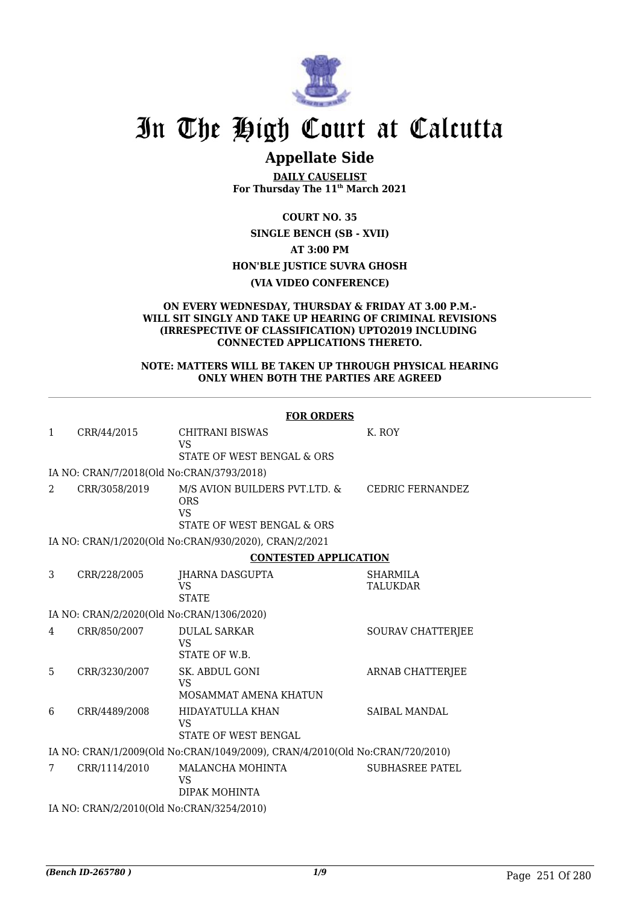

# **Appellate Side**

**DAILY CAUSELIST For Thursday The 11th March 2021**

**COURT NO. 35**

**SINGLE BENCH (SB - XVII) AT 3:00 PM HON'BLE JUSTICE SUVRA GHOSH**

#### **(VIA VIDEO CONFERENCE)**

#### **ON EVERY WEDNESDAY, THURSDAY & FRIDAY AT 3.00 P.M.- WILL SIT SINGLY AND TAKE UP HEARING OF CRIMINAL REVISIONS (IRRESPECTIVE OF CLASSIFICATION) UPTO2019 INCLUDING CONNECTED APPLICATIONS THERETO.**

#### **NOTE: MATTERS WILL BE TAKEN UP THROUGH PHYSICAL HEARING ONLY WHEN BOTH THE PARTIES ARE AGREED**

|                |               | <b>FOR ORDERS</b>                                                                      |                                    |
|----------------|---------------|----------------------------------------------------------------------------------------|------------------------------------|
| $\mathbf{1}$   | CRR/44/2015   | <b>CHITRANI BISWAS</b><br><b>VS</b><br>STATE OF WEST BENGAL & ORS                      | K. ROY                             |
|                |               | IA NO: CRAN/7/2018(Old No:CRAN/3793/2018)                                              |                                    |
| $\mathcal{L}$  | CRR/3058/2019 | M/S AVION BUILDERS PVT.LTD. &<br><b>ORS</b><br><b>VS</b><br>STATE OF WEST BENGAL & ORS | <b>CEDRIC FERNANDEZ</b>            |
|                |               | IA NO: CRAN/1/2020(Old No:CRAN/930/2020), CRAN/2/2021                                  |                                    |
|                |               | <b>CONTESTED APPLICATION</b>                                                           |                                    |
| 3              | CRR/228/2005  | JHARNA DASGUPTA<br><b>VS</b><br><b>STATE</b>                                           | <b>SHARMILA</b><br><b>TALUKDAR</b> |
|                |               | IA NO: CRAN/2/2020(Old No:CRAN/1306/2020)                                              |                                    |
| $\overline{4}$ | CRR/850/2007  | <b>DULAL SARKAR</b><br><b>VS</b><br>STATE OF W.B.                                      | SOURAV CHATTERJEE                  |
| 5              | CRR/3230/2007 | SK. ABDUL GONI<br><b>VS</b><br>MOSAMMAT AMENA KHATUN                                   | <b>ARNAB CHATTERJEE</b>            |
| 6              | CRR/4489/2008 | HIDAYATULLA KHAN<br>VS<br>STATE OF WEST BENGAL                                         | <b>SAIBAL MANDAL</b>               |
|                |               | IA NO: CRAN/1/2009(Old No:CRAN/1049/2009), CRAN/4/2010(Old No:CRAN/720/2010)           |                                    |
| 7              | CRR/1114/2010 | MALANCHA MOHINTA<br>VS<br>DIPAK MOHINTA                                                | <b>SUBHASREE PATEL</b>             |
|                |               | IA NO: CRAN/2/2010(Old No:CRAN/3254/2010)                                              |                                    |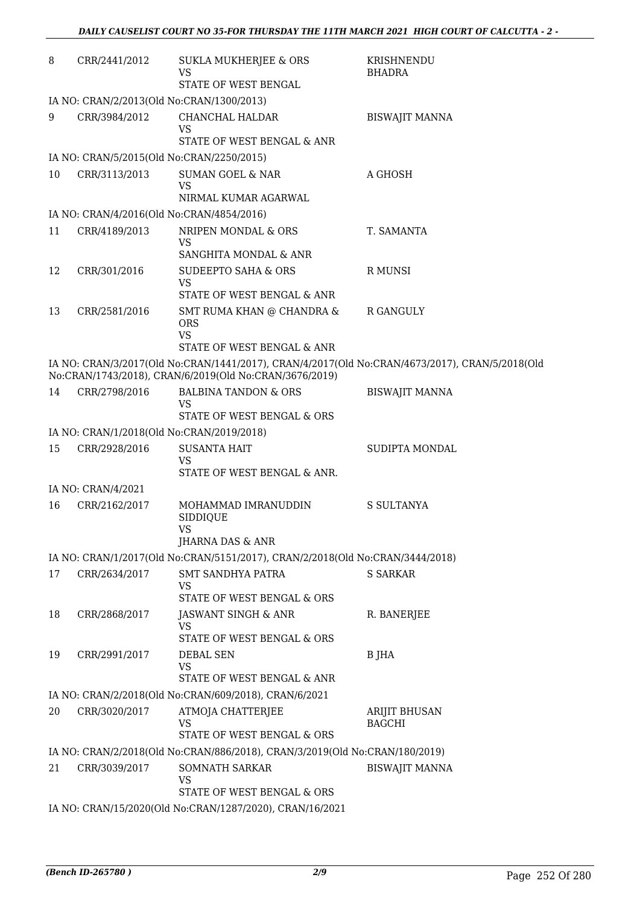| 8  | CRR/2441/2012                             | <b>SUKLA MUKHERJEE &amp; ORS</b>                                                                          | KRISHNENDU                                                                                     |  |  |  |
|----|-------------------------------------------|-----------------------------------------------------------------------------------------------------------|------------------------------------------------------------------------------------------------|--|--|--|
|    |                                           | VS<br>STATE OF WEST BENGAL                                                                                | <b>BHADRA</b>                                                                                  |  |  |  |
|    | IA NO: CRAN/2/2013(Old No:CRAN/1300/2013) |                                                                                                           |                                                                                                |  |  |  |
| 9  | CRR/3984/2012                             | CHANCHAL HALDAR<br>VS                                                                                     | <b>BISWAJIT MANNA</b>                                                                          |  |  |  |
|    |                                           | STATE OF WEST BENGAL & ANR                                                                                |                                                                                                |  |  |  |
|    |                                           | IA NO: CRAN/5/2015(Old No:CRAN/2250/2015)                                                                 |                                                                                                |  |  |  |
| 10 | CRR/3113/2013                             | <b>SUMAN GOEL &amp; NAR</b><br><b>VS</b><br>NIRMAL KUMAR AGARWAL                                          | A GHOSH                                                                                        |  |  |  |
|    |                                           | IA NO: CRAN/4/2016(Old No:CRAN/4854/2016)                                                                 |                                                                                                |  |  |  |
| 11 | CRR/4189/2013                             | NRIPEN MONDAL & ORS<br><b>VS</b>                                                                          | T. SAMANTA                                                                                     |  |  |  |
|    |                                           | SANGHITA MONDAL & ANR                                                                                     |                                                                                                |  |  |  |
| 12 | CRR/301/2016                              | <b>SUDEEPTO SAHA &amp; ORS</b><br><b>VS</b>                                                               | R MUNSI                                                                                        |  |  |  |
|    |                                           | STATE OF WEST BENGAL & ANR                                                                                |                                                                                                |  |  |  |
| 13 | CRR/2581/2016                             | SMT RUMA KHAN @ CHANDRA &<br><b>ORS</b><br><b>VS</b>                                                      | R GANGULY                                                                                      |  |  |  |
|    |                                           | STATE OF WEST BENGAL & ANR                                                                                |                                                                                                |  |  |  |
|    |                                           | No:CRAN/1743/2018), CRAN/6/2019(Old No:CRAN/3676/2019)                                                    | IA NO: CRAN/3/2017(Old No:CRAN/1441/2017), CRAN/4/2017(Old No:CRAN/4673/2017), CRAN/5/2018(Old |  |  |  |
| 14 | CRR/2798/2016                             | <b>BALBINA TANDON &amp; ORS</b><br><b>VS</b>                                                              | <b>BISWAJIT MANNA</b>                                                                          |  |  |  |
|    |                                           | STATE OF WEST BENGAL & ORS                                                                                |                                                                                                |  |  |  |
|    |                                           | IA NO: CRAN/1/2018(Old No:CRAN/2019/2018)                                                                 |                                                                                                |  |  |  |
| 15 | CRR/2928/2016                             | <b>SUSANTA HAIT</b><br><b>VS</b>                                                                          | SUDIPTA MONDAL                                                                                 |  |  |  |
|    |                                           | STATE OF WEST BENGAL & ANR.                                                                               |                                                                                                |  |  |  |
|    | IA NO: CRAN/4/2021                        |                                                                                                           |                                                                                                |  |  |  |
| 16 | CRR/2162/2017                             | MOHAMMAD IMRANUDDIN<br><b>SIDDIQUE</b><br>VS                                                              | S SULTANYA                                                                                     |  |  |  |
|    |                                           | JHARNA DAS & ANR                                                                                          |                                                                                                |  |  |  |
|    |                                           | IA NO: CRAN/1/2017(Old No:CRAN/5151/2017), CRAN/2/2018(Old No:CRAN/3444/2018)                             |                                                                                                |  |  |  |
| 17 | CRR/2634/2017                             | SMT SANDHYA PATRA<br>VS<br>STATE OF WEST BENGAL & ORS                                                     | <b>S SARKAR</b>                                                                                |  |  |  |
| 18 | CRR/2868/2017                             | JASWANT SINGH & ANR                                                                                       | R. BANERJEE                                                                                    |  |  |  |
|    |                                           | VS<br>STATE OF WEST BENGAL & ORS                                                                          |                                                                                                |  |  |  |
| 19 | CRR/2991/2017                             | DEBAL SEN<br><b>VS</b>                                                                                    | B JHA                                                                                          |  |  |  |
|    |                                           | STATE OF WEST BENGAL & ANR                                                                                |                                                                                                |  |  |  |
|    |                                           | IA NO: CRAN/2/2018(Old No:CRAN/609/2018), CRAN/6/2021                                                     |                                                                                                |  |  |  |
| 20 | CRR/3020/2017                             | ATMOJA CHATTERJEE<br>VS                                                                                   | ARIJIT BHUSAN<br><b>BAGCHI</b>                                                                 |  |  |  |
|    |                                           | STATE OF WEST BENGAL & ORS<br>IA NO: CRAN/2/2018(Old No:CRAN/886/2018), CRAN/3/2019(Old No:CRAN/180/2019) |                                                                                                |  |  |  |
| 21 | CRR/3039/2017                             | SOMNATH SARKAR                                                                                            | <b>BISWAJIT MANNA</b>                                                                          |  |  |  |
|    |                                           | VS<br>STATE OF WEST BENGAL & ORS                                                                          |                                                                                                |  |  |  |
|    |                                           | IA NO: CRAN/15/2020(Old No:CRAN/1287/2020), CRAN/16/2021                                                  |                                                                                                |  |  |  |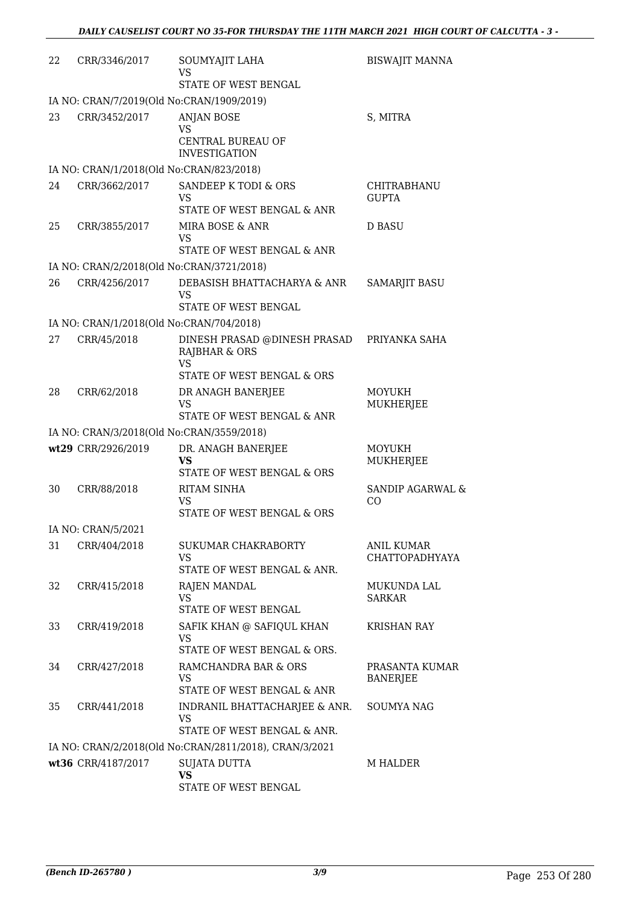| 22 | CRR/3346/2017                            | SOUMYAJIT LAHA<br>VS                                                        | <b>BISWAJIT MANNA</b>               |
|----|------------------------------------------|-----------------------------------------------------------------------------|-------------------------------------|
|    |                                          | STATE OF WEST BENGAL                                                        |                                     |
|    |                                          | IA NO: CRAN/7/2019(Old No:CRAN/1909/2019)                                   |                                     |
| 23 | CRR/3452/2017                            | <b>ANJAN BOSE</b><br><b>VS</b><br>CENTRAL BUREAU OF<br><b>INVESTIGATION</b> | S, MITRA                            |
|    | IA NO: CRAN/1/2018(Old No:CRAN/823/2018) |                                                                             |                                     |
| 24 | CRR/3662/2017                            | SANDEEP K TODI & ORS<br><b>VS</b><br>STATE OF WEST BENGAL & ANR             | CHITRABHANU<br><b>GUPTA</b>         |
| 25 | CRR/3855/2017                            | MIRA BOSE & ANR<br><b>VS</b><br>STATE OF WEST BENGAL & ANR                  | D BASU                              |
|    |                                          | IA NO: CRAN/2/2018(Old No:CRAN/3721/2018)                                   |                                     |
| 26 | CRR/4256/2017                            | DEBASISH BHATTACHARYA & ANR<br>VS<br>STATE OF WEST BENGAL                   | <b>SAMARJIT BASU</b>                |
|    | IA NO: CRAN/1/2018(Old No:CRAN/704/2018) |                                                                             |                                     |
| 27 | CRR/45/2018                              | DINESH PRASAD @DINESH PRASAD<br><b>RAJBHAR &amp; ORS</b><br><b>VS</b>       | PRIYANKA SAHA                       |
|    |                                          | STATE OF WEST BENGAL & ORS                                                  |                                     |
| 28 | CRR/62/2018                              | DR ANAGH BANERJEE<br><b>VS</b><br>STATE OF WEST BENGAL & ANR                | MOYUKH<br>MUKHERJEE                 |
|    |                                          | IA NO: CRAN/3/2018(Old No:CRAN/3559/2018)                                   |                                     |
|    | wt29 CRR/2926/2019                       | DR. ANAGH BANERJEE<br>VS<br>STATE OF WEST BENGAL & ORS                      | MOYUKH<br>MUKHERJEE                 |
| 30 | CRR/88/2018                              | <b>RITAM SINHA</b><br>VS<br>STATE OF WEST BENGAL & ORS                      | <b>SANDIP AGARWAL &amp;</b><br>CO   |
|    | IA NO: CRAN/5/2021                       |                                                                             |                                     |
| 31 | CRR/404/2018                             | SUKUMAR CHAKRABORTY<br>VS<br>STATE OF WEST BENGAL & ANR.                    | ANIL KUMAR<br><b>CHATTOPADHYAYA</b> |
| 32 | CRR/415/2018                             | RAJEN MANDAL<br>VS<br>STATE OF WEST BENGAL                                  | MUKUNDA LAL<br><b>SARKAR</b>        |
| 33 | CRR/419/2018                             | SAFIK KHAN @ SAFIQUL KHAN<br>VS<br>STATE OF WEST BENGAL & ORS.              | <b>KRISHAN RAY</b>                  |
| 34 | CRR/427/2018                             | RAMCHANDRA BAR & ORS<br>VS<br>STATE OF WEST BENGAL & ANR                    | PRASANTA KUMAR<br><b>BANERJEE</b>   |
| 35 | CRR/441/2018                             | INDRANIL BHATTACHARJEE & ANR.<br>VS<br>STATE OF WEST BENGAL & ANR.          | SOUMYA NAG                          |
|    |                                          | IA NO: CRAN/2/2018(Old No:CRAN/2811/2018), CRAN/3/2021                      |                                     |
|    | wt36 CRR/4187/2017                       | SUJATA DUTTA<br><b>VS</b><br>STATE OF WEST BENGAL                           | M HALDER                            |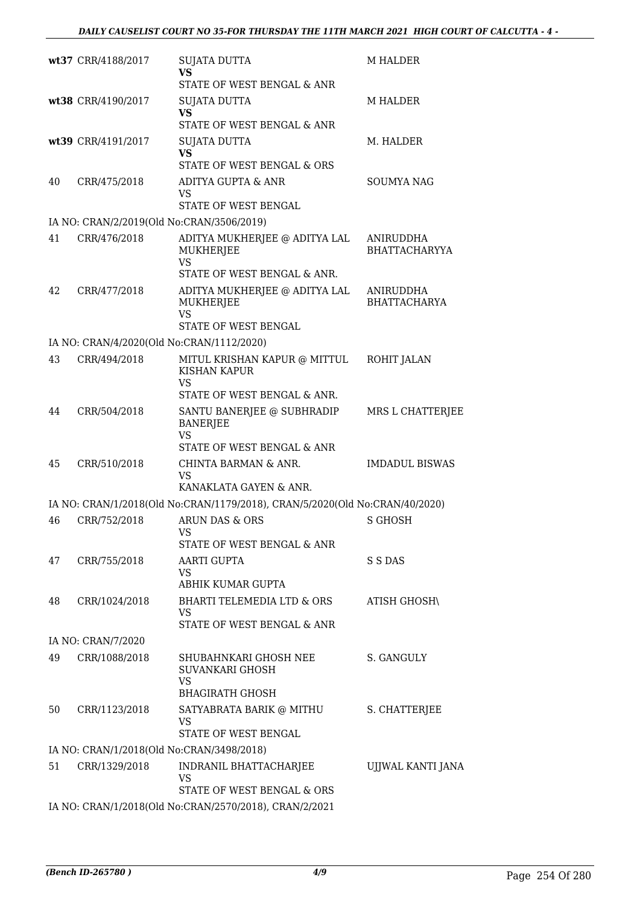|    | wt37 CRR/4188/2017                        | <b>SUJATA DUTTA</b><br><b>VS</b>                                                         | <b>M HALDER</b>                   |
|----|-------------------------------------------|------------------------------------------------------------------------------------------|-----------------------------------|
|    |                                           | STATE OF WEST BENGAL & ANR                                                               |                                   |
|    | wt38 CRR/4190/2017                        | <b>SUJATA DUTTA</b><br><b>VS</b>                                                         | <b>M HALDER</b>                   |
|    |                                           | STATE OF WEST BENGAL & ANR                                                               |                                   |
|    | wt39 CRR/4191/2017                        | <b>SUJATA DUTTA</b><br><b>VS</b>                                                         | M. HALDER                         |
| 40 |                                           | STATE OF WEST BENGAL & ORS<br>ADITYA GUPTA & ANR                                         | <b>SOUMYA NAG</b>                 |
|    | CRR/475/2018                              | <b>VS</b><br>STATE OF WEST BENGAL                                                        |                                   |
|    | IA NO: CRAN/2/2019(Old No:CRAN/3506/2019) |                                                                                          |                                   |
| 41 | CRR/476/2018                              | ADITYA MUKHERJEE @ ADITYA LAL<br><b>MUKHERJEE</b><br>VS                                  | ANIRUDDHA<br><b>BHATTACHARYYA</b> |
|    |                                           | STATE OF WEST BENGAL & ANR.                                                              |                                   |
| 42 | CRR/477/2018                              | ADITYA MUKHERJEE @ ADITYA LAL<br>MUKHERJEE<br><b>VS</b>                                  | ANIRUDDHA<br><b>BHATTACHARYA</b>  |
|    |                                           | STATE OF WEST BENGAL                                                                     |                                   |
|    | IA NO: CRAN/4/2020(Old No:CRAN/1112/2020) |                                                                                          |                                   |
| 43 | CRR/494/2018                              | MITUL KRISHAN KAPUR @ MITTUL<br><b>KISHAN KAPUR</b><br><b>VS</b>                         | ROHIT JALAN                       |
|    |                                           | STATE OF WEST BENGAL & ANR.                                                              |                                   |
| 44 | CRR/504/2018                              | SANTU BANERJEE @ SUBHRADIP<br><b>BANERJEE</b><br><b>VS</b><br>STATE OF WEST BENGAL & ANR | MRS L CHATTERJEE                  |
| 45 | CRR/510/2018                              | CHINTA BARMAN & ANR.                                                                     | <b>IMDADUL BISWAS</b>             |
|    |                                           | VS<br>KANAKLATA GAYEN & ANR.                                                             |                                   |
|    |                                           | IA NO: CRAN/1/2018(Old No:CRAN/1179/2018), CRAN/5/2020(Old No:CRAN/40/2020)              |                                   |
| 46 | CRR/752/2018                              | ARUN DAS & ORS<br>VS                                                                     | S GHOSH                           |
|    |                                           | STATE OF WEST BENGAL & ANR                                                               |                                   |
| 47 | CRR/755/2018                              | AARTI GUPTA<br>VS<br>ABHIK KUMAR GUPTA                                                   | S S DAS                           |
| 48 | CRR/1024/2018                             | BHARTI TELEMEDIA LTD & ORS<br>VS                                                         | <b>ATISH GHOSH\</b>               |
|    |                                           | STATE OF WEST BENGAL & ANR                                                               |                                   |
|    | IA NO: CRAN/7/2020                        |                                                                                          |                                   |
| 49 | CRR/1088/2018                             | SHUBAHNKARI GHOSH NEE<br>SUVANKARI GHOSH<br><b>VS</b><br><b>BHAGIRATH GHOSH</b>          | S. GANGULY                        |
| 50 | CRR/1123/2018                             | SATYABRATA BARIK @ MITHU<br>VS<br>STATE OF WEST BENGAL                                   | S. CHATTERJEE                     |
|    | IA NO: CRAN/1/2018(Old No:CRAN/3498/2018) |                                                                                          |                                   |
| 51 | CRR/1329/2018                             | INDRANIL BHATTACHARJEE<br><b>VS</b>                                                      | UJJWAL KANTI JANA                 |
|    |                                           | STATE OF WEST BENGAL & ORS<br>IA NO: CRAN/1/2018(Old No:CRAN/2570/2018), CRAN/2/2021     |                                   |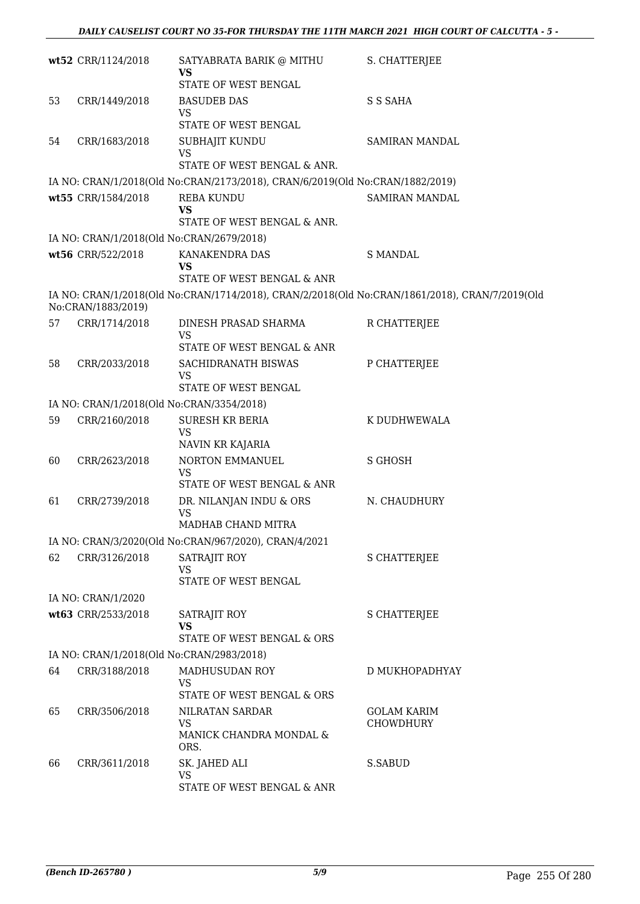|    | wt52 CRR/1124/2018                        | SATYABRATA BARIK @ MITHU<br><b>VS</b>                                                          | S. CHATTERJEE                          |
|----|-------------------------------------------|------------------------------------------------------------------------------------------------|----------------------------------------|
|    |                                           | STATE OF WEST BENGAL                                                                           |                                        |
| 53 | CRR/1449/2018                             | <b>BASUDEB DAS</b><br><b>VS</b>                                                                | S S SAHA                               |
|    |                                           | STATE OF WEST BENGAL                                                                           |                                        |
| 54 | CRR/1683/2018                             | SUBHAJIT KUNDU<br><b>VS</b><br>STATE OF WEST BENGAL & ANR.                                     | SAMIRAN MANDAL                         |
|    |                                           |                                                                                                |                                        |
|    |                                           | IA NO: CRAN/1/2018(Old No:CRAN/2173/2018), CRAN/6/2019(Old No:CRAN/1882/2019)                  |                                        |
|    | wt55 CRR/1584/2018                        | <b>REBA KUNDU</b><br><b>VS</b><br>STATE OF WEST BENGAL & ANR.                                  | SAMIRAN MANDAL                         |
|    |                                           |                                                                                                |                                        |
|    | IA NO: CRAN/1/2018(Old No:CRAN/2679/2018) |                                                                                                |                                        |
|    | wt56 CRR/522/2018                         | KANAKENDRA DAS<br><b>VS</b><br>STATE OF WEST BENGAL & ANR                                      | <b>S MANDAL</b>                        |
|    |                                           |                                                                                                |                                        |
|    | No:CRAN/1883/2019)                        | IA NO: CRAN/1/2018(Old No:CRAN/1714/2018), CRAN/2/2018(Old No:CRAN/1861/2018), CRAN/7/2019(Old |                                        |
| 57 | CRR/1714/2018                             | DINESH PRASAD SHARMA<br><b>VS</b>                                                              | R CHATTERJEE                           |
|    |                                           | STATE OF WEST BENGAL & ANR                                                                     |                                        |
| 58 | CRR/2033/2018                             | SACHIDRANATH BISWAS<br><b>VS</b>                                                               | P CHATTERJEE                           |
|    |                                           | STATE OF WEST BENGAL                                                                           |                                        |
|    | IA NO: CRAN/1/2018(Old No:CRAN/3354/2018) |                                                                                                |                                        |
| 59 | CRR/2160/2018                             | <b>SURESH KR BERIA</b><br><b>VS</b>                                                            | K DUDHWEWALA                           |
|    |                                           | NAVIN KR KAJARIA                                                                               |                                        |
| 60 | CRR/2623/2018                             | NORTON EMMANUEL<br><b>VS</b><br>STATE OF WEST BENGAL & ANR                                     | <b>S GHOSH</b>                         |
|    |                                           |                                                                                                |                                        |
| 61 | CRR/2739/2018                             | DR. NILANJAN INDU & ORS<br><b>VS</b><br>MADHAB CHAND MITRA                                     | N. CHAUDHURY                           |
|    |                                           | IA NO: CRAN/3/2020(Old No:CRAN/967/2020), CRAN/4/2021                                          |                                        |
| 62 | CRR/3126/2018                             | SATRAJIT ROY                                                                                   | <b>S CHATTERJEE</b>                    |
|    |                                           | <b>VS</b><br>STATE OF WEST BENGAL                                                              |                                        |
|    | IA NO: CRAN/1/2020                        |                                                                                                |                                        |
|    | wt63 CRR/2533/2018                        | SATRAJIT ROY<br><b>VS</b>                                                                      | <b>S CHATTERJEE</b>                    |
|    |                                           | STATE OF WEST BENGAL & ORS                                                                     |                                        |
|    | IA NO: CRAN/1/2018(Old No:CRAN/2983/2018) |                                                                                                |                                        |
| 64 | CRR/3188/2018                             | MADHUSUDAN ROY<br><b>VS</b>                                                                    | D MUKHOPADHYAY                         |
|    |                                           | STATE OF WEST BENGAL & ORS                                                                     |                                        |
| 65 | CRR/3506/2018                             | NILRATAN SARDAR<br>VS                                                                          | <b>GOLAM KARIM</b><br><b>CHOWDHURY</b> |
|    |                                           | MANICK CHANDRA MONDAL &<br>ORS.                                                                |                                        |
| 66 | CRR/3611/2018                             | SK. JAHED ALI<br><b>VS</b>                                                                     | S.SABUD                                |
|    |                                           | STATE OF WEST BENGAL & ANR                                                                     |                                        |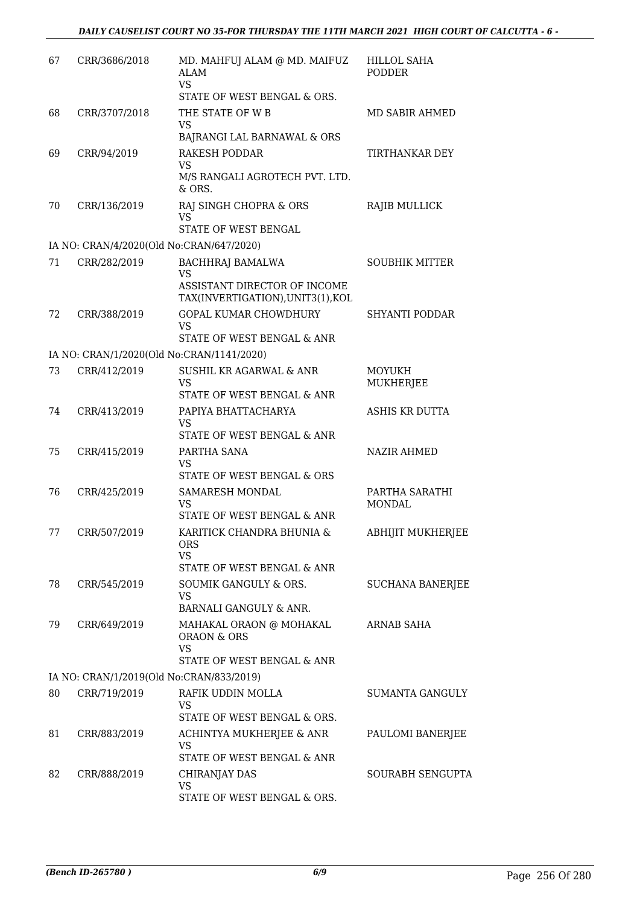| 67 | CRR/3686/2018                            | MD. MAHFUJ ALAM @ MD. MAIFUZ<br><b>ALAM</b><br>VS.                                                        | HILLOL SAHA<br><b>PODDER</b>    |
|----|------------------------------------------|-----------------------------------------------------------------------------------------------------------|---------------------------------|
| 68 | CRR/3707/2018                            | STATE OF WEST BENGAL & ORS.<br>THE STATE OF W B                                                           | MD SABIR AHMED                  |
|    |                                          | <b>VS</b><br>BAJRANGI LAL BARNAWAL & ORS                                                                  |                                 |
| 69 | CRR/94/2019                              | <b>RAKESH PODDAR</b><br><b>VS</b><br>M/S RANGALI AGROTECH PVT. LTD.<br>& ORS.                             | TIRTHANKAR DEY                  |
| 70 | CRR/136/2019                             | RAJ SINGH CHOPRA & ORS<br>VS<br>STATE OF WEST BENGAL                                                      | RAJIB MULLICK                   |
|    | IA NO: CRAN/4/2020(Old No:CRAN/647/2020) |                                                                                                           |                                 |
| 71 | CRR/282/2019                             | <b>BACHHRAJ BAMALWA</b><br><b>VS</b><br>ASSISTANT DIRECTOR OF INCOME<br>TAX(INVERTIGATION), UNIT3(1), KOL | <b>SOUBHIK MITTER</b>           |
| 72 | CRR/388/2019                             | <b>GOPAL KUMAR CHOWDHURY</b><br><b>VS</b><br>STATE OF WEST BENGAL & ANR                                   | SHYANTI PODDAR                  |
|    |                                          | IA NO: CRAN/1/2020(Old No:CRAN/1141/2020)                                                                 |                                 |
| 73 | CRR/412/2019                             | SUSHIL KR AGARWAL & ANR<br><b>VS</b><br>STATE OF WEST BENGAL & ANR                                        | MOYUKH<br><b>MUKHERJEE</b>      |
| 74 | CRR/413/2019                             | PAPIYA BHATTACHARYA<br><b>VS</b><br>STATE OF WEST BENGAL & ANR                                            | ASHIS KR DUTTA                  |
| 75 | CRR/415/2019                             | PARTHA SANA<br><b>VS</b><br>STATE OF WEST BENGAL & ORS                                                    | <b>NAZIR AHMED</b>              |
| 76 | CRR/425/2019                             | SAMARESH MONDAL<br>VS<br>STATE OF WEST BENGAL & ANR                                                       | PARTHA SARATHI<br><b>MONDAL</b> |
| 77 | CRR/507/2019                             | KARITICK CHANDRA BHUNIA &<br><b>ORS</b><br><b>VS</b><br>STATE OF WEST BENGAL & ANR                        | ABHIJIT MUKHERJEE               |
| 78 | CRR/545/2019                             | SOUMIK GANGULY & ORS.<br>VS<br>BARNALI GANGULY & ANR.                                                     | <b>SUCHANA BANERJEE</b>         |
| 79 | CRR/649/2019                             | MAHAKAL ORAON @ MOHAKAL<br>ORAON & ORS<br><b>VS</b><br>STATE OF WEST BENGAL & ANR                         | ARNAB SAHA                      |
|    |                                          | IA NO: CRAN/1/2019(Old No:CRAN/833/2019)                                                                  |                                 |
| 80 | CRR/719/2019                             | RAFIK UDDIN MOLLA<br><b>VS</b><br>STATE OF WEST BENGAL & ORS.                                             | SUMANTA GANGULY                 |
| 81 | CRR/883/2019                             | ACHINTYA MUKHERJEE & ANR<br><b>VS</b><br>STATE OF WEST BENGAL & ANR                                       | PAULOMI BANERJEE                |
| 82 | CRR/888/2019                             | CHIRANJAY DAS<br>VS<br>STATE OF WEST BENGAL & ORS.                                                        | SOURABH SENGUPTA                |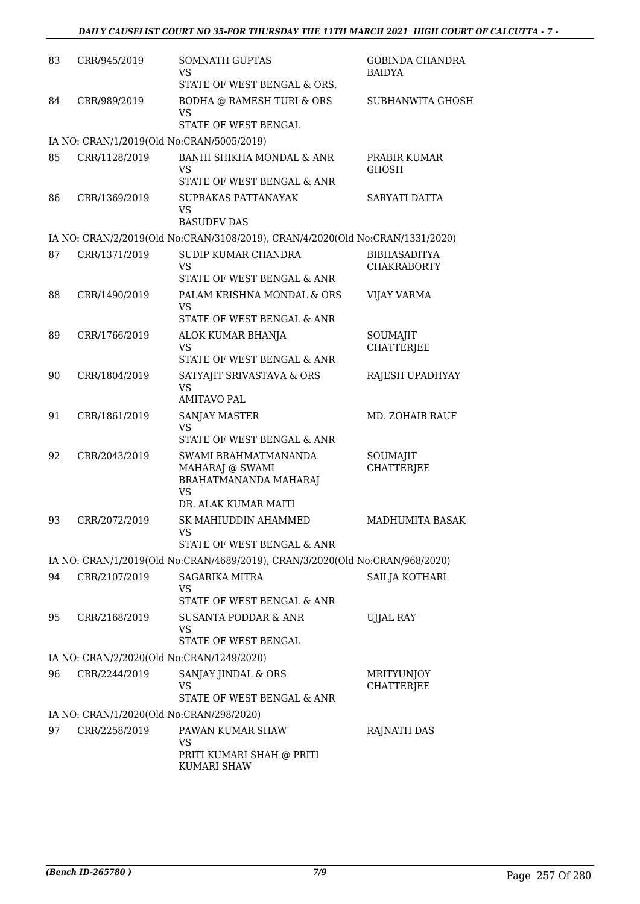| 83 | CRR/945/2019                             | <b>SOMNATH GUPTAS</b><br><b>VS</b><br>STATE OF WEST BENGAL & ORS.                                     | <b>GOBINDA CHANDRA</b><br><b>BAIDYA</b>   |
|----|------------------------------------------|-------------------------------------------------------------------------------------------------------|-------------------------------------------|
| 84 | CRR/989/2019                             | <b>BODHA @ RAMESH TURI &amp; ORS</b><br><b>VS</b><br>STATE OF WEST BENGAL                             | <b>SUBHANWITA GHOSH</b>                   |
|    |                                          | IA NO: CRAN/1/2019(Old No:CRAN/5005/2019)                                                             |                                           |
| 85 | CRR/1128/2019                            | BANHI SHIKHA MONDAL & ANR<br>VS                                                                       | PRABIR KUMAR<br><b>GHOSH</b>              |
| 86 | CRR/1369/2019                            | STATE OF WEST BENGAL & ANR<br>SUPRAKAS PATTANAYAK<br>VS                                               | SARYATI DATTA                             |
|    |                                          | <b>BASUDEV DAS</b>                                                                                    |                                           |
|    |                                          | IA NO: CRAN/2/2019(Old No:CRAN/3108/2019), CRAN/4/2020(Old No:CRAN/1331/2020)                         |                                           |
| 87 | CRR/1371/2019                            | SUDIP KUMAR CHANDRA<br>VS<br>STATE OF WEST BENGAL & ANR                                               | <b>BIBHASADITYA</b><br><b>CHAKRABORTY</b> |
| 88 | CRR/1490/2019                            | PALAM KRISHNA MONDAL & ORS<br><b>VS</b>                                                               | <b>VIJAY VARMA</b>                        |
|    |                                          | STATE OF WEST BENGAL & ANR                                                                            |                                           |
| 89 | CRR/1766/2019                            | ALOK KUMAR BHANJA<br><b>VS</b>                                                                        | SOUMAJIT<br><b>CHATTERJEE</b>             |
|    |                                          | STATE OF WEST BENGAL & ANR                                                                            |                                           |
| 90 | CRR/1804/2019                            | SATYAJIT SRIVASTAVA & ORS<br><b>VS</b><br><b>AMITAVO PAL</b>                                          | RAJESH UPADHYAY                           |
| 91 | CRR/1861/2019                            | <b>SANJAY MASTER</b><br>VS<br>STATE OF WEST BENGAL & ANR                                              | MD. ZOHAIB RAUF                           |
| 92 | CRR/2043/2019                            | SWAMI BRAHMATMANANDA<br>MAHARAJ @ SWAMI<br>BRAHATMANANDA MAHARAJ<br><b>VS</b><br>DR. ALAK KUMAR MAITI | SOUMAJIT<br><b>CHATTERJEE</b>             |
| 93 | CRR/2072/2019                            | SK MAHIUDDIN AHAMMED<br>VS<br>STATE OF WEST BENGAL & ANR                                              | <b>MADHUMITA BASAK</b>                    |
|    |                                          | IA NO: CRAN/1/2019(Old No:CRAN/4689/2019), CRAN/3/2020(Old No:CRAN/968/2020)                          |                                           |
| 94 | CRR/2107/2019                            | SAGARIKA MITRA                                                                                        | SAILJA KOTHARI                            |
|    |                                          | VS<br>STATE OF WEST BENGAL & ANR                                                                      |                                           |
| 95 | CRR/2168/2019                            | <b>SUSANTA PODDAR &amp; ANR</b><br>VS<br>STATE OF WEST BENGAL                                         | <b>UJJAL RAY</b>                          |
|    |                                          | IA NO: CRAN/2/2020(Old No:CRAN/1249/2020)                                                             |                                           |
| 96 | CRR/2244/2019                            | SANJAY JINDAL & ORS<br>VS<br>STATE OF WEST BENGAL & ANR                                               | <b>MRITYUNJOY</b><br>CHATTERJEE           |
|    | IA NO: CRAN/1/2020(Old No:CRAN/298/2020) |                                                                                                       |                                           |
| 97 | CRR/2258/2019                            | PAWAN KUMAR SHAW<br>VS                                                                                | RAJNATH DAS                               |
|    |                                          | PRITI KUMARI SHAH @ PRITI<br><b>KUMARI SHAW</b>                                                       |                                           |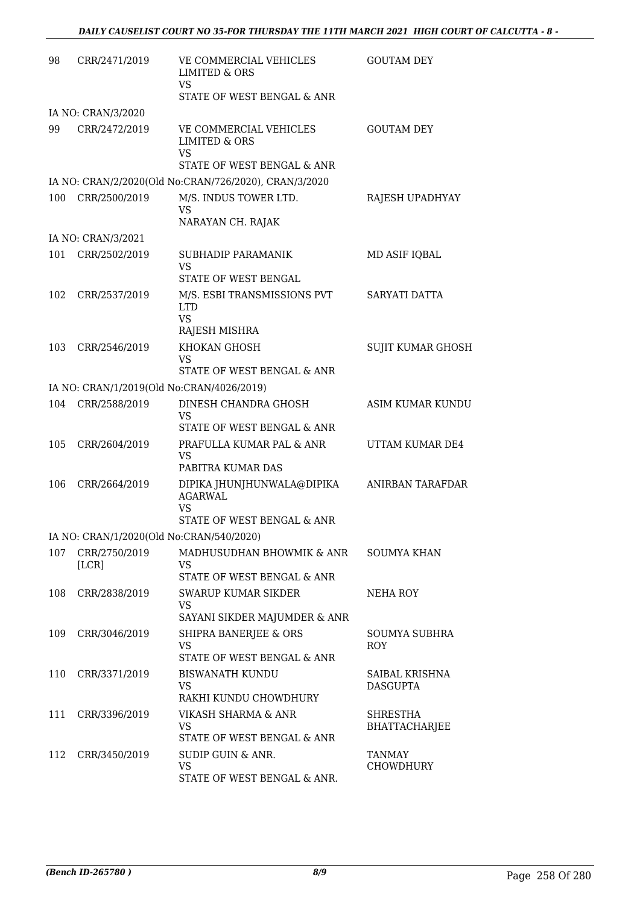| 98  | CRR/2471/2019          | VE COMMERCIAL VEHICLES<br><b>LIMITED &amp; ORS</b><br><b>VS</b><br>STATE OF WEST BENGAL & ANR                    | <b>GOUTAM DEY</b>                 |
|-----|------------------------|------------------------------------------------------------------------------------------------------------------|-----------------------------------|
|     | IA NO: CRAN/3/2020     |                                                                                                                  |                                   |
| 99  | CRR/2472/2019          | VE COMMERCIAL VEHICLES<br>LIMITED & ORS<br><b>VS</b><br>STATE OF WEST BENGAL & ANR                               | <b>GOUTAM DEY</b>                 |
|     |                        | IA NO: CRAN/2/2020(Old No:CRAN/726/2020), CRAN/3/2020                                                            |                                   |
| 100 | CRR/2500/2019          | M/S. INDUS TOWER LTD.<br><b>VS</b><br>NARAYAN CH. RAJAK                                                          | RAJESH UPADHYAY                   |
|     | IA NO: CRAN/3/2021     |                                                                                                                  |                                   |
| 101 | CRR/2502/2019          | SUBHADIP PARAMANIK<br><b>VS</b>                                                                                  | MD ASIF IQBAL                     |
| 102 | CRR/2537/2019          | STATE OF WEST BENGAL<br>M/S. ESBI TRANSMISSIONS PVT<br><b>LTD</b><br><b>VS</b><br>RAJESH MISHRA                  | SARYATI DATTA                     |
| 103 | CRR/2546/2019          | KHOKAN GHOSH<br>VS<br>STATE OF WEST BENGAL & ANR                                                                 | <b>SUJIT KUMAR GHOSH</b>          |
|     |                        | IA NO: CRAN/1/2019(Old No:CRAN/4026/2019)                                                                        |                                   |
| 104 | CRR/2588/2019          | DINESH CHANDRA GHOSH<br><b>VS</b>                                                                                | ASIM KUMAR KUNDU                  |
| 105 | CRR/2604/2019          | STATE OF WEST BENGAL & ANR<br>PRAFULLA KUMAR PAL & ANR<br><b>VS</b><br>PABITRA KUMAR DAS                         | UTTAM KUMAR DE4                   |
| 106 | CRR/2664/2019          | DIPIKA JHUNJHUNWALA@DIPIKA<br><b>AGARWAL</b><br><b>VS</b>                                                        | ANIRBAN TARAFDAR                  |
|     |                        | STATE OF WEST BENGAL & ANR                                                                                       |                                   |
| 107 | CRR/2750/2019<br>[LCR] | IA NO: CRAN/1/2020(Old No:CRAN/540/2020)<br>MADHUSUDHAN BHOWMIK & ANR<br><b>VS</b><br>STATE OF WEST BENGAL & ANR | <b>SOUMYA KHAN</b>                |
| 108 | CRR/2838/2019          | SWARUP KUMAR SIKDER<br><b>VS</b><br>SAYANI SIKDER MAJUMDER & ANR                                                 | NEHA ROY                          |
| 109 | CRR/3046/2019          | SHIPRA BANERJEE & ORS<br><b>VS</b><br>STATE OF WEST BENGAL & ANR                                                 | SOUMYA SUBHRA<br>ROY              |
| 110 | CRR/3371/2019          | <b>BISWANATH KUNDU</b><br><b>VS</b><br>RAKHI KUNDU CHOWDHURY                                                     | SAIBAL KRISHNA<br><b>DASGUPTA</b> |
| 111 | CRR/3396/2019          | VIKASH SHARMA & ANR<br><b>VS</b><br>STATE OF WEST BENGAL & ANR                                                   | SHRESTHA<br><b>BHATTACHARJEE</b>  |
| 112 | CRR/3450/2019          | SUDIP GUIN & ANR.<br><b>VS</b><br>STATE OF WEST BENGAL & ANR.                                                    | <b>TANMAY</b><br>CHOWDHURY        |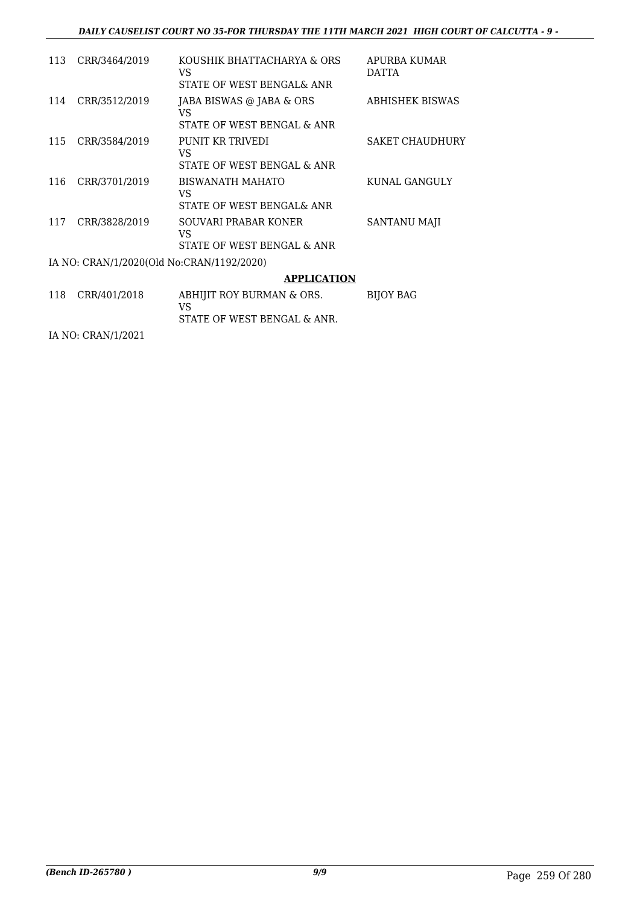#### *DAILY CAUSELIST COURT NO 35-FOR THURSDAY THE 11TH MARCH 2021 HIGH COURT OF CALCUTTA - 9 -*

| 113 | CRR/3464/2019                             | KOUSHIK BHATTACHARYA & ORS<br>VS<br>STATE OF WEST BENGAL& ANR | APURBA KUMAR<br><b>DATTA</b> |
|-----|-------------------------------------------|---------------------------------------------------------------|------------------------------|
| 114 | CRR/3512/2019                             | JABA BISWAS @ JABA & ORS<br>VS<br>STATE OF WEST BENGAL & ANR  | <b>ABHISHEK BISWAS</b>       |
| 115 | CRR/3584/2019                             | PUNIT KR TRIVEDI<br>VS<br>STATE OF WEST BENGAL & ANR          | <b>SAKET CHAUDHURY</b>       |
| 116 | CRR/3701/2019                             | BISWANATH MAHATO<br>VS<br>STATE OF WEST BENGAL& ANR           | KUNAL GANGULY                |
| 117 | CRR/3828/2019                             | SOUVARI PRABAR KONER<br>VS<br>STATE OF WEST BENGAL & ANR      | SANTANU MAJI                 |
|     | IA NO: CRAN/1/2020(Old No:CRAN/1192/2020) |                                                               |                              |
|     |                                           | <b>APPLICATION</b>                                            |                              |
| 118 | CRR/401/2018                              | ABHIJIT ROY BURMAN & ORS.<br>VS                               | <b>BIJOY BAG</b>             |
|     |                                           | STATE OF WEST BENGAL & ANR.                                   |                              |

IA NO: CRAN/1/2021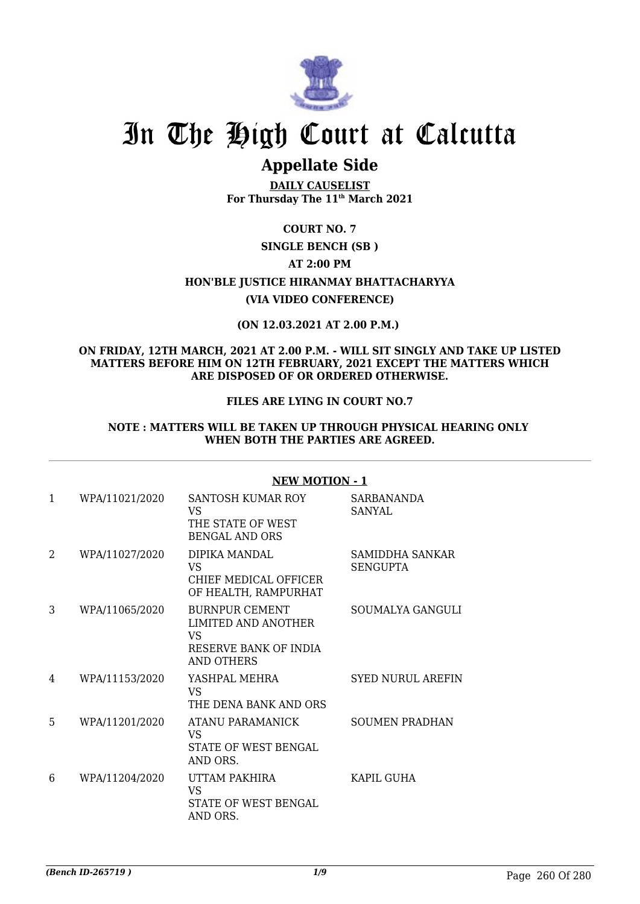

# **Appellate Side**

**DAILY CAUSELIST For Thursday The 11th March 2021**

## **COURT NO. 7**

## **SINGLE BENCH (SB )**

## **AT 2:00 PM**

# **HON'BLE JUSTICE HIRANMAY BHATTACHARYYA**

## **(VIA VIDEO CONFERENCE)**

## **(ON 12.03.2021 AT 2.00 P.M.)**

### **ON FRIDAY, 12TH MARCH, 2021 AT 2.00 P.M. - WILL SIT SINGLY AND TAKE UP LISTED MATTERS BEFORE HIM ON 12TH FEBRUARY, 2021 EXCEPT THE MATTERS WHICH ARE DISPOSED OF OR ORDERED OTHERWISE.**

## **FILES ARE LYING IN COURT NO.7**

#### **NOTE : MATTERS WILL BE TAKEN UP THROUGH PHYSICAL HEARING ONLY WHEN BOTH THE PARTIES ARE AGREED.**

| $\mathbf{1}$ | WPA/11021/2020 | SANTOSH KUMAR ROY<br>VS.<br>THE STATE OF WEST<br><b>BENGAL AND ORS</b>                     | SARBANANDA<br>SANYAL               |
|--------------|----------------|--------------------------------------------------------------------------------------------|------------------------------------|
| 2            | WPA/11027/2020 | DIPIKA MANDAL<br>VS.<br>CHIEF MEDICAL OFFICER<br>OF HEALTH, RAMPURHAT                      | SAMIDDHA SANKAR<br><b>SENGUPTA</b> |
| 3            | WPA/11065/2020 | <b>BURNPUR CEMENT</b><br>LIMITED AND ANOTHER<br>VS.<br>RESERVE BANK OF INDIA<br>AND OTHERS | SOUMALYA GANGULI                   |
| 4            | WPA/11153/2020 | YASHPAL MEHRA<br><b>VS</b><br>THE DENA BANK AND ORS                                        | <b>SYED NURUL AREFIN</b>           |
| 5            | WPA/11201/2020 | ATANU PARAMANICK<br>VS.<br>STATE OF WEST BENGAL<br>AND ORS.                                | <b>SOUMEN PRADHAN</b>              |
| 6            | WPA/11204/2020 | UTTAM PAKHIRA<br><b>VS</b><br>STATE OF WEST BENGAL<br>AND ORS.                             | KAPIL GUHA                         |
|              |                |                                                                                            |                                    |

### **NEW MOTION - 1**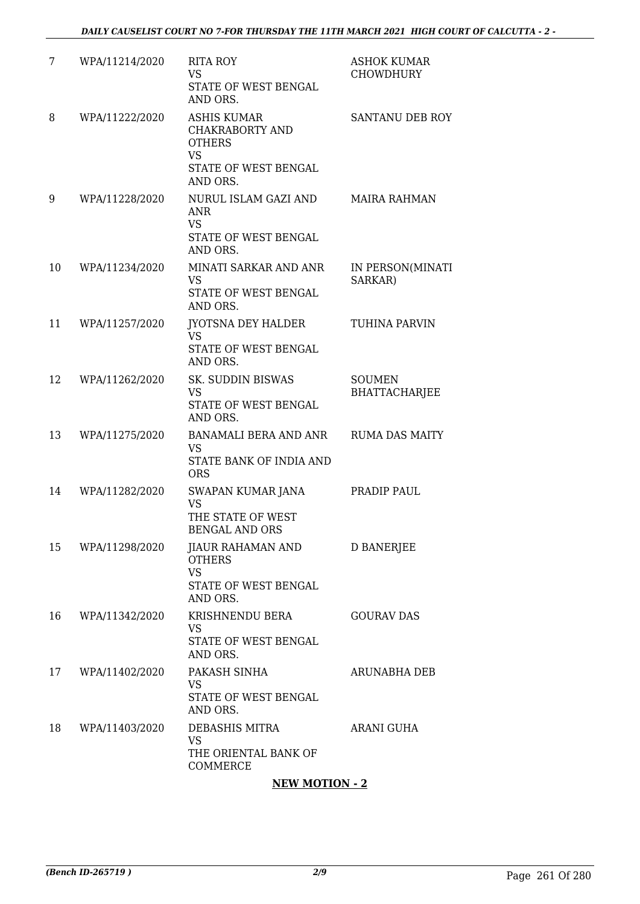| 7  | WPA/11214/2020 | <b>RITA ROY</b><br><b>VS</b><br>STATE OF WEST BENGAL<br>AND ORS.                                        | <b>ASHOK KUMAR</b><br><b>CHOWDHURY</b> |
|----|----------------|---------------------------------------------------------------------------------------------------------|----------------------------------------|
| 8  | WPA/11222/2020 | <b>ASHIS KUMAR</b><br>CHAKRABORTY AND<br><b>OTHERS</b><br><b>VS</b><br>STATE OF WEST BENGAL<br>AND ORS. | SANTANU DEB ROY                        |
| 9  | WPA/11228/2020 | NURUL ISLAM GAZI AND<br><b>ANR</b><br><b>VS</b><br>STATE OF WEST BENGAL<br>AND ORS.                     | <b>MAIRA RAHMAN</b>                    |
| 10 | WPA/11234/2020 | MINATI SARKAR AND ANR<br><b>VS</b><br>STATE OF WEST BENGAL<br>AND ORS.                                  | IN PERSON(MINATI<br>SARKAR)            |
| 11 | WPA/11257/2020 | <b>JYOTSNA DEY HALDER</b><br><b>VS</b><br>STATE OF WEST BENGAL<br>AND ORS.                              | <b>TUHINA PARVIN</b>                   |
| 12 | WPA/11262/2020 | SK. SUDDIN BISWAS<br><b>VS</b><br>STATE OF WEST BENGAL<br>AND ORS.                                      | <b>SOUMEN</b><br><b>BHATTACHARJEE</b>  |
| 13 | WPA/11275/2020 | <b>BANAMALI BERA AND ANR</b><br><b>VS</b><br>STATE BANK OF INDIA AND<br><b>ORS</b>                      | <b>RUMA DAS MAITY</b>                  |
| 14 | WPA/11282/2020 | SWAPAN KUMAR JANA<br><b>VS</b><br>THE STATE OF WEST<br><b>BENGAL AND ORS</b>                            | PRADIP PAUL                            |
| 15 | WPA/11298/2020 | JIAUR RAHAMAN AND<br><b>OTHERS</b><br><b>VS</b><br>STATE OF WEST BENGAL<br>AND ORS.                     | <b>D BANERJEE</b>                      |
| 16 | WPA/11342/2020 | KRISHNENDU BERA<br><b>VS</b><br>STATE OF WEST BENGAL<br>AND ORS.                                        | <b>GOURAV DAS</b>                      |
| 17 | WPA/11402/2020 | PAKASH SINHA<br><b>VS</b><br>STATE OF WEST BENGAL<br>AND ORS.                                           | <b>ARUNABHA DEB</b>                    |
| 18 | WPA/11403/2020 | DEBASHIS MITRA<br>VS<br>THE ORIENTAL BANK OF<br>COMMERCE                                                | ARANI GUHA                             |

### **NEW MOTION - 2**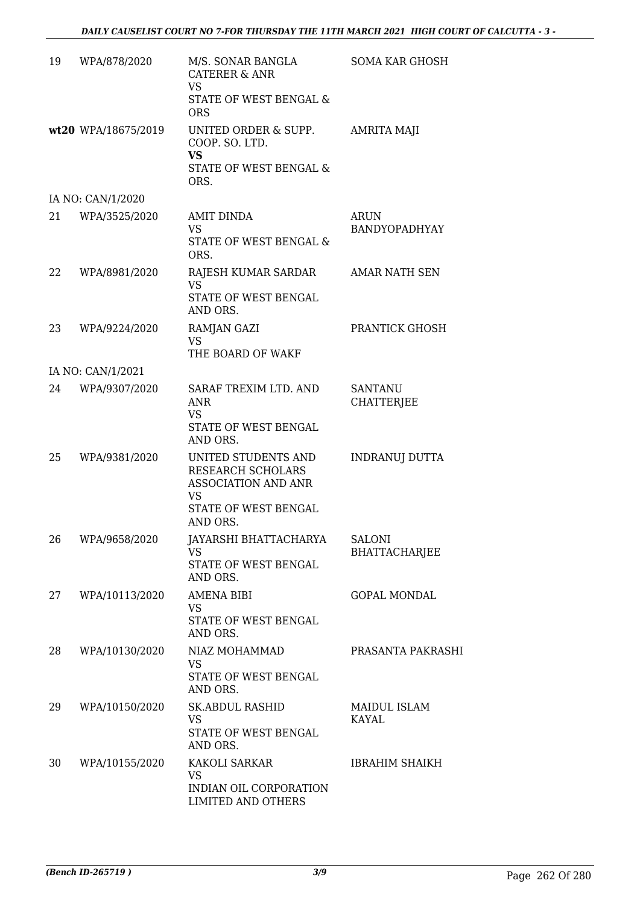| 19 | WPA/878/2020        | M/S. SONAR BANGLA<br><b>CATERER &amp; ANR</b><br>VS.<br>STATE OF WEST BENGAL &<br><b>ORS</b>                     | <b>SOMA KAR GHOSH</b>               |
|----|---------------------|------------------------------------------------------------------------------------------------------------------|-------------------------------------|
|    | wt20 WPA/18675/2019 | UNITED ORDER & SUPP.<br>COOP. SO. LTD.<br><b>VS</b><br>STATE OF WEST BENGAL &<br>ORS.                            | <b>AMRITA MAJI</b>                  |
|    | IA NO: CAN/1/2020   |                                                                                                                  |                                     |
| 21 | WPA/3525/2020       | <b>AMIT DINDA</b><br><b>VS</b><br>STATE OF WEST BENGAL &<br>ORS.                                                 | <b>ARUN</b><br>BANDYOPADHYAY        |
| 22 | WPA/8981/2020       | RAJESH KUMAR SARDAR<br>VS<br>STATE OF WEST BENGAL<br>AND ORS.                                                    | <b>AMAR NATH SEN</b>                |
| 23 | WPA/9224/2020       | RAMJAN GAZI<br><b>VS</b><br>THE BOARD OF WAKF                                                                    | PRANTICK GHOSH                      |
|    | IA NO: CAN/1/2021   |                                                                                                                  |                                     |
| 24 | WPA/9307/2020       | SARAF TREXIM LTD. AND<br><b>ANR</b><br><b>VS</b><br>STATE OF WEST BENGAL<br>AND ORS.                             | <b>SANTANU</b><br><b>CHATTERJEE</b> |
| 25 | WPA/9381/2020       | UNITED STUDENTS AND<br>RESEARCH SCHOLARS<br><b>ASSOCIATION AND ANR</b><br>VS<br>STATE OF WEST BENGAL<br>AND ORS. | INDRANUJ DUTTA                      |
| 26 | WPA/9658/2020       | JAYARSHI BHATTACHARYA<br><b>VS</b><br>STATE OF WEST BENGAL<br>AND ORS.                                           | <b>SALONI</b><br>BHATTACHARJEE      |
| 27 | WPA/10113/2020      | <b>AMENA BIBI</b><br><b>VS</b><br>STATE OF WEST BENGAL<br>AND ORS.                                               | <b>GOPAL MONDAL</b>                 |
| 28 | WPA/10130/2020      | NIAZ MOHAMMAD<br>VS<br>STATE OF WEST BENGAL<br>AND ORS.                                                          | PRASANTA PAKRASHI                   |
| 29 | WPA/10150/2020      | <b>SK.ABDUL RASHID</b><br><b>VS</b><br>STATE OF WEST BENGAL<br>AND ORS.                                          | MAIDUL ISLAM<br><b>KAYAL</b>        |
| 30 | WPA/10155/2020      | KAKOLI SARKAR<br><b>VS</b><br>INDIAN OIL CORPORATION<br>LIMITED AND OTHERS                                       | <b>IBRAHIM SHAIKH</b>               |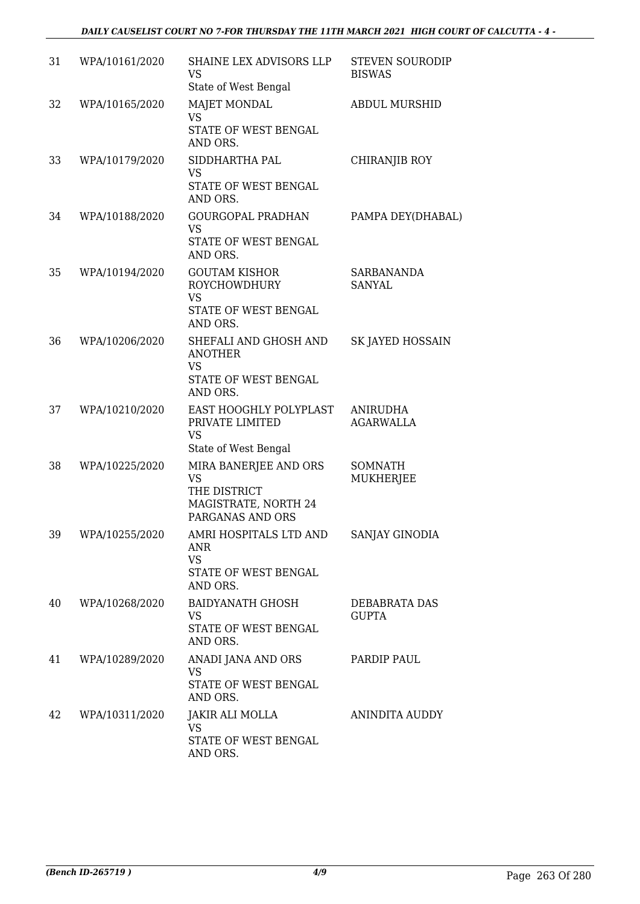| 31 | WPA/10161/2020 | SHAINE LEX ADVISORS LLP<br>VS<br>State of West Bengal                                          | <b>STEVEN SOURODIP</b><br><b>BISWAS</b> |
|----|----------------|------------------------------------------------------------------------------------------------|-----------------------------------------|
| 32 | WPA/10165/2020 | MAJET MONDAL<br><b>VS</b><br>STATE OF WEST BENGAL<br>AND ORS.                                  | <b>ABDUL MURSHID</b>                    |
| 33 | WPA/10179/2020 | SIDDHARTHA PAL<br><b>VS</b><br>STATE OF WEST BENGAL<br>AND ORS.                                | CHIRANJIB ROY                           |
| 34 | WPA/10188/2020 | <b>GOURGOPAL PRADHAN</b><br><b>VS</b><br>STATE OF WEST BENGAL<br>AND ORS.                      | PAMPA DEY(DHABAL)                       |
| 35 | WPA/10194/2020 | <b>GOUTAM KISHOR</b><br><b>ROYCHOWDHURY</b><br><b>VS</b><br>STATE OF WEST BENGAL<br>AND ORS.   | <b>SARBANANDA</b><br><b>SANYAL</b>      |
| 36 | WPA/10206/2020 | SHEFALI AND GHOSH AND<br><b>ANOTHER</b><br><b>VS</b><br>STATE OF WEST BENGAL<br>AND ORS.       | <b>SK JAYED HOSSAIN</b>                 |
| 37 | WPA/10210/2020 | EAST HOOGHLY POLYPLAST<br>PRIVATE LIMITED<br><b>VS</b><br>State of West Bengal                 | ANIRUDHA<br><b>AGARWALLA</b>            |
| 38 | WPA/10225/2020 | MIRA BANERJEE AND ORS<br><b>VS</b><br>THE DISTRICT<br>MAGISTRATE, NORTH 24<br>PARGANAS AND ORS | <b>SOMNATH</b><br><b>MUKHERJEE</b>      |
| 39 | WPA/10255/2020 | AMRI HOSPITALS LTD AND<br>ANR<br><b>VS</b><br>STATE OF WEST BENGAL<br>AND ORS.                 | SANJAY GINODIA                          |
| 40 | WPA/10268/2020 | <b>BAIDYANATH GHOSH</b><br><b>VS</b><br>STATE OF WEST BENGAL<br>AND ORS.                       | DEBABRATA DAS<br>GUPTA                  |
| 41 | WPA/10289/2020 | ANADI JANA AND ORS<br><b>VS</b><br>STATE OF WEST BENGAL<br>AND ORS.                            | PARDIP PAUL                             |
| 42 | WPA/10311/2020 | JAKIR ALI MOLLA<br><b>VS</b><br>STATE OF WEST BENGAL<br>AND ORS.                               | <b>ANINDITA AUDDY</b>                   |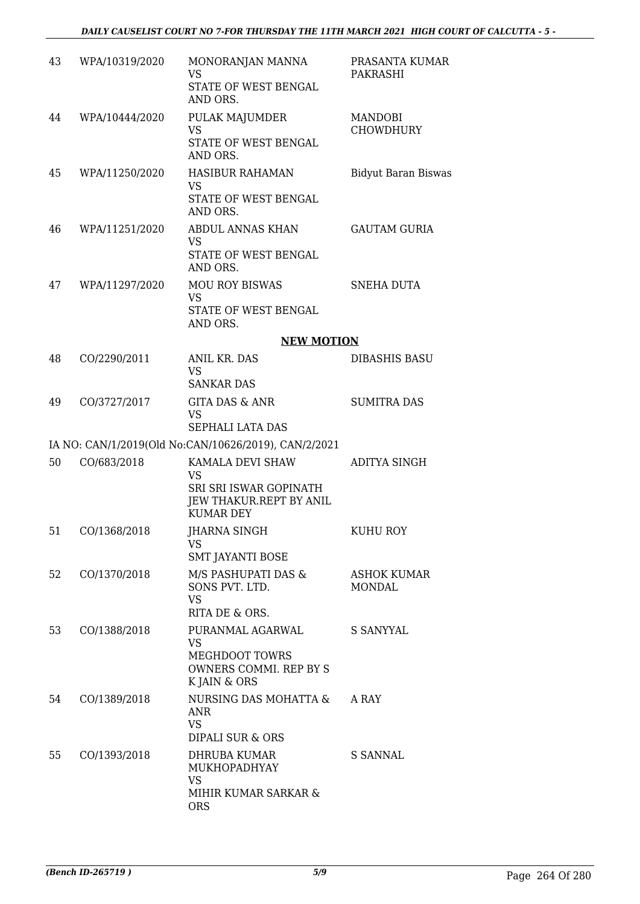| 43 | WPA/10319/2020 | MONORANJAN MANNA<br><b>VS</b><br>STATE OF WEST BENGAL<br>AND ORS.                               | PRASANTA KUMAR<br>PAKRASHI          |
|----|----------------|-------------------------------------------------------------------------------------------------|-------------------------------------|
| 44 | WPA/10444/2020 | PULAK MAJUMDER<br><b>VS</b><br>STATE OF WEST BENGAL<br>AND ORS.                                 | MANDOBI<br><b>CHOWDHURY</b>         |
| 45 | WPA/11250/2020 | <b>HASIBUR RAHAMAN</b><br><b>VS</b><br>STATE OF WEST BENGAL<br>AND ORS.                         | <b>Bidyut Baran Biswas</b>          |
| 46 | WPA/11251/2020 | ABDUL ANNAS KHAN<br>VS<br>STATE OF WEST BENGAL<br>AND ORS.                                      | <b>GAUTAM GURIA</b>                 |
| 47 | WPA/11297/2020 | <b>MOU ROY BISWAS</b><br><b>VS</b><br>STATE OF WEST BENGAL<br>AND ORS.                          | <b>SNEHA DUTA</b>                   |
|    |                | <b>NEW MOTION</b>                                                                               |                                     |
| 48 | CO/2290/2011   | <b>ANIL KR. DAS</b><br><b>VS</b><br><b>SANKAR DAS</b>                                           | <b>DIBASHIS BASU</b>                |
| 49 | CO/3727/2017   | <b>GITA DAS &amp; ANR</b><br><b>VS</b><br>SEPHALI LATA DAS                                      | <b>SUMITRA DAS</b>                  |
|    |                | IA NO: CAN/1/2019(Old No:CAN/10626/2019), CAN/2/2021                                            |                                     |
| 50 | CO/683/2018    | KAMALA DEVI SHAW<br>VS<br>SRI SRI ISWAR GOPINATH<br>JEW THAKUR.REPT BY ANIL<br><b>KUMAR DEY</b> | ADITYA SINGH                        |
| 51 | CO/1368/2018   | JHARNA SINGH<br>VS<br><b>SMT JAYANTI BOSE</b>                                                   | KUHU ROY                            |
| 52 | CO/1370/2018   | M/S PASHUPATI DAS &<br>SONS PVT. LTD.<br><b>VS</b><br>RITA DE & ORS.                            | <b>ASHOK KUMAR</b><br><b>MONDAL</b> |
| 53 | CO/1388/2018   | PURANMAL AGARWAL<br>VS<br><b>MEGHDOOT TOWRS</b><br>OWNERS COMMI. REP BY S<br>K JAIN & ORS       | <b>S SANYYAL</b>                    |
| 54 | CO/1389/2018   | NURSING DAS MOHATTA &<br>ANR<br><b>VS</b><br>DIPALI SUR & ORS                                   | A RAY                               |
| 55 | CO/1393/2018   | DHRUBA KUMAR<br>MUKHOPADHYAY<br><b>VS</b><br>MIHIR KUMAR SARKAR &                               | <b>S SANNAL</b>                     |
|    |                | <b>ORS</b>                                                                                      |                                     |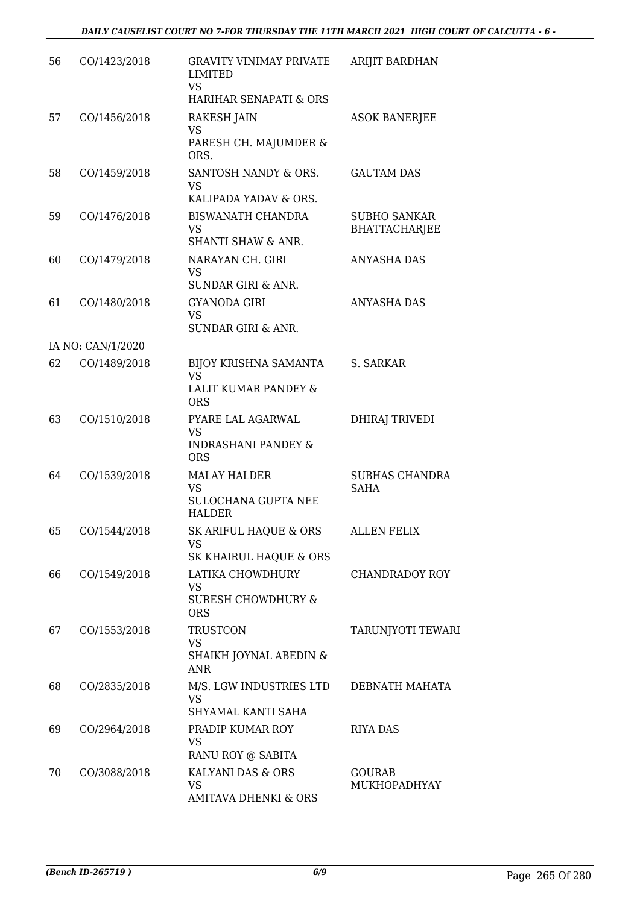| 56 | CO/1423/2018      | <b>GRAVITY VINIMAY PRIVATE</b><br><b>LIMITED</b><br><b>VS</b><br>HARIHAR SENAPATI & ORS | ARIJIT BARDHAN                              |
|----|-------------------|-----------------------------------------------------------------------------------------|---------------------------------------------|
| 57 | CO/1456/2018      | RAKESH JAIN<br><b>VS</b><br>PARESH CH. MAJUMDER &<br>ORS.                               | <b>ASOK BANERJEE</b>                        |
| 58 | CO/1459/2018      | SANTOSH NANDY & ORS.<br><b>VS</b><br>KALIPADA YADAV & ORS.                              | <b>GAUTAM DAS</b>                           |
| 59 | CO/1476/2018      | <b>BISWANATH CHANDRA</b><br>VS<br><b>SHANTI SHAW &amp; ANR.</b>                         | <b>SUBHO SANKAR</b><br><b>BHATTACHARJEE</b> |
| 60 | CO/1479/2018      | NARAYAN CH. GIRI<br><b>VS</b><br><b>SUNDAR GIRI &amp; ANR.</b>                          | <b>ANYASHA DAS</b>                          |
| 61 | CO/1480/2018      | <b>GYANODA GIRI</b><br><b>VS</b><br><b>SUNDAR GIRI &amp; ANR.</b>                       | <b>ANYASHA DAS</b>                          |
|    | IA NO: CAN/1/2020 |                                                                                         |                                             |
| 62 | CO/1489/2018      | BIJOY KRISHNA SAMANTA<br><b>VS</b>                                                      | S. SARKAR                                   |
|    |                   | LALIT KUMAR PANDEY &<br><b>ORS</b>                                                      |                                             |
| 63 | CO/1510/2018      | PYARE LAL AGARWAL<br>VS<br><b>INDRASHANI PANDEY &amp;</b><br><b>ORS</b>                 | <b>DHIRAJ TRIVEDI</b>                       |
| 64 | CO/1539/2018      | <b>MALAY HALDER</b><br><b>VS</b><br>SULOCHANA GUPTA NEE<br><b>HALDER</b>                | <b>SUBHAS CHANDRA</b><br><b>SAHA</b>        |
| 65 | CO/1544/2018      | SK ARIFUL HAQUE & ORS<br><b>VS</b><br>SK KHAIRUL HAQUE & ORS                            | <b>ALLEN FELIX</b>                          |
| 66 | CO/1549/2018      | LATIKA CHOWDHURY<br><b>VS</b><br><b>SURESH CHOWDHURY &amp;</b><br><b>ORS</b>            | <b>CHANDRADOY ROY</b>                       |
| 67 | CO/1553/2018      | <b>TRUSTCON</b><br><b>VS</b><br>SHAIKH JOYNAL ABEDIN &<br><b>ANR</b>                    | <b>TARUNJYOTI TEWARI</b>                    |
| 68 | CO/2835/2018      | M/S. LGW INDUSTRIES LTD<br><b>VS</b><br>SHYAMAL KANTI SAHA                              | DEBNATH MAHATA                              |
| 69 | CO/2964/2018      | PRADIP KUMAR ROY<br><b>VS</b><br>RANU ROY @ SABITA                                      | <b>RIYA DAS</b>                             |
| 70 | CO/3088/2018      | KALYANI DAS & ORS<br><b>VS</b><br>AMITAVA DHENKI & ORS                                  | <b>GOURAB</b><br>MUKHOPADHYAY               |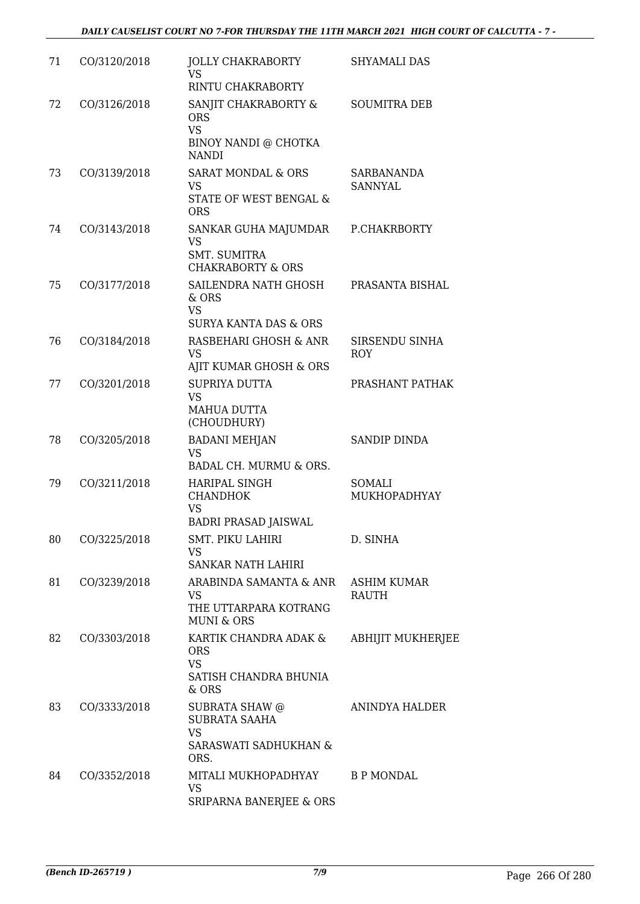| 71 | CO/3120/2018 | <b>JOLLY CHAKRABORTY</b><br><b>VS</b><br>RINTU CHAKRABORTY                                         | <b>SHYAMALI DAS</b>                |
|----|--------------|----------------------------------------------------------------------------------------------------|------------------------------------|
| 72 | CO/3126/2018 | SANJIT CHAKRABORTY &<br><b>ORS</b><br><b>VS</b><br>BINOY NANDI @ CHOTKA                            | <b>SOUMITRA DEB</b>                |
| 73 | CO/3139/2018 | <b>NANDI</b><br><b>SARAT MONDAL &amp; ORS</b><br><b>VS</b><br>STATE OF WEST BENGAL &<br><b>ORS</b> | SARBANANDA<br><b>SANNYAL</b>       |
| 74 | CO/3143/2018 | SANKAR GUHA MAJUMDAR<br><b>VS</b><br><b>SMT. SUMITRA</b><br><b>CHAKRABORTY &amp; ORS</b>           | P.CHAKRBORTY                       |
| 75 | CO/3177/2018 | SAILENDRA NATH GHOSH<br>& ORS<br><b>VS</b><br><b>SURYA KANTA DAS &amp; ORS</b>                     | PRASANTA BISHAL                    |
| 76 | CO/3184/2018 | RASBEHARI GHOSH & ANR<br><b>VS</b><br>AJIT KUMAR GHOSH & ORS                                       | SIRSENDU SINHA<br><b>ROY</b>       |
| 77 | CO/3201/2018 | <b>SUPRIYA DUTTA</b><br><b>VS</b><br><b>MAHUA DUTTA</b><br>(CHOUDHURY)                             | PRASHANT PATHAK                    |
| 78 | CO/3205/2018 | <b>BADANI MEHJAN</b><br><b>VS</b><br>BADAL CH. MURMU & ORS.                                        | <b>SANDIP DINDA</b>                |
| 79 | CO/3211/2018 | <b>HARIPAL SINGH</b><br><b>CHANDHOK</b><br><b>VS</b><br><b>BADRI PRASAD JAISWAL</b>                | SOMALI<br>MUKHOPADHYAY             |
| 80 | CO/3225/2018 | SMT. PIKU LAHIRI<br><b>VS</b><br><b>SANKAR NATH LAHIRI</b>                                         | D. SINHA                           |
| 81 | CO/3239/2018 | ARABINDA SAMANTA & ANR<br><b>VS</b><br>THE UTTARPARA KOTRANG<br><b>MUNI &amp; ORS</b>              | <b>ASHIM KUMAR</b><br><b>RAUTH</b> |
| 82 | CO/3303/2018 | KARTIK CHANDRA ADAK &<br><b>ORS</b><br><b>VS</b><br>SATISH CHANDRA BHUNIA<br>& ORS                 | <b>ABHIJIT MUKHERJEE</b>           |
| 83 | CO/3333/2018 | SUBRATA SHAW @<br><b>SUBRATA SAAHA</b><br><b>VS</b><br><b>SARASWATI SADHUKHAN &amp;</b><br>ORS.    | ANINDYA HALDER                     |
| 84 | CO/3352/2018 | MITALI MUKHOPADHYAY<br><b>VS</b><br>SRIPARNA BANERJEE & ORS                                        | <b>B P MONDAL</b>                  |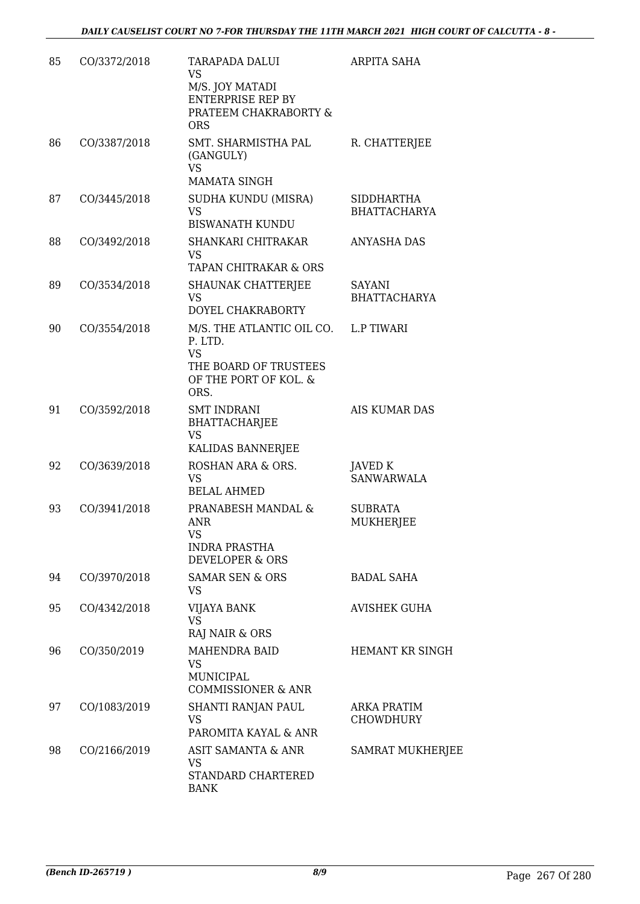| 85 | CO/3372/2018 | TARAPADA DALUI<br><b>VS</b><br>M/S. JOY MATADI<br><b>ENTERPRISE REP BY</b><br>PRATEEM CHAKRABORTY &<br><b>ORS</b>      | ARPITA SAHA                              |
|----|--------------|------------------------------------------------------------------------------------------------------------------------|------------------------------------------|
| 86 | CO/3387/2018 | SMT. SHARMISTHA PAL<br>(GANGULY)<br><b>VS</b><br><b>MAMATA SINGH</b>                                                   | R. CHATTERJEE                            |
| 87 | CO/3445/2018 | SUDHA KUNDU (MISRA)<br><b>VS</b><br><b>BISWANATH KUNDU</b>                                                             | <b>SIDDHARTHA</b><br><b>BHATTACHARYA</b> |
| 88 | CO/3492/2018 | SHANKARI CHITRAKAR<br><b>VS</b><br>TAPAN CHITRAKAR & ORS                                                               | ANYASHA DAS                              |
| 89 | CO/3534/2018 | SHAUNAK CHATTERJEE<br><b>VS</b><br>DOYEL CHAKRABORTY                                                                   | SAYANI<br><b>BHATTACHARYA</b>            |
| 90 | CO/3554/2018 | M/S. THE ATLANTIC OIL CO. L.P TIWARI<br>P. LTD.<br><b>VS</b><br>THE BOARD OF TRUSTEES<br>OF THE PORT OF KOL. &<br>ORS. |                                          |
| 91 | CO/3592/2018 | <b>SMT INDRANI</b><br><b>BHATTACHARJEE</b><br><b>VS</b><br>KALIDAS BANNERJEE                                           | AIS KUMAR DAS                            |
| 92 | CO/3639/2018 | ROSHAN ARA & ORS.<br><b>VS</b><br><b>BELAL AHMED</b>                                                                   | JAVED K<br><b>SANWARWALA</b>             |
| 93 | CO/3941/2018 | PRANABESH MANDAL &<br>ANR<br><b>VS</b><br>INDRA PRASTHA<br><b>DEVELOPER &amp; ORS</b>                                  | <b>SUBRATA</b><br><b>MUKHERJEE</b>       |
| 94 | CO/3970/2018 | <b>SAMAR SEN &amp; ORS</b><br><b>VS</b>                                                                                | <b>BADAL SAHA</b>                        |
| 95 | CO/4342/2018 | VIJAYA BANK<br><b>VS</b><br>RAJ NAIR & ORS                                                                             | <b>AVISHEK GUHA</b>                      |
| 96 | CO/350/2019  | <b>MAHENDRA BAID</b><br><b>VS</b><br>MUNICIPAL<br><b>COMMISSIONER &amp; ANR</b>                                        | <b>HEMANT KR SINGH</b>                   |
| 97 | CO/1083/2019 | SHANTI RANJAN PAUL<br><b>VS</b><br>PAROMITA KAYAL & ANR                                                                | ARKA PRATIM<br><b>CHOWDHURY</b>          |
| 98 | CO/2166/2019 | ASIT SAMANTA & ANR<br>VS<br>STANDARD CHARTERED<br><b>BANK</b>                                                          | <b>SAMRAT MUKHERJEE</b>                  |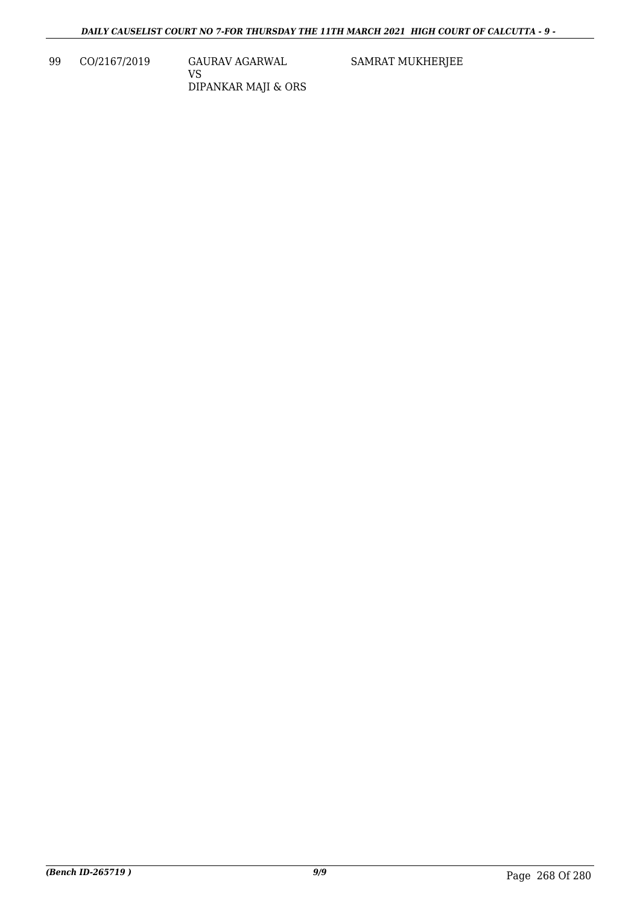99 CO/2167/2019 GAURAV AGARWAL VS DIPANKAR MAJI & ORS SAMRAT MUKHERJEE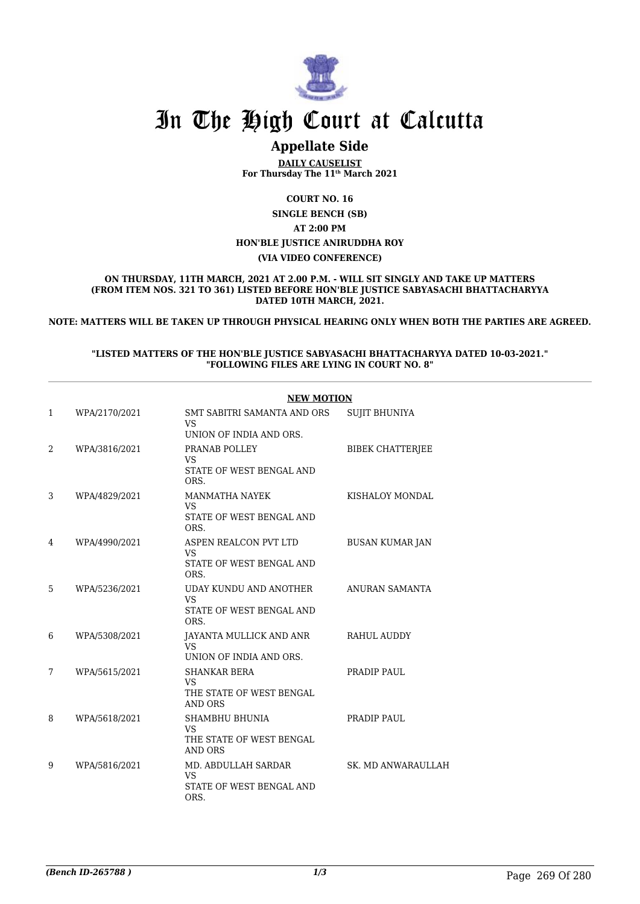

# **Appellate Side**

**DAILY CAUSELIST For Thursday The 11th March 2021**

#### **COURT NO. 16**

**SINGLE BENCH (SB) AT 2:00 PM HON'BLE JUSTICE ANIRUDDHA ROY (VIA VIDEO CONFERENCE)**

**ON THURSDAY, 11TH MARCH, 2021 AT 2.00 P.M. - WILL SIT SINGLY AND TAKE UP MATTERS (FROM ITEM NOS. 321 TO 361) LISTED BEFORE HON'BLE JUSTICE SABYASACHI BHATTACHARYYA DATED 10TH MARCH, 2021.**

**NOTE: MATTERS WILL BE TAKEN UP THROUGH PHYSICAL HEARING ONLY WHEN BOTH THE PARTIES ARE AGREED.**

#### **"LISTED MATTERS OF THE HON'BLE JUSTICE SABYASACHI BHATTACHARYYA DATED 10-03-2021." "FOLLOWING FILES ARE LYING IN COURT NO. 8"**

|                |               | <b>NEW MOTION</b>                                                              |                         |  |
|----------------|---------------|--------------------------------------------------------------------------------|-------------------------|--|
| 1              | WPA/2170/2021 | SMT SABITRI SAMANTA AND ORS<br>VS.<br>UNION OF INDIA AND ORS.                  | <b>SUJIT BHUNIYA</b>    |  |
| $\overline{2}$ | WPA/3816/2021 | PRANAB POLLEY<br>VS<br>STATE OF WEST BENGAL AND<br>ORS.                        | <b>BIBEK CHATTERJEE</b> |  |
| 3              | WPA/4829/2021 | <b>MANMATHA NAYEK</b><br><b>VS</b><br>STATE OF WEST BENGAL AND<br>ORS.         | KISHALOY MONDAL         |  |
| 4              | WPA/4990/2021 | ASPEN REALCON PVT LTD<br><b>VS</b><br>STATE OF WEST BENGAL AND<br>ORS.         | <b>BUSAN KUMAR JAN</b>  |  |
| 5              | WPA/5236/2021 | UDAY KUNDU AND ANOTHER<br>VS.<br>STATE OF WEST BENGAL AND<br>ORS.              | ANURAN SAMANTA          |  |
| 6              | WPA/5308/2021 | JAYANTA MULLICK AND ANR<br>VS<br>UNION OF INDIA AND ORS.                       | RAHUL AUDDY             |  |
| 7              | WPA/5615/2021 | <b>SHANKAR BERA</b><br><b>VS</b><br>THE STATE OF WEST BENGAL<br><b>AND ORS</b> | PRADIP PAUL             |  |
| 8              | WPA/5618/2021 | <b>SHAMBHU BHUNIA</b><br><b>VS</b><br>THE STATE OF WEST BENGAL<br>AND ORS      | PRADIP PAUL             |  |
| 9              | WPA/5816/2021 | MD. ABDULLAH SARDAR<br>VS.<br>STATE OF WEST BENGAL AND<br>ORS.                 | SK. MD ANWARAULLAH      |  |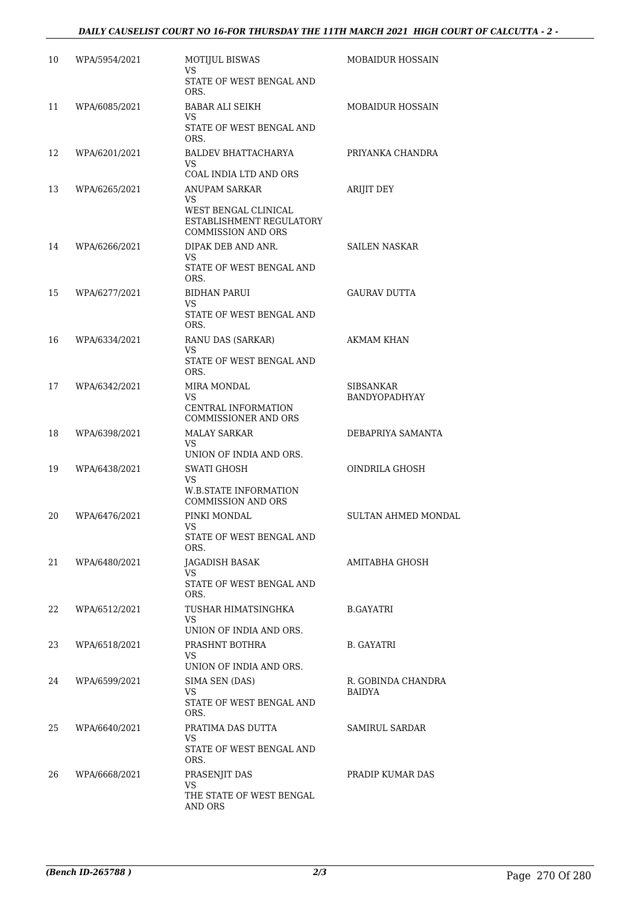| 10 | WPA/5954/2021 | <b>MOTIJUL BISWAS</b><br><b>VS</b>                                                                           | <b>MOBAIDUR HOSSAIN</b>      |
|----|---------------|--------------------------------------------------------------------------------------------------------------|------------------------------|
|    |               | STATE OF WEST BENGAL AND<br>ORS.                                                                             |                              |
| 11 | WPA/6085/2021 | <b>BABAR ALI SEIKH</b>                                                                                       | <b>MOBAIDUR HOSSAIN</b>      |
|    |               | VS<br>STATE OF WEST BENGAL AND<br>ORS.                                                                       |                              |
| 12 | WPA/6201/2021 | BALDEV BHATTACHARYA<br>VS                                                                                    | PRIYANKA CHANDRA             |
|    |               | COAL INDIA LTD AND ORS                                                                                       |                              |
| 13 | WPA/6265/2021 | <b>ANUPAM SARKAR</b><br>VS.<br>WEST BENGAL CLINICAL<br>ESTABLISHMENT REGULATORY<br><b>COMMISSION AND ORS</b> | <b>ARIJIT DEY</b>            |
| 14 | WPA/6266/2021 | DIPAK DEB AND ANR.                                                                                           | <b>SAILEN NASKAR</b>         |
|    |               | VS.<br>STATE OF WEST BENGAL AND<br>ORS.                                                                      |                              |
| 15 | WPA/6277/2021 | <b>BIDHAN PARUI</b>                                                                                          | <b>GAURAV DUTTA</b>          |
|    |               | VS<br>STATE OF WEST BENGAL AND<br>ORS.                                                                       |                              |
| 16 | WPA/6334/2021 | RANU DAS (SARKAR)                                                                                            | <b>AKMAM KHAN</b>            |
|    |               | <b>VS</b><br>STATE OF WEST BENGAL AND<br>ORS.                                                                |                              |
| 17 | WPA/6342/2021 | MIRA MONDAL                                                                                                  | SIBSANKAR                    |
|    |               | <b>VS</b><br>CENTRAL INFORMATION<br>COMMISSIONER AND ORS                                                     | BANDYOPADHYAY                |
| 18 | WPA/6398/2021 | <b>MALAY SARKAR</b>                                                                                          | DEBAPRIYA SAMANTA            |
|    |               | VS<br>UNION OF INDIA AND ORS.                                                                                |                              |
| 19 | WPA/6438/2021 | <b>SWATI GHOSH</b>                                                                                           | OINDRILA GHOSH               |
|    |               | VS<br><b>W.B.STATE INFORMATION</b><br><b>COMMISSION AND ORS</b>                                              |                              |
| 20 | WPA/6476/2021 | PINKI MONDAL                                                                                                 | <b>SULTAN AHMED MONDAL</b>   |
|    |               | VS<br>STATE OF WEST BENGAL AND<br>ORS.                                                                       |                              |
| 21 | WPA/6480/2021 | JAGADISH BASAK                                                                                               | AMITABHA GHOSH               |
|    |               | VS<br>STATE OF WEST BENGAL AND<br>ORS.                                                                       |                              |
| 22 | WPA/6512/2021 | TUSHAR HIMATSINGHKA<br>VS.                                                                                   | B.GAYATRI                    |
| 23 | WPA/6518/2021 | UNION OF INDIA AND ORS.<br>PRASHNT BOTHRA                                                                    | B. GAYATRI                   |
|    |               | VS.                                                                                                          |                              |
|    |               | UNION OF INDIA AND ORS.                                                                                      |                              |
| 24 | WPA/6599/2021 | SIMA SEN (DAS)<br>VS.                                                                                        | R. GOBINDA CHANDRA<br>BAIDYA |
|    |               | STATE OF WEST BENGAL AND<br>ORS.                                                                             |                              |
| 25 | WPA/6640/2021 | PRATIMA DAS DUTTA<br>VS.                                                                                     | SAMIRUL SARDAR               |
|    |               | STATE OF WEST BENGAL AND<br>ORS.                                                                             |                              |
| 26 | WPA/6668/2021 | PRASENJIT DAS<br>VS                                                                                          | PRADIP KUMAR DAS             |
|    |               | THE STATE OF WEST BENGAL<br>AND ORS                                                                          |                              |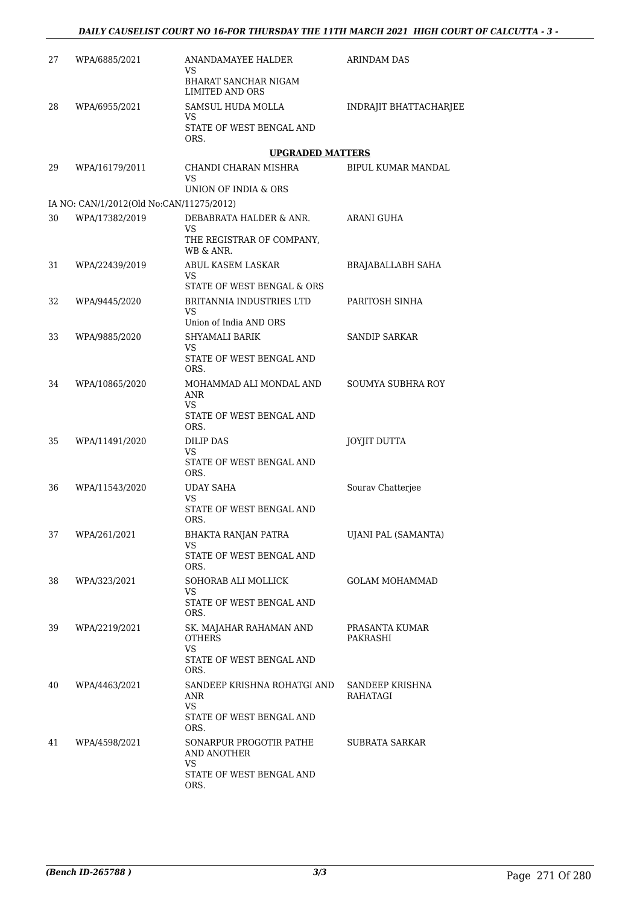| 27 | WPA/6885/2021                            | ANANDAMAYEE HALDER                                                                        | ARINDAM DAS                 |
|----|------------------------------------------|-------------------------------------------------------------------------------------------|-----------------------------|
|    |                                          | VS<br>BHARAT SANCHAR NIGAM<br><b>LIMITED AND ORS</b>                                      |                             |
| 28 | WPA/6955/2021                            | SAMSUL HUDA MOLLA<br>VS<br>STATE OF WEST BENGAL AND                                       | INDRAJIT BHATTACHARJEE      |
|    |                                          | ORS.                                                                                      |                             |
| 29 | WPA/16179/2011                           | <b>UPGRADED MATTERS</b><br>CHANDI CHARAN MISHRA<br>VS<br>UNION OF INDIA & ORS             | BIPUL KUMAR MANDAL          |
|    | IA NO: CAN/1/2012(Old No:CAN/11275/2012) |                                                                                           |                             |
| 30 | WPA/17382/2019                           | DEBABRATA HALDER & ANR.<br>VS<br>THE REGISTRAR OF COMPANY,<br>WB & ANR.                   | ARANI GUHA                  |
| 31 | WPA/22439/2019                           | ABUL KASEM LASKAR<br>VS.<br>STATE OF WEST BENGAL & ORS                                    | BRAJABALLABH SAHA           |
| 32 | WPA/9445/2020                            | <b>BRITANNIA INDUSTRIES LTD</b><br>VS<br>Union of India AND ORS                           | PARITOSH SINHA              |
| 33 | WPA/9885/2020                            | SHYAMALI BARIK<br>VS<br>STATE OF WEST BENGAL AND<br>ORS.                                  | <b>SANDIP SARKAR</b>        |
| 34 | WPA/10865/2020                           | MOHAMMAD ALI MONDAL AND<br>ANR<br>VS<br>STATE OF WEST BENGAL AND<br>ORS.                  | <b>SOUMYA SUBHRA ROY</b>    |
| 35 | WPA/11491/2020                           | DILIP DAS<br>VS<br>STATE OF WEST BENGAL AND<br>ORS.                                       | JOYJIT DUTTA                |
| 36 | WPA/11543/2020                           | UDAY SAHA<br>VS<br>STATE OF WEST BENGAL AND<br>ORS.                                       | Sourav Chatterjee           |
| 37 | WPA/261/2021                             | <b>BHAKTA RANJAN PATRA</b><br>VS.<br>STATE OF WEST BENGAL AND<br>ORS.                     | UJANI PAL (SAMANTA)         |
| 38 | WPA/323/2021                             | SOHORAB ALI MOLLICK<br>VS.<br>STATE OF WEST BENGAL AND<br>ORS.                            | GOLAM MOHAMMAD              |
| 39 | WPA/2219/2021                            | SK. MAJAHAR RAHAMAN AND<br><b>OTHERS</b><br><b>VS</b><br>STATE OF WEST BENGAL AND<br>ORS. | PRASANTA KUMAR<br>PAKRASHI  |
| 40 | WPA/4463/2021                            | SANDEEP KRISHNA ROHATGI AND<br>ANR<br>VS.<br>STATE OF WEST BENGAL AND<br>ORS.             | SANDEEP KRISHNA<br>RAHATAGI |
| 41 | WPA/4598/2021                            | SONARPUR PROGOTIR PATHE<br>AND ANOTHER<br><b>VS</b><br>STATE OF WEST BENGAL AND<br>ORS.   | SUBRATA SARKAR              |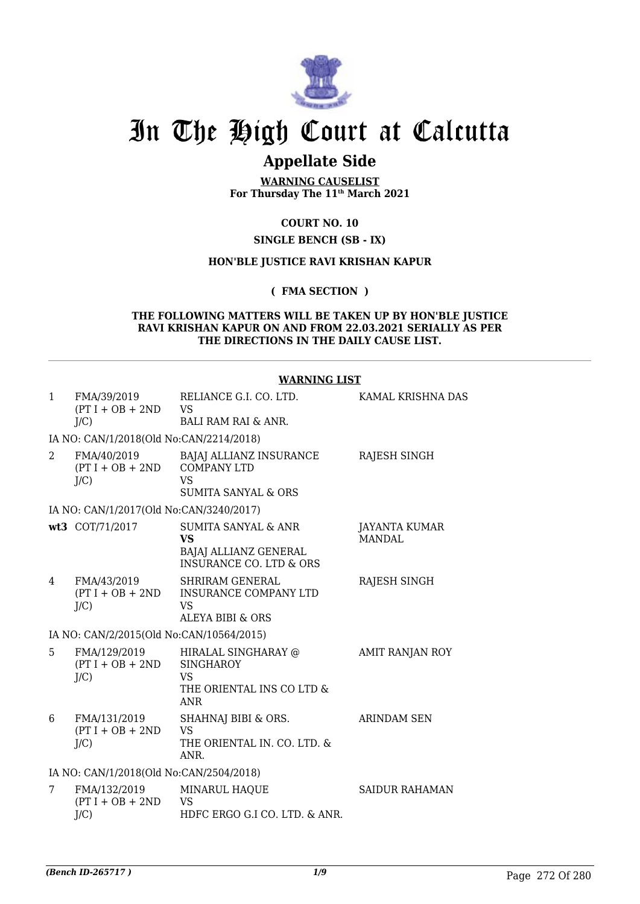

# **Appellate Side**

**WARNING CAUSELIST For Thursday The 11th March 2021**

# **COURT NO. 10**

#### **SINGLE BENCH (SB - IX)**

#### **HON'BLE JUSTICE RAVI KRISHAN KAPUR**

**( FMA SECTION )**

#### **THE FOLLOWING MATTERS WILL BE TAKEN UP BY HON'BLE JUSTICE RAVI KRISHAN KAPUR ON AND FROM 22.03.2021 SERIALLY AS PER THE DIRECTIONS IN THE DAILY CAUSE LIST.**

|                |                                               | <b>WARNING LIST</b>                                                                      |                                |
|----------------|-----------------------------------------------|------------------------------------------------------------------------------------------|--------------------------------|
| $\mathbf{1}$   | FMA/39/2019<br>$(PT I + OB + 2ND$<br>$J/C$ )  | RELIANCE G.I. CO. LTD.<br><b>VS</b><br>BALI RAM RAI & ANR.                               | KAMAL KRISHNA DAS              |
|                | IA NO: CAN/1/2018(Old No:CAN/2214/2018)       |                                                                                          |                                |
| 2              | FMA/40/2019                                   | BAJAJ ALLIANZ INSURANCE                                                                  | RAJESH SINGH                   |
|                | $(PT I + OB + 2ND$<br>J/C                     | <b>COMPANY LTD</b><br><b>VS</b><br><b>SUMITA SANYAL &amp; ORS</b>                        |                                |
|                | IA NO: CAN/1/2017(Old No:CAN/3240/2017)       |                                                                                          |                                |
|                | wt3 COT/71/2017                               | <b>SUMITA SANYAL &amp; ANR</b><br><b>VS</b><br>BAJAJ ALLIANZ GENERAL                     | JAYANTA KUMAR<br><b>MANDAL</b> |
|                |                                               | <b>INSURANCE CO. LTD &amp; ORS</b>                                                       |                                |
| $\overline{4}$ | FMA/43/2019<br>$(PT I + OB + 2ND$<br>J/C      | <b>SHRIRAM GENERAL</b><br><b>INSURANCE COMPANY LTD</b><br><b>VS</b><br>ALEYA BIBI & ORS  | <b>RAJESH SINGH</b>            |
|                | IA NO: CAN/2/2015(Old No:CAN/10564/2015)      |                                                                                          |                                |
| 5              | FMA/129/2019<br>$(PT I + OB + 2ND$<br>$J/C$ ) | HIRALAL SINGHARAY @<br><b>SINGHAROY</b><br>VS<br>THE ORIENTAL INS CO LTD &<br><b>ANR</b> | <b>AMIT RANJAN ROY</b>         |
| 6              | FMA/131/2019<br>$(PT I + OB + 2ND$<br>$J/C$ ) | SHAHNAJ BIBI & ORS.<br><b>VS</b><br>THE ORIENTAL IN. CO. LTD. &<br>ANR.                  | <b>ARINDAM SEN</b>             |
|                | IA NO: CAN/1/2018(Old No:CAN/2504/2018)       |                                                                                          |                                |
| 7              | FMA/132/2019<br>$(PT I + OB + 2ND$<br>J/C     | MINARUL HAQUE<br><b>VS</b><br>HDFC ERGO G.I CO. LTD. & ANR.                              | <b>SAIDUR RAHAMAN</b>          |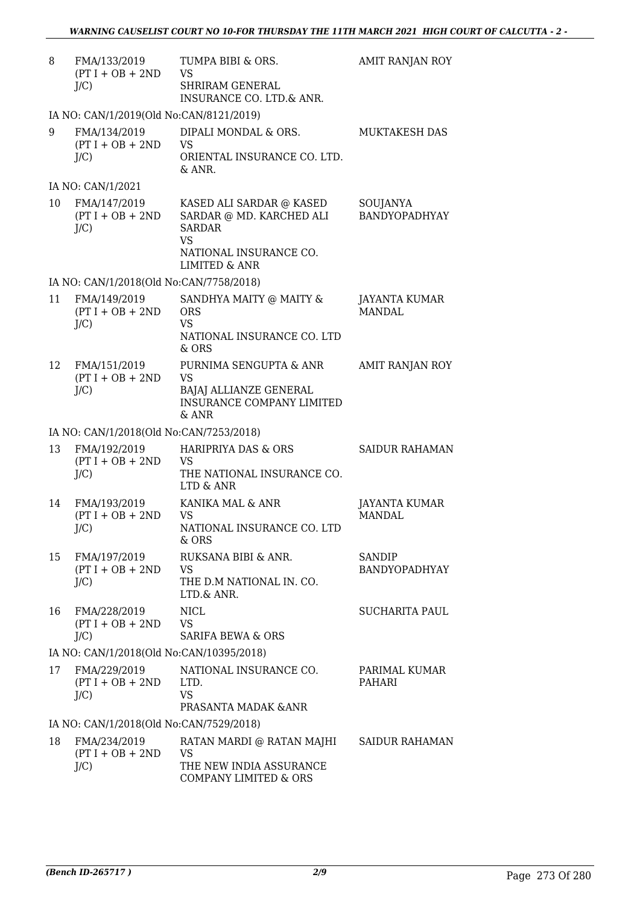| 8  | FMA/133/2019<br>$(PT I + OB + 2ND$<br>$J/C$ ) | TUMPA BIBI & ORS.<br>VS<br>SHRIRAM GENERAL<br>INSURANCE CO. LTD.& ANR.                                                        | AMIT RANJAN ROY                       |
|----|-----------------------------------------------|-------------------------------------------------------------------------------------------------------------------------------|---------------------------------------|
|    | IA NO: CAN/1/2019(Old No:CAN/8121/2019)       |                                                                                                                               |                                       |
| 9  | FMA/134/2019<br>$(PT I + OB + 2ND$<br>$J/C$ ) | DIPALI MONDAL & ORS.<br>VS<br>ORIENTAL INSURANCE CO. LTD.<br>& ANR.                                                           | <b>MUKTAKESH DAS</b>                  |
|    | IA NO: CAN/1/2021                             |                                                                                                                               |                                       |
| 10 | FMA/147/2019<br>$(PT I + OB + 2ND$<br>$J/C$ ) | KASED ALI SARDAR @ KASED<br>SARDAR @ MD. KARCHED ALI<br><b>SARDAR</b><br><b>VS</b><br>NATIONAL INSURANCE CO.<br>LIMITED & ANR | SOUJANYA<br>BANDYOPADHYAY             |
|    | IA NO: CAN/1/2018(Old No:CAN/7758/2018)       |                                                                                                                               |                                       |
| 11 | FMA/149/2019<br>$(PT I + OB + 2ND$<br>$J/C$ ) | SANDHYA MAITY @ MAITY &<br><b>ORS</b><br><b>VS</b><br>NATIONAL INSURANCE CO. LTD<br>& ORS                                     | JAYANTA KUMAR<br><b>MANDAL</b>        |
| 12 | FMA/151/2019<br>$(PT I + OB + 2ND$<br>$J/C$ ) | PURNIMA SENGUPTA & ANR<br><b>VS</b><br>BAJAJ ALLIANZE GENERAL<br><b>INSURANCE COMPANY LIMITED</b><br>$&$ ANR                  | AMIT RANJAN ROY                       |
|    | IA NO: CAN/1/2018(Old No:CAN/7253/2018)       |                                                                                                                               |                                       |
| 13 | FMA/192/2019<br>$(PT I + OB + 2ND$<br>$J/C$ ) | <b>HARIPRIYA DAS &amp; ORS</b><br>VS<br>THE NATIONAL INSURANCE CO.<br>LTD & ANR                                               | <b>SAIDUR RAHAMAN</b>                 |
| 14 | FMA/193/2019<br>$(PT I + OB + 2ND$<br>$J/C$ ) | KANIKA MAL & ANR<br><b>VS</b><br>NATIONAL INSURANCE CO. LTD<br>& ORS                                                          | <b>JAYANTA KUMAR</b><br><b>MANDAL</b> |
| 15 | FMA/197/2019<br>$(PT I + OB + 2ND$<br>$J/C$ ) | RUKSANA BIBI & ANR.<br>VS<br>THE D.M NATIONAL IN. CO.<br>LTD.& ANR.                                                           | <b>SANDIP</b><br>BANDYOPADHYAY        |
| 16 | FMA/228/2019<br>$(PT I + OB + 2ND$<br>$J/C$ ) | <b>NICL</b><br>VS.<br><b>SARIFA BEWA &amp; ORS</b>                                                                            | <b>SUCHARITA PAUL</b>                 |
|    | IA NO: CAN/1/2018(Old No:CAN/10395/2018)      |                                                                                                                               |                                       |
| 17 | FMA/229/2019<br>$(PT I + OB + 2ND$<br>$J/C$ ) | NATIONAL INSURANCE CO.<br>LTD.<br>VS<br>PRASANTA MADAK & ANR                                                                  | PARIMAL KUMAR<br>PAHARI               |
|    | IA NO: CAN/1/2018(Old No:CAN/7529/2018)       |                                                                                                                               |                                       |
| 18 | FMA/234/2019<br>$(PT I + OB + 2ND$<br>$J/C$ ) | RATAN MARDI @ RATAN MAJHI<br>VS<br>THE NEW INDIA ASSURANCE<br>COMPANY LIMITED & ORS                                           | <b>SAIDUR RAHAMAN</b>                 |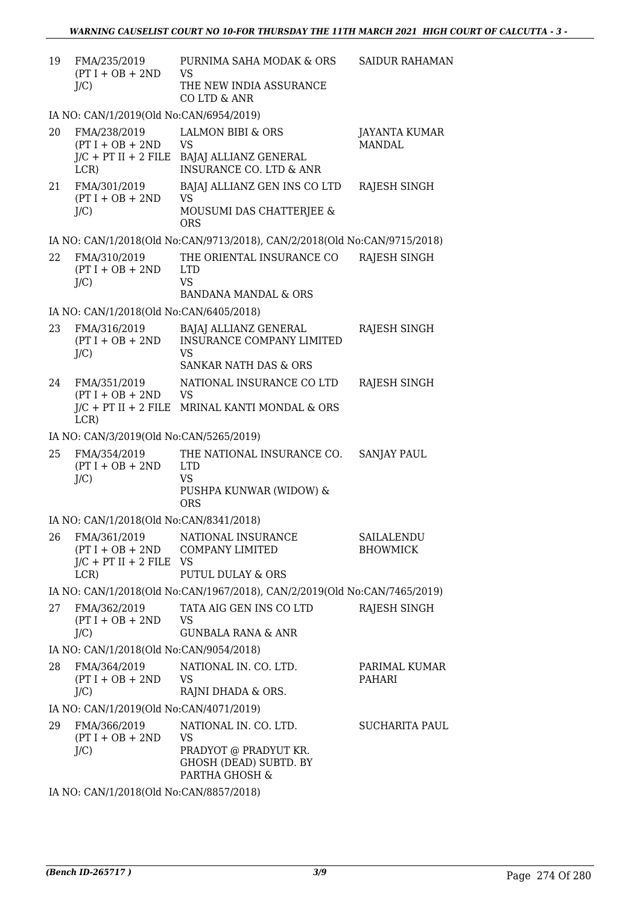| 19 | FMA/235/2019<br>$(PT I + OB + 2ND$<br>$J/C$ )                                          | PURNIMA SAHA MODAK & ORS<br><b>VS</b><br>THE NEW INDIA ASSURANCE<br>CO LTD & ANR                         | <b>SAIDUR RAHAMAN</b>          |
|----|----------------------------------------------------------------------------------------|----------------------------------------------------------------------------------------------------------|--------------------------------|
|    | IA NO: CAN/1/2019(Old No:CAN/6954/2019)                                                |                                                                                                          |                                |
| 20 | FMA/238/2019<br>$(PT I + OB + 2ND$<br>$J/C$ + PT II + 2 FILE<br>LCR)                   | <b>LALMON BIBI &amp; ORS</b><br><b>VS</b><br>BAJAJ ALLIANZ GENERAL<br><b>INSURANCE CO. LTD &amp; ANR</b> | JAYANTA KUMAR<br><b>MANDAL</b> |
| 21 | FMA/301/2019<br>$(PT I + OB + 2ND$<br>$J/C$ )                                          | BAJAJ ALLIANZ GEN INS CO LTD<br>VS.<br>MOUSUMI DAS CHATTERJEE &<br><b>ORS</b>                            | RAJESH SINGH                   |
|    |                                                                                        | IA NO: CAN/1/2018(Old No:CAN/9713/2018), CAN/2/2018(Old No:CAN/9715/2018)                                |                                |
| 22 | FMA/310/2019<br>$(PT I + OB + 2ND$<br>J/C                                              | THE ORIENTAL INSURANCE CO<br><b>LTD</b><br><b>VS</b><br><b>BANDANA MANDAL &amp; ORS</b>                  | RAJESH SINGH                   |
|    | IA NO: CAN/1/2018(Old No:CAN/6405/2018)                                                |                                                                                                          |                                |
| 23 | FMA/316/2019<br>$(PT I + OB + 2ND$<br>$J/C$ )                                          | BAJAJ ALLIANZ GENERAL<br><b>INSURANCE COMPANY LIMITED</b><br>VS<br>SANKAR NATH DAS & ORS                 | RAJESH SINGH                   |
| 24 | FMA/351/2019<br>$(PT I + OB + 2ND$<br>$J/C$ + PT II + 2 FILE<br>LCR)                   | NATIONAL INSURANCE CO LTD<br><b>VS</b><br>MRINAL KANTI MONDAL & ORS                                      | RAJESH SINGH                   |
|    | IA NO: CAN/3/2019(Old No:CAN/5265/2019)                                                |                                                                                                          |                                |
| 25 | FMA/354/2019<br>$(PT I + OB + 2ND$<br>$J/C$ )                                          | THE NATIONAL INSURANCE CO.<br><b>LTD</b><br><b>VS</b><br>PUSHPA KUNWAR (WIDOW) &<br><b>ORS</b>           | <b>SANJAY PAUL</b>             |
|    | IA NO: CAN/1/2018(Old No:CAN/8341/2018)                                                |                                                                                                          |                                |
| 26 | FMA/361/2019<br>$(PT I + OB + 2ND$<br>$J/C$ + PT II + 2 FILE<br>LCR                    | NATIONAL INSURANCE<br><b>COMPANY LIMITED</b><br>- VS<br><b>PUTUL DULAY &amp; ORS</b>                     | SAILALENDU<br><b>BHOWMICK</b>  |
|    |                                                                                        | IA NO: CAN/1/2018(Old No:CAN/1967/2018), CAN/2/2019(Old No:CAN/7465/2019)                                |                                |
| 27 | FMA/362/2019<br>$(PT I + OB + 2ND$<br>$J/C$ )                                          | TATA AIG GEN INS CO LTD<br><b>VS</b><br><b>GUNBALA RANA &amp; ANR</b>                                    | RAJESH SINGH                   |
|    | IA NO: CAN/1/2018(Old No:CAN/9054/2018)                                                |                                                                                                          |                                |
| 28 | FMA/364/2019<br>$(PT I + OB + 2ND$<br>$J/C$ )                                          | NATIONAL IN. CO. LTD.<br><b>VS</b><br>RAJNI DHADA & ORS.                                                 | PARIMAL KUMAR<br>PAHARI        |
|    | IA NO: CAN/1/2019(Old No:CAN/4071/2019)                                                |                                                                                                          |                                |
| 29 | FMA/366/2019<br>$(PT I + OB + 2ND$<br>$J/C$ )<br>IA NO. CANILLOOLOOLENS CANTOOF 70010) | NATIONAL IN. CO. LTD.<br>VS<br>PRADYOT @ PRADYUT KR.<br>GHOSH (DEAD) SUBTD. BY<br>PARTHA GHOSH &         | SUCHARITA PAUL                 |

IA NO: CAN/1/2018(Old No:CAN/8857/2018)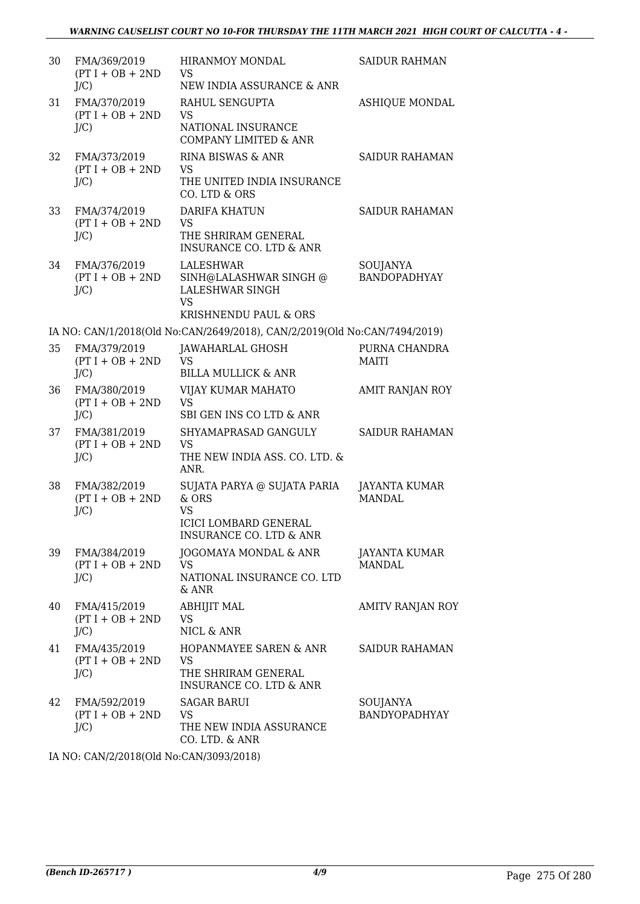| 30 | FMA/369/2019<br>$(PT I + OB + 2ND$<br>$J/C$ ) | <b>HIRANMOY MONDAL</b><br><b>VS</b><br>NEW INDIA ASSURANCE & ANR                                               | <b>SAIDUR RAHMAN</b>             |
|----|-----------------------------------------------|----------------------------------------------------------------------------------------------------------------|----------------------------------|
| 31 | FMA/370/2019<br>$(PT I + OB + 2ND$<br>$J/C$ ) | RAHUL SENGUPTA<br><b>VS</b><br>NATIONAL INSURANCE<br><b>COMPANY LIMITED &amp; ANR</b>                          | <b>ASHIQUE MONDAL</b>            |
| 32 | FMA/373/2019<br>$(PT I + OB + 2ND$<br>$J/C$ ) | RINA BISWAS & ANR<br><b>VS</b><br>THE UNITED INDIA INSURANCE<br>CO. LTD & ORS                                  | <b>SAIDUR RAHAMAN</b>            |
| 33 | FMA/374/2019<br>$(PT I + OB + 2ND$<br>$J/C$ ) | <b>DARIFA KHATUN</b><br><b>VS</b><br>THE SHRIRAM GENERAL<br>INSURANCE CO. LTD & ANR                            | <b>SAIDUR RAHAMAN</b>            |
| 34 | FMA/376/2019<br>$(PT I + OB + 2ND$<br>$J/C$ ) | LALESHWAR<br>SINH@LALASHWAR SINGH @<br><b>LALESHWAR SINGH</b><br><b>VS</b><br><b>KRISHNENDU PAUL &amp; ORS</b> | SOUJANYA<br><b>BANDOPADHYAY</b>  |
|    |                                               | IA NO: CAN/1/2018(Old No:CAN/2649/2018), CAN/2/2019(Old No:CAN/7494/2019)                                      |                                  |
| 35 | FMA/379/2019<br>$(PT I + OB + 2ND$<br>$J/C$ ) | JAWAHARLAL GHOSH<br><b>VS</b><br><b>BILLA MULLICK &amp; ANR</b>                                                | PURNA CHANDRA<br><b>MAITI</b>    |
| 36 | FMA/380/2019<br>$(PT I + OB + 2ND$<br>$J/C$ ) | VIJAY KUMAR MAHATO<br><b>VS</b><br>SBI GEN INS CO LTD & ANR                                                    | AMIT RANJAN ROY                  |
| 37 | FMA/381/2019<br>$(PT I + OB + 2ND$<br>$J/C$ ) | SHYAMAPRASAD GANGULY<br>VS<br>THE NEW INDIA ASS. CO. LTD. &<br>ANR.                                            | <b>SAIDUR RAHAMAN</b>            |
| 38 | FMA/382/2019<br>$(PT I + OB + 2ND$<br>$J/C$ ) | SUJATA PARYA @ SUJATA PARIA<br>& ORS<br>VS<br><b>ICICI LOMBARD GENERAL</b><br>INSURANCE CO. LTD & ANR          | JAYANTA KUMAR<br><b>MANDAL</b>   |
| 39 | FMA/384/2019<br>$(PT I + OB + 2ND$<br>$J/C$ ) | <b>JOGOMAYA MONDAL &amp; ANR</b><br>VS<br>NATIONAL INSURANCE CO. LTD<br>& ANR                                  | JAYANTA KUMAR<br><b>MANDAL</b>   |
| 40 | FMA/415/2019<br>$(PT I + OB + 2ND$<br>$J/C$ ) | <b>ABHIJIT MAL</b><br>VS<br>NICL & ANR                                                                         | <b>AMITV RANJAN ROY</b>          |
| 41 | FMA/435/2019<br>$(PT I + OB + 2ND$<br>$J/C$ ) | HOPANMAYEE SAREN & ANR<br><b>VS</b><br>THE SHRIRAM GENERAL<br>INSURANCE CO. LTD & ANR                          | <b>SAIDUR RAHAMAN</b>            |
| 42 | FMA/592/2019<br>$(PT I + OB + 2ND$<br>$J/C$ ) | <b>SAGAR BARUI</b><br>VS<br>THE NEW INDIA ASSURANCE<br>CO. LTD. & ANR                                          | SOUJANYA<br><b>BANDYOPADHYAY</b> |

IA NO: CAN/2/2018(Old No:CAN/3093/2018)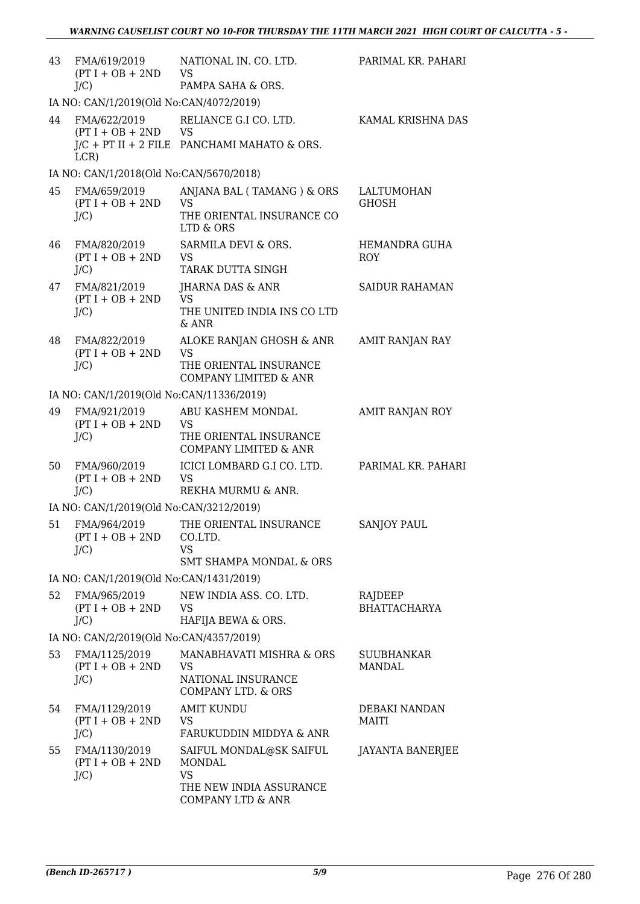| 43                                      | FMA/619/2019<br>$(PT I + OB + 2ND$<br>$J/C$ )  | NATIONAL IN. CO. LTD.<br><b>VS</b><br>PAMPA SAHA & ORS.                                             | PARIMAL KR. PAHARI             |
|-----------------------------------------|------------------------------------------------|-----------------------------------------------------------------------------------------------------|--------------------------------|
|                                         | IA NO: CAN/1/2019(Old No:CAN/4072/2019)        |                                                                                                     |                                |
| 44                                      | FMA/622/2019<br>$(PT I + OB + 2ND$<br>LCR)     | RELIANCE G.I CO. LTD.<br>VS<br>$J/C$ + PT II + 2 FILE PANCHAMI MAHATO & ORS.                        | KAMAL KRISHNA DAS              |
|                                         | IA NO: CAN/1/2018(Old No:CAN/5670/2018)        |                                                                                                     |                                |
| 45                                      | FMA/659/2019<br>$(PT I + OB + 2ND$<br>$J/C$ )  | ANJANA BAL (TAMANG) & ORS<br><b>VS</b><br>THE ORIENTAL INSURANCE CO<br>LTD & ORS                    | LALTUMOHAN<br><b>GHOSH</b>     |
| 46                                      | FMA/820/2019<br>$(PT I + OB + 2ND$<br>$J/C$ )  | SARMILA DEVI & ORS.<br><b>VS</b><br>TARAK DUTTA SINGH                                               | HEMANDRA GUHA<br><b>ROY</b>    |
| 47                                      | FMA/821/2019<br>$(PT I + OB + 2ND$<br>$J/C$ )  | JHARNA DAS & ANR<br><b>VS</b><br>THE UNITED INDIA INS CO LTD<br>$\&$ ANR                            | <b>SAIDUR RAHAMAN</b>          |
| 48                                      | FMA/822/2019<br>$(PT I + OB + 2ND$<br>$J/C$ )  | ALOKE RANJAN GHOSH & ANR<br><b>VS</b><br>THE ORIENTAL INSURANCE<br><b>COMPANY LIMITED &amp; ANR</b> | <b>AMIT RANJAN RAY</b>         |
|                                         | IA NO: CAN/1/2019(Old No:CAN/11336/2019)       |                                                                                                     |                                |
| 49                                      | FMA/921/2019<br>$(PT I + OB + 2ND$<br>$J/C$ )  | ABU KASHEM MONDAL<br><b>VS</b><br>THE ORIENTAL INSURANCE<br><b>COMPANY LIMITED &amp; ANR</b>        | <b>AMIT RANJAN ROY</b>         |
| 50                                      | FMA/960/2019<br>$(PT I + OB + 2ND$<br>$J/C$ )  | ICICI LOMBARD G.I CO. LTD.<br><b>VS</b><br>REKHA MURMU & ANR.                                       | PARIMAL KR. PAHARI             |
|                                         | IA NO: CAN/1/2019(Old No:CAN/3212/2019)        |                                                                                                     |                                |
| 51                                      | FMA/964/2019<br>$(PT I + OB + 2ND$<br>$J/C$ )  | THE ORIENTAL INSURANCE<br>CO.LTD.<br><b>VS</b><br><b>SMT SHAMPA MONDAL &amp; ORS</b>                | <b>SANJOY PAUL</b>             |
|                                         | IA NO: CAN/1/2019(Old No:CAN/1431/2019)        |                                                                                                     |                                |
| 52                                      | FMA/965/2019<br>$(PT I + OB + 2ND$<br>$J/C$ )  | NEW INDIA ASS. CO. LTD.<br><b>VS</b><br>HAFIJA BEWA & ORS.                                          | RAJDEEP<br><b>BHATTACHARYA</b> |
| IA NO: CAN/2/2019(Old No:CAN/4357/2019) |                                                |                                                                                                     |                                |
| 53                                      | FMA/1125/2019<br>$(PT I + OB + 2ND$<br>$J/C$ ) | MANABHAVATI MISHRA & ORS<br><b>VS</b><br>NATIONAL INSURANCE<br>COMPANY LTD. & ORS                   | SUUBHANKAR<br>MANDAL           |
| 54                                      | FMA/1129/2019<br>$(PT I + OB + 2ND$<br>$J/C$ ) | <b>AMIT KUNDU</b><br><b>VS</b><br>FARUKUDDIN MIDDYA & ANR                                           | DEBAKI NANDAN<br>MAITI         |
| 55                                      | FMA/1130/2019<br>$(PT I + OB + 2ND$<br>$J/C$ ) | SAIFUL MONDAL@SK SAIFUL<br><b>MONDAL</b><br>VS<br>THE NEW INDIA ASSURANCE<br>COMPANY LTD & ANR      | JAYANTA BANERJEE               |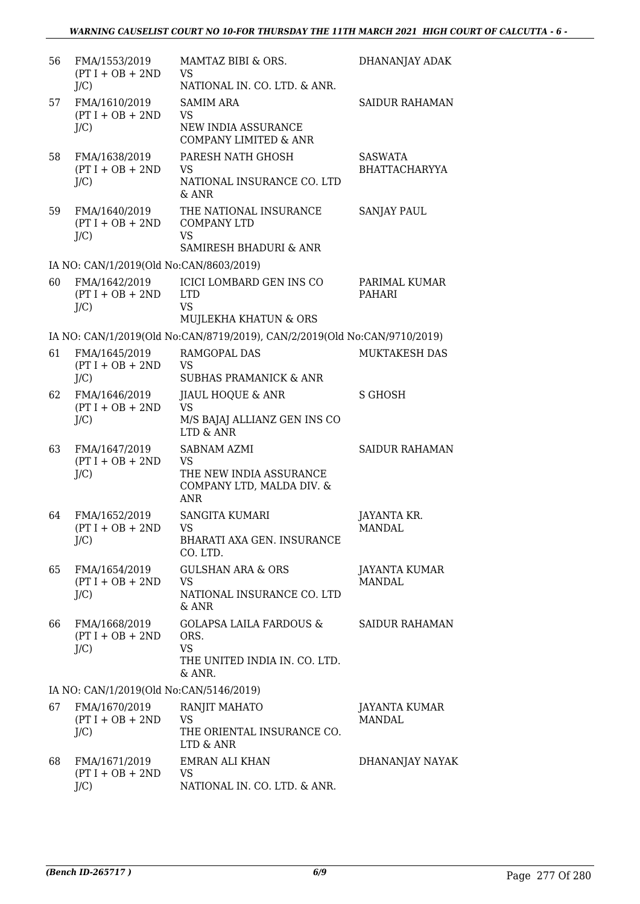| 56 | FMA/1553/2019<br>$(PT I + OB + 2ND$                       | MAMTAZ BIBI & ORS.<br>VS<br>NATIONAL IN. CO. LTD. & ANR.                                       | DHANANJAY ADAK                        |
|----|-----------------------------------------------------------|------------------------------------------------------------------------------------------------|---------------------------------------|
| 57 | $J/C$ )<br>FMA/1610/2019<br>$(PT I + OB + 2ND$<br>$J/C$ ) | <b>SAMIM ARA</b><br><b>VS</b><br>NEW INDIA ASSURANCE<br><b>COMPANY LIMITED &amp; ANR</b>       | <b>SAIDUR RAHAMAN</b>                 |
| 58 | FMA/1638/2019<br>$(PT I + OB + 2ND$<br>$J/C$ )            | PARESH NATH GHOSH<br><b>VS</b><br>NATIONAL INSURANCE CO. LTD<br>$&$ ANR                        | SASWATA<br><b>BHATTACHARYYA</b>       |
| 59 | FMA/1640/2019<br>$(PT I + OB + 2ND$<br>$J/C$ )            | THE NATIONAL INSURANCE<br><b>COMPANY LTD</b><br>VS<br>SAMIRESH BHADURI & ANR                   | <b>SANJAY PAUL</b>                    |
|    | IA NO: CAN/1/2019(Old No:CAN/8603/2019)                   |                                                                                                |                                       |
| 60 | FMA/1642/2019<br>$(PT I + OB + 2ND$<br>$J/C$ )            | <b>ICICI LOMBARD GEN INS CO</b><br><b>LTD</b><br><b>VS</b><br>MUJLEKHA KHATUN & ORS            | PARIMAL KUMAR<br><b>PAHARI</b>        |
|    |                                                           | IA NO: CAN/1/2019(Old No:CAN/8719/2019), CAN/2/2019(Old No:CAN/9710/2019)                      |                                       |
| 61 | FMA/1645/2019<br>$(PT I + OB + 2ND$<br>$J/C$ )            | RAMGOPAL DAS<br>VS<br><b>SUBHAS PRAMANICK &amp; ANR</b>                                        | MUKTAKESH DAS                         |
| 62 | FMA/1646/2019<br>$(PT I + OB + 2ND$<br>$J/C$ )            | JIAUL HOQUE & ANR<br><b>VS</b><br>M/S BAJAJ ALLIANZ GEN INS CO<br>LTD & ANR                    | S GHOSH                               |
| 63 | FMA/1647/2019<br>$(PT I + OB + 2ND$<br>$J/C$ )            | <b>SABNAM AZMI</b><br><b>VS</b><br>THE NEW INDIA ASSURANCE<br>COMPANY LTD, MALDA DIV. &<br>ANR | <b>SAIDUR RAHAMAN</b>                 |
| 64 | FMA/1652/2019<br>$(PT I + OB + 2ND$<br>$J/C$ )            | <b>SANGITA KUMARI</b><br>VS.<br>BHARATI AXA GEN. INSURANCE<br>CO. LTD.                         | JAYANTA KR.<br>MANDAL                 |
| 65 | FMA/1654/2019<br>$(PT I + OB + 2ND$<br>$J/C$ )            | <b>GULSHAN ARA &amp; ORS</b><br><b>VS</b><br>NATIONAL INSURANCE CO. LTD<br>$&$ ANR             | <b>JAYANTA KUMAR</b><br><b>MANDAL</b> |
| 66 | FMA/1668/2019<br>$(PT I + OB + 2ND$<br>$J/C$ )            | <b>GOLAPSA LAILA FARDOUS &amp;</b><br>ORS.<br>VS<br>THE UNITED INDIA IN. CO. LTD.<br>& ANR.    | <b>SAIDUR RAHAMAN</b>                 |
|    | IA NO: CAN/1/2019(Old No:CAN/5146/2019)                   |                                                                                                |                                       |
| 67 | FMA/1670/2019<br>$(PT I + OB + 2ND$<br>$J/C$ )            | RANJIT MAHATO<br>VS<br>THE ORIENTAL INSURANCE CO.<br>LTD & ANR                                 | JAYANTA KUMAR<br><b>MANDAL</b>        |
| 68 | FMA/1671/2019<br>$(PT I + OB + 2ND$<br>$J/C$ )            | <b>EMRAN ALI KHAN</b><br>VS.<br>NATIONAL IN. CO. LTD. & ANR.                                   | DHANANJAY NAYAK                       |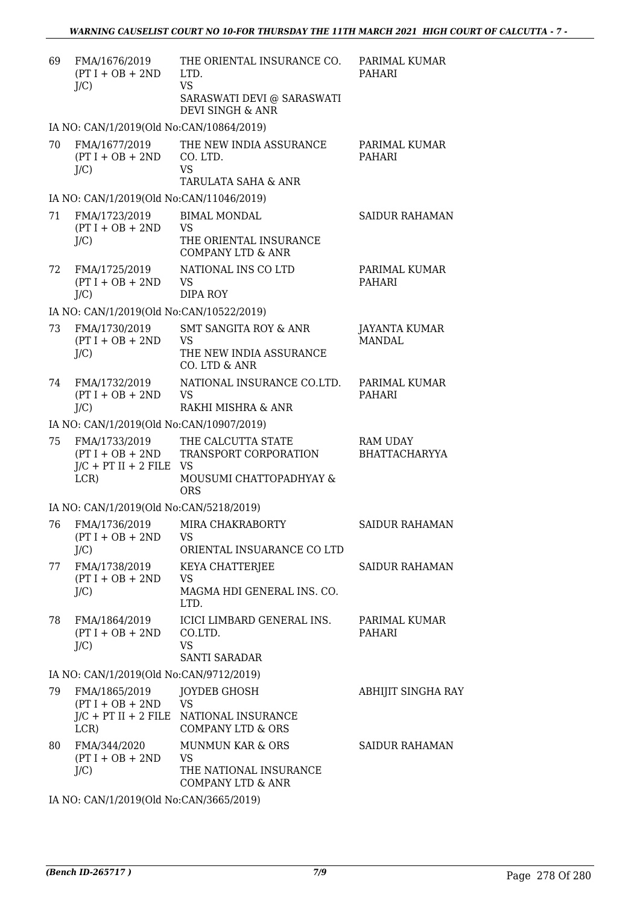| 69 | FMA/1676/2019<br>$(PT I + OB + 2ND$<br>$J/C$ )                        | THE ORIENTAL INSURANCE CO.<br>LTD.<br><b>VS</b><br>SARASWATI DEVI @ SARASWATI<br>DEVI SINGH & ANR | PARIMAL KUMAR<br>PAHARI                 |
|----|-----------------------------------------------------------------------|---------------------------------------------------------------------------------------------------|-----------------------------------------|
|    | IA NO: CAN/1/2019(Old No:CAN/10864/2019)                              |                                                                                                   |                                         |
| 70 | FMA/1677/2019<br>$(PT I + OB + 2ND$<br>$J/C$ )                        | THE NEW INDIA ASSURANCE<br>CO. LTD.<br><b>VS</b><br>TARULATA SAHA & ANR                           | PARIMAL KUMAR<br><b>PAHARI</b>          |
|    | IA NO: CAN/1/2019(Old No:CAN/11046/2019)                              |                                                                                                   |                                         |
| 71 | FMA/1723/2019<br>$(PT I + OB + 2ND$<br>$J/C$ )                        | <b>BIMAL MONDAL</b><br><b>VS</b><br>THE ORIENTAL INSURANCE<br><b>COMPANY LTD &amp; ANR</b>        | <b>SAIDUR RAHAMAN</b>                   |
| 72 | FMA/1725/2019<br>$(PT I + OB + 2ND$<br>$J/C$ )                        | NATIONAL INS CO LTD<br><b>VS</b><br><b>DIPA ROY</b>                                               | PARIMAL KUMAR<br><b>PAHARI</b>          |
|    | IA NO: CAN/1/2019(Old No:CAN/10522/2019)                              |                                                                                                   |                                         |
| 73 | FMA/1730/2019<br>$(PT I + OB + 2ND$<br>$J/C$ )                        | <b>SMT SANGITA ROY &amp; ANR</b><br>VS<br>THE NEW INDIA ASSURANCE<br>CO. LTD & ANR                | JAYANTA KUMAR<br><b>MANDAL</b>          |
| 74 | FMA/1732/2019<br>$(PT I + OB + 2ND$<br>$J/C$ )                        | NATIONAL INSURANCE CO.LTD.<br><b>VS</b><br>RAKHI MISHRA & ANR                                     | PARIMAL KUMAR<br><b>PAHARI</b>          |
|    | IA NO: CAN/1/2019(Old No:CAN/10907/2019)                              |                                                                                                   |                                         |
| 75 | FMA/1733/2019<br>$(PT I + OB + 2ND$<br>$J/C$ + PT II + 2 FILE<br>LCR) | THE CALCUTTA STATE<br>TRANSPORT CORPORATION<br><b>VS</b><br>MOUSUMI CHATTOPADHYAY &<br><b>ORS</b> | <b>RAM UDAY</b><br><b>BHATTACHARYYA</b> |
|    | IA NO: CAN/1/2019(Old No:CAN/5218/2019)                               |                                                                                                   |                                         |
| 76 | FMA/1736/2019<br>$(PT I + OB + 2ND$<br>$J/C$ )                        | MIRA CHAKRABORTY<br><b>VS</b><br>ORIENTAL INSUARANCE CO LTD                                       | <b>SAIDUR RAHAMAN</b>                   |
| 77 | FMA/1738/2019<br>$(PT I + OB + 2ND$<br>$J/C$ )                        | KEYA CHATTERJEE<br>VS<br>MAGMA HDI GENERAL INS. CO.<br>LTD.                                       | <b>SAIDUR RAHAMAN</b>                   |
| 78 | FMA/1864/2019<br>$(PT I + OB + 2ND$<br>$J/C$ )                        | ICICI LIMBARD GENERAL INS.<br>CO.LTD.<br><b>VS</b><br><b>SANTI SARADAR</b>                        | PARIMAL KUMAR<br>PAHARI                 |
|    | IA NO: CAN/1/2019(Old No:CAN/9712/2019)                               |                                                                                                   |                                         |
| 79 | FMA/1865/2019<br>$(PT I + OB + 2ND$<br>$J/C$ + PT II + 2 FILE<br>LCR) | JOYDEB GHOSH<br><b>VS</b><br>NATIONAL INSURANCE<br><b>COMPANY LTD &amp; ORS</b>                   | ABHIJIT SINGHA RAY                      |
| 80 | FMA/344/2020<br>$(PT I + OB + 2ND$<br>$J/C$ )                         | <b>MUNMUN KAR &amp; ORS</b><br>VS<br>THE NATIONAL INSURANCE<br><b>COMPANY LTD &amp; ANR</b>       | <b>SAIDUR RAHAMAN</b>                   |

IA NO: CAN/1/2019(Old No:CAN/3665/2019)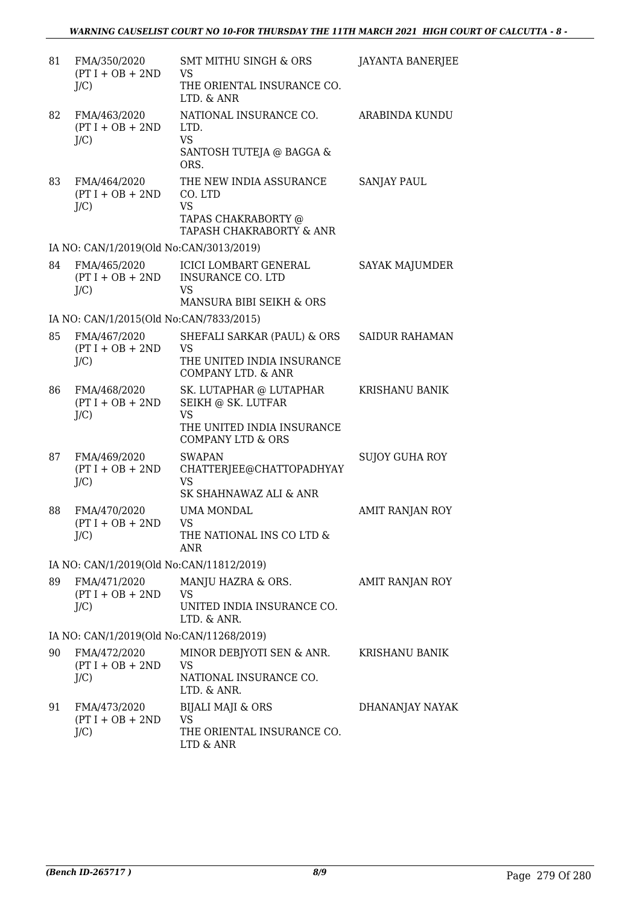| 81 | FMA/350/2020<br>$(PT I + OB + 2ND$<br>$J/C$ ) | <b>SMT MITHU SINGH &amp; ORS</b><br>VS<br>THE ORIENTAL INSURANCE CO.<br>LTD. & ANR                                       | <b>JAYANTA BANERJEE</b> |
|----|-----------------------------------------------|--------------------------------------------------------------------------------------------------------------------------|-------------------------|
| 82 | FMA/463/2020<br>$(PT I + OB + 2ND$<br>$J/C$ ) | NATIONAL INSURANCE CO.<br>LTD.<br><b>VS</b><br>SANTOSH TUTEJA @ BAGGA &<br>ORS.                                          | <b>ARABINDA KUNDU</b>   |
| 83 | FMA/464/2020<br>$(PT I + OB + 2ND$<br>$J/C$ ) | THE NEW INDIA ASSURANCE<br>CO. LTD<br><b>VS</b><br>TAPAS CHAKRABORTY @<br>TAPASH CHAKRABORTY & ANR                       | <b>SANJAY PAUL</b>      |
|    | IA NO: CAN/1/2019(Old No:CAN/3013/2019)       |                                                                                                                          |                         |
| 84 | FMA/465/2020<br>$(PT I + OB + 2ND$<br>$J/C$ ) | <b>ICICI LOMBART GENERAL</b><br><b>INSURANCE CO. LTD</b><br>VS<br>MANSURA BIBI SEIKH & ORS                               | <b>SAYAK MAJUMDER</b>   |
|    | IA NO: CAN/1/2015(Old No:CAN/7833/2015)       |                                                                                                                          |                         |
| 85 | FMA/467/2020<br>$(PT I + OB + 2ND$<br>$J/C$ ) | SHEFALI SARKAR (PAUL) & ORS<br>VS<br>THE UNITED INDIA INSURANCE<br>COMPANY LTD. & ANR                                    | <b>SAIDUR RAHAMAN</b>   |
| 86 | FMA/468/2020<br>$(PT I + OB + 2ND$<br>$J/C$ ) | SK. LUTAPHAR @ LUTAPHAR<br>SEIKH @ SK. LUTFAR<br><b>VS</b><br>THE UNITED INDIA INSURANCE<br><b>COMPANY LTD &amp; ORS</b> | KRISHANU BANIK          |
| 87 | FMA/469/2020<br>$(PT I + OB + 2ND$<br>$J/C$ ) | <b>SWAPAN</b><br>CHATTERJEE@CHATTOPADHYAY<br>VS<br>SK SHAHNAWAZ ALI & ANR                                                | <b>SUJOY GUHA ROY</b>   |
| 88 | FMA/470/2020<br>$(PT I + OB + 2ND$<br>$J/C$ ) | <b>UMA MONDAL</b><br><b>VS</b><br>THE NATIONAL INS CO LTD &<br><b>ANR</b>                                                | AMIT RANJAN ROY         |
|    | IA NO: CAN/1/2019(Old No:CAN/11812/2019)      |                                                                                                                          |                         |
| 89 | FMA/471/2020<br>$(PT I + OB + 2ND$<br>$J/C$ ) | MANJU HAZRA & ORS.<br>VS<br>UNITED INDIA INSURANCE CO.<br>LTD. & ANR.                                                    | AMIT RANJAN ROY         |
|    | IA NO: CAN/1/2019(Old No:CAN/11268/2019)      |                                                                                                                          |                         |
| 90 | FMA/472/2020<br>$(PT I + OB + 2ND$<br>$J/C$ ) | MINOR DEBJYOTI SEN & ANR.<br><b>VS</b><br>NATIONAL INSURANCE CO.<br>LTD. & ANR.                                          | <b>KRISHANU BANIK</b>   |
| 91 | FMA/473/2020<br>$(PT I + OB + 2ND$<br>$J/C$ ) | BIJALI MAJI & ORS<br><b>VS</b><br>THE ORIENTAL INSURANCE CO.<br>LTD & ANR                                                | DHANANJAY NAYAK         |